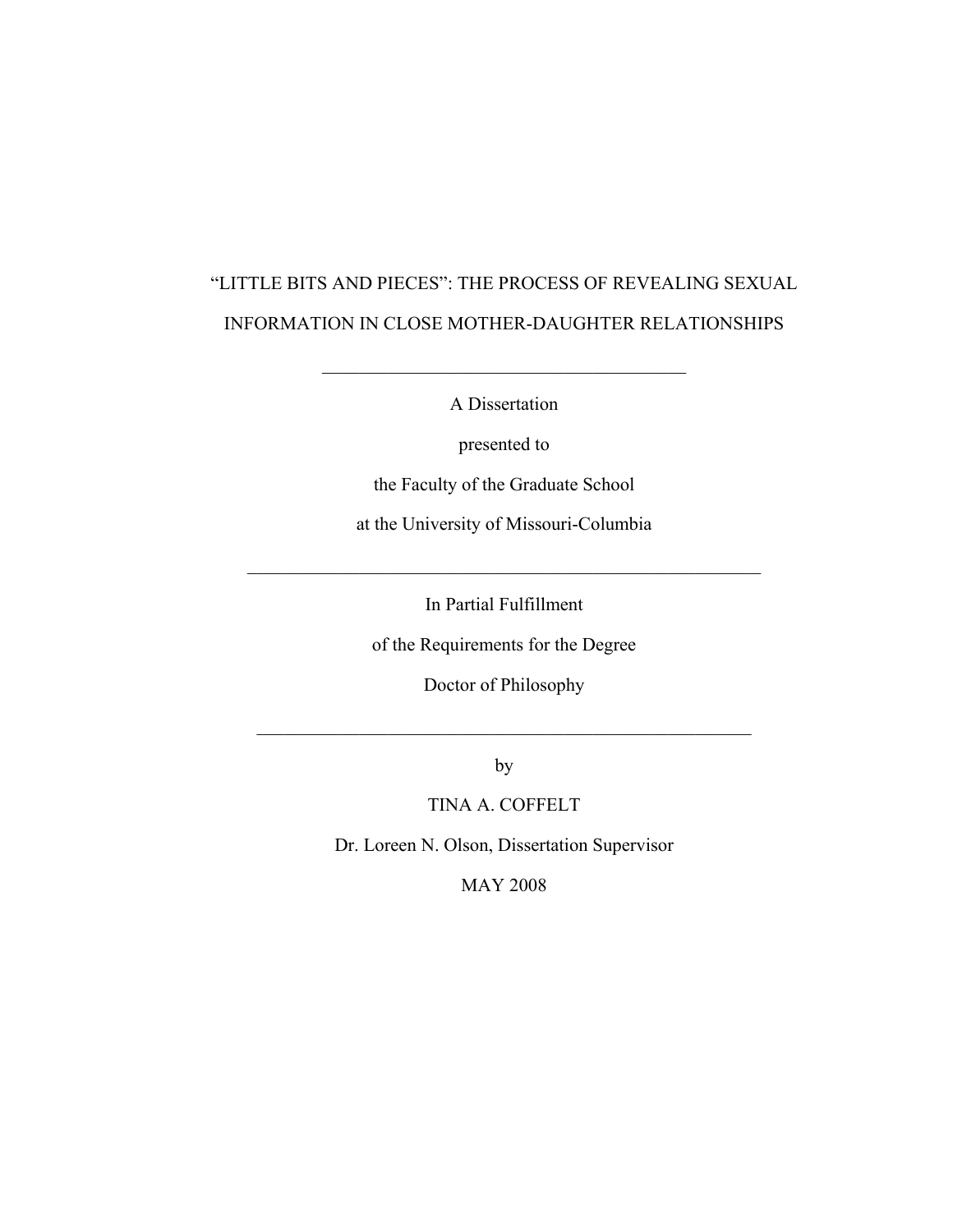# "LITTLE BITS AND PIECES": THE PROCESS OF REVEALING SEXUAL INFORMATION IN CLOSE MOTHER-DAUGHTER RELATIONSHIPS

A Dissertation

\_\_\_\_\_\_\_\_\_\_\_\_\_\_\_\_\_\_\_\_\_\_\_\_\_\_\_\_\_\_\_\_\_\_\_\_\_\_\_

presented to

the Faculty of the Graduate School

at the University of Missouri-Columbia

In Partial Fulfillment

 $\mathcal{L}_\text{max}$  , and the contribution of the contribution of the contribution of the contribution of the contribution of the contribution of the contribution of the contribution of the contribution of the contribution of t

of the Requirements for the Degree

Doctor of Philosophy

by

 $\mathcal{L}_\text{max}$  , and the contract of the contract of the contract of the contract of the contract of the contract of the contract of the contract of the contract of the contract of the contract of the contract of the contr

TINA A. COFFELT

Dr. Loreen N. Olson, Dissertation Supervisor

MAY 2008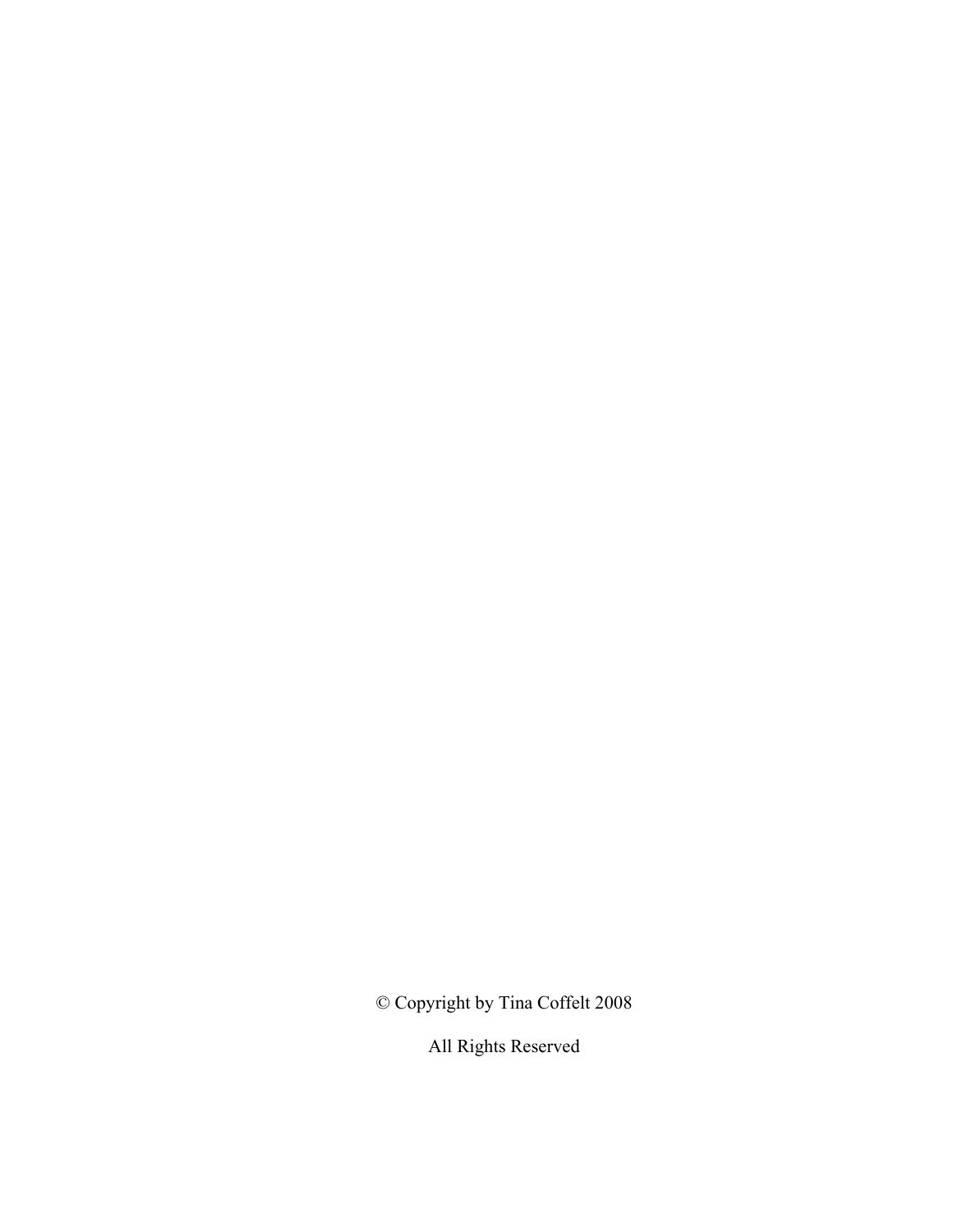© Copyright by Tina Coffelt 2008

All Rights Reserved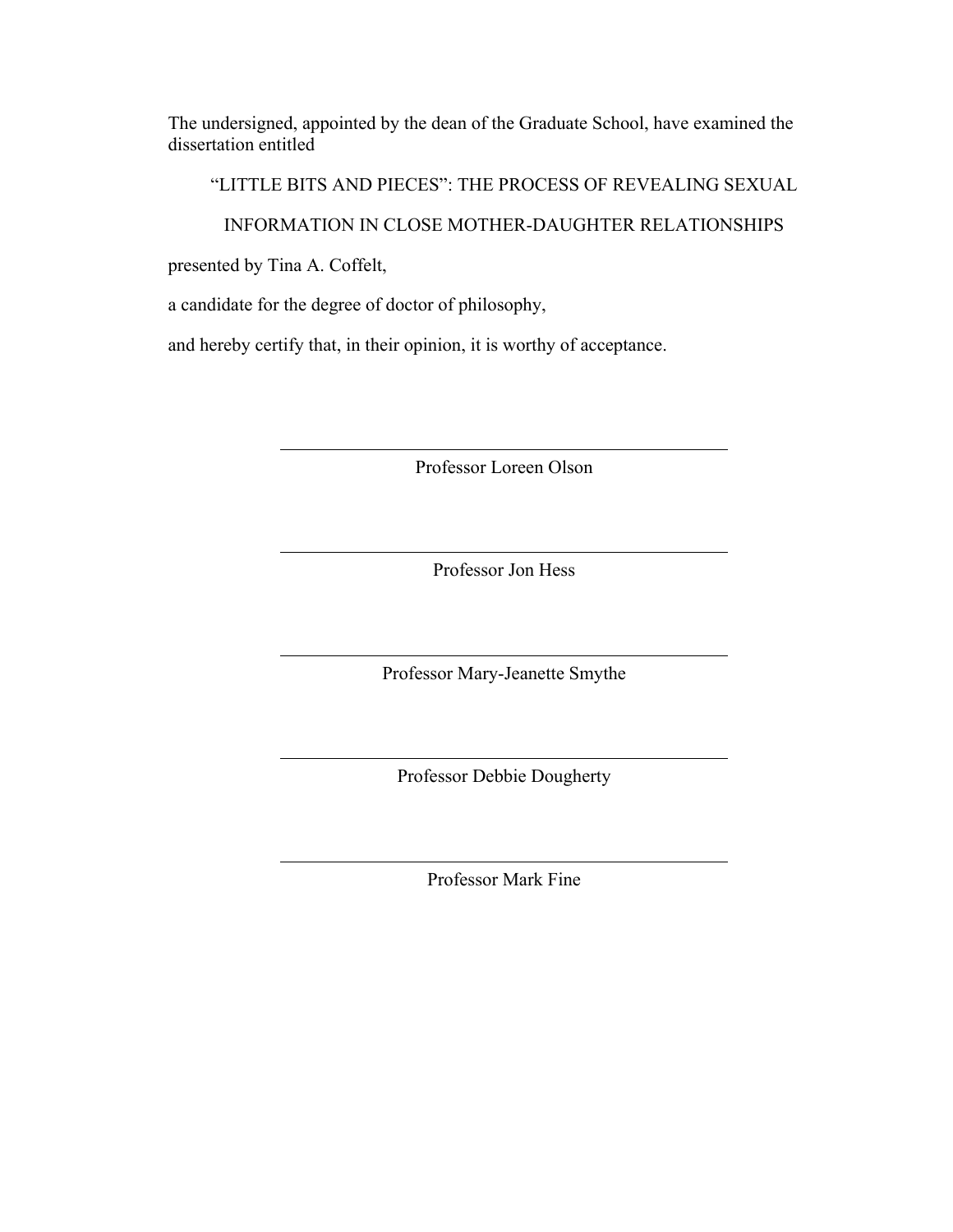The undersigned, appointed by the dean of the Graduate School, have examined the dissertation entitled

"LITTLE BITS AND PIECES": THE PROCESS OF REVEALING SEXUAL

#### INFORMATION IN CLOSE MOTHER-DAUGHTER RELATIONSHIPS

presented by Tina A. Coffelt,

a candidate for the degree of doctor of philosophy,

and hereby certify that, in their opinion, it is worthy of acceptance.

Professor Loreen Olson

Professor Jon Hess

Professor Mary-Jeanette Smythe

Professor Debbie Dougherty

Professor Mark Fine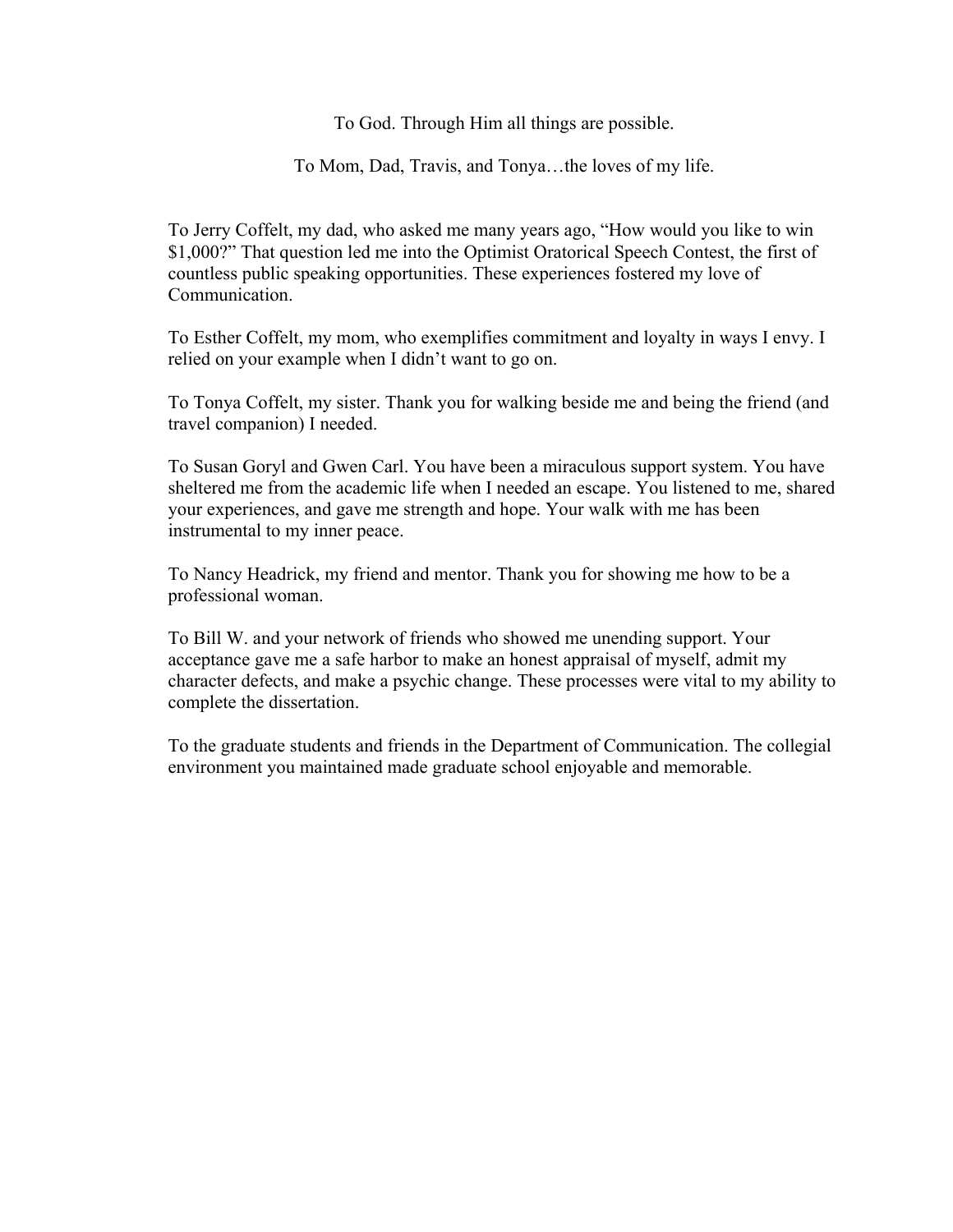To God. Through Him all things are possible.

To Mom, Dad, Travis, and Tonya…the loves of my life.

To Jerry Coffelt, my dad, who asked me many years ago, "How would you like to win \$1,000?" That question led me into the Optimist Oratorical Speech Contest, the first of countless public speaking opportunities. These experiences fostered my love of **Communication** 

To Esther Coffelt, my mom, who exemplifies commitment and loyalty in ways I envy. I relied on your example when I didn't want to go on.

To Tonya Coffelt, my sister. Thank you for walking beside me and being the friend (and travel companion) I needed.

To Susan Goryl and Gwen Carl. You have been a miraculous support system. You have sheltered me from the academic life when I needed an escape. You listened to me, shared your experiences, and gave me strength and hope. Your walk with me has been instrumental to my inner peace.

To Nancy Headrick, my friend and mentor. Thank you for showing me how to be a professional woman.

To Bill W. and your network of friends who showed me unending support. Your acceptance gave me a safe harbor to make an honest appraisal of myself, admit my character defects, and make a psychic change. These processes were vital to my ability to complete the dissertation.

To the graduate students and friends in the Department of Communication. The collegial environment you maintained made graduate school enjoyable and memorable.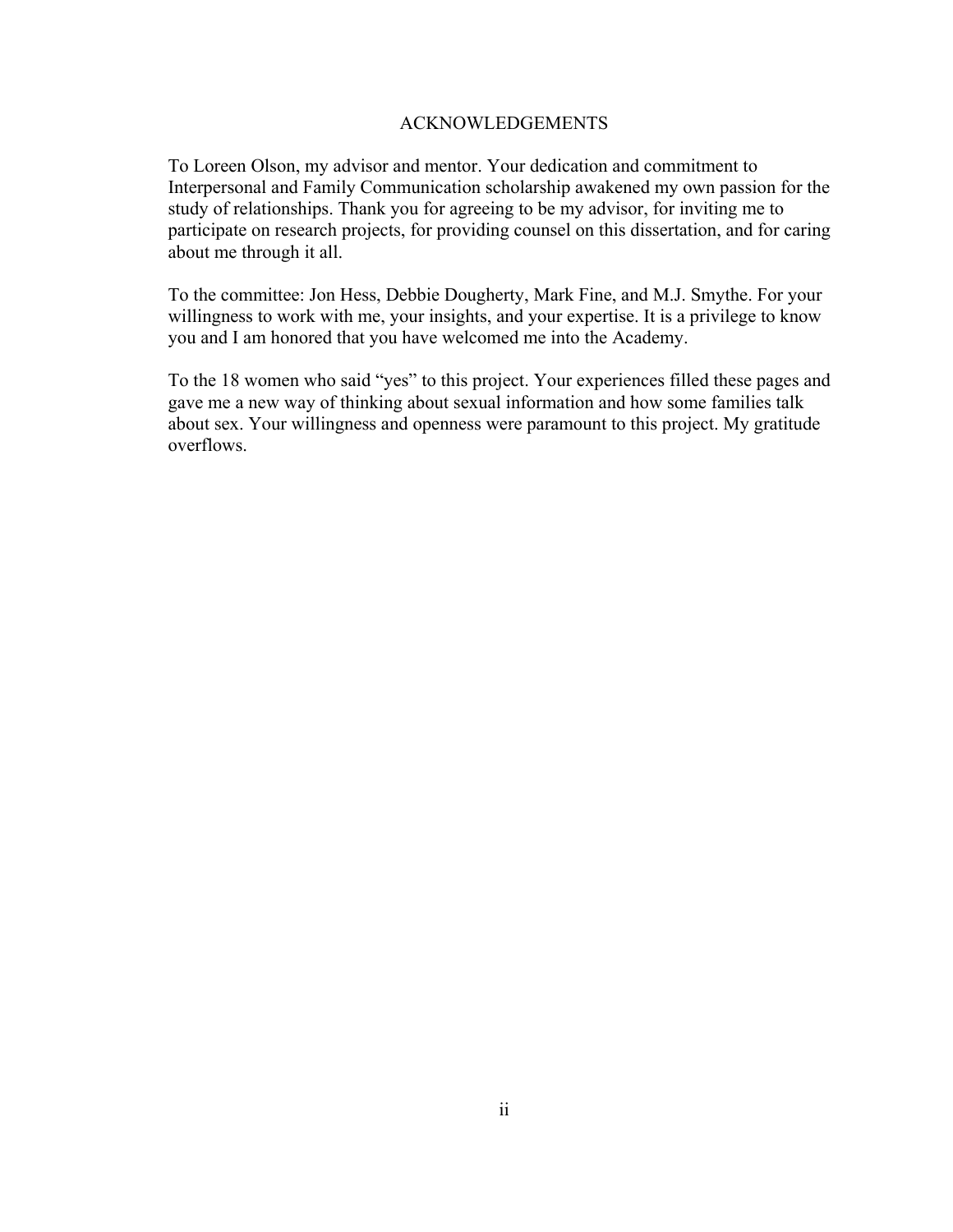#### ACKNOWLEDGEMENTS

<span id="page-4-1"></span><span id="page-4-0"></span>To Loreen Olson, my advisor and mentor. Your dedication and commitment to Interpersonal and Family Communication scholarship awakened my own passion for the study of relationships. Thank you for agreeing to be my advisor, for inviting me to participate on research projects, for providing counsel on this dissertation, and for caring about me through it all.

To the committee: Jon Hess, Debbie Dougherty, Mark Fine, and M.J. Smythe. For your willingness to work with me, your insights, and your expertise. It is a privilege to know you and I am honored that you have welcomed me into the Academy.

To the 18 women who said "yes" to this project. Your experiences filled these pages and gave me a new way of thinking about sexual information and how some families talk about sex. Your willingness and openness were paramount to this project. My gratitude overflows.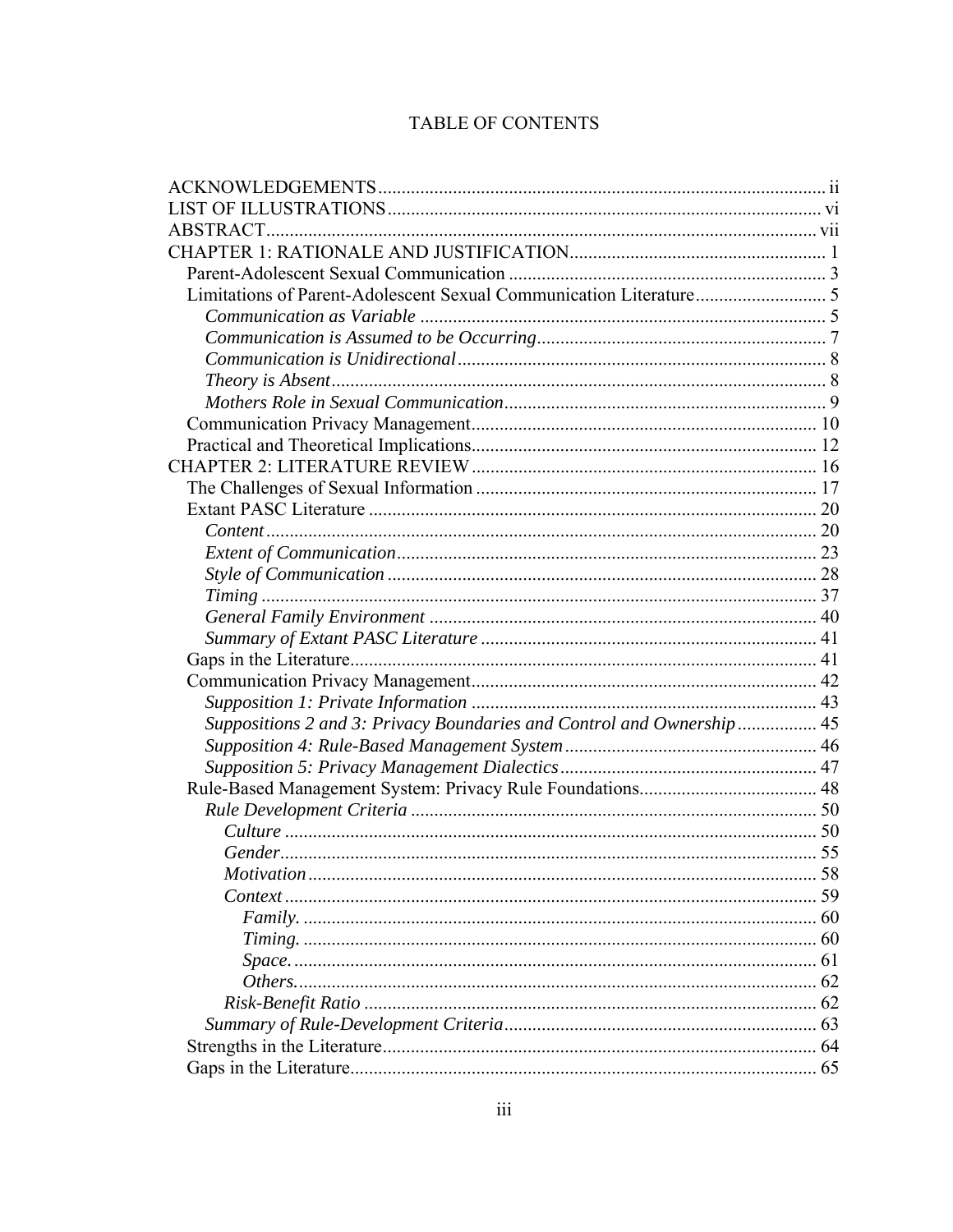## TABLE OF CONTENTS

| Suppositions 2 and 3: Privacy Boundaries and Control and Ownership  45 |      |
|------------------------------------------------------------------------|------|
|                                                                        |      |
|                                                                        |      |
|                                                                        |      |
|                                                                        |      |
|                                                                        |      |
|                                                                        |      |
| <i>Motivation</i>                                                      | . 58 |
|                                                                        |      |
|                                                                        |      |
|                                                                        |      |
|                                                                        |      |
|                                                                        |      |
|                                                                        |      |
|                                                                        |      |
|                                                                        |      |
|                                                                        |      |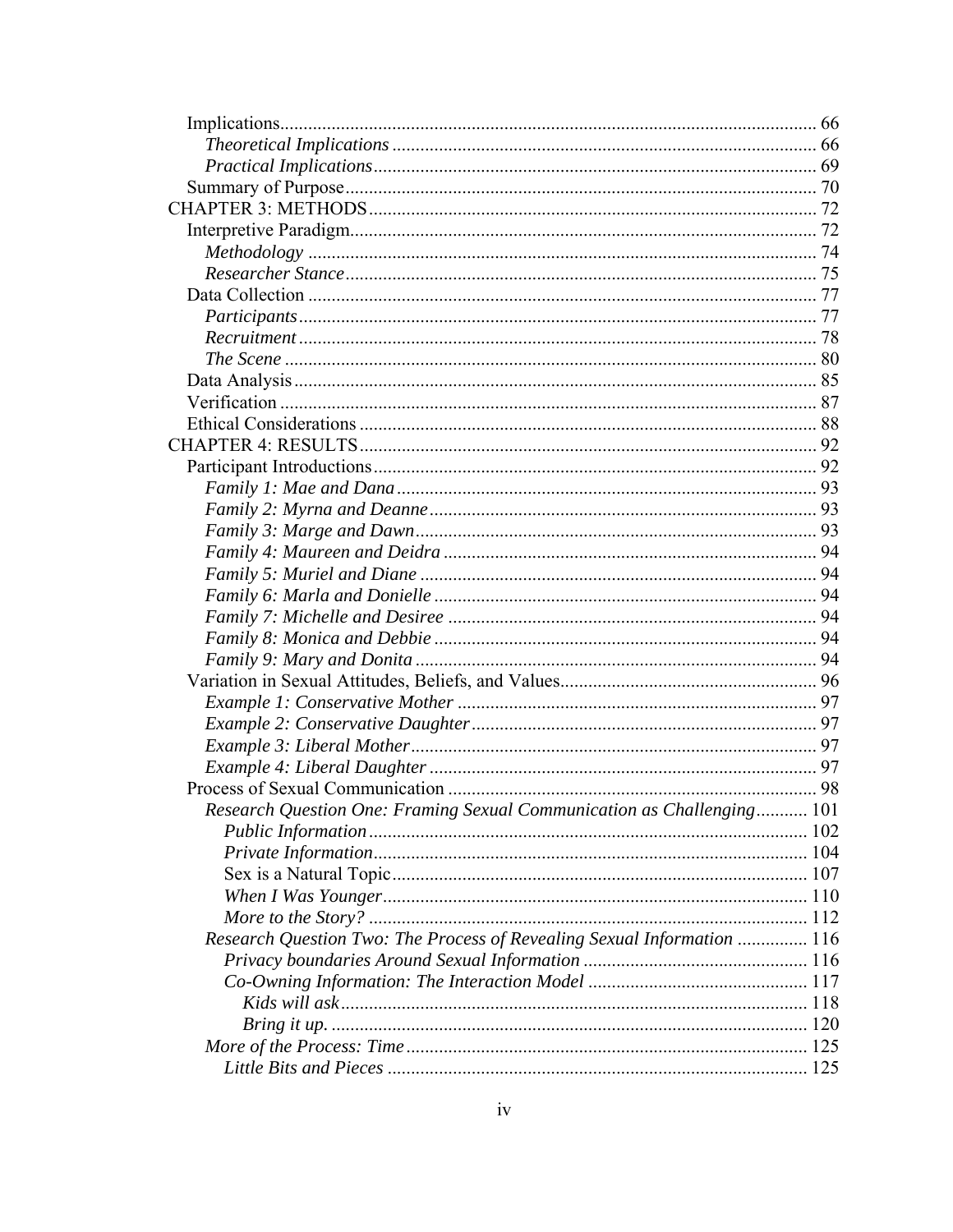| Research Question One: Framing Sexual Communication as Challenging 101  |     |
|-------------------------------------------------------------------------|-----|
|                                                                         |     |
|                                                                         |     |
|                                                                         |     |
|                                                                         |     |
|                                                                         | 112 |
| Research Question Two: The Process of Revealing Sexual Information  116 |     |
|                                                                         |     |
|                                                                         |     |
|                                                                         |     |
|                                                                         |     |
|                                                                         |     |
|                                                                         | 125 |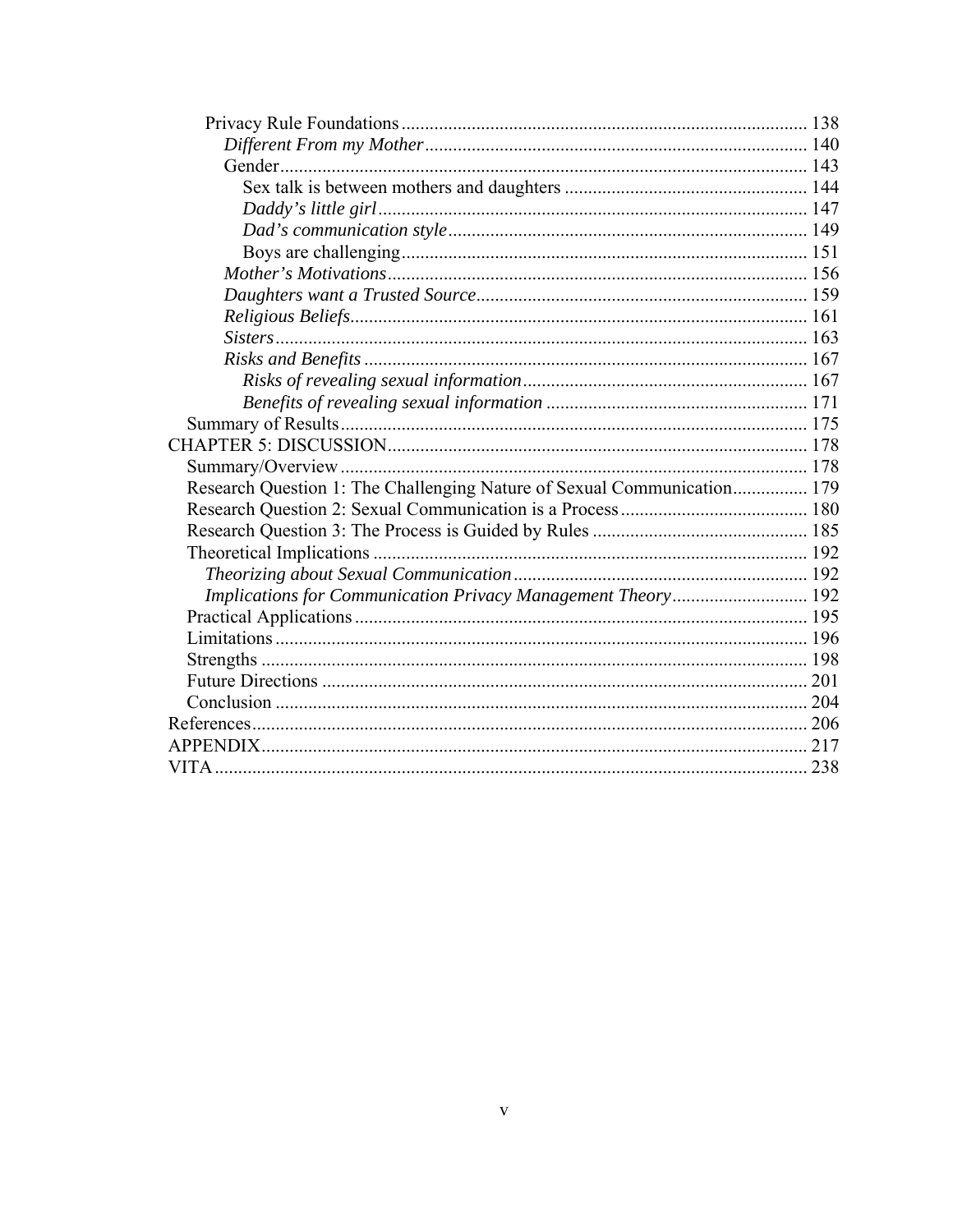| Research Question 1: The Challenging Nature of Sexual Communication 179 |  |
|-------------------------------------------------------------------------|--|
|                                                                         |  |
|                                                                         |  |
|                                                                         |  |
|                                                                         |  |
| Implications for Communication Privacy Management Theory 192            |  |
|                                                                         |  |
|                                                                         |  |
|                                                                         |  |
|                                                                         |  |
|                                                                         |  |
|                                                                         |  |
|                                                                         |  |
|                                                                         |  |
|                                                                         |  |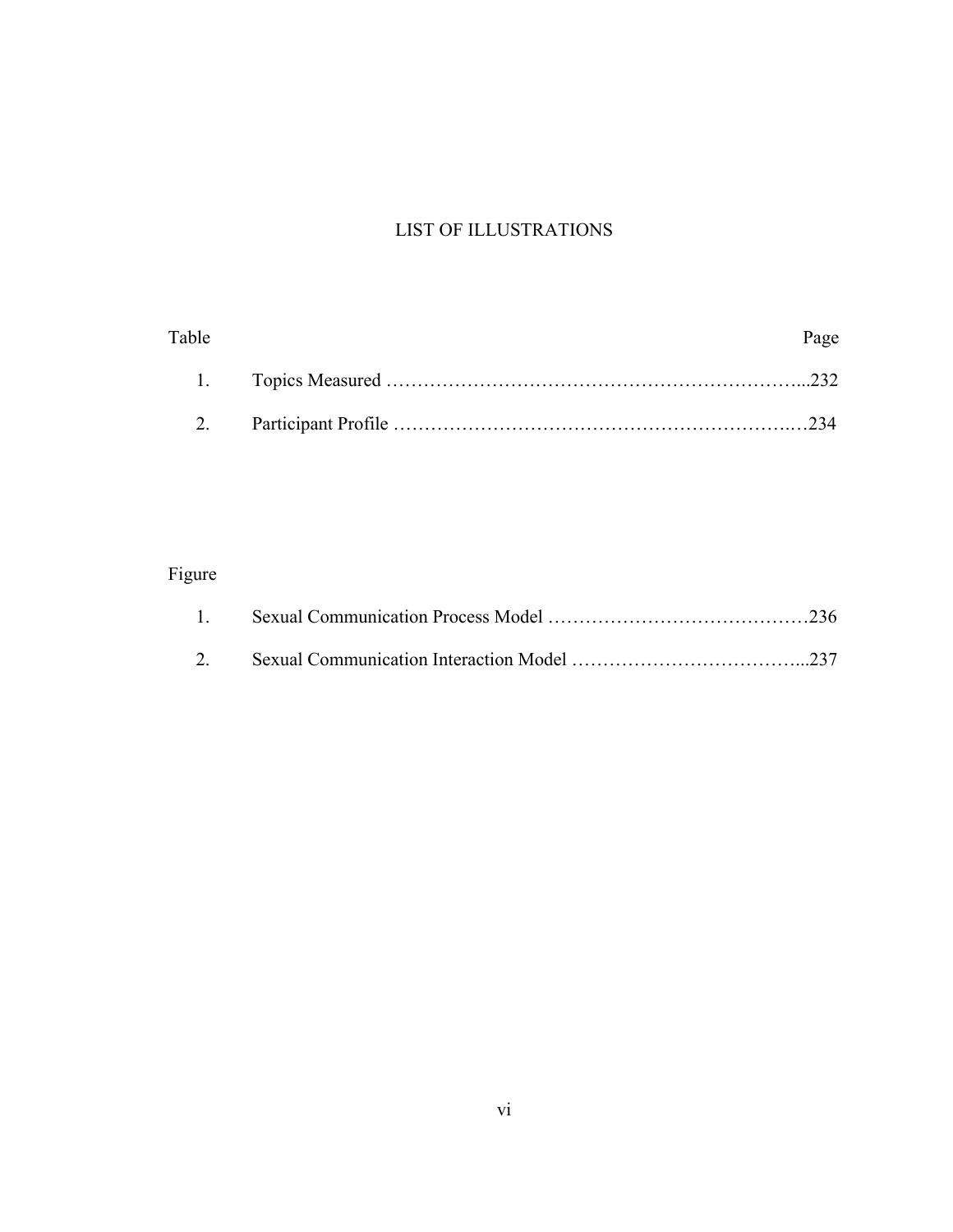## LIST OF ILLUSTRATIONS

<span id="page-8-1"></span><span id="page-8-0"></span>

| Page |
|------|
|      |
|      |

## Figure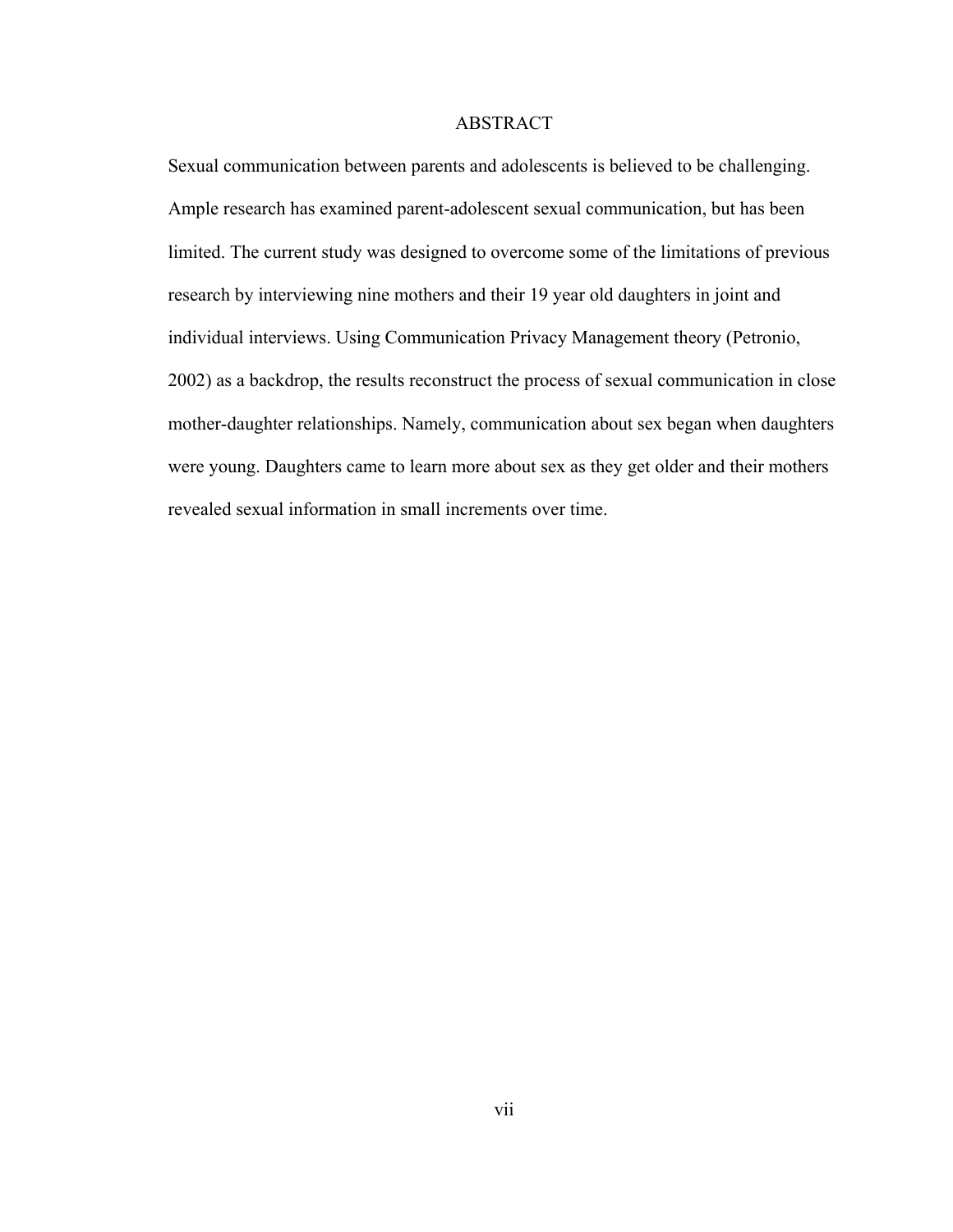#### ABSTRACT

<span id="page-9-1"></span><span id="page-9-0"></span>Sexual communication between parents and adolescents is believed to be challenging. Ample research has examined parent-adolescent sexual communication, but has been limited. The current study was designed to overcome some of the limitations of previous research by interviewing nine mothers and their 19 year old daughters in joint and individual interviews. Using Communication Privacy Management theory (Petronio, 2002) as a backdrop, the results reconstruct the process of sexual communication in close mother-daughter relationships. Namely, communication about sex began when daughters were young. Daughters came to learn more about sex as they get older and their mothers revealed sexual information in small increments over time.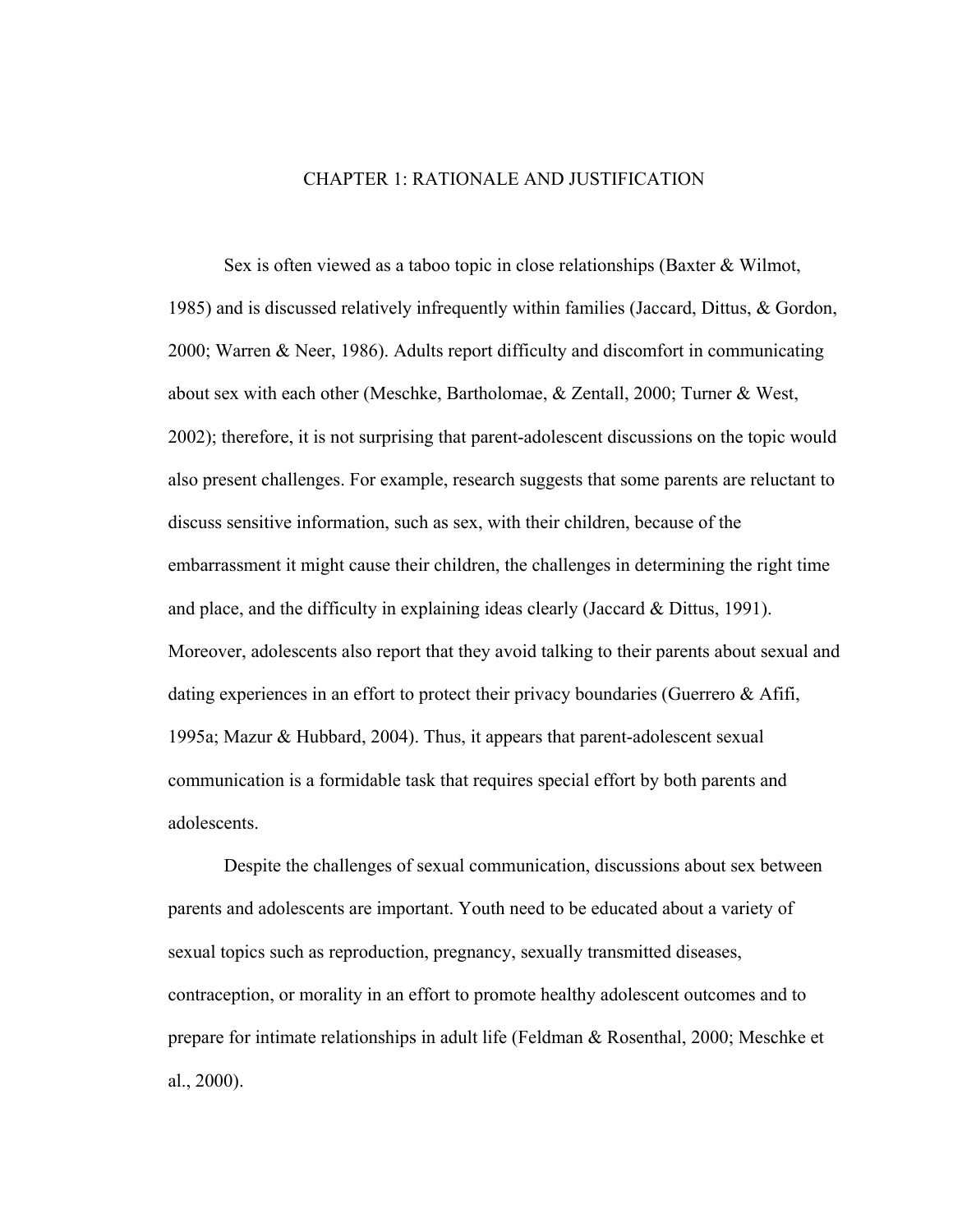#### CHAPTER 1: RATIONALE AND JUSTIFICATION

<span id="page-10-1"></span><span id="page-10-0"></span>Sex is often viewed as a taboo topic in close relationships (Baxter & Wilmot, 1985) and is discussed relatively infrequently within families (Jaccard, Dittus, & Gordon, 2000; Warren & Neer, 1986). Adults report difficulty and discomfort in communicating about sex with each other (Meschke, Bartholomae, & Zentall, 2000; Turner & West, 2002); therefore, it is not surprising that parent-adolescent discussions on the topic would also present challenges. For example, research suggests that some parents are reluctant to discuss sensitive information, such as sex, with their children, because of the embarrassment it might cause their children, the challenges in determining the right time and place, and the difficulty in explaining ideas clearly (Jaccard  $\&$  Dittus, 1991). Moreover, adolescents also report that they avoid talking to their parents about sexual and dating experiences in an effort to protect their privacy boundaries (Guerrero & Afifi, 1995a; Mazur & Hubbard, 2004). Thus, it appears that parent-adolescent sexual communication is a formidable task that requires special effort by both parents and adolescents.

Despite the challenges of sexual communication, discussions about sex between parents and adolescents are important. Youth need to be educated about a variety of sexual topics such as reproduction, pregnancy, sexually transmitted diseases, contraception, or morality in an effort to promote healthy adolescent outcomes and to prepare for intimate relationships in adult life (Feldman & Rosenthal, 2000; Meschke et al., 2000).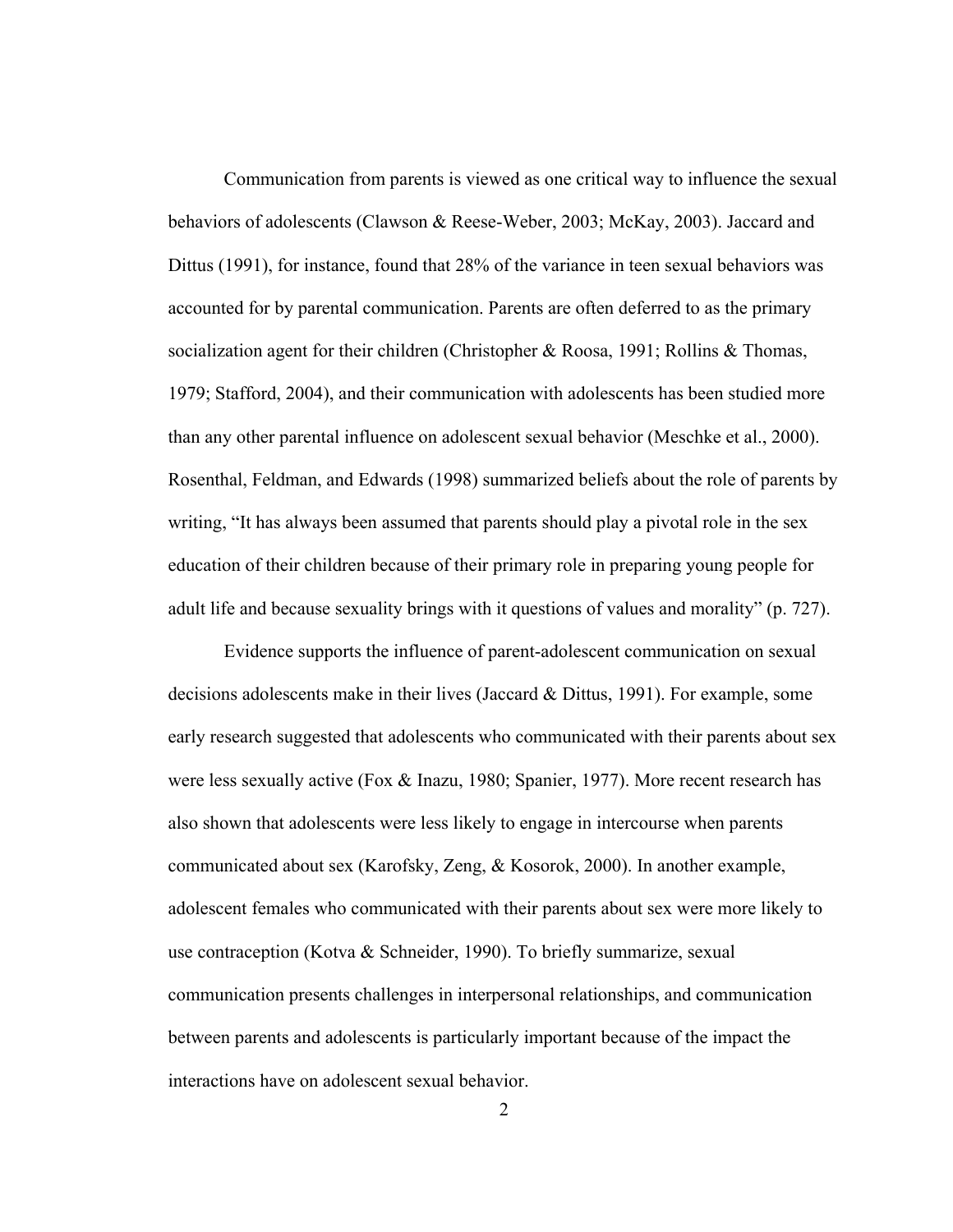Communication from parents is viewed as one critical way to influence the sexual behaviors of adolescents (Clawson & Reese-Weber, 2003; McKay, 2003). Jaccard and Dittus (1991), for instance, found that 28% of the variance in teen sexual behaviors was accounted for by parental communication. Parents are often deferred to as the primary socialization agent for their children (Christopher & Roosa, 1991; Rollins & Thomas, 1979; Stafford, 2004), and their communication with adolescents has been studied more than any other parental influence on adolescent sexual behavior (Meschke et al., 2000). Rosenthal, Feldman, and Edwards (1998) summarized beliefs about the role of parents by writing, "It has always been assumed that parents should play a pivotal role in the sex education of their children because of their primary role in preparing young people for adult life and because sexuality brings with it questions of values and morality" (p. 727).

Evidence supports the influence of parent-adolescent communication on sexual decisions adolescents make in their lives (Jaccard & Dittus, 1991). For example, some early research suggested that adolescents who communicated with their parents about sex were less sexually active (Fox & Inazu, 1980; Spanier, 1977). More recent research has also shown that adolescents were less likely to engage in intercourse when parents communicated about sex (Karofsky, Zeng, & Kosorok, 2000). In another example, adolescent females who communicated with their parents about sex were more likely to use contraception (Kotva & Schneider, 1990). To briefly summarize, sexual communication presents challenges in interpersonal relationships, and communication between parents and adolescents is particularly important because of the impact the interactions have on adolescent sexual behavior.

 $\mathfrak{D}$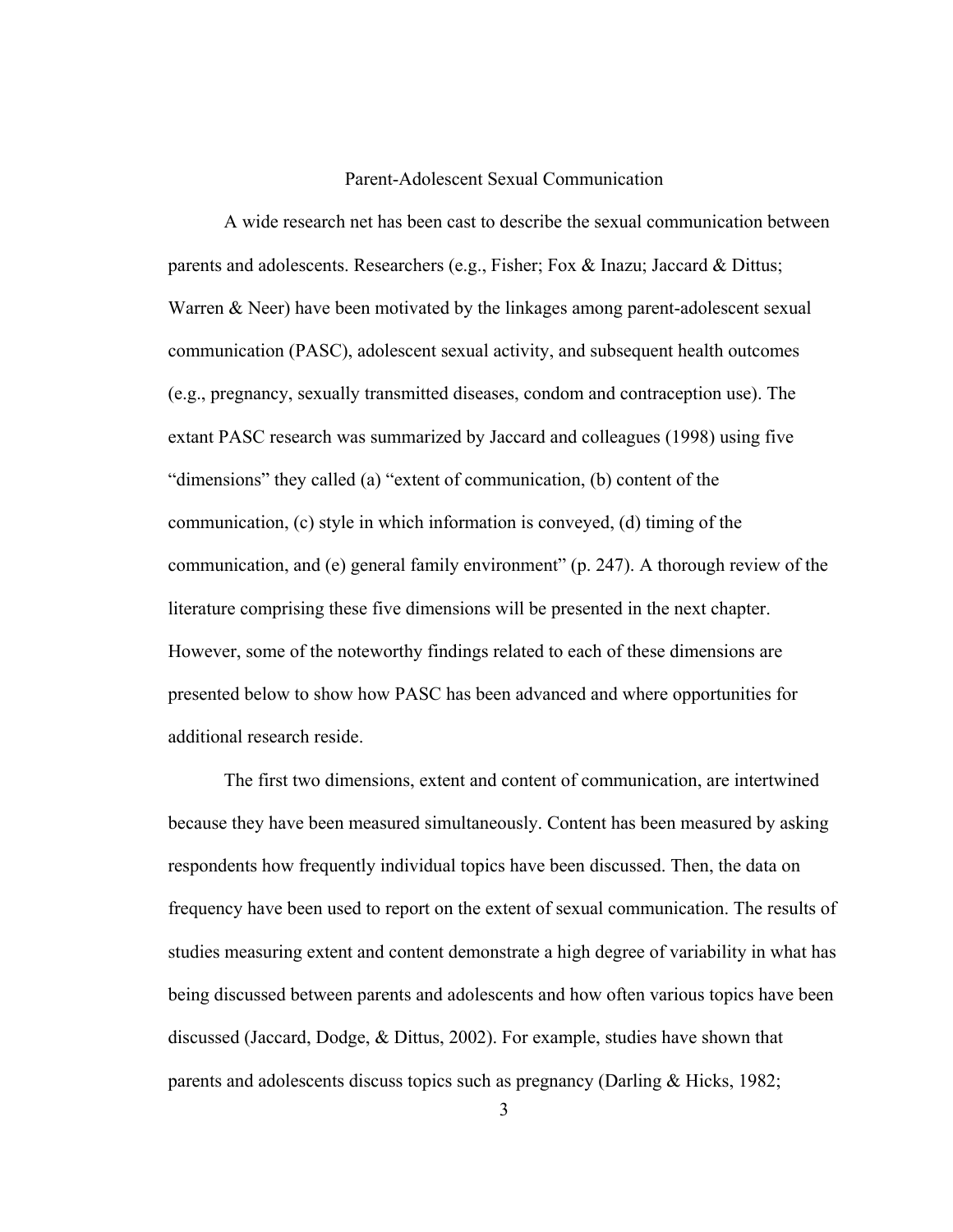#### Parent-Adolescent Sexual Communication

<span id="page-12-1"></span><span id="page-12-0"></span>A wide research net has been cast to describe the sexual communication between parents and adolescents. Researchers (e.g., Fisher; Fox & Inazu; Jaccard & Dittus; Warren & Neer) have been motivated by the linkages among parent-adolescent sexual communication (PASC), adolescent sexual activity, and subsequent health outcomes (e.g., pregnancy, sexually transmitted diseases, condom and contraception use). The extant PASC research was summarized by Jaccard and colleagues (1998) using five "dimensions" they called (a) "extent of communication, (b) content of the communication, (c) style in which information is conveyed, (d) timing of the communication, and (e) general family environment" (p. 247). A thorough review of the literature comprising these five dimensions will be presented in the next chapter. However, some of the noteworthy findings related to each of these dimensions are presented below to show how PASC has been advanced and where opportunities for additional research reside.

The first two dimensions, extent and content of communication, are intertwined because they have been measured simultaneously. Content has been measured by asking respondents how frequently individual topics have been discussed. Then, the data on frequency have been used to report on the extent of sexual communication. The results of studies measuring extent and content demonstrate a high degree of variability in what has being discussed between parents and adolescents and how often various topics have been discussed (Jaccard, Dodge, & Dittus, 2002). For example, studies have shown that parents and adolescents discuss topics such as pregnancy (Darling & Hicks, 1982;

3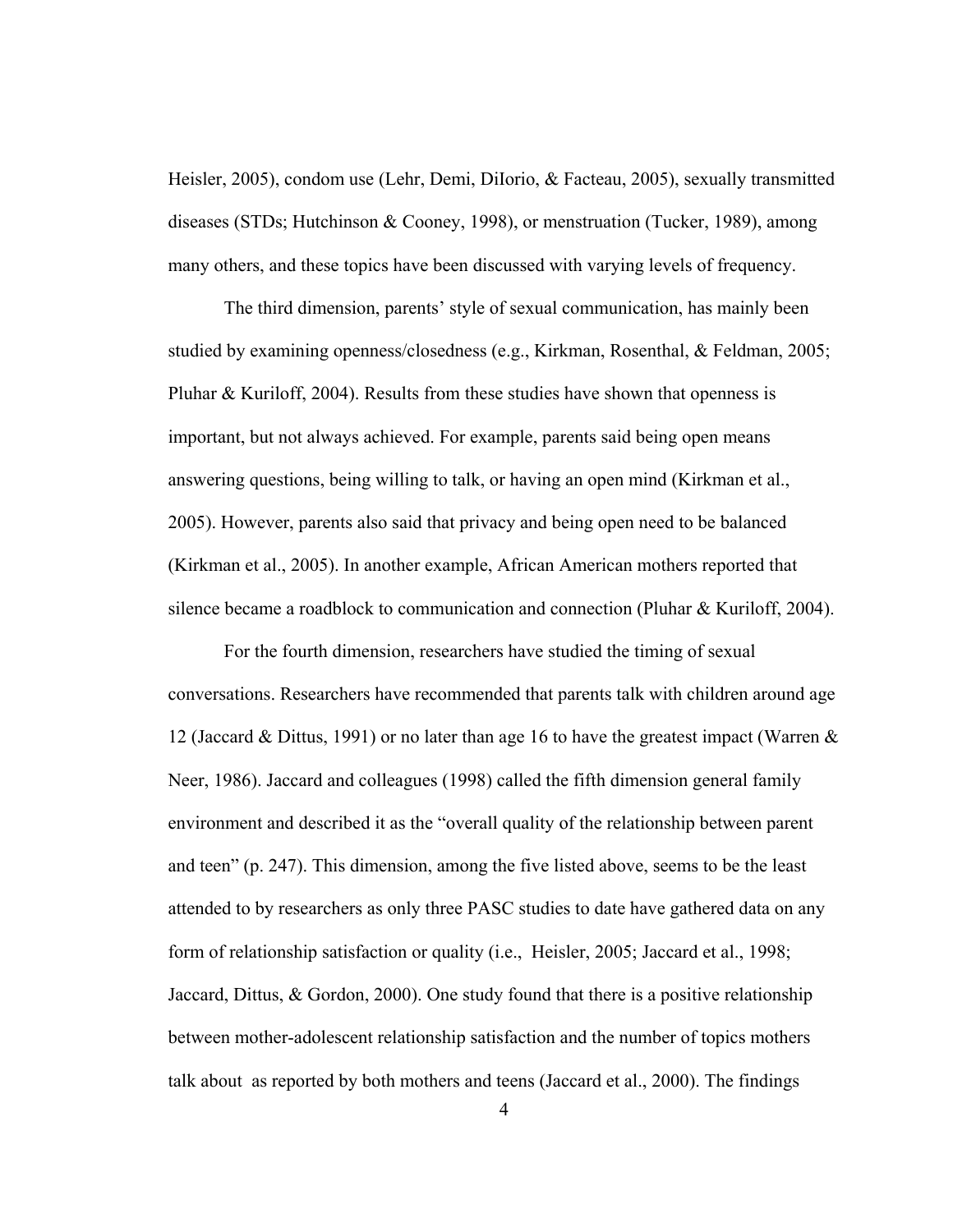Heisler, 2005), condom use (Lehr, Demi, DiIorio, & Facteau, 2005), sexually transmitted diseases (STDs; Hutchinson & Cooney, 1998), or menstruation (Tucker, 1989), among many others, and these topics have been discussed with varying levels of frequency.

The third dimension, parents' style of sexual communication, has mainly been studied by examining openness/closedness (e.g., Kirkman, Rosenthal, & Feldman, 2005; Pluhar & Kuriloff, 2004). Results from these studies have shown that openness is important, but not always achieved. For example, parents said being open means answering questions, being willing to talk, or having an open mind (Kirkman et al., 2005). However, parents also said that privacy and being open need to be balanced (Kirkman et al., 2005). In another example, African American mothers reported that silence became a roadblock to communication and connection (Pluhar & Kuriloff, 2004).

For the fourth dimension, researchers have studied the timing of sexual conversations. Researchers have recommended that parents talk with children around age 12 (Jaccard & Dittus, 1991) or no later than age 16 to have the greatest impact (Warren & Neer, 1986). Jaccard and colleagues (1998) called the fifth dimension general family environment and described it as the "overall quality of the relationship between parent and teen" (p. 247). This dimension, among the five listed above, seems to be the least attended to by researchers as only three PASC studies to date have gathered data on any form of relationship satisfaction or quality (i.e., Heisler, 2005; Jaccard et al., 1998; Jaccard, Dittus, & Gordon, 2000). One study found that there is a positive relationship between mother-adolescent relationship satisfaction and the number of topics mothers talk about as reported by both mothers and teens (Jaccard et al., 2000). The findings

4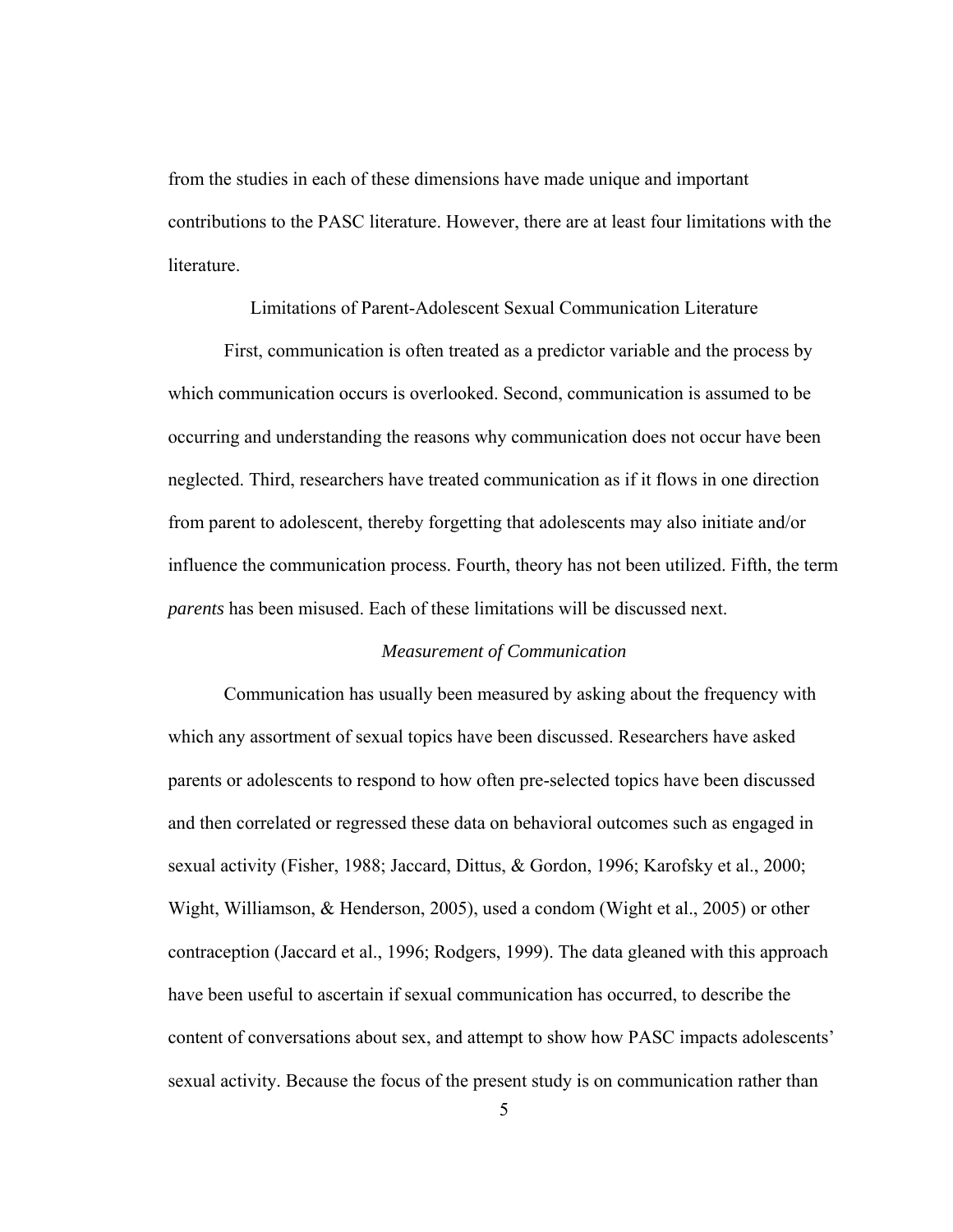<span id="page-14-0"></span>from the studies in each of these dimensions have made unique and important contributions to the PASC literature. However, there are at least four limitations with the literature.

Limitations of Parent-Adolescent Sexual Communication Literature

<span id="page-14-1"></span>First, communication is often treated as a predictor variable and the process by which communication occurs is overlooked. Second, communication is assumed to be occurring and understanding the reasons why communication does not occur have been neglected. Third, researchers have treated communication as if it flows in one direction from parent to adolescent, thereby forgetting that adolescents may also initiate and/or influence the communication process. Fourth, theory has not been utilized. Fifth, the term *parents* has been misused. Each of these limitations will be discussed next.

#### *Measurement of Communication*

<span id="page-14-2"></span>Communication has usually been measured by asking about the frequency with which any assortment of sexual topics have been discussed. Researchers have asked parents or adolescents to respond to how often pre-selected topics have been discussed and then correlated or regressed these data on behavioral outcomes such as engaged in sexual activity (Fisher, 1988; Jaccard, Dittus, & Gordon, 1996; Karofsky et al., 2000; Wight, Williamson, & Henderson, 2005), used a condom (Wight et al., 2005) or other contraception (Jaccard et al., 1996; Rodgers, 1999). The data gleaned with this approach have been useful to ascertain if sexual communication has occurred, to describe the content of conversations about sex, and attempt to show how PASC impacts adolescents' sexual activity. Because the focus of the present study is on communication rather than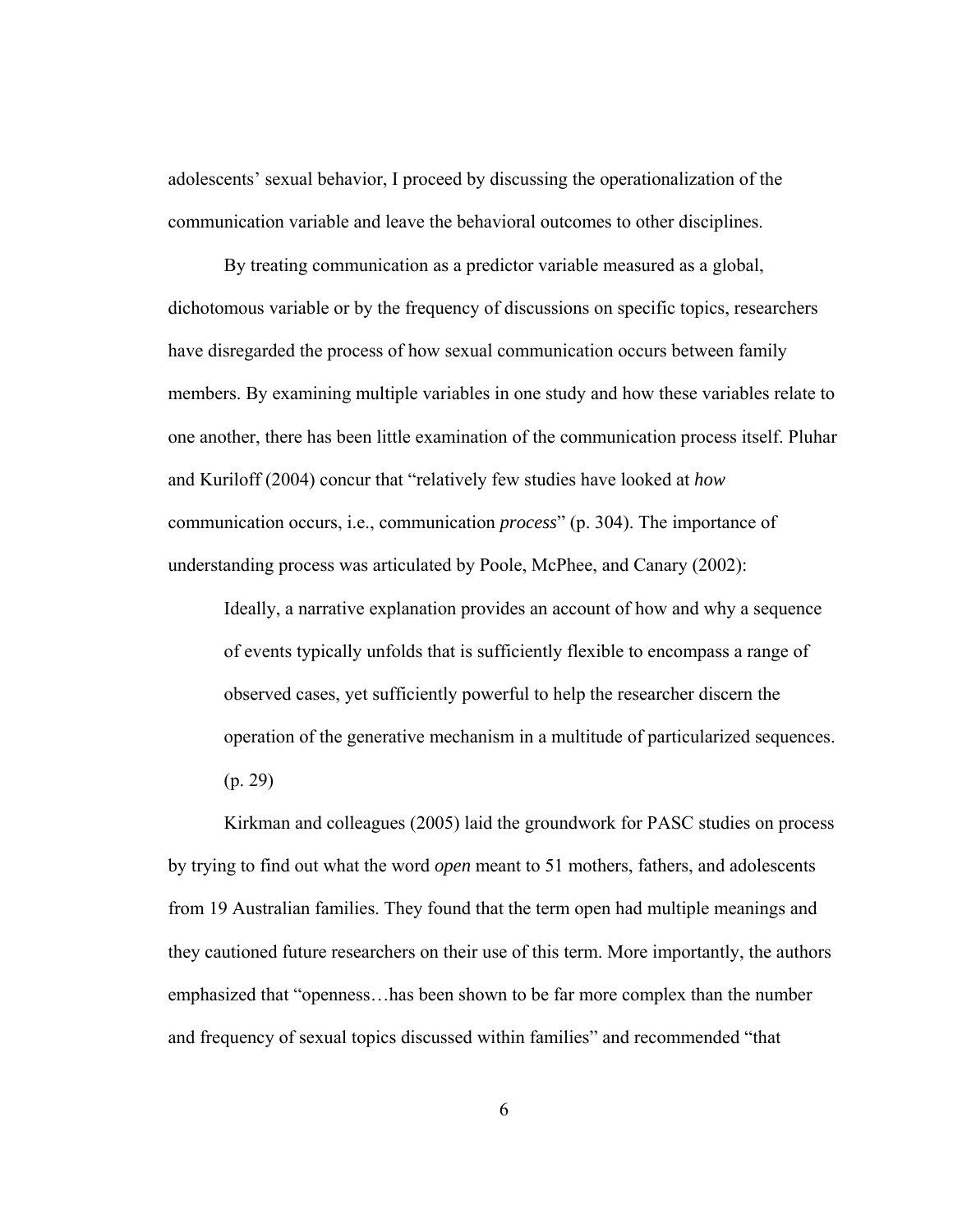adolescents' sexual behavior, I proceed by discussing the operationalization of the communication variable and leave the behavioral outcomes to other disciplines.

By treating communication as a predictor variable measured as a global, dichotomous variable or by the frequency of discussions on specific topics, researchers have disregarded the process of how sexual communication occurs between family members. By examining multiple variables in one study and how these variables relate to one another, there has been little examination of the communication process itself. Pluhar and Kuriloff (2004) concur that "relatively few studies have looked at *how* communication occurs, i.e., communication *process*" (p. 304). The importance of understanding process was articulated by Poole, McPhee, and Canary (2002):

Ideally, a narrative explanation provides an account of how and why a sequence of events typically unfolds that is sufficiently flexible to encompass a range of observed cases, yet sufficiently powerful to help the researcher discern the operation of the generative mechanism in a multitude of particularized sequences. (p. 29)

Kirkman and colleagues (2005) laid the groundwork for PASC studies on process by trying to find out what the word *open* meant to 51 mothers, fathers, and adolescents from 19 Australian families. They found that the term open had multiple meanings and they cautioned future researchers on their use of this term. More importantly, the authors emphasized that "openness…has been shown to be far more complex than the number and frequency of sexual topics discussed within families" and recommended "that

6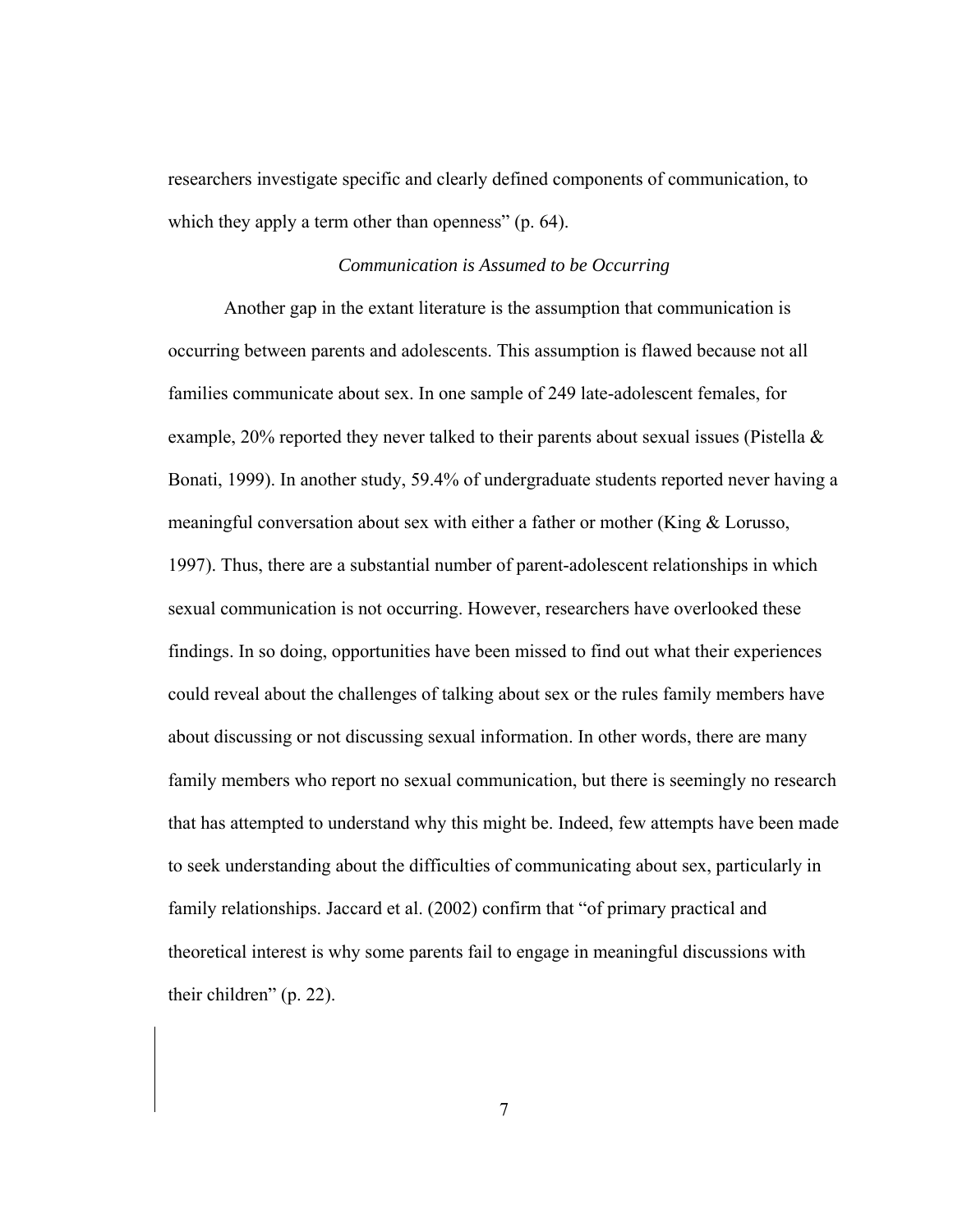<span id="page-16-0"></span>researchers investigate specific and clearly defined components of communication, to which they apply a term other than openness" (p. 64).

#### *Communication is Assumed to be Occurring*

<span id="page-16-1"></span>Another gap in the extant literature is the assumption that communication is occurring between parents and adolescents. This assumption is flawed because not all families communicate about sex. In one sample of 249 late-adolescent females, for example, 20% reported they never talked to their parents about sexual issues (Pistella & Bonati, 1999). In another study, 59.4% of undergraduate students reported never having a meaningful conversation about sex with either a father or mother (King & Lorusso, 1997). Thus, there are a substantial number of parent-adolescent relationships in which sexual communication is not occurring. However, researchers have overlooked these findings. In so doing, opportunities have been missed to find out what their experiences could reveal about the challenges of talking about sex or the rules family members have about discussing or not discussing sexual information. In other words, there are many family members who report no sexual communication, but there is seemingly no research that has attempted to understand why this might be. Indeed, few attempts have been made to seek understanding about the difficulties of communicating about sex, particularly in family relationships. Jaccard et al. (2002) confirm that "of primary practical and theoretical interest is why some parents fail to engage in meaningful discussions with their children" (p. 22).

7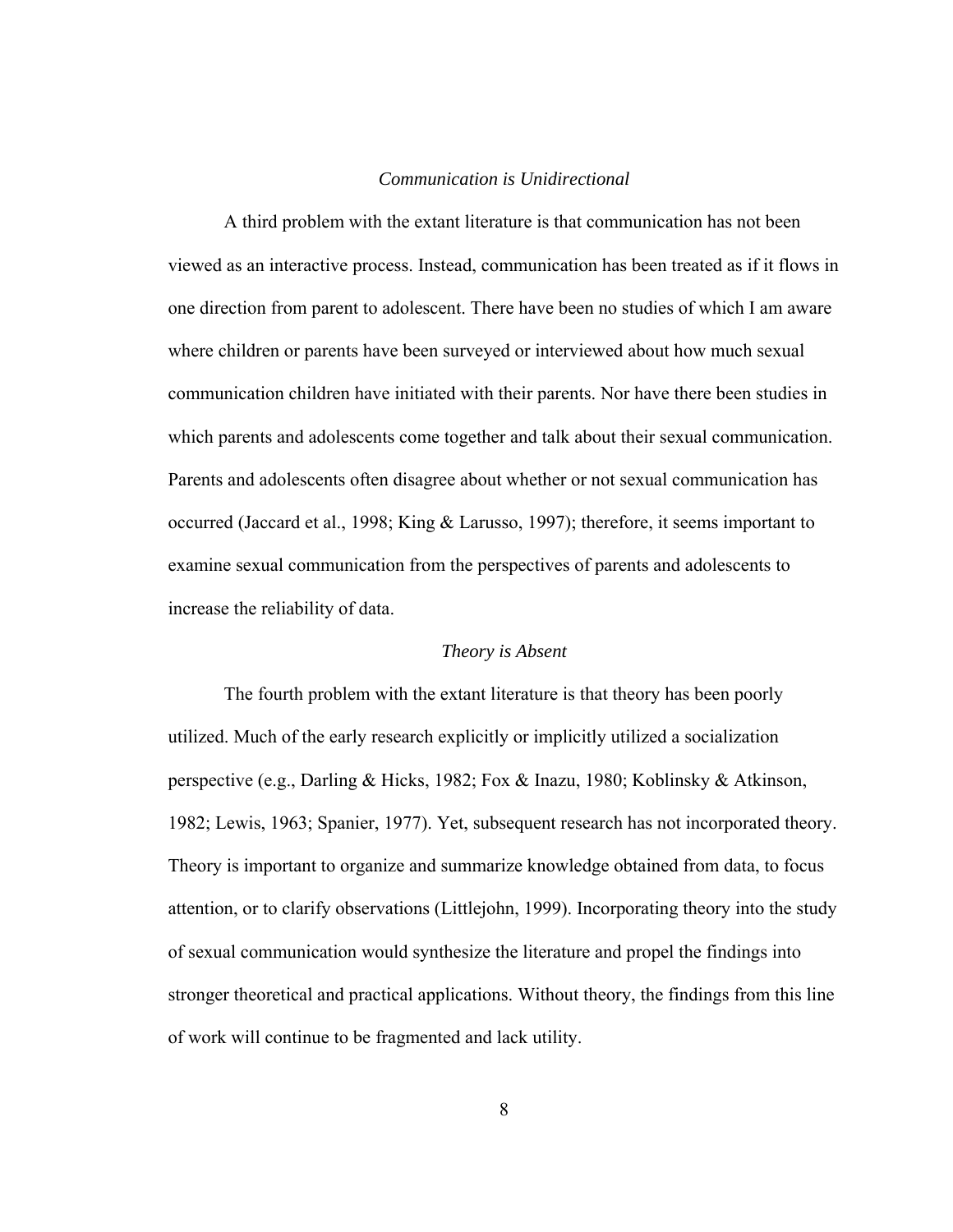#### *Communication is Unidirectional*

<span id="page-17-1"></span><span id="page-17-0"></span>A third problem with the extant literature is that communication has not been viewed as an interactive process. Instead, communication has been treated as if it flows in one direction from parent to adolescent. There have been no studies of which I am aware where children or parents have been surveyed or interviewed about how much sexual communication children have initiated with their parents. Nor have there been studies in which parents and adolescents come together and talk about their sexual communication. Parents and adolescents often disagree about whether or not sexual communication has occurred (Jaccard et al., 1998; King & Larusso, 1997); therefore, it seems important to examine sexual communication from the perspectives of parents and adolescents to increase the reliability of data.

#### *Theory is Absent*

<span id="page-17-2"></span>The fourth problem with the extant literature is that theory has been poorly utilized. Much of the early research explicitly or implicitly utilized a socialization perspective (e.g., Darling & Hicks, 1982; Fox & Inazu, 1980; Koblinsky & Atkinson, 1982; Lewis, 1963; Spanier, 1977). Yet, subsequent research has not incorporated theory. Theory is important to organize and summarize knowledge obtained from data, to focus attention, or to clarify observations (Littlejohn, 1999). Incorporating theory into the study of sexual communication would synthesize the literature and propel the findings into stronger theoretical and practical applications. Without theory, the findings from this line of work will continue to be fragmented and lack utility.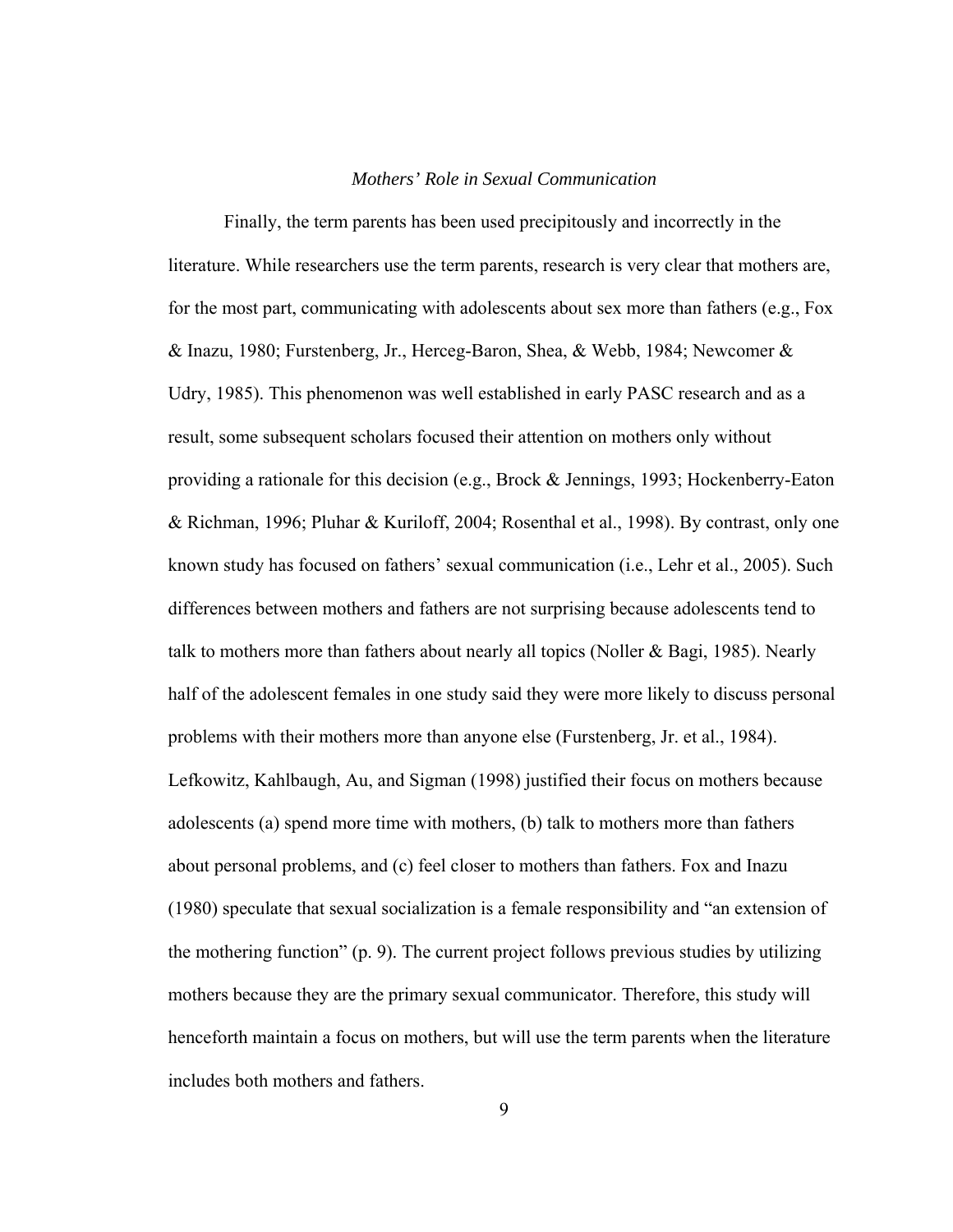#### *Mothers' Role in Sexual Communication*

<span id="page-18-1"></span><span id="page-18-0"></span>Finally, the term parents has been used precipitously and incorrectly in the literature. While researchers use the term parents, research is very clear that mothers are, for the most part, communicating with adolescents about sex more than fathers (e.g., Fox & Inazu, 1980; Furstenberg, Jr., Herceg-Baron, Shea, & Webb, 1984; Newcomer & Udry, 1985). This phenomenon was well established in early PASC research and as a result, some subsequent scholars focused their attention on mothers only without providing a rationale for this decision (e.g., Brock & Jennings, 1993; Hockenberry-Eaton & Richman, 1996; Pluhar & Kuriloff, 2004; Rosenthal et al., 1998). By contrast, only one known study has focused on fathers' sexual communication (i.e., Lehr et al., 2005). Such differences between mothers and fathers are not surprising because adolescents tend to talk to mothers more than fathers about nearly all topics (Noller & Bagi, 1985). Nearly half of the adolescent females in one study said they were more likely to discuss personal problems with their mothers more than anyone else (Furstenberg, Jr. et al., 1984). Lefkowitz, Kahlbaugh, Au, and Sigman (1998) justified their focus on mothers because adolescents (a) spend more time with mothers, (b) talk to mothers more than fathers about personal problems, and (c) feel closer to mothers than fathers. Fox and Inazu (1980) speculate that sexual socialization is a female responsibility and "an extension of the mothering function" (p. 9). The current project follows previous studies by utilizing mothers because they are the primary sexual communicator. Therefore, this study will henceforth maintain a focus on mothers, but will use the term parents when the literature includes both mothers and fathers.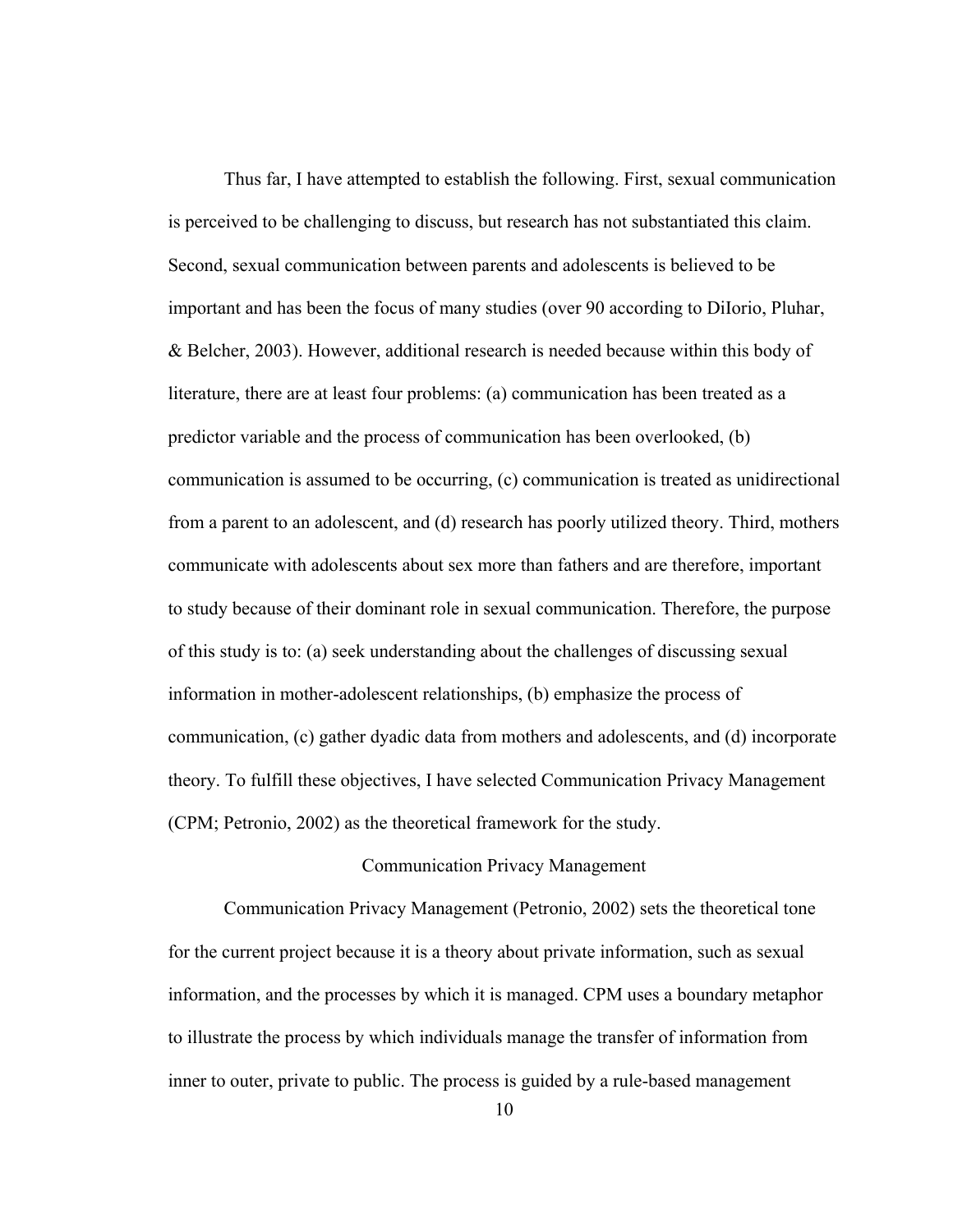<span id="page-19-0"></span>Thus far, I have attempted to establish the following. First, sexual communication is perceived to be challenging to discuss, but research has not substantiated this claim. Second, sexual communication between parents and adolescents is believed to be important and has been the focus of many studies (over 90 according to DiIorio, Pluhar, & Belcher, 2003). However, additional research is needed because within this body of literature, there are at least four problems: (a) communication has been treated as a predictor variable and the process of communication has been overlooked, (b) communication is assumed to be occurring, (c) communication is treated as unidirectional from a parent to an adolescent, and (d) research has poorly utilized theory. Third, mothers communicate with adolescents about sex more than fathers and are therefore, important to study because of their dominant role in sexual communication. Therefore, the purpose of this study is to: (a) seek understanding about the challenges of discussing sexual information in mother-adolescent relationships, (b) emphasize the process of communication, (c) gather dyadic data from mothers and adolescents, and (d) incorporate theory. To fulfill these objectives, I have selected Communication Privacy Management (CPM; Petronio, 2002) as the theoretical framework for the study.

#### Communication Privacy Management

<span id="page-19-1"></span>Communication Privacy Management (Petronio, 2002) sets the theoretical tone for the current project because it is a theory about private information, such as sexual information, and the processes by which it is managed. CPM uses a boundary metaphor to illustrate the process by which individuals manage the transfer of information from inner to outer, private to public. The process is guided by a rule-based management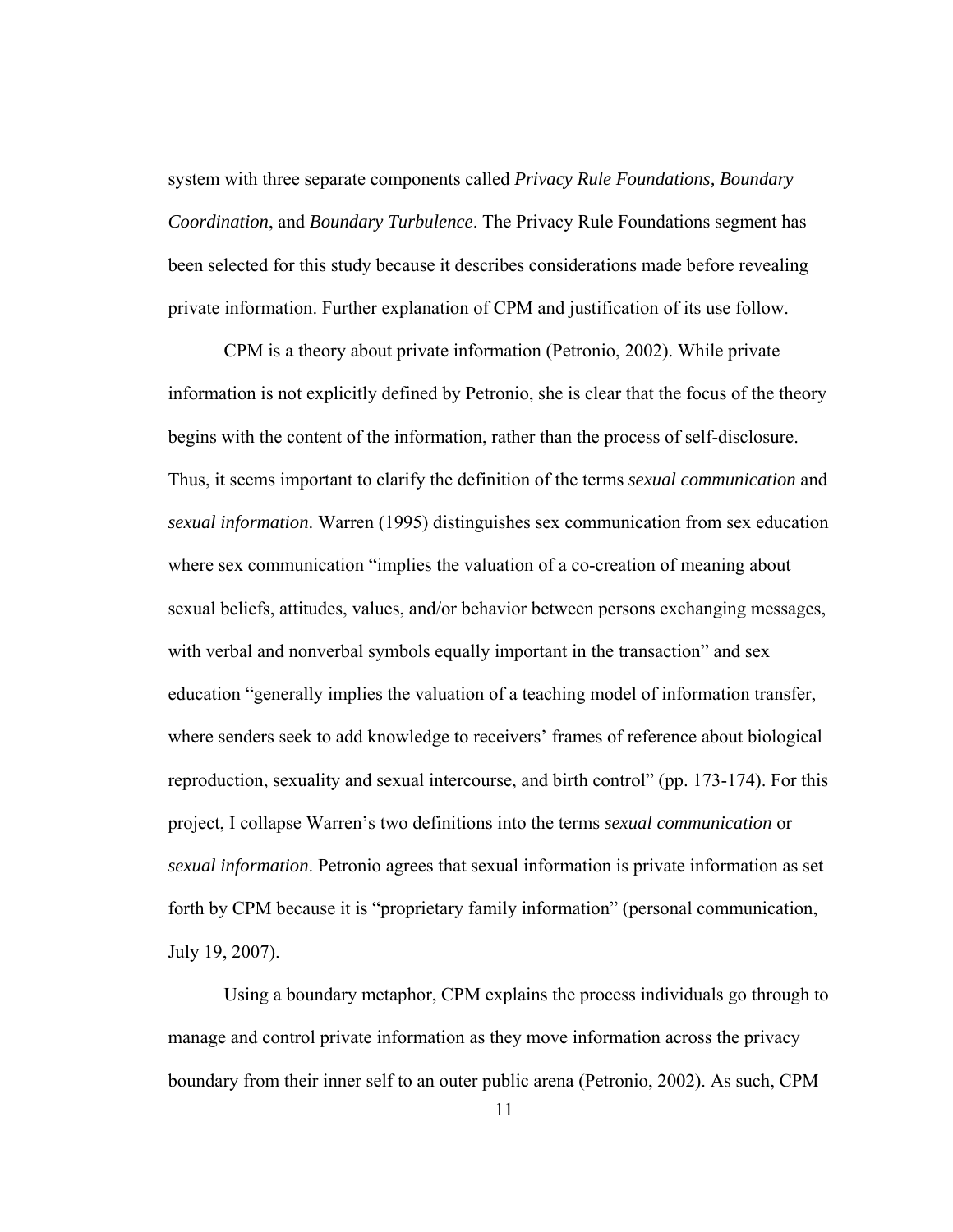system with three separate components called *Privacy Rule Foundations, Boundary Coordination*, and *Boundary Turbulence*. The Privacy Rule Foundations segment has been selected for this study because it describes considerations made before revealing private information. Further explanation of CPM and justification of its use follow.

CPM is a theory about private information (Petronio, 2002). While private information is not explicitly defined by Petronio, she is clear that the focus of the theory begins with the content of the information, rather than the process of self-disclosure. Thus, it seems important to clarify the definition of the terms *sexual communication* and *sexual information*. Warren (1995) distinguishes sex communication from sex education where sex communication "implies the valuation of a co-creation of meaning about sexual beliefs, attitudes, values, and/or behavior between persons exchanging messages, with verbal and nonverbal symbols equally important in the transaction" and sex education "generally implies the valuation of a teaching model of information transfer, where senders seek to add knowledge to receivers' frames of reference about biological reproduction, sexuality and sexual intercourse, and birth control" (pp. 173-174). For this project, I collapse Warren's two definitions into the terms *sexual communication* or *sexual information*. Petronio agrees that sexual information is private information as set forth by CPM because it is "proprietary family information" (personal communication, July 19, 2007).

Using a boundary metaphor, CPM explains the process individuals go through to manage and control private information as they move information across the privacy boundary from their inner self to an outer public arena (Petronio, 2002). As such, CPM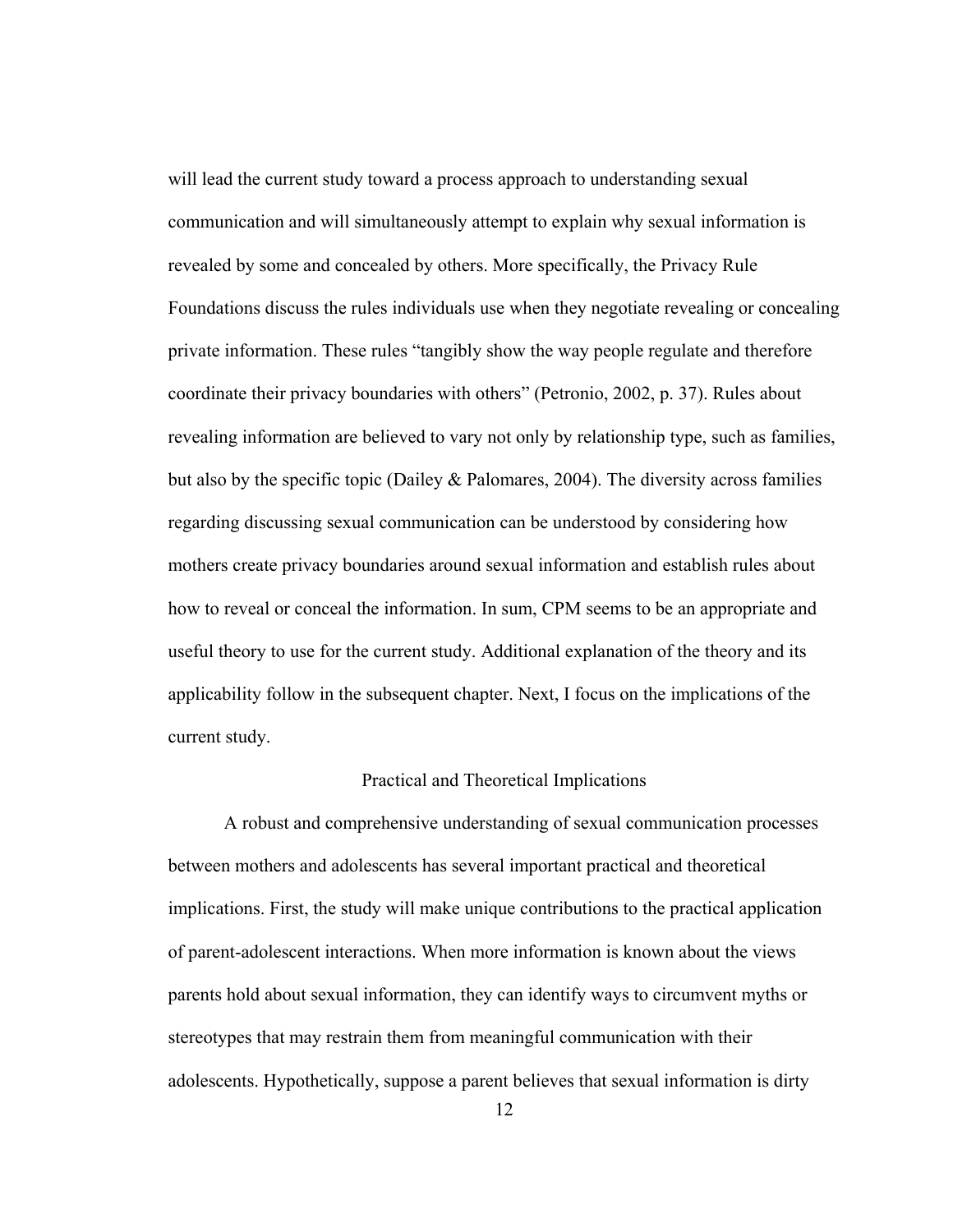<span id="page-21-0"></span>will lead the current study toward a process approach to understanding sexual communication and will simultaneously attempt to explain why sexual information is revealed by some and concealed by others. More specifically, the Privacy Rule Foundations discuss the rules individuals use when they negotiate revealing or concealing private information. These rules "tangibly show the way people regulate and therefore coordinate their privacy boundaries with others" (Petronio, 2002, p. 37). Rules about revealing information are believed to vary not only by relationship type, such as families, but also by the specific topic (Dailey  $&$  Palomares, 2004). The diversity across families regarding discussing sexual communication can be understood by considering how mothers create privacy boundaries around sexual information and establish rules about how to reveal or conceal the information. In sum, CPM seems to be an appropriate and useful theory to use for the current study. Additional explanation of the theory and its applicability follow in the subsequent chapter. Next, I focus on the implications of the current study.

#### Practical and Theoretical Implications

<span id="page-21-1"></span>A robust and comprehensive understanding of sexual communication processes between mothers and adolescents has several important practical and theoretical implications. First, the study will make unique contributions to the practical application of parent-adolescent interactions. When more information is known about the views parents hold about sexual information, they can identify ways to circumvent myths or stereotypes that may restrain them from meaningful communication with their adolescents. Hypothetically, suppose a parent believes that sexual information is dirty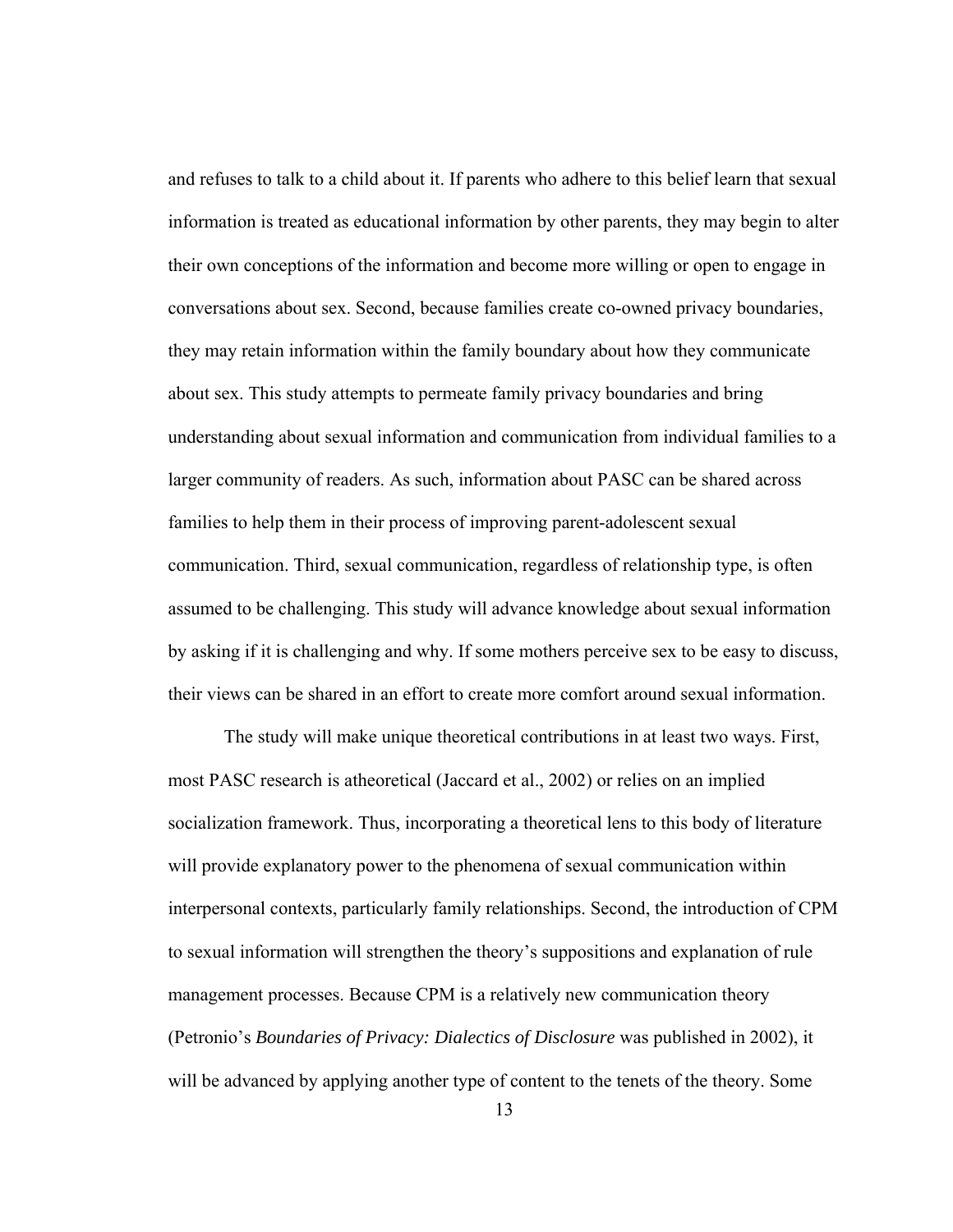and refuses to talk to a child about it. If parents who adhere to this belief learn that sexual information is treated as educational information by other parents, they may begin to alter their own conceptions of the information and become more willing or open to engage in conversations about sex. Second, because families create co-owned privacy boundaries, they may retain information within the family boundary about how they communicate about sex. This study attempts to permeate family privacy boundaries and bring understanding about sexual information and communication from individual families to a larger community of readers. As such, information about PASC can be shared across families to help them in their process of improving parent-adolescent sexual communication. Third, sexual communication, regardless of relationship type, is often assumed to be challenging. This study will advance knowledge about sexual information by asking if it is challenging and why. If some mothers perceive sex to be easy to discuss, their views can be shared in an effort to create more comfort around sexual information.

The study will make unique theoretical contributions in at least two ways. First, most PASC research is atheoretical (Jaccard et al., 2002) or relies on an implied socialization framework. Thus, incorporating a theoretical lens to this body of literature will provide explanatory power to the phenomena of sexual communication within interpersonal contexts, particularly family relationships. Second, the introduction of CPM to sexual information will strengthen the theory's suppositions and explanation of rule management processes. Because CPM is a relatively new communication theory (Petronio's *Boundaries of Privacy: Dialectics of Disclosure* was published in 2002), it will be advanced by applying another type of content to the tenets of the theory. Some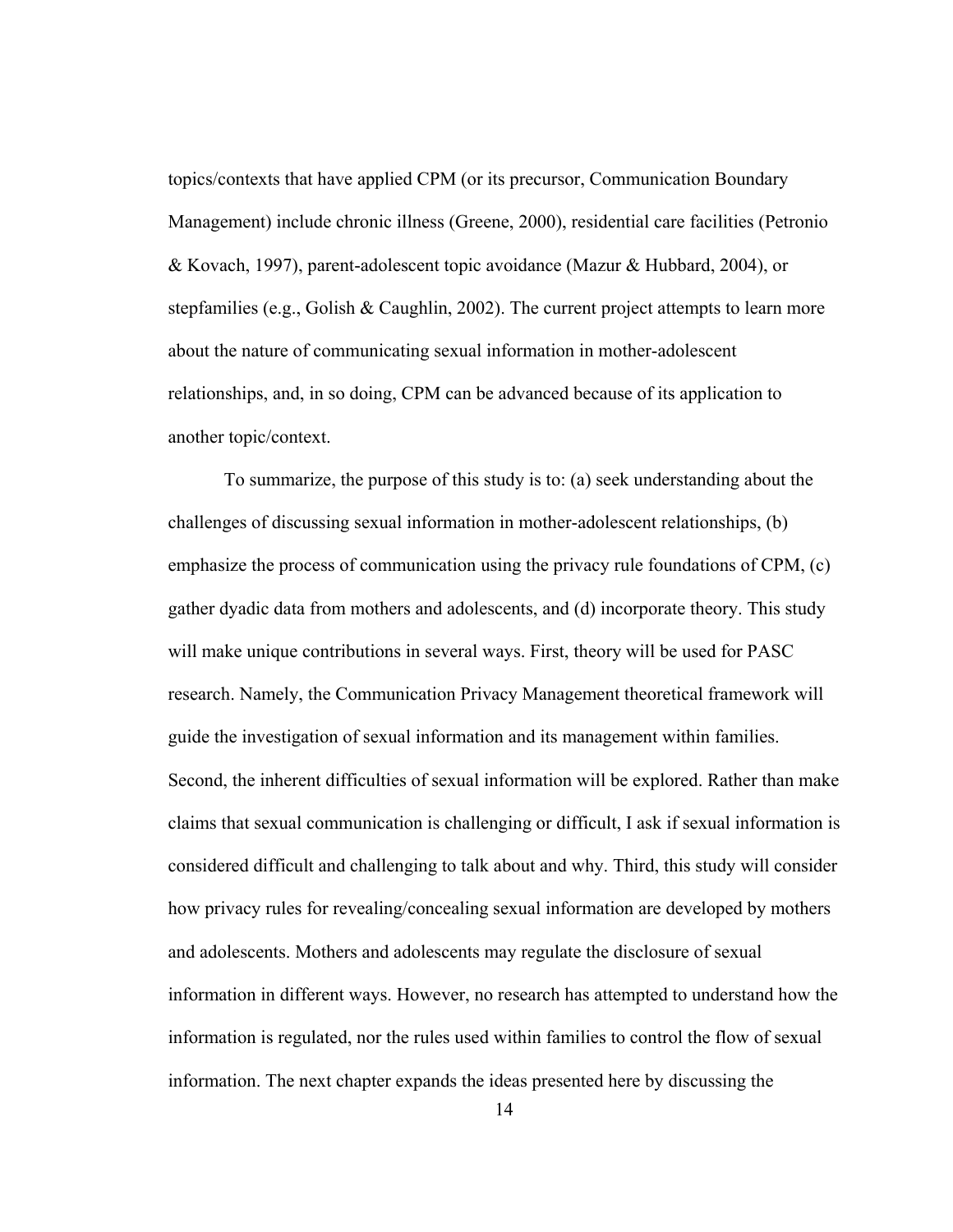topics/contexts that have applied CPM (or its precursor, Communication Boundary Management) include chronic illness (Greene, 2000), residential care facilities (Petronio & Kovach, 1997), parent-adolescent topic avoidance (Mazur & Hubbard, 2004), or stepfamilies (e.g., Golish & Caughlin, 2002). The current project attempts to learn more about the nature of communicating sexual information in mother-adolescent relationships, and, in so doing, CPM can be advanced because of its application to another topic/context.

To summarize, the purpose of this study is to: (a) seek understanding about the challenges of discussing sexual information in mother-adolescent relationships, (b) emphasize the process of communication using the privacy rule foundations of CPM, (c) gather dyadic data from mothers and adolescents, and (d) incorporate theory. This study will make unique contributions in several ways. First, theory will be used for PASC research. Namely, the Communication Privacy Management theoretical framework will guide the investigation of sexual information and its management within families. Second, the inherent difficulties of sexual information will be explored. Rather than make claims that sexual communication is challenging or difficult, I ask if sexual information is considered difficult and challenging to talk about and why. Third, this study will consider how privacy rules for revealing/concealing sexual information are developed by mothers and adolescents. Mothers and adolescents may regulate the disclosure of sexual information in different ways. However, no research has attempted to understand how the information is regulated, nor the rules used within families to control the flow of sexual information. The next chapter expands the ideas presented here by discussing the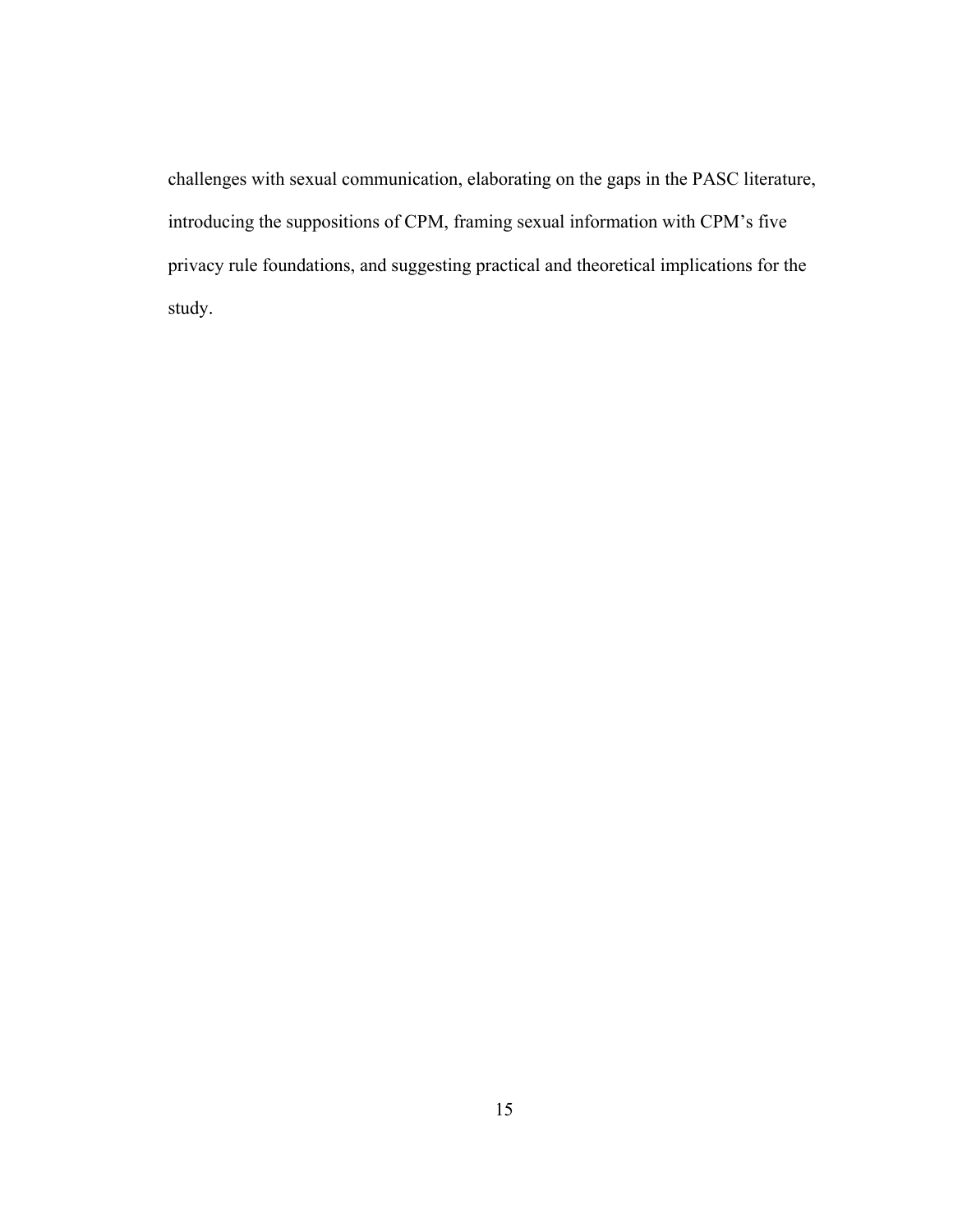challenges with sexual communication, elaborating on the gaps in the PASC literature, introducing the suppositions of CPM, framing sexual information with CPM's five privacy rule foundations, and suggesting practical and theoretical implications for the study.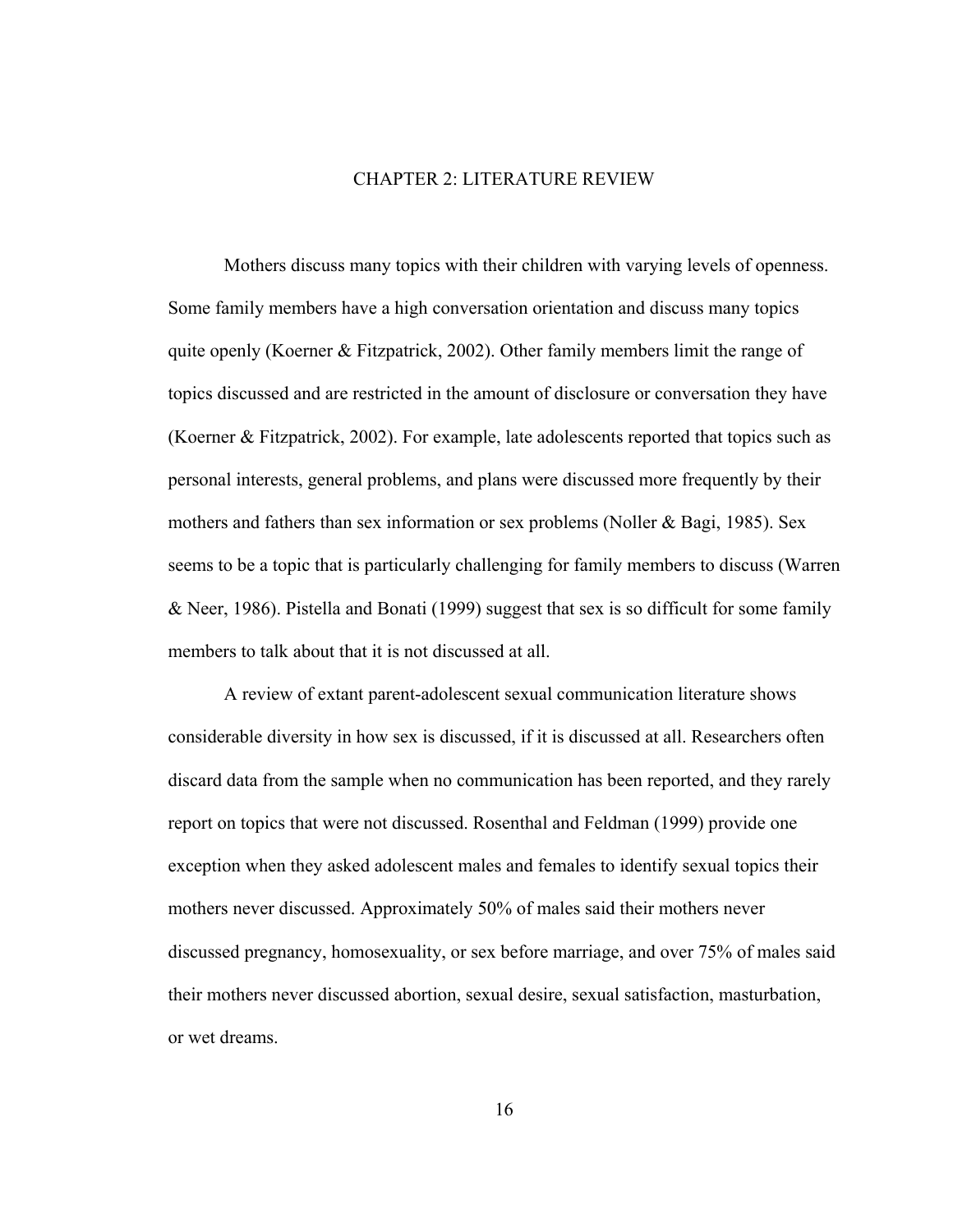#### CHAPTER 2: LITERATURE REVIEW

<span id="page-25-1"></span><span id="page-25-0"></span> Mothers discuss many topics with their children with varying levels of openness. Some family members have a high conversation orientation and discuss many topics quite openly (Koerner & Fitzpatrick, 2002). Other family members limit the range of topics discussed and are restricted in the amount of disclosure or conversation they have (Koerner & Fitzpatrick, 2002). For example, late adolescents reported that topics such as personal interests, general problems, and plans were discussed more frequently by their mothers and fathers than sex information or sex problems (Noller & Bagi, 1985). Sex seems to be a topic that is particularly challenging for family members to discuss (Warren & Neer, 1986). Pistella and Bonati (1999) suggest that sex is so difficult for some family members to talk about that it is not discussed at all.

A review of extant parent-adolescent sexual communication literature shows considerable diversity in how sex is discussed, if it is discussed at all. Researchers often discard data from the sample when no communication has been reported, and they rarely report on topics that were not discussed. Rosenthal and Feldman (1999) provide one exception when they asked adolescent males and females to identify sexual topics their mothers never discussed. Approximately 50% of males said their mothers never discussed pregnancy, homosexuality, or sex before marriage, and over 75% of males said their mothers never discussed abortion, sexual desire, sexual satisfaction, masturbation, or wet dreams.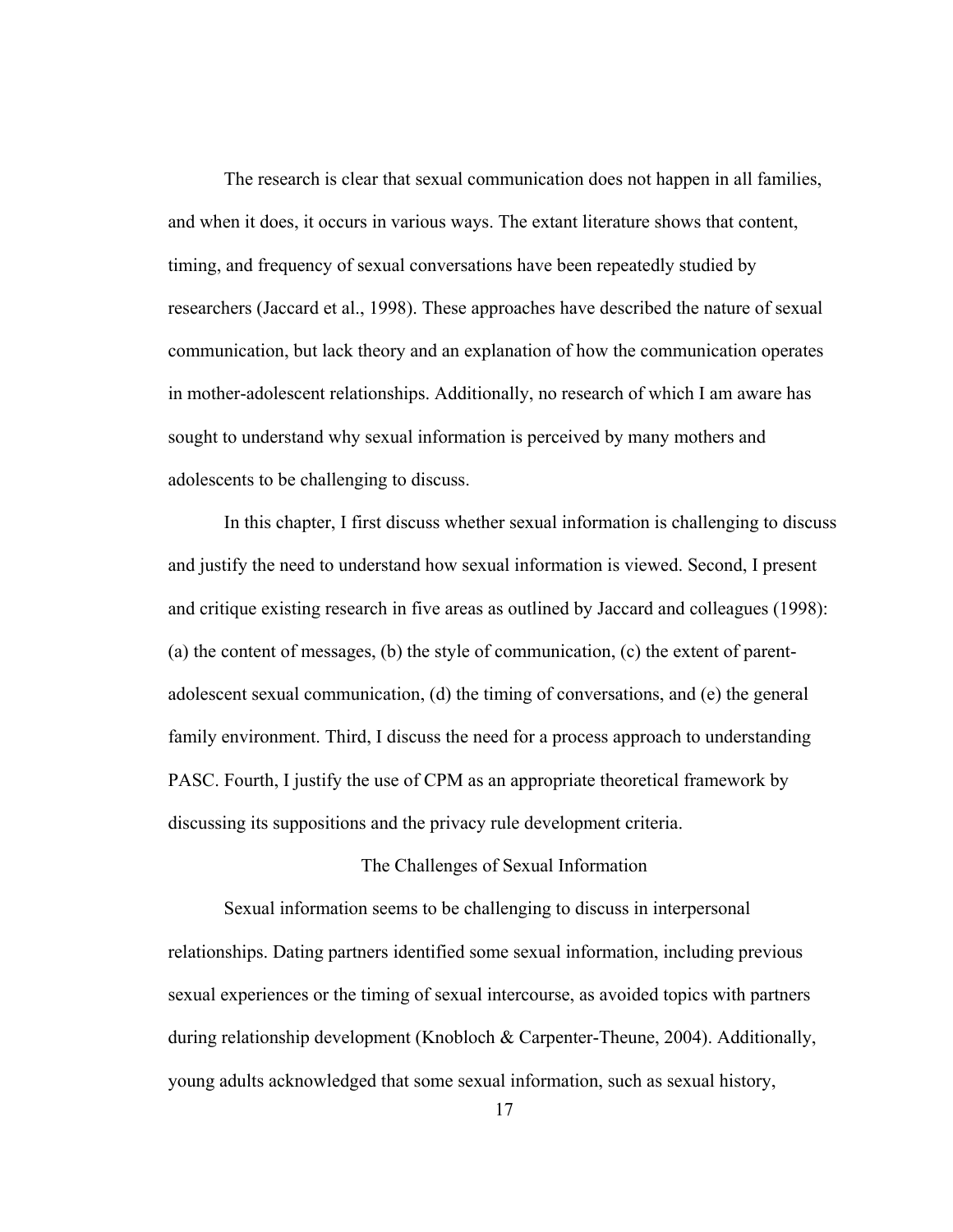<span id="page-26-0"></span>The research is clear that sexual communication does not happen in all families, and when it does, it occurs in various ways. The extant literature shows that content, timing, and frequency of sexual conversations have been repeatedly studied by researchers (Jaccard et al., 1998). These approaches have described the nature of sexual communication, but lack theory and an explanation of how the communication operates in mother-adolescent relationships. Additionally, no research of which I am aware has sought to understand why sexual information is perceived by many mothers and adolescents to be challenging to discuss.

In this chapter, I first discuss whether sexual information is challenging to discuss and justify the need to understand how sexual information is viewed. Second, I present and critique existing research in five areas as outlined by Jaccard and colleagues (1998): (a) the content of messages, (b) the style of communication, (c) the extent of parentadolescent sexual communication, (d) the timing of conversations, and (e) the general family environment. Third, I discuss the need for a process approach to understanding PASC. Fourth, I justify the use of CPM as an appropriate theoretical framework by discussing its suppositions and the privacy rule development criteria.

#### The Challenges of Sexual Information

<span id="page-26-1"></span>Sexual information seems to be challenging to discuss in interpersonal relationships. Dating partners identified some sexual information, including previous sexual experiences or the timing of sexual intercourse, as avoided topics with partners during relationship development (Knobloch & Carpenter-Theune, 2004). Additionally, young adults acknowledged that some sexual information, such as sexual history,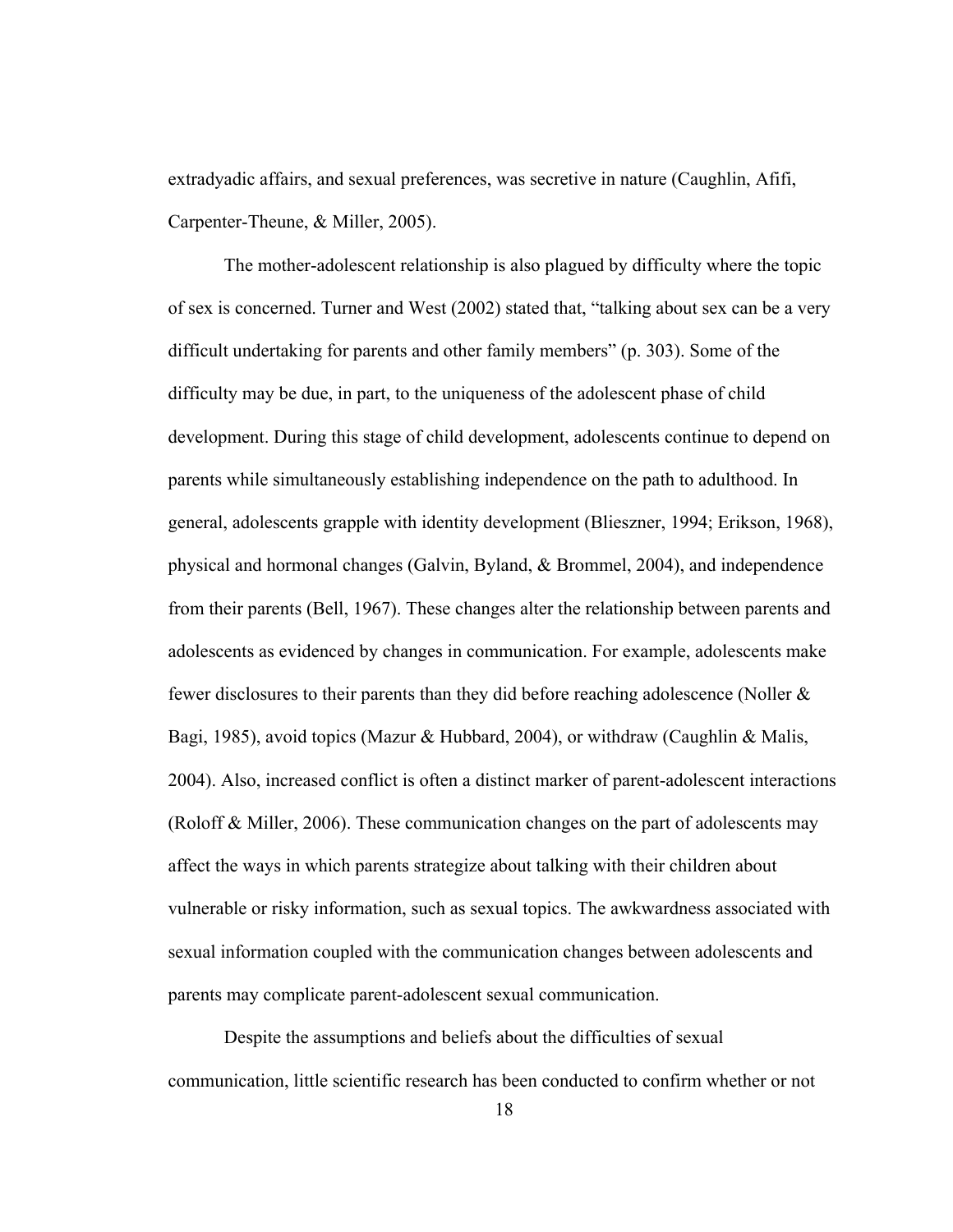extradyadic affairs, and sexual preferences, was secretive in nature (Caughlin, Afifi, Carpenter-Theune, & Miller, 2005).

The mother-adolescent relationship is also plagued by difficulty where the topic of sex is concerned. Turner and West (2002) stated that, "talking about sex can be a very difficult undertaking for parents and other family members" (p. 303). Some of the difficulty may be due, in part, to the uniqueness of the adolescent phase of child development. During this stage of child development, adolescents continue to depend on parents while simultaneously establishing independence on the path to adulthood. In general, adolescents grapple with identity development (Blieszner, 1994; Erikson, 1968), physical and hormonal changes (Galvin, Byland, & Brommel, 2004), and independence from their parents (Bell, 1967). These changes alter the relationship between parents and adolescents as evidenced by changes in communication. For example, adolescents make fewer disclosures to their parents than they did before reaching adolescence (Noller & Bagi, 1985), avoid topics (Mazur & Hubbard, 2004), or withdraw (Caughlin & Malis, 2004). Also, increased conflict is often a distinct marker of parent-adolescent interactions (Roloff & Miller, 2006). These communication changes on the part of adolescents may affect the ways in which parents strategize about talking with their children about vulnerable or risky information, such as sexual topics. The awkwardness associated with sexual information coupled with the communication changes between adolescents and parents may complicate parent-adolescent sexual communication.

Despite the assumptions and beliefs about the difficulties of sexual communication, little scientific research has been conducted to confirm whether or not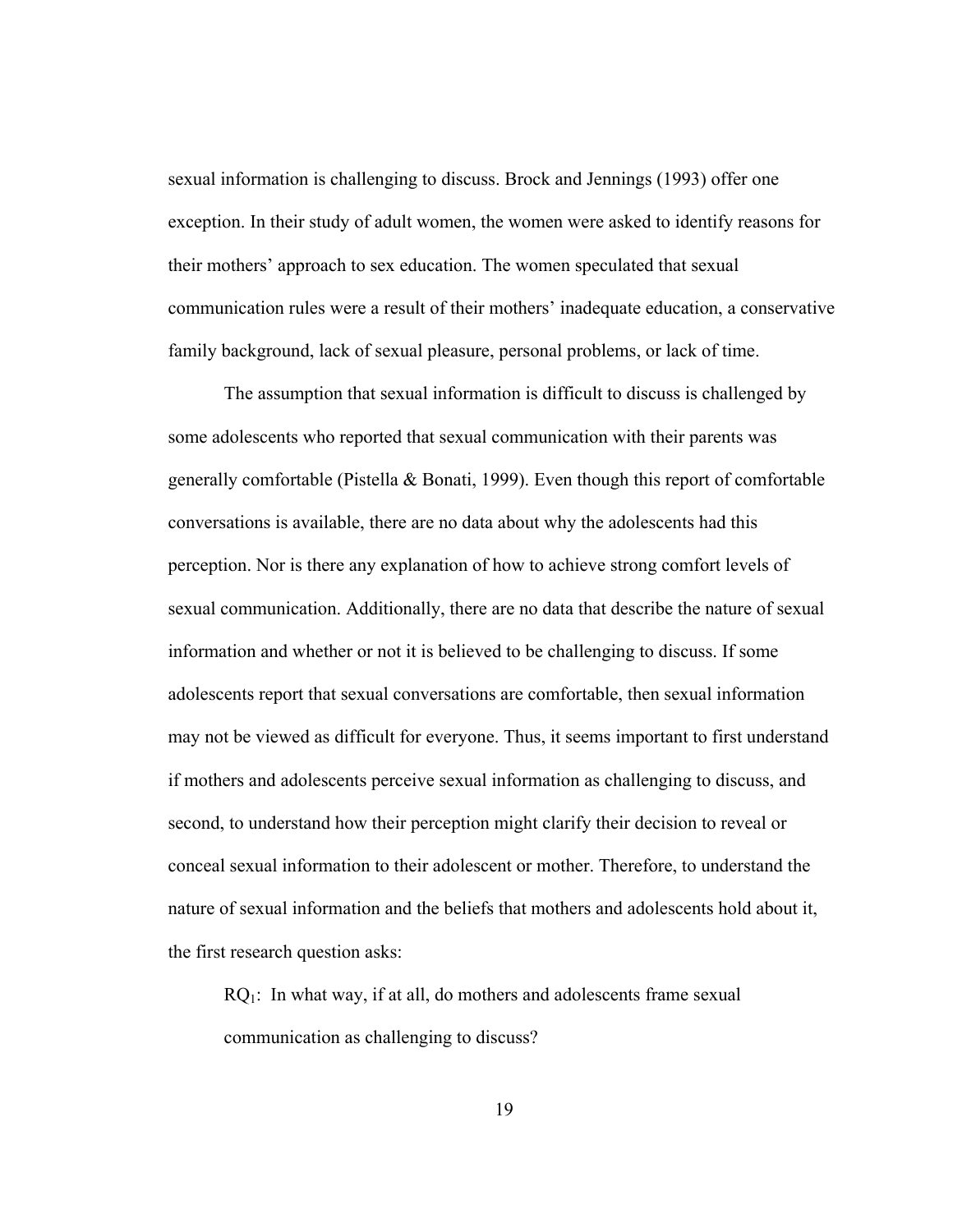sexual information is challenging to discuss. Brock and Jennings (1993) offer one exception. In their study of adult women, the women were asked to identify reasons for their mothers' approach to sex education. The women speculated that sexual communication rules were a result of their mothers' inadequate education, a conservative family background, lack of sexual pleasure, personal problems, or lack of time.

The assumption that sexual information is difficult to discuss is challenged by some adolescents who reported that sexual communication with their parents was generally comfortable (Pistella & Bonati, 1999). Even though this report of comfortable conversations is available, there are no data about why the adolescents had this perception. Nor is there any explanation of how to achieve strong comfort levels of sexual communication. Additionally, there are no data that describe the nature of sexual information and whether or not it is believed to be challenging to discuss. If some adolescents report that sexual conversations are comfortable, then sexual information may not be viewed as difficult for everyone. Thus, it seems important to first understand if mothers and adolescents perceive sexual information as challenging to discuss, and second, to understand how their perception might clarify their decision to reveal or conceal sexual information to their adolescent or mother. Therefore, to understand the nature of sexual information and the beliefs that mothers and adolescents hold about it, the first research question asks:

 $RQ_1$ : In what way, if at all, do mothers and adolescents frame sexual communication as challenging to discuss?

19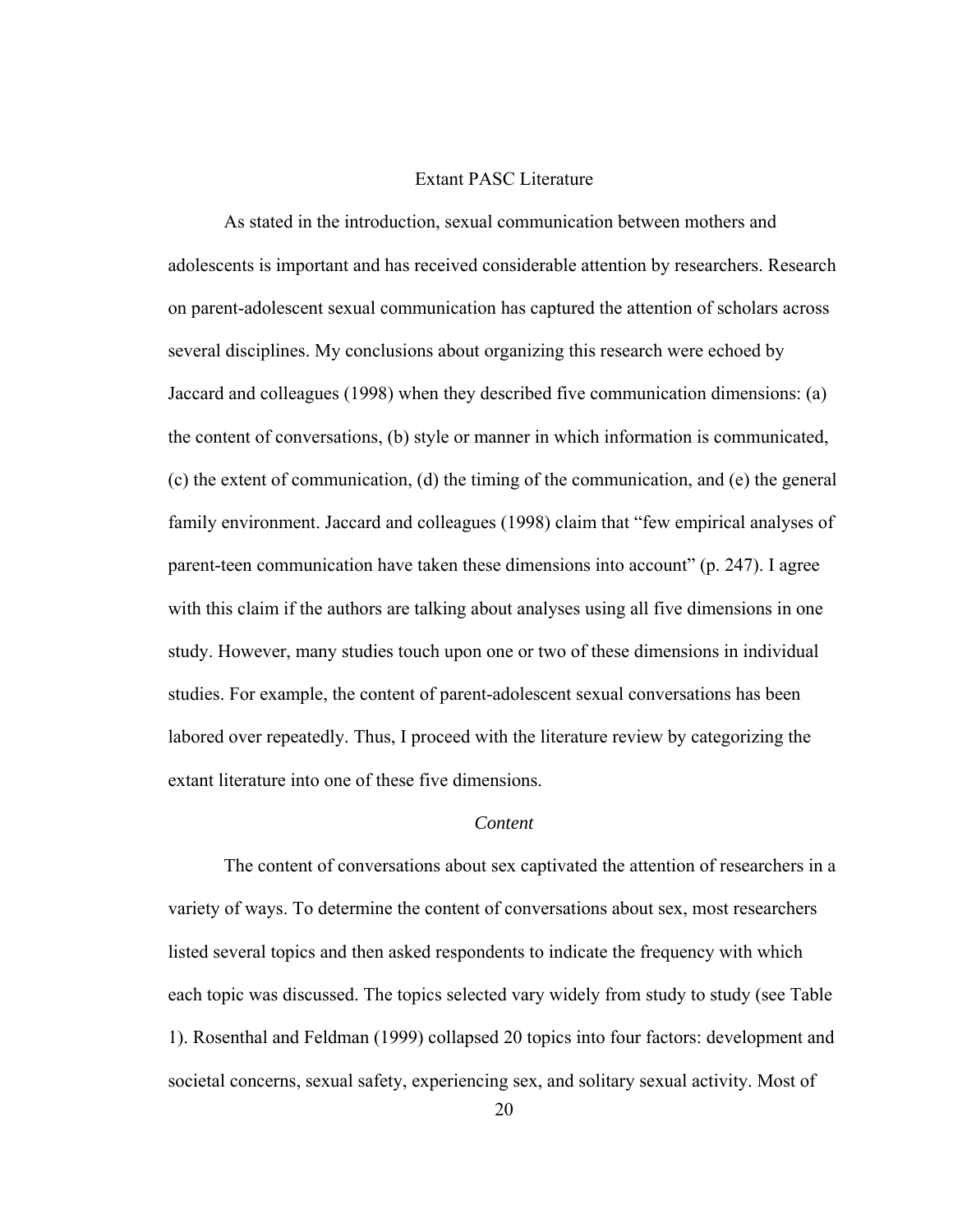#### Extant PASC Literature

<span id="page-29-1"></span><span id="page-29-0"></span> As stated in the introduction, sexual communication between mothers and adolescents is important and has received considerable attention by researchers. Research on parent-adolescent sexual communication has captured the attention of scholars across several disciplines. My conclusions about organizing this research were echoed by Jaccard and colleagues (1998) when they described five communication dimensions: (a) the content of conversations, (b) style or manner in which information is communicated, (c) the extent of communication, (d) the timing of the communication, and (e) the general family environment. Jaccard and colleagues (1998) claim that "few empirical analyses of parent-teen communication have taken these dimensions into account" (p. 247). I agree with this claim if the authors are talking about analyses using all five dimensions in one study. However, many studies touch upon one or two of these dimensions in individual studies. For example, the content of parent-adolescent sexual conversations has been labored over repeatedly. Thus, I proceed with the literature review by categorizing the extant literature into one of these five dimensions.

#### *Content*

<span id="page-29-2"></span> The content of conversations about sex captivated the attention of researchers in a variety of ways. To determine the content of conversations about sex, most researchers listed several topics and then asked respondents to indicate the frequency with which each topic was discussed. The topics selected vary widely from study to study (see Table 1). Rosenthal and Feldman (1999) collapsed 20 topics into four factors: development and societal concerns, sexual safety, experiencing sex, and solitary sexual activity. Most of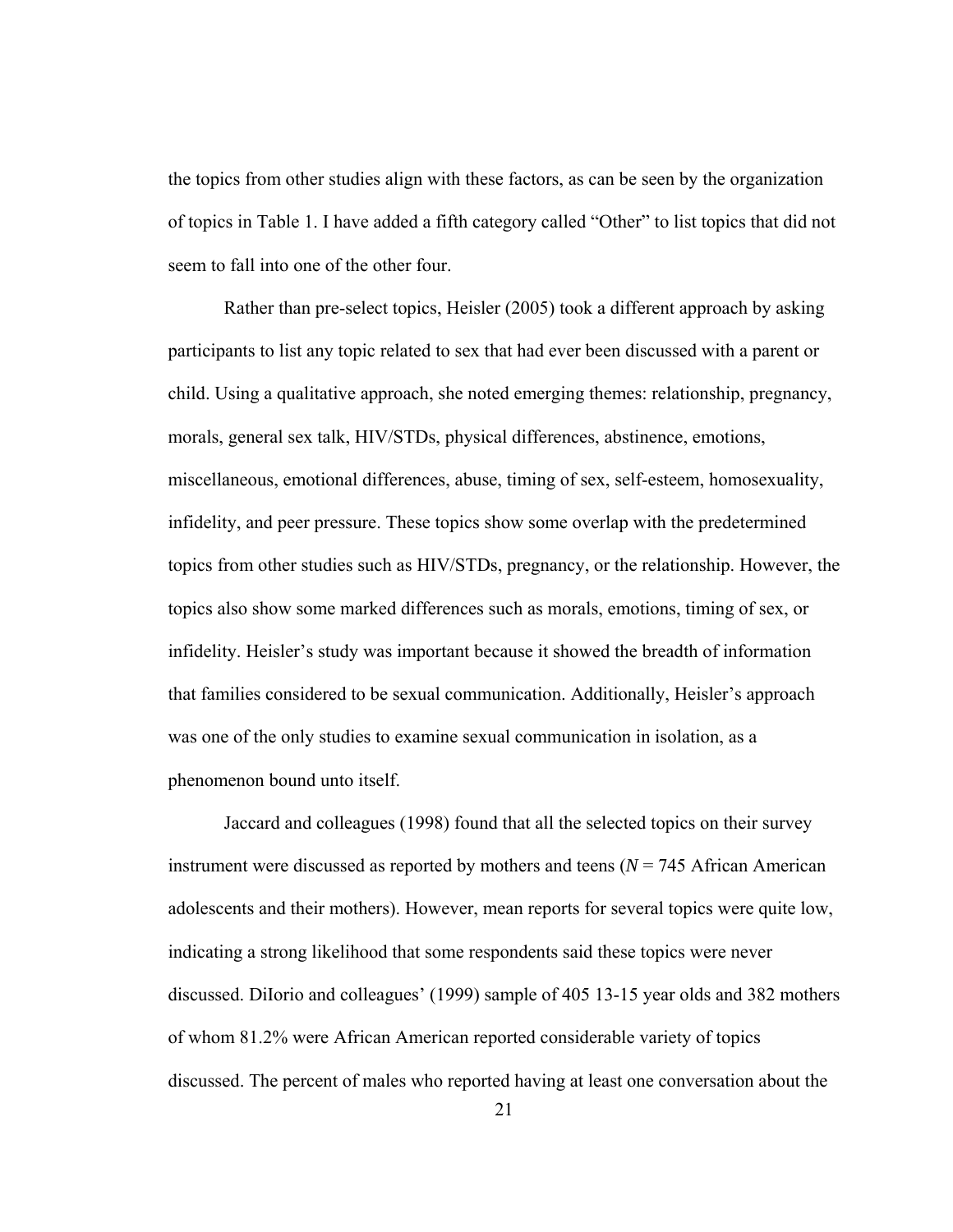the topics from other studies align with these factors, as can be seen by the organization of topics in Table 1. I have added a fifth category called "Other" to list topics that did not seem to fall into one of the other four.

 Rather than pre-select topics, Heisler (2005) took a different approach by asking participants to list any topic related to sex that had ever been discussed with a parent or child. Using a qualitative approach, she noted emerging themes: relationship, pregnancy, morals, general sex talk, HIV/STDs, physical differences, abstinence, emotions, miscellaneous, emotional differences, abuse, timing of sex, self-esteem, homosexuality, infidelity, and peer pressure. These topics show some overlap with the predetermined topics from other studies such as HIV/STDs, pregnancy, or the relationship. However, the topics also show some marked differences such as morals, emotions, timing of sex, or infidelity. Heisler's study was important because it showed the breadth of information that families considered to be sexual communication. Additionally, Heisler's approach was one of the only studies to examine sexual communication in isolation, as a phenomenon bound unto itself.

Jaccard and colleagues (1998) found that all the selected topics on their survey instrument were discussed as reported by mothers and teens (*N* = 745 African American adolescents and their mothers). However, mean reports for several topics were quite low, indicating a strong likelihood that some respondents said these topics were never discussed. DiIorio and colleagues' (1999) sample of 405 13-15 year olds and 382 mothers of whom 81.2% were African American reported considerable variety of topics discussed. The percent of males who reported having at least one conversation about the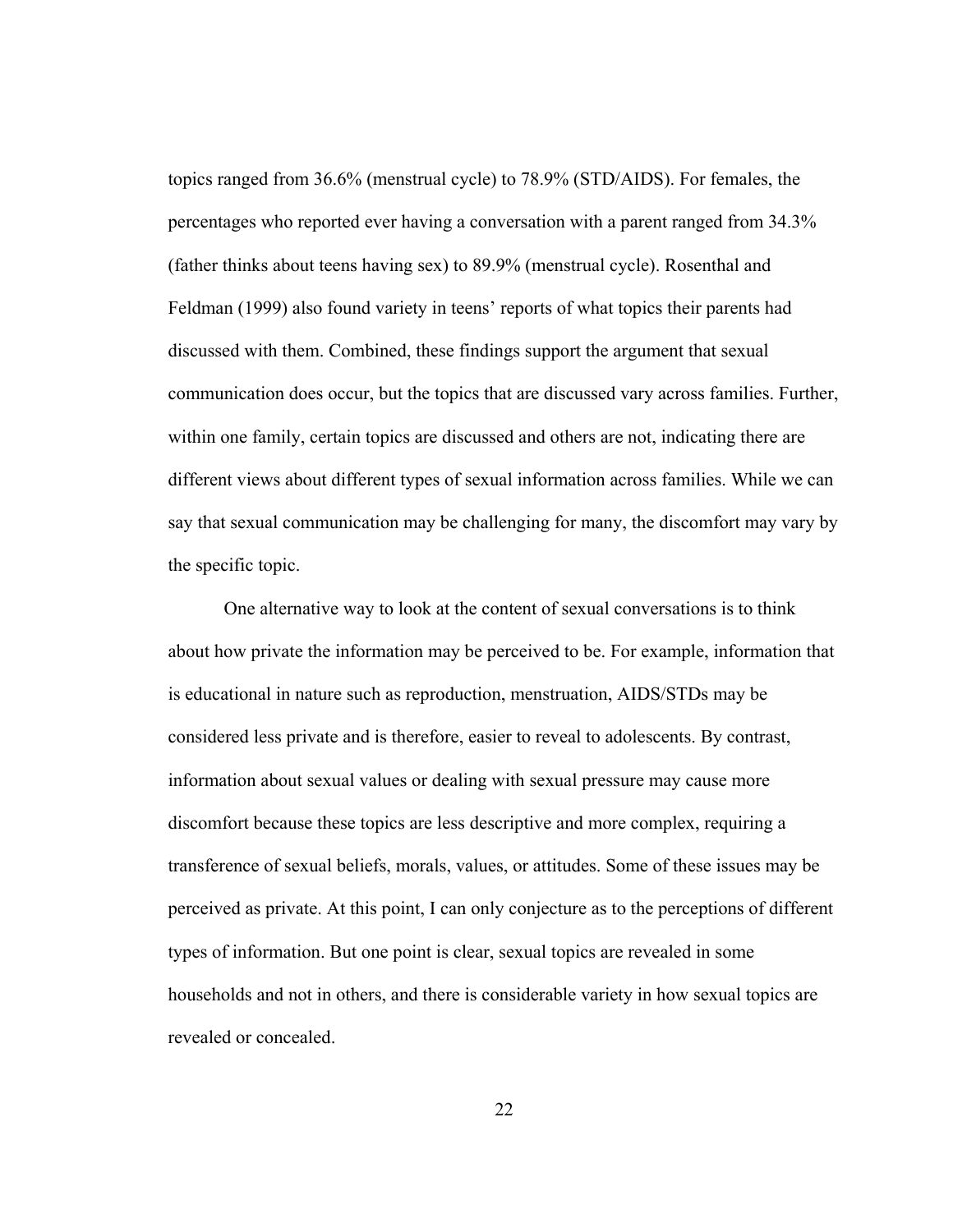topics ranged from 36.6% (menstrual cycle) to 78.9% (STD/AIDS). For females, the percentages who reported ever having a conversation with a parent ranged from 34.3% (father thinks about teens having sex) to 89.9% (menstrual cycle). Rosenthal and Feldman (1999) also found variety in teens' reports of what topics their parents had discussed with them. Combined, these findings support the argument that sexual communication does occur, but the topics that are discussed vary across families. Further, within one family, certain topics are discussed and others are not, indicating there are different views about different types of sexual information across families. While we can say that sexual communication may be challenging for many, the discomfort may vary by the specific topic.

One alternative way to look at the content of sexual conversations is to think about how private the information may be perceived to be. For example, information that is educational in nature such as reproduction, menstruation, AIDS/STDs may be considered less private and is therefore, easier to reveal to adolescents. By contrast, information about sexual values or dealing with sexual pressure may cause more discomfort because these topics are less descriptive and more complex, requiring a transference of sexual beliefs, morals, values, or attitudes. Some of these issues may be perceived as private. At this point, I can only conjecture as to the perceptions of different types of information. But one point is clear, sexual topics are revealed in some households and not in others, and there is considerable variety in how sexual topics are revealed or concealed.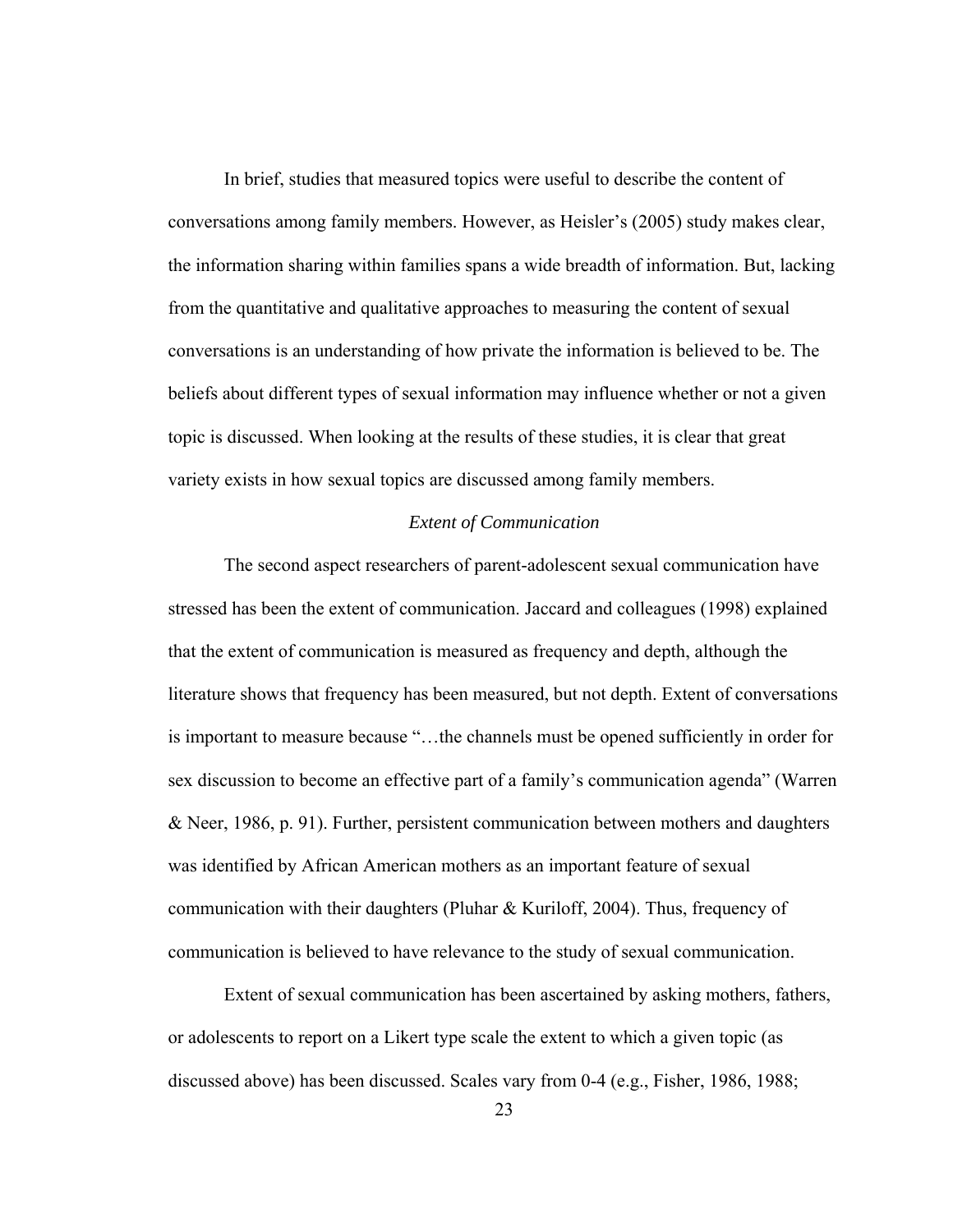<span id="page-32-0"></span>In brief, studies that measured topics were useful to describe the content of conversations among family members. However, as Heisler's (2005) study makes clear, the information sharing within families spans a wide breadth of information. But, lacking from the quantitative and qualitative approaches to measuring the content of sexual conversations is an understanding of how private the information is believed to be. The beliefs about different types of sexual information may influence whether or not a given topic is discussed. When looking at the results of these studies, it is clear that great variety exists in how sexual topics are discussed among family members.

#### *Extent of Communication*

<span id="page-32-1"></span> The second aspect researchers of parent-adolescent sexual communication have stressed has been the extent of communication. Jaccard and colleagues (1998) explained that the extent of communication is measured as frequency and depth, although the literature shows that frequency has been measured, but not depth. Extent of conversations is important to measure because "…the channels must be opened sufficiently in order for sex discussion to become an effective part of a family's communication agenda" (Warren & Neer, 1986, p. 91). Further, persistent communication between mothers and daughters was identified by African American mothers as an important feature of sexual communication with their daughters (Pluhar & Kuriloff, 2004). Thus, frequency of communication is believed to have relevance to the study of sexual communication.

Extent of sexual communication has been ascertained by asking mothers, fathers, or adolescents to report on a Likert type scale the extent to which a given topic (as discussed above) has been discussed. Scales vary from 0-4 (e.g., Fisher, 1986, 1988;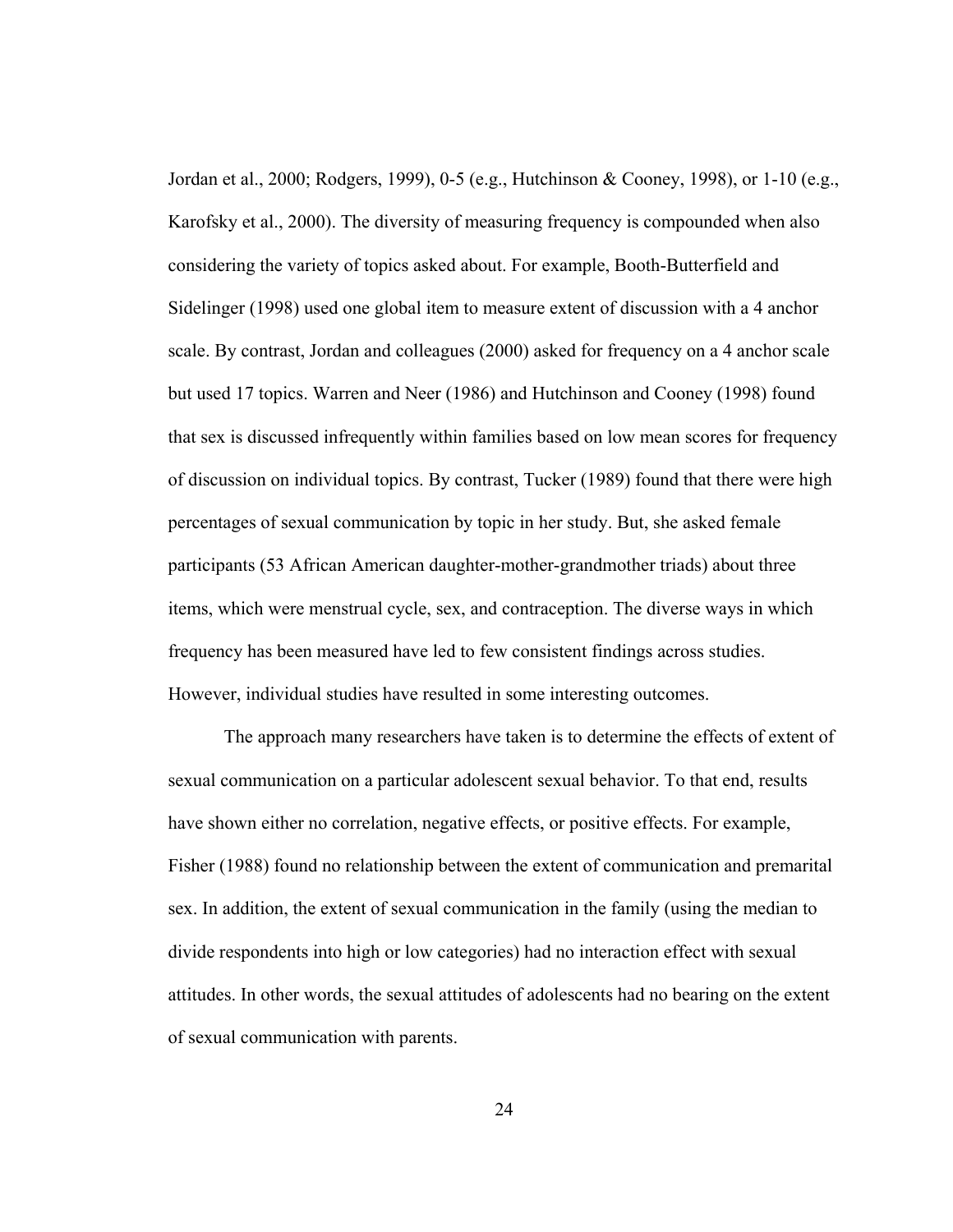Jordan et al., 2000; Rodgers, 1999), 0-5 (e.g., Hutchinson & Cooney, 1998), or 1-10 (e.g., Karofsky et al., 2000). The diversity of measuring frequency is compounded when also considering the variety of topics asked about. For example, Booth-Butterfield and Sidelinger (1998) used one global item to measure extent of discussion with a 4 anchor scale. By contrast, Jordan and colleagues (2000) asked for frequency on a 4 anchor scale but used 17 topics. Warren and Neer (1986) and Hutchinson and Cooney (1998) found that sex is discussed infrequently within families based on low mean scores for frequency of discussion on individual topics. By contrast, Tucker (1989) found that there were high percentages of sexual communication by topic in her study. But, she asked female participants (53 African American daughter-mother-grandmother triads) about three items, which were menstrual cycle, sex, and contraception. The diverse ways in which frequency has been measured have led to few consistent findings across studies. However, individual studies have resulted in some interesting outcomes.

The approach many researchers have taken is to determine the effects of extent of sexual communication on a particular adolescent sexual behavior. To that end, results have shown either no correlation, negative effects, or positive effects. For example, Fisher (1988) found no relationship between the extent of communication and premarital sex. In addition, the extent of sexual communication in the family (using the median to divide respondents into high or low categories) had no interaction effect with sexual attitudes. In other words, the sexual attitudes of adolescents had no bearing on the extent of sexual communication with parents.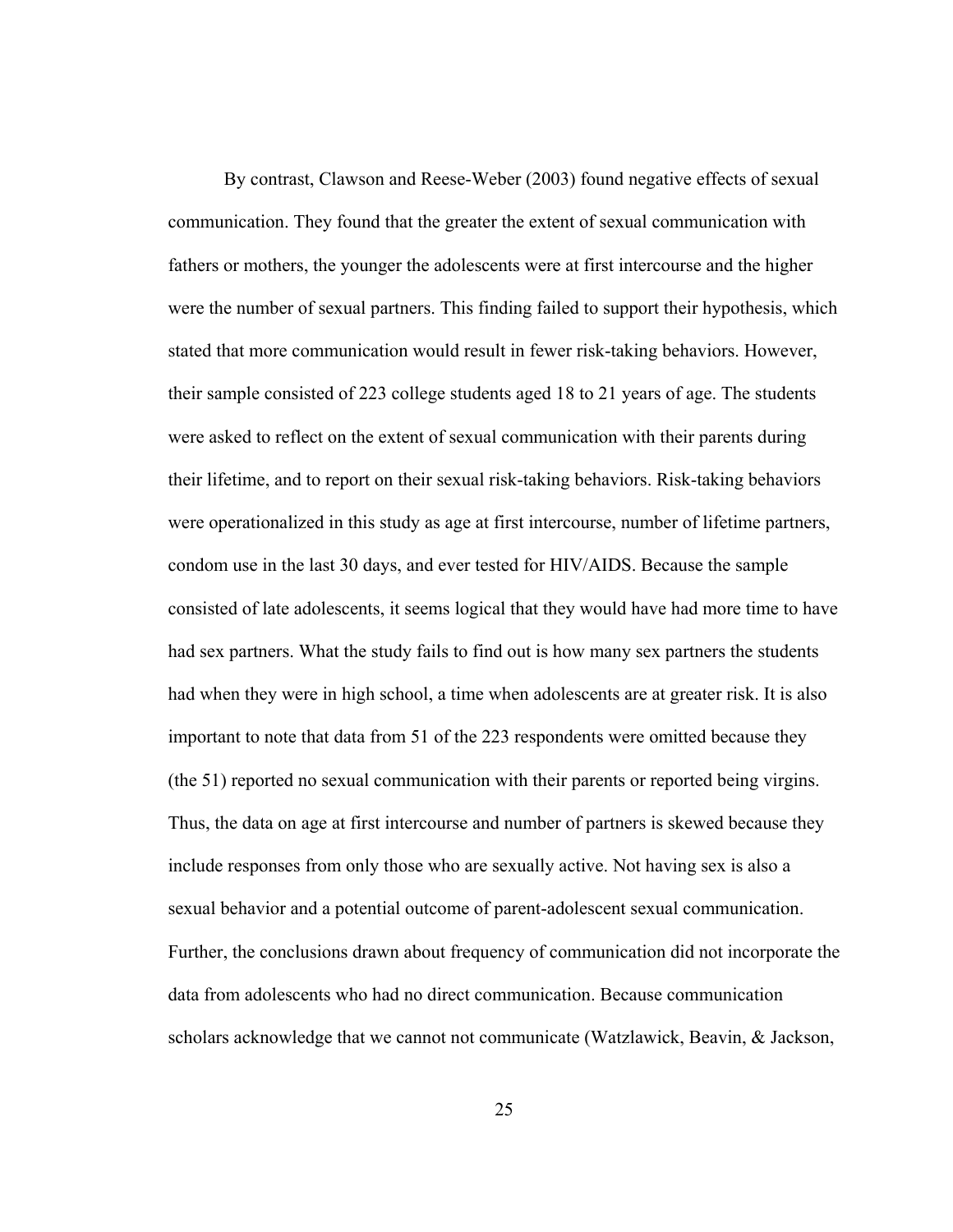By contrast, Clawson and Reese-Weber (2003) found negative effects of sexual communication. They found that the greater the extent of sexual communication with fathers or mothers, the younger the adolescents were at first intercourse and the higher were the number of sexual partners. This finding failed to support their hypothesis, which stated that more communication would result in fewer risk-taking behaviors. However, their sample consisted of 223 college students aged 18 to 21 years of age. The students were asked to reflect on the extent of sexual communication with their parents during their lifetime, and to report on their sexual risk-taking behaviors. Risk-taking behaviors were operationalized in this study as age at first intercourse, number of lifetime partners, condom use in the last 30 days, and ever tested for HIV/AIDS. Because the sample consisted of late adolescents, it seems logical that they would have had more time to have had sex partners. What the study fails to find out is how many sex partners the students had when they were in high school, a time when adolescents are at greater risk. It is also important to note that data from 51 of the 223 respondents were omitted because they (the 51) reported no sexual communication with their parents or reported being virgins. Thus, the data on age at first intercourse and number of partners is skewed because they include responses from only those who are sexually active. Not having sex is also a sexual behavior and a potential outcome of parent-adolescent sexual communication. Further, the conclusions drawn about frequency of communication did not incorporate the data from adolescents who had no direct communication. Because communication scholars acknowledge that we cannot not communicate (Watzlawick, Beavin, & Jackson,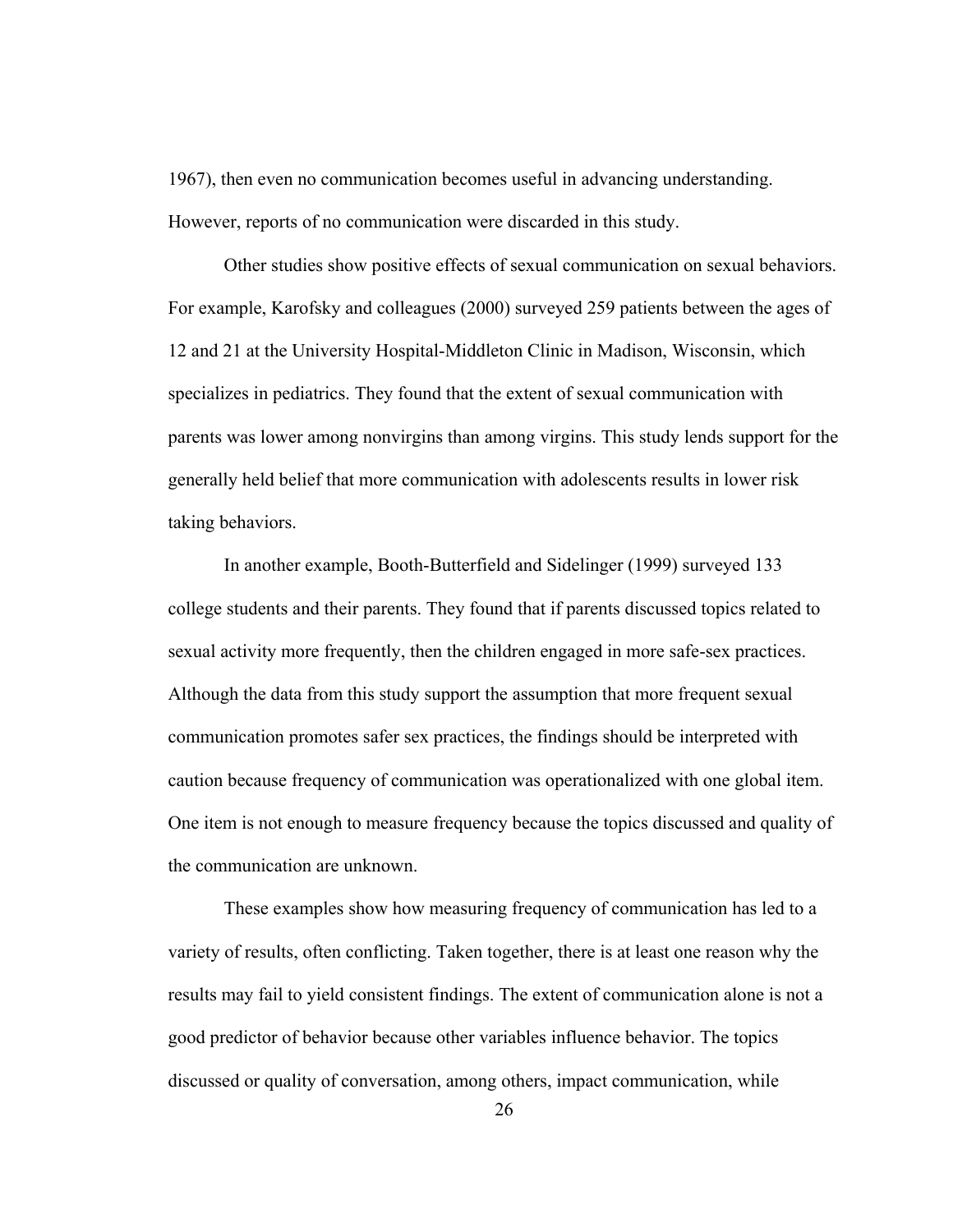1967), then even no communication becomes useful in advancing understanding. However, reports of no communication were discarded in this study.

Other studies show positive effects of sexual communication on sexual behaviors. For example, Karofsky and colleagues (2000) surveyed 259 patients between the ages of 12 and 21 at the University Hospital-Middleton Clinic in Madison, Wisconsin, which specializes in pediatrics. They found that the extent of sexual communication with parents was lower among nonvirgins than among virgins. This study lends support for the generally held belief that more communication with adolescents results in lower risk taking behaviors.

In another example, Booth-Butterfield and Sidelinger (1999) surveyed 133 college students and their parents. They found that if parents discussed topics related to sexual activity more frequently, then the children engaged in more safe-sex practices. Although the data from this study support the assumption that more frequent sexual communication promotes safer sex practices, the findings should be interpreted with caution because frequency of communication was operationalized with one global item. One item is not enough to measure frequency because the topics discussed and quality of the communication are unknown.

 These examples show how measuring frequency of communication has led to a variety of results, often conflicting. Taken together, there is at least one reason why the results may fail to yield consistent findings. The extent of communication alone is not a good predictor of behavior because other variables influence behavior. The topics discussed or quality of conversation, among others, impact communication, while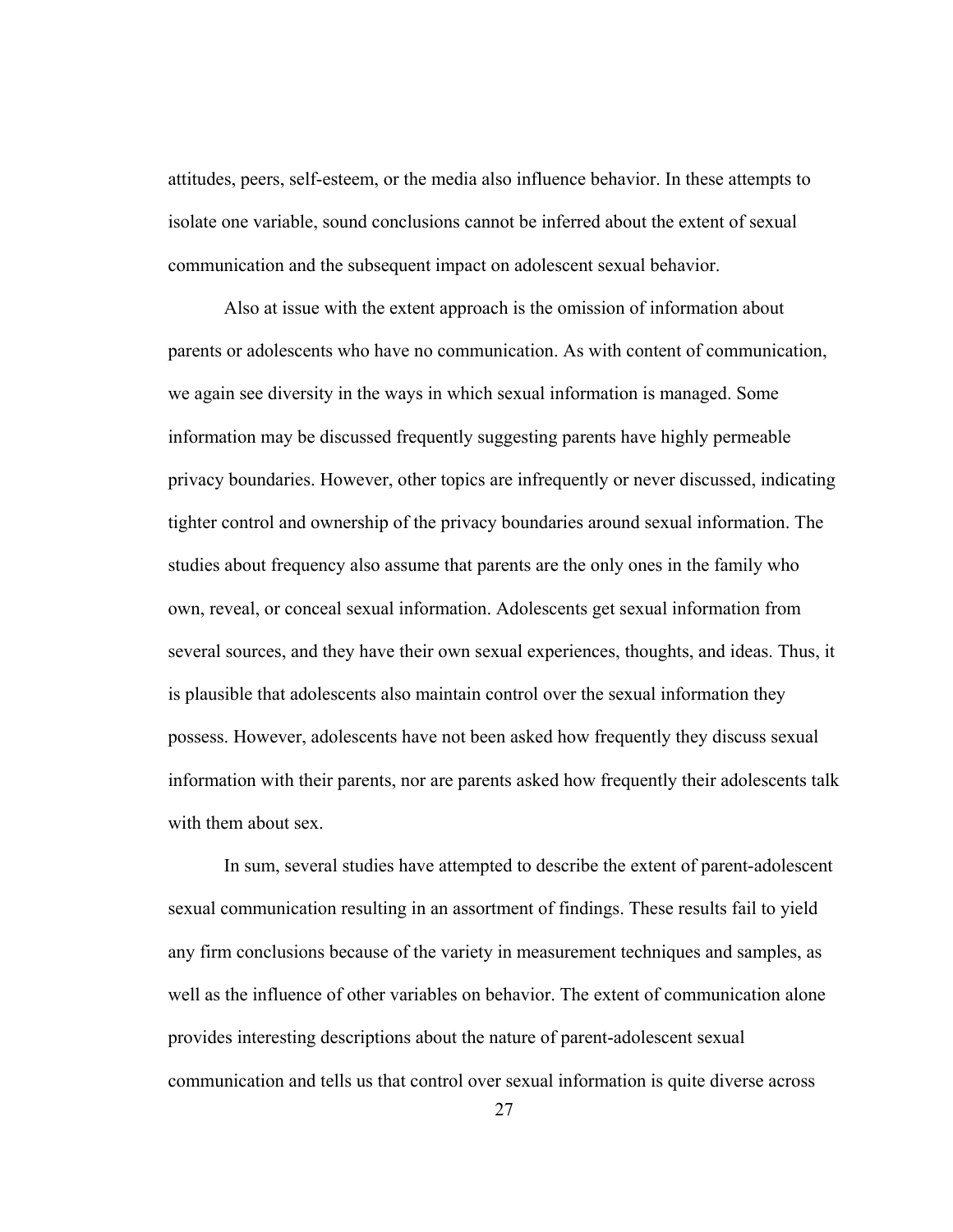attitudes, peers, self-esteem, or the media also influence behavior. In these attempts to isolate one variable, sound conclusions cannot be inferred about the extent of sexual communication and the subsequent impact on adolescent sexual behavior.

 Also at issue with the extent approach is the omission of information about parents or adolescents who have no communication. As with content of communication, we again see diversity in the ways in which sexual information is managed. Some information may be discussed frequently suggesting parents have highly permeable privacy boundaries. However, other topics are infrequently or never discussed, indicating tighter control and ownership of the privacy boundaries around sexual information. The studies about frequency also assume that parents are the only ones in the family who own, reveal, or conceal sexual information. Adolescents get sexual information from several sources, and they have their own sexual experiences, thoughts, and ideas. Thus, it is plausible that adolescents also maintain control over the sexual information they possess. However, adolescents have not been asked how frequently they discuss sexual information with their parents, nor are parents asked how frequently their adolescents talk with them about sex.

 In sum, several studies have attempted to describe the extent of parent-adolescent sexual communication resulting in an assortment of findings. These results fail to yield any firm conclusions because of the variety in measurement techniques and samples, as well as the influence of other variables on behavior. The extent of communication alone provides interesting descriptions about the nature of parent-adolescent sexual communication and tells us that control over sexual information is quite diverse across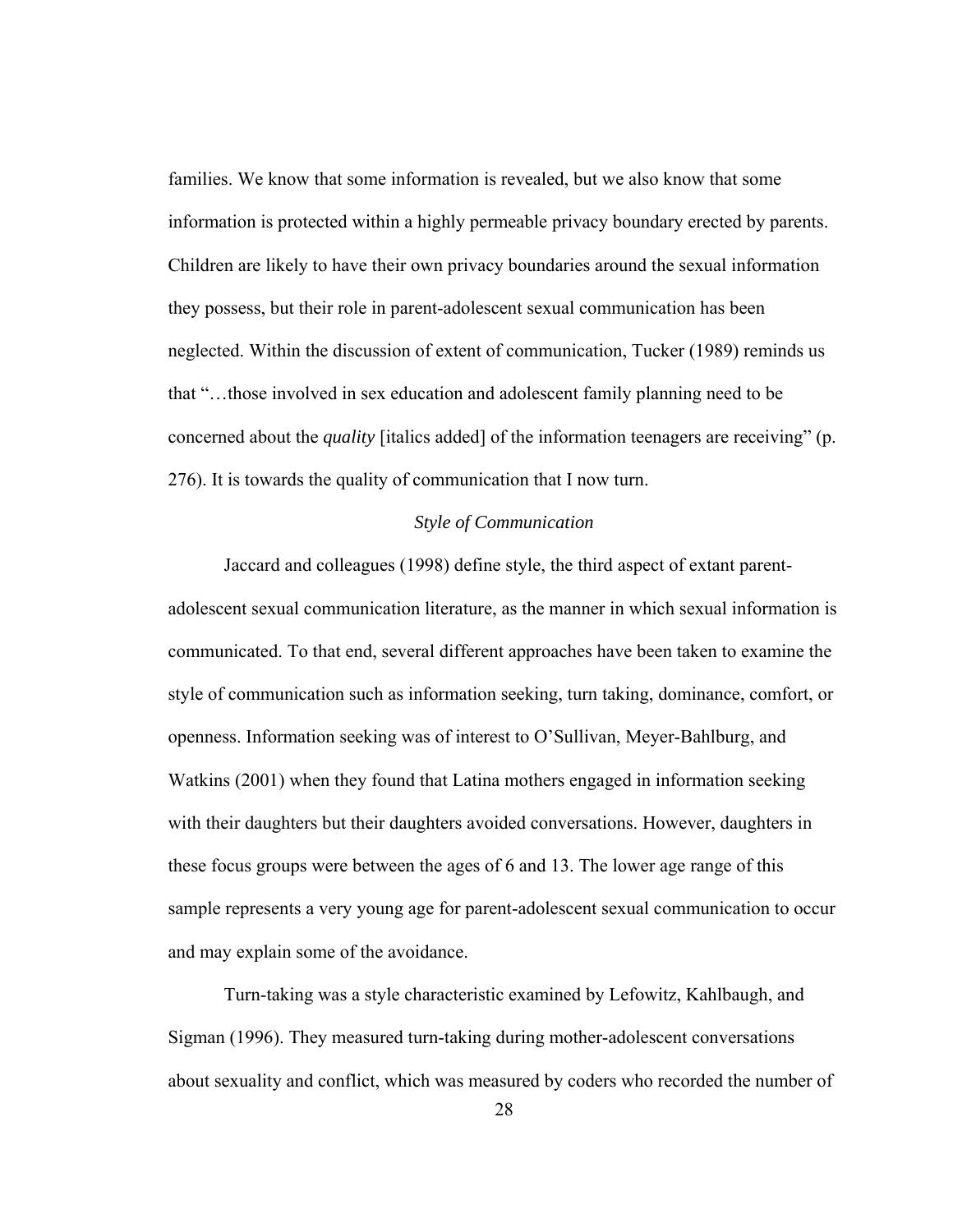families. We know that some information is revealed, but we also know that some information is protected within a highly permeable privacy boundary erected by parents. Children are likely to have their own privacy boundaries around the sexual information they possess, but their role in parent-adolescent sexual communication has been neglected. Within the discussion of extent of communication, Tucker (1989) reminds us that "…those involved in sex education and adolescent family planning need to be concerned about the *quality* [italics added] of the information teenagers are receiving" (p. 276). It is towards the quality of communication that I now turn.

## *Style of Communication*

 Jaccard and colleagues (1998) define style, the third aspect of extant parentadolescent sexual communication literature, as the manner in which sexual information is communicated. To that end, several different approaches have been taken to examine the style of communication such as information seeking, turn taking, dominance, comfort, or openness. Information seeking was of interest to O'Sullivan, Meyer-Bahlburg, and Watkins (2001) when they found that Latina mothers engaged in information seeking with their daughters but their daughters avoided conversations. However, daughters in these focus groups were between the ages of 6 and 13. The lower age range of this sample represents a very young age for parent-adolescent sexual communication to occur and may explain some of the avoidance.

Turn-taking was a style characteristic examined by Lefowitz, Kahlbaugh, and Sigman (1996). They measured turn-taking during mother-adolescent conversations about sexuality and conflict, which was measured by coders who recorded the number of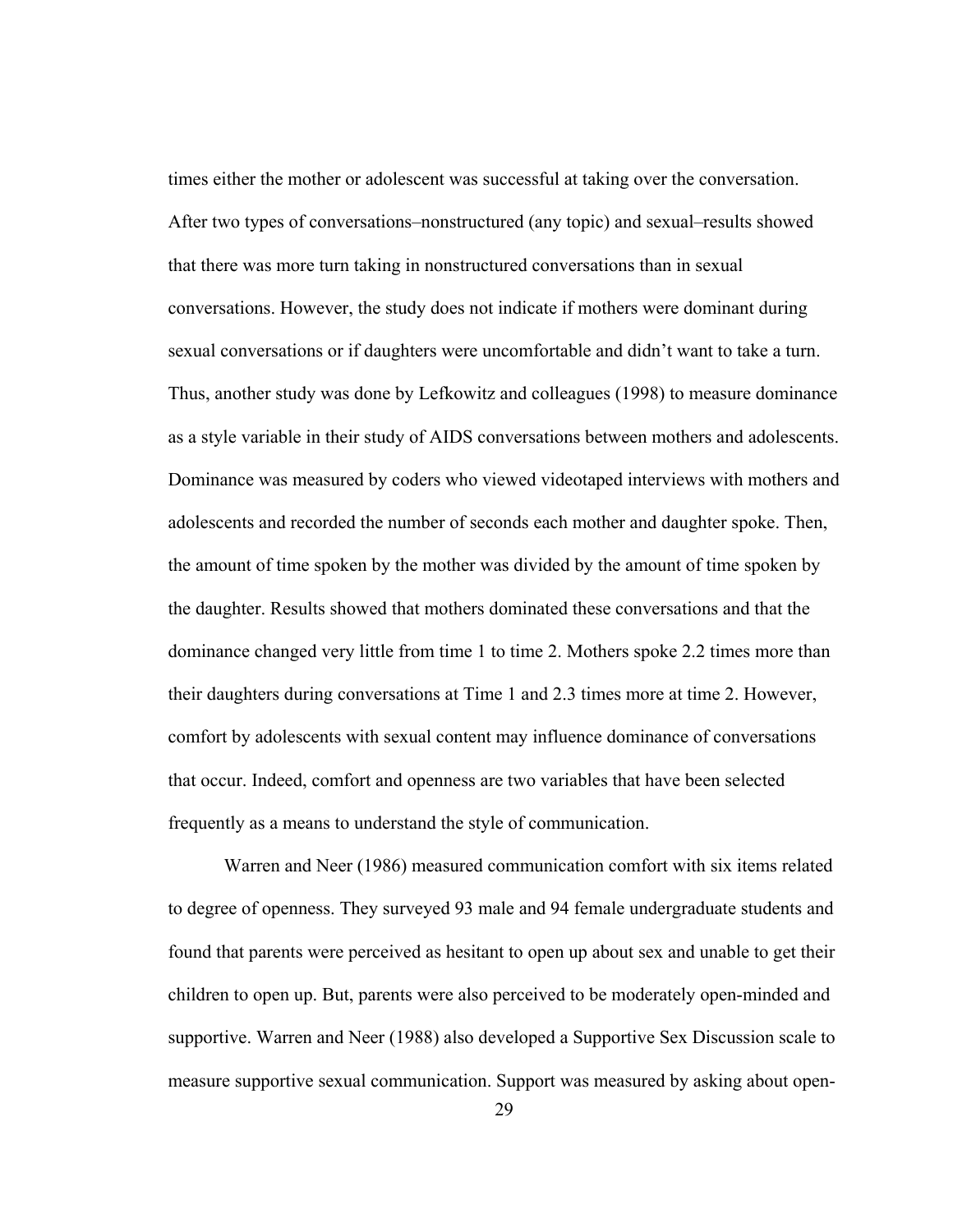times either the mother or adolescent was successful at taking over the conversation. After two types of conversations–nonstructured (any topic) and sexual–results showed that there was more turn taking in nonstructured conversations than in sexual conversations. However, the study does not indicate if mothers were dominant during sexual conversations or if daughters were uncomfortable and didn't want to take a turn. Thus, another study was done by Lefkowitz and colleagues (1998) to measure dominance as a style variable in their study of AIDS conversations between mothers and adolescents. Dominance was measured by coders who viewed videotaped interviews with mothers and adolescents and recorded the number of seconds each mother and daughter spoke. Then, the amount of time spoken by the mother was divided by the amount of time spoken by the daughter. Results showed that mothers dominated these conversations and that the dominance changed very little from time 1 to time 2. Mothers spoke 2.2 times more than their daughters during conversations at Time 1 and 2.3 times more at time 2. However, comfort by adolescents with sexual content may influence dominance of conversations that occur. Indeed, comfort and openness are two variables that have been selected frequently as a means to understand the style of communication.

Warren and Neer (1986) measured communication comfort with six items related to degree of openness. They surveyed 93 male and 94 female undergraduate students and found that parents were perceived as hesitant to open up about sex and unable to get their children to open up. But, parents were also perceived to be moderately open-minded and supportive. Warren and Neer (1988) also developed a Supportive Sex Discussion scale to measure supportive sexual communication. Support was measured by asking about open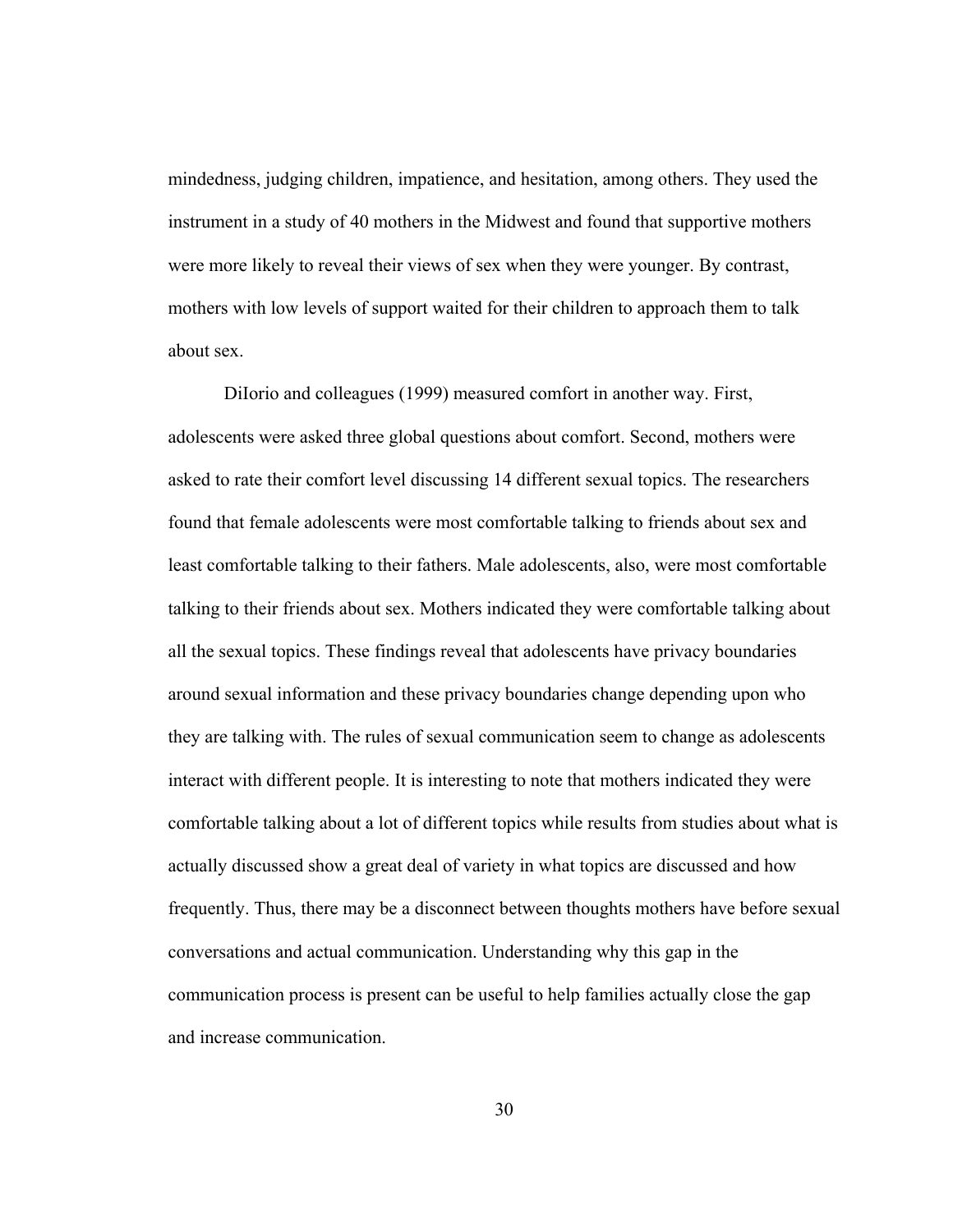mindedness, judging children, impatience, and hesitation, among others. They used the instrument in a study of 40 mothers in the Midwest and found that supportive mothers were more likely to reveal their views of sex when they were younger. By contrast, mothers with low levels of support waited for their children to approach them to talk about sex.

DiIorio and colleagues (1999) measured comfort in another way. First, adolescents were asked three global questions about comfort. Second, mothers were asked to rate their comfort level discussing 14 different sexual topics. The researchers found that female adolescents were most comfortable talking to friends about sex and least comfortable talking to their fathers. Male adolescents, also, were most comfortable talking to their friends about sex. Mothers indicated they were comfortable talking about all the sexual topics. These findings reveal that adolescents have privacy boundaries around sexual information and these privacy boundaries change depending upon who they are talking with. The rules of sexual communication seem to change as adolescents interact with different people. It is interesting to note that mothers indicated they were comfortable talking about a lot of different topics while results from studies about what is actually discussed show a great deal of variety in what topics are discussed and how frequently. Thus, there may be a disconnect between thoughts mothers have before sexual conversations and actual communication. Understanding why this gap in the communication process is present can be useful to help families actually close the gap and increase communication.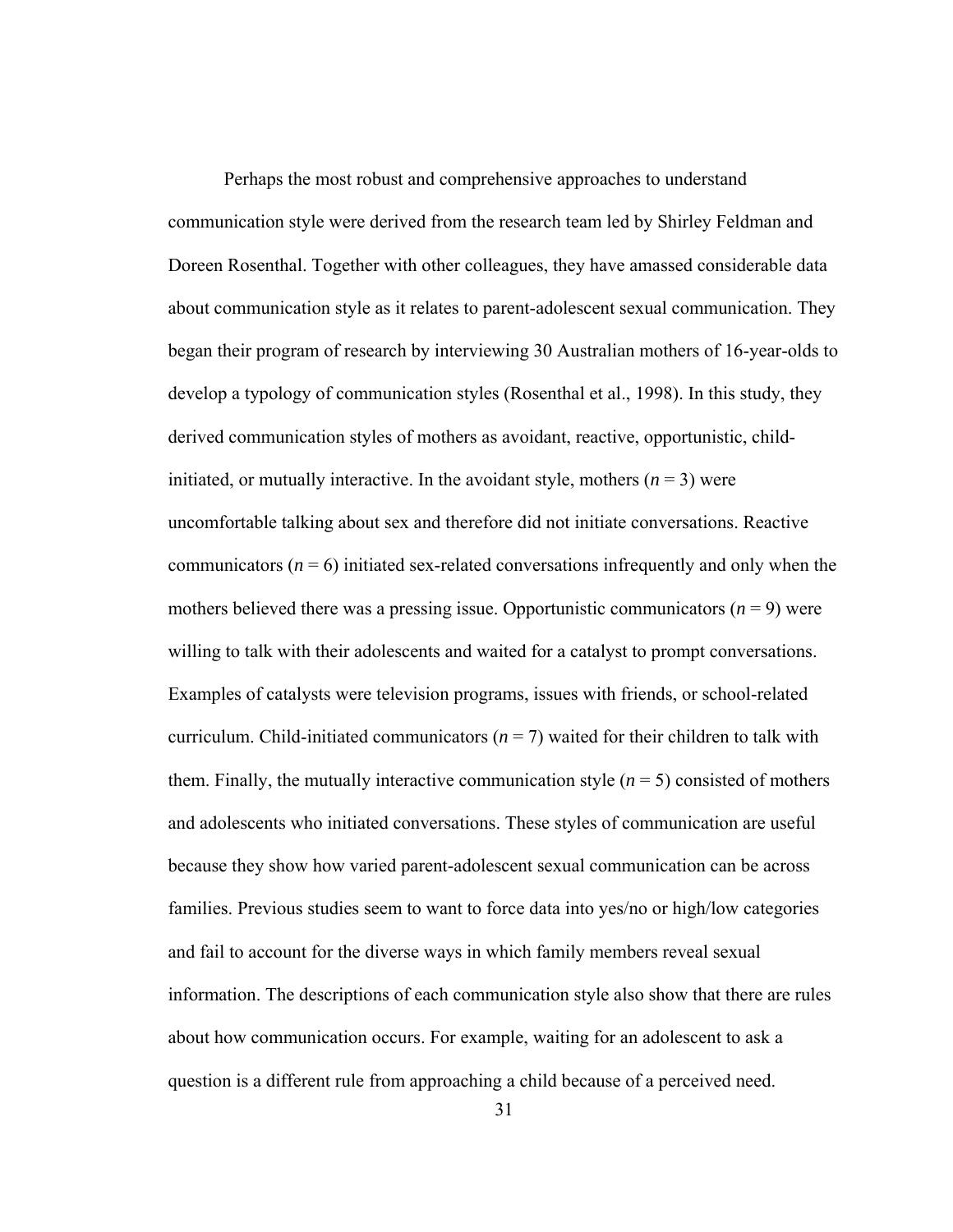Perhaps the most robust and comprehensive approaches to understand communication style were derived from the research team led by Shirley Feldman and Doreen Rosenthal. Together with other colleagues, they have amassed considerable data about communication style as it relates to parent-adolescent sexual communication. They began their program of research by interviewing 30 Australian mothers of 16-year-olds to develop a typology of communication styles (Rosenthal et al., 1998). In this study, they derived communication styles of mothers as avoidant, reactive, opportunistic, childinitiated, or mutually interactive. In the avoidant style, mothers  $(n = 3)$  were uncomfortable talking about sex and therefore did not initiate conversations. Reactive communicators  $(n = 6)$  initiated sex-related conversations infrequently and only when the mothers believed there was a pressing issue. Opportunistic communicators  $(n = 9)$  were willing to talk with their adolescents and waited for a catalyst to prompt conversations. Examples of catalysts were television programs, issues with friends, or school-related curriculum. Child-initiated communicators  $(n = 7)$  waited for their children to talk with them. Finally, the mutually interactive communication style  $(n = 5)$  consisted of mothers and adolescents who initiated conversations. These styles of communication are useful because they show how varied parent-adolescent sexual communication can be across families. Previous studies seem to want to force data into yes/no or high/low categories and fail to account for the diverse ways in which family members reveal sexual information. The descriptions of each communication style also show that there are rules about how communication occurs. For example, waiting for an adolescent to ask a question is a different rule from approaching a child because of a perceived need.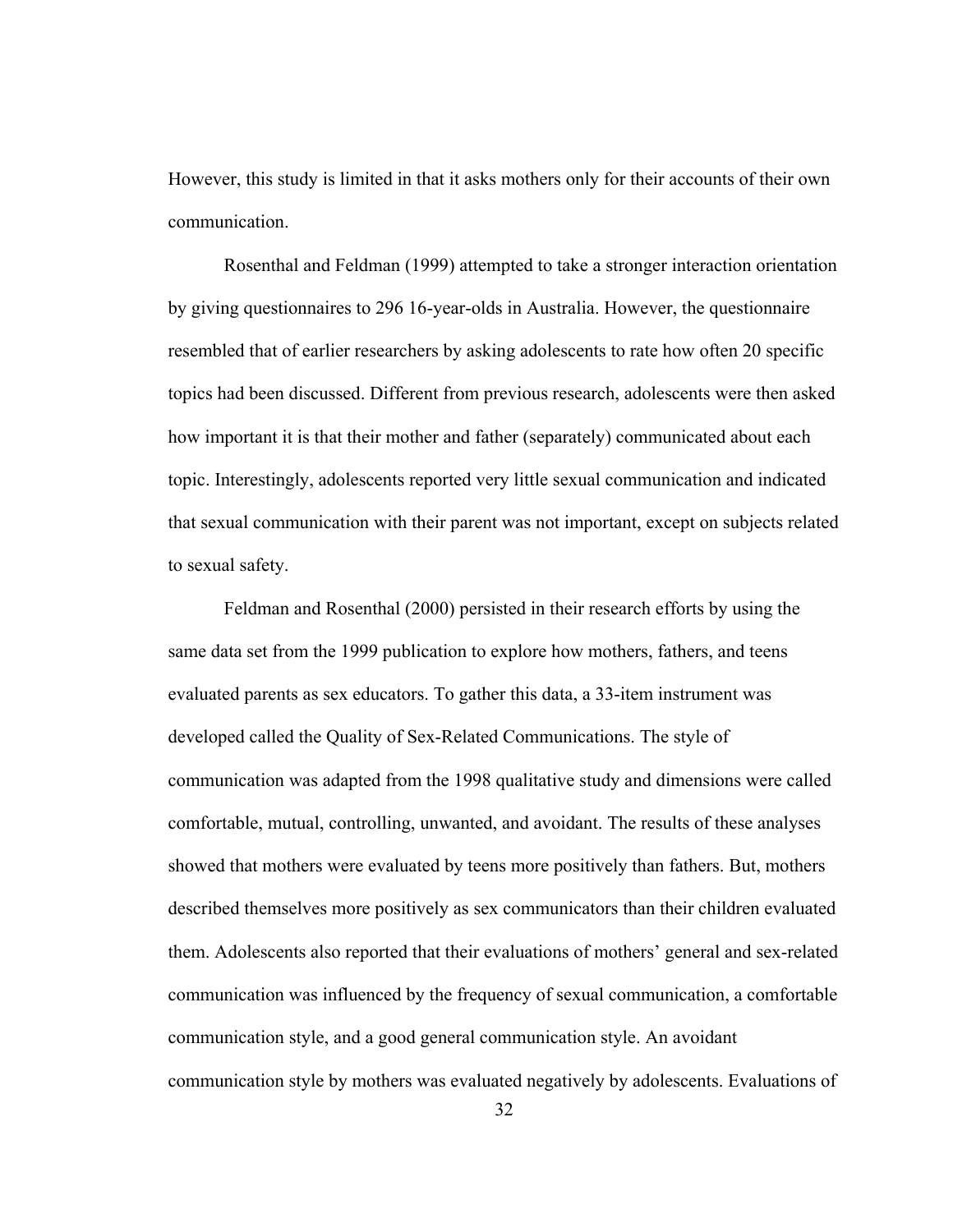However, this study is limited in that it asks mothers only for their accounts of their own communication.

 Rosenthal and Feldman (1999) attempted to take a stronger interaction orientation by giving questionnaires to 296 16-year-olds in Australia. However, the questionnaire resembled that of earlier researchers by asking adolescents to rate how often 20 specific topics had been discussed. Different from previous research, adolescents were then asked how important it is that their mother and father (separately) communicated about each topic. Interestingly, adolescents reported very little sexual communication and indicated that sexual communication with their parent was not important, except on subjects related to sexual safety.

 Feldman and Rosenthal (2000) persisted in their research efforts by using the same data set from the 1999 publication to explore how mothers, fathers, and teens evaluated parents as sex educators. To gather this data, a 33-item instrument was developed called the Quality of Sex-Related Communications. The style of communication was adapted from the 1998 qualitative study and dimensions were called comfortable, mutual, controlling, unwanted, and avoidant. The results of these analyses showed that mothers were evaluated by teens more positively than fathers. But, mothers described themselves more positively as sex communicators than their children evaluated them. Adolescents also reported that their evaluations of mothers' general and sex-related communication was influenced by the frequency of sexual communication, a comfortable communication style, and a good general communication style. An avoidant communication style by mothers was evaluated negatively by adolescents. Evaluations of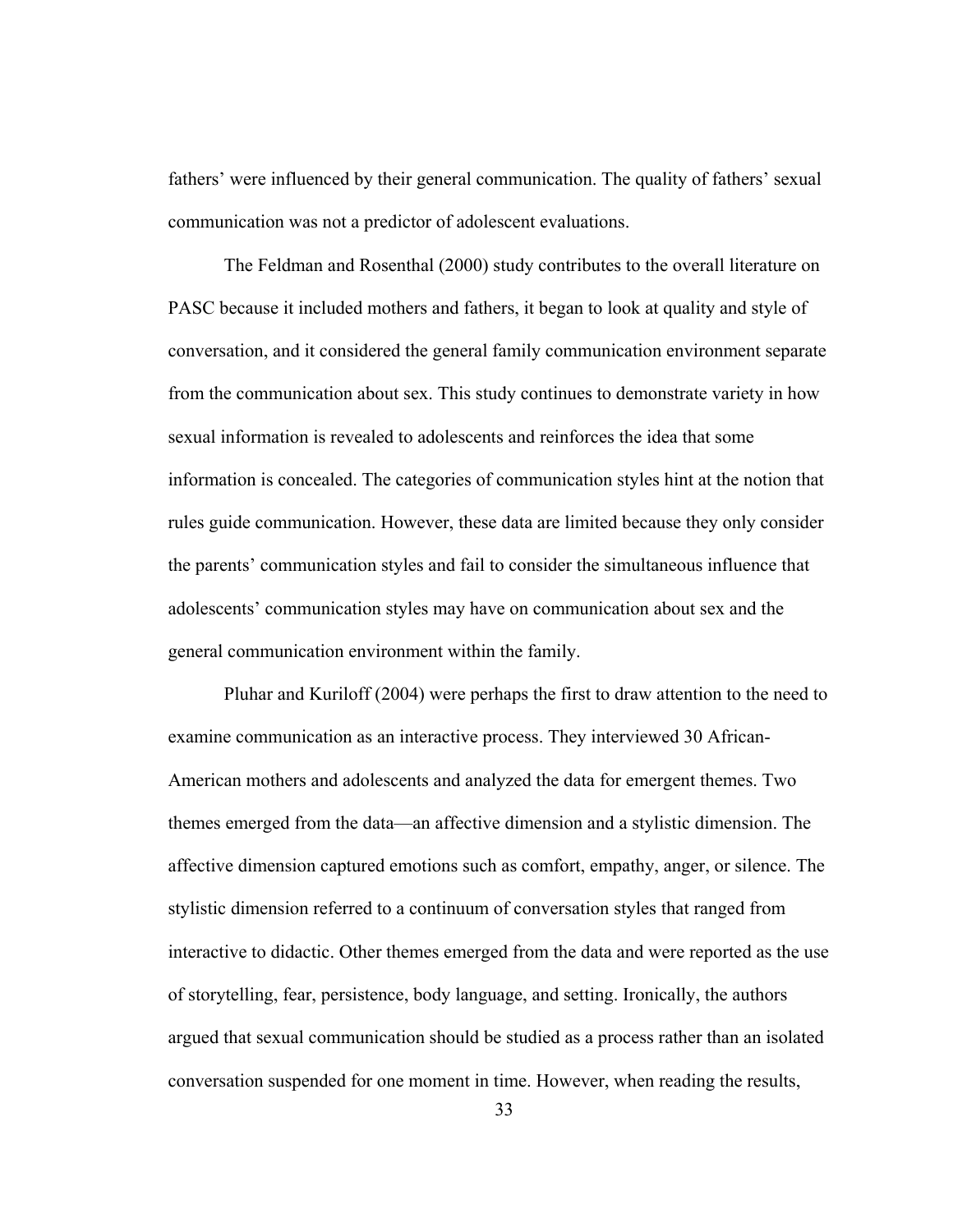fathers' were influenced by their general communication. The quality of fathers' sexual communication was not a predictor of adolescent evaluations.

The Feldman and Rosenthal (2000) study contributes to the overall literature on PASC because it included mothers and fathers, it began to look at quality and style of conversation, and it considered the general family communication environment separate from the communication about sex. This study continues to demonstrate variety in how sexual information is revealed to adolescents and reinforces the idea that some information is concealed. The categories of communication styles hint at the notion that rules guide communication. However, these data are limited because they only consider the parents' communication styles and fail to consider the simultaneous influence that adolescents' communication styles may have on communication about sex and the general communication environment within the family.

Pluhar and Kuriloff (2004) were perhaps the first to draw attention to the need to examine communication as an interactive process. They interviewed 30 African-American mothers and adolescents and analyzed the data for emergent themes. Two themes emerged from the data—an affective dimension and a stylistic dimension. The affective dimension captured emotions such as comfort, empathy, anger, or silence. The stylistic dimension referred to a continuum of conversation styles that ranged from interactive to didactic. Other themes emerged from the data and were reported as the use of storytelling, fear, persistence, body language, and setting. Ironically, the authors argued that sexual communication should be studied as a process rather than an isolated conversation suspended for one moment in time. However, when reading the results,

33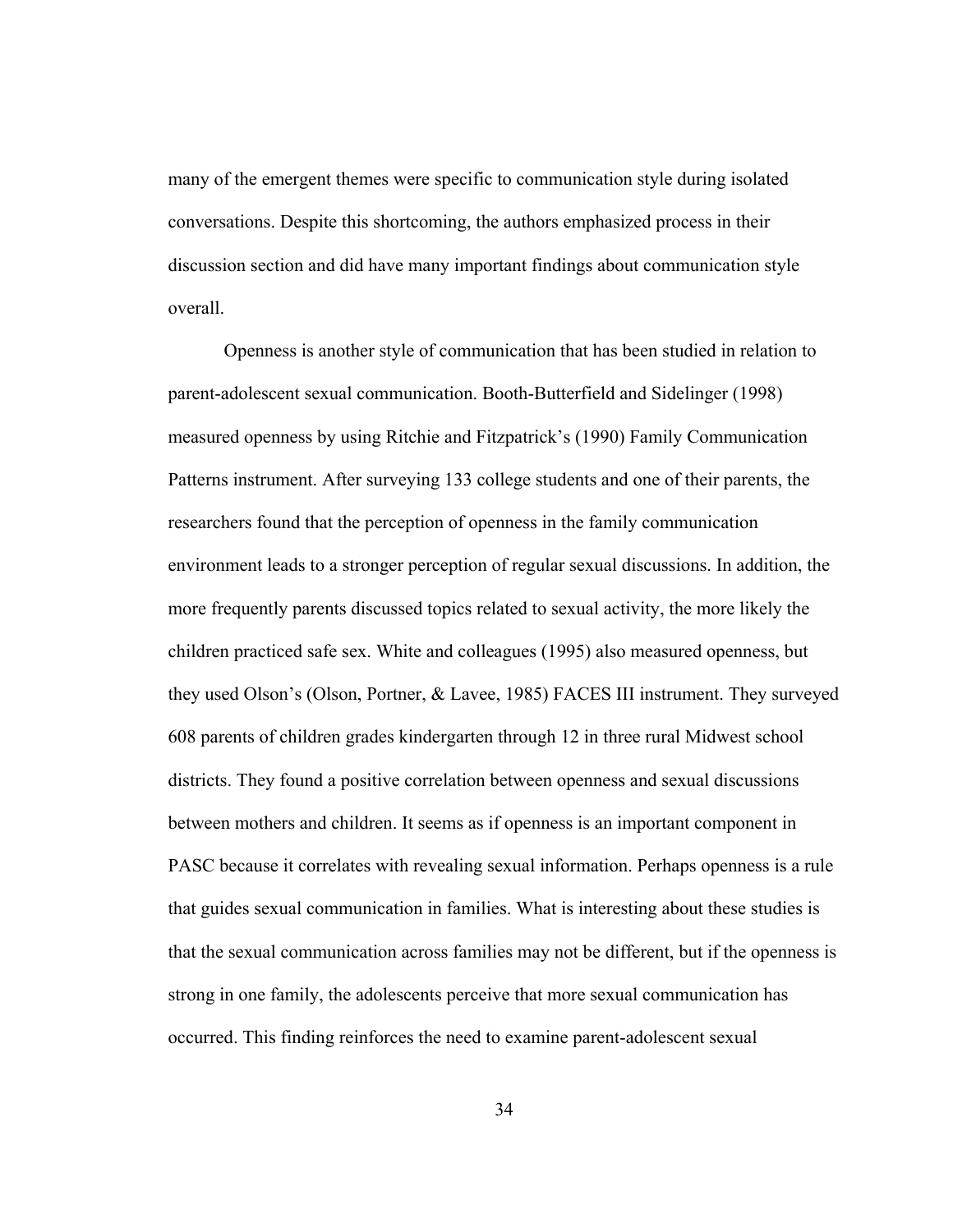many of the emergent themes were specific to communication style during isolated conversations. Despite this shortcoming, the authors emphasized process in their discussion section and did have many important findings about communication style overall.

Openness is another style of communication that has been studied in relation to parent-adolescent sexual communication. Booth-Butterfield and Sidelinger (1998) measured openness by using Ritchie and Fitzpatrick's (1990) Family Communication Patterns instrument. After surveying 133 college students and one of their parents, the researchers found that the perception of openness in the family communication environment leads to a stronger perception of regular sexual discussions. In addition, the more frequently parents discussed topics related to sexual activity, the more likely the children practiced safe sex. White and colleagues (1995) also measured openness, but they used Olson's (Olson, Portner, & Lavee, 1985) FACES III instrument. They surveyed 608 parents of children grades kindergarten through 12 in three rural Midwest school districts. They found a positive correlation between openness and sexual discussions between mothers and children. It seems as if openness is an important component in PASC because it correlates with revealing sexual information. Perhaps openness is a rule that guides sexual communication in families. What is interesting about these studies is that the sexual communication across families may not be different, but if the openness is strong in one family, the adolescents perceive that more sexual communication has occurred. This finding reinforces the need to examine parent-adolescent sexual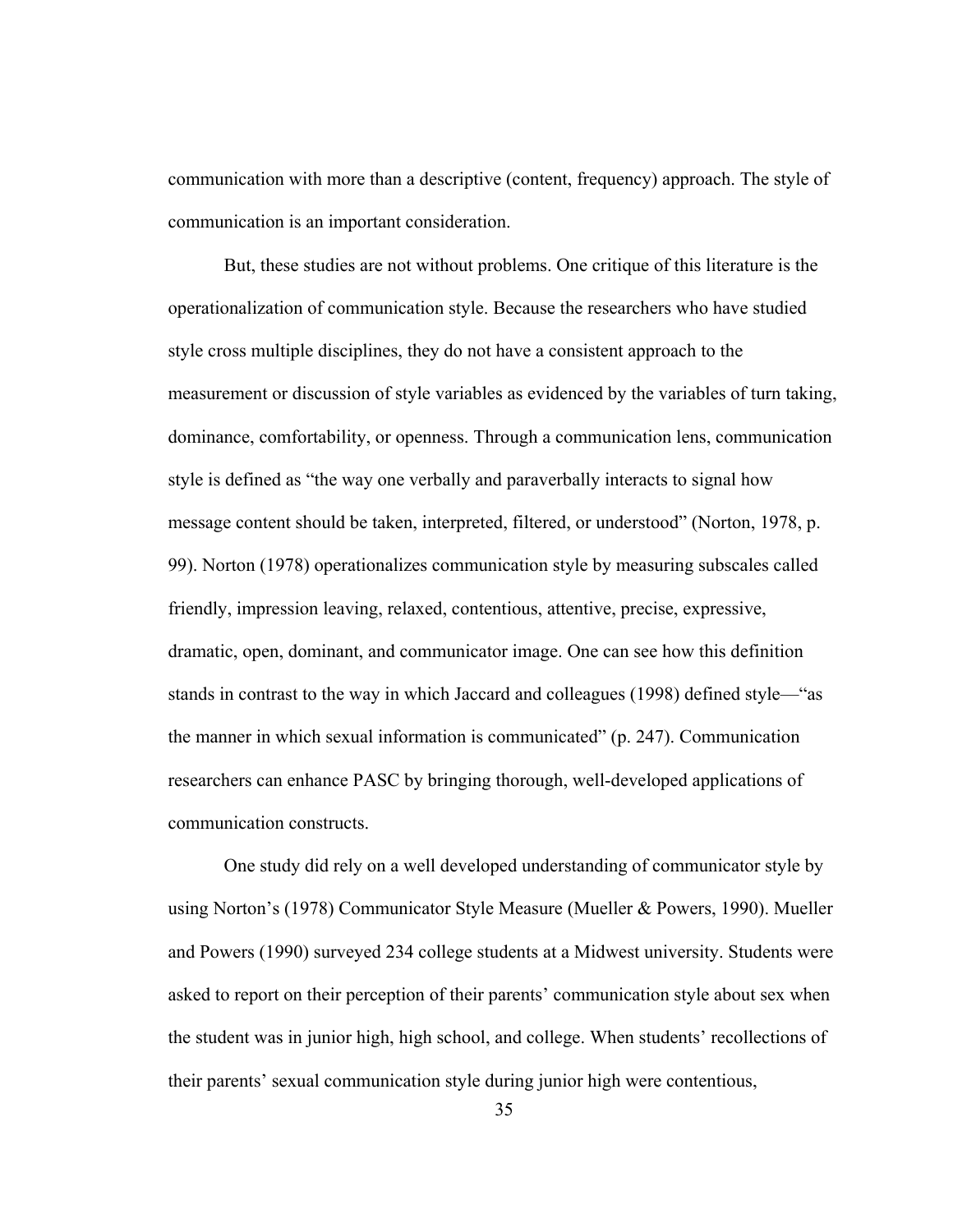communication with more than a descriptive (content, frequency) approach. The style of communication is an important consideration.

But, these studies are not without problems. One critique of this literature is the operationalization of communication style. Because the researchers who have studied style cross multiple disciplines, they do not have a consistent approach to the measurement or discussion of style variables as evidenced by the variables of turn taking, dominance, comfortability, or openness. Through a communication lens, communication style is defined as "the way one verbally and paraverbally interacts to signal how message content should be taken, interpreted, filtered, or understood" (Norton, 1978, p. 99). Norton (1978) operationalizes communication style by measuring subscales called friendly, impression leaving, relaxed, contentious, attentive, precise, expressive, dramatic, open, dominant, and communicator image. One can see how this definition stands in contrast to the way in which Jaccard and colleagues (1998) defined style—"as the manner in which sexual information is communicated" (p. 247). Communication researchers can enhance PASC by bringing thorough, well-developed applications of communication constructs.

One study did rely on a well developed understanding of communicator style by using Norton's (1978) Communicator Style Measure (Mueller & Powers, 1990). Mueller and Powers (1990) surveyed 234 college students at a Midwest university. Students were asked to report on their perception of their parents' communication style about sex when the student was in junior high, high school, and college. When students' recollections of their parents' sexual communication style during junior high were contentious,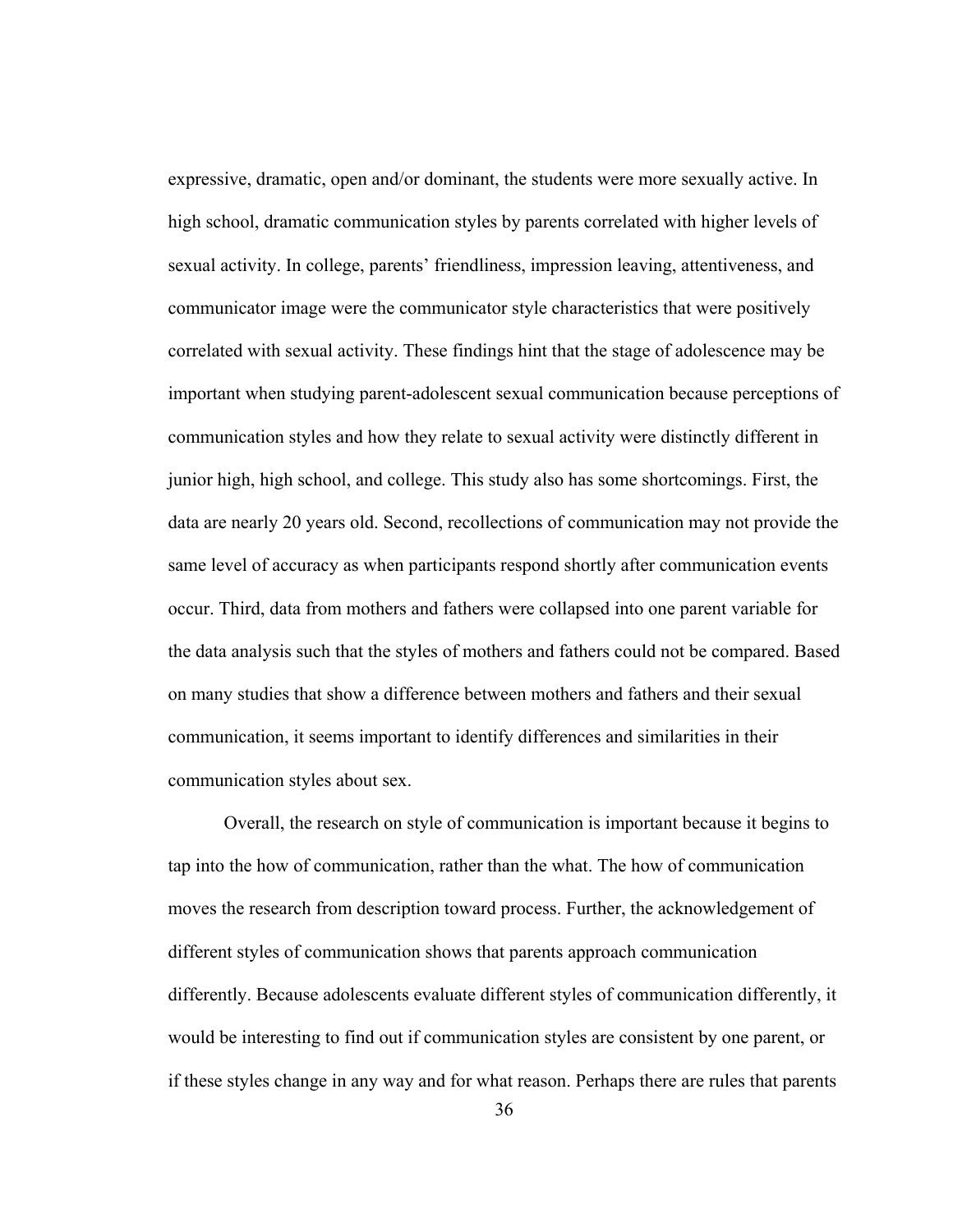expressive, dramatic, open and/or dominant, the students were more sexually active. In high school, dramatic communication styles by parents correlated with higher levels of sexual activity. In college, parents' friendliness, impression leaving, attentiveness, and communicator image were the communicator style characteristics that were positively correlated with sexual activity. These findings hint that the stage of adolescence may be important when studying parent-adolescent sexual communication because perceptions of communication styles and how they relate to sexual activity were distinctly different in junior high, high school, and college. This study also has some shortcomings. First, the data are nearly 20 years old. Second, recollections of communication may not provide the same level of accuracy as when participants respond shortly after communication events occur. Third, data from mothers and fathers were collapsed into one parent variable for the data analysis such that the styles of mothers and fathers could not be compared. Based on many studies that show a difference between mothers and fathers and their sexual communication, it seems important to identify differences and similarities in their communication styles about sex.

 Overall, the research on style of communication is important because it begins to tap into the how of communication, rather than the what. The how of communication moves the research from description toward process. Further, the acknowledgement of different styles of communication shows that parents approach communication differently. Because adolescents evaluate different styles of communication differently, it would be interesting to find out if communication styles are consistent by one parent, or if these styles change in any way and for what reason. Perhaps there are rules that parents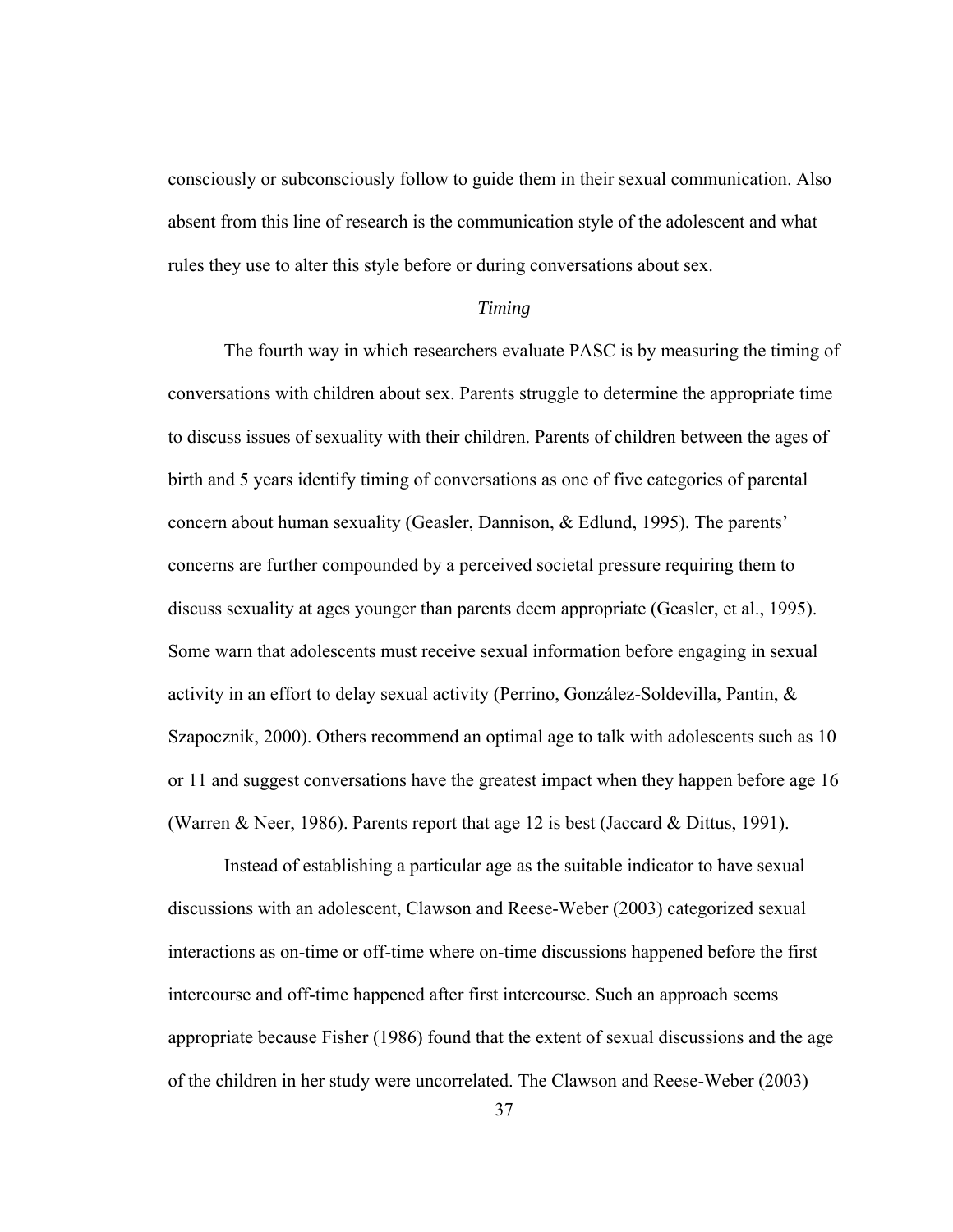consciously or subconsciously follow to guide them in their sexual communication. Also absent from this line of research is the communication style of the adolescent and what rules they use to alter this style before or during conversations about sex.

#### *Timing*

The fourth way in which researchers evaluate PASC is by measuring the timing of conversations with children about sex. Parents struggle to determine the appropriate time to discuss issues of sexuality with their children. Parents of children between the ages of birth and 5 years identify timing of conversations as one of five categories of parental concern about human sexuality (Geasler, Dannison, & Edlund, 1995). The parents' concerns are further compounded by a perceived societal pressure requiring them to discuss sexuality at ages younger than parents deem appropriate (Geasler, et al., 1995). Some warn that adolescents must receive sexual information before engaging in sexual activity in an effort to delay sexual activity (Perrino, González-Soldevilla, Pantin, & Szapocznik, 2000). Others recommend an optimal age to talk with adolescents such as 10 or 11 and suggest conversations have the greatest impact when they happen before age 16 (Warren & Neer, 1986). Parents report that age 12 is best (Jaccard & Dittus, 1991).

Instead of establishing a particular age as the suitable indicator to have sexual discussions with an adolescent, Clawson and Reese-Weber (2003) categorized sexual interactions as on-time or off-time where on-time discussions happened before the first intercourse and off-time happened after first intercourse. Such an approach seems appropriate because Fisher (1986) found that the extent of sexual discussions and the age of the children in her study were uncorrelated. The Clawson and Reese-Weber (2003)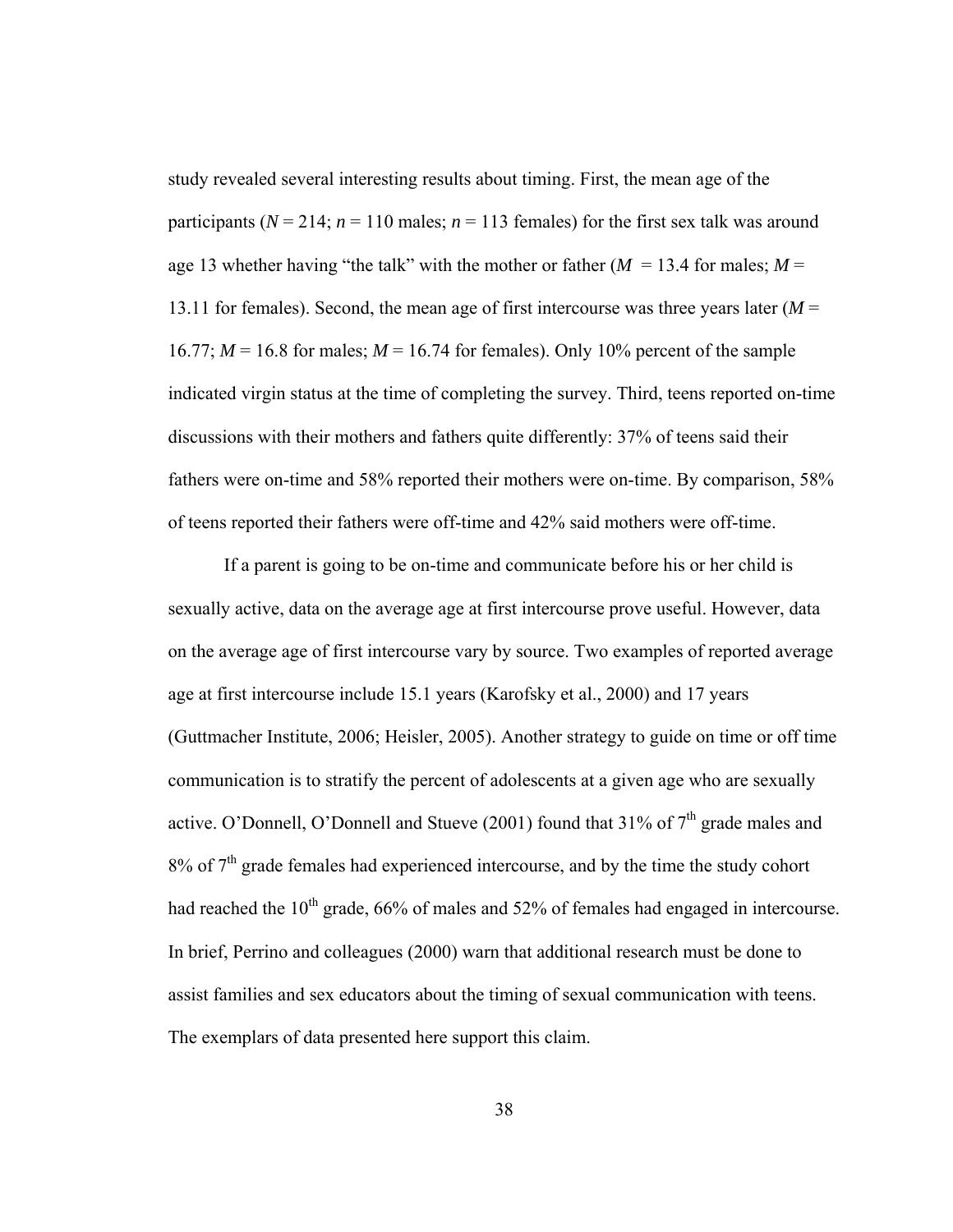study revealed several interesting results about timing. First, the mean age of the participants ( $N = 214$ ;  $n = 110$  males;  $n = 113$  females) for the first sex talk was around age 13 whether having "the talk" with the mother or father  $(M = 13.4$  for males;  $M =$ 13.11 for females). Second, the mean age of first intercourse was three years later (*M* = 16.77;  $M = 16.8$  for males;  $M = 16.74$  for females). Only 10% percent of the sample indicated virgin status at the time of completing the survey. Third, teens reported on-time discussions with their mothers and fathers quite differently: 37% of teens said their fathers were on-time and 58% reported their mothers were on-time. By comparison, 58% of teens reported their fathers were off-time and 42% said mothers were off-time.

If a parent is going to be on-time and communicate before his or her child is sexually active, data on the average age at first intercourse prove useful. However, data on the average age of first intercourse vary by source. Two examples of reported average age at first intercourse include 15.1 years (Karofsky et al., 2000) and 17 years (Guttmacher Institute, 2006; Heisler, 2005). Another strategy to guide on time or off time communication is to stratify the percent of adolescents at a given age who are sexually active. O'Donnell, O'Donnell and Stueve (2001) found that  $31\%$  of  $7<sup>th</sup>$  grade males and  $8\%$  of  $7<sup>th</sup>$  grade females had experienced intercourse, and by the time the study cohort had reached the  $10<sup>th</sup>$  grade,  $66%$  of males and  $52%$  of females had engaged in intercourse. In brief, Perrino and colleagues (2000) warn that additional research must be done to assist families and sex educators about the timing of sexual communication with teens. The exemplars of data presented here support this claim.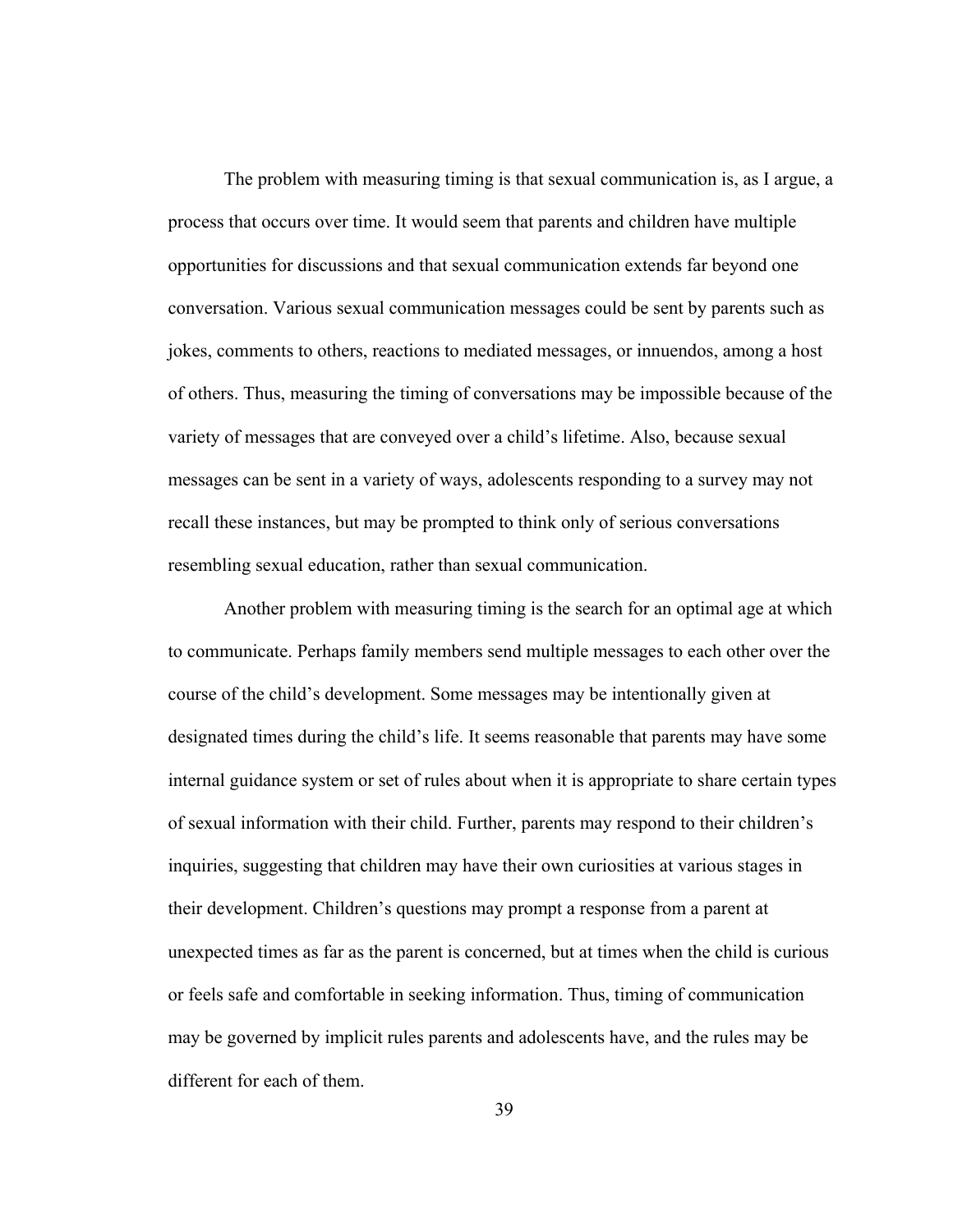The problem with measuring timing is that sexual communication is, as I argue, a process that occurs over time. It would seem that parents and children have multiple opportunities for discussions and that sexual communication extends far beyond one conversation. Various sexual communication messages could be sent by parents such as jokes, comments to others, reactions to mediated messages, or innuendos, among a host of others. Thus, measuring the timing of conversations may be impossible because of the variety of messages that are conveyed over a child's lifetime. Also, because sexual messages can be sent in a variety of ways, adolescents responding to a survey may not recall these instances, but may be prompted to think only of serious conversations resembling sexual education, rather than sexual communication.

Another problem with measuring timing is the search for an optimal age at which to communicate. Perhaps family members send multiple messages to each other over the course of the child's development. Some messages may be intentionally given at designated times during the child's life. It seems reasonable that parents may have some internal guidance system or set of rules about when it is appropriate to share certain types of sexual information with their child. Further, parents may respond to their children's inquiries, suggesting that children may have their own curiosities at various stages in their development. Children's questions may prompt a response from a parent at unexpected times as far as the parent is concerned, but at times when the child is curious or feels safe and comfortable in seeking information. Thus, timing of communication may be governed by implicit rules parents and adolescents have, and the rules may be different for each of them.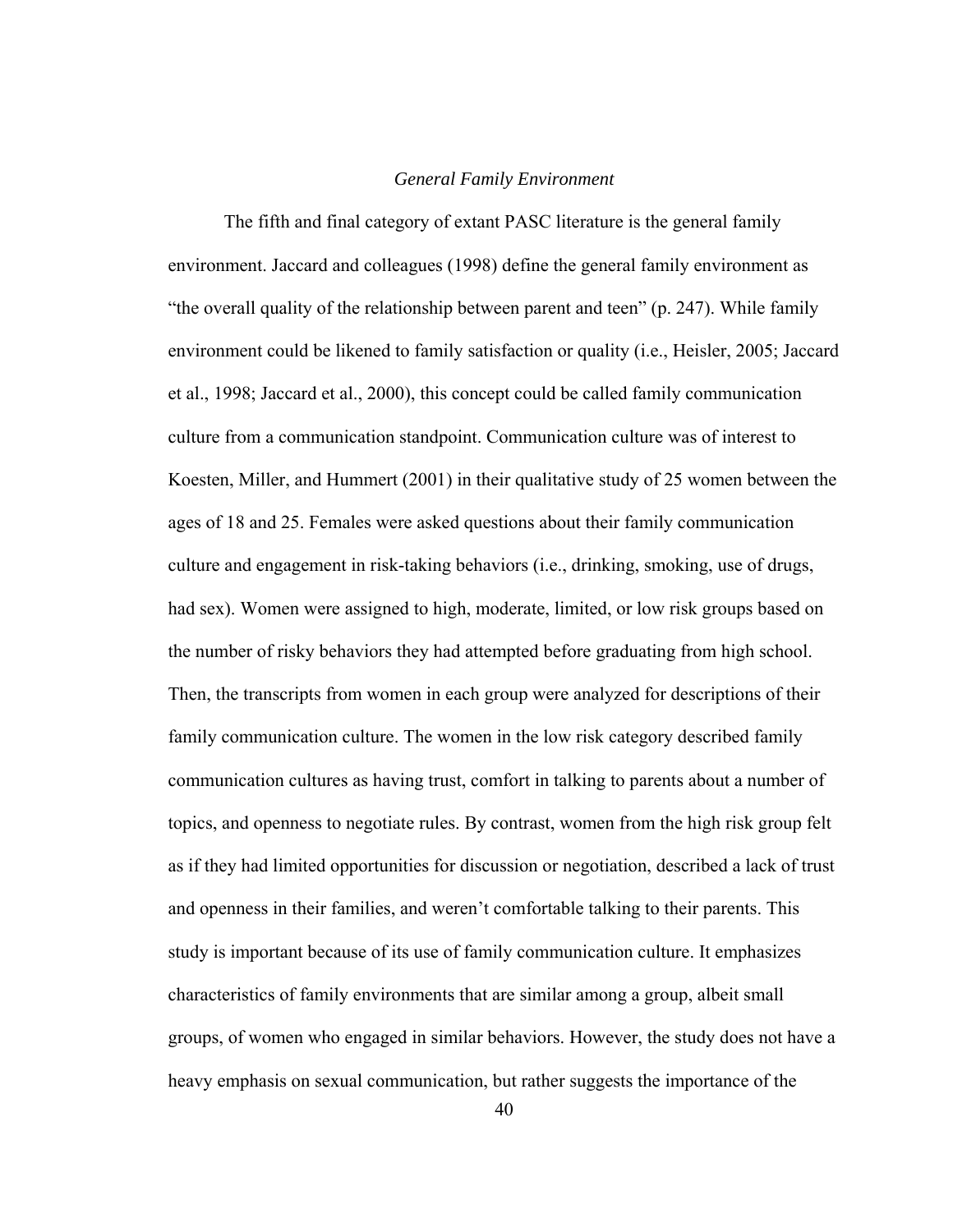#### *General Family Environment*

The fifth and final category of extant PASC literature is the general family environment. Jaccard and colleagues (1998) define the general family environment as "the overall quality of the relationship between parent and teen" (p. 247). While family environment could be likened to family satisfaction or quality (i.e., Heisler, 2005; Jaccard et al., 1998; Jaccard et al., 2000), this concept could be called family communication culture from a communication standpoint. Communication culture was of interest to Koesten, Miller, and Hummert (2001) in their qualitative study of 25 women between the ages of 18 and 25. Females were asked questions about their family communication culture and engagement in risk-taking behaviors (i.e., drinking, smoking, use of drugs, had sex). Women were assigned to high, moderate, limited, or low risk groups based on the number of risky behaviors they had attempted before graduating from high school. Then, the transcripts from women in each group were analyzed for descriptions of their family communication culture. The women in the low risk category described family communication cultures as having trust, comfort in talking to parents about a number of topics, and openness to negotiate rules. By contrast, women from the high risk group felt as if they had limited opportunities for discussion or negotiation, described a lack of trust and openness in their families, and weren't comfortable talking to their parents. This study is important because of its use of family communication culture. It emphasizes characteristics of family environments that are similar among a group, albeit small groups, of women who engaged in similar behaviors. However, the study does not have a heavy emphasis on sexual communication, but rather suggests the importance of the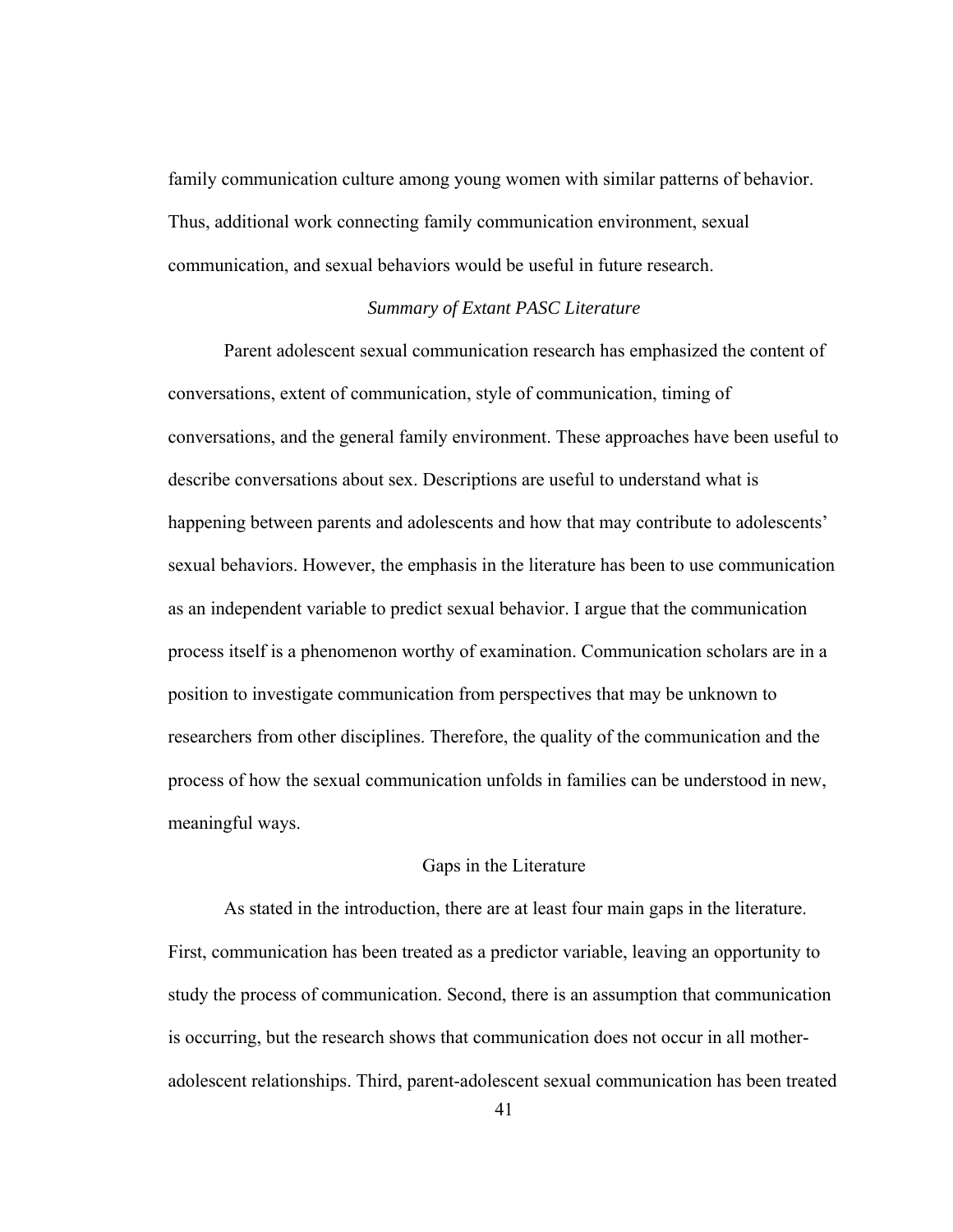family communication culture among young women with similar patterns of behavior. Thus, additional work connecting family communication environment, sexual communication, and sexual behaviors would be useful in future research.

## *Summary of Extant PASC Literature*

 Parent adolescent sexual communication research has emphasized the content of conversations, extent of communication, style of communication, timing of conversations, and the general family environment. These approaches have been useful to describe conversations about sex. Descriptions are useful to understand what is happening between parents and adolescents and how that may contribute to adolescents' sexual behaviors. However, the emphasis in the literature has been to use communication as an independent variable to predict sexual behavior. I argue that the communication process itself is a phenomenon worthy of examination. Communication scholars are in a position to investigate communication from perspectives that may be unknown to researchers from other disciplines. Therefore, the quality of the communication and the process of how the sexual communication unfolds in families can be understood in new, meaningful ways.

## Gaps in the Literature

 As stated in the introduction, there are at least four main gaps in the literature. First, communication has been treated as a predictor variable, leaving an opportunity to study the process of communication. Second, there is an assumption that communication is occurring, but the research shows that communication does not occur in all motheradolescent relationships. Third, parent-adolescent sexual communication has been treated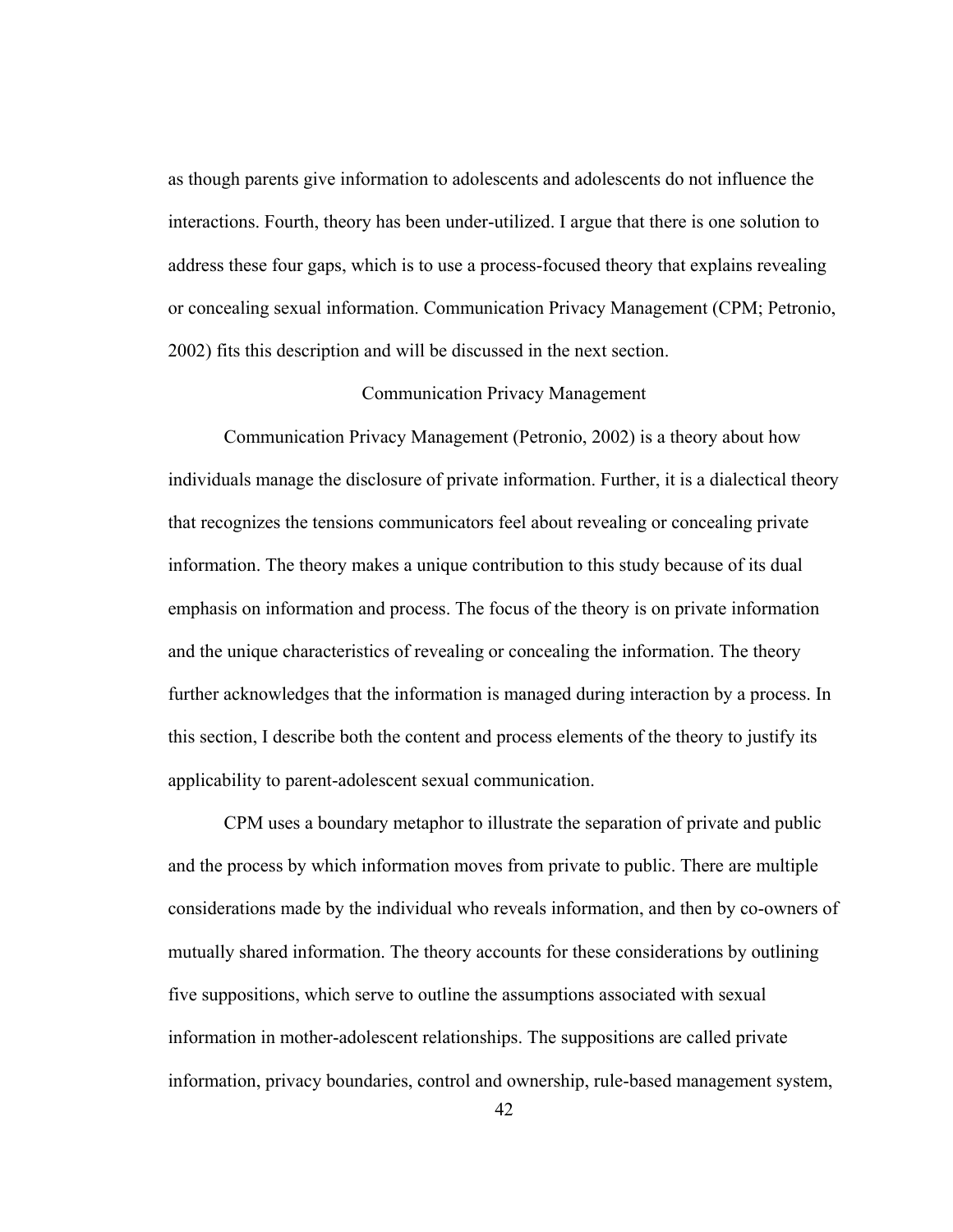as though parents give information to adolescents and adolescents do not influence the interactions. Fourth, theory has been under-utilized. I argue that there is one solution to address these four gaps, which is to use a process-focused theory that explains revealing or concealing sexual information. Communication Privacy Management (CPM; Petronio, 2002) fits this description and will be discussed in the next section.

## Communication Privacy Management

 Communication Privacy Management (Petronio, 2002) is a theory about how individuals manage the disclosure of private information. Further, it is a dialectical theory that recognizes the tensions communicators feel about revealing or concealing private information. The theory makes a unique contribution to this study because of its dual emphasis on information and process. The focus of the theory is on private information and the unique characteristics of revealing or concealing the information. The theory further acknowledges that the information is managed during interaction by a process. In this section, I describe both the content and process elements of the theory to justify its applicability to parent-adolescent sexual communication.

CPM uses a boundary metaphor to illustrate the separation of private and public and the process by which information moves from private to public. There are multiple considerations made by the individual who reveals information, and then by co-owners of mutually shared information. The theory accounts for these considerations by outlining five suppositions, which serve to outline the assumptions associated with sexual information in mother-adolescent relationships. The suppositions are called private information, privacy boundaries, control and ownership, rule-based management system,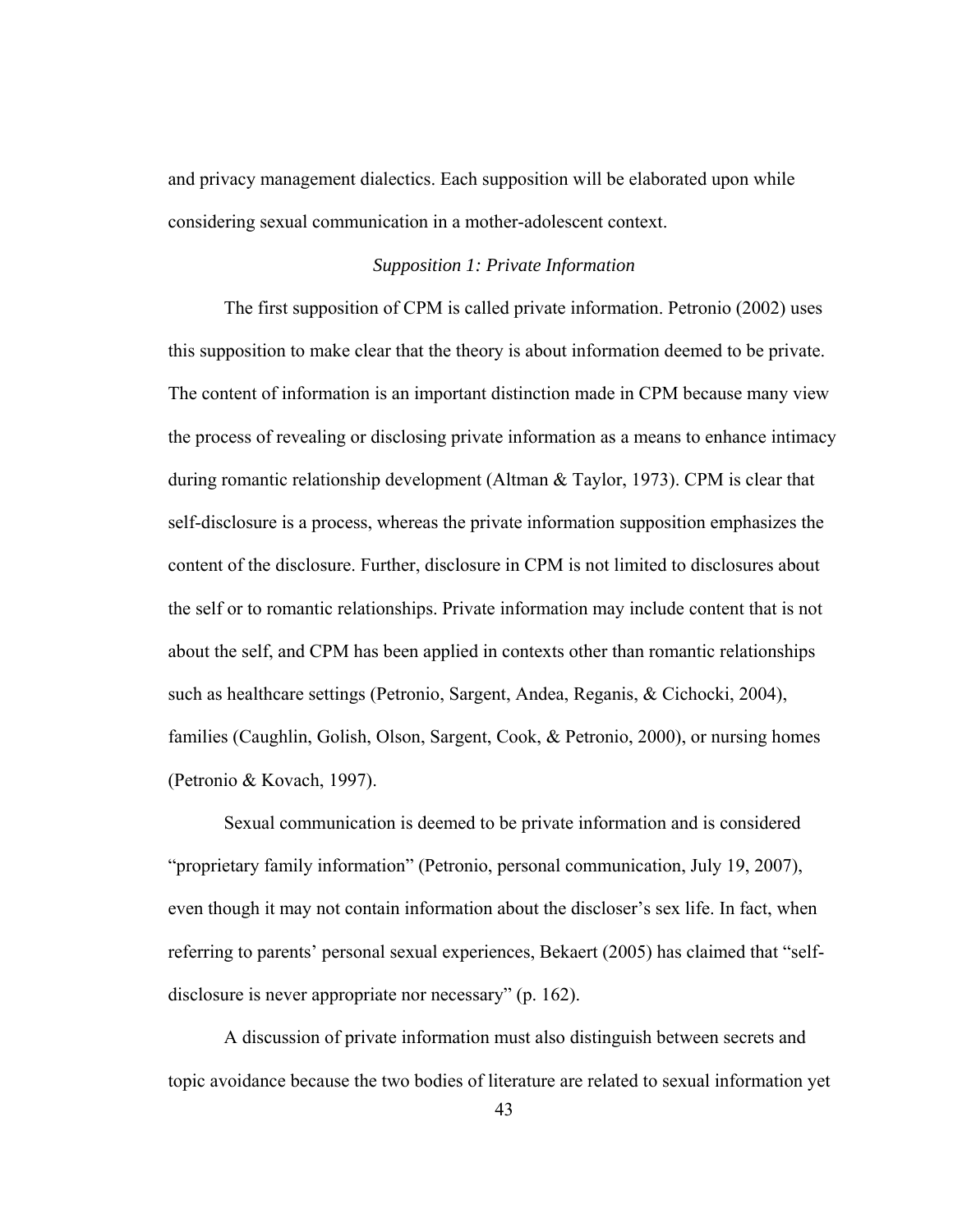and privacy management dialectics. Each supposition will be elaborated upon while considering sexual communication in a mother-adolescent context.

## *Supposition 1: Private Information*

The first supposition of CPM is called private information. Petronio (2002) uses this supposition to make clear that the theory is about information deemed to be private. The content of information is an important distinction made in CPM because many view the process of revealing or disclosing private information as a means to enhance intimacy during romantic relationship development (Altman & Taylor, 1973). CPM is clear that self-disclosure is a process, whereas the private information supposition emphasizes the content of the disclosure. Further, disclosure in CPM is not limited to disclosures about the self or to romantic relationships. Private information may include content that is not about the self, and CPM has been applied in contexts other than romantic relationships such as healthcare settings (Petronio, Sargent, Andea, Reganis, & Cichocki, 2004), families (Caughlin, Golish, Olson, Sargent, Cook, & Petronio, 2000), or nursing homes (Petronio & Kovach, 1997).

Sexual communication is deemed to be private information and is considered "proprietary family information" (Petronio, personal communication, July 19, 2007), even though it may not contain information about the discloser's sex life. In fact, when referring to parents' personal sexual experiences, Bekaert (2005) has claimed that "selfdisclosure is never appropriate nor necessary" (p. 162).

A discussion of private information must also distinguish between secrets and topic avoidance because the two bodies of literature are related to sexual information yet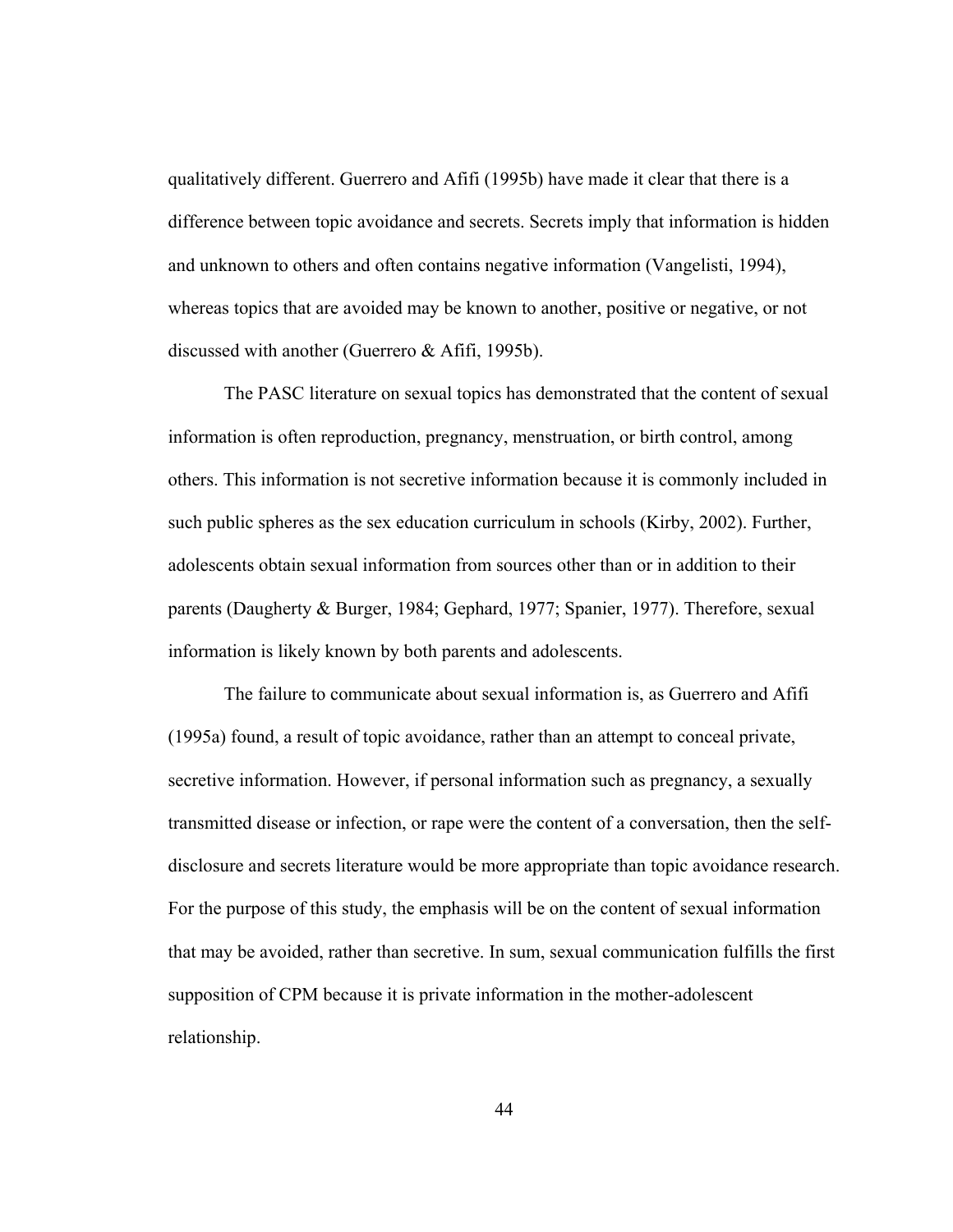qualitatively different. Guerrero and Afifi (1995b) have made it clear that there is a difference between topic avoidance and secrets. Secrets imply that information is hidden and unknown to others and often contains negative information (Vangelisti, 1994), whereas topics that are avoided may be known to another, positive or negative, or not discussed with another (Guerrero & Afifi, 1995b).

The PASC literature on sexual topics has demonstrated that the content of sexual information is often reproduction, pregnancy, menstruation, or birth control, among others. This information is not secretive information because it is commonly included in such public spheres as the sex education curriculum in schools (Kirby, 2002). Further, adolescents obtain sexual information from sources other than or in addition to their parents (Daugherty & Burger, 1984; Gephard, 1977; Spanier, 1977). Therefore, sexual information is likely known by both parents and adolescents.

The failure to communicate about sexual information is, as Guerrero and Afifi (1995a) found, a result of topic avoidance, rather than an attempt to conceal private, secretive information. However, if personal information such as pregnancy, a sexually transmitted disease or infection, or rape were the content of a conversation, then the selfdisclosure and secrets literature would be more appropriate than topic avoidance research. For the purpose of this study, the emphasis will be on the content of sexual information that may be avoided, rather than secretive. In sum, sexual communication fulfills the first supposition of CPM because it is private information in the mother-adolescent relationship.

44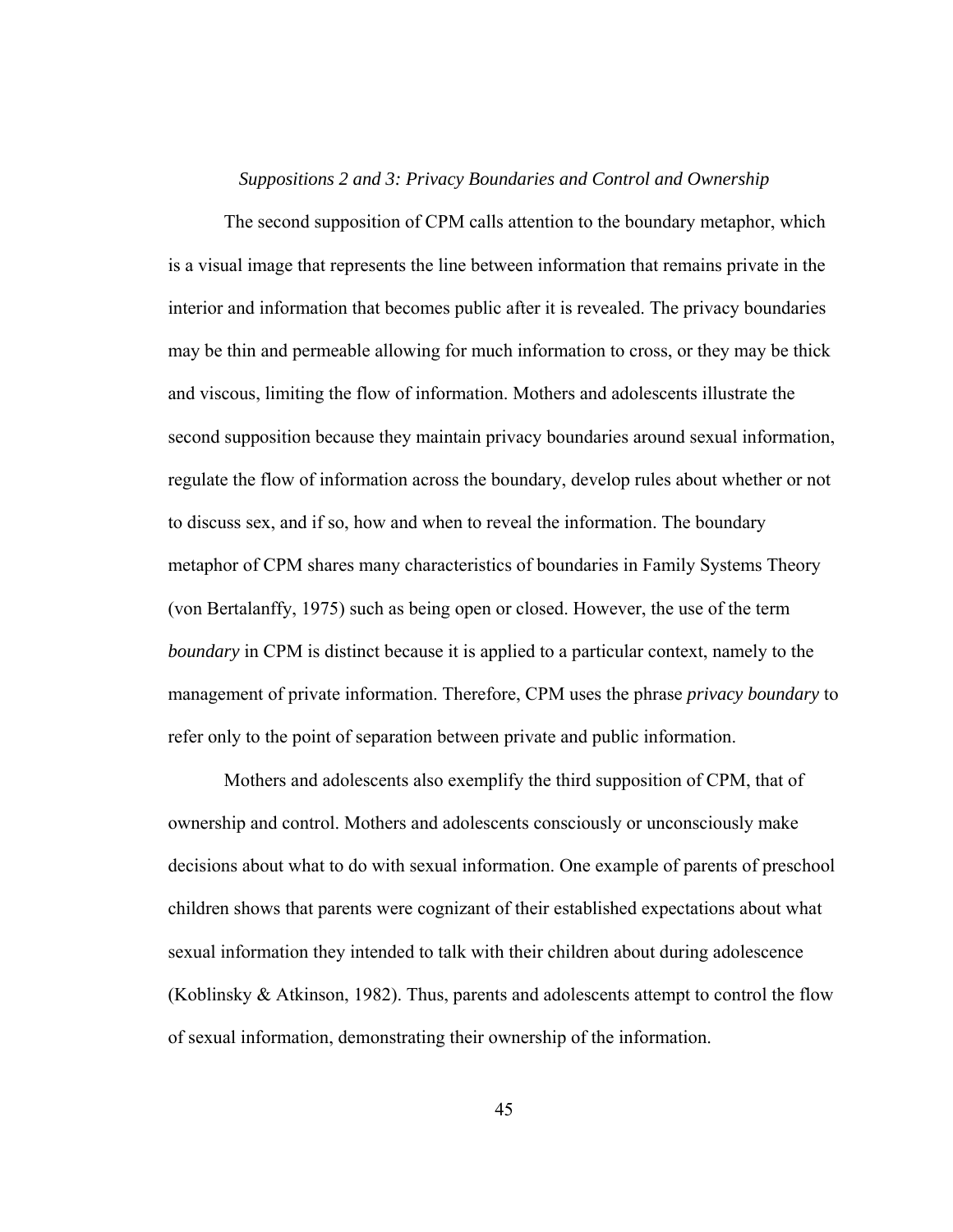### *Suppositions 2 and 3: Privacy Boundaries and Control and Ownership*

 The second supposition of CPM calls attention to the boundary metaphor, which is a visual image that represents the line between information that remains private in the interior and information that becomes public after it is revealed. The privacy boundaries may be thin and permeable allowing for much information to cross, or they may be thick and viscous, limiting the flow of information. Mothers and adolescents illustrate the second supposition because they maintain privacy boundaries around sexual information, regulate the flow of information across the boundary, develop rules about whether or not to discuss sex, and if so, how and when to reveal the information. The boundary metaphor of CPM shares many characteristics of boundaries in Family Systems Theory (von Bertalanffy, 1975) such as being open or closed. However, the use of the term *boundary* in CPM is distinct because it is applied to a particular context, namely to the management of private information. Therefore, CPM uses the phrase *privacy boundary* to refer only to the point of separation between private and public information.

Mothers and adolescents also exemplify the third supposition of CPM, that of ownership and control. Mothers and adolescents consciously or unconsciously make decisions about what to do with sexual information. One example of parents of preschool children shows that parents were cognizant of their established expectations about what sexual information they intended to talk with their children about during adolescence (Koblinsky & Atkinson, 1982). Thus, parents and adolescents attempt to control the flow of sexual information, demonstrating their ownership of the information.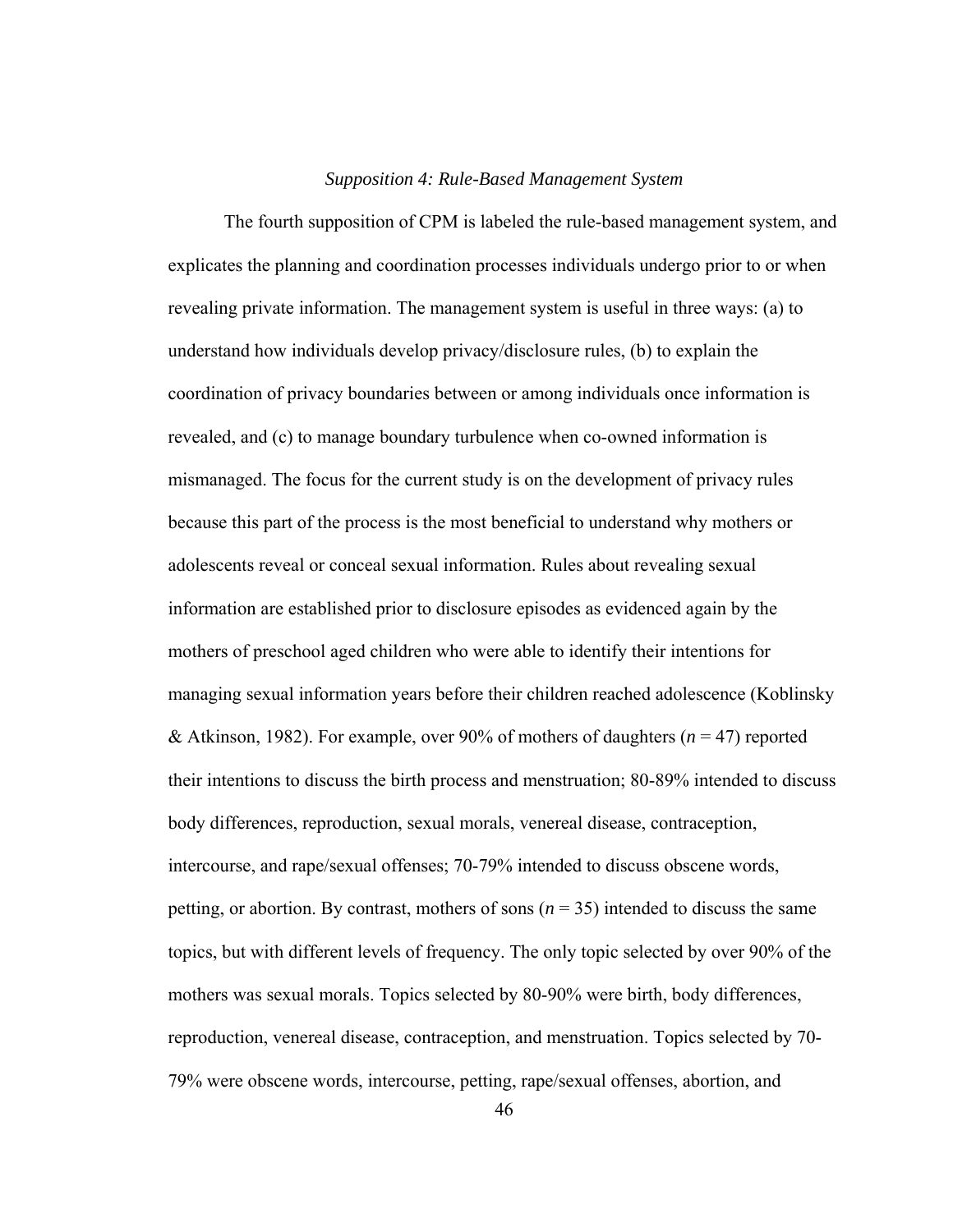#### *Supposition 4: Rule-Based Management System*

The fourth supposition of CPM is labeled the rule-based management system, and explicates the planning and coordination processes individuals undergo prior to or when revealing private information. The management system is useful in three ways: (a) to understand how individuals develop privacy/disclosure rules, (b) to explain the coordination of privacy boundaries between or among individuals once information is revealed, and (c) to manage boundary turbulence when co-owned information is mismanaged. The focus for the current study is on the development of privacy rules because this part of the process is the most beneficial to understand why mothers or adolescents reveal or conceal sexual information. Rules about revealing sexual information are established prior to disclosure episodes as evidenced again by the mothers of preschool aged children who were able to identify their intentions for managing sexual information years before their children reached adolescence (Koblinsky & Atkinson, 1982). For example, over 90% of mothers of daughters (*n* = 47) reported their intentions to discuss the birth process and menstruation; 80-89% intended to discuss body differences, reproduction, sexual morals, venereal disease, contraception, intercourse, and rape/sexual offenses; 70-79% intended to discuss obscene words, petting, or abortion. By contrast, mothers of sons  $(n = 35)$  intended to discuss the same topics, but with different levels of frequency. The only topic selected by over 90% of the mothers was sexual morals. Topics selected by 80-90% were birth, body differences, reproduction, venereal disease, contraception, and menstruation. Topics selected by 70- 79% were obscene words, intercourse, petting, rape/sexual offenses, abortion, and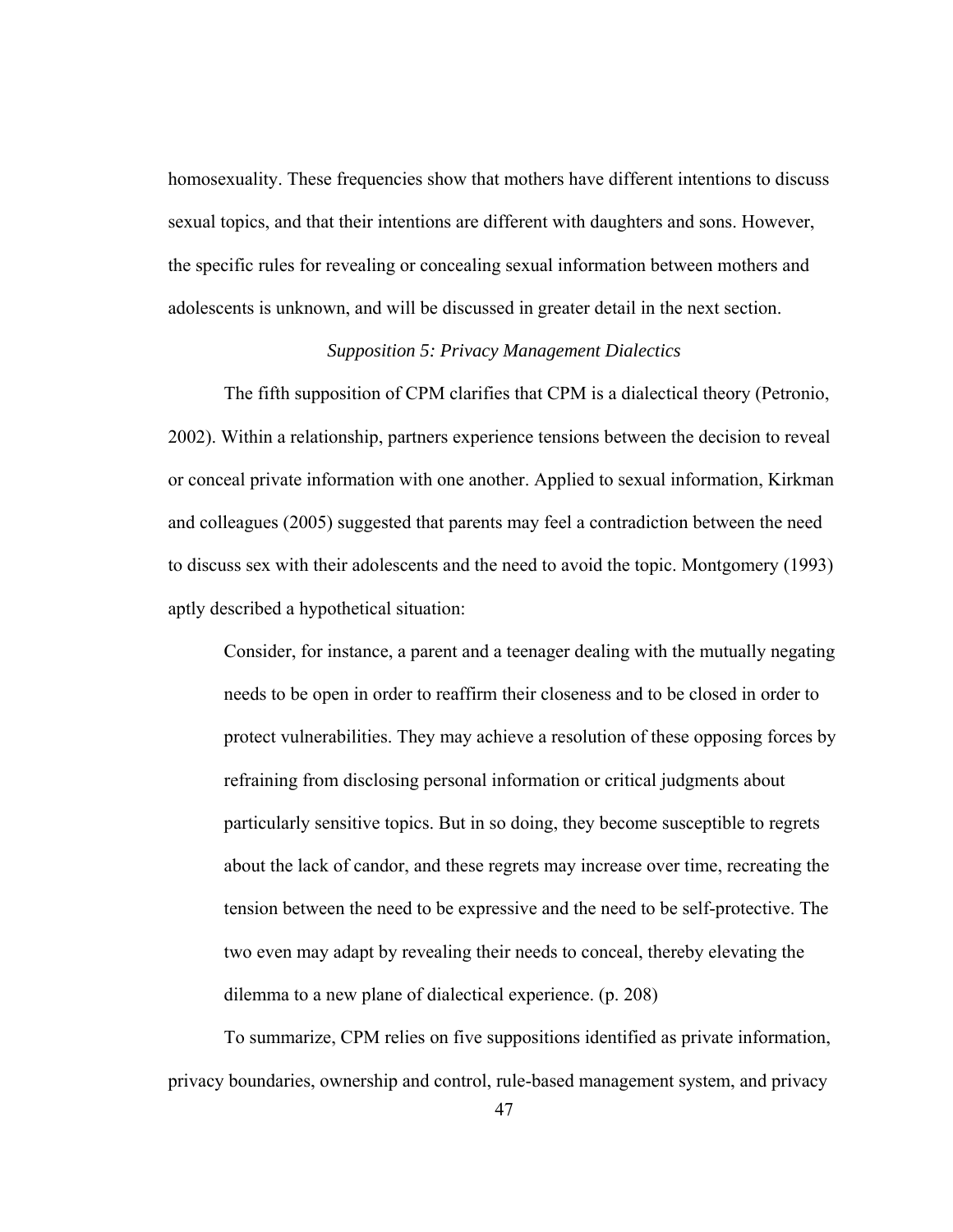homosexuality. These frequencies show that mothers have different intentions to discuss sexual topics, and that their intentions are different with daughters and sons. However, the specific rules for revealing or concealing sexual information between mothers and adolescents is unknown, and will be discussed in greater detail in the next section.

# *Supposition 5: Privacy Management Dialectics*

The fifth supposition of CPM clarifies that CPM is a dialectical theory (Petronio, 2002). Within a relationship, partners experience tensions between the decision to reveal or conceal private information with one another. Applied to sexual information, Kirkman and colleagues (2005) suggested that parents may feel a contradiction between the need to discuss sex with their adolescents and the need to avoid the topic. Montgomery (1993) aptly described a hypothetical situation:

Consider, for instance, a parent and a teenager dealing with the mutually negating needs to be open in order to reaffirm their closeness and to be closed in order to protect vulnerabilities. They may achieve a resolution of these opposing forces by refraining from disclosing personal information or critical judgments about particularly sensitive topics. But in so doing, they become susceptible to regrets about the lack of candor, and these regrets may increase over time, recreating the tension between the need to be expressive and the need to be self-protective. The two even may adapt by revealing their needs to conceal, thereby elevating the dilemma to a new plane of dialectical experience. (p. 208)

 To summarize, CPM relies on five suppositions identified as private information, privacy boundaries, ownership and control, rule-based management system, and privacy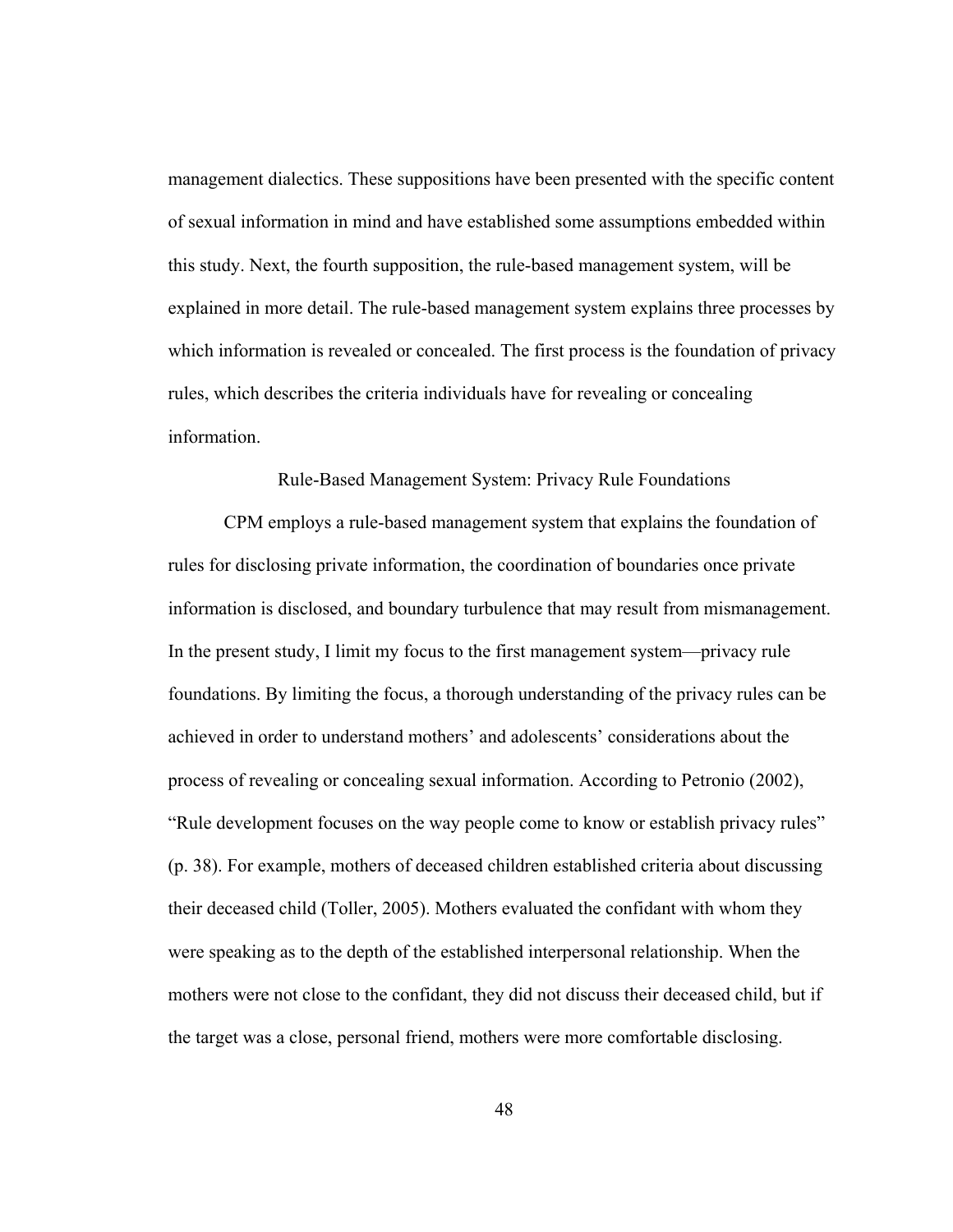management dialectics. These suppositions have been presented with the specific content of sexual information in mind and have established some assumptions embedded within this study. Next, the fourth supposition, the rule-based management system, will be explained in more detail. The rule-based management system explains three processes by which information is revealed or concealed. The first process is the foundation of privacy rules, which describes the criteria individuals have for revealing or concealing information.

## Rule-Based Management System: Privacy Rule Foundations

 CPM employs a rule-based management system that explains the foundation of rules for disclosing private information, the coordination of boundaries once private information is disclosed, and boundary turbulence that may result from mismanagement. In the present study, I limit my focus to the first management system—privacy rule foundations. By limiting the focus, a thorough understanding of the privacy rules can be achieved in order to understand mothers' and adolescents' considerations about the process of revealing or concealing sexual information. According to Petronio (2002), "Rule development focuses on the way people come to know or establish privacy rules" (p. 38). For example, mothers of deceased children established criteria about discussing their deceased child (Toller, 2005). Mothers evaluated the confidant with whom they were speaking as to the depth of the established interpersonal relationship. When the mothers were not close to the confidant, they did not discuss their deceased child, but if the target was a close, personal friend, mothers were more comfortable disclosing.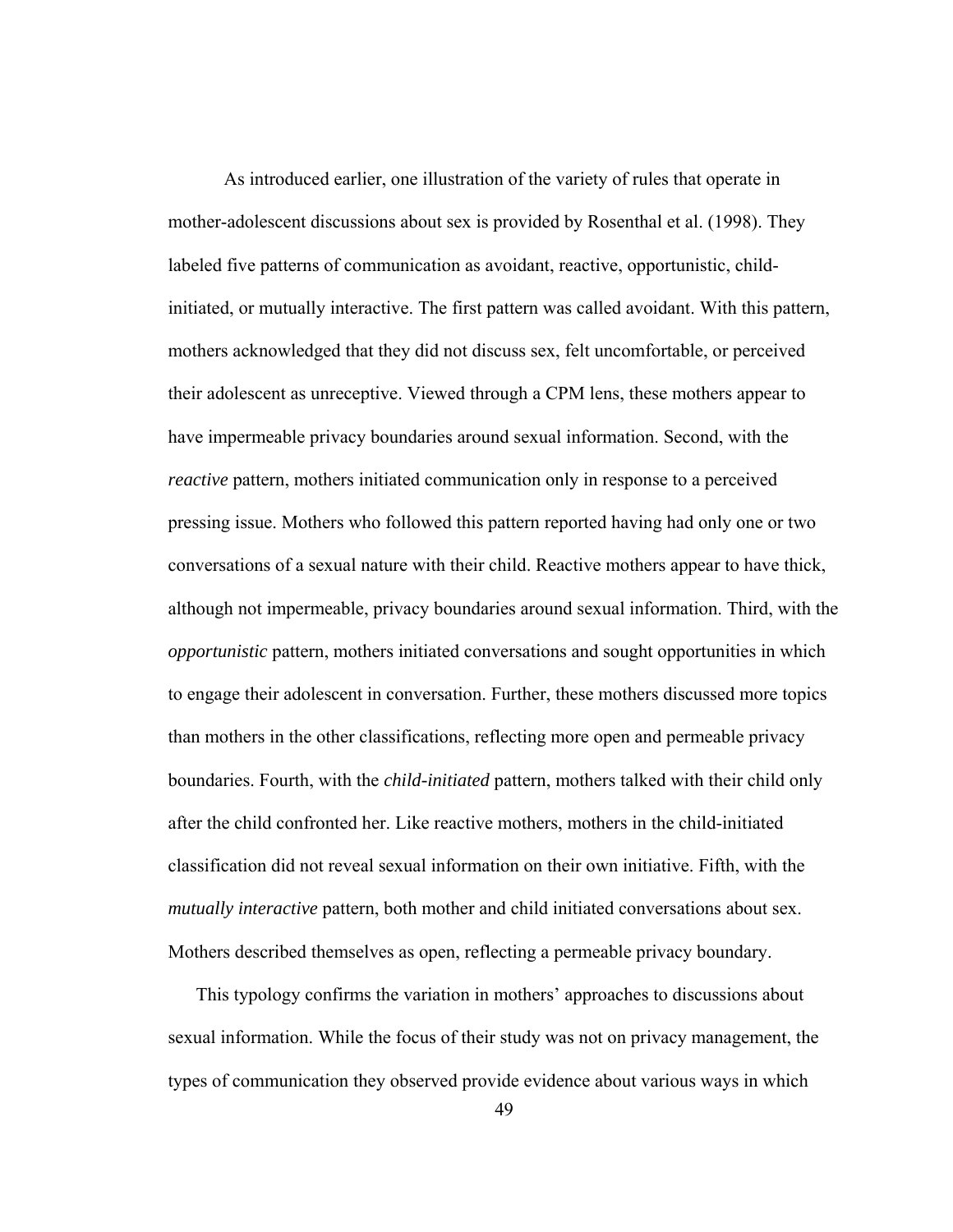As introduced earlier, one illustration of the variety of rules that operate in mother-adolescent discussions about sex is provided by Rosenthal et al. (1998). They labeled five patterns of communication as avoidant, reactive, opportunistic, childinitiated, or mutually interactive. The first pattern was called avoidant. With this pattern, mothers acknowledged that they did not discuss sex, felt uncomfortable, or perceived their adolescent as unreceptive. Viewed through a CPM lens, these mothers appear to have impermeable privacy boundaries around sexual information. Second, with the *reactive* pattern, mothers initiated communication only in response to a perceived pressing issue. Mothers who followed this pattern reported having had only one or two conversations of a sexual nature with their child. Reactive mothers appear to have thick, although not impermeable, privacy boundaries around sexual information. Third, with the *opportunistic* pattern, mothers initiated conversations and sought opportunities in which to engage their adolescent in conversation. Further, these mothers discussed more topics than mothers in the other classifications, reflecting more open and permeable privacy boundaries. Fourth, with the *child-initiated* pattern, mothers talked with their child only after the child confronted her. Like reactive mothers, mothers in the child-initiated classification did not reveal sexual information on their own initiative. Fifth, with the *mutually interactive* pattern, both mother and child initiated conversations about sex. Mothers described themselves as open, reflecting a permeable privacy boundary.

This typology confirms the variation in mothers' approaches to discussions about sexual information. While the focus of their study was not on privacy management, the types of communication they observed provide evidence about various ways in which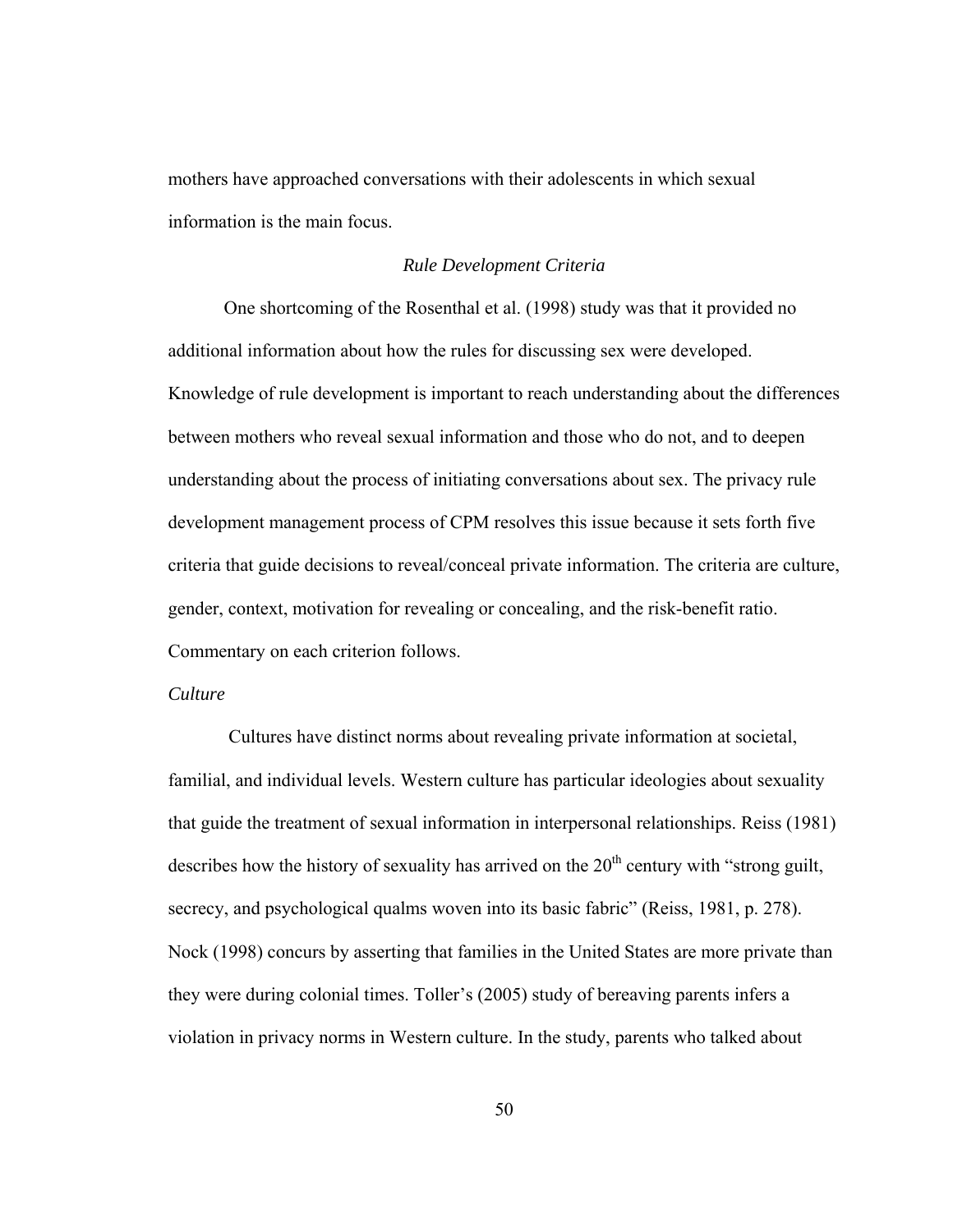mothers have approached conversations with their adolescents in which sexual information is the main focus.

## *Rule Development Criteria*

One shortcoming of the Rosenthal et al. (1998) study was that it provided no additional information about how the rules for discussing sex were developed. Knowledge of rule development is important to reach understanding about the differences between mothers who reveal sexual information and those who do not, and to deepen understanding about the process of initiating conversations about sex. The privacy rule development management process of CPM resolves this issue because it sets forth five criteria that guide decisions to reveal/conceal private information. The criteria are culture, gender, context, motivation for revealing or concealing, and the risk-benefit ratio. Commentary on each criterion follows.

## *Culture*

Cultures have distinct norms about revealing private information at societal, familial, and individual levels. Western culture has particular ideologies about sexuality that guide the treatment of sexual information in interpersonal relationships. Reiss (1981) describes how the history of sexuality has arrived on the  $20<sup>th</sup>$  century with "strong guilt, secrecy, and psychological qualms woven into its basic fabric" (Reiss, 1981, p. 278). Nock (1998) concurs by asserting that families in the United States are more private than they were during colonial times. Toller's (2005) study of bereaving parents infers a violation in privacy norms in Western culture. In the study, parents who talked about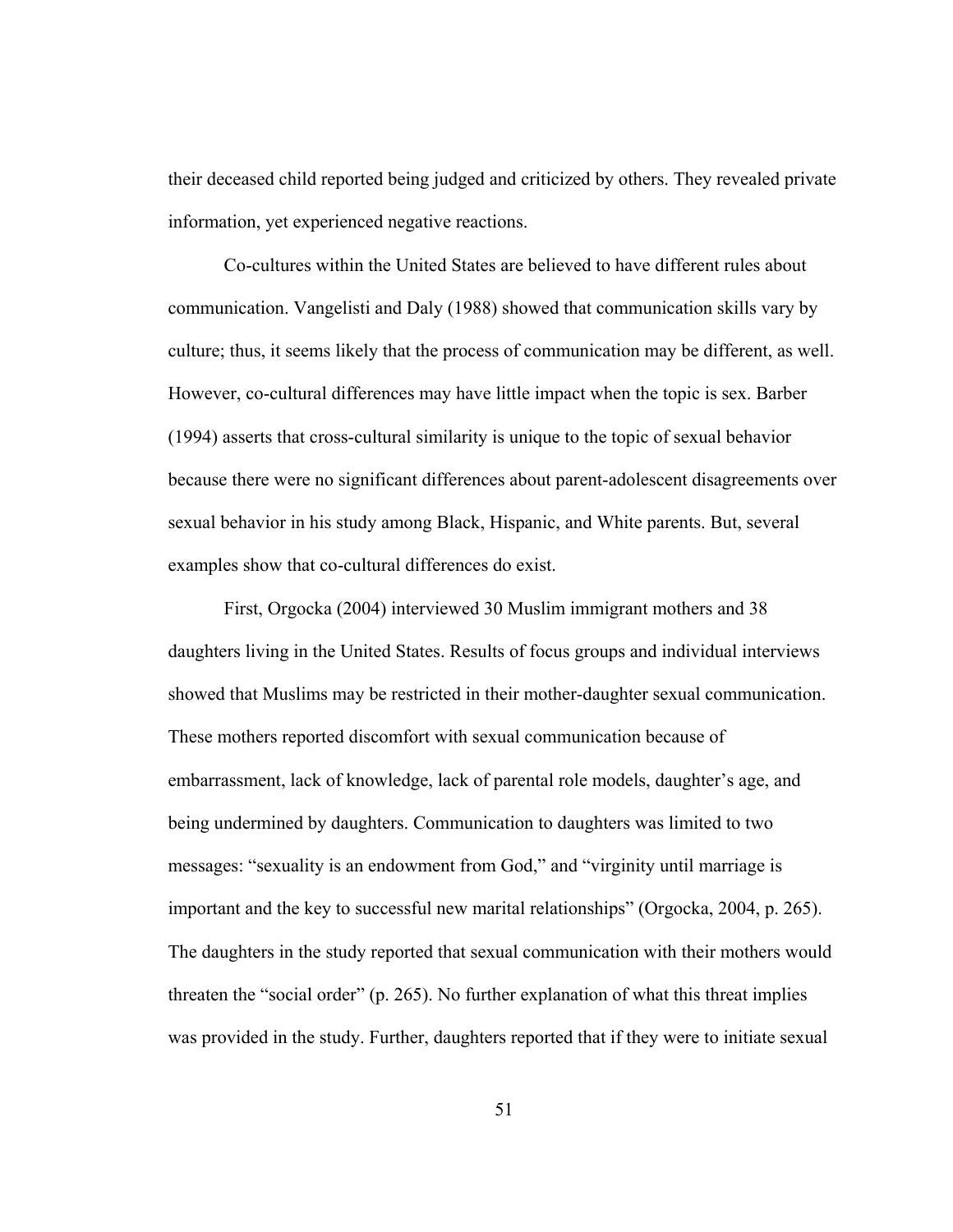their deceased child reported being judged and criticized by others. They revealed private information, yet experienced negative reactions.

Co-cultures within the United States are believed to have different rules about communication. Vangelisti and Daly (1988) showed that communication skills vary by culture; thus, it seems likely that the process of communication may be different, as well. However, co-cultural differences may have little impact when the topic is sex. Barber (1994) asserts that cross-cultural similarity is unique to the topic of sexual behavior because there were no significant differences about parent-adolescent disagreements over sexual behavior in his study among Black, Hispanic, and White parents. But, several examples show that co-cultural differences do exist.

First, Orgocka (2004) interviewed 30 Muslim immigrant mothers and 38 daughters living in the United States. Results of focus groups and individual interviews showed that Muslims may be restricted in their mother-daughter sexual communication. These mothers reported discomfort with sexual communication because of embarrassment, lack of knowledge, lack of parental role models, daughter's age, and being undermined by daughters. Communication to daughters was limited to two messages: "sexuality is an endowment from God," and "virginity until marriage is important and the key to successful new marital relationships" (Orgocka, 2004, p. 265). The daughters in the study reported that sexual communication with their mothers would threaten the "social order" (p. 265). No further explanation of what this threat implies was provided in the study. Further, daughters reported that if they were to initiate sexual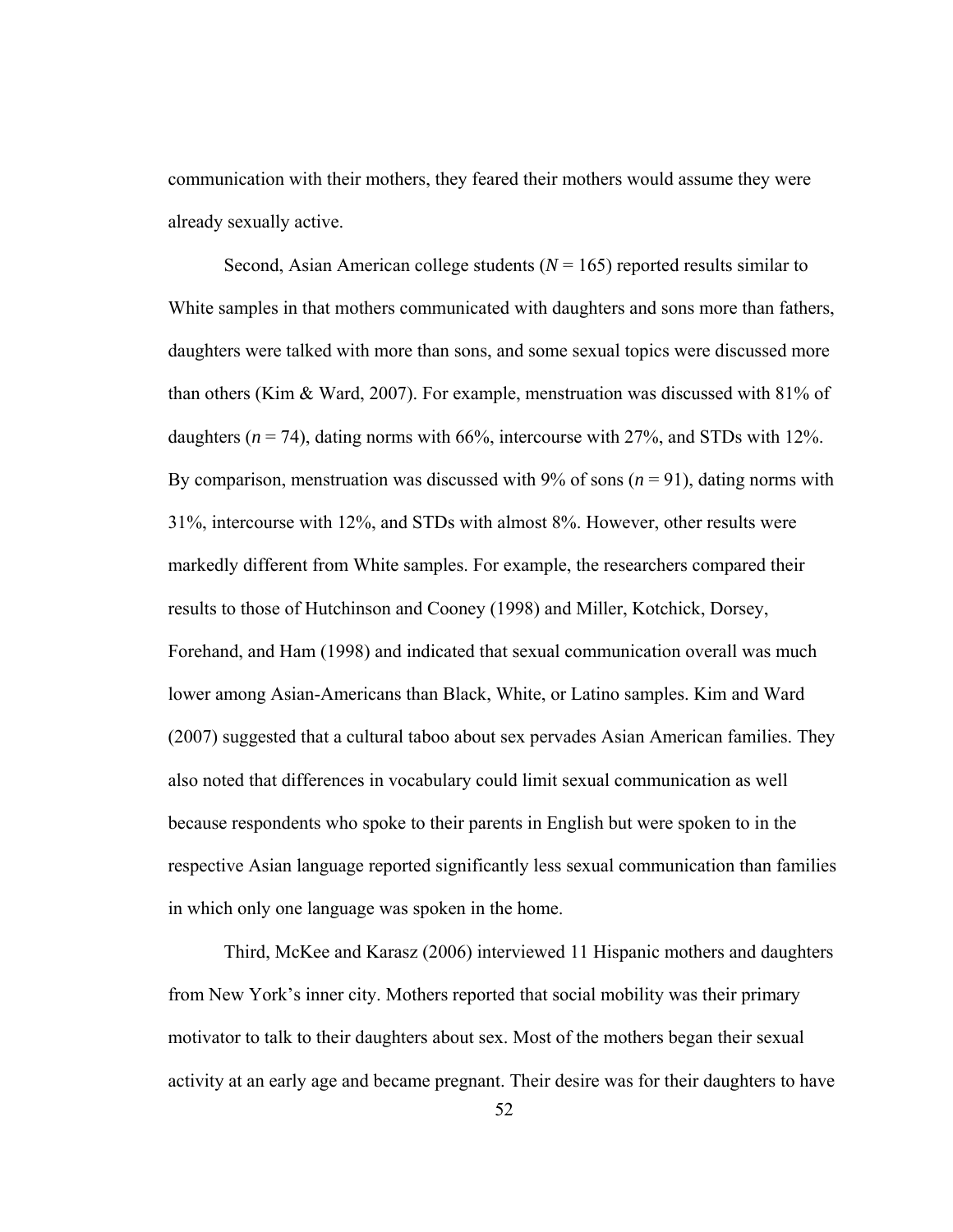communication with their mothers, they feared their mothers would assume they were already sexually active.

Second, Asian American college students  $(N = 165)$  reported results similar to White samples in that mothers communicated with daughters and sons more than fathers, daughters were talked with more than sons, and some sexual topics were discussed more than others (Kim & Ward, 2007). For example, menstruation was discussed with 81% of daughters  $(n = 74)$ , dating norms with 66%, intercourse with 27%, and STDs with 12%. By comparison, menstruation was discussed with  $9\%$  of sons ( $n = 91$ ), dating norms with 31%, intercourse with 12%, and STDs with almost 8%. However, other results were markedly different from White samples. For example, the researchers compared their results to those of Hutchinson and Cooney (1998) and Miller, Kotchick, Dorsey, Forehand, and Ham (1998) and indicated that sexual communication overall was much lower among Asian-Americans than Black, White, or Latino samples. Kim and Ward (2007) suggested that a cultural taboo about sex pervades Asian American families. They also noted that differences in vocabulary could limit sexual communication as well because respondents who spoke to their parents in English but were spoken to in the respective Asian language reported significantly less sexual communication than families in which only one language was spoken in the home.

Third, McKee and Karasz (2006) interviewed 11 Hispanic mothers and daughters from New York's inner city. Mothers reported that social mobility was their primary motivator to talk to their daughters about sex. Most of the mothers began their sexual activity at an early age and became pregnant. Their desire was for their daughters to have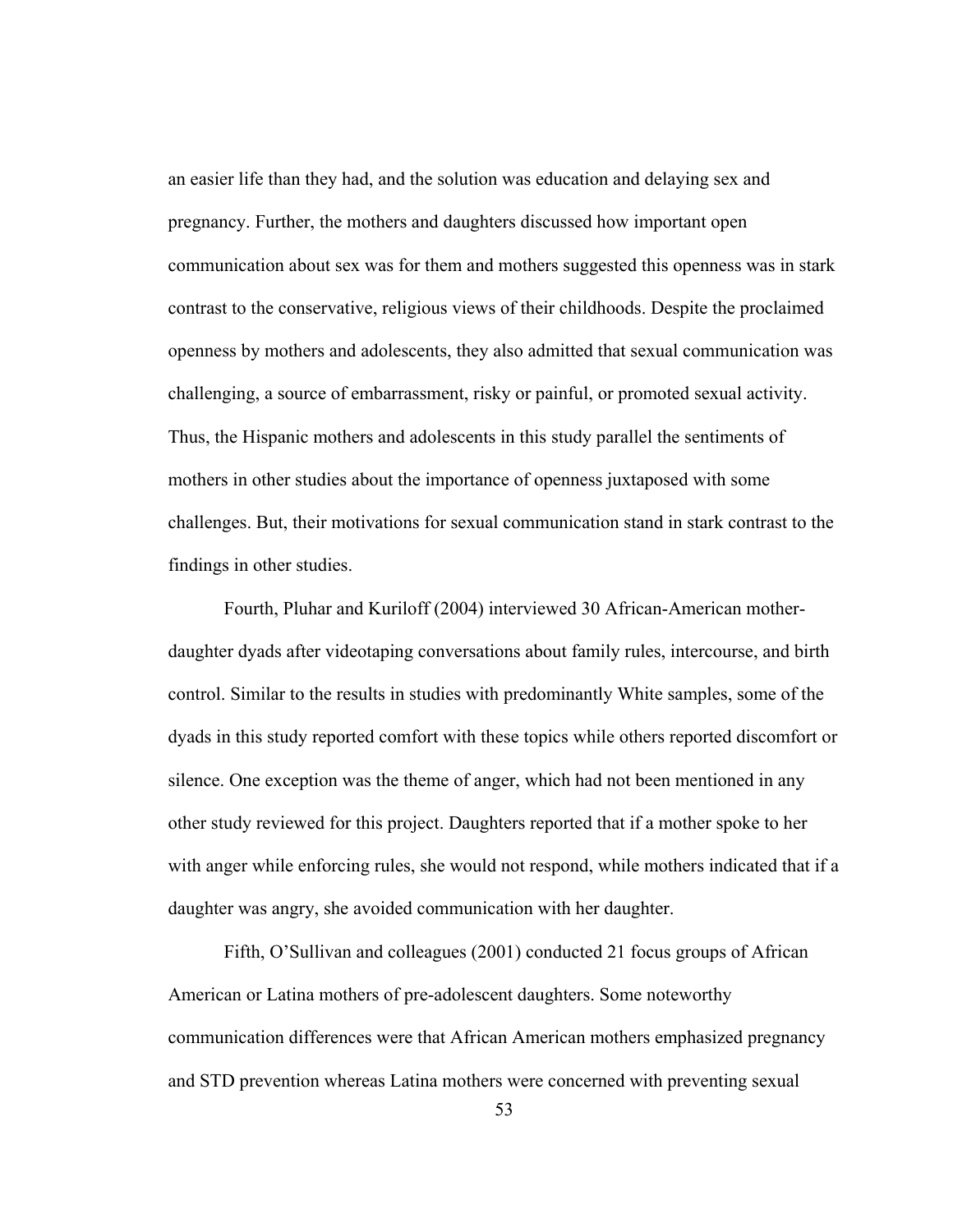an easier life than they had, and the solution was education and delaying sex and pregnancy. Further, the mothers and daughters discussed how important open communication about sex was for them and mothers suggested this openness was in stark contrast to the conservative, religious views of their childhoods. Despite the proclaimed openness by mothers and adolescents, they also admitted that sexual communication was challenging, a source of embarrassment, risky or painful, or promoted sexual activity. Thus, the Hispanic mothers and adolescents in this study parallel the sentiments of mothers in other studies about the importance of openness juxtaposed with some challenges. But, their motivations for sexual communication stand in stark contrast to the findings in other studies.

Fourth, Pluhar and Kuriloff (2004) interviewed 30 African-American motherdaughter dyads after videotaping conversations about family rules, intercourse, and birth control. Similar to the results in studies with predominantly White samples, some of the dyads in this study reported comfort with these topics while others reported discomfort or silence. One exception was the theme of anger, which had not been mentioned in any other study reviewed for this project. Daughters reported that if a mother spoke to her with anger while enforcing rules, she would not respond, while mothers indicated that if a daughter was angry, she avoided communication with her daughter.

Fifth, O'Sullivan and colleagues (2001) conducted 21 focus groups of African American or Latina mothers of pre-adolescent daughters. Some noteworthy communication differences were that African American mothers emphasized pregnancy and STD prevention whereas Latina mothers were concerned with preventing sexual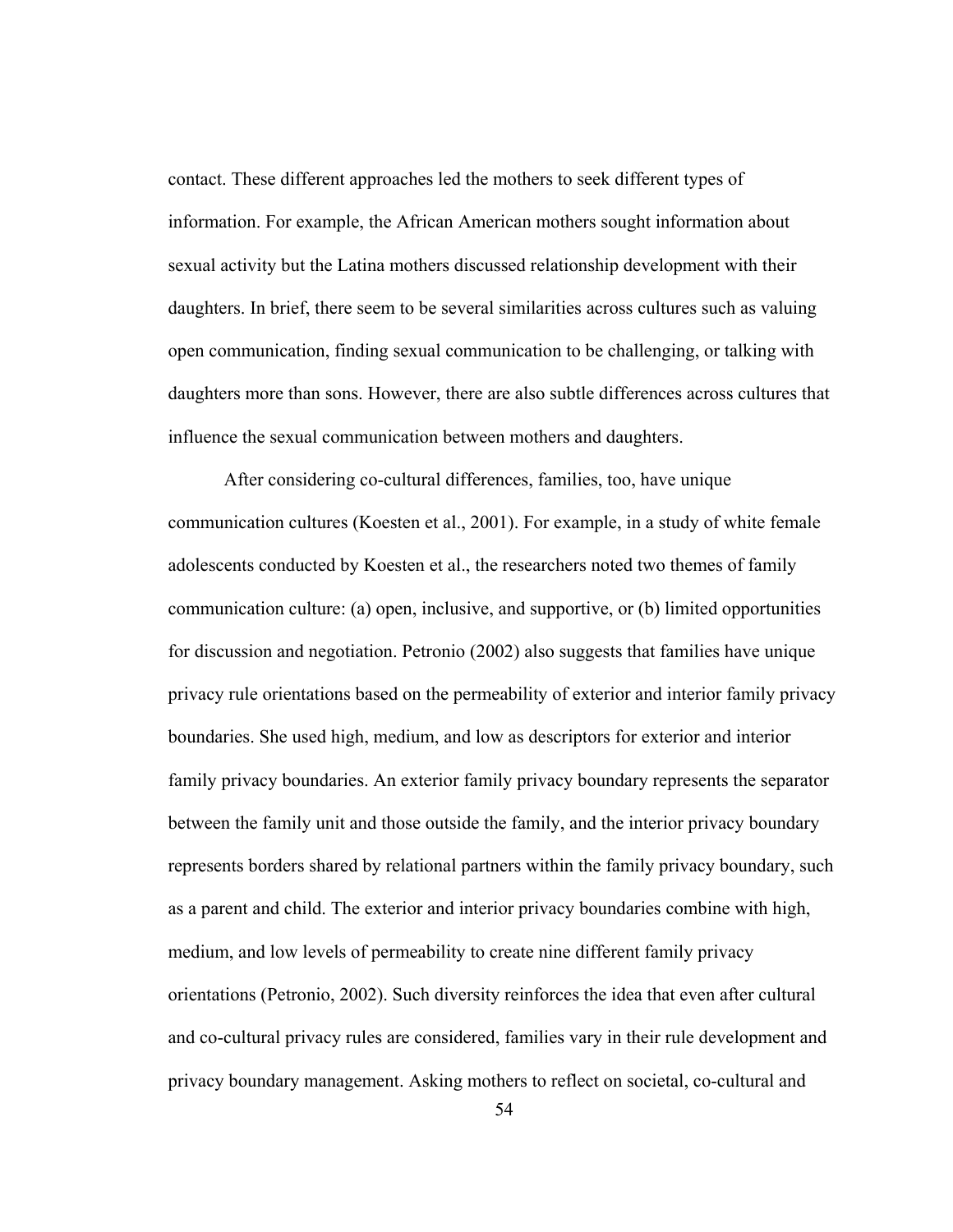contact. These different approaches led the mothers to seek different types of information. For example, the African American mothers sought information about sexual activity but the Latina mothers discussed relationship development with their daughters. In brief, there seem to be several similarities across cultures such as valuing open communication, finding sexual communication to be challenging, or talking with daughters more than sons. However, there are also subtle differences across cultures that influence the sexual communication between mothers and daughters.

After considering co-cultural differences, families, too, have unique communication cultures (Koesten et al., 2001). For example, in a study of white female adolescents conducted by Koesten et al., the researchers noted two themes of family communication culture: (a) open, inclusive, and supportive, or (b) limited opportunities for discussion and negotiation. Petronio (2002) also suggests that families have unique privacy rule orientations based on the permeability of exterior and interior family privacy boundaries. She used high, medium, and low as descriptors for exterior and interior family privacy boundaries. An exterior family privacy boundary represents the separator between the family unit and those outside the family, and the interior privacy boundary represents borders shared by relational partners within the family privacy boundary, such as a parent and child. The exterior and interior privacy boundaries combine with high, medium, and low levels of permeability to create nine different family privacy orientations (Petronio, 2002). Such diversity reinforces the idea that even after cultural and co-cultural privacy rules are considered, families vary in their rule development and privacy boundary management. Asking mothers to reflect on societal, co-cultural and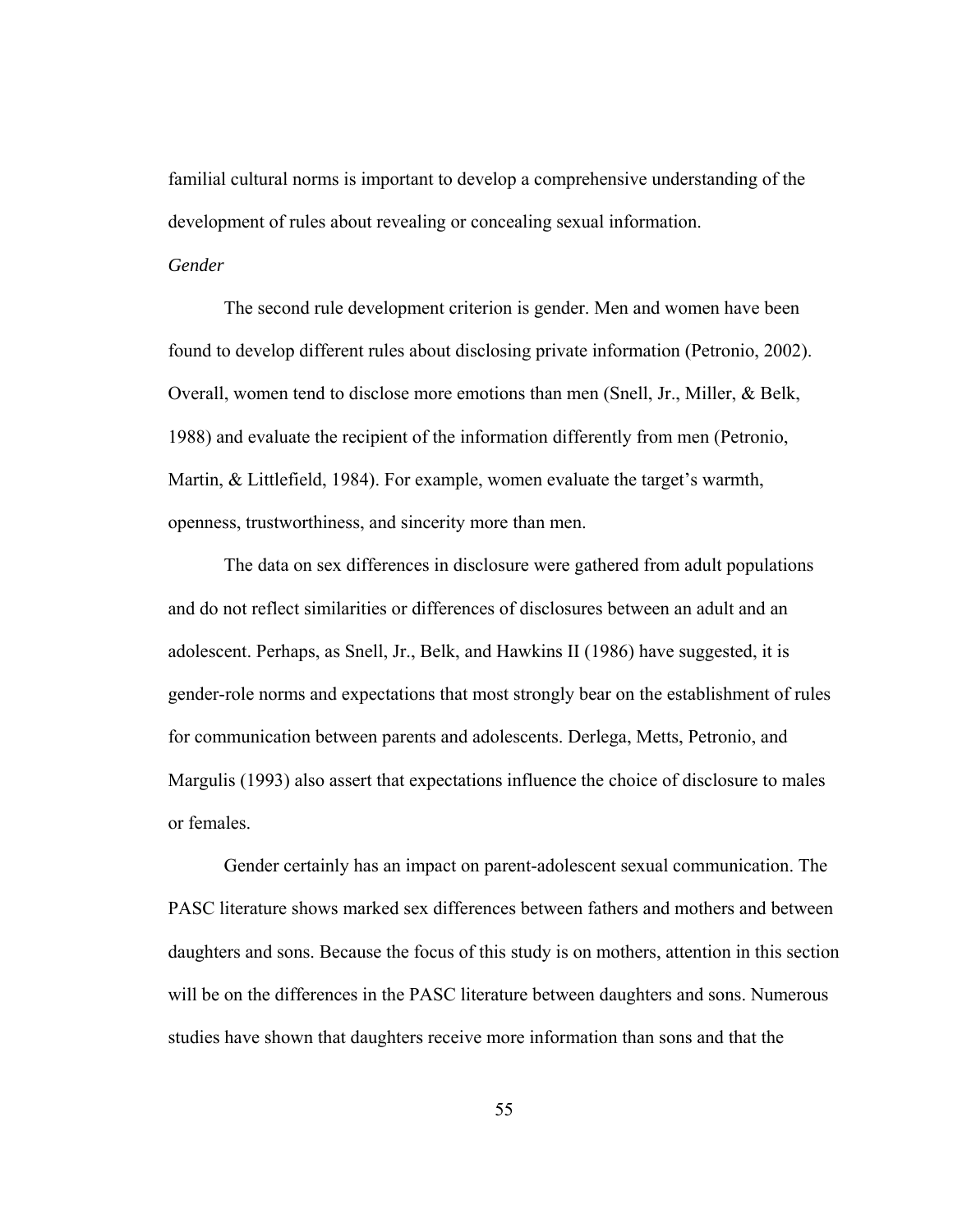familial cultural norms is important to develop a comprehensive understanding of the development of rules about revealing or concealing sexual information.

## *Gender*

The second rule development criterion is gender. Men and women have been found to develop different rules about disclosing private information (Petronio, 2002). Overall, women tend to disclose more emotions than men (Snell, Jr., Miller, & Belk, 1988) and evaluate the recipient of the information differently from men (Petronio, Martin, & Littlefield, 1984). For example, women evaluate the target's warmth, openness, trustworthiness, and sincerity more than men.

The data on sex differences in disclosure were gathered from adult populations and do not reflect similarities or differences of disclosures between an adult and an adolescent. Perhaps, as Snell, Jr., Belk, and Hawkins II (1986) have suggested, it is gender-role norms and expectations that most strongly bear on the establishment of rules for communication between parents and adolescents. Derlega, Metts, Petronio, and Margulis (1993) also assert that expectations influence the choice of disclosure to males or females.

Gender certainly has an impact on parent-adolescent sexual communication. The PASC literature shows marked sex differences between fathers and mothers and between daughters and sons. Because the focus of this study is on mothers, attention in this section will be on the differences in the PASC literature between daughters and sons. Numerous studies have shown that daughters receive more information than sons and that the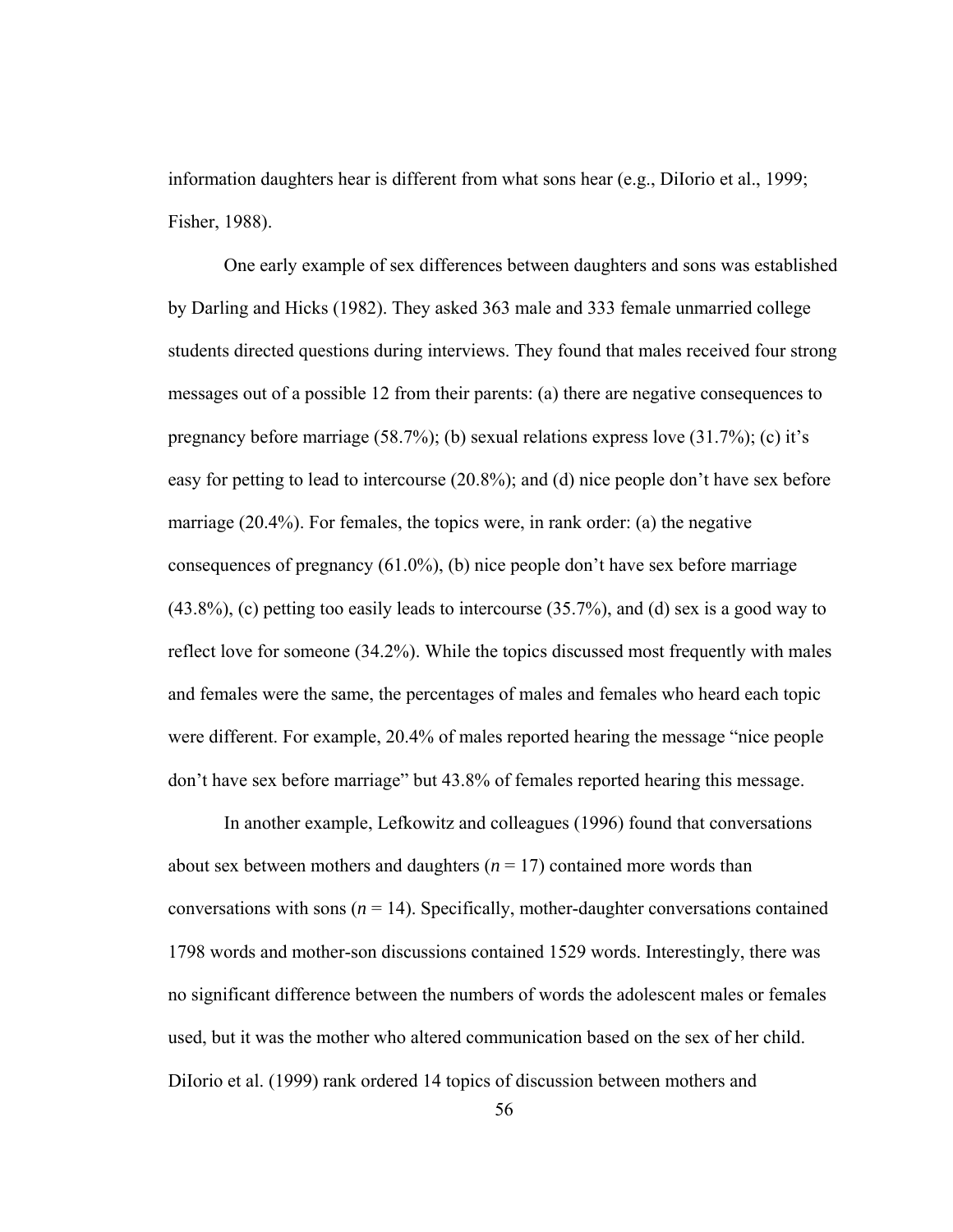information daughters hear is different from what sons hear (e.g., DiIorio et al., 1999; Fisher, 1988).

One early example of sex differences between daughters and sons was established by Darling and Hicks (1982). They asked 363 male and 333 female unmarried college students directed questions during interviews. They found that males received four strong messages out of a possible 12 from their parents: (a) there are negative consequences to pregnancy before marriage (58.7%); (b) sexual relations express love (31.7%); (c) it's easy for petting to lead to intercourse (20.8%); and (d) nice people don't have sex before marriage (20.4%). For females, the topics were, in rank order: (a) the negative consequences of pregnancy (61.0%), (b) nice people don't have sex before marriage (43.8%), (c) petting too easily leads to intercourse (35.7%), and (d) sex is a good way to reflect love for someone (34.2%). While the topics discussed most frequently with males and females were the same, the percentages of males and females who heard each topic were different. For example, 20.4% of males reported hearing the message "nice people don't have sex before marriage" but 43.8% of females reported hearing this message.

In another example, Lefkowitz and colleagues (1996) found that conversations about sex between mothers and daughters  $(n = 17)$  contained more words than conversations with sons  $(n = 14)$ . Specifically, mother-daughter conversations contained 1798 words and mother-son discussions contained 1529 words. Interestingly, there was no significant difference between the numbers of words the adolescent males or females used, but it was the mother who altered communication based on the sex of her child. DiIorio et al. (1999) rank ordered 14 topics of discussion between mothers and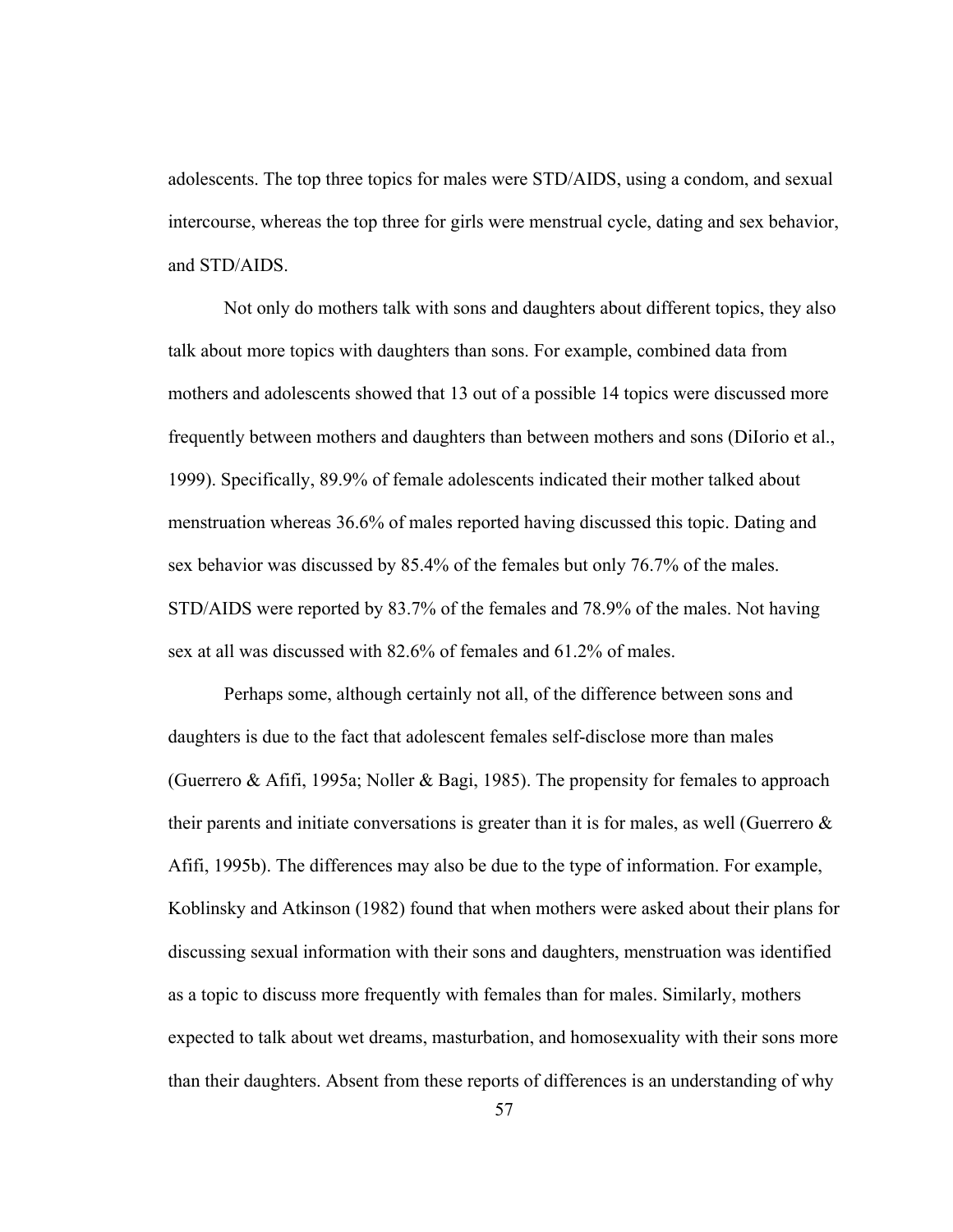adolescents. The top three topics for males were STD/AIDS, using a condom, and sexual intercourse, whereas the top three for girls were menstrual cycle, dating and sex behavior, and STD/AIDS.

Not only do mothers talk with sons and daughters about different topics, they also talk about more topics with daughters than sons. For example, combined data from mothers and adolescents showed that 13 out of a possible 14 topics were discussed more frequently between mothers and daughters than between mothers and sons (DiIorio et al., 1999). Specifically, 89.9% of female adolescents indicated their mother talked about menstruation whereas 36.6% of males reported having discussed this topic. Dating and sex behavior was discussed by 85.4% of the females but only 76.7% of the males. STD/AIDS were reported by 83.7% of the females and 78.9% of the males. Not having sex at all was discussed with 82.6% of females and 61.2% of males.

Perhaps some, although certainly not all, of the difference between sons and daughters is due to the fact that adolescent females self-disclose more than males (Guerrero & Afifi, 1995a; Noller & Bagi, 1985). The propensity for females to approach their parents and initiate conversations is greater than it is for males, as well (Guerrero  $\&$ Afifi, 1995b). The differences may also be due to the type of information. For example, Koblinsky and Atkinson (1982) found that when mothers were asked about their plans for discussing sexual information with their sons and daughters, menstruation was identified as a topic to discuss more frequently with females than for males. Similarly, mothers expected to talk about wet dreams, masturbation, and homosexuality with their sons more than their daughters. Absent from these reports of differences is an understanding of why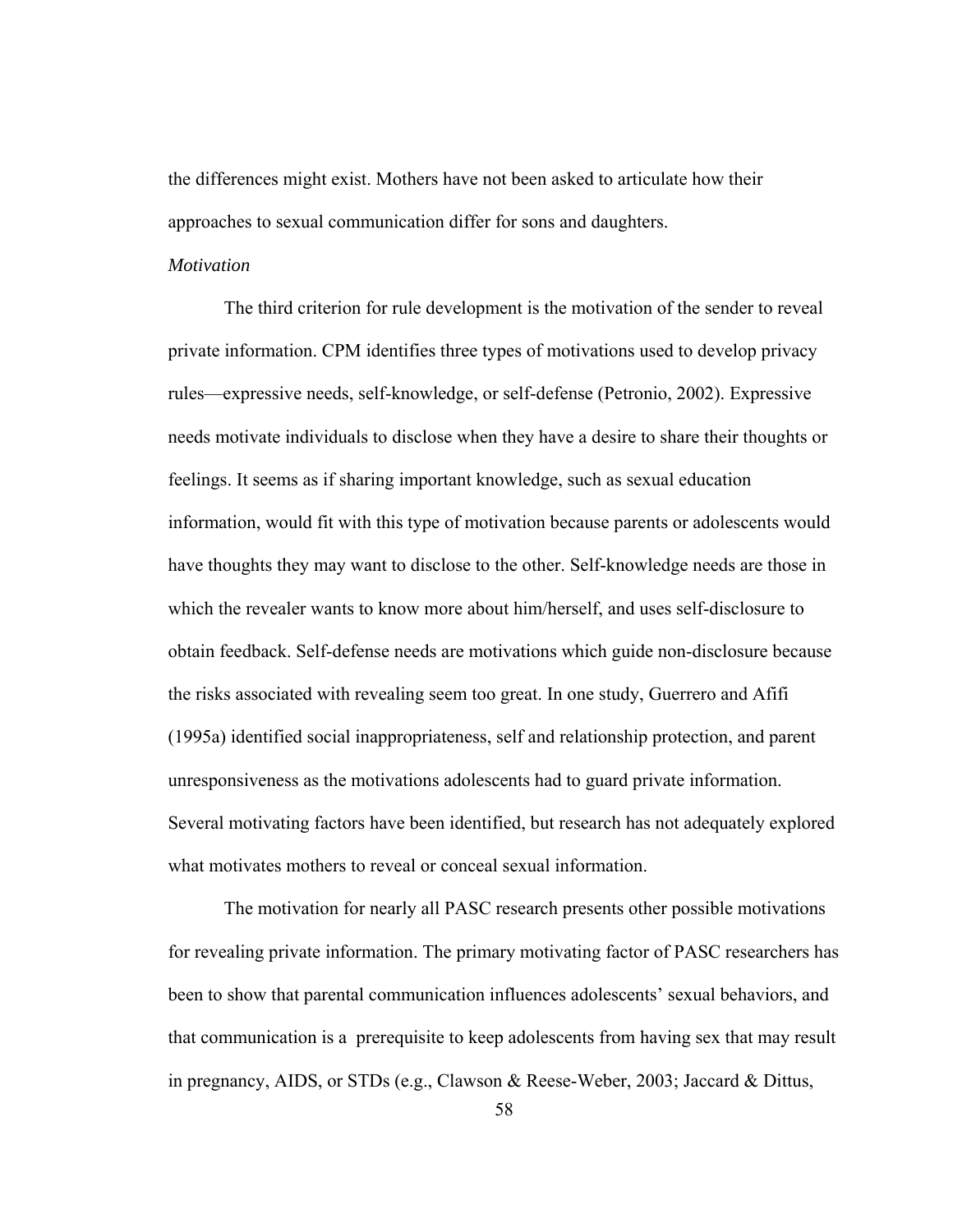the differences might exist. Mothers have not been asked to articulate how their approaches to sexual communication differ for sons and daughters.

## *Motivation*

The third criterion for rule development is the motivation of the sender to reveal private information. CPM identifies three types of motivations used to develop privacy rules—expressive needs, self-knowledge, or self-defense (Petronio, 2002). Expressive needs motivate individuals to disclose when they have a desire to share their thoughts or feelings. It seems as if sharing important knowledge, such as sexual education information, would fit with this type of motivation because parents or adolescents would have thoughts they may want to disclose to the other. Self-knowledge needs are those in which the revealer wants to know more about him/herself, and uses self-disclosure to obtain feedback. Self-defense needs are motivations which guide non-disclosure because the risks associated with revealing seem too great. In one study, Guerrero and Afifi (1995a) identified social inappropriateness, self and relationship protection, and parent unresponsiveness as the motivations adolescents had to guard private information. Several motivating factors have been identified, but research has not adequately explored what motivates mothers to reveal or conceal sexual information.

The motivation for nearly all PASC research presents other possible motivations for revealing private information. The primary motivating factor of PASC researchers has been to show that parental communication influences adolescents' sexual behaviors, and that communication is a prerequisite to keep adolescents from having sex that may result in pregnancy, AIDS, or STDs (e.g., Clawson & Reese-Weber, 2003; Jaccard & Dittus,

58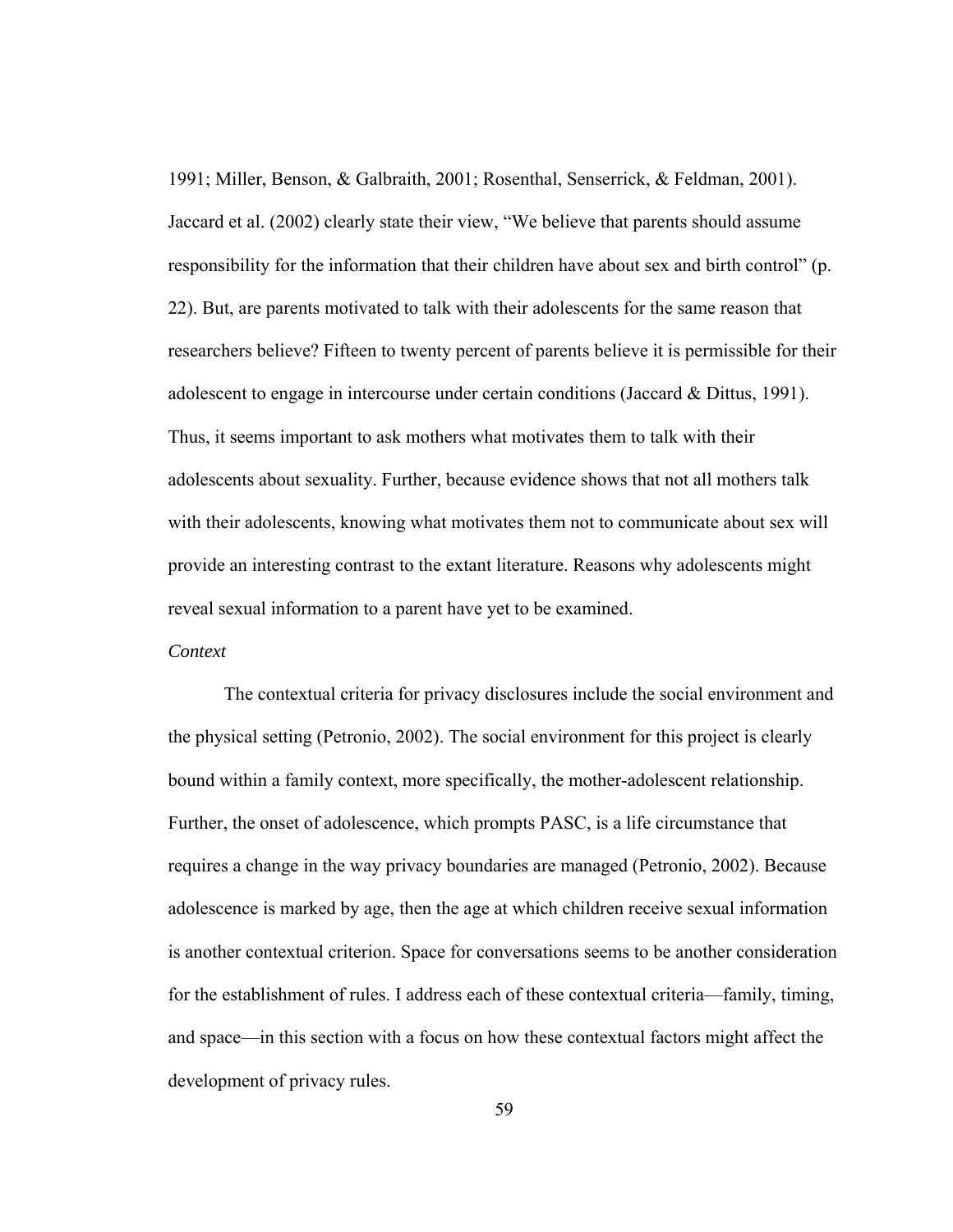1991; Miller, Benson, & Galbraith, 2001; Rosenthal, Senserrick, & Feldman, 2001). Jaccard et al. (2002) clearly state their view, "We believe that parents should assume responsibility for the information that their children have about sex and birth control" (p. 22). But, are parents motivated to talk with their adolescents for the same reason that researchers believe? Fifteen to twenty percent of parents believe it is permissible for their adolescent to engage in intercourse under certain conditions (Jaccard & Dittus, 1991). Thus, it seems important to ask mothers what motivates them to talk with their adolescents about sexuality. Further, because evidence shows that not all mothers talk with their adolescents, knowing what motivates them not to communicate about sex will provide an interesting contrast to the extant literature. Reasons why adolescents might reveal sexual information to a parent have yet to be examined.

### *Context*

The contextual criteria for privacy disclosures include the social environment and the physical setting (Petronio, 2002). The social environment for this project is clearly bound within a family context, more specifically, the mother-adolescent relationship. Further, the onset of adolescence, which prompts PASC, is a life circumstance that requires a change in the way privacy boundaries are managed (Petronio, 2002). Because adolescence is marked by age, then the age at which children receive sexual information is another contextual criterion. Space for conversations seems to be another consideration for the establishment of rules. I address each of these contextual criteria—family, timing, and space—in this section with a focus on how these contextual factors might affect the development of privacy rules.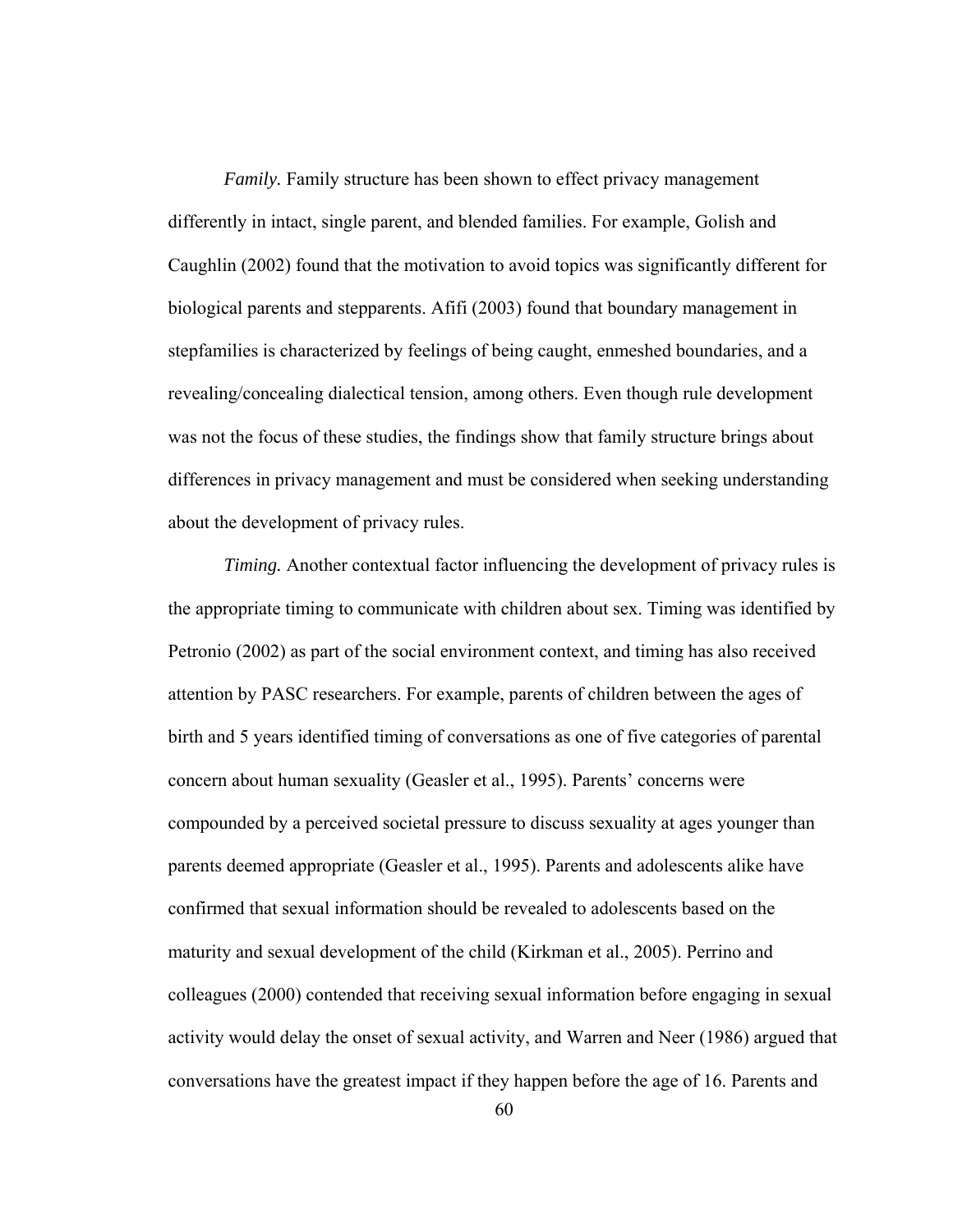*Family.* Family structure has been shown to effect privacy management differently in intact, single parent, and blended families. For example, Golish and Caughlin (2002) found that the motivation to avoid topics was significantly different for biological parents and stepparents. Afifi (2003) found that boundary management in stepfamilies is characterized by feelings of being caught, enmeshed boundaries, and a revealing/concealing dialectical tension, among others. Even though rule development was not the focus of these studies, the findings show that family structure brings about differences in privacy management and must be considered when seeking understanding about the development of privacy rules.

*Timing.* Another contextual factor influencing the development of privacy rules is the appropriate timing to communicate with children about sex. Timing was identified by Petronio (2002) as part of the social environment context, and timing has also received attention by PASC researchers. For example, parents of children between the ages of birth and 5 years identified timing of conversations as one of five categories of parental concern about human sexuality (Geasler et al., 1995). Parents' concerns were compounded by a perceived societal pressure to discuss sexuality at ages younger than parents deemed appropriate (Geasler et al., 1995). Parents and adolescents alike have confirmed that sexual information should be revealed to adolescents based on the maturity and sexual development of the child (Kirkman et al., 2005). Perrino and colleagues (2000) contended that receiving sexual information before engaging in sexual activity would delay the onset of sexual activity, and Warren and Neer (1986) argued that conversations have the greatest impact if they happen before the age of 16. Parents and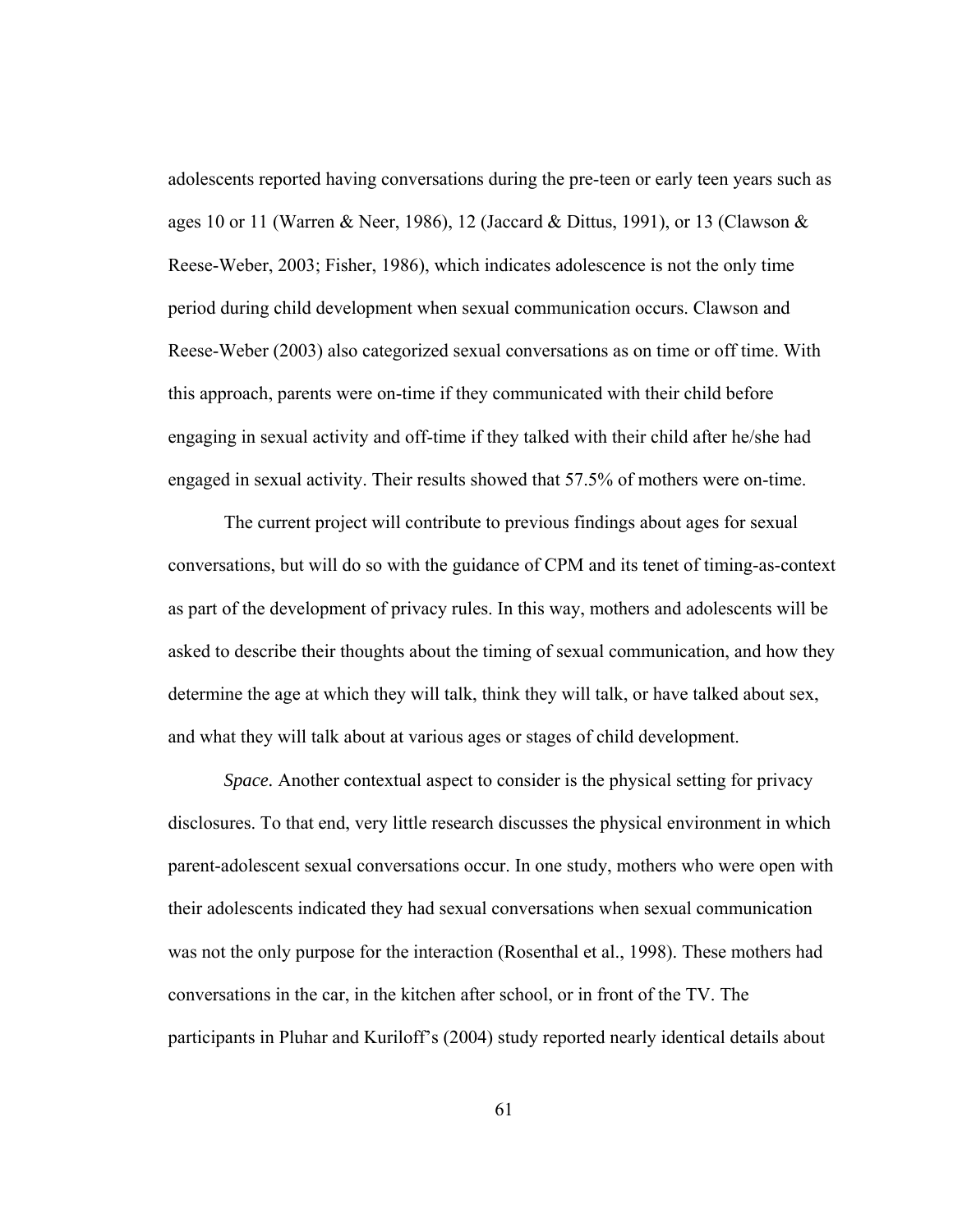adolescents reported having conversations during the pre-teen or early teen years such as ages 10 or 11 (Warren & Neer, 1986), 12 (Jaccard & Dittus, 1991), or 13 (Clawson & Reese-Weber, 2003; Fisher, 1986), which indicates adolescence is not the only time period during child development when sexual communication occurs. Clawson and Reese-Weber (2003) also categorized sexual conversations as on time or off time. With this approach, parents were on-time if they communicated with their child before engaging in sexual activity and off-time if they talked with their child after he/she had engaged in sexual activity. Their results showed that 57.5% of mothers were on-time.

The current project will contribute to previous findings about ages for sexual conversations, but will do so with the guidance of CPM and its tenet of timing-as-context as part of the development of privacy rules. In this way, mothers and adolescents will be asked to describe their thoughts about the timing of sexual communication, and how they determine the age at which they will talk, think they will talk, or have talked about sex, and what they will talk about at various ages or stages of child development.

*Space.* Another contextual aspect to consider is the physical setting for privacy disclosures. To that end, very little research discusses the physical environment in which parent-adolescent sexual conversations occur. In one study, mothers who were open with their adolescents indicated they had sexual conversations when sexual communication was not the only purpose for the interaction (Rosenthal et al., 1998). These mothers had conversations in the car, in the kitchen after school, or in front of the TV. The participants in Pluhar and Kuriloff's (2004) study reported nearly identical details about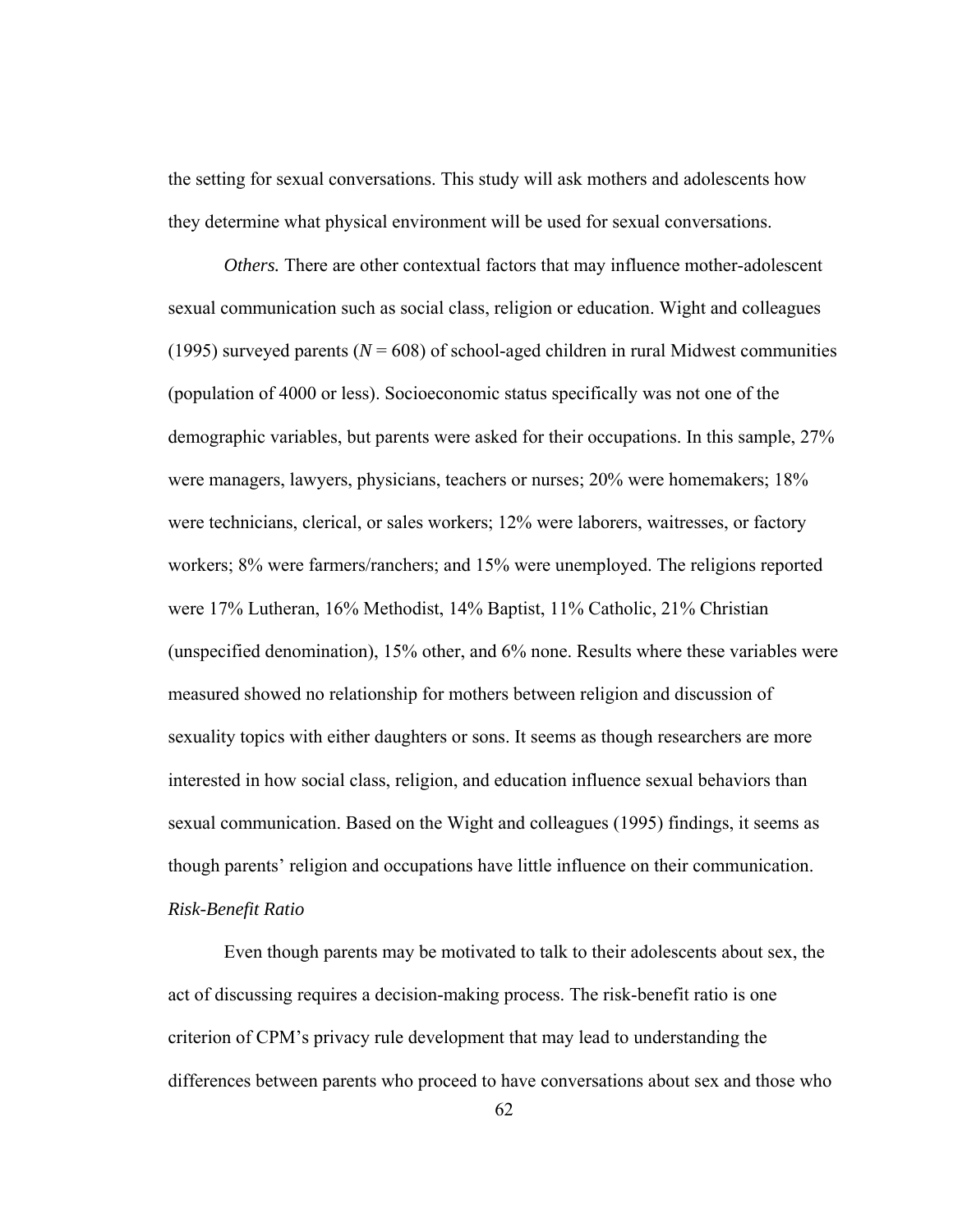the setting for sexual conversations. This study will ask mothers and adolescents how they determine what physical environment will be used for sexual conversations.

*Others.* There are other contextual factors that may influence mother-adolescent sexual communication such as social class, religion or education. Wight and colleagues (1995) surveyed parents ( $N = 608$ ) of school-aged children in rural Midwest communities (population of 4000 or less). Socioeconomic status specifically was not one of the demographic variables, but parents were asked for their occupations. In this sample, 27% were managers, lawyers, physicians, teachers or nurses; 20% were homemakers; 18% were technicians, clerical, or sales workers; 12% were laborers, waitresses, or factory workers; 8% were farmers/ranchers; and 15% were unemployed. The religions reported were 17% Lutheran, 16% Methodist, 14% Baptist, 11% Catholic, 21% Christian (unspecified denomination), 15% other, and 6% none. Results where these variables were measured showed no relationship for mothers between religion and discussion of sexuality topics with either daughters or sons. It seems as though researchers are more interested in how social class, religion, and education influence sexual behaviors than sexual communication. Based on the Wight and colleagues (1995) findings, it seems as though parents' religion and occupations have little influence on their communication. *Risk-Benefit Ratio* 

Even though parents may be motivated to talk to their adolescents about sex, the act of discussing requires a decision-making process. The risk-benefit ratio is one criterion of CPM's privacy rule development that may lead to understanding the differences between parents who proceed to have conversations about sex and those who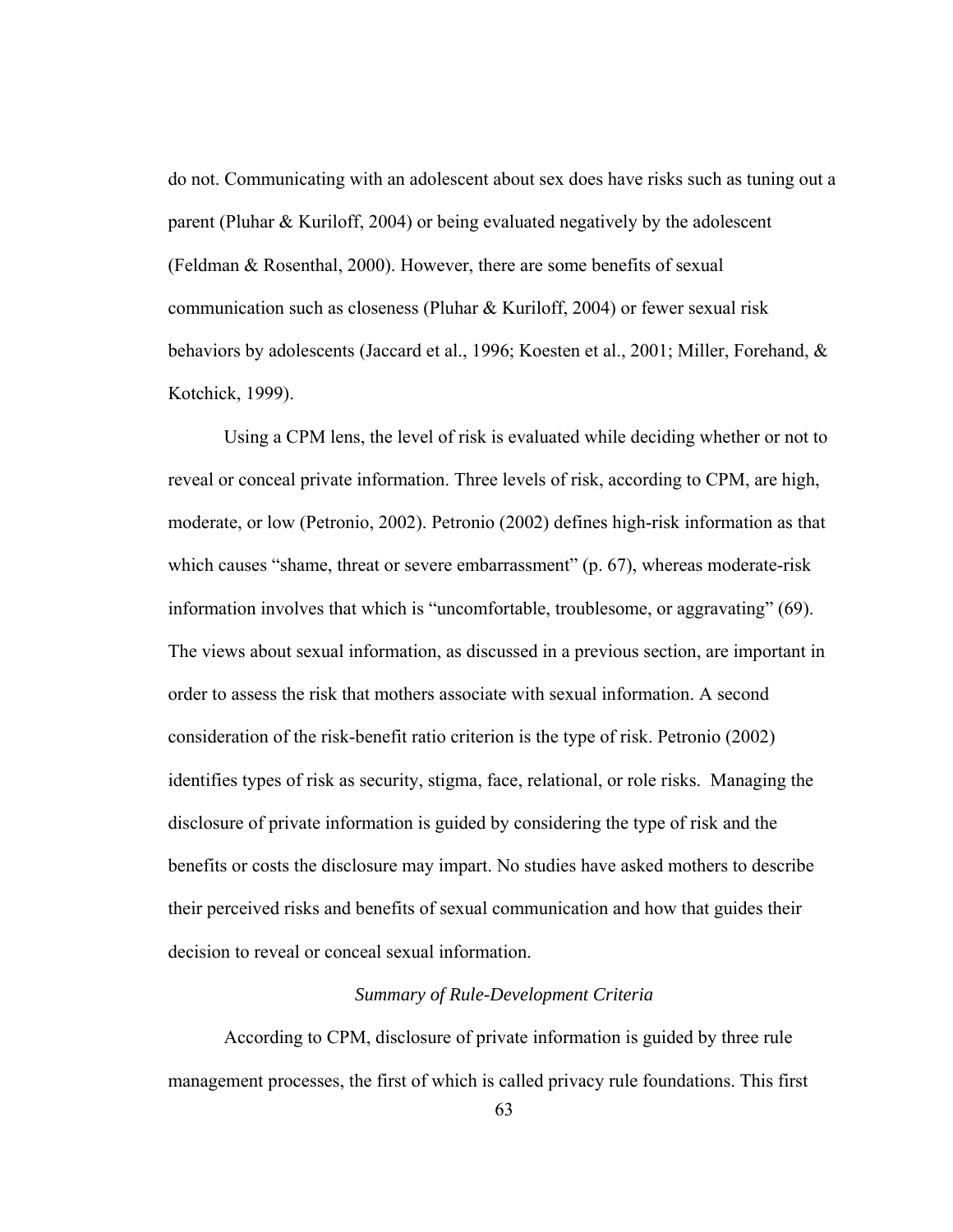do not. Communicating with an adolescent about sex does have risks such as tuning out a parent (Pluhar & Kuriloff, 2004) or being evaluated negatively by the adolescent (Feldman & Rosenthal, 2000). However, there are some benefits of sexual communication such as closeness (Pluhar & Kuriloff, 2004) or fewer sexual risk behaviors by adolescents (Jaccard et al., 1996; Koesten et al., 2001; Miller, Forehand, & Kotchick, 1999).

Using a CPM lens, the level of risk is evaluated while deciding whether or not to reveal or conceal private information. Three levels of risk, according to CPM, are high, moderate, or low (Petronio, 2002). Petronio (2002) defines high-risk information as that which causes "shame, threat or severe embarrassment" (p. 67), whereas moderate-risk information involves that which is "uncomfortable, troublesome, or aggravating" (69). The views about sexual information, as discussed in a previous section, are important in order to assess the risk that mothers associate with sexual information. A second consideration of the risk-benefit ratio criterion is the type of risk. Petronio (2002) identifies types of risk as security, stigma, face, relational, or role risks. Managing the disclosure of private information is guided by considering the type of risk and the benefits or costs the disclosure may impart. No studies have asked mothers to describe their perceived risks and benefits of sexual communication and how that guides their decision to reveal or conceal sexual information.

## *Summary of Rule-Development Criteria*

According to CPM, disclosure of private information is guided by three rule management processes, the first of which is called privacy rule foundations. This first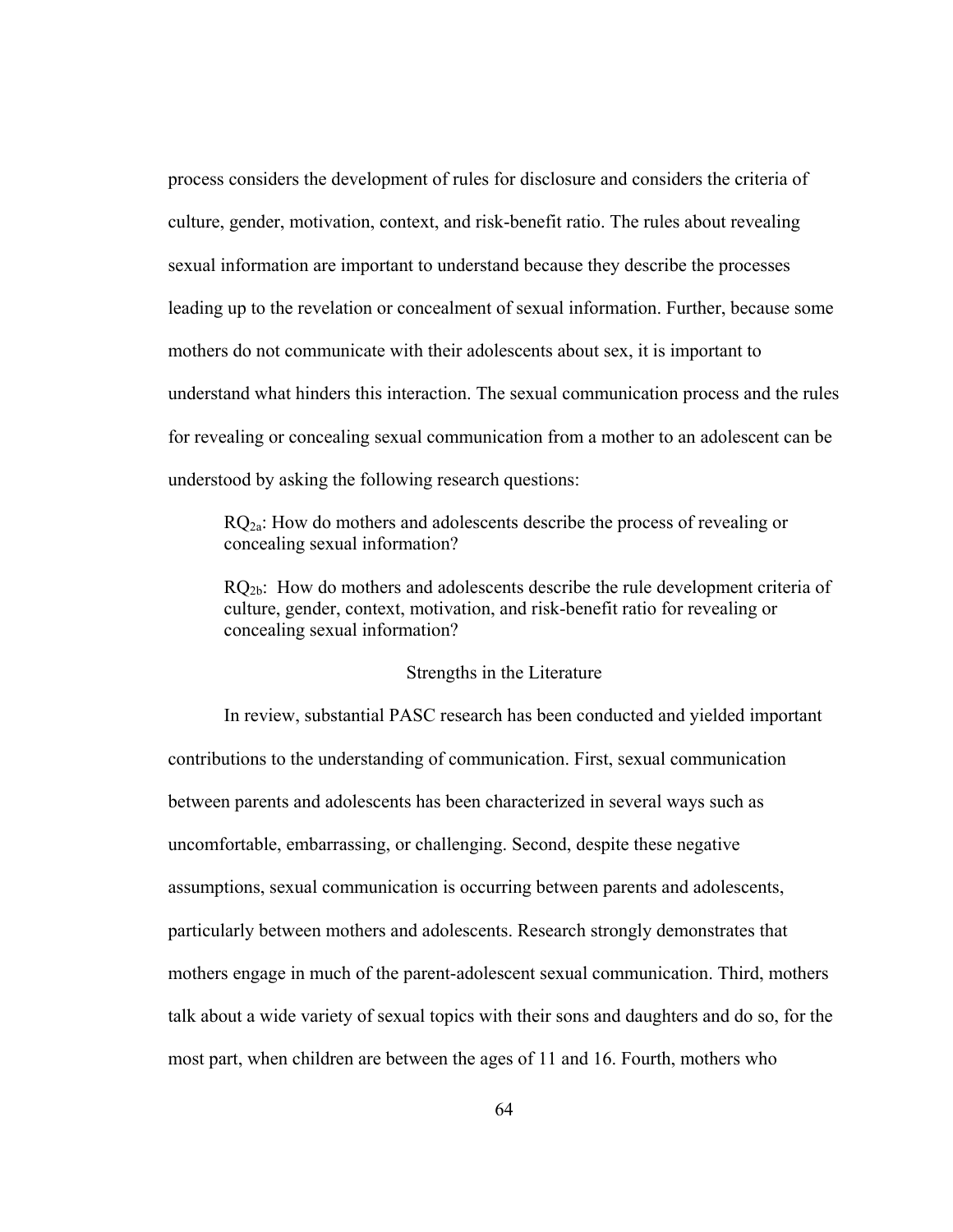process considers the development of rules for disclosure and considers the criteria of culture, gender, motivation, context, and risk-benefit ratio. The rules about revealing sexual information are important to understand because they describe the processes leading up to the revelation or concealment of sexual information. Further, because some mothers do not communicate with their adolescents about sex, it is important to understand what hinders this interaction. The sexual communication process and the rules for revealing or concealing sexual communication from a mother to an adolescent can be understood by asking the following research questions:

 $RQ<sub>2a</sub>$ : How do mothers and adolescents describe the process of revealing or concealing sexual information?

 $RO<sub>2b</sub>$ : How do mothers and adolescents describe the rule development criteria of culture, gender, context, motivation, and risk-benefit ratio for revealing or concealing sexual information?

#### Strengths in the Literature

 In review, substantial PASC research has been conducted and yielded important contributions to the understanding of communication. First, sexual communication between parents and adolescents has been characterized in several ways such as uncomfortable, embarrassing, or challenging. Second, despite these negative assumptions, sexual communication is occurring between parents and adolescents, particularly between mothers and adolescents. Research strongly demonstrates that mothers engage in much of the parent-adolescent sexual communication. Third, mothers talk about a wide variety of sexual topics with their sons and daughters and do so, for the most part, when children are between the ages of 11 and 16. Fourth, mothers who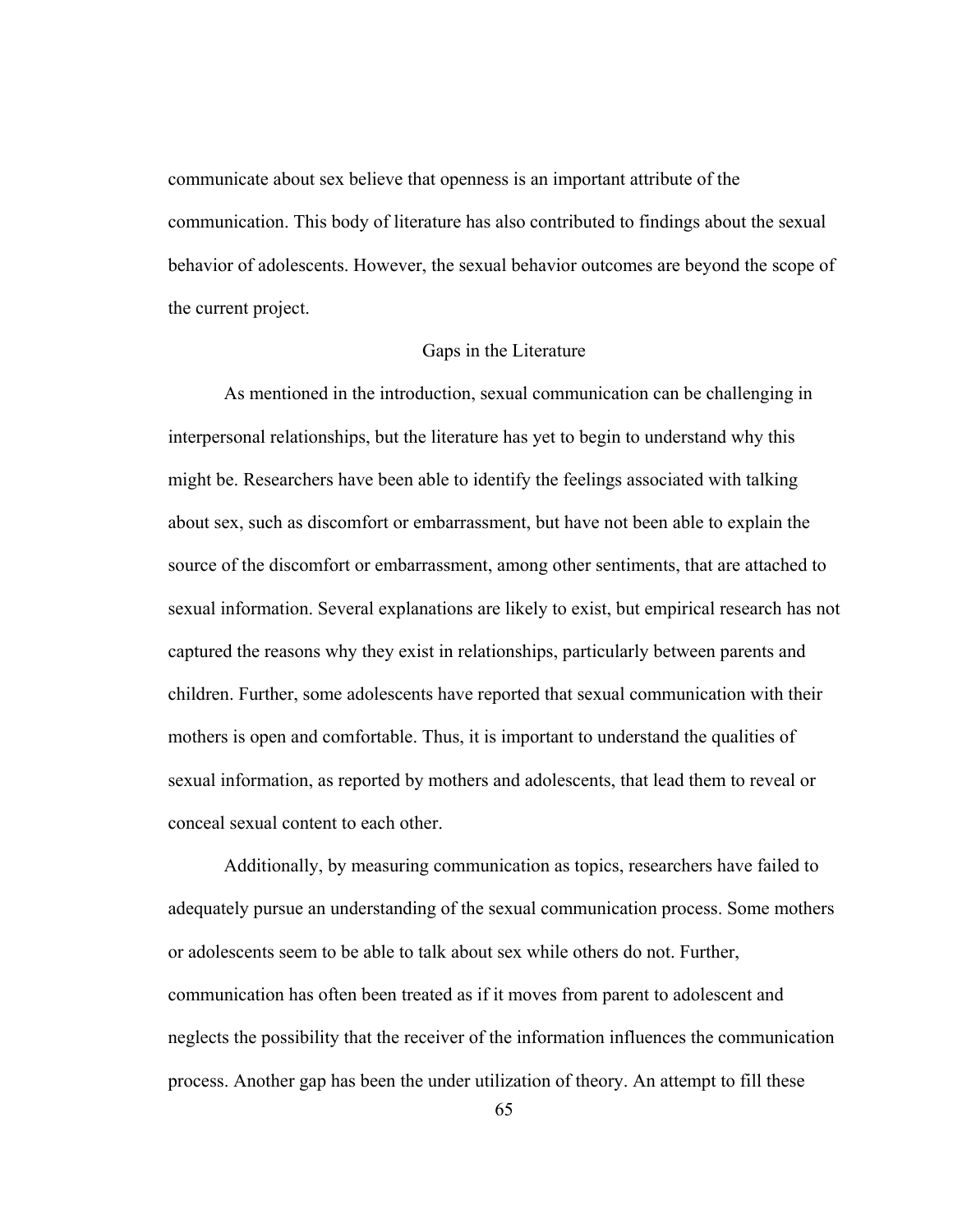communicate about sex believe that openness is an important attribute of the communication. This body of literature has also contributed to findings about the sexual behavior of adolescents. However, the sexual behavior outcomes are beyond the scope of the current project.

### Gaps in the Literature

 As mentioned in the introduction, sexual communication can be challenging in interpersonal relationships, but the literature has yet to begin to understand why this might be. Researchers have been able to identify the feelings associated with talking about sex, such as discomfort or embarrassment, but have not been able to explain the source of the discomfort or embarrassment, among other sentiments, that are attached to sexual information. Several explanations are likely to exist, but empirical research has not captured the reasons why they exist in relationships, particularly between parents and children. Further, some adolescents have reported that sexual communication with their mothers is open and comfortable. Thus, it is important to understand the qualities of sexual information, as reported by mothers and adolescents, that lead them to reveal or conceal sexual content to each other.

Additionally, by measuring communication as topics, researchers have failed to adequately pursue an understanding of the sexual communication process. Some mothers or adolescents seem to be able to talk about sex while others do not. Further, communication has often been treated as if it moves from parent to adolescent and neglects the possibility that the receiver of the information influences the communication process. Another gap has been the under utilization of theory. An attempt to fill these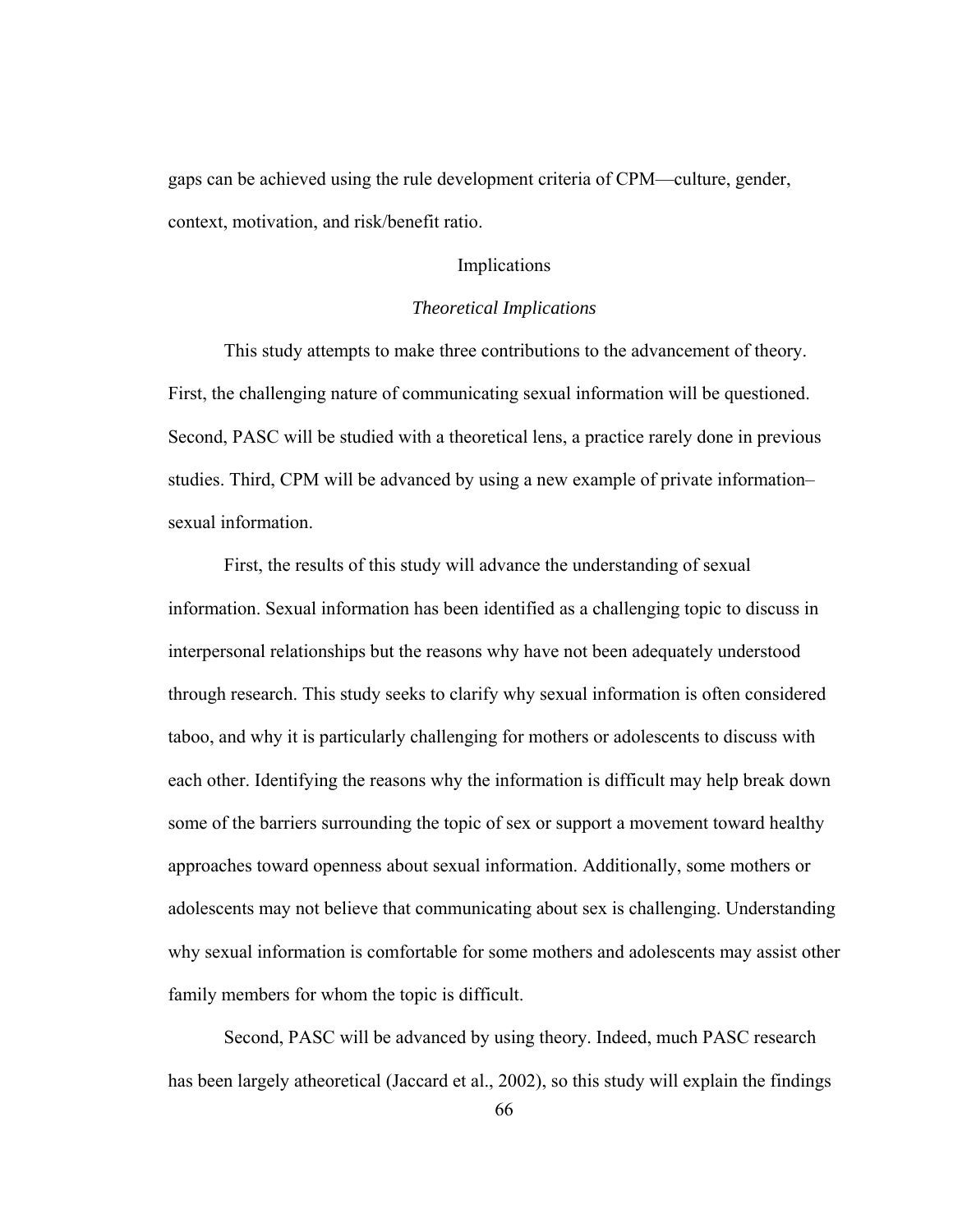gaps can be achieved using the rule development criteria of CPM—culture, gender, context, motivation, and risk/benefit ratio.

# Implications

### *Theoretical Implications*

This study attempts to make three contributions to the advancement of theory. First, the challenging nature of communicating sexual information will be questioned. Second, PASC will be studied with a theoretical lens, a practice rarely done in previous studies. Third, CPM will be advanced by using a new example of private information– sexual information.

First, the results of this study will advance the understanding of sexual information. Sexual information has been identified as a challenging topic to discuss in interpersonal relationships but the reasons why have not been adequately understood through research. This study seeks to clarify why sexual information is often considered taboo, and why it is particularly challenging for mothers or adolescents to discuss with each other. Identifying the reasons why the information is difficult may help break down some of the barriers surrounding the topic of sex or support a movement toward healthy approaches toward openness about sexual information. Additionally, some mothers or adolescents may not believe that communicating about sex is challenging. Understanding why sexual information is comfortable for some mothers and adolescents may assist other family members for whom the topic is difficult.

Second, PASC will be advanced by using theory. Indeed, much PASC research has been largely atheoretical (Jaccard et al., 2002), so this study will explain the findings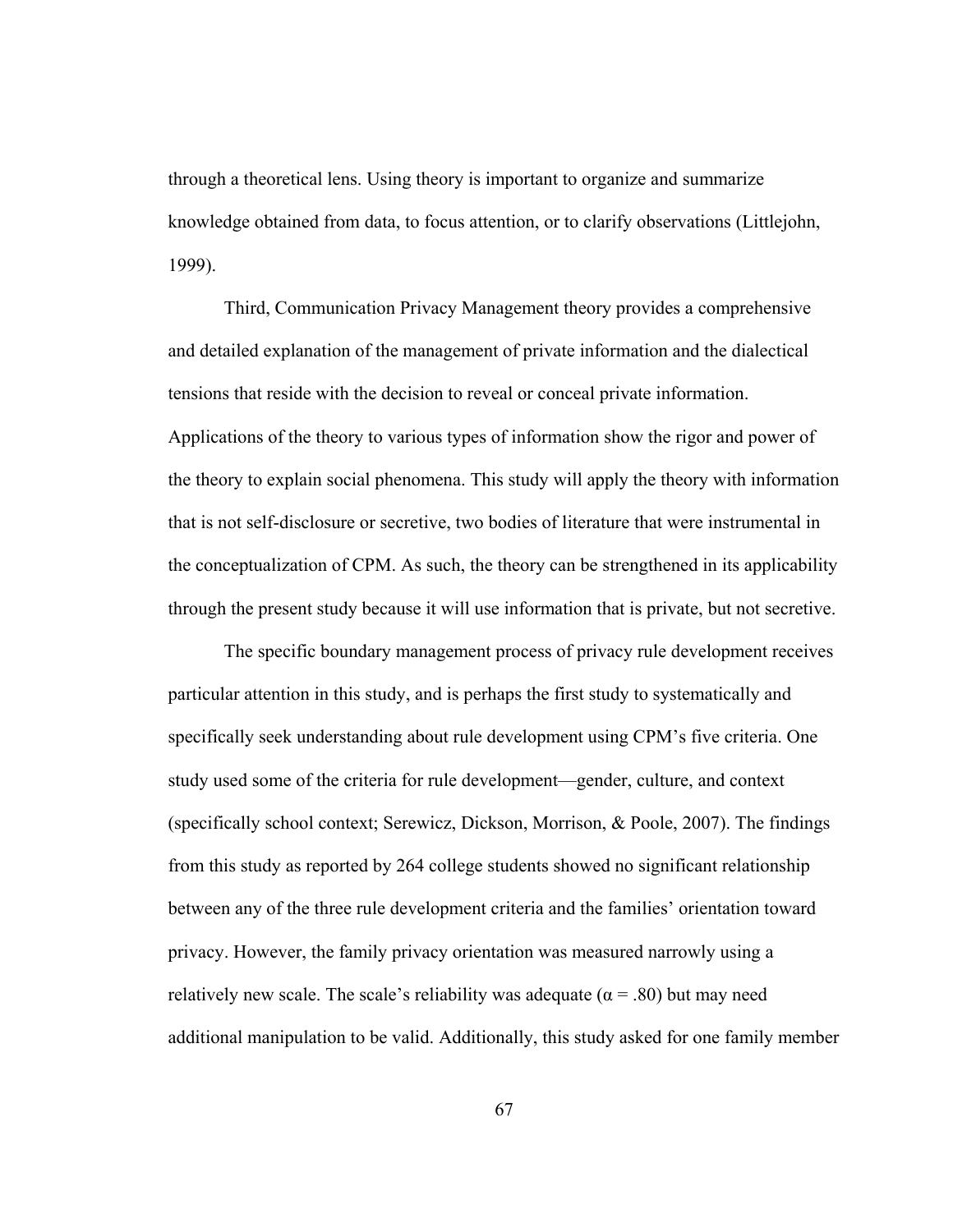through a theoretical lens. Using theory is important to organize and summarize knowledge obtained from data, to focus attention, or to clarify observations (Littlejohn, 1999).

Third, Communication Privacy Management theory provides a comprehensive and detailed explanation of the management of private information and the dialectical tensions that reside with the decision to reveal or conceal private information. Applications of the theory to various types of information show the rigor and power of the theory to explain social phenomena. This study will apply the theory with information that is not self-disclosure or secretive, two bodies of literature that were instrumental in the conceptualization of CPM. As such, the theory can be strengthened in its applicability through the present study because it will use information that is private, but not secretive.

The specific boundary management process of privacy rule development receives particular attention in this study, and is perhaps the first study to systematically and specifically seek understanding about rule development using CPM's five criteria. One study used some of the criteria for rule development—gender, culture, and context (specifically school context; Serewicz, Dickson, Morrison, & Poole, 2007). The findings from this study as reported by 264 college students showed no significant relationship between any of the three rule development criteria and the families' orientation toward privacy. However, the family privacy orientation was measured narrowly using a relatively new scale. The scale's reliability was adequate ( $\alpha$  = .80) but may need additional manipulation to be valid. Additionally, this study asked for one family member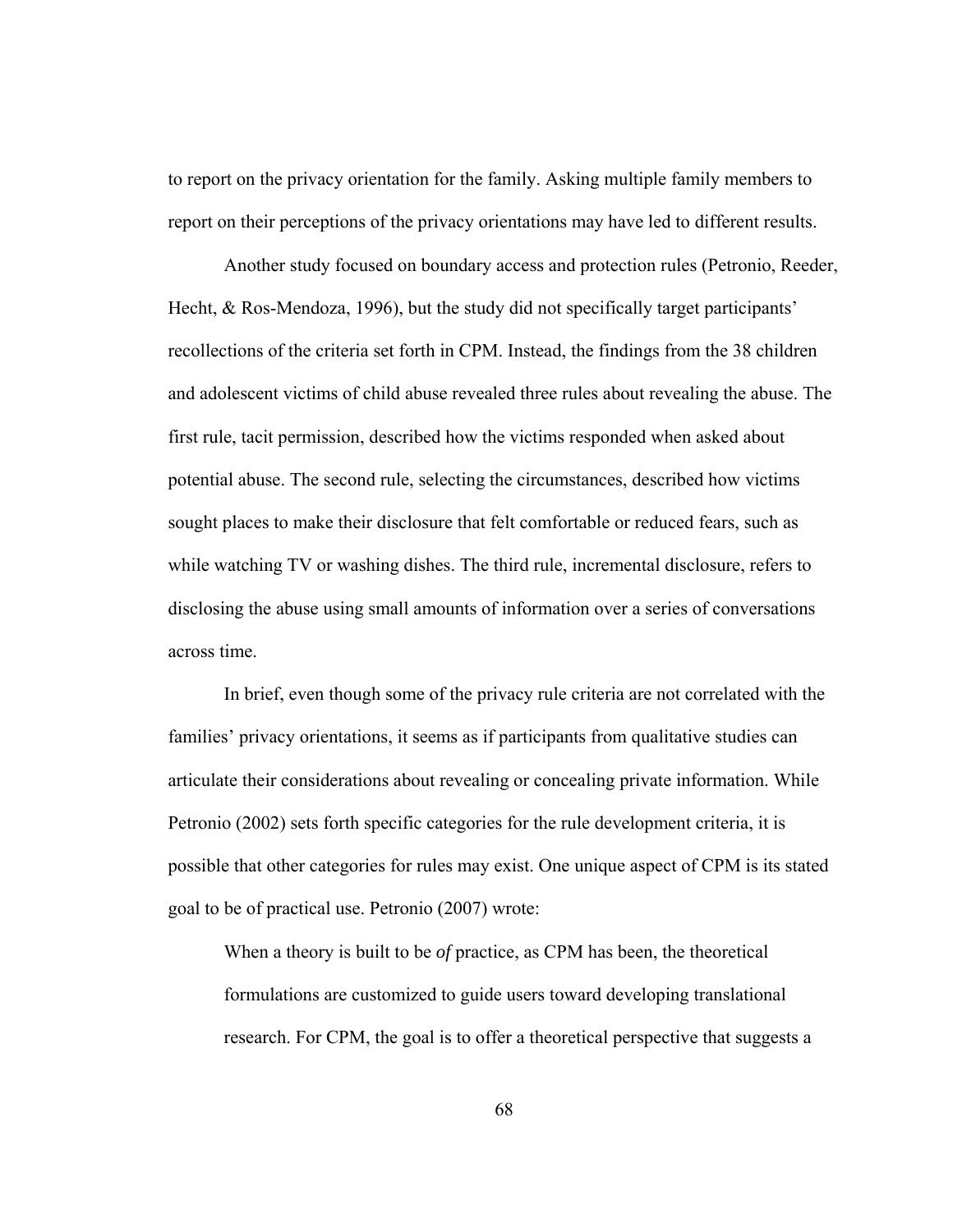to report on the privacy orientation for the family. Asking multiple family members to report on their perceptions of the privacy orientations may have led to different results.

Another study focused on boundary access and protection rules (Petronio, Reeder, Hecht, & Ros-Mendoza, 1996), but the study did not specifically target participants' recollections of the criteria set forth in CPM. Instead, the findings from the 38 children and adolescent victims of child abuse revealed three rules about revealing the abuse. The first rule, tacit permission, described how the victims responded when asked about potential abuse. The second rule, selecting the circumstances, described how victims sought places to make their disclosure that felt comfortable or reduced fears, such as while watching TV or washing dishes. The third rule, incremental disclosure, refers to disclosing the abuse using small amounts of information over a series of conversations across time.

In brief, even though some of the privacy rule criteria are not correlated with the families' privacy orientations, it seems as if participants from qualitative studies can articulate their considerations about revealing or concealing private information. While Petronio (2002) sets forth specific categories for the rule development criteria, it is possible that other categories for rules may exist. One unique aspect of CPM is its stated goal to be of practical use. Petronio (2007) wrote:

When a theory is built to be *of* practice, as CPM has been, the theoretical formulations are customized to guide users toward developing translational research. For CPM, the goal is to offer a theoretical perspective that suggests a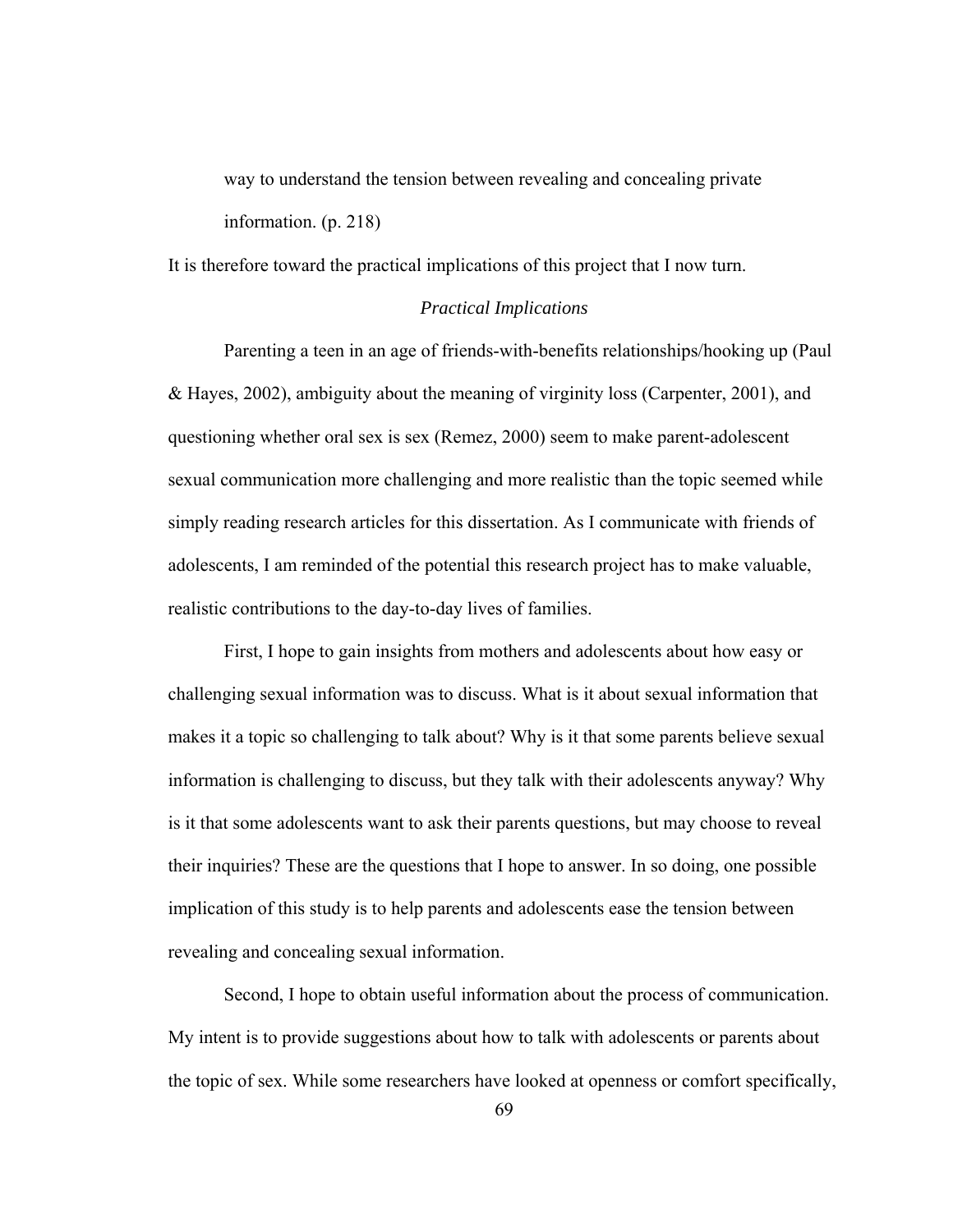way to understand the tension between revealing and concealing private information. (p. 218)

It is therefore toward the practical implications of this project that I now turn.

### *Practical Implications*

 Parenting a teen in an age of friends-with-benefits relationships/hooking up (Paul & Hayes, 2002), ambiguity about the meaning of virginity loss (Carpenter, 2001), and questioning whether oral sex is sex (Remez, 2000) seem to make parent-adolescent sexual communication more challenging and more realistic than the topic seemed while simply reading research articles for this dissertation. As I communicate with friends of adolescents, I am reminded of the potential this research project has to make valuable, realistic contributions to the day-to-day lives of families.

First, I hope to gain insights from mothers and adolescents about how easy or challenging sexual information was to discuss. What is it about sexual information that makes it a topic so challenging to talk about? Why is it that some parents believe sexual information is challenging to discuss, but they talk with their adolescents anyway? Why is it that some adolescents want to ask their parents questions, but may choose to reveal their inquiries? These are the questions that I hope to answer. In so doing, one possible implication of this study is to help parents and adolescents ease the tension between revealing and concealing sexual information.

Second, I hope to obtain useful information about the process of communication. My intent is to provide suggestions about how to talk with adolescents or parents about the topic of sex. While some researchers have looked at openness or comfort specifically,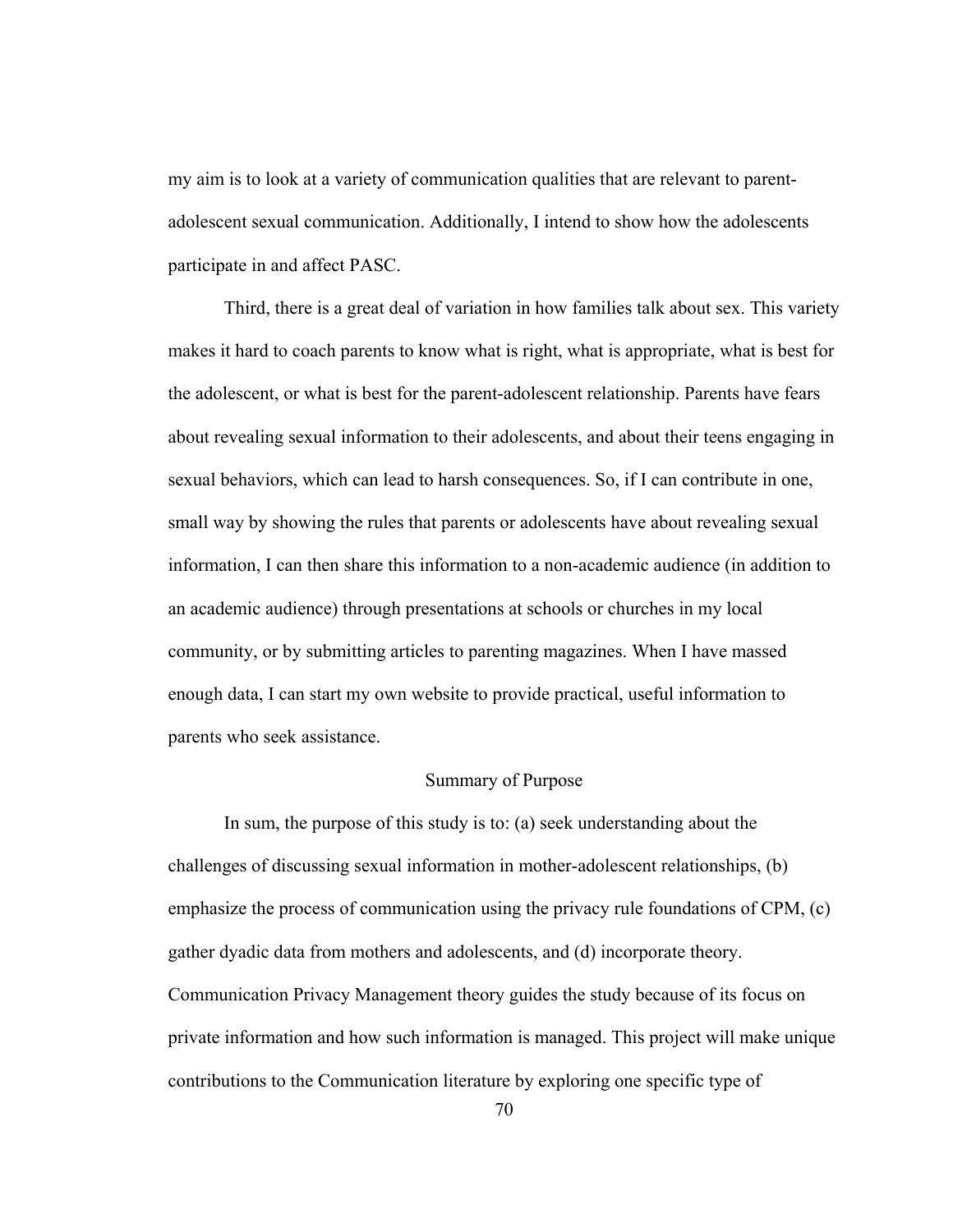my aim is to look at a variety of communication qualities that are relevant to parentadolescent sexual communication. Additionally, I intend to show how the adolescents participate in and affect PASC.

 Third, there is a great deal of variation in how families talk about sex. This variety makes it hard to coach parents to know what is right, what is appropriate, what is best for the adolescent, or what is best for the parent-adolescent relationship. Parents have fears about revealing sexual information to their adolescents, and about their teens engaging in sexual behaviors, which can lead to harsh consequences. So, if I can contribute in one, small way by showing the rules that parents or adolescents have about revealing sexual information, I can then share this information to a non-academic audience (in addition to an academic audience) through presentations at schools or churches in my local community, or by submitting articles to parenting magazines. When I have massed enough data, I can start my own website to provide practical, useful information to parents who seek assistance.

## Summary of Purpose

In sum, the purpose of this study is to: (a) seek understanding about the challenges of discussing sexual information in mother-adolescent relationships, (b) emphasize the process of communication using the privacy rule foundations of CPM, (c) gather dyadic data from mothers and adolescents, and (d) incorporate theory. Communication Privacy Management theory guides the study because of its focus on private information and how such information is managed. This project will make unique contributions to the Communication literature by exploring one specific type of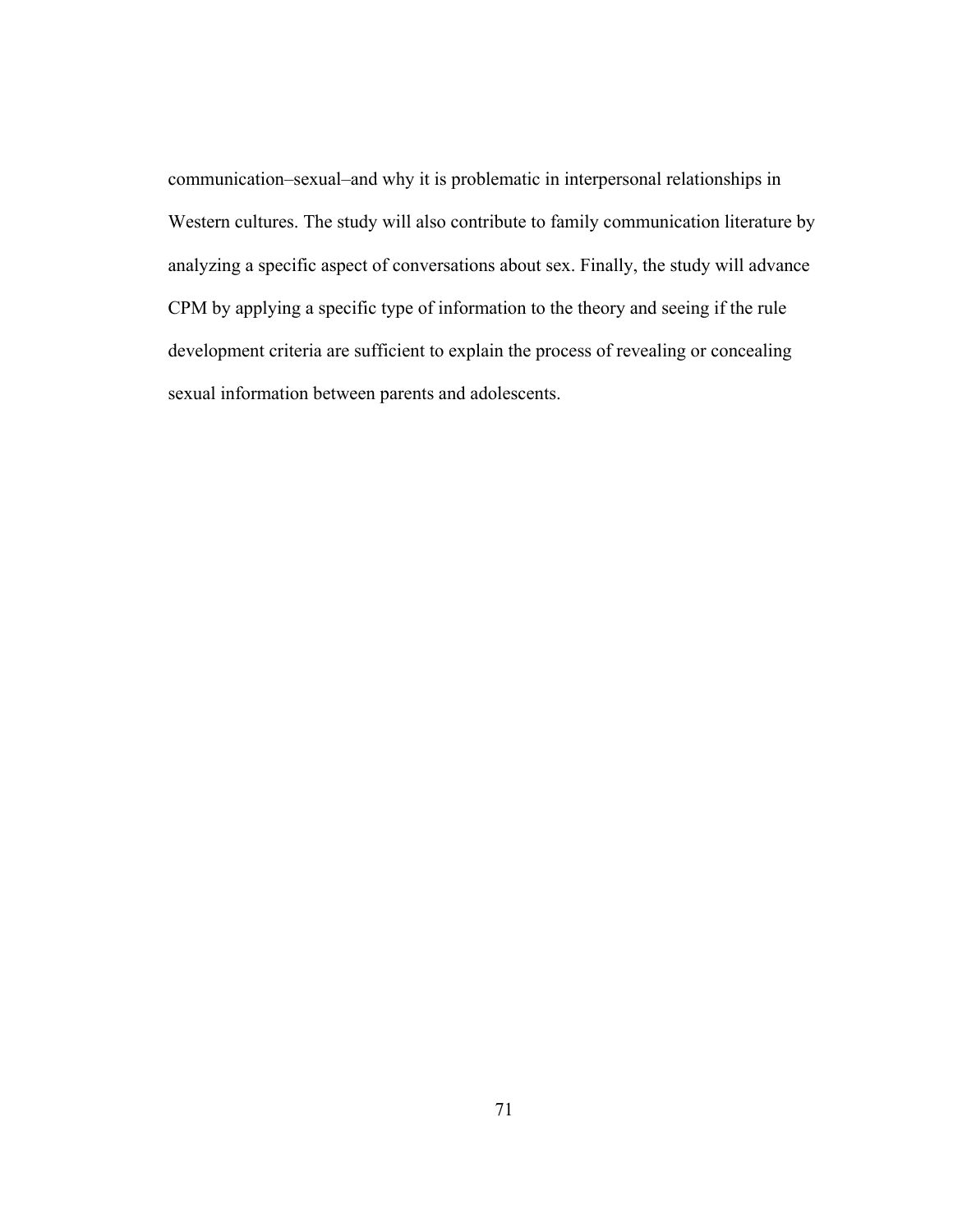communication–sexual–and why it is problematic in interpersonal relationships in Western cultures. The study will also contribute to family communication literature by analyzing a specific aspect of conversations about sex. Finally, the study will advance CPM by applying a specific type of information to the theory and seeing if the rule development criteria are sufficient to explain the process of revealing or concealing sexual information between parents and adolescents.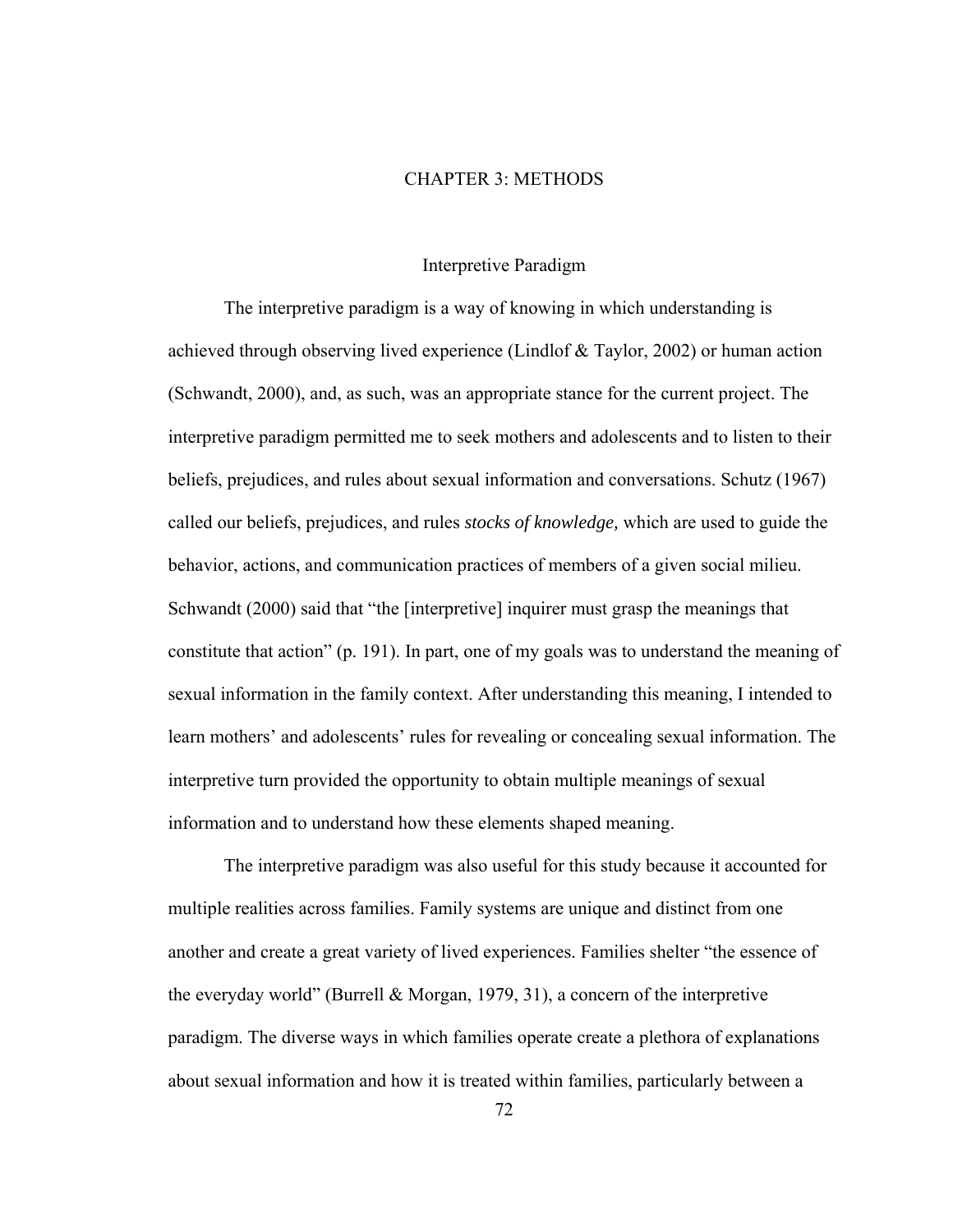## CHAPTER 3: METHODS

### Interpretive Paradigm

The interpretive paradigm is a way of knowing in which understanding is achieved through observing lived experience (Lindlof & Taylor, 2002) or human action (Schwandt, 2000), and, as such, was an appropriate stance for the current project. The interpretive paradigm permitted me to seek mothers and adolescents and to listen to their beliefs, prejudices, and rules about sexual information and conversations. Schutz (1967) called our beliefs, prejudices, and rules *stocks of knowledge,* which are used to guide the behavior, actions, and communication practices of members of a given social milieu. Schwandt (2000) said that "the [interpretive] inquirer must grasp the meanings that constitute that action" (p. 191). In part, one of my goals was to understand the meaning of sexual information in the family context. After understanding this meaning, I intended to learn mothers' and adolescents' rules for revealing or concealing sexual information. The interpretive turn provided the opportunity to obtain multiple meanings of sexual information and to understand how these elements shaped meaning.

The interpretive paradigm was also useful for this study because it accounted for multiple realities across families. Family systems are unique and distinct from one another and create a great variety of lived experiences. Families shelter "the essence of the everyday world" (Burrell & Morgan, 1979, 31), a concern of the interpretive paradigm. The diverse ways in which families operate create a plethora of explanations about sexual information and how it is treated within families, particularly between a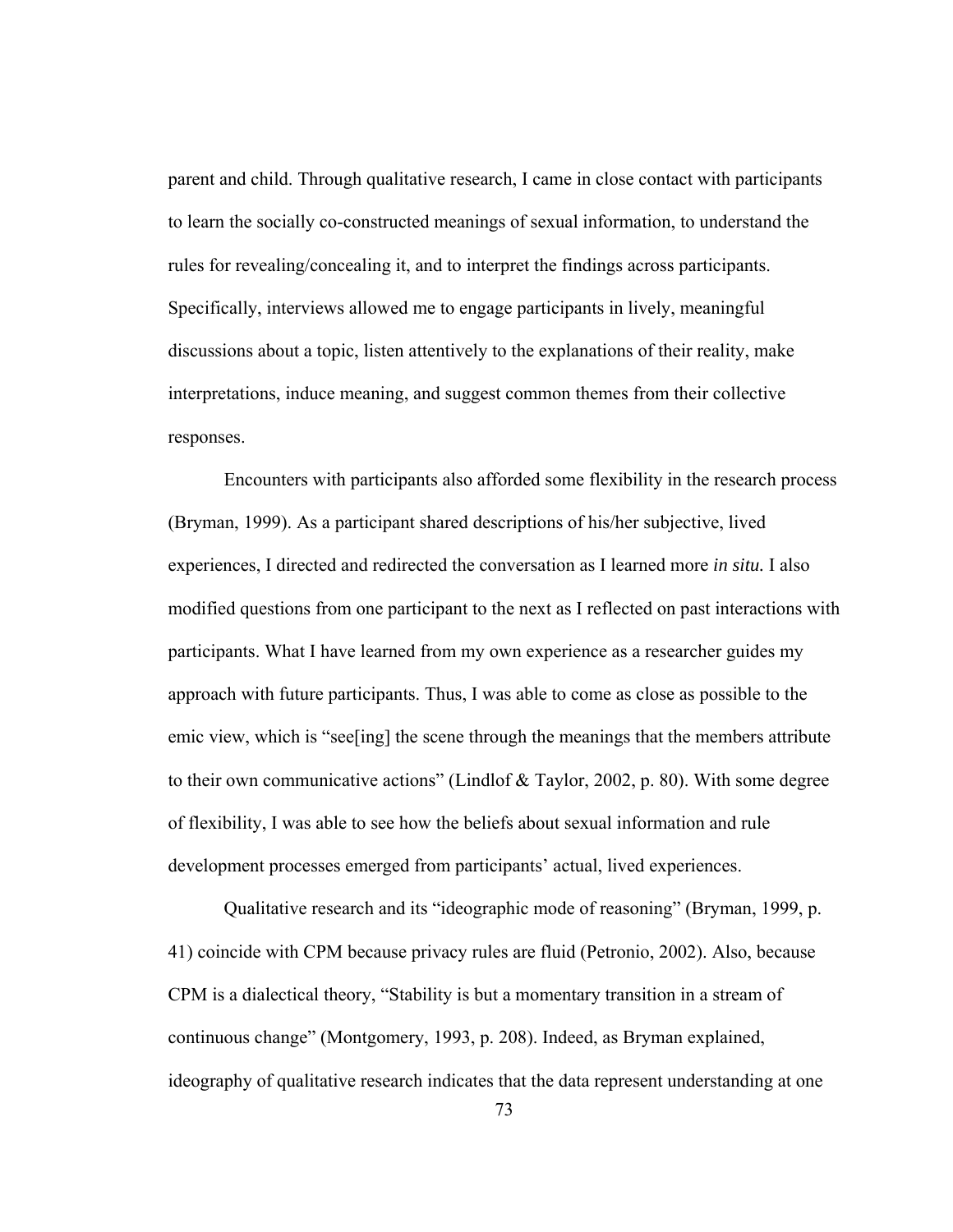parent and child. Through qualitative research, I came in close contact with participants to learn the socially co-constructed meanings of sexual information, to understand the rules for revealing/concealing it, and to interpret the findings across participants. Specifically, interviews allowed me to engage participants in lively, meaningful discussions about a topic, listen attentively to the explanations of their reality, make interpretations, induce meaning, and suggest common themes from their collective responses.

Encounters with participants also afforded some flexibility in the research process (Bryman, 1999). As a participant shared descriptions of his/her subjective, lived experiences, I directed and redirected the conversation as I learned more *in situ.* I also modified questions from one participant to the next as I reflected on past interactions with participants. What I have learned from my own experience as a researcher guides my approach with future participants. Thus, I was able to come as close as possible to the emic view, which is "see[ing] the scene through the meanings that the members attribute to their own communicative actions" (Lindlof & Taylor, 2002, p. 80). With some degree of flexibility, I was able to see how the beliefs about sexual information and rule development processes emerged from participants' actual, lived experiences.

Qualitative research and its "ideographic mode of reasoning" (Bryman, 1999, p. 41) coincide with CPM because privacy rules are fluid (Petronio, 2002). Also, because CPM is a dialectical theory, "Stability is but a momentary transition in a stream of continuous change" (Montgomery, 1993, p. 208). Indeed, as Bryman explained, ideography of qualitative research indicates that the data represent understanding at one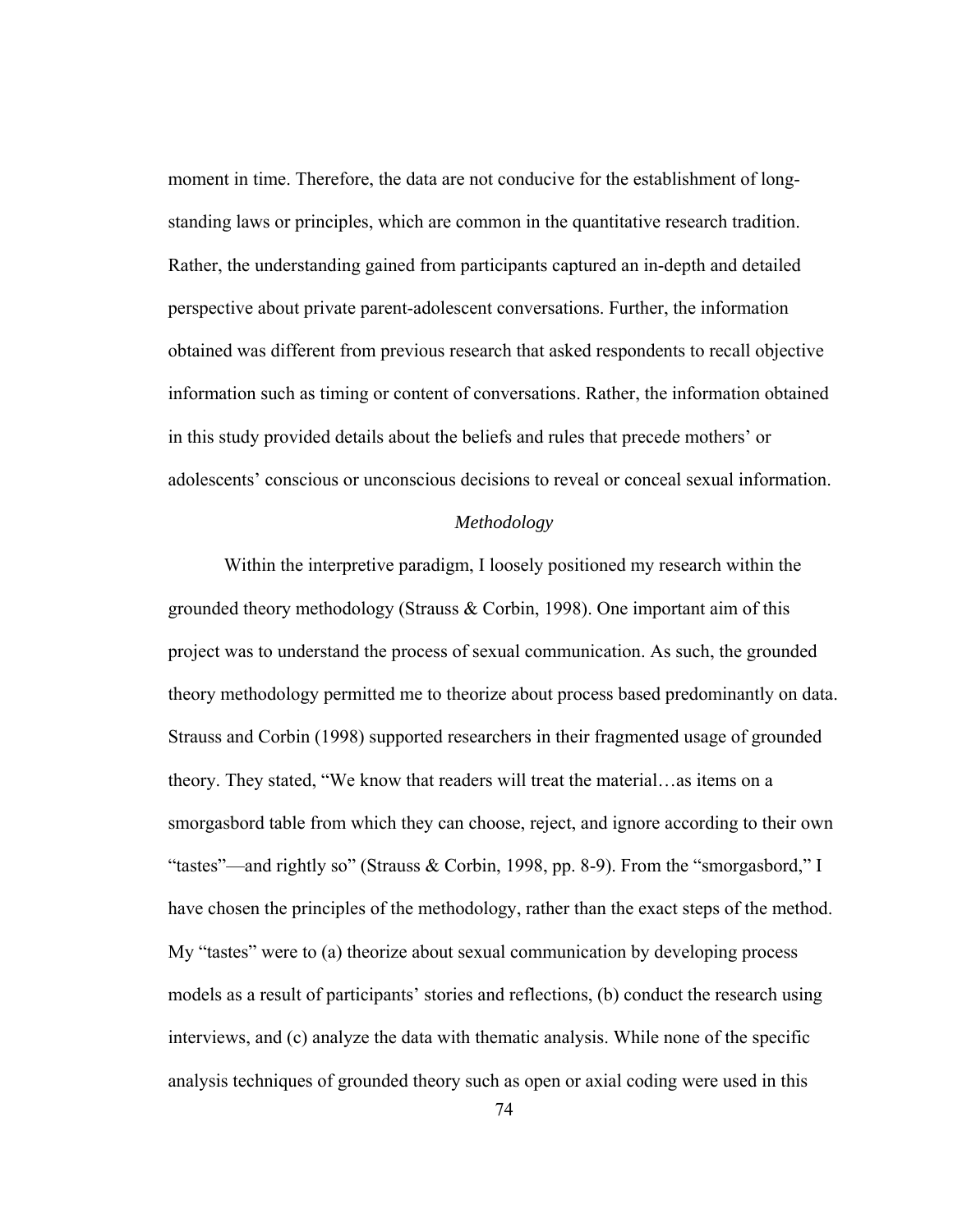moment in time. Therefore, the data are not conducive for the establishment of longstanding laws or principles, which are common in the quantitative research tradition. Rather, the understanding gained from participants captured an in-depth and detailed perspective about private parent-adolescent conversations. Further, the information obtained was different from previous research that asked respondents to recall objective information such as timing or content of conversations. Rather, the information obtained in this study provided details about the beliefs and rules that precede mothers' or adolescents' conscious or unconscious decisions to reveal or conceal sexual information.

## *Methodology*

 Within the interpretive paradigm, I loosely positioned my research within the grounded theory methodology (Strauss & Corbin, 1998). One important aim of this project was to understand the process of sexual communication. As such, the grounded theory methodology permitted me to theorize about process based predominantly on data. Strauss and Corbin (1998) supported researchers in their fragmented usage of grounded theory. They stated, "We know that readers will treat the material…as items on a smorgasbord table from which they can choose, reject, and ignore according to their own "tastes"—and rightly so" (Strauss & Corbin, 1998, pp. 8-9). From the "smorgasbord," I have chosen the principles of the methodology, rather than the exact steps of the method. My "tastes" were to (a) theorize about sexual communication by developing process models as a result of participants' stories and reflections, (b) conduct the research using interviews, and (c) analyze the data with thematic analysis. While none of the specific analysis techniques of grounded theory such as open or axial coding were used in this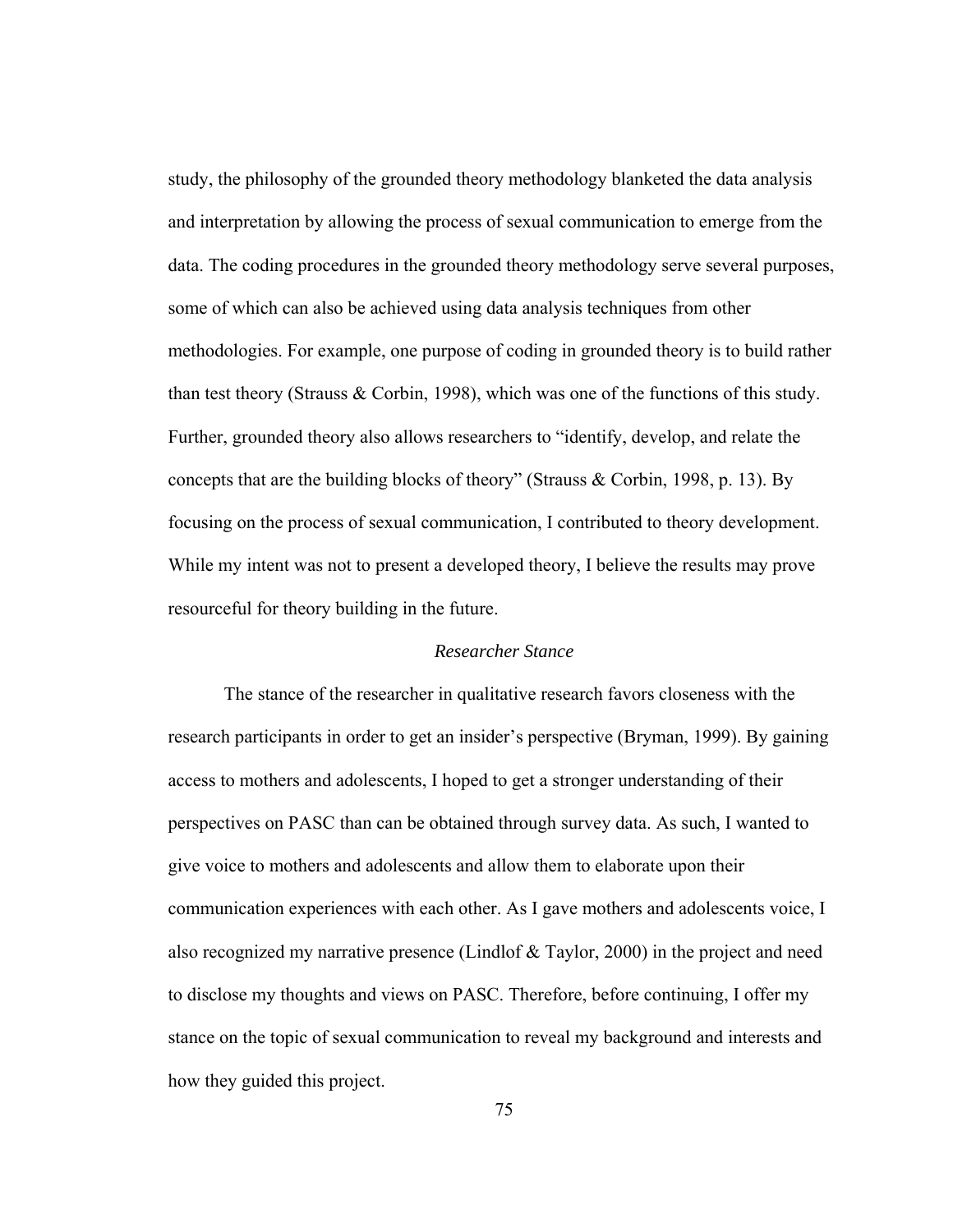study, the philosophy of the grounded theory methodology blanketed the data analysis and interpretation by allowing the process of sexual communication to emerge from the data. The coding procedures in the grounded theory methodology serve several purposes, some of which can also be achieved using data analysis techniques from other methodologies. For example, one purpose of coding in grounded theory is to build rather than test theory (Strauss & Corbin, 1998), which was one of the functions of this study. Further, grounded theory also allows researchers to "identify, develop, and relate the concepts that are the building blocks of theory" (Strauss & Corbin, 1998, p. 13). By focusing on the process of sexual communication, I contributed to theory development. While my intent was not to present a developed theory, I believe the results may prove resourceful for theory building in the future.

# *Researcher Stance*

The stance of the researcher in qualitative research favors closeness with the research participants in order to get an insider's perspective (Bryman, 1999). By gaining access to mothers and adolescents, I hoped to get a stronger understanding of their perspectives on PASC than can be obtained through survey data. As such, I wanted to give voice to mothers and adolescents and allow them to elaborate upon their communication experiences with each other. As I gave mothers and adolescents voice, I also recognized my narrative presence (Lindlof  $\&$  Taylor, 2000) in the project and need to disclose my thoughts and views on PASC. Therefore, before continuing, I offer my stance on the topic of sexual communication to reveal my background and interests and how they guided this project.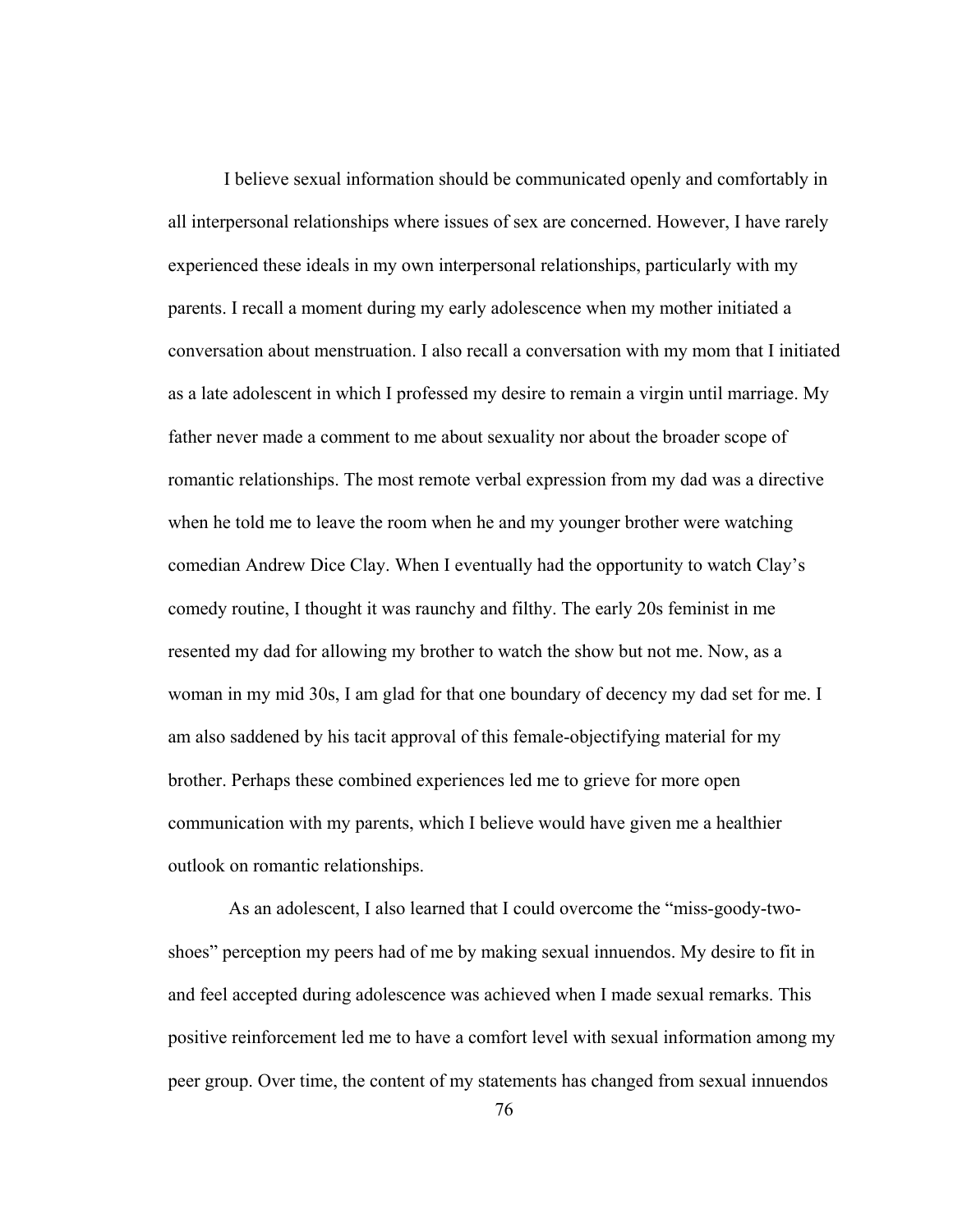I believe sexual information should be communicated openly and comfortably in all interpersonal relationships where issues of sex are concerned. However, I have rarely experienced these ideals in my own interpersonal relationships, particularly with my parents. I recall a moment during my early adolescence when my mother initiated a conversation about menstruation. I also recall a conversation with my mom that I initiated as a late adolescent in which I professed my desire to remain a virgin until marriage. My father never made a comment to me about sexuality nor about the broader scope of romantic relationships. The most remote verbal expression from my dad was a directive when he told me to leave the room when he and my younger brother were watching comedian Andrew Dice Clay. When I eventually had the opportunity to watch Clay's comedy routine, I thought it was raunchy and filthy. The early 20s feminist in me resented my dad for allowing my brother to watch the show but not me. Now, as a woman in my mid 30s, I am glad for that one boundary of decency my dad set for me. I am also saddened by his tacit approval of this female-objectifying material for my brother. Perhaps these combined experiences led me to grieve for more open communication with my parents, which I believe would have given me a healthier outlook on romantic relationships.

 As an adolescent, I also learned that I could overcome the "miss-goody-twoshoes" perception my peers had of me by making sexual innuendos. My desire to fit in and feel accepted during adolescence was achieved when I made sexual remarks. This positive reinforcement led me to have a comfort level with sexual information among my peer group. Over time, the content of my statements has changed from sexual innuendos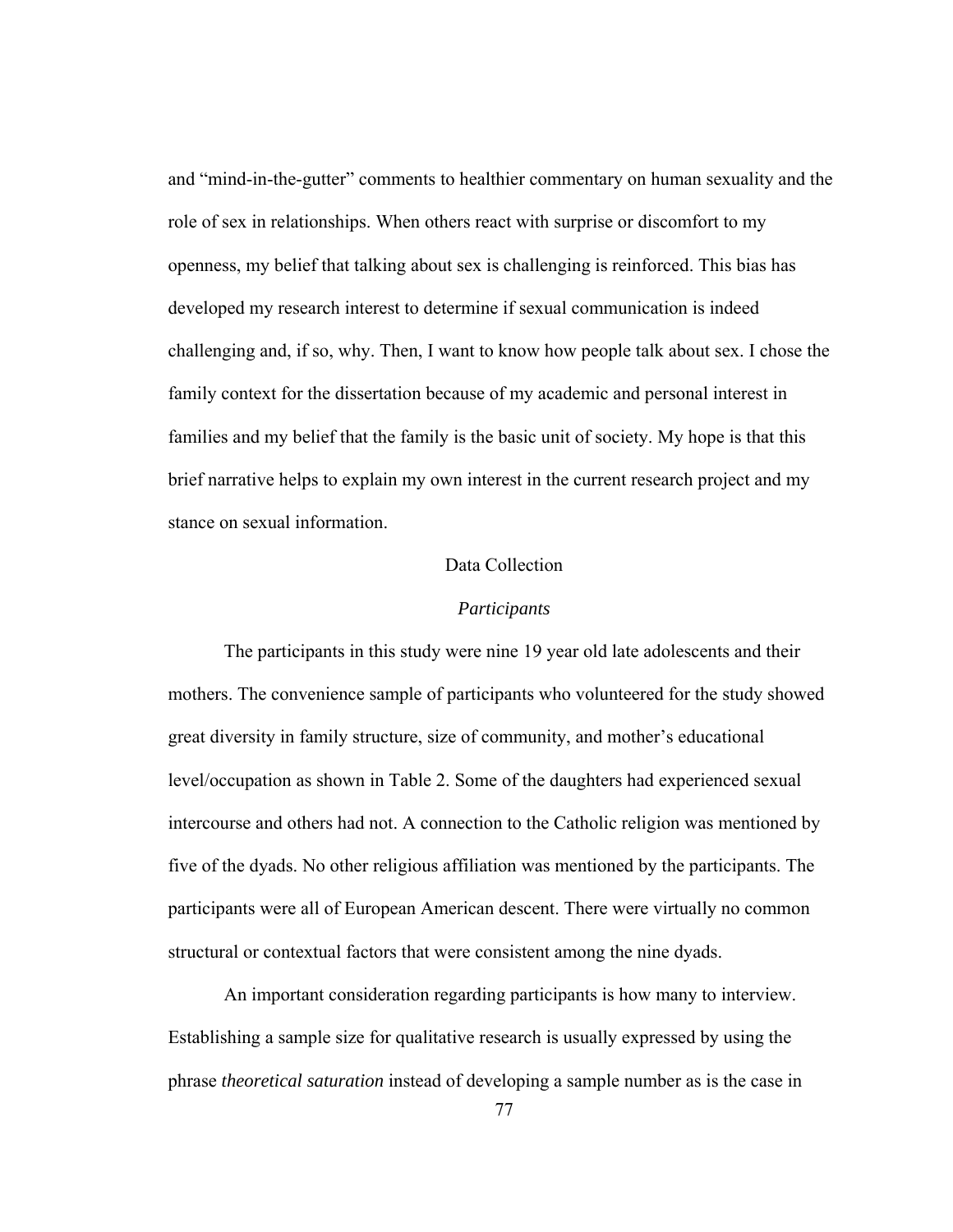and "mind-in-the-gutter" comments to healthier commentary on human sexuality and the role of sex in relationships. When others react with surprise or discomfort to my openness, my belief that talking about sex is challenging is reinforced. This bias has developed my research interest to determine if sexual communication is indeed challenging and, if so, why. Then, I want to know how people talk about sex. I chose the family context for the dissertation because of my academic and personal interest in families and my belief that the family is the basic unit of society. My hope is that this brief narrative helps to explain my own interest in the current research project and my stance on sexual information.

# Data Collection

## *Participants*

The participants in this study were nine 19 year old late adolescents and their mothers. The convenience sample of participants who volunteered for the study showed great diversity in family structure, size of community, and mother's educational level/occupation as shown in Table 2. Some of the daughters had experienced sexual intercourse and others had not. A connection to the Catholic religion was mentioned by five of the dyads. No other religious affiliation was mentioned by the participants. The participants were all of European American descent. There were virtually no common structural or contextual factors that were consistent among the nine dyads.

An important consideration regarding participants is how many to interview. Establishing a sample size for qualitative research is usually expressed by using the phrase *theoretical saturation* instead of developing a sample number as is the case in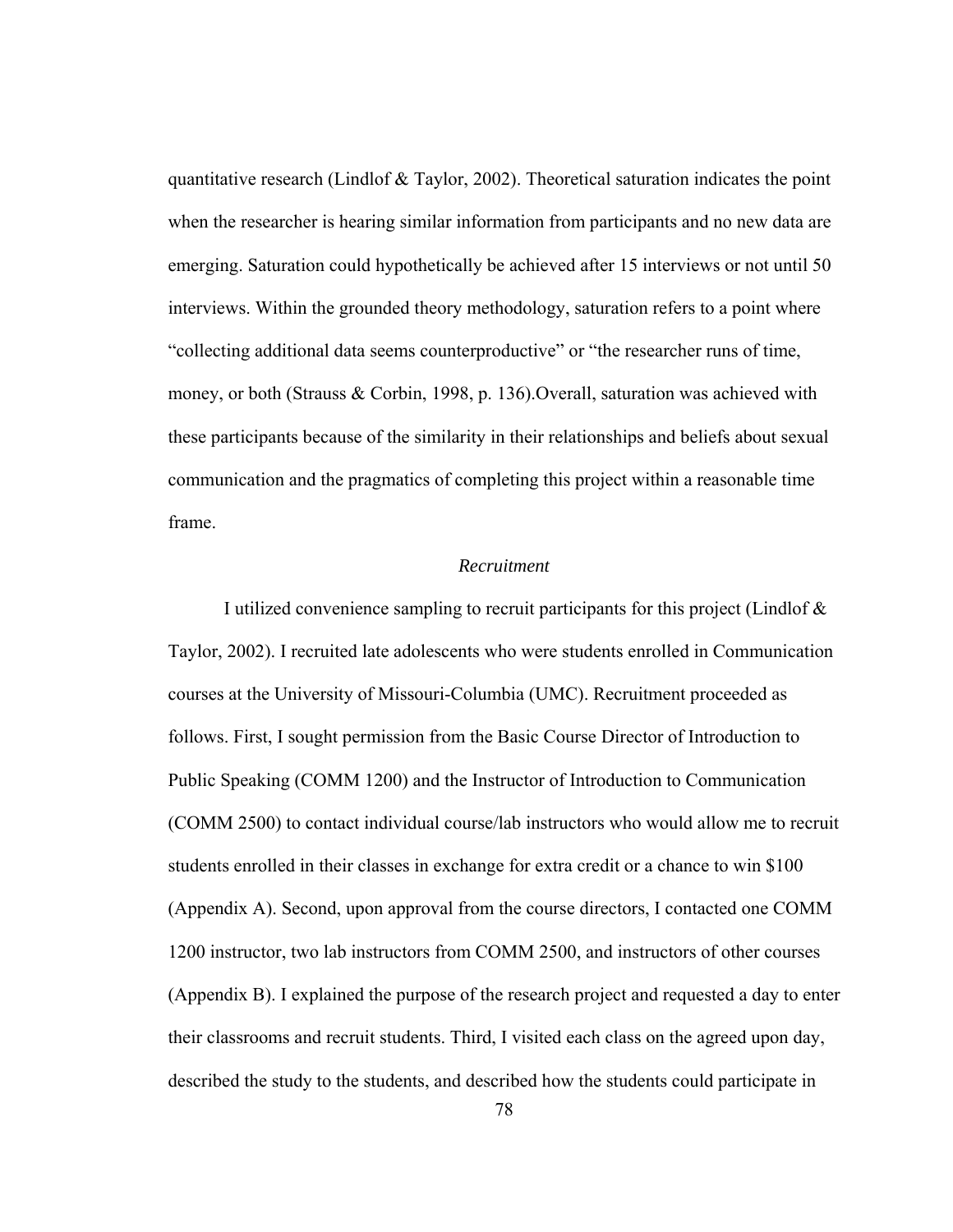quantitative research (Lindlof & Taylor, 2002). Theoretical saturation indicates the point when the researcher is hearing similar information from participants and no new data are emerging. Saturation could hypothetically be achieved after 15 interviews or not until 50 interviews. Within the grounded theory methodology, saturation refers to a point where "collecting additional data seems counterproductive" or "the researcher runs of time, money, or both (Strauss & Corbin, 1998, p. 136).Overall, saturation was achieved with these participants because of the similarity in their relationships and beliefs about sexual communication and the pragmatics of completing this project within a reasonable time frame.

# *Recruitment*

I utilized convenience sampling to recruit participants for this project (Lindlof & Taylor, 2002). I recruited late adolescents who were students enrolled in Communication courses at the University of Missouri-Columbia (UMC). Recruitment proceeded as follows. First, I sought permission from the Basic Course Director of Introduction to Public Speaking (COMM 1200) and the Instructor of Introduction to Communication (COMM 2500) to contact individual course/lab instructors who would allow me to recruit students enrolled in their classes in exchange for extra credit or a chance to win \$100 (Appendix A). Second, upon approval from the course directors, I contacted one COMM 1200 instructor, two lab instructors from COMM 2500, and instructors of other courses (Appendix B). I explained the purpose of the research project and requested a day to enter their classrooms and recruit students. Third, I visited each class on the agreed upon day, described the study to the students, and described how the students could participate in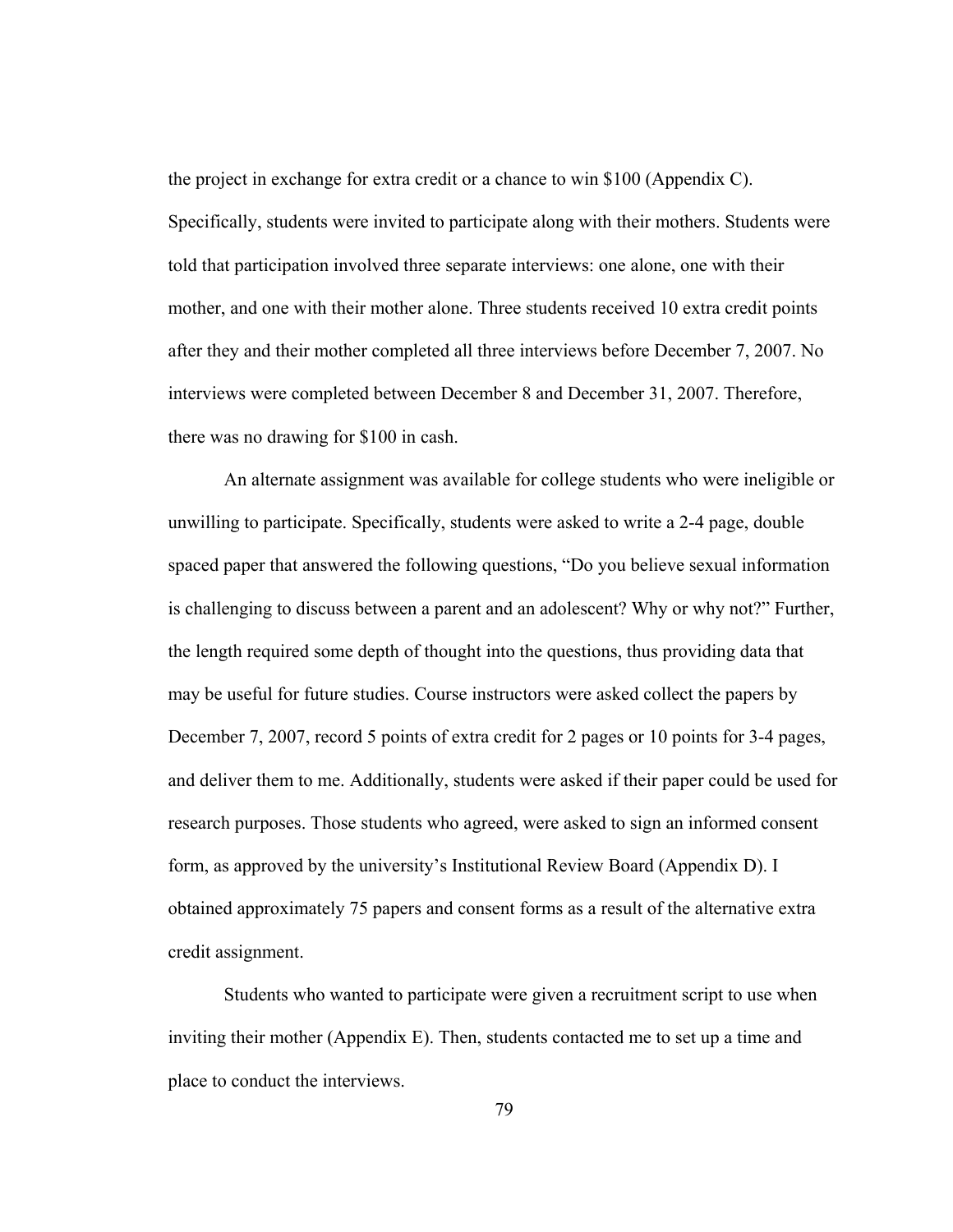the project in exchange for extra credit or a chance to win \$100 (Appendix C). Specifically, students were invited to participate along with their mothers. Students were told that participation involved three separate interviews: one alone, one with their mother, and one with their mother alone. Three students received 10 extra credit points after they and their mother completed all three interviews before December 7, 2007. No interviews were completed between December 8 and December 31, 2007. Therefore, there was no drawing for \$100 in cash.

An alternate assignment was available for college students who were ineligible or unwilling to participate. Specifically, students were asked to write a 2-4 page, double spaced paper that answered the following questions, "Do you believe sexual information is challenging to discuss between a parent and an adolescent? Why or why not?" Further, the length required some depth of thought into the questions, thus providing data that may be useful for future studies. Course instructors were asked collect the papers by December 7, 2007, record 5 points of extra credit for 2 pages or 10 points for 3-4 pages, and deliver them to me. Additionally, students were asked if their paper could be used for research purposes. Those students who agreed, were asked to sign an informed consent form, as approved by the university's Institutional Review Board (Appendix D). I obtained approximately 75 papers and consent forms as a result of the alternative extra credit assignment.

Students who wanted to participate were given a recruitment script to use when inviting their mother (Appendix E). Then, students contacted me to set up a time and place to conduct the interviews.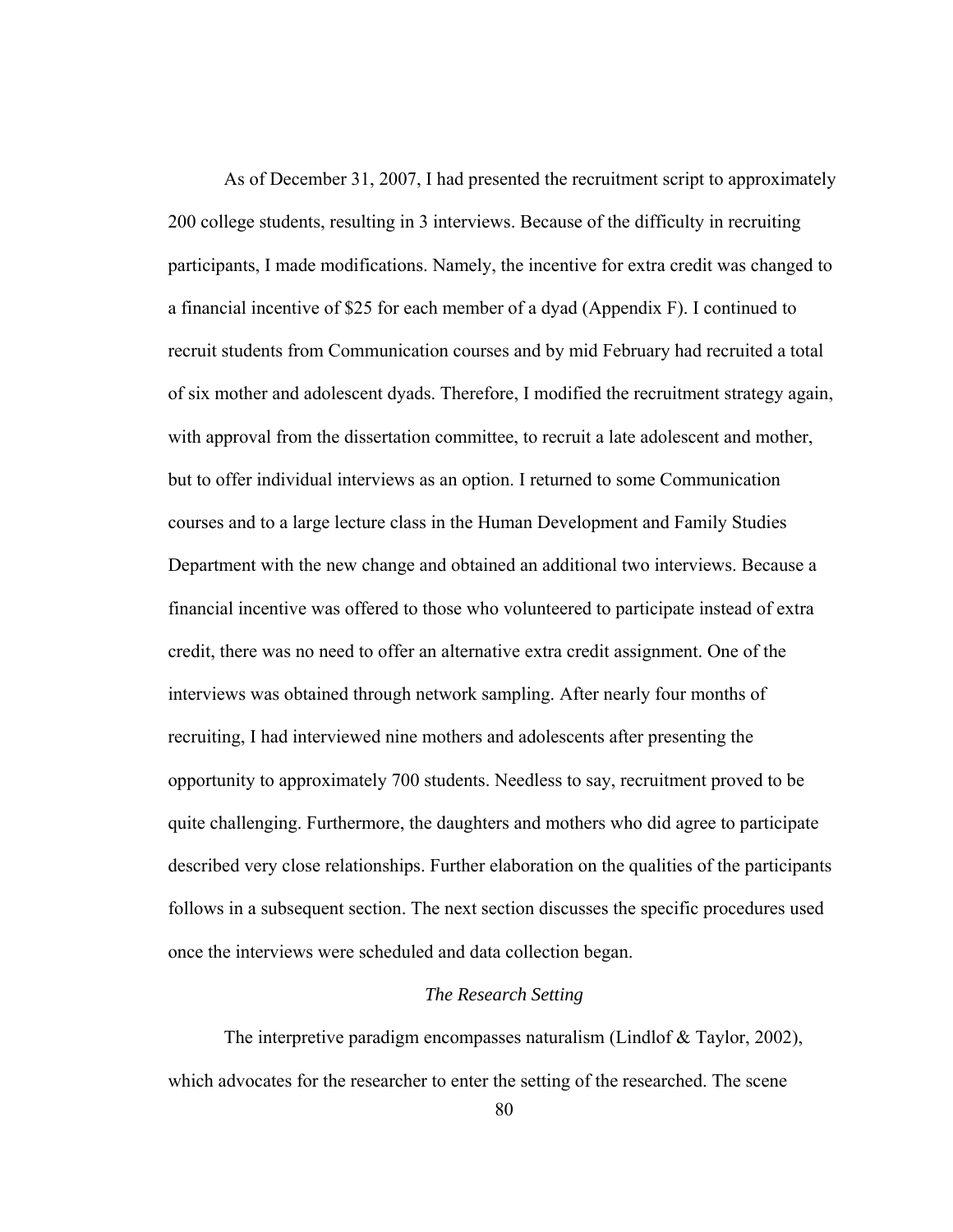As of December 31, 2007, I had presented the recruitment script to approximately 200 college students, resulting in 3 interviews. Because of the difficulty in recruiting participants, I made modifications. Namely, the incentive for extra credit was changed to a financial incentive of \$25 for each member of a dyad (Appendix F). I continued to recruit students from Communication courses and by mid February had recruited a total of six mother and adolescent dyads. Therefore, I modified the recruitment strategy again, with approval from the dissertation committee, to recruit a late adolescent and mother, but to offer individual interviews as an option. I returned to some Communication courses and to a large lecture class in the Human Development and Family Studies Department with the new change and obtained an additional two interviews. Because a financial incentive was offered to those who volunteered to participate instead of extra credit, there was no need to offer an alternative extra credit assignment. One of the interviews was obtained through network sampling. After nearly four months of recruiting, I had interviewed nine mothers and adolescents after presenting the opportunity to approximately 700 students. Needless to say, recruitment proved to be quite challenging. Furthermore, the daughters and mothers who did agree to participate described very close relationships. Further elaboration on the qualities of the participants follows in a subsequent section. The next section discusses the specific procedures used once the interviews were scheduled and data collection began.

## *The Research Setting*

The interpretive paradigm encompasses naturalism (Lindlof & Taylor, 2002), which advocates for the researcher to enter the setting of the researched. The scene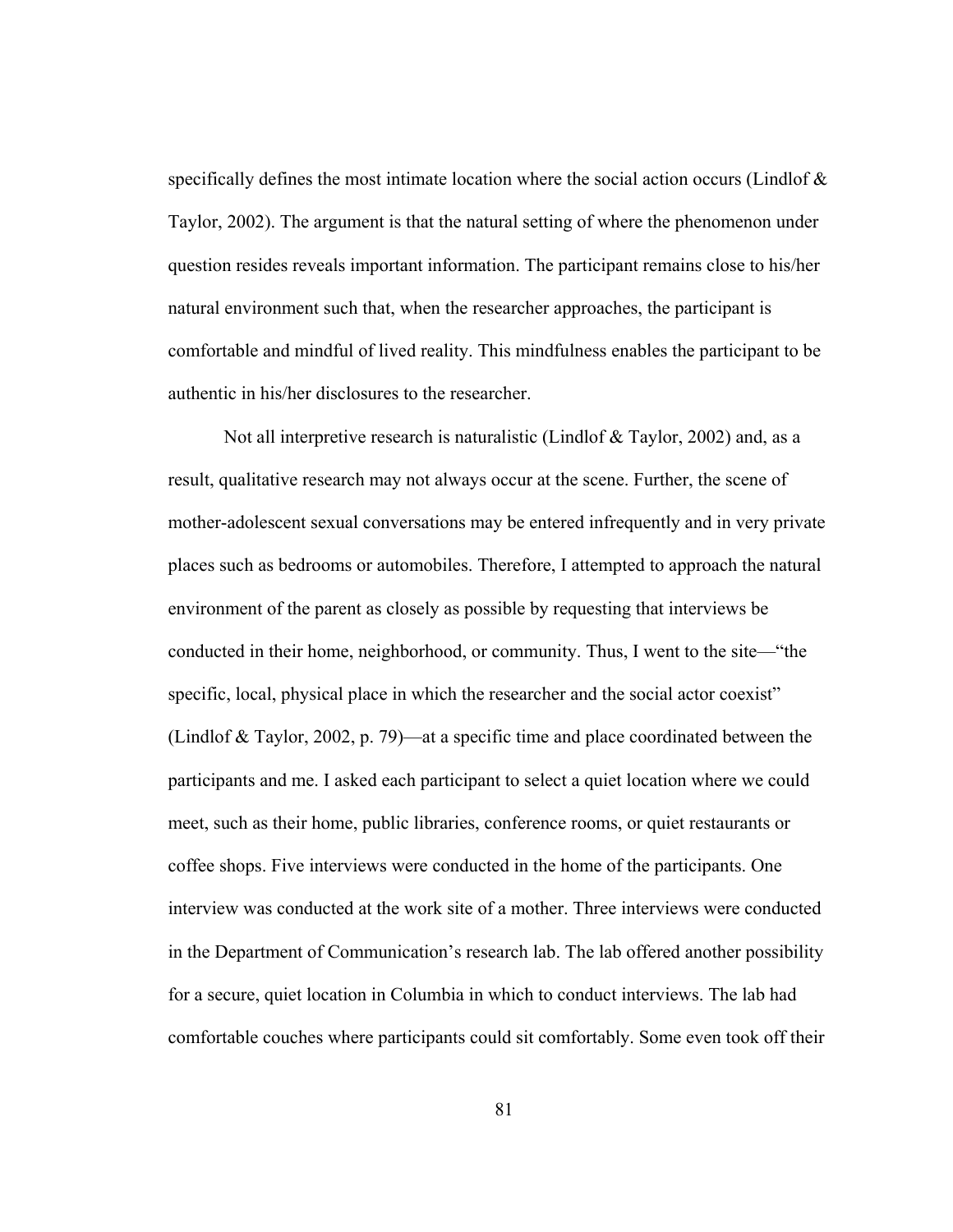specifically defines the most intimate location where the social action occurs (Lindlof & Taylor, 2002). The argument is that the natural setting of where the phenomenon under question resides reveals important information. The participant remains close to his/her natural environment such that, when the researcher approaches, the participant is comfortable and mindful of lived reality. This mindfulness enables the participant to be authentic in his/her disclosures to the researcher.

Not all interpretive research is naturalistic (Lindlof & Taylor, 2002) and, as a result, qualitative research may not always occur at the scene. Further, the scene of mother-adolescent sexual conversations may be entered infrequently and in very private places such as bedrooms or automobiles. Therefore, I attempted to approach the natural environment of the parent as closely as possible by requesting that interviews be conducted in their home, neighborhood, or community. Thus, I went to the site—"the specific, local, physical place in which the researcher and the social actor coexist" (Lindlof & Taylor, 2002, p. 79)—at a specific time and place coordinated between the participants and me. I asked each participant to select a quiet location where we could meet, such as their home, public libraries, conference rooms, or quiet restaurants or coffee shops. Five interviews were conducted in the home of the participants. One interview was conducted at the work site of a mother. Three interviews were conducted in the Department of Communication's research lab. The lab offered another possibility for a secure, quiet location in Columbia in which to conduct interviews. The lab had comfortable couches where participants could sit comfortably. Some even took off their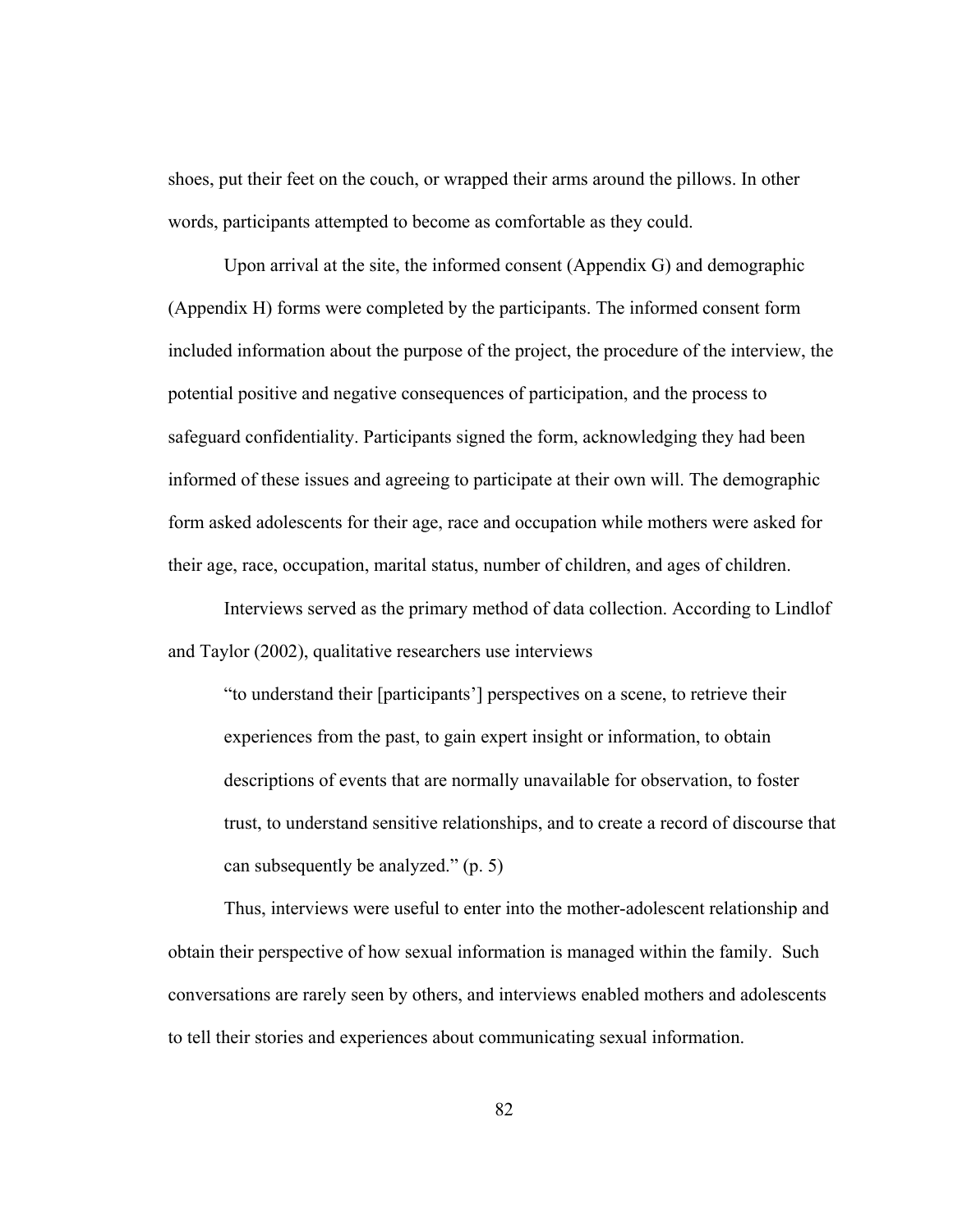shoes, put their feet on the couch, or wrapped their arms around the pillows. In other words, participants attempted to become as comfortable as they could.

Upon arrival at the site, the informed consent (Appendix G) and demographic (Appendix H) forms were completed by the participants. The informed consent form included information about the purpose of the project, the procedure of the interview, the potential positive and negative consequences of participation, and the process to safeguard confidentiality. Participants signed the form, acknowledging they had been informed of these issues and agreeing to participate at their own will. The demographic form asked adolescents for their age, race and occupation while mothers were asked for their age, race, occupation, marital status, number of children, and ages of children.

Interviews served as the primary method of data collection. According to Lindlof and Taylor (2002), qualitative researchers use interviews

"to understand their [participants'] perspectives on a scene, to retrieve their experiences from the past, to gain expert insight or information, to obtain descriptions of events that are normally unavailable for observation, to foster trust, to understand sensitive relationships, and to create a record of discourse that can subsequently be analyzed." (p. 5)

Thus, interviews were useful to enter into the mother-adolescent relationship and obtain their perspective of how sexual information is managed within the family. Such conversations are rarely seen by others, and interviews enabled mothers and adolescents to tell their stories and experiences about communicating sexual information.

82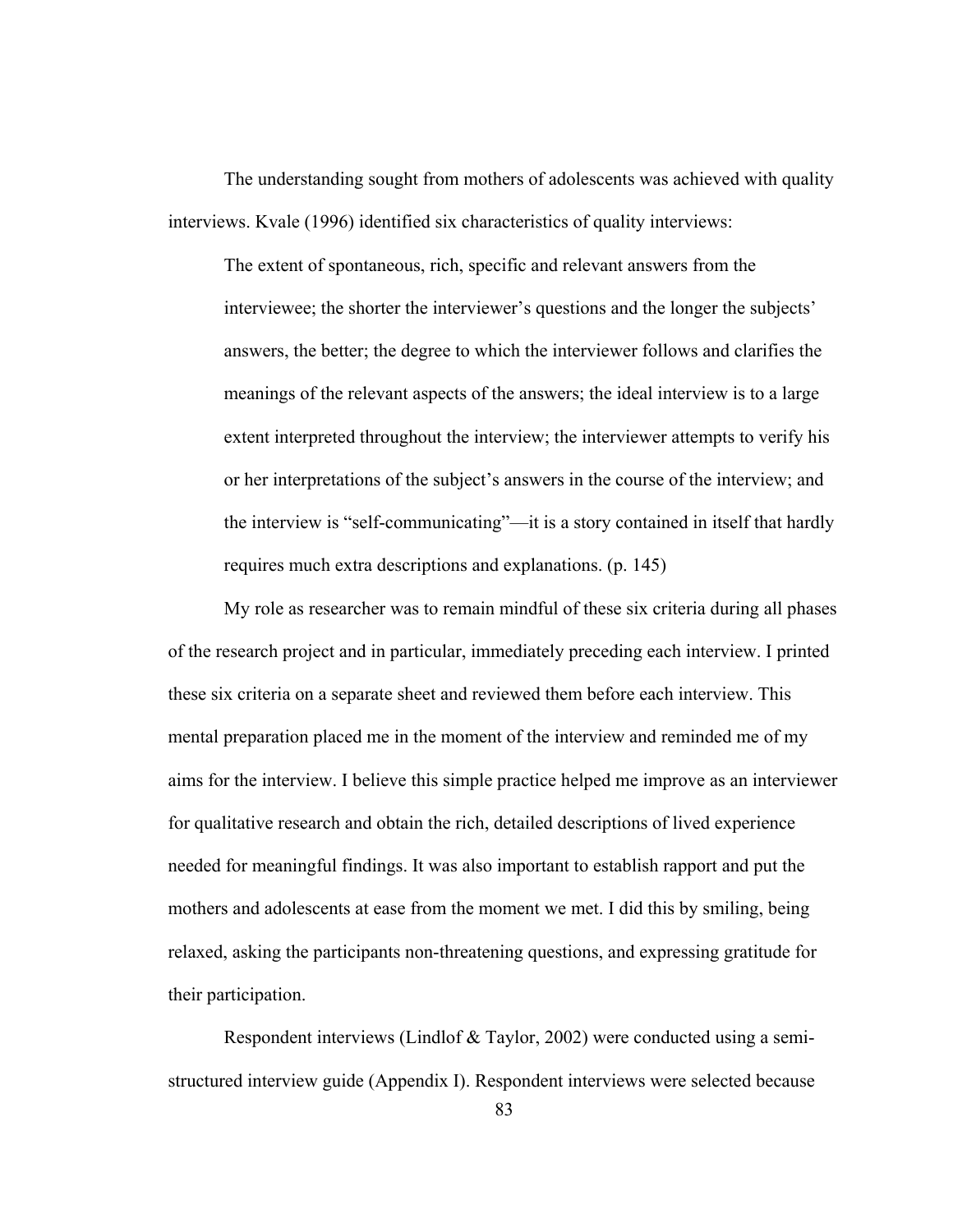The understanding sought from mothers of adolescents was achieved with quality interviews. Kvale (1996) identified six characteristics of quality interviews:

The extent of spontaneous, rich, specific and relevant answers from the interviewee; the shorter the interviewer's questions and the longer the subjects' answers, the better; the degree to which the interviewer follows and clarifies the meanings of the relevant aspects of the answers; the ideal interview is to a large extent interpreted throughout the interview; the interviewer attempts to verify his or her interpretations of the subject's answers in the course of the interview; and the interview is "self-communicating"—it is a story contained in itself that hardly requires much extra descriptions and explanations. (p. 145)

My role as researcher was to remain mindful of these six criteria during all phases of the research project and in particular, immediately preceding each interview. I printed these six criteria on a separate sheet and reviewed them before each interview. This mental preparation placed me in the moment of the interview and reminded me of my aims for the interview. I believe this simple practice helped me improve as an interviewer for qualitative research and obtain the rich, detailed descriptions of lived experience needed for meaningful findings. It was also important to establish rapport and put the mothers and adolescents at ease from the moment we met. I did this by smiling, being relaxed, asking the participants non-threatening questions, and expressing gratitude for their participation.

Respondent interviews (Lindlof & Taylor, 2002) were conducted using a semistructured interview guide (Appendix I). Respondent interviews were selected because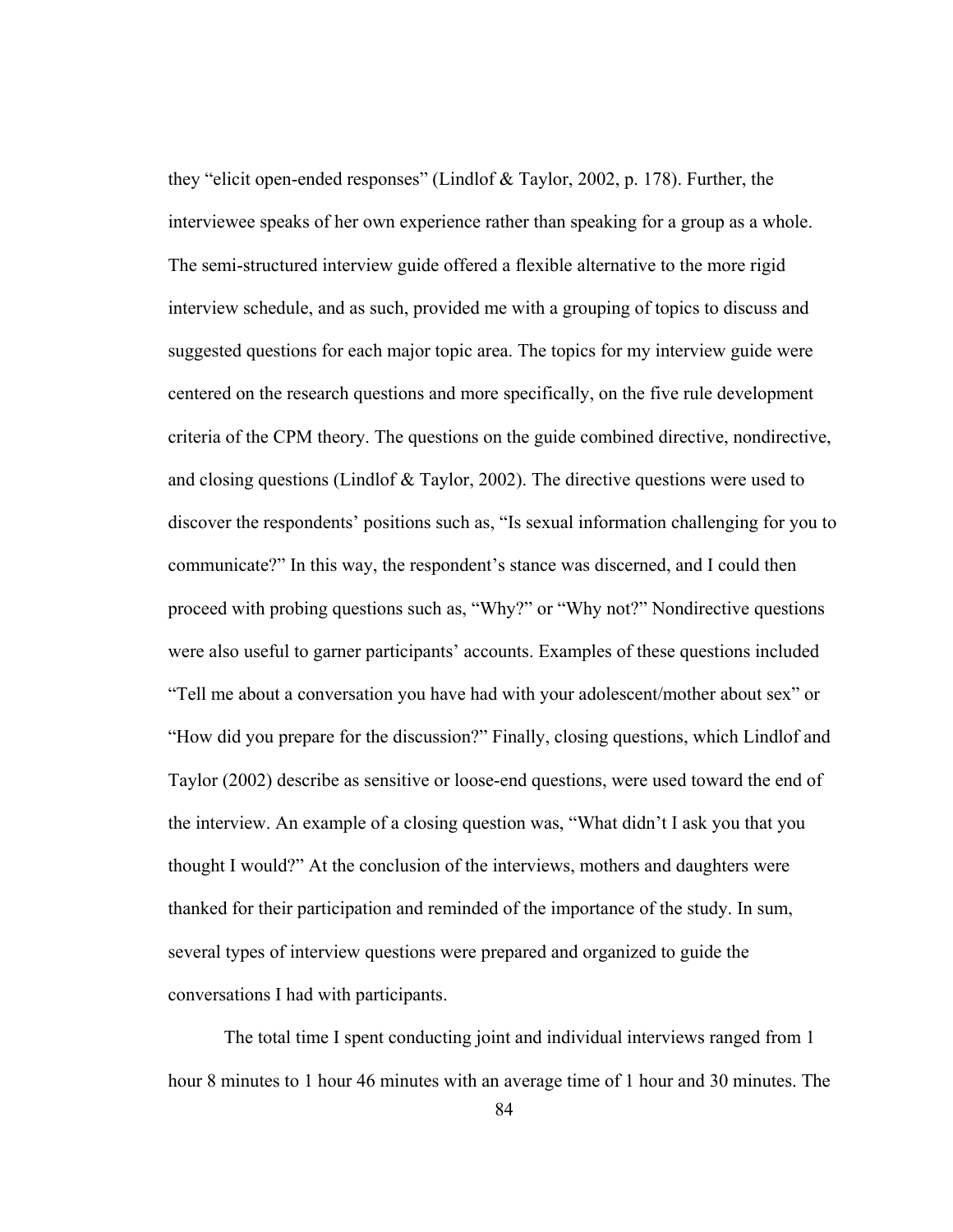they "elicit open-ended responses" (Lindlof & Taylor, 2002, p. 178). Further, the interviewee speaks of her own experience rather than speaking for a group as a whole. The semi-structured interview guide offered a flexible alternative to the more rigid interview schedule, and as such, provided me with a grouping of topics to discuss and suggested questions for each major topic area. The topics for my interview guide were centered on the research questions and more specifically, on the five rule development criteria of the CPM theory. The questions on the guide combined directive, nondirective, and closing questions (Lindlof & Taylor, 2002). The directive questions were used to discover the respondents' positions such as, "Is sexual information challenging for you to communicate?" In this way, the respondent's stance was discerned, and I could then proceed with probing questions such as, "Why?" or "Why not?" Nondirective questions were also useful to garner participants' accounts. Examples of these questions included "Tell me about a conversation you have had with your adolescent/mother about sex" or "How did you prepare for the discussion?" Finally, closing questions, which Lindlof and Taylor (2002) describe as sensitive or loose-end questions, were used toward the end of the interview. An example of a closing question was, "What didn't I ask you that you thought I would?" At the conclusion of the interviews, mothers and daughters were thanked for their participation and reminded of the importance of the study. In sum, several types of interview questions were prepared and organized to guide the conversations I had with participants.

The total time I spent conducting joint and individual interviews ranged from 1 hour 8 minutes to 1 hour 46 minutes with an average time of 1 hour and 30 minutes. The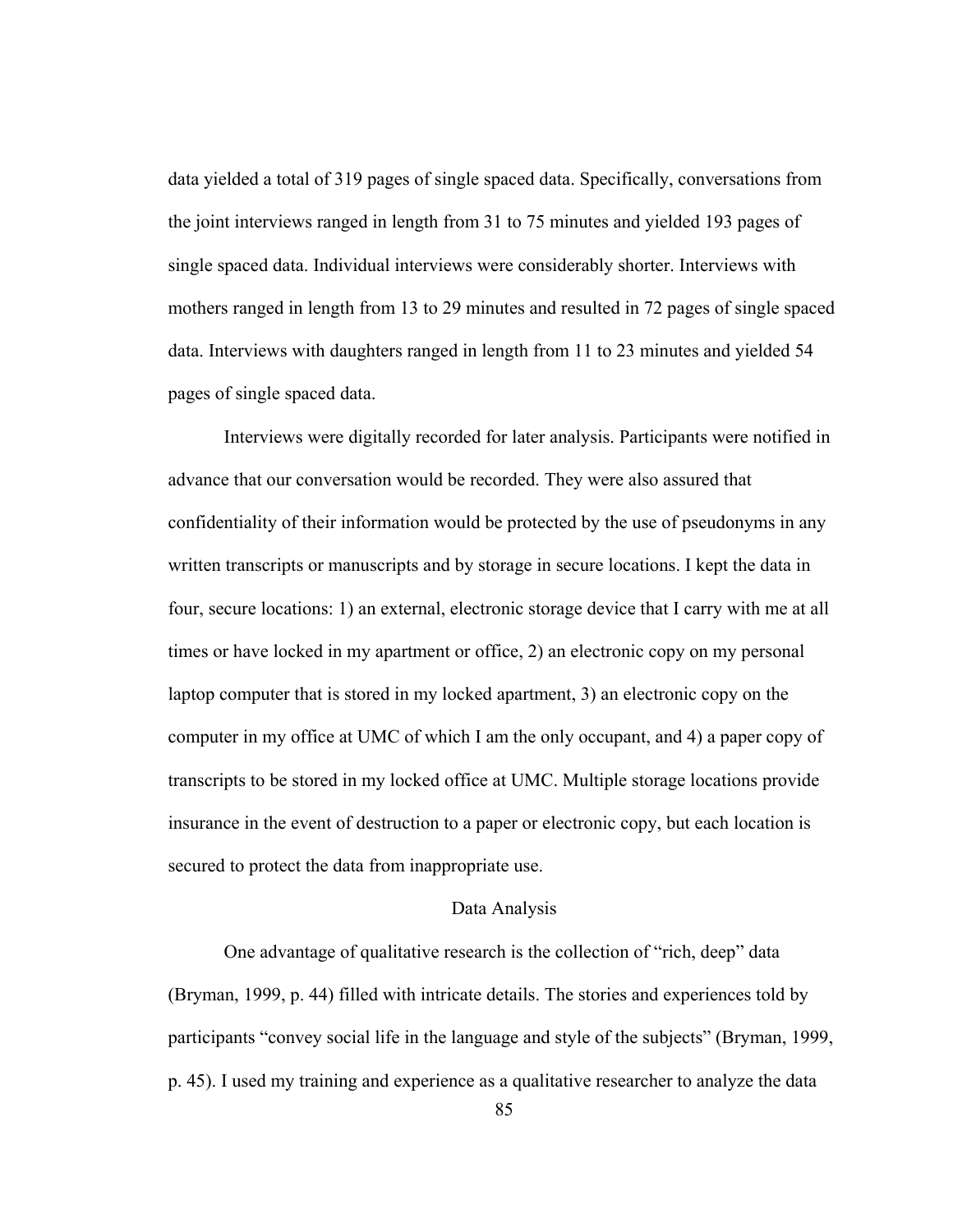data yielded a total of 319 pages of single spaced data. Specifically, conversations from the joint interviews ranged in length from 31 to 75 minutes and yielded 193 pages of single spaced data. Individual interviews were considerably shorter. Interviews with mothers ranged in length from 13 to 29 minutes and resulted in 72 pages of single spaced data. Interviews with daughters ranged in length from 11 to 23 minutes and yielded 54 pages of single spaced data.

Interviews were digitally recorded for later analysis. Participants were notified in advance that our conversation would be recorded. They were also assured that confidentiality of their information would be protected by the use of pseudonyms in any written transcripts or manuscripts and by storage in secure locations. I kept the data in four, secure locations: 1) an external, electronic storage device that I carry with me at all times or have locked in my apartment or office, 2) an electronic copy on my personal laptop computer that is stored in my locked apartment, 3) an electronic copy on the computer in my office at UMC of which I am the only occupant, and 4) a paper copy of transcripts to be stored in my locked office at UMC. Multiple storage locations provide insurance in the event of destruction to a paper or electronic copy, but each location is secured to protect the data from inappropriate use.

#### Data Analysis

One advantage of qualitative research is the collection of "rich, deep" data (Bryman, 1999, p. 44) filled with intricate details. The stories and experiences told by participants "convey social life in the language and style of the subjects" (Bryman, 1999, p. 45). I used my training and experience as a qualitative researcher to analyze the data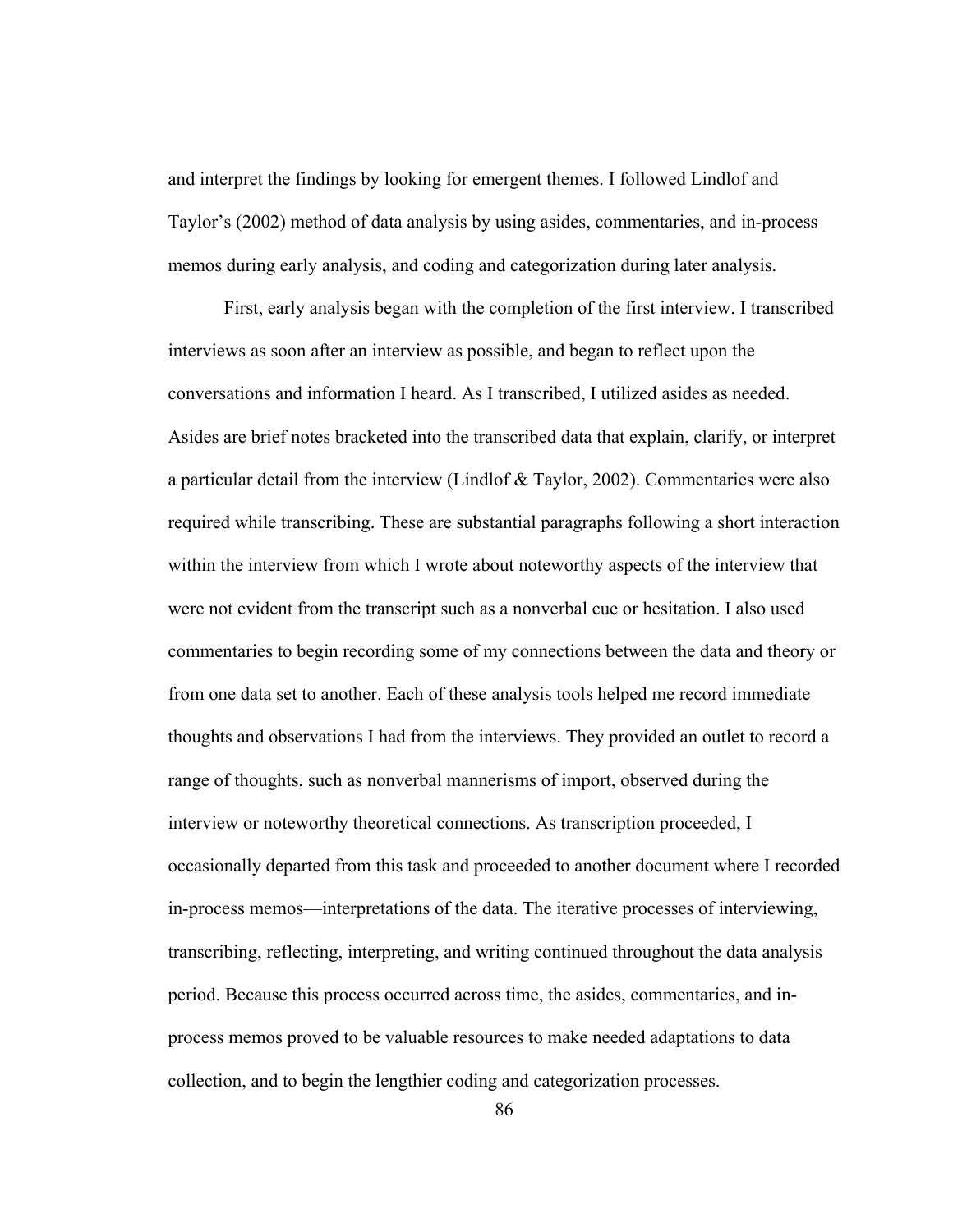and interpret the findings by looking for emergent themes. I followed Lindlof and Taylor's (2002) method of data analysis by using asides, commentaries, and in-process memos during early analysis, and coding and categorization during later analysis.

First, early analysis began with the completion of the first interview. I transcribed interviews as soon after an interview as possible, and began to reflect upon the conversations and information I heard. As I transcribed, I utilized asides as needed. Asides are brief notes bracketed into the transcribed data that explain, clarify, or interpret a particular detail from the interview (Lindlof & Taylor, 2002). Commentaries were also required while transcribing. These are substantial paragraphs following a short interaction within the interview from which I wrote about noteworthy aspects of the interview that were not evident from the transcript such as a nonverbal cue or hesitation. I also used commentaries to begin recording some of my connections between the data and theory or from one data set to another. Each of these analysis tools helped me record immediate thoughts and observations I had from the interviews. They provided an outlet to record a range of thoughts, such as nonverbal mannerisms of import, observed during the interview or noteworthy theoretical connections. As transcription proceeded, I occasionally departed from this task and proceeded to another document where I recorded in-process memos—interpretations of the data. The iterative processes of interviewing, transcribing, reflecting, interpreting, and writing continued throughout the data analysis period. Because this process occurred across time, the asides, commentaries, and inprocess memos proved to be valuable resources to make needed adaptations to data collection, and to begin the lengthier coding and categorization processes.

86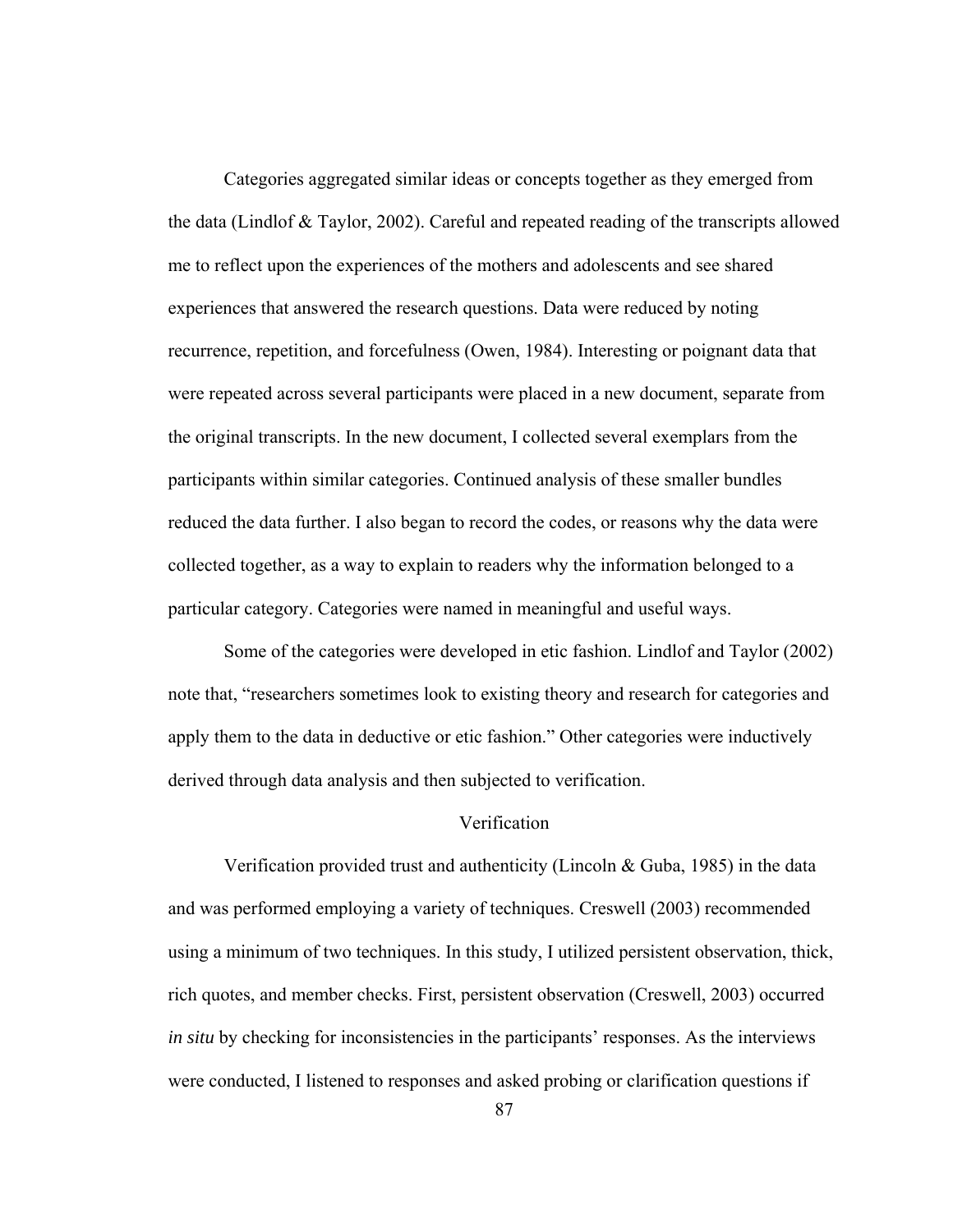Categories aggregated similar ideas or concepts together as they emerged from the data (Lindlof & Taylor, 2002). Careful and repeated reading of the transcripts allowed me to reflect upon the experiences of the mothers and adolescents and see shared experiences that answered the research questions. Data were reduced by noting recurrence, repetition, and forcefulness (Owen, 1984). Interesting or poignant data that were repeated across several participants were placed in a new document, separate from the original transcripts. In the new document, I collected several exemplars from the participants within similar categories. Continued analysis of these smaller bundles reduced the data further. I also began to record the codes, or reasons why the data were collected together, as a way to explain to readers why the information belonged to a particular category. Categories were named in meaningful and useful ways.

Some of the categories were developed in etic fashion. Lindlof and Taylor (2002) note that, "researchers sometimes look to existing theory and research for categories and apply them to the data in deductive or etic fashion." Other categories were inductively derived through data analysis and then subjected to verification.

# Verification

Verification provided trust and authenticity (Lincoln & Guba, 1985) in the data and was performed employing a variety of techniques. Creswell (2003) recommended using a minimum of two techniques. In this study, I utilized persistent observation, thick, rich quotes, and member checks. First, persistent observation (Creswell, 2003) occurred *in situ* by checking for inconsistencies in the participants' responses. As the interviews were conducted, I listened to responses and asked probing or clarification questions if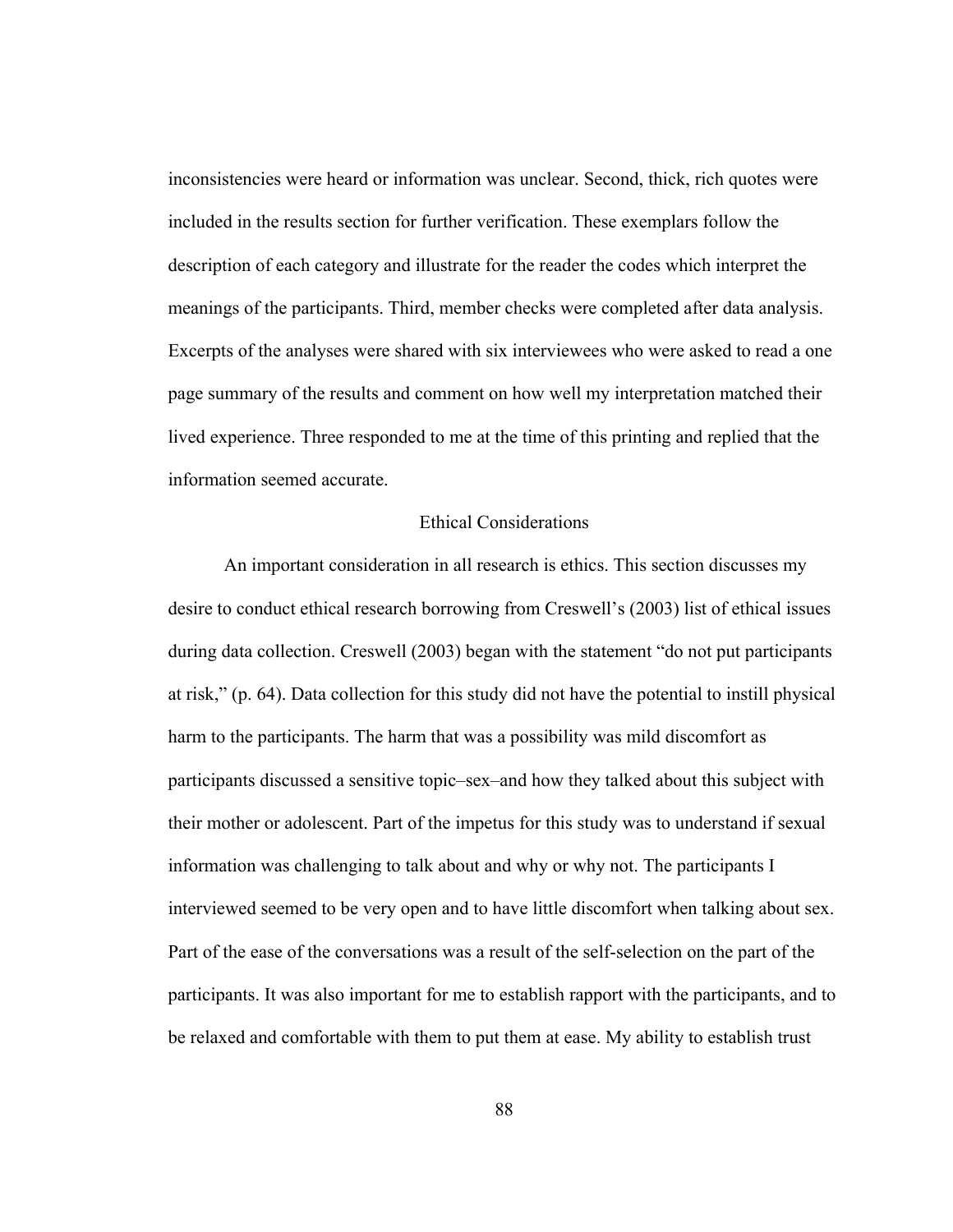inconsistencies were heard or information was unclear. Second, thick, rich quotes were included in the results section for further verification. These exemplars follow the description of each category and illustrate for the reader the codes which interpret the meanings of the participants. Third, member checks were completed after data analysis. Excerpts of the analyses were shared with six interviewees who were asked to read a one page summary of the results and comment on how well my interpretation matched their lived experience. Three responded to me at the time of this printing and replied that the information seemed accurate.

## Ethical Considerations

An important consideration in all research is ethics. This section discusses my desire to conduct ethical research borrowing from Creswell's (2003) list of ethical issues during data collection. Creswell (2003) began with the statement "do not put participants at risk," (p. 64). Data collection for this study did not have the potential to instill physical harm to the participants. The harm that was a possibility was mild discomfort as participants discussed a sensitive topic–sex–and how they talked about this subject with their mother or adolescent. Part of the impetus for this study was to understand if sexual information was challenging to talk about and why or why not. The participants I interviewed seemed to be very open and to have little discomfort when talking about sex. Part of the ease of the conversations was a result of the self-selection on the part of the participants. It was also important for me to establish rapport with the participants, and to be relaxed and comfortable with them to put them at ease. My ability to establish trust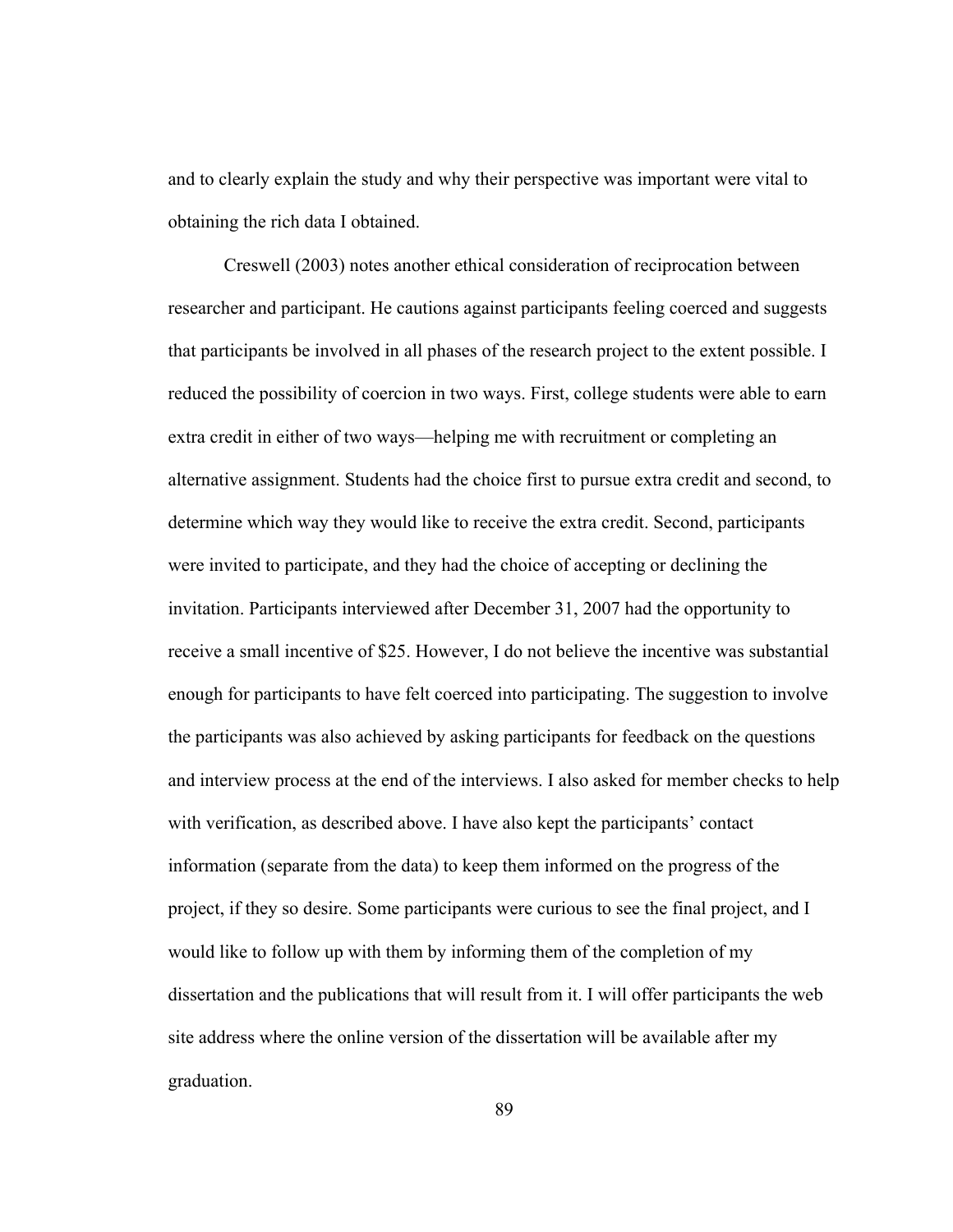and to clearly explain the study and why their perspective was important were vital to obtaining the rich data I obtained.

Creswell (2003) notes another ethical consideration of reciprocation between researcher and participant. He cautions against participants feeling coerced and suggests that participants be involved in all phases of the research project to the extent possible. I reduced the possibility of coercion in two ways. First, college students were able to earn extra credit in either of two ways—helping me with recruitment or completing an alternative assignment. Students had the choice first to pursue extra credit and second, to determine which way they would like to receive the extra credit. Second, participants were invited to participate, and they had the choice of accepting or declining the invitation. Participants interviewed after December 31, 2007 had the opportunity to receive a small incentive of \$25. However, I do not believe the incentive was substantial enough for participants to have felt coerced into participating. The suggestion to involve the participants was also achieved by asking participants for feedback on the questions and interview process at the end of the interviews. I also asked for member checks to help with verification, as described above. I have also kept the participants' contact information (separate from the data) to keep them informed on the progress of the project, if they so desire. Some participants were curious to see the final project, and I would like to follow up with them by informing them of the completion of my dissertation and the publications that will result from it. I will offer participants the web site address where the online version of the dissertation will be available after my graduation.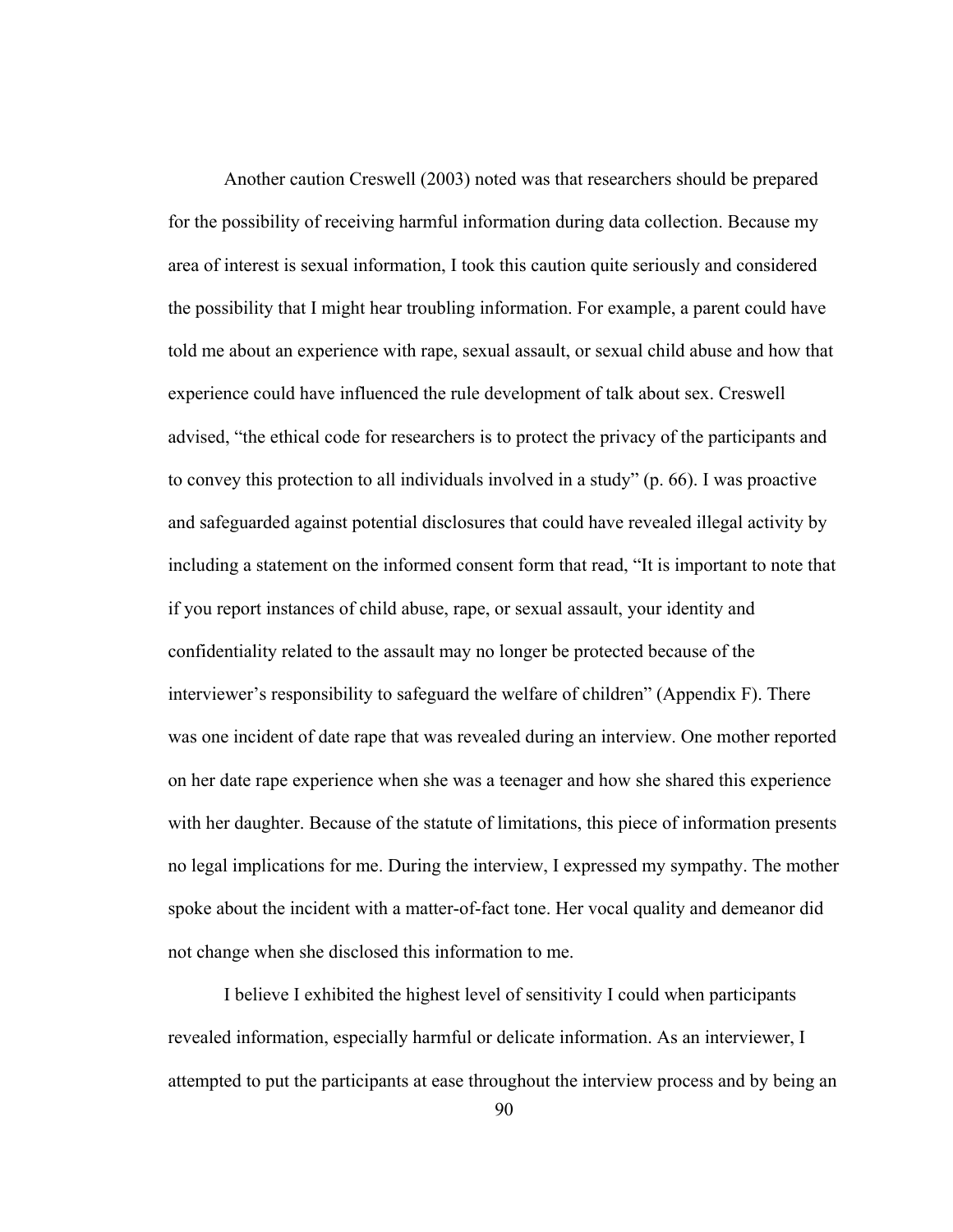Another caution Creswell (2003) noted was that researchers should be prepared for the possibility of receiving harmful information during data collection. Because my area of interest is sexual information, I took this caution quite seriously and considered the possibility that I might hear troubling information. For example, a parent could have told me about an experience with rape, sexual assault, or sexual child abuse and how that experience could have influenced the rule development of talk about sex. Creswell advised, "the ethical code for researchers is to protect the privacy of the participants and to convey this protection to all individuals involved in a study" (p. 66). I was proactive and safeguarded against potential disclosures that could have revealed illegal activity by including a statement on the informed consent form that read, "It is important to note that if you report instances of child abuse, rape, or sexual assault, your identity and confidentiality related to the assault may no longer be protected because of the interviewer's responsibility to safeguard the welfare of children" (Appendix F). There was one incident of date rape that was revealed during an interview. One mother reported on her date rape experience when she was a teenager and how she shared this experience with her daughter. Because of the statute of limitations, this piece of information presents no legal implications for me. During the interview, I expressed my sympathy. The mother spoke about the incident with a matter-of-fact tone. Her vocal quality and demeanor did not change when she disclosed this information to me.

I believe I exhibited the highest level of sensitivity I could when participants revealed information, especially harmful or delicate information. As an interviewer, I attempted to put the participants at ease throughout the interview process and by being an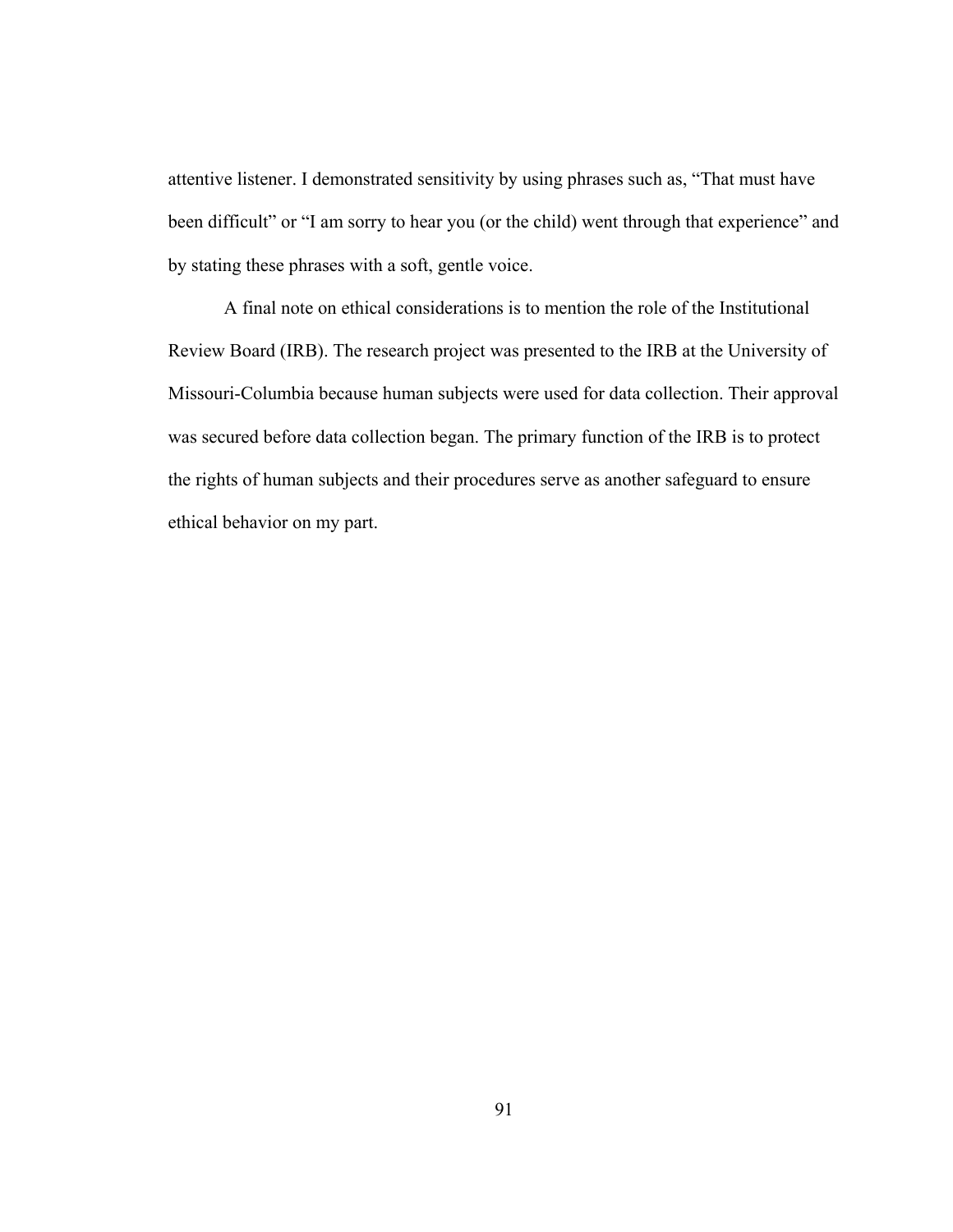attentive listener. I demonstrated sensitivity by using phrases such as, "That must have been difficult" or "I am sorry to hear you (or the child) went through that experience" and by stating these phrases with a soft, gentle voice.

A final note on ethical considerations is to mention the role of the Institutional Review Board (IRB). The research project was presented to the IRB at the University of Missouri-Columbia because human subjects were used for data collection. Their approval was secured before data collection began. The primary function of the IRB is to protect the rights of human subjects and their procedures serve as another safeguard to ensure ethical behavior on my part.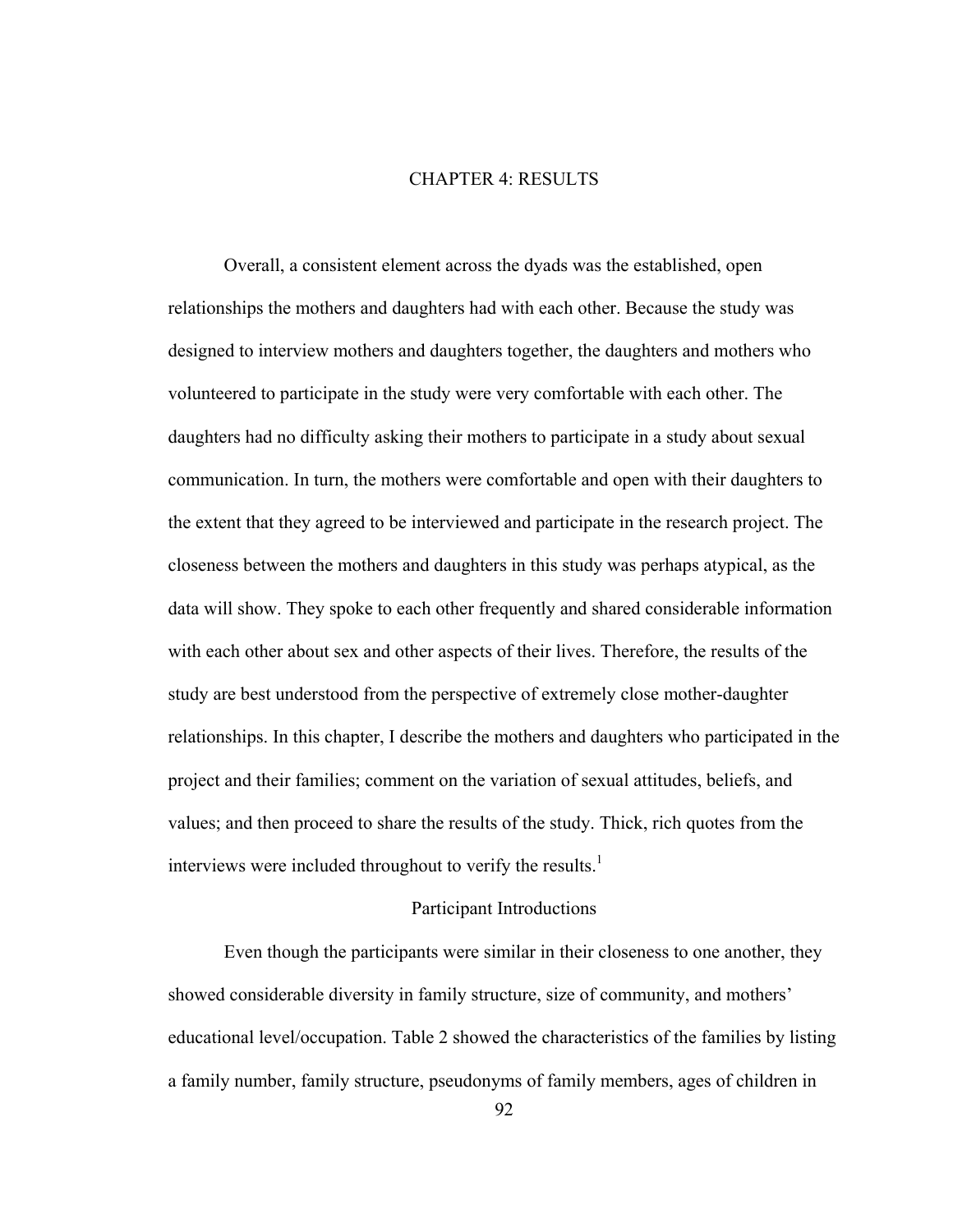# CHAPTER 4: RESULTS

Overall, a consistent element across the dyads was the established, open relationships the mothers and daughters had with each other. Because the study was designed to interview mothers and daughters together, the daughters and mothers who volunteered to participate in the study were very comfortable with each other. The daughters had no difficulty asking their mothers to participate in a study about sexual communication. In turn, the mothers were comfortable and open with their daughters to the extent that they agreed to be interviewed and participate in the research project. The closeness between the mothers and daughters in this study was perhaps atypical, as the data will show. They spoke to each other frequently and shared considerable information with each other about sex and other aspects of their lives. Therefore, the results of the study are best understood from the perspective of extremely close mother-daughter relationships. In this chapter, I describe the mothers and daughters who participated in the project and their families; comment on the variation of sexual attitudes, beliefs, and values; and then proceed to share the results of the study. Thick, rich quotes from the interviews were included throughout to verify the results. $<sup>1</sup>$ </sup>

## Participant Introductions

Even though the participants were similar in their closeness to one another, they showed considerable diversity in family structure, size of community, and mothers' educational level/occupation. Table 2 showed the characteristics of the families by listing a family number, family structure, pseudonyms of family members, ages of children in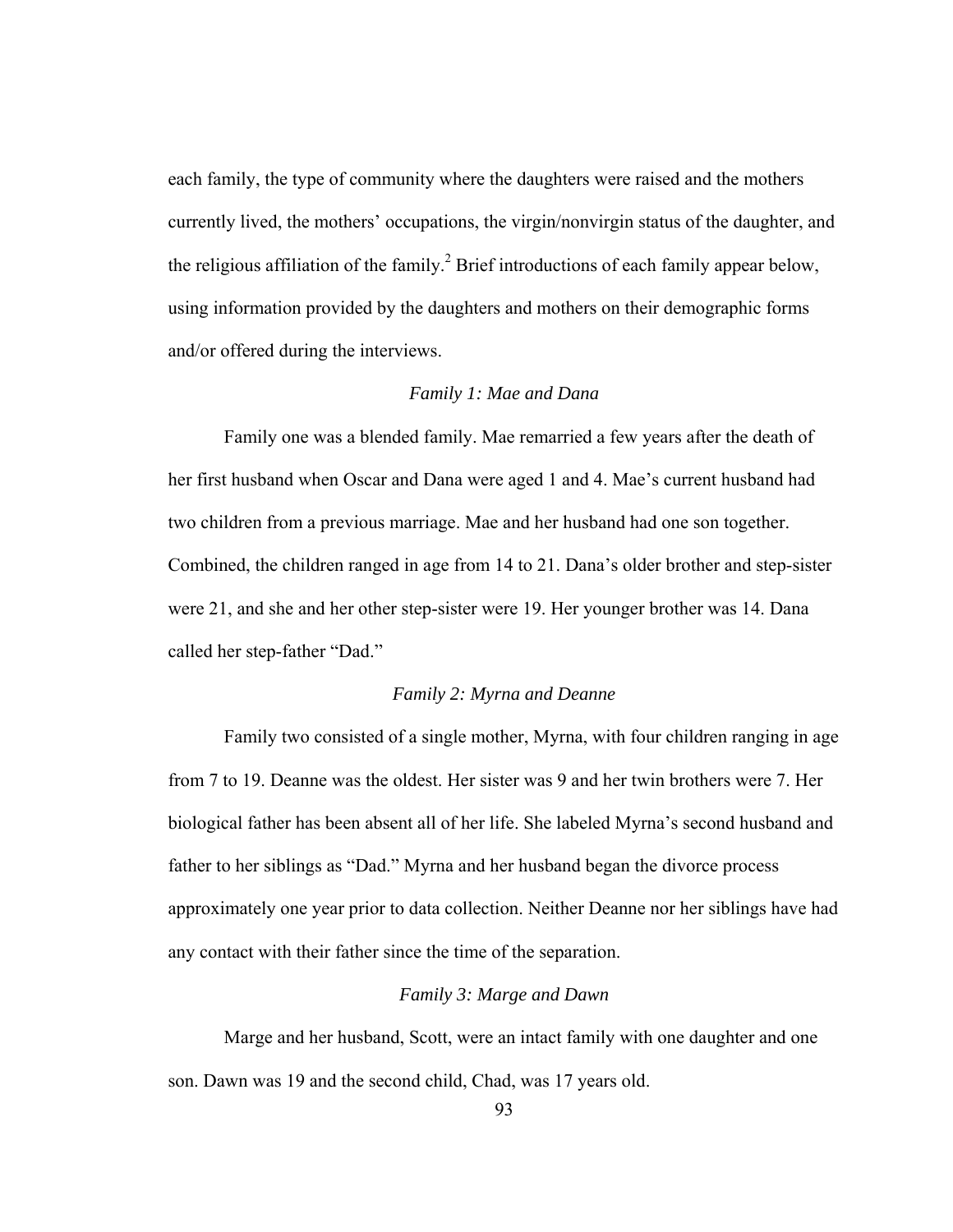each family, the type of community where the daughters were raised and the mothers currently lived, the mothers' occupations, the virgin/nonvirgin status of the daughter, and the religious affiliation of the family.<sup>2</sup> Brief introductions of each family appear below, using information provided by the daughters and mothers on their demographic forms and/or offered during the interviews.

## *Family 1: Mae and Dana*

Family one was a blended family. Mae remarried a few years after the death of her first husband when Oscar and Dana were aged 1 and 4. Mae's current husband had two children from a previous marriage. Mae and her husband had one son together. Combined, the children ranged in age from 14 to 21. Dana's older brother and step-sister were 21, and she and her other step-sister were 19. Her younger brother was 14. Dana called her step-father "Dad."

### *Family 2: Myrna and Deanne*

Family two consisted of a single mother, Myrna, with four children ranging in age from 7 to 19. Deanne was the oldest. Her sister was 9 and her twin brothers were 7. Her biological father has been absent all of her life. She labeled Myrna's second husband and father to her siblings as "Dad." Myrna and her husband began the divorce process approximately one year prior to data collection. Neither Deanne nor her siblings have had any contact with their father since the time of the separation.

#### *Family 3: Marge and Dawn*

Marge and her husband, Scott, were an intact family with one daughter and one son. Dawn was 19 and the second child, Chad, was 17 years old.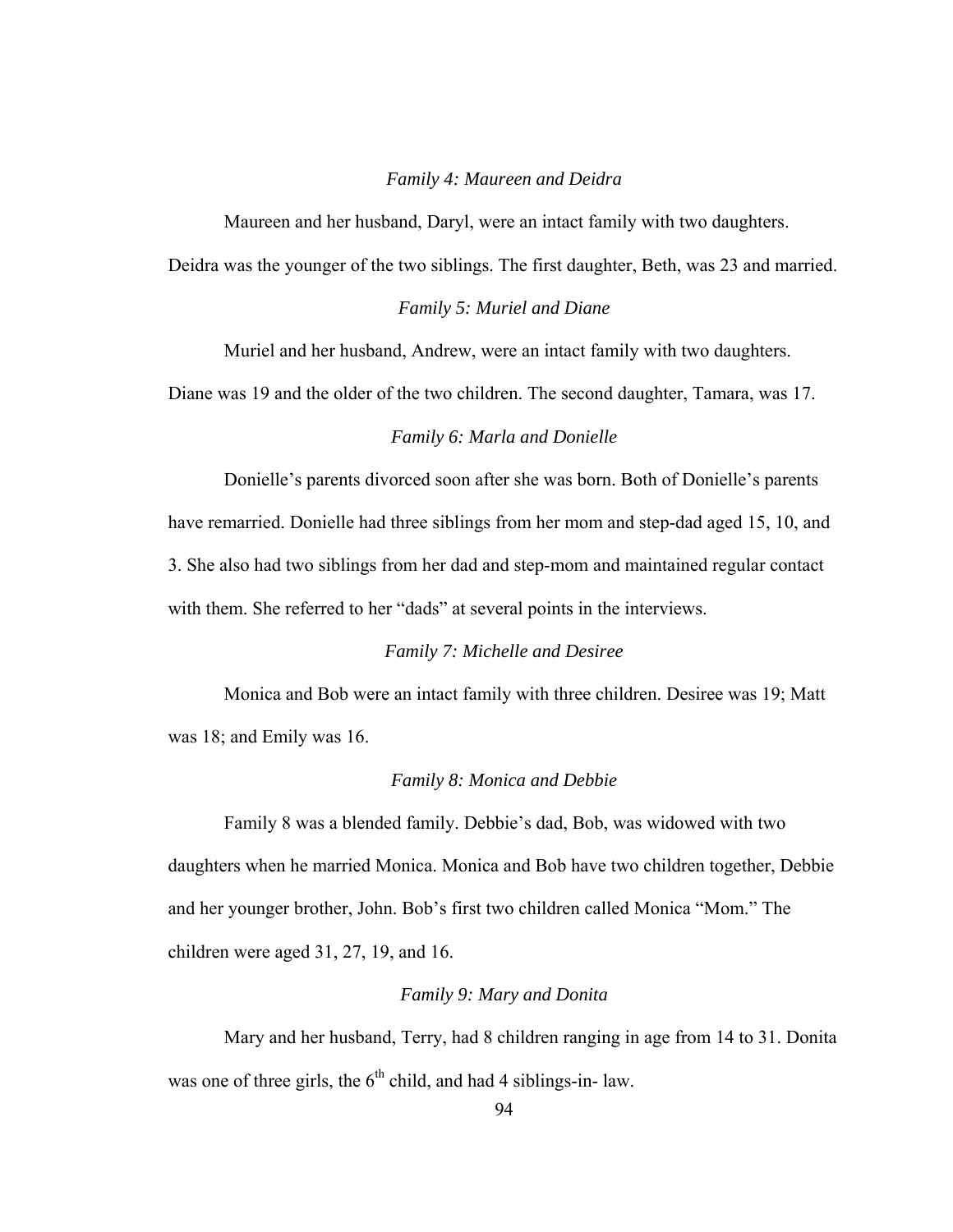### *Family 4: Maureen and Deidra*

Maureen and her husband, Daryl, were an intact family with two daughters.

Deidra was the younger of the two siblings. The first daughter, Beth, was 23 and married.

## *Family 5: Muriel and Diane*

Muriel and her husband, Andrew, were an intact family with two daughters.

Diane was 19 and the older of the two children. The second daughter, Tamara, was 17.

### *Family 6: Marla and Donielle*

Donielle's parents divorced soon after she was born. Both of Donielle's parents have remarried. Donielle had three siblings from her mom and step-dad aged 15, 10, and 3. She also had two siblings from her dad and step-mom and maintained regular contact with them. She referred to her "dads" at several points in the interviews.

# *Family 7: Michelle and Desiree*

Monica and Bob were an intact family with three children. Desiree was 19; Matt was 18; and Emily was 16.

## *Family 8: Monica and Debbie*

Family 8 was a blended family. Debbie's dad, Bob, was widowed with two daughters when he married Monica. Monica and Bob have two children together, Debbie and her younger brother, John. Bob's first two children called Monica "Mom." The children were aged 31, 27, 19, and 16.

## *Family 9: Mary and Donita*

Mary and her husband, Terry, had 8 children ranging in age from 14 to 31. Donita was one of three girls, the  $6<sup>th</sup>$  child, and had 4 siblings-in- law.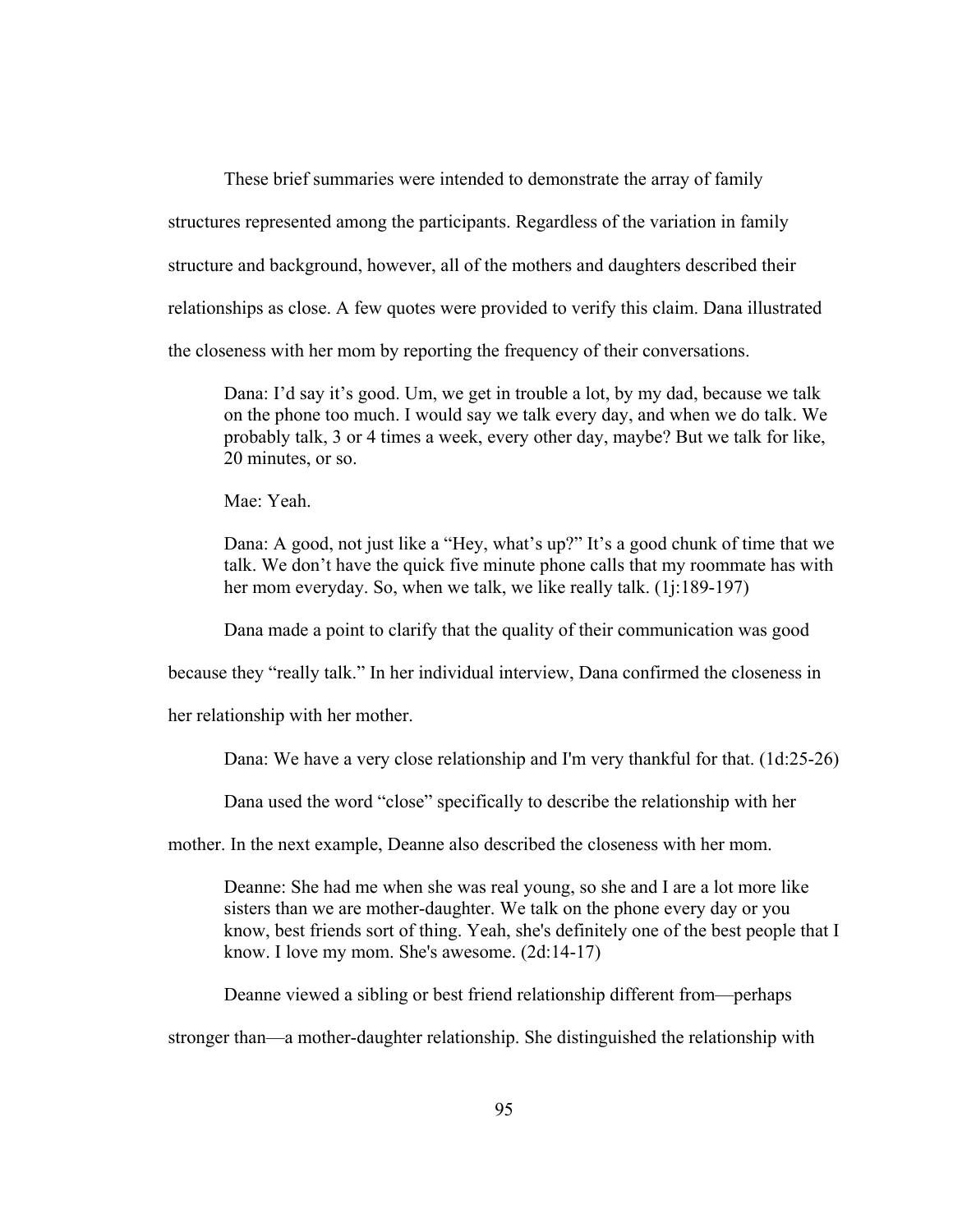These brief summaries were intended to demonstrate the array of family structures represented among the participants. Regardless of the variation in family structure and background, however, all of the mothers and daughters described their relationships as close. A few quotes were provided to verify this claim. Dana illustrated the closeness with her mom by reporting the frequency of their conversations.

Dana: I'd say it's good. Um, we get in trouble a lot, by my dad, because we talk on the phone too much. I would say we talk every day, and when we do talk. We probably talk, 3 or 4 times a week, every other day, maybe? But we talk for like, 20 minutes, or so.

Mae: Yeah.

Dana: A good, not just like a "Hey, what's up?" It's a good chunk of time that we talk. We don't have the quick five minute phone calls that my roommate has with her mom everyday. So, when we talk, we like really talk. (1*j*:189-197)

Dana made a point to clarify that the quality of their communication was good

because they "really talk." In her individual interview, Dana confirmed the closeness in

her relationship with her mother.

Dana: We have a very close relationship and I'm very thankful for that. (1d:25-26)

Dana used the word "close" specifically to describe the relationship with her

mother. In the next example, Deanne also described the closeness with her mom.

Deanne: She had me when she was real young, so she and I are a lot more like sisters than we are mother-daughter. We talk on the phone every day or you know, best friends sort of thing. Yeah, she's definitely one of the best people that I know. I love my mom. She's awesome. (2d:14-17)

Deanne viewed a sibling or best friend relationship different from—perhaps

stronger than—a mother-daughter relationship. She distinguished the relationship with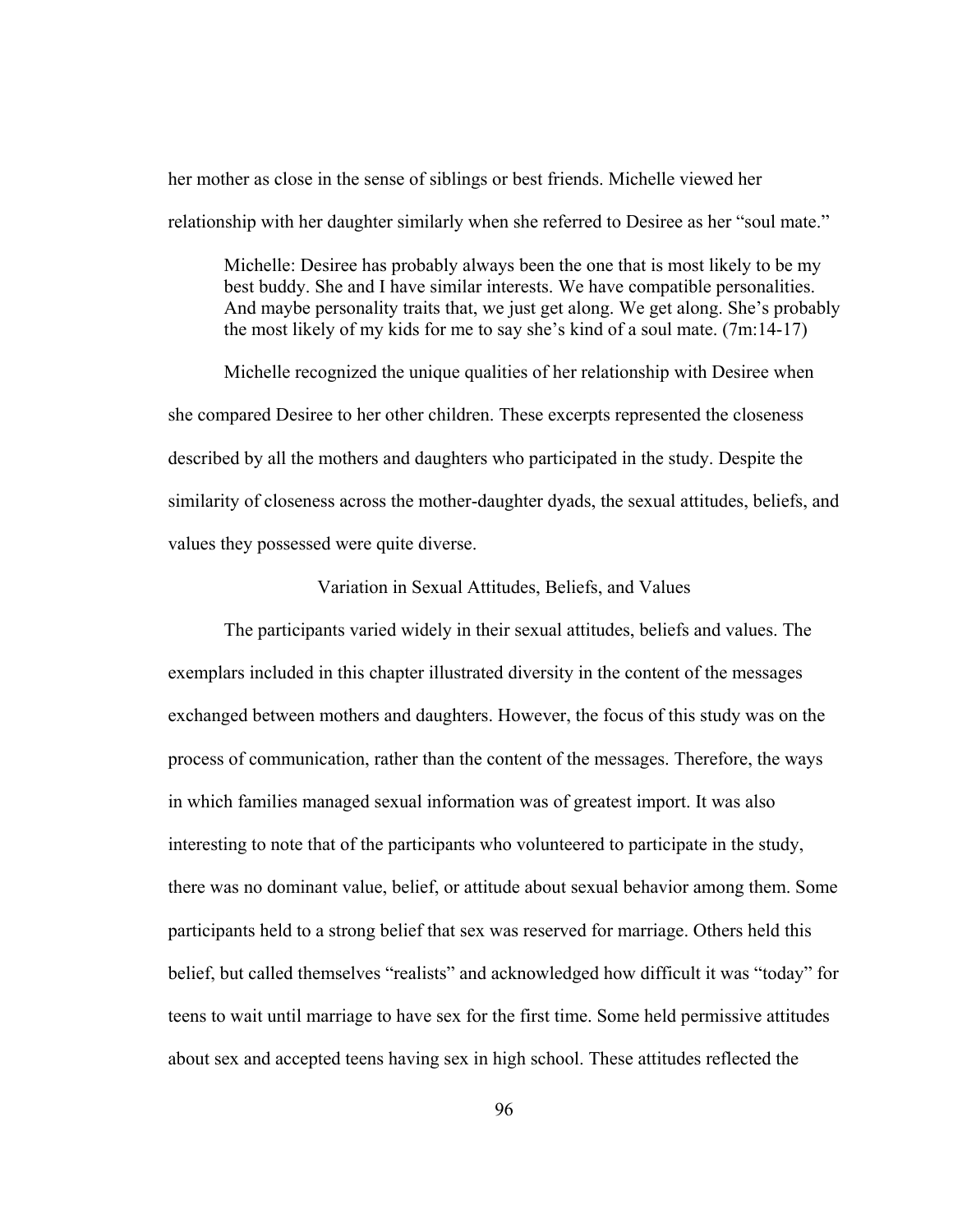her mother as close in the sense of siblings or best friends. Michelle viewed her relationship with her daughter similarly when she referred to Desiree as her "soul mate."

Michelle: Desiree has probably always been the one that is most likely to be my best buddy. She and I have similar interests. We have compatible personalities. And maybe personality traits that, we just get along. We get along. She's probably the most likely of my kids for me to say she's kind of a soul mate. (7m:14-17)

Michelle recognized the unique qualities of her relationship with Desiree when she compared Desiree to her other children. These excerpts represented the closeness described by all the mothers and daughters who participated in the study. Despite the similarity of closeness across the mother-daughter dyads, the sexual attitudes, beliefs, and values they possessed were quite diverse.

Variation in Sexual Attitudes, Beliefs, and Values

The participants varied widely in their sexual attitudes, beliefs and values. The exemplars included in this chapter illustrated diversity in the content of the messages exchanged between mothers and daughters. However, the focus of this study was on the process of communication, rather than the content of the messages. Therefore, the ways in which families managed sexual information was of greatest import. It was also interesting to note that of the participants who volunteered to participate in the study, there was no dominant value, belief, or attitude about sexual behavior among them. Some participants held to a strong belief that sex was reserved for marriage. Others held this belief, but called themselves "realists" and acknowledged how difficult it was "today" for teens to wait until marriage to have sex for the first time. Some held permissive attitudes about sex and accepted teens having sex in high school. These attitudes reflected the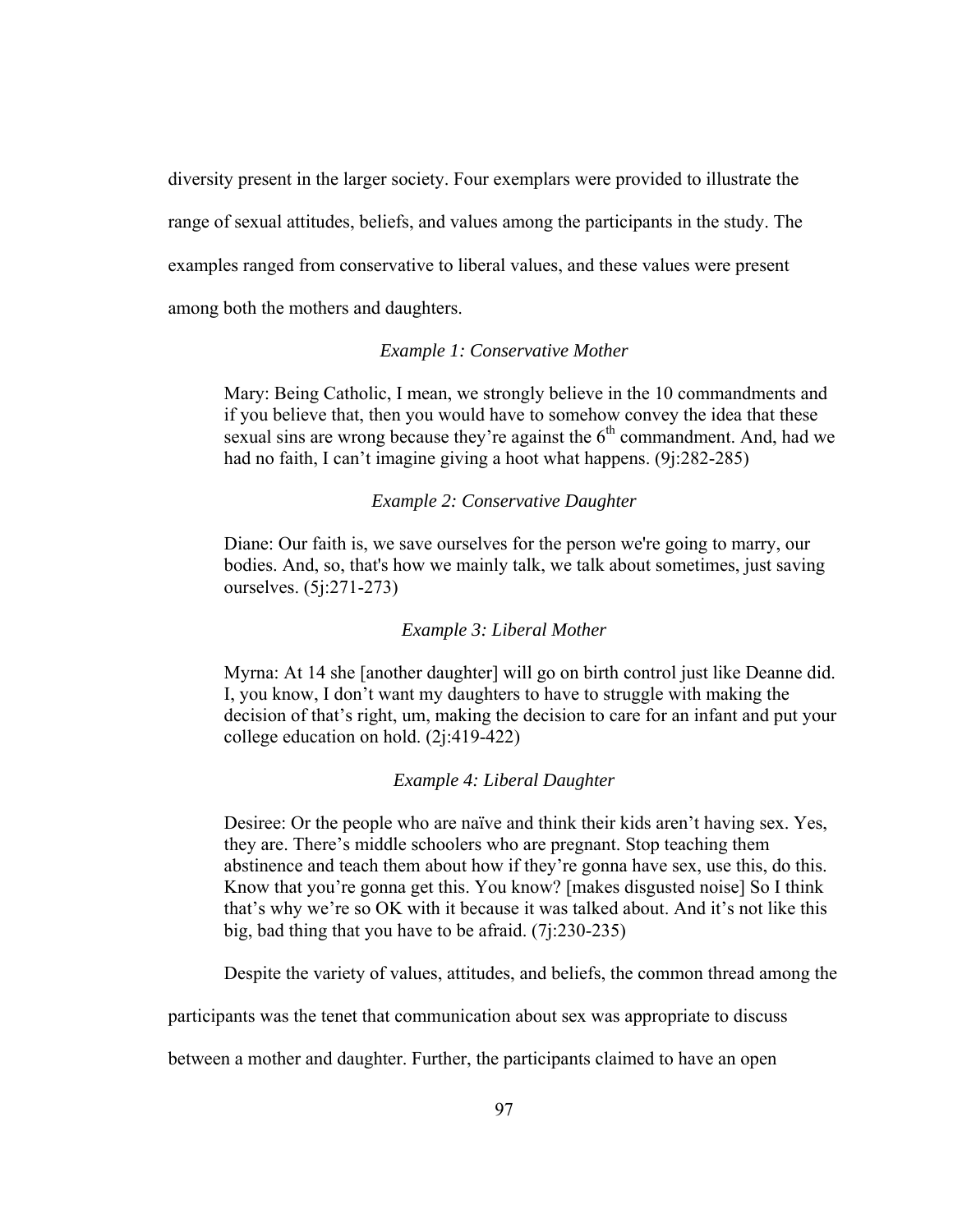diversity present in the larger society. Four exemplars were provided to illustrate the range of sexual attitudes, beliefs, and values among the participants in the study. The examples ranged from conservative to liberal values, and these values were present among both the mothers and daughters.

### *Example 1: Conservative Mother*

Mary: Being Catholic, I mean, we strongly believe in the 10 commandments and if you believe that, then you would have to somehow convey the idea that these sexual sins are wrong because they're against the  $6<sup>th</sup>$  commandment. And, had we had no faith, I can't imagine giving a hoot what happens. (9j:282-285)

#### *Example 2: Conservative Daughter*

Diane: Our faith is, we save ourselves for the person we're going to marry, our bodies. And, so, that's how we mainly talk, we talk about sometimes, just saving ourselves. (5j:271-273)

#### *Example 3: Liberal Mother*

Myrna: At 14 she [another daughter] will go on birth control just like Deanne did. I, you know, I don't want my daughters to have to struggle with making the decision of that's right, um, making the decision to care for an infant and put your college education on hold. (2j:419-422)

## *Example 4: Liberal Daughter*

Desiree: Or the people who are naïve and think their kids aren't having sex. Yes, they are. There's middle schoolers who are pregnant. Stop teaching them abstinence and teach them about how if they're gonna have sex, use this, do this. Know that you're gonna get this. You know? [makes disgusted noise] So I think that's why we're so OK with it because it was talked about. And it's not like this big, bad thing that you have to be afraid. (7j:230-235)

Despite the variety of values, attitudes, and beliefs, the common thread among the

participants was the tenet that communication about sex was appropriate to discuss

between a mother and daughter. Further, the participants claimed to have an open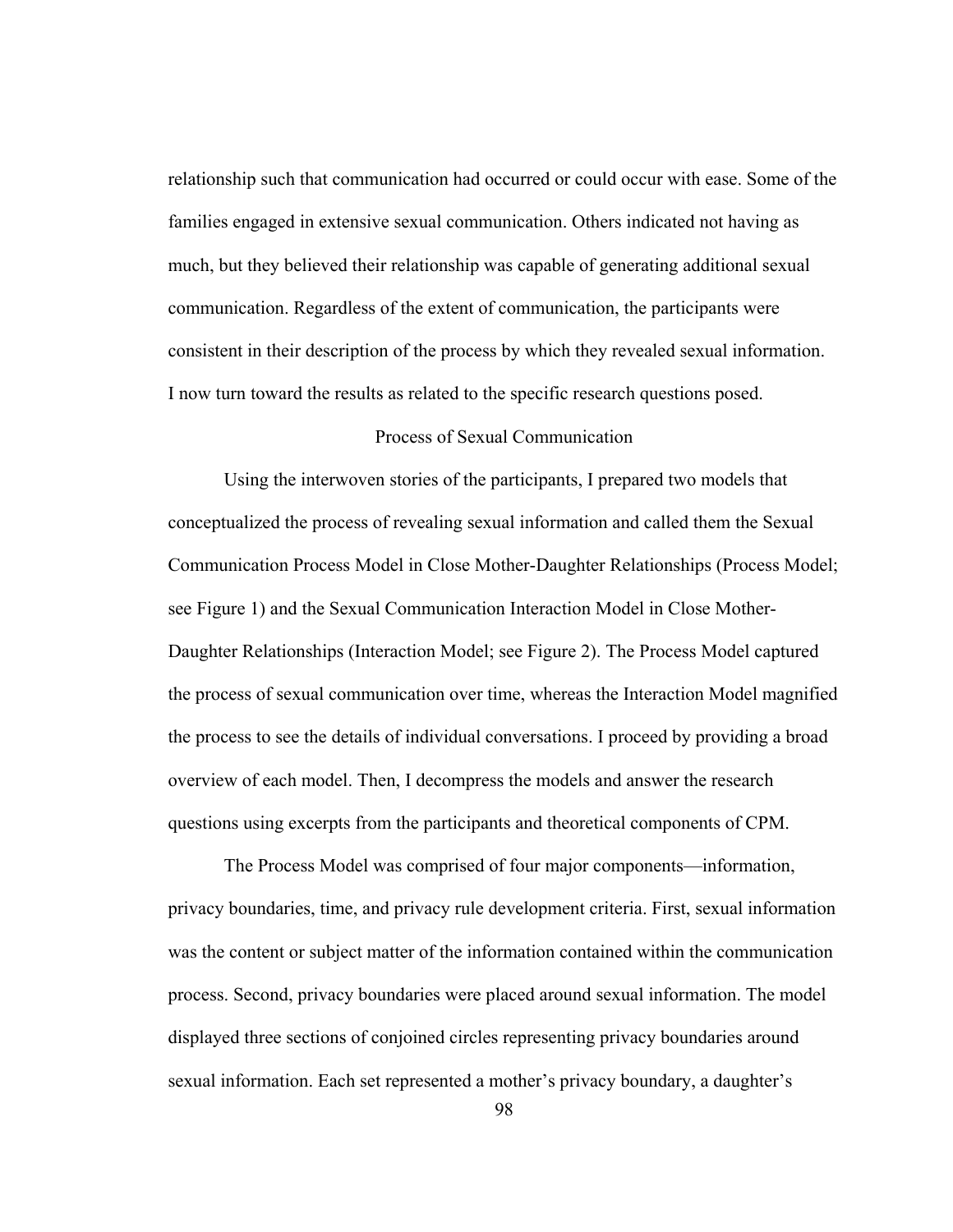relationship such that communication had occurred or could occur with ease. Some of the families engaged in extensive sexual communication. Others indicated not having as much, but they believed their relationship was capable of generating additional sexual communication. Regardless of the extent of communication, the participants were consistent in their description of the process by which they revealed sexual information. I now turn toward the results as related to the specific research questions posed.

# Process of Sexual Communication

Using the interwoven stories of the participants, I prepared two models that conceptualized the process of revealing sexual information and called them the Sexual Communication Process Model in Close Mother-Daughter Relationships (Process Model; see Figure 1) and the Sexual Communication Interaction Model in Close Mother-Daughter Relationships (Interaction Model; see Figure 2). The Process Model captured the process of sexual communication over time, whereas the Interaction Model magnified the process to see the details of individual conversations. I proceed by providing a broad overview of each model. Then, I decompress the models and answer the research questions using excerpts from the participants and theoretical components of CPM.

The Process Model was comprised of four major components—information, privacy boundaries, time, and privacy rule development criteria. First, sexual information was the content or subject matter of the information contained within the communication process. Second, privacy boundaries were placed around sexual information. The model displayed three sections of conjoined circles representing privacy boundaries around sexual information. Each set represented a mother's privacy boundary, a daughter's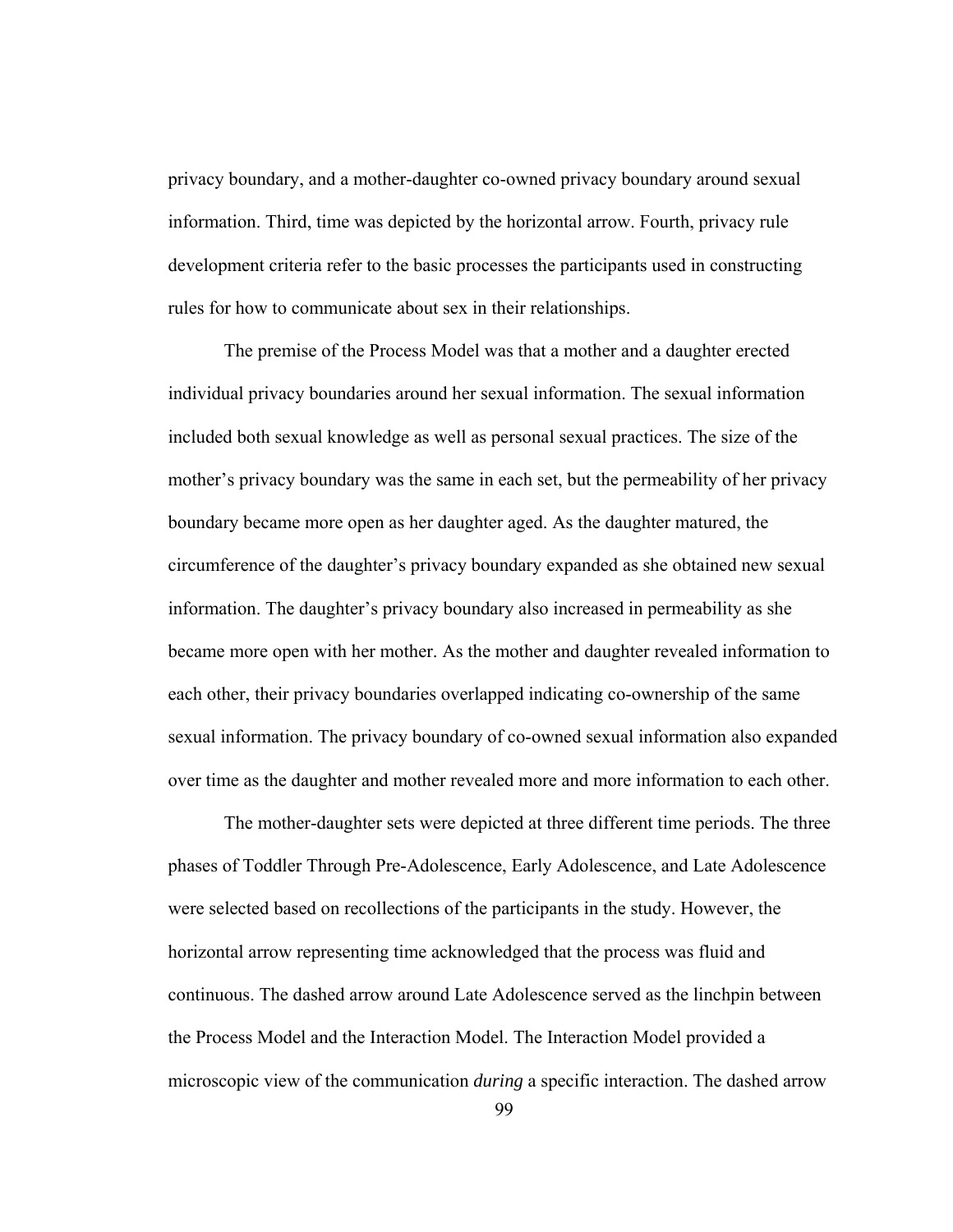privacy boundary, and a mother-daughter co-owned privacy boundary around sexual information. Third, time was depicted by the horizontal arrow. Fourth, privacy rule development criteria refer to the basic processes the participants used in constructing rules for how to communicate about sex in their relationships.

The premise of the Process Model was that a mother and a daughter erected individual privacy boundaries around her sexual information. The sexual information included both sexual knowledge as well as personal sexual practices. The size of the mother's privacy boundary was the same in each set, but the permeability of her privacy boundary became more open as her daughter aged. As the daughter matured, the circumference of the daughter's privacy boundary expanded as she obtained new sexual information. The daughter's privacy boundary also increased in permeability as she became more open with her mother. As the mother and daughter revealed information to each other, their privacy boundaries overlapped indicating co-ownership of the same sexual information. The privacy boundary of co-owned sexual information also expanded over time as the daughter and mother revealed more and more information to each other.

The mother-daughter sets were depicted at three different time periods. The three phases of Toddler Through Pre-Adolescence, Early Adolescence, and Late Adolescence were selected based on recollections of the participants in the study. However, the horizontal arrow representing time acknowledged that the process was fluid and continuous. The dashed arrow around Late Adolescence served as the linchpin between the Process Model and the Interaction Model. The Interaction Model provided a microscopic view of the communication *during* a specific interaction. The dashed arrow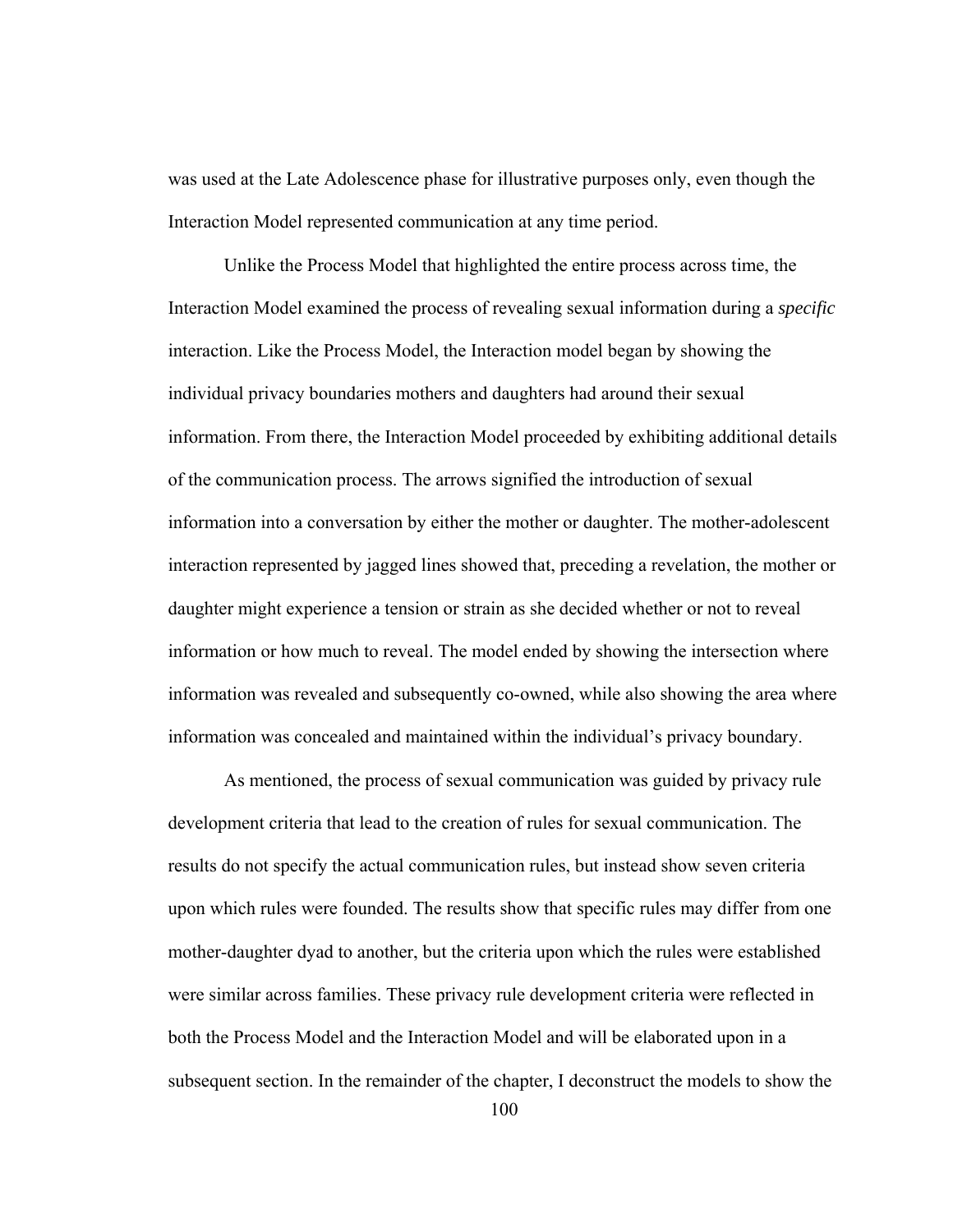was used at the Late Adolescence phase for illustrative purposes only, even though the Interaction Model represented communication at any time period.

 Unlike the Process Model that highlighted the entire process across time, the Interaction Model examined the process of revealing sexual information during a *specific* interaction. Like the Process Model, the Interaction model began by showing the individual privacy boundaries mothers and daughters had around their sexual information. From there, the Interaction Model proceeded by exhibiting additional details of the communication process. The arrows signified the introduction of sexual information into a conversation by either the mother or daughter. The mother-adolescent interaction represented by jagged lines showed that, preceding a revelation, the mother or daughter might experience a tension or strain as she decided whether or not to reveal information or how much to reveal. The model ended by showing the intersection where information was revealed and subsequently co-owned, while also showing the area where information was concealed and maintained within the individual's privacy boundary.

As mentioned, the process of sexual communication was guided by privacy rule development criteria that lead to the creation of rules for sexual communication. The results do not specify the actual communication rules, but instead show seven criteria upon which rules were founded. The results show that specific rules may differ from one mother-daughter dyad to another, but the criteria upon which the rules were established were similar across families. These privacy rule development criteria were reflected in both the Process Model and the Interaction Model and will be elaborated upon in a subsequent section. In the remainder of the chapter, I deconstruct the models to show the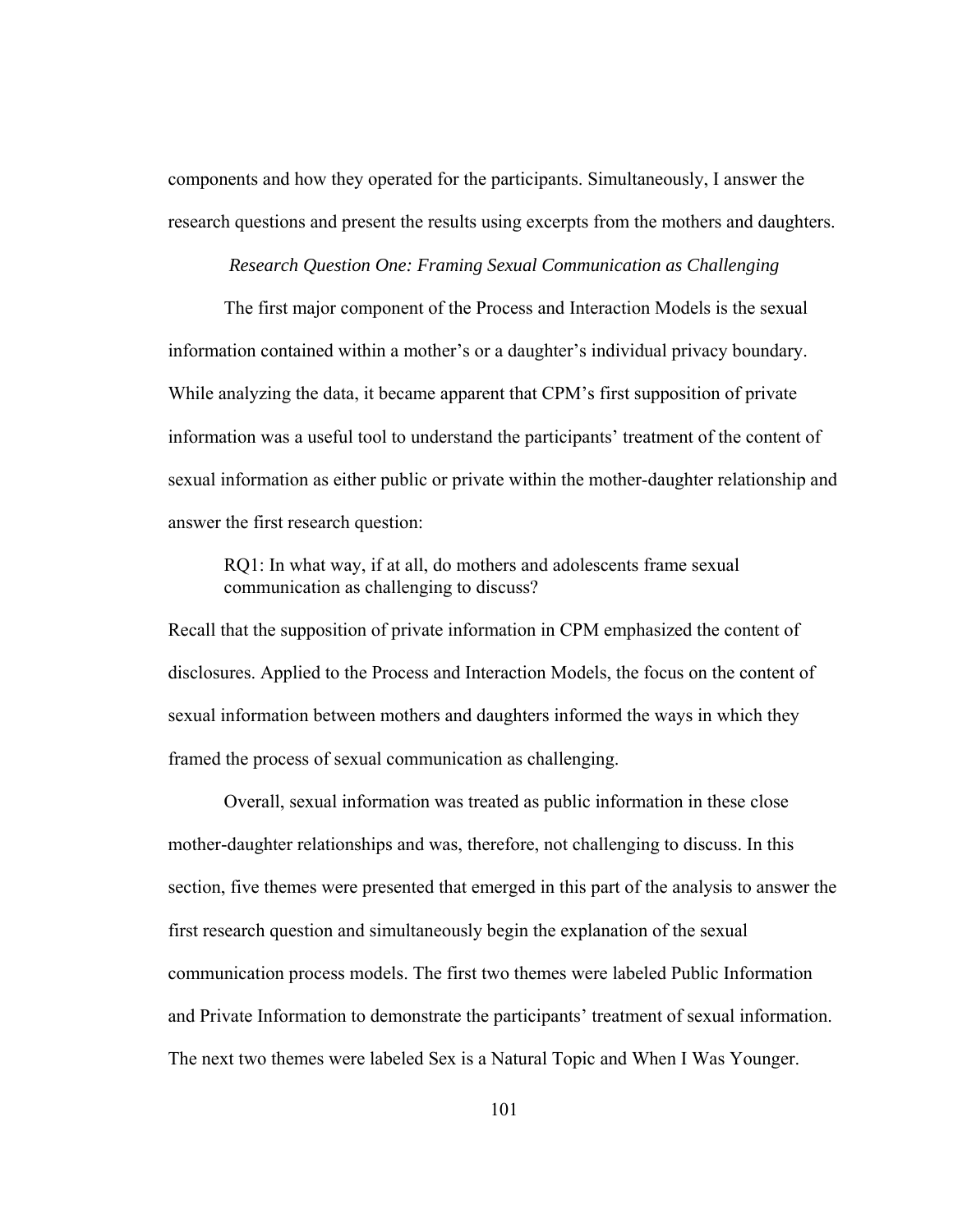components and how they operated for the participants. Simultaneously, I answer the research questions and present the results using excerpts from the mothers and daughters.

## *Research Question One: Framing Sexual Communication as Challenging*

The first major component of the Process and Interaction Models is the sexual information contained within a mother's or a daughter's individual privacy boundary. While analyzing the data, it became apparent that CPM's first supposition of private information was a useful tool to understand the participants' treatment of the content of sexual information as either public or private within the mother-daughter relationship and answer the first research question:

RQ1: In what way, if at all, do mothers and adolescents frame sexual communication as challenging to discuss?

Recall that the supposition of private information in CPM emphasized the content of disclosures. Applied to the Process and Interaction Models, the focus on the content of sexual information between mothers and daughters informed the ways in which they framed the process of sexual communication as challenging.

Overall, sexual information was treated as public information in these close mother-daughter relationships and was, therefore, not challenging to discuss. In this section, five themes were presented that emerged in this part of the analysis to answer the first research question and simultaneously begin the explanation of the sexual communication process models. The first two themes were labeled Public Information and Private Information to demonstrate the participants' treatment of sexual information. The next two themes were labeled Sex is a Natural Topic and When I Was Younger.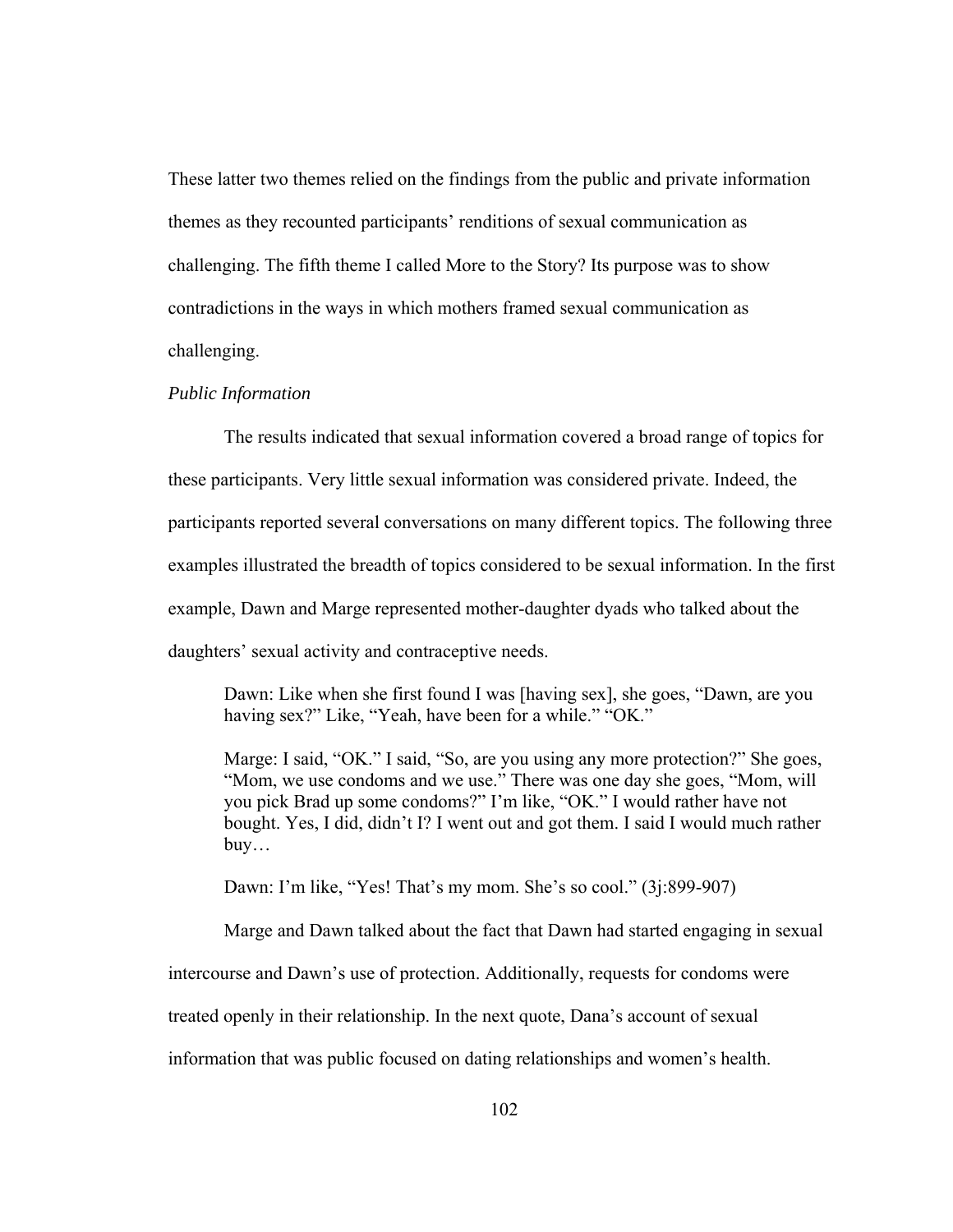These latter two themes relied on the findings from the public and private information themes as they recounted participants' renditions of sexual communication as challenging. The fifth theme I called More to the Story? Its purpose was to show contradictions in the ways in which mothers framed sexual communication as challenging.

#### *Public Information*

The results indicated that sexual information covered a broad range of topics for these participants. Very little sexual information was considered private. Indeed, the participants reported several conversations on many different topics. The following three examples illustrated the breadth of topics considered to be sexual information. In the first example, Dawn and Marge represented mother-daughter dyads who talked about the daughters' sexual activity and contraceptive needs.

Dawn: Like when she first found I was [having sex], she goes, "Dawn, are you having sex?" Like, "Yeah, have been for a while." "OK."

Marge: I said, "OK." I said, "So, are you using any more protection?" She goes, "Mom, we use condoms and we use." There was one day she goes, "Mom, will you pick Brad up some condoms?" I'm like, "OK." I would rather have not bought. Yes, I did, didn't I? I went out and got them. I said I would much rather buy…

Dawn: I'm like, "Yes! That's my mom. She's so cool." (3j:899-907)

Marge and Dawn talked about the fact that Dawn had started engaging in sexual

intercourse and Dawn's use of protection. Additionally, requests for condoms were

treated openly in their relationship. In the next quote, Dana's account of sexual

information that was public focused on dating relationships and women's health.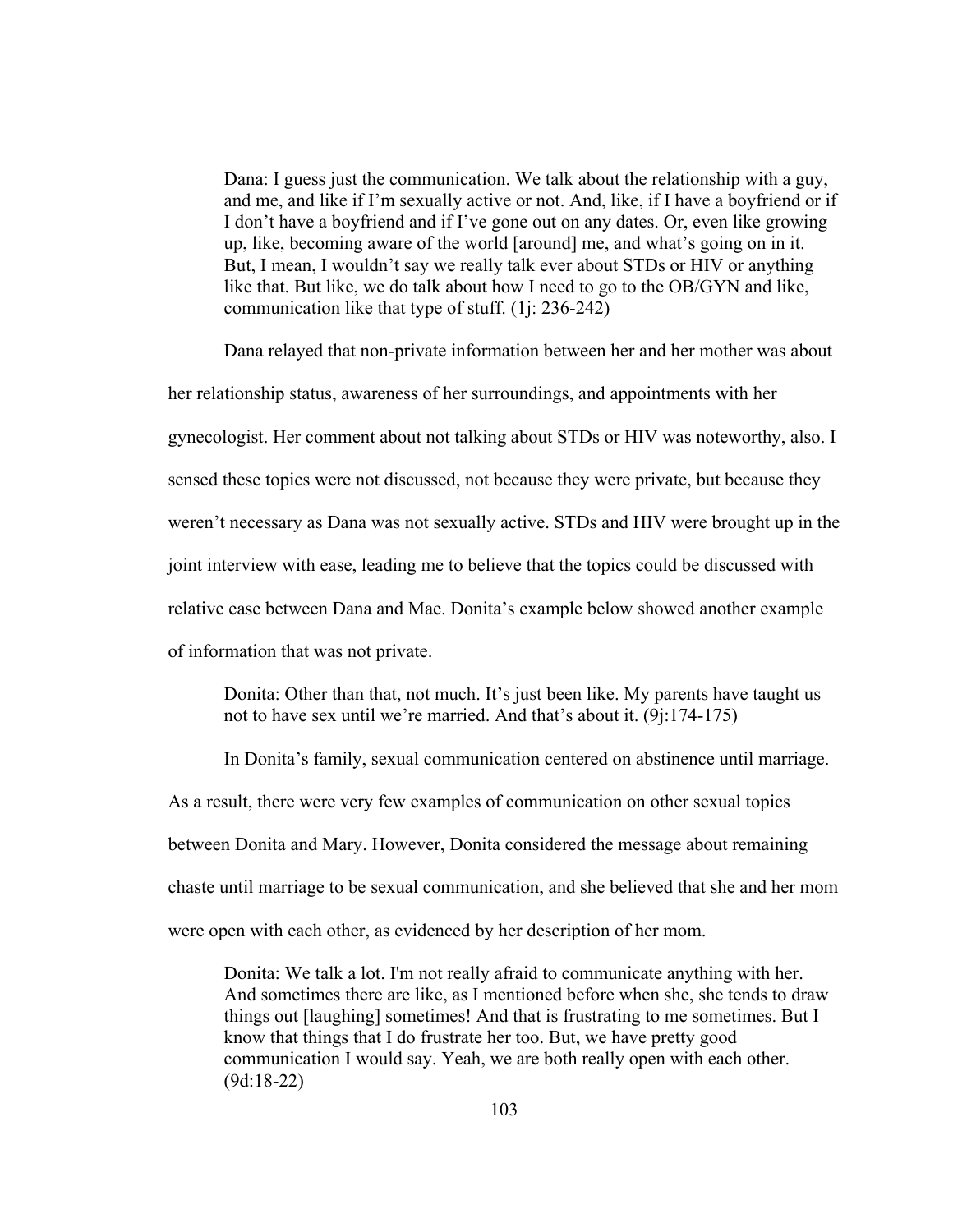Dana: I guess just the communication. We talk about the relationship with a guy, and me, and like if I'm sexually active or not. And, like, if I have a boyfriend or if I don't have a boyfriend and if I've gone out on any dates. Or, even like growing up, like, becoming aware of the world [around] me, and what's going on in it. But, I mean, I wouldn't say we really talk ever about STDs or HIV or anything like that. But like, we do talk about how I need to go to the OB/GYN and like, communication like that type of stuff. (1j: 236-242)

Dana relayed that non-private information between her and her mother was about her relationship status, awareness of her surroundings, and appointments with her gynecologist. Her comment about not talking about STDs or HIV was noteworthy, also. I sensed these topics were not discussed, not because they were private, but because they weren't necessary as Dana was not sexually active. STDs and HIV were brought up in the joint interview with ease, leading me to believe that the topics could be discussed with relative ease between Dana and Mae. Donita's example below showed another example of information that was not private.

Donita: Other than that, not much. It's just been like. My parents have taught us not to have sex until we're married. And that's about it. (9j:174-175)

In Donita's family, sexual communication centered on abstinence until marriage.

As a result, there were very few examples of communication on other sexual topics

between Donita and Mary. However, Donita considered the message about remaining

chaste until marriage to be sexual communication, and she believed that she and her mom

were open with each other, as evidenced by her description of her mom.

Donita: We talk a lot. I'm not really afraid to communicate anything with her. And sometimes there are like, as I mentioned before when she, she tends to draw things out [laughing] sometimes! And that is frustrating to me sometimes. But I know that things that I do frustrate her too. But, we have pretty good communication I would say. Yeah, we are both really open with each other. (9d:18-22)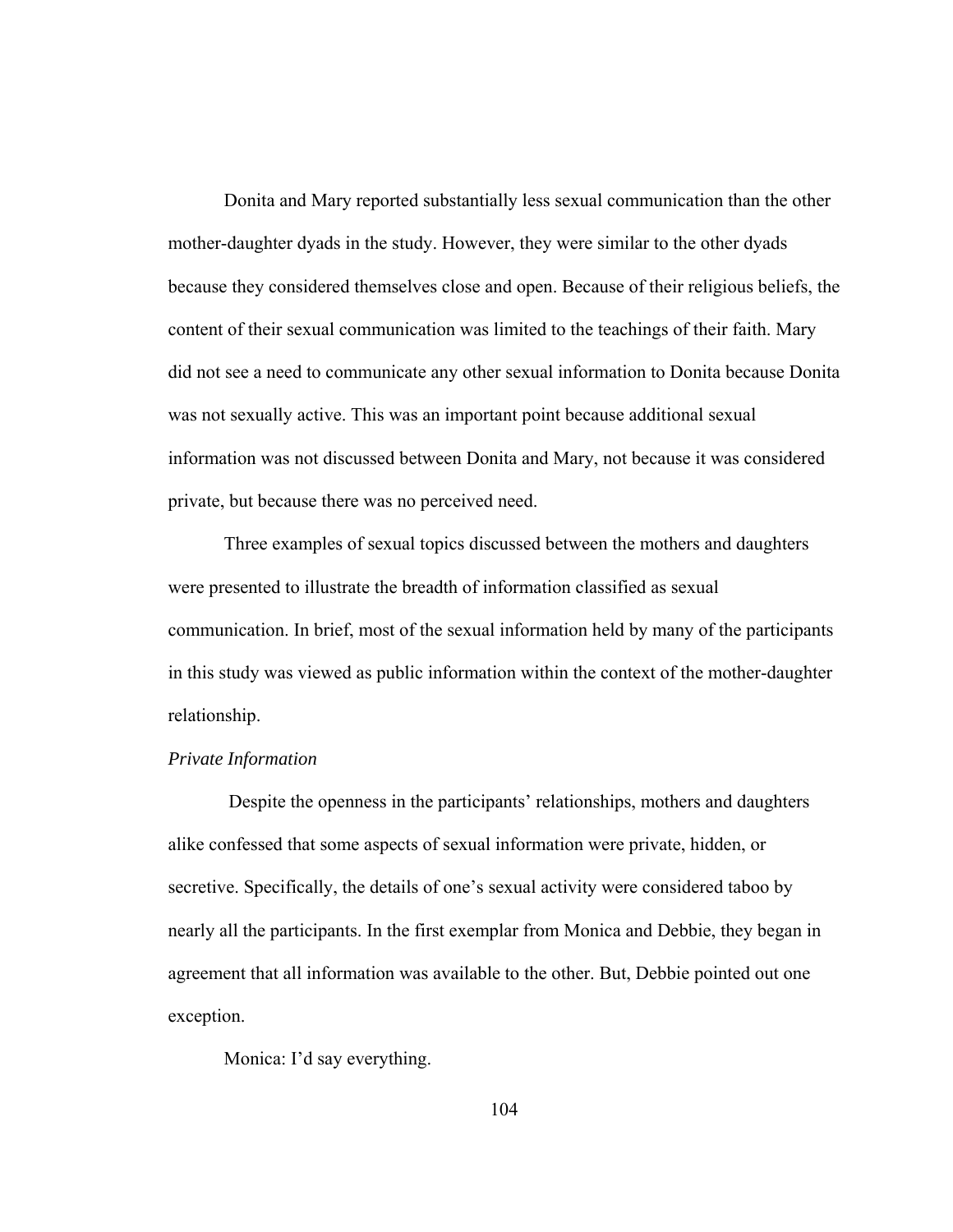Donita and Mary reported substantially less sexual communication than the other mother-daughter dyads in the study. However, they were similar to the other dyads because they considered themselves close and open. Because of their religious beliefs, the content of their sexual communication was limited to the teachings of their faith. Mary did not see a need to communicate any other sexual information to Donita because Donita was not sexually active. This was an important point because additional sexual information was not discussed between Donita and Mary, not because it was considered private, but because there was no perceived need.

Three examples of sexual topics discussed between the mothers and daughters were presented to illustrate the breadth of information classified as sexual communication. In brief, most of the sexual information held by many of the participants in this study was viewed as public information within the context of the mother-daughter relationship.

#### *Private Information*

Despite the openness in the participants' relationships, mothers and daughters alike confessed that some aspects of sexual information were private, hidden, or secretive. Specifically, the details of one's sexual activity were considered taboo by nearly all the participants. In the first exemplar from Monica and Debbie, they began in agreement that all information was available to the other. But, Debbie pointed out one exception.

Monica: I'd say everything.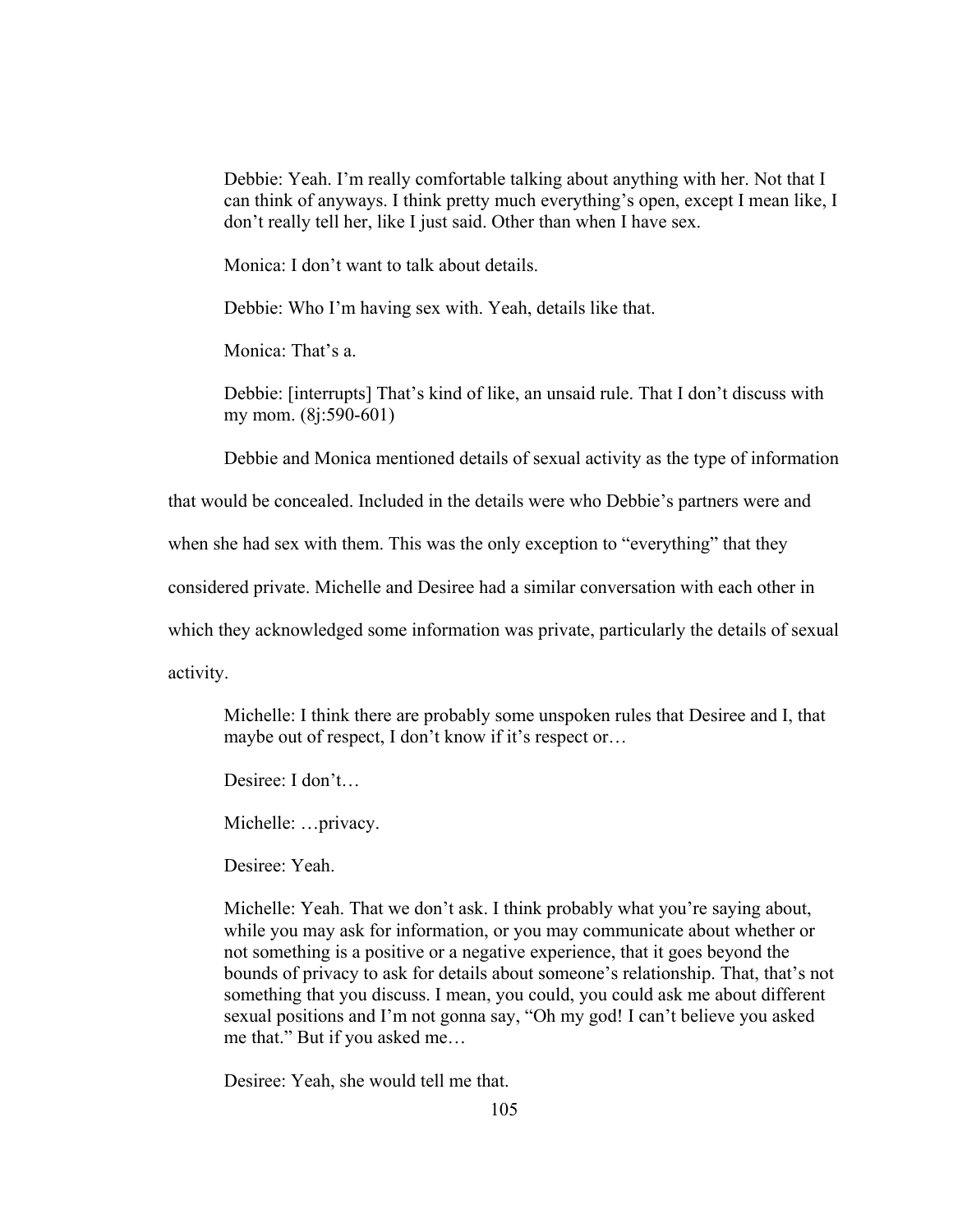Debbie: Yeah. I'm really comfortable talking about anything with her. Not that I can think of anyways. I think pretty much everything's open, except I mean like, I don't really tell her, like I just said. Other than when I have sex.

Monica: I don't want to talk about details.

Debbie: Who I'm having sex with. Yeah, details like that.

Monica: That's a.

Debbie: [interrupts] That's kind of like, an unsaid rule. That I don't discuss with my mom. (8j:590-601)

Debbie and Monica mentioned details of sexual activity as the type of information

that would be concealed. Included in the details were who Debbie's partners were and

when she had sex with them. This was the only exception to "everything" that they

considered private. Michelle and Desiree had a similar conversation with each other in

which they acknowledged some information was private, particularly the details of sexual

activity.

Michelle: I think there are probably some unspoken rules that Desiree and I, that maybe out of respect, I don't know if it's respect or…

Desiree: I don't…

Michelle: …privacy.

Desiree: Yeah.

Michelle: Yeah. That we don't ask. I think probably what you're saying about, while you may ask for information, or you may communicate about whether or not something is a positive or a negative experience, that it goes beyond the bounds of privacy to ask for details about someone's relationship. That, that's not something that you discuss. I mean, you could, you could ask me about different sexual positions and I'm not gonna say, "Oh my god! I can't believe you asked me that." But if you asked me…

Desiree: Yeah, she would tell me that.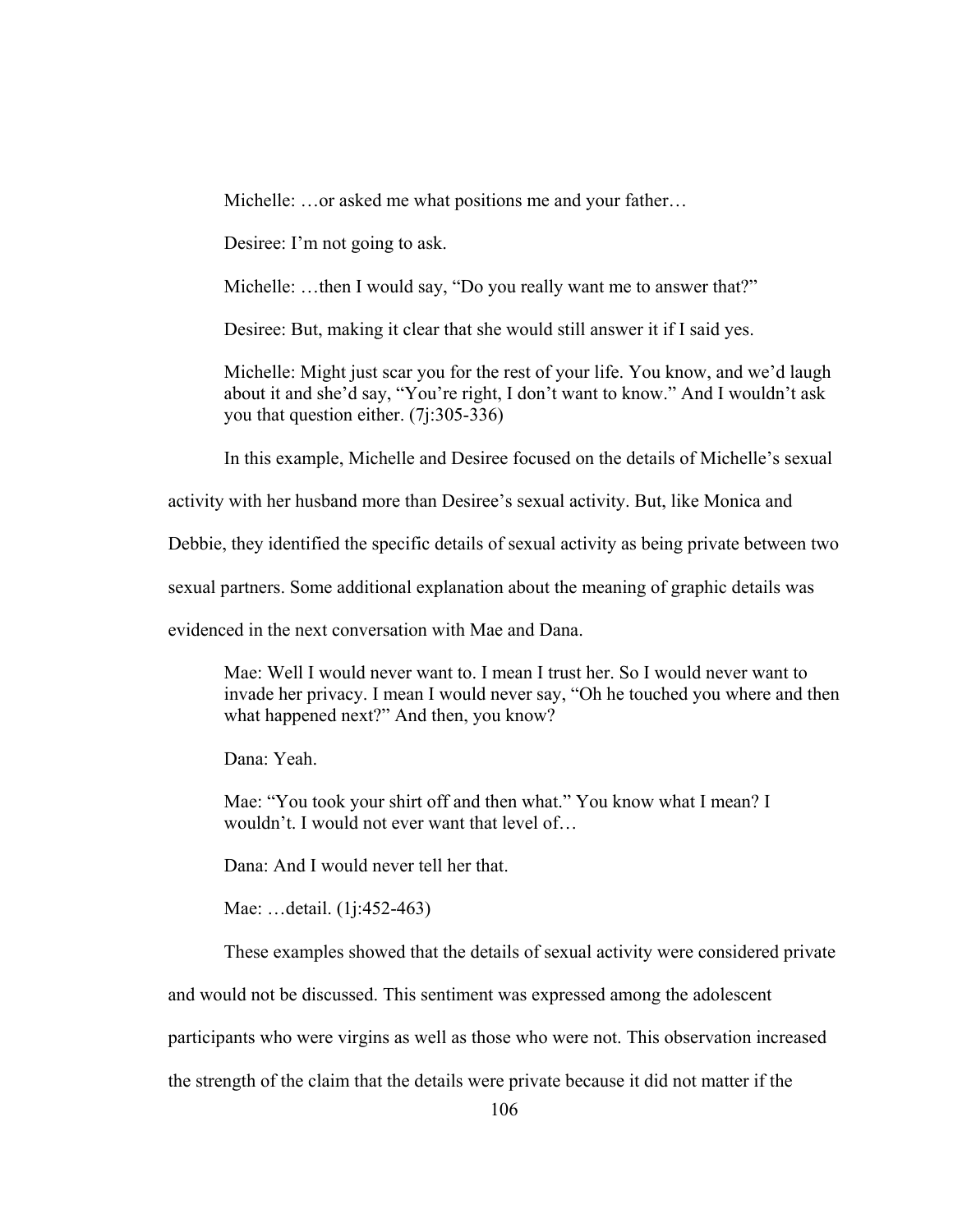Michelle: ...or asked me what positions me and your father...

Desiree: I'm not going to ask.

Michelle: ...then I would say, "Do you really want me to answer that?"

Desiree: But, making it clear that she would still answer it if I said yes.

Michelle: Might just scar you for the rest of your life. You know, and we'd laugh about it and she'd say, "You're right, I don't want to know." And I wouldn't ask you that question either. (7j:305-336)

In this example, Michelle and Desiree focused on the details of Michelle's sexual

activity with her husband more than Desiree's sexual activity. But, like Monica and

Debbie, they identified the specific details of sexual activity as being private between two

sexual partners. Some additional explanation about the meaning of graphic details was

evidenced in the next conversation with Mae and Dana.

Mae: Well I would never want to. I mean I trust her. So I would never want to invade her privacy. I mean I would never say, "Oh he touched you where and then what happened next?" And then, you know?

Dana: Yeah.

Mae: "You took your shirt off and then what." You know what I mean? I wouldn't. I would not ever want that level of…

Dana: And I would never tell her that.

Mae: …detail. (1j:452-463)

These examples showed that the details of sexual activity were considered private

and would not be discussed. This sentiment was expressed among the adolescent

participants who were virgins as well as those who were not. This observation increased

the strength of the claim that the details were private because it did not matter if the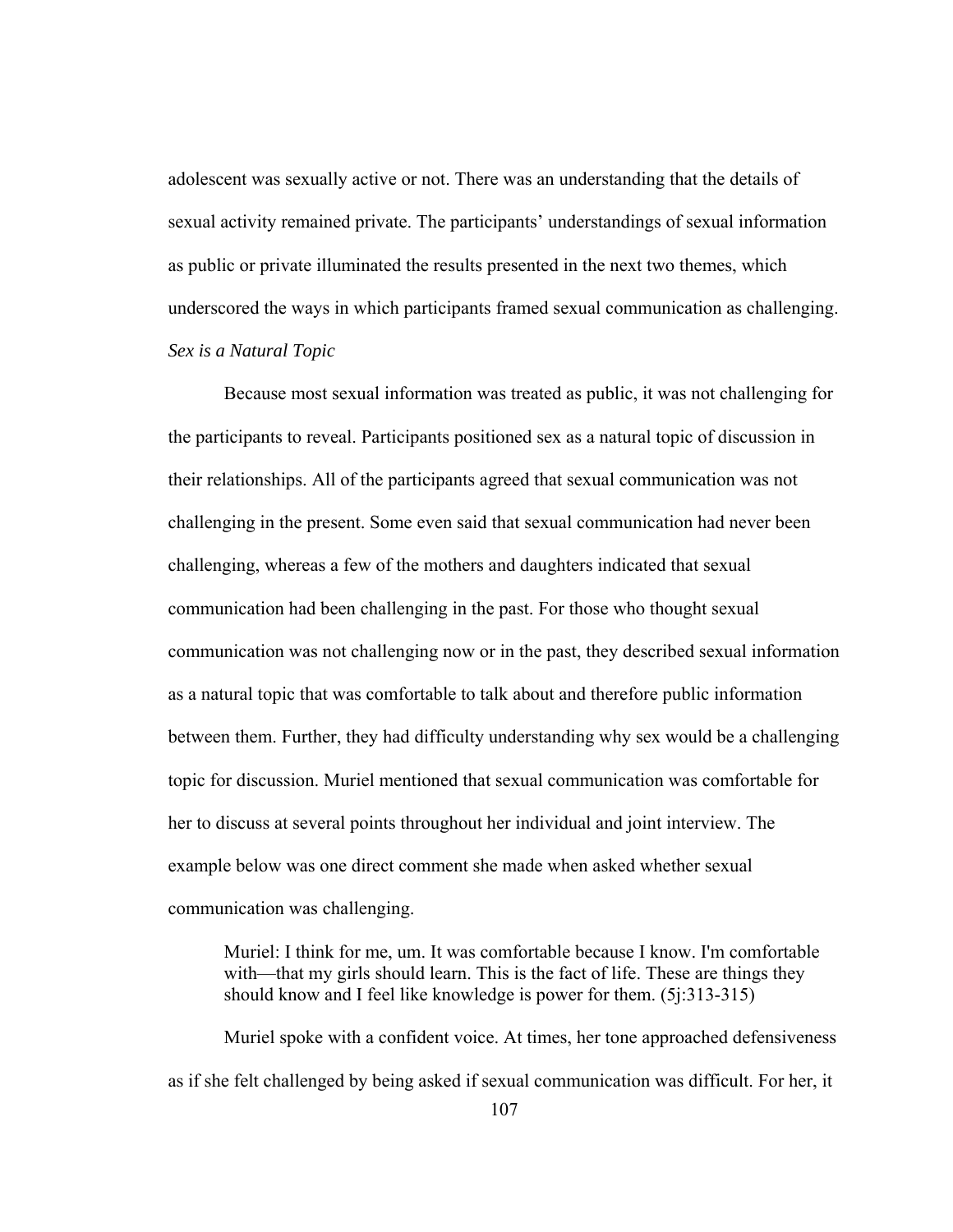adolescent was sexually active or not. There was an understanding that the details of sexual activity remained private. The participants' understandings of sexual information as public or private illuminated the results presented in the next two themes, which underscored the ways in which participants framed sexual communication as challenging. *Sex is a Natural Topic* 

Because most sexual information was treated as public, it was not challenging for the participants to reveal. Participants positioned sex as a natural topic of discussion in their relationships. All of the participants agreed that sexual communication was not challenging in the present. Some even said that sexual communication had never been challenging, whereas a few of the mothers and daughters indicated that sexual communication had been challenging in the past. For those who thought sexual communication was not challenging now or in the past, they described sexual information as a natural topic that was comfortable to talk about and therefore public information between them. Further, they had difficulty understanding why sex would be a challenging topic for discussion. Muriel mentioned that sexual communication was comfortable for her to discuss at several points throughout her individual and joint interview. The example below was one direct comment she made when asked whether sexual communication was challenging.

Muriel: I think for me, um. It was comfortable because I know. I'm comfortable with—that my girls should learn. This is the fact of life. These are things they should know and I feel like knowledge is power for them. (5j:313-315)

Muriel spoke with a confident voice. At times, her tone approached defensiveness as if she felt challenged by being asked if sexual communication was difficult. For her, it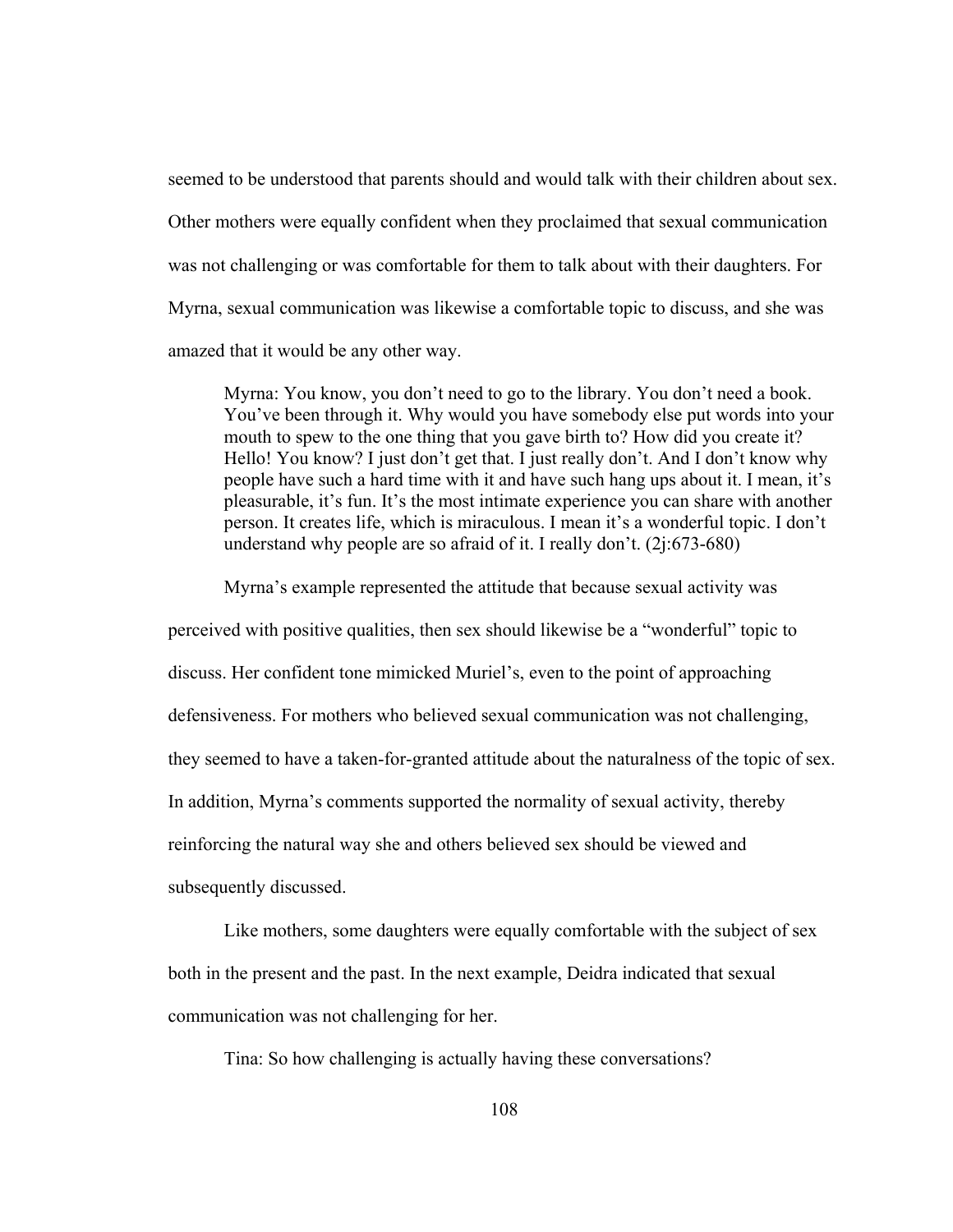seemed to be understood that parents should and would talk with their children about sex. Other mothers were equally confident when they proclaimed that sexual communication was not challenging or was comfortable for them to talk about with their daughters. For Myrna, sexual communication was likewise a comfortable topic to discuss, and she was amazed that it would be any other way.

Myrna: You know, you don't need to go to the library. You don't need a book. You've been through it. Why would you have somebody else put words into your mouth to spew to the one thing that you gave birth to? How did you create it? Hello! You know? I just don't get that. I just really don't. And I don't know why people have such a hard time with it and have such hang ups about it. I mean, it's pleasurable, it's fun. It's the most intimate experience you can share with another person. It creates life, which is miraculous. I mean it's a wonderful topic. I don't understand why people are so afraid of it. I really don't. (2j:673-680)

Myrna's example represented the attitude that because sexual activity was

perceived with positive qualities, then sex should likewise be a "wonderful" topic to

discuss. Her confident tone mimicked Muriel's, even to the point of approaching

defensiveness. For mothers who believed sexual communication was not challenging,

they seemed to have a taken-for-granted attitude about the naturalness of the topic of sex.

In addition, Myrna's comments supported the normality of sexual activity, thereby

reinforcing the natural way she and others believed sex should be viewed and

subsequently discussed.

Like mothers, some daughters were equally comfortable with the subject of sex both in the present and the past. In the next example, Deidra indicated that sexual communication was not challenging for her.

Tina: So how challenging is actually having these conversations?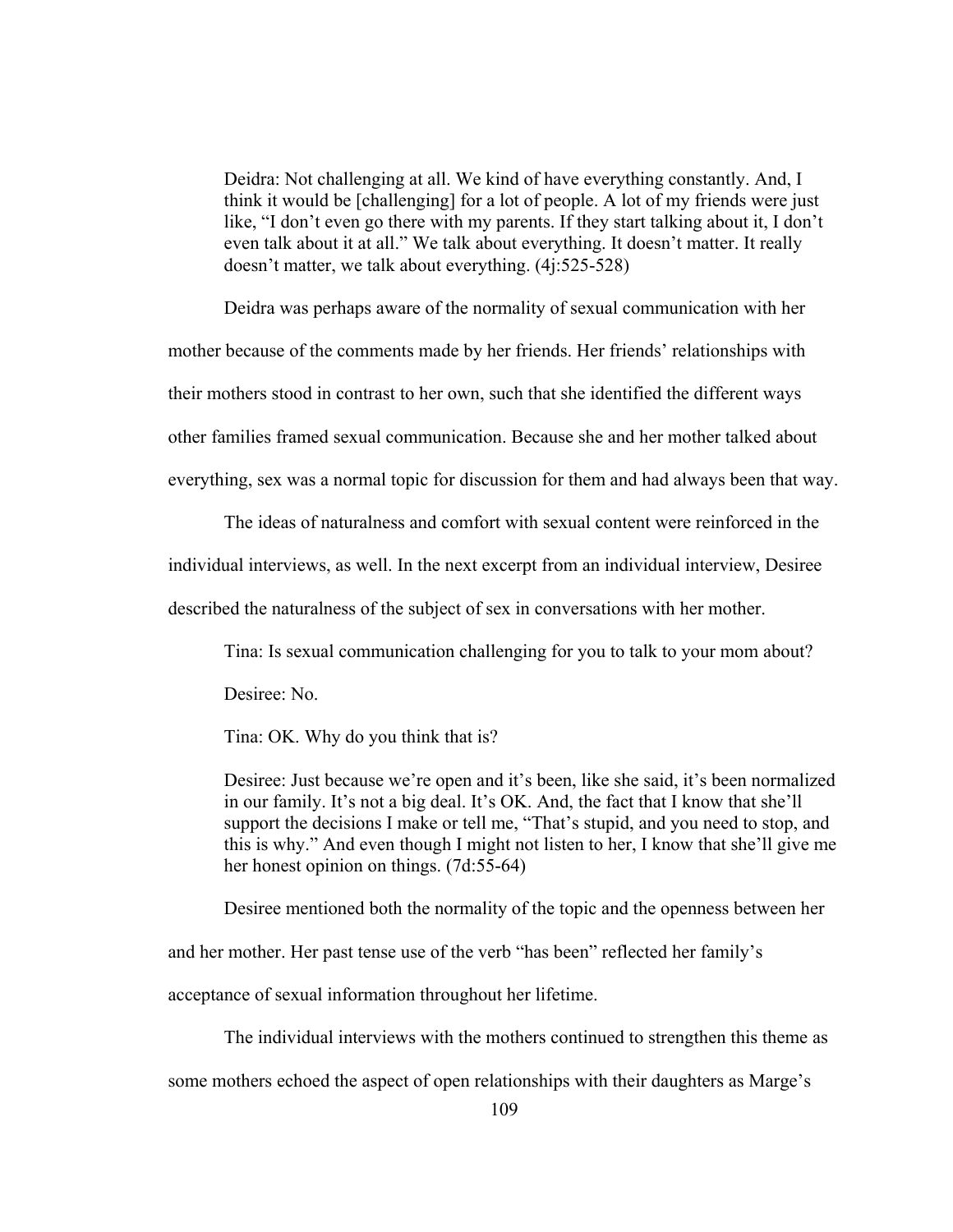Deidra: Not challenging at all. We kind of have everything constantly. And, I think it would be [challenging] for a lot of people. A lot of my friends were just like, "I don't even go there with my parents. If they start talking about it, I don't even talk about it at all." We talk about everything. It doesn't matter. It really doesn't matter, we talk about everything. (4j:525-528)

Deidra was perhaps aware of the normality of sexual communication with her mother because of the comments made by her friends. Her friends' relationships with their mothers stood in contrast to her own, such that she identified the different ways other families framed sexual communication. Because she and her mother talked about everything, sex was a normal topic for discussion for them and had always been that way.

The ideas of naturalness and comfort with sexual content were reinforced in the

individual interviews, as well. In the next excerpt from an individual interview, Desiree

described the naturalness of the subject of sex in conversations with her mother.

Tina: Is sexual communication challenging for you to talk to your mom about?

Desiree: No.

Tina: OK. Why do you think that is?

Desiree: Just because we're open and it's been, like she said, it's been normalized in our family. It's not a big deal. It's OK. And, the fact that I know that she'll support the decisions I make or tell me, "That's stupid, and you need to stop, and this is why." And even though I might not listen to her, I know that she'll give me her honest opinion on things. (7d:55-64)

Desiree mentioned both the normality of the topic and the openness between her

and her mother. Her past tense use of the verb "has been" reflected her family's

acceptance of sexual information throughout her lifetime.

The individual interviews with the mothers continued to strengthen this theme as

some mothers echoed the aspect of open relationships with their daughters as Marge's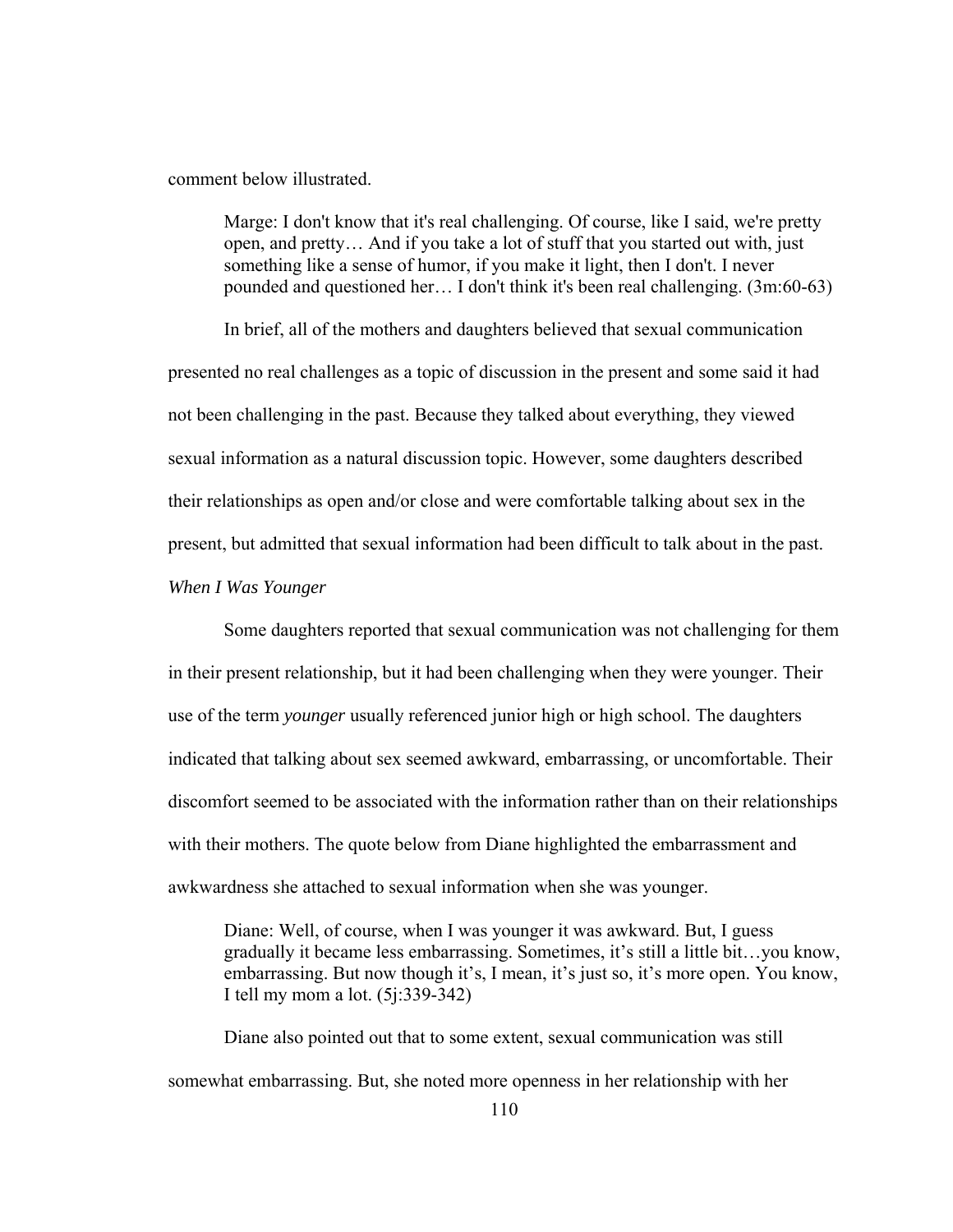comment below illustrated.

Marge: I don't know that it's real challenging. Of course, like I said, we're pretty open, and pretty… And if you take a lot of stuff that you started out with, just something like a sense of humor, if you make it light, then I don't. I never pounded and questioned her… I don't think it's been real challenging. (3m:60-63)

In brief, all of the mothers and daughters believed that sexual communication presented no real challenges as a topic of discussion in the present and some said it had not been challenging in the past. Because they talked about everything, they viewed sexual information as a natural discussion topic. However, some daughters described their relationships as open and/or close and were comfortable talking about sex in the present, but admitted that sexual information had been difficult to talk about in the past.

*When I Was Younger* 

Some daughters reported that sexual communication was not challenging for them in their present relationship, but it had been challenging when they were younger. Their use of the term *younger* usually referenced junior high or high school. The daughters indicated that talking about sex seemed awkward, embarrassing, or uncomfortable. Their discomfort seemed to be associated with the information rather than on their relationships with their mothers. The quote below from Diane highlighted the embarrassment and awkwardness she attached to sexual information when she was younger.

Diane: Well, of course, when I was younger it was awkward. But, I guess gradually it became less embarrassing. Sometimes, it's still a little bit…you know, embarrassing. But now though it's, I mean, it's just so, it's more open. You know, I tell my mom a lot. (5j:339-342)

Diane also pointed out that to some extent, sexual communication was still somewhat embarrassing. But, she noted more openness in her relationship with her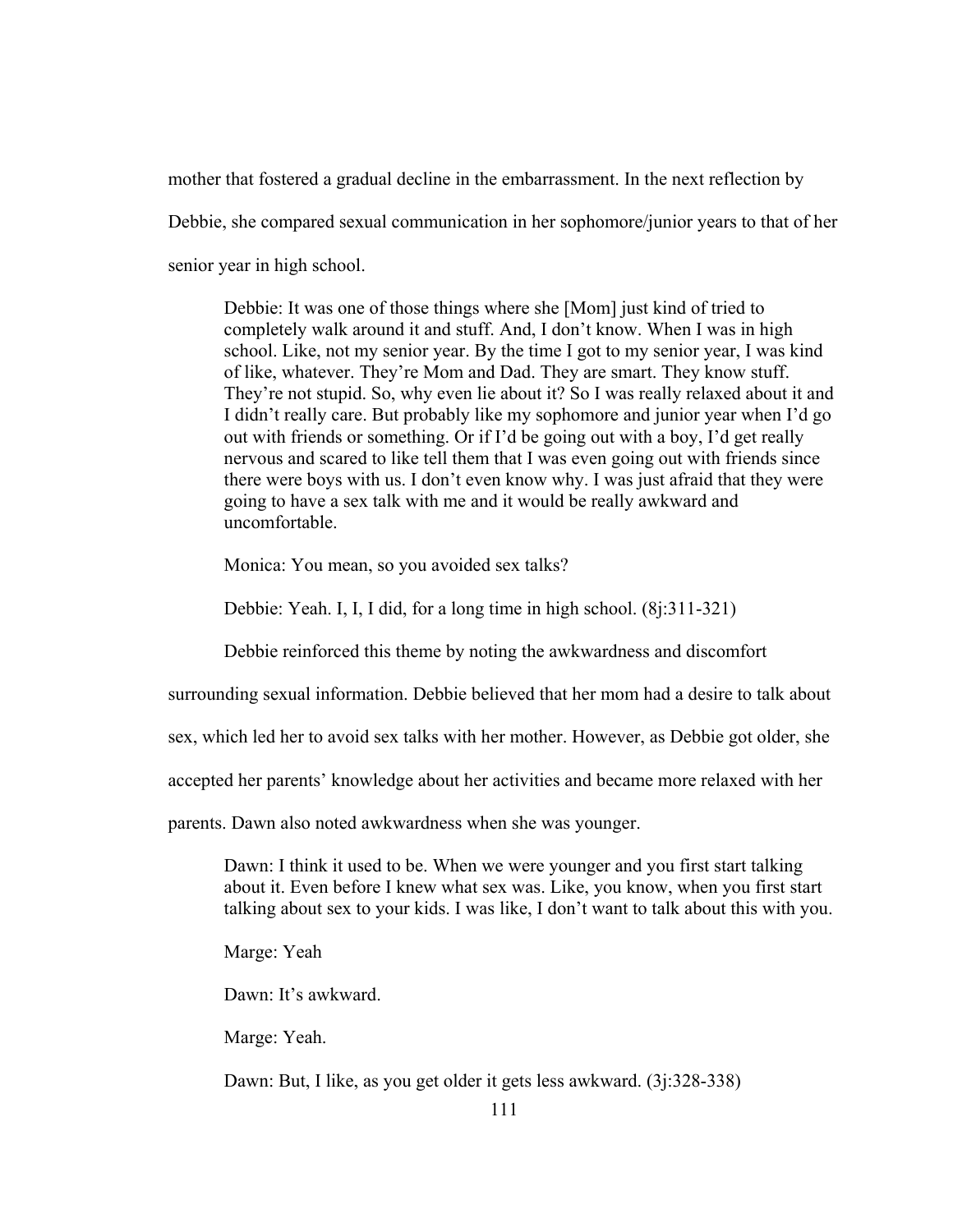mother that fostered a gradual decline in the embarrassment. In the next reflection by Debbie, she compared sexual communication in her sophomore/junior years to that of her senior year in high school.

Debbie: It was one of those things where she [Mom] just kind of tried to completely walk around it and stuff. And, I don't know. When I was in high school. Like, not my senior year. By the time I got to my senior year, I was kind of like, whatever. They're Mom and Dad. They are smart. They know stuff. They're not stupid. So, why even lie about it? So I was really relaxed about it and I didn't really care. But probably like my sophomore and junior year when I'd go out with friends or something. Or if I'd be going out with a boy, I'd get really nervous and scared to like tell them that I was even going out with friends since there were boys with us. I don't even know why. I was just afraid that they were going to have a sex talk with me and it would be really awkward and uncomfortable.

Monica: You mean, so you avoided sex talks?

Debbie: Yeah. I, I, I did, for a long time in high school. (8j:311-321)

Debbie reinforced this theme by noting the awkwardness and discomfort

surrounding sexual information. Debbie believed that her mom had a desire to talk about

sex, which led her to avoid sex talks with her mother. However, as Debbie got older, she

accepted her parents' knowledge about her activities and became more relaxed with her

parents. Dawn also noted awkwardness when she was younger.

Dawn: I think it used to be. When we were younger and you first start talking about it. Even before I knew what sex was. Like, you know, when you first start talking about sex to your kids. I was like, I don't want to talk about this with you.

Marge: Yeah

Dawn: It's awkward.

Marge: Yeah.

Dawn: But, I like, as you get older it gets less awkward. (3j:328-338)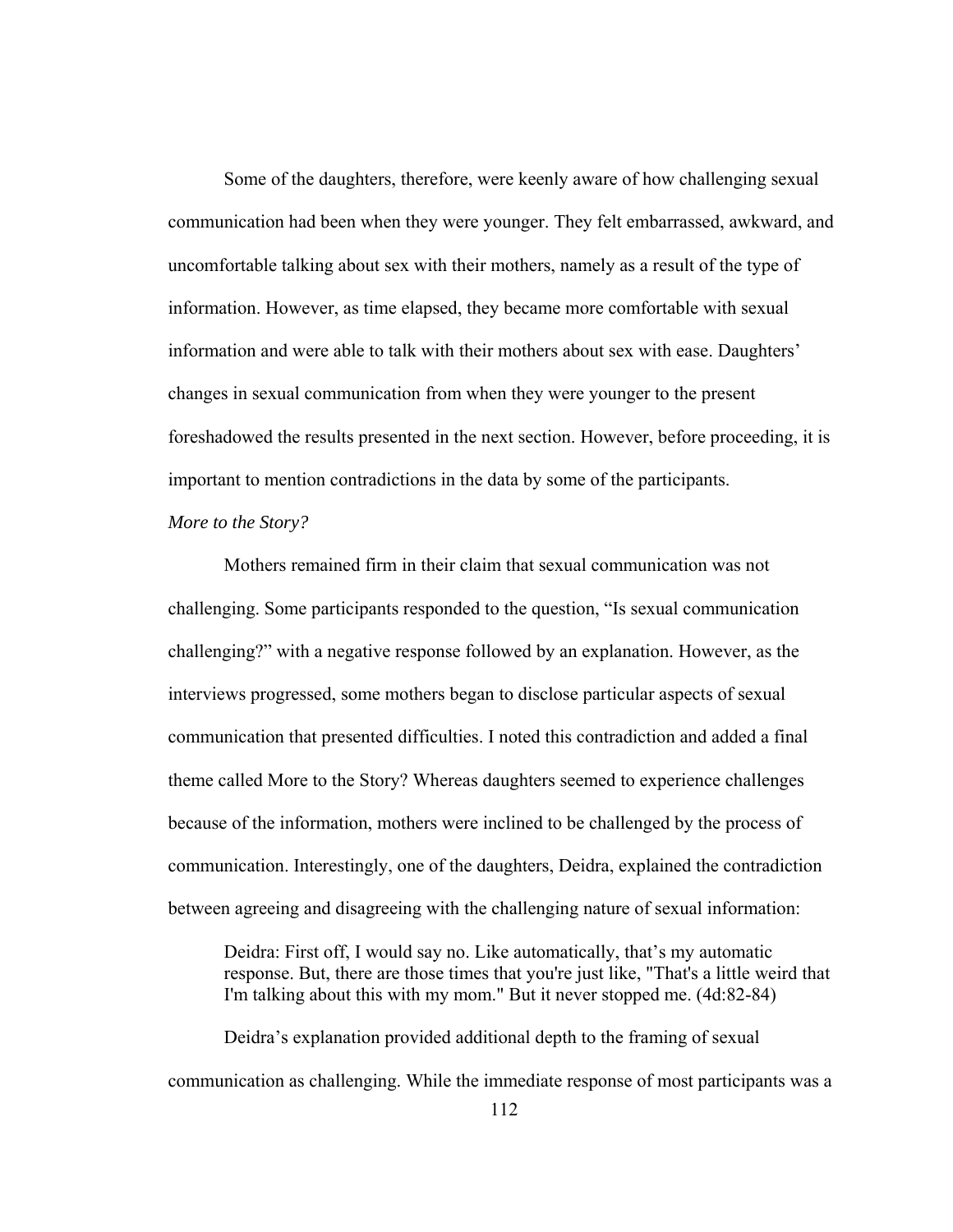Some of the daughters, therefore, were keenly aware of how challenging sexual communication had been when they were younger. They felt embarrassed, awkward, and uncomfortable talking about sex with their mothers, namely as a result of the type of information. However, as time elapsed, they became more comfortable with sexual information and were able to talk with their mothers about sex with ease. Daughters' changes in sexual communication from when they were younger to the present foreshadowed the results presented in the next section. However, before proceeding, it is important to mention contradictions in the data by some of the participants.

# *More to the Story?*

Mothers remained firm in their claim that sexual communication was not challenging. Some participants responded to the question, "Is sexual communication challenging?" with a negative response followed by an explanation. However, as the interviews progressed, some mothers began to disclose particular aspects of sexual communication that presented difficulties. I noted this contradiction and added a final theme called More to the Story? Whereas daughters seemed to experience challenges because of the information, mothers were inclined to be challenged by the process of communication. Interestingly, one of the daughters, Deidra, explained the contradiction between agreeing and disagreeing with the challenging nature of sexual information:

Deidra: First off, I would say no. Like automatically, that's my automatic response. But, there are those times that you're just like, "That's a little weird that I'm talking about this with my mom." But it never stopped me. (4d:82-84)

 Deidra's explanation provided additional depth to the framing of sexual communication as challenging. While the immediate response of most participants was a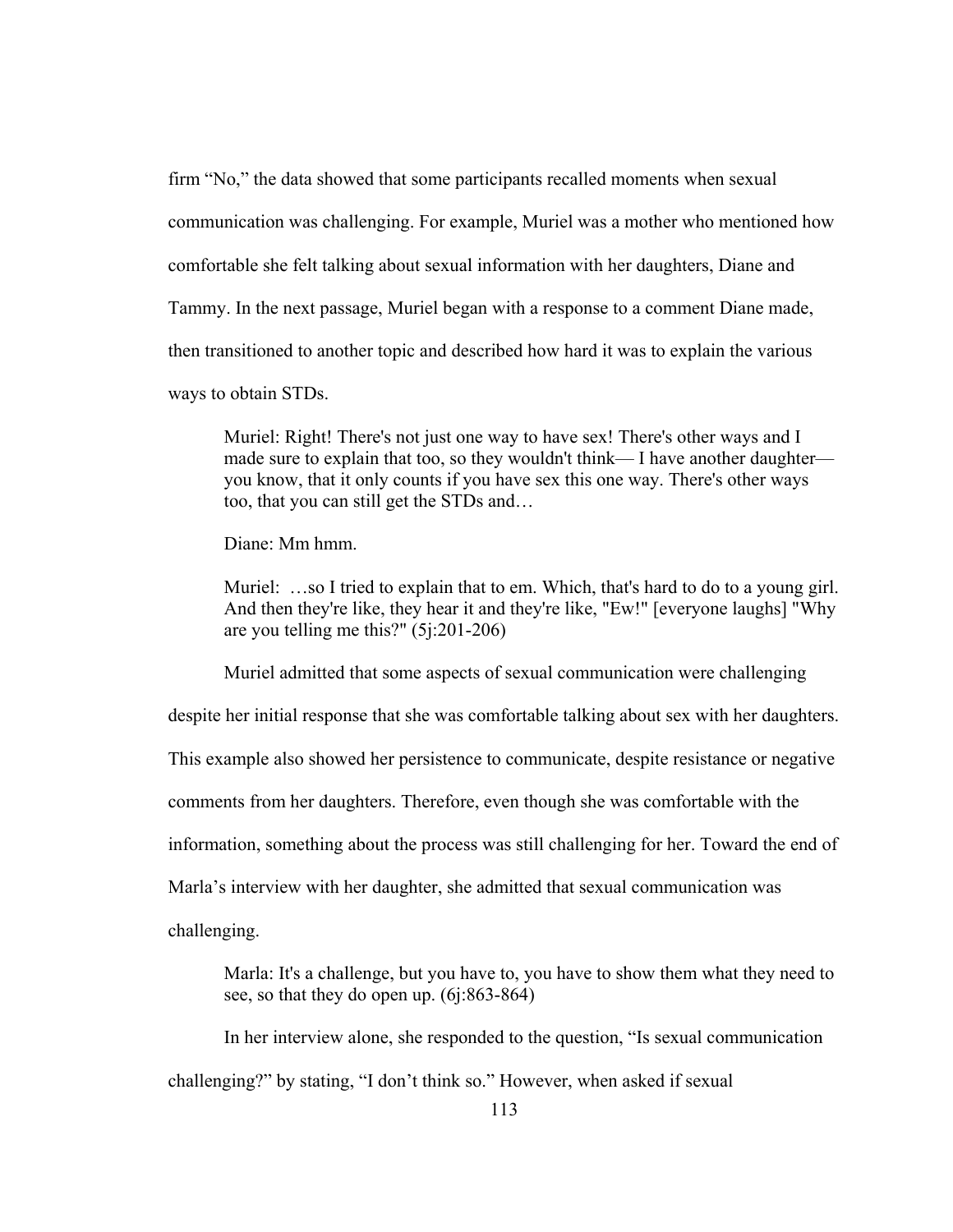firm "No," the data showed that some participants recalled moments when sexual communication was challenging. For example, Muriel was a mother who mentioned how comfortable she felt talking about sexual information with her daughters, Diane and Tammy. In the next passage, Muriel began with a response to a comment Diane made, then transitioned to another topic and described how hard it was to explain the various ways to obtain STDs.

Muriel: Right! There's not just one way to have sex! There's other ways and I made sure to explain that too, so they wouldn't think— I have another daughter you know, that it only counts if you have sex this one way. There's other ways too, that you can still get the STDs and…

Diane: Mm hmm.

Muriel: …so I tried to explain that to em. Which, that's hard to do to a young girl. And then they're like, they hear it and they're like, "Ew!" [everyone laughs] "Why are you telling me this?" (5j:201-206)

Muriel admitted that some aspects of sexual communication were challenging

despite her initial response that she was comfortable talking about sex with her daughters.

This example also showed her persistence to communicate, despite resistance or negative

comments from her daughters. Therefore, even though she was comfortable with the

information, something about the process was still challenging for her. Toward the end of

Marla's interview with her daughter, she admitted that sexual communication was

challenging.

Marla: It's a challenge, but you have to, you have to show them what they need to see, so that they do open up. (6j:863-864)

In her interview alone, she responded to the question, "Is sexual communication

challenging?" by stating, "I don't think so." However, when asked if sexual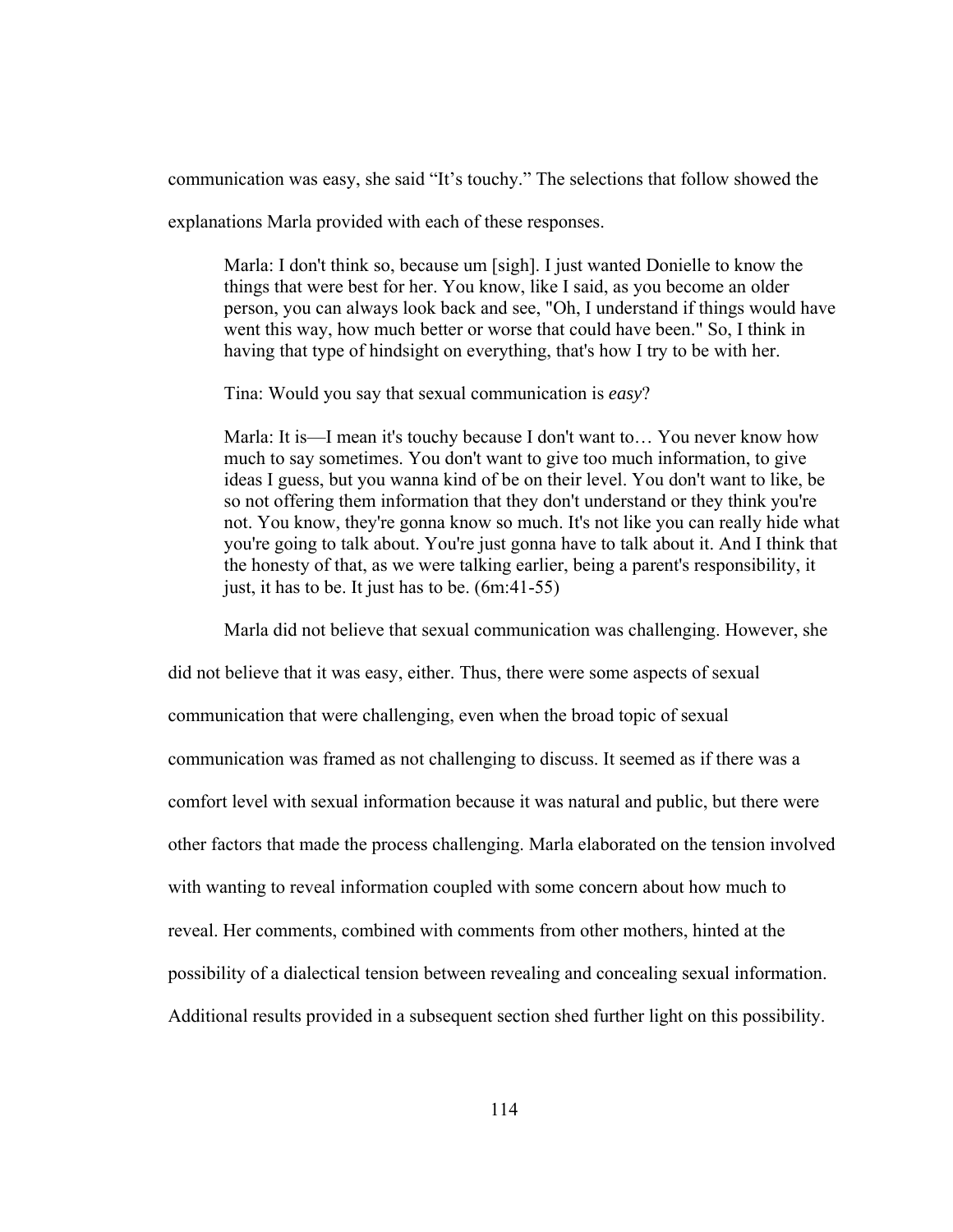communication was easy, she said "It's touchy." The selections that follow showed the

explanations Marla provided with each of these responses.

Marla: I don't think so, because um [sigh]. I just wanted Donielle to know the things that were best for her. You know, like I said, as you become an older person, you can always look back and see, "Oh, I understand if things would have went this way, how much better or worse that could have been." So, I think in having that type of hindsight on everything, that's how I try to be with her.

Tina: Would you say that sexual communication is *easy*?

Marla: It is—I mean it's touchy because I don't want to… You never know how much to say sometimes. You don't want to give too much information, to give ideas I guess, but you wanna kind of be on their level. You don't want to like, be so not offering them information that they don't understand or they think you're not. You know, they're gonna know so much. It's not like you can really hide what you're going to talk about. You're just gonna have to talk about it. And I think that the honesty of that, as we were talking earlier, being a parent's responsibility, it just, it has to be. It just has to be. (6m:41-55)

Marla did not believe that sexual communication was challenging. However, she

did not believe that it was easy, either. Thus, there were some aspects of sexual communication that were challenging, even when the broad topic of sexual communication was framed as not challenging to discuss. It seemed as if there was a comfort level with sexual information because it was natural and public, but there were other factors that made the process challenging. Marla elaborated on the tension involved with wanting to reveal information coupled with some concern about how much to reveal. Her comments, combined with comments from other mothers, hinted at the possibility of a dialectical tension between revealing and concealing sexual information. Additional results provided in a subsequent section shed further light on this possibility.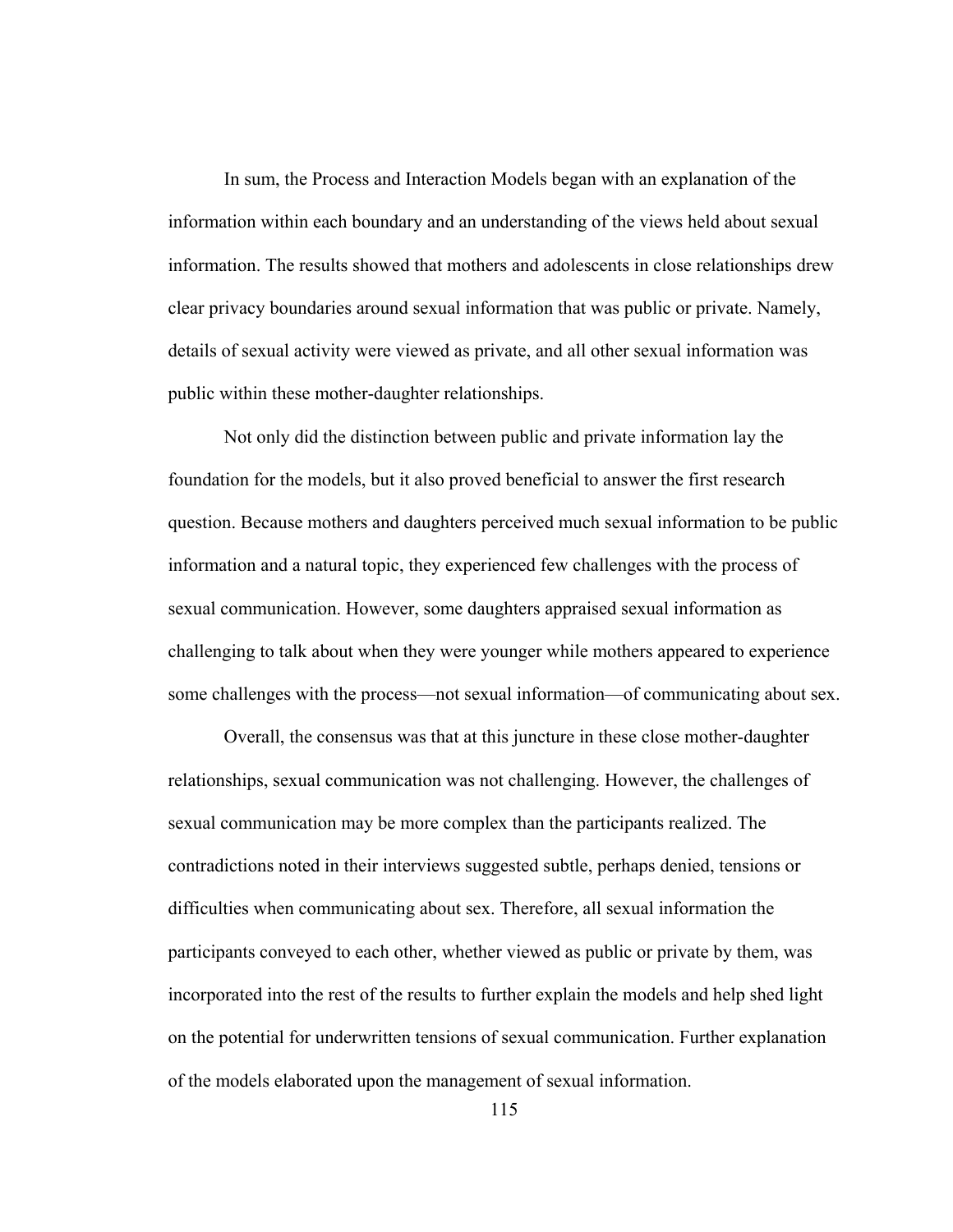In sum, the Process and Interaction Models began with an explanation of the information within each boundary and an understanding of the views held about sexual information. The results showed that mothers and adolescents in close relationships drew clear privacy boundaries around sexual information that was public or private. Namely, details of sexual activity were viewed as private, and all other sexual information was public within these mother-daughter relationships.

Not only did the distinction between public and private information lay the foundation for the models, but it also proved beneficial to answer the first research question. Because mothers and daughters perceived much sexual information to be public information and a natural topic, they experienced few challenges with the process of sexual communication. However, some daughters appraised sexual information as challenging to talk about when they were younger while mothers appeared to experience some challenges with the process—not sexual information—of communicating about sex.

Overall, the consensus was that at this juncture in these close mother-daughter relationships, sexual communication was not challenging. However, the challenges of sexual communication may be more complex than the participants realized. The contradictions noted in their interviews suggested subtle, perhaps denied, tensions or difficulties when communicating about sex. Therefore, all sexual information the participants conveyed to each other, whether viewed as public or private by them, was incorporated into the rest of the results to further explain the models and help shed light on the potential for underwritten tensions of sexual communication. Further explanation of the models elaborated upon the management of sexual information.

115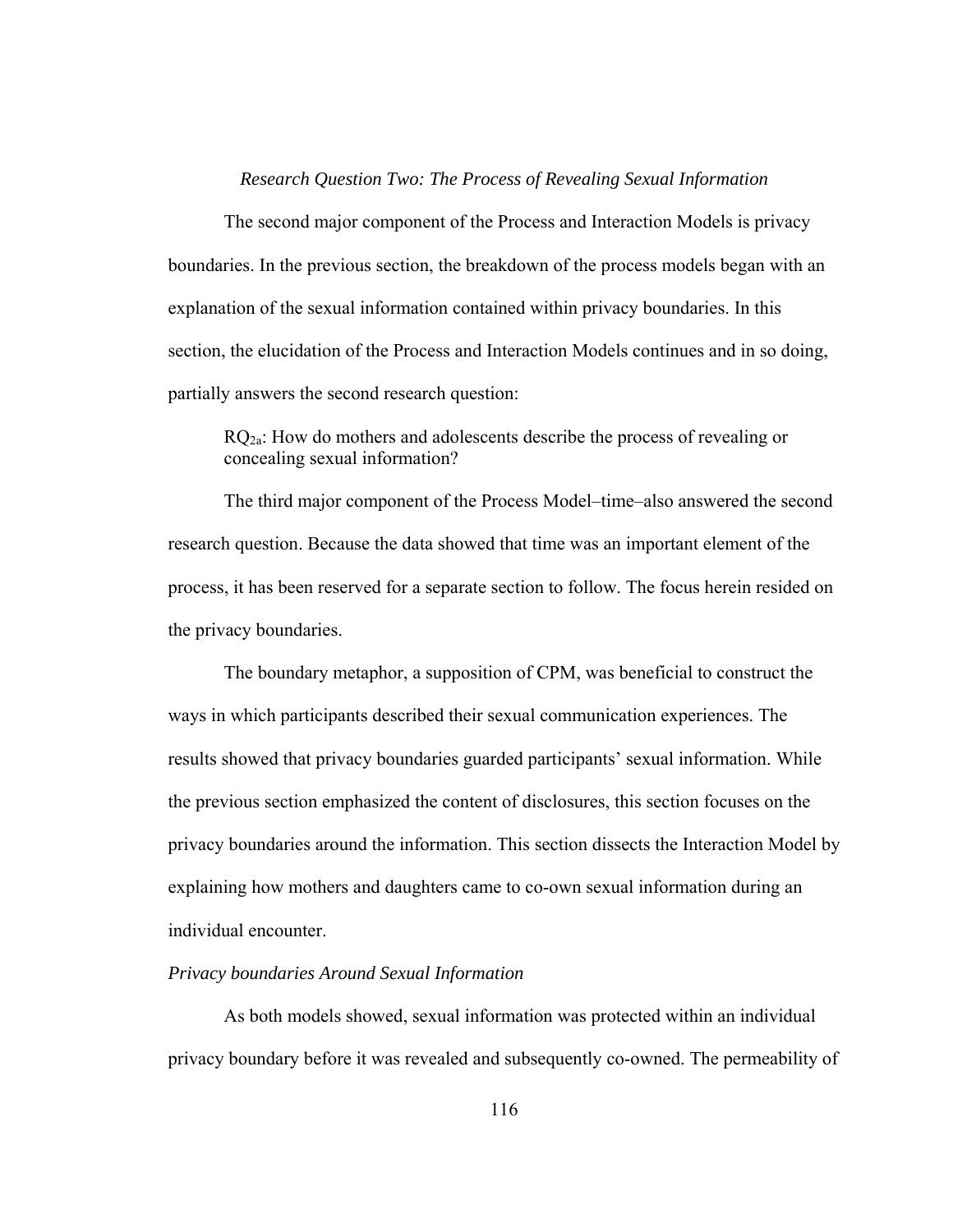#### *Research Question Two: The Process of Revealing Sexual Information*

The second major component of the Process and Interaction Models is privacy boundaries. In the previous section, the breakdown of the process models began with an explanation of the sexual information contained within privacy boundaries. In this section, the elucidation of the Process and Interaction Models continues and in so doing, partially answers the second research question:

 $RQ<sub>2a</sub>$ : How do mothers and adolescents describe the process of revealing or concealing sexual information?

The third major component of the Process Model–time–also answered the second research question. Because the data showed that time was an important element of the process, it has been reserved for a separate section to follow. The focus herein resided on the privacy boundaries.

The boundary metaphor, a supposition of CPM, was beneficial to construct the ways in which participants described their sexual communication experiences. The results showed that privacy boundaries guarded participants' sexual information. While the previous section emphasized the content of disclosures, this section focuses on the privacy boundaries around the information. This section dissects the Interaction Model by explaining how mothers and daughters came to co-own sexual information during an individual encounter.

# *Privacy boundaries Around Sexual Information*

As both models showed, sexual information was protected within an individual privacy boundary before it was revealed and subsequently co-owned. The permeability of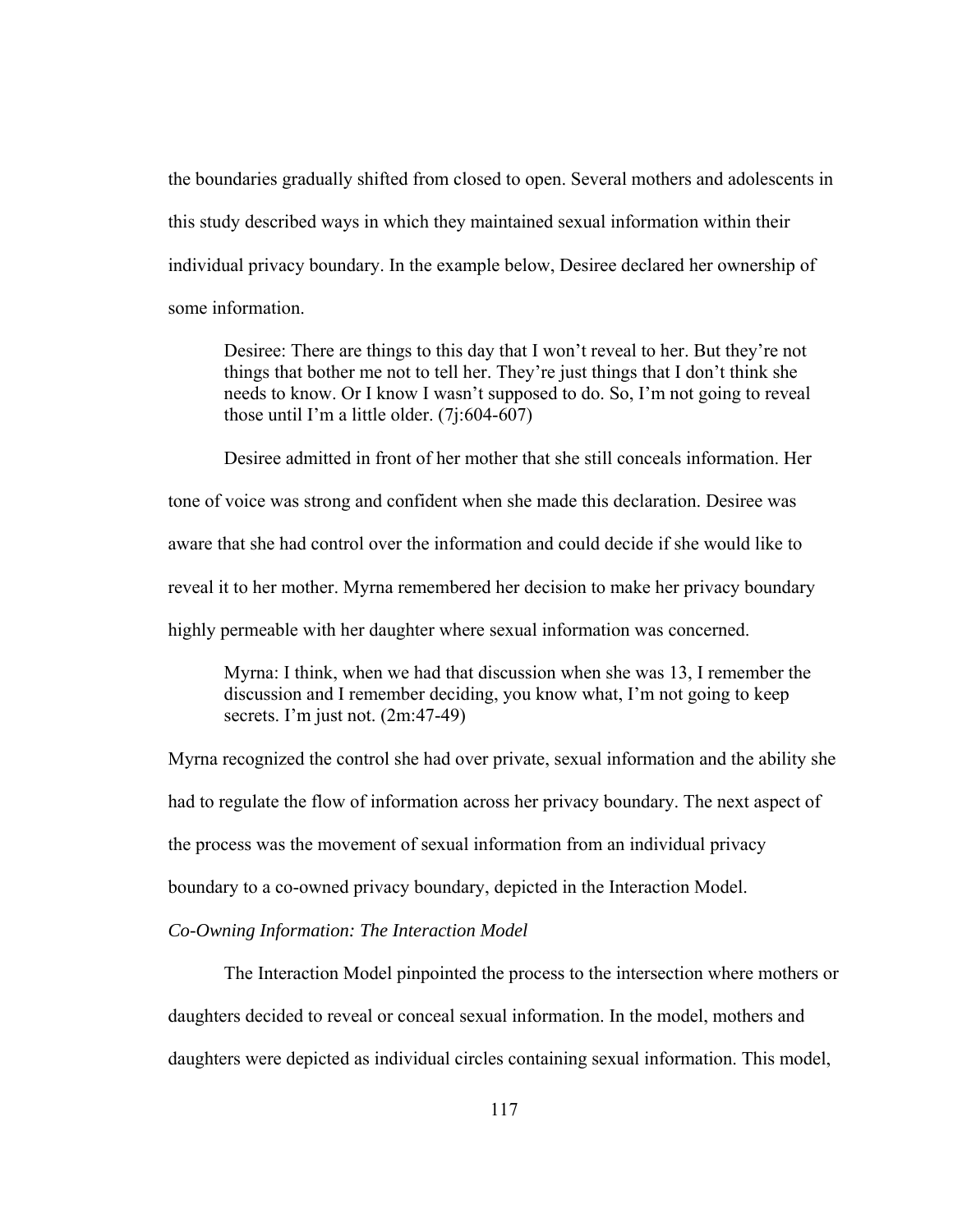the boundaries gradually shifted from closed to open. Several mothers and adolescents in this study described ways in which they maintained sexual information within their individual privacy boundary. In the example below, Desiree declared her ownership of some information.

Desiree: There are things to this day that I won't reveal to her. But they're not things that bother me not to tell her. They're just things that I don't think she needs to know. Or I know I wasn't supposed to do. So, I'm not going to reveal those until I'm a little older. (7j:604-607)

 Desiree admitted in front of her mother that she still conceals information. Her tone of voice was strong and confident when she made this declaration. Desiree was aware that she had control over the information and could decide if she would like to reveal it to her mother. Myrna remembered her decision to make her privacy boundary highly permeable with her daughter where sexual information was concerned.

Myrna: I think, when we had that discussion when she was 13, I remember the discussion and I remember deciding, you know what, I'm not going to keep secrets. I'm just not. (2m:47-49)

Myrna recognized the control she had over private, sexual information and the ability she had to regulate the flow of information across her privacy boundary. The next aspect of the process was the movement of sexual information from an individual privacy boundary to a co-owned privacy boundary, depicted in the Interaction Model.

*Co-Owning Information: The Interaction Model* 

 The Interaction Model pinpointed the process to the intersection where mothers or daughters decided to reveal or conceal sexual information. In the model, mothers and daughters were depicted as individual circles containing sexual information. This model,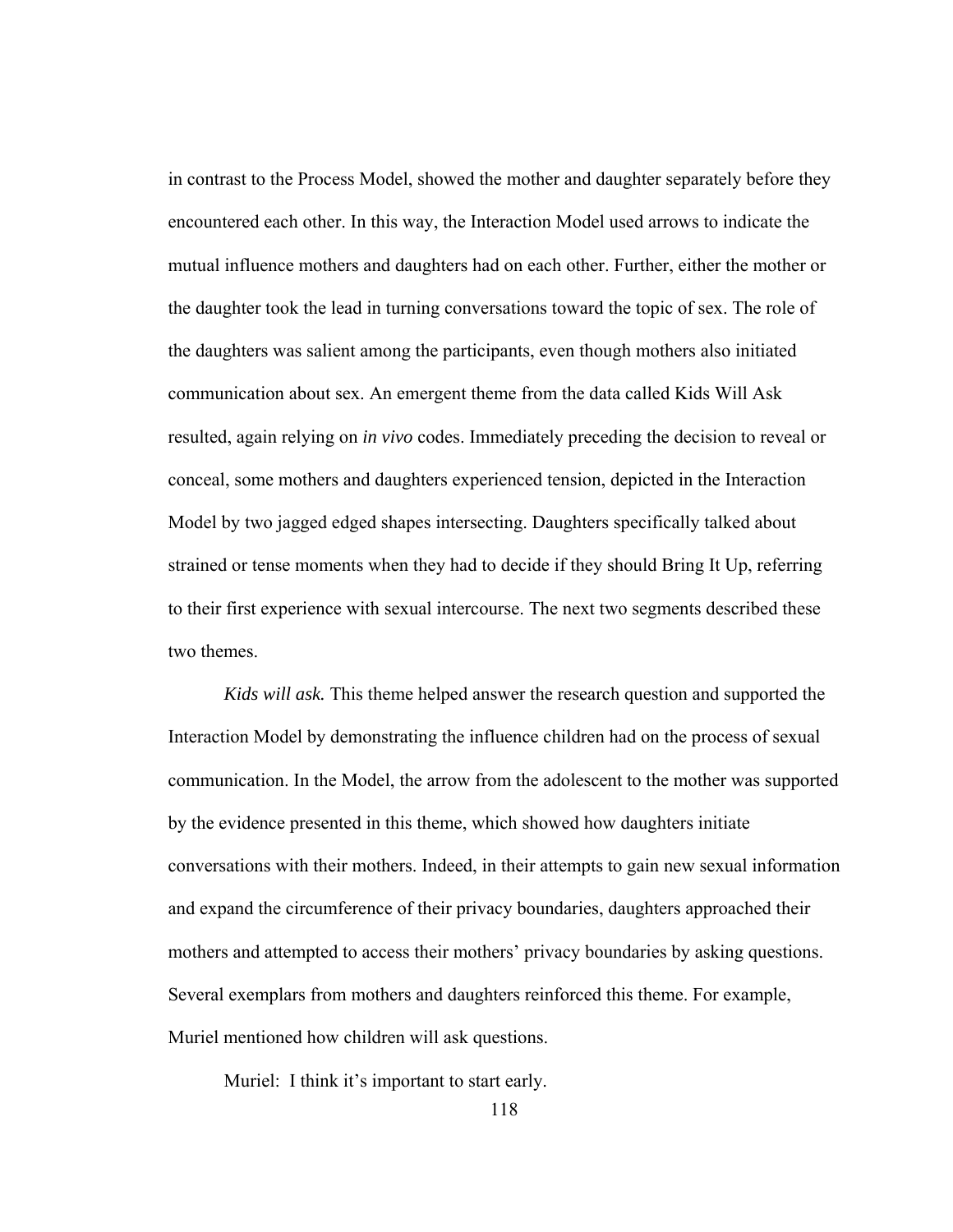in contrast to the Process Model, showed the mother and daughter separately before they encountered each other. In this way, the Interaction Model used arrows to indicate the mutual influence mothers and daughters had on each other. Further, either the mother or the daughter took the lead in turning conversations toward the topic of sex. The role of the daughters was salient among the participants, even though mothers also initiated communication about sex. An emergent theme from the data called Kids Will Ask resulted, again relying on *in vivo* codes. Immediately preceding the decision to reveal or conceal, some mothers and daughters experienced tension, depicted in the Interaction Model by two jagged edged shapes intersecting. Daughters specifically talked about strained or tense moments when they had to decide if they should Bring It Up, referring to their first experience with sexual intercourse. The next two segments described these two themes.

*Kids will ask.* This theme helped answer the research question and supported the Interaction Model by demonstrating the influence children had on the process of sexual communication. In the Model, the arrow from the adolescent to the mother was supported by the evidence presented in this theme, which showed how daughters initiate conversations with their mothers. Indeed, in their attempts to gain new sexual information and expand the circumference of their privacy boundaries, daughters approached their mothers and attempted to access their mothers' privacy boundaries by asking questions. Several exemplars from mothers and daughters reinforced this theme. For example, Muriel mentioned how children will ask questions.

Muriel: I think it's important to start early.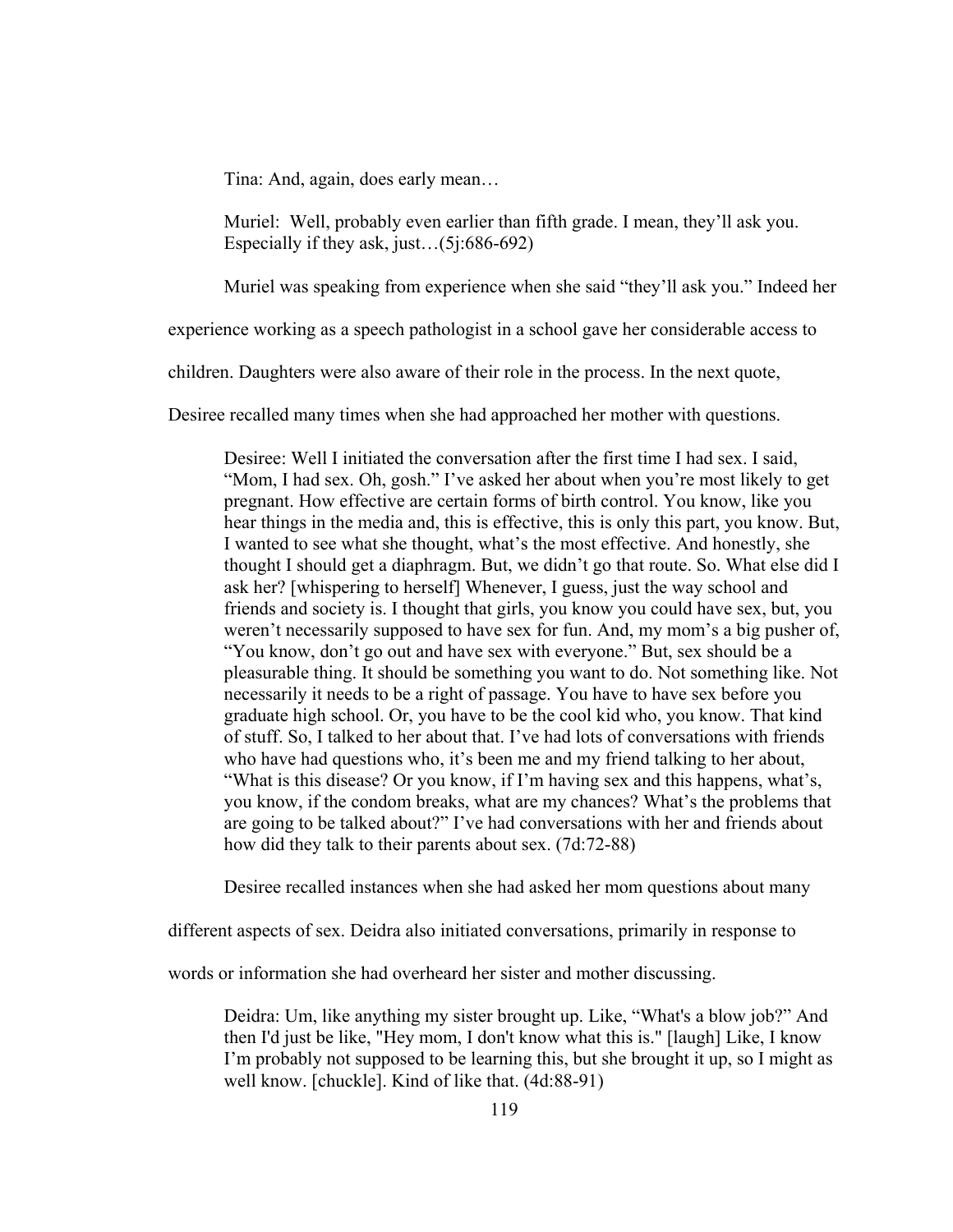Tina: And, again, does early mean…

Muriel: Well, probably even earlier than fifth grade. I mean, they'll ask you. Especially if they ask, just…(5j:686-692)

Muriel was speaking from experience when she said "they'll ask you." Indeed her

experience working as a speech pathologist in a school gave her considerable access to

children. Daughters were also aware of their role in the process. In the next quote,

Desiree recalled many times when she had approached her mother with questions.

Desiree: Well I initiated the conversation after the first time I had sex. I said, "Mom, I had sex. Oh, gosh." I've asked her about when you're most likely to get pregnant. How effective are certain forms of birth control. You know, like you hear things in the media and, this is effective, this is only this part, you know. But, I wanted to see what she thought, what's the most effective. And honestly, she thought I should get a diaphragm. But, we didn't go that route. So. What else did I ask her? [whispering to herself] Whenever, I guess, just the way school and friends and society is. I thought that girls, you know you could have sex, but, you weren't necessarily supposed to have sex for fun. And, my mom's a big pusher of, "You know, don't go out and have sex with everyone." But, sex should be a pleasurable thing. It should be something you want to do. Not something like. Not necessarily it needs to be a right of passage. You have to have sex before you graduate high school. Or, you have to be the cool kid who, you know. That kind of stuff. So, I talked to her about that. I've had lots of conversations with friends who have had questions who, it's been me and my friend talking to her about, "What is this disease? Or you know, if I'm having sex and this happens, what's, you know, if the condom breaks, what are my chances? What's the problems that are going to be talked about?" I've had conversations with her and friends about how did they talk to their parents about sex. (7d:72-88)

Desiree recalled instances when she had asked her mom questions about many

different aspects of sex. Deidra also initiated conversations, primarily in response to

words or information she had overheard her sister and mother discussing.

Deidra: Um, like anything my sister brought up. Like, "What's a blow job?" And then I'd just be like, "Hey mom, I don't know what this is." [laugh] Like, I know I'm probably not supposed to be learning this, but she brought it up, so I might as well know. [chuckle]. Kind of like that. (4d:88-91)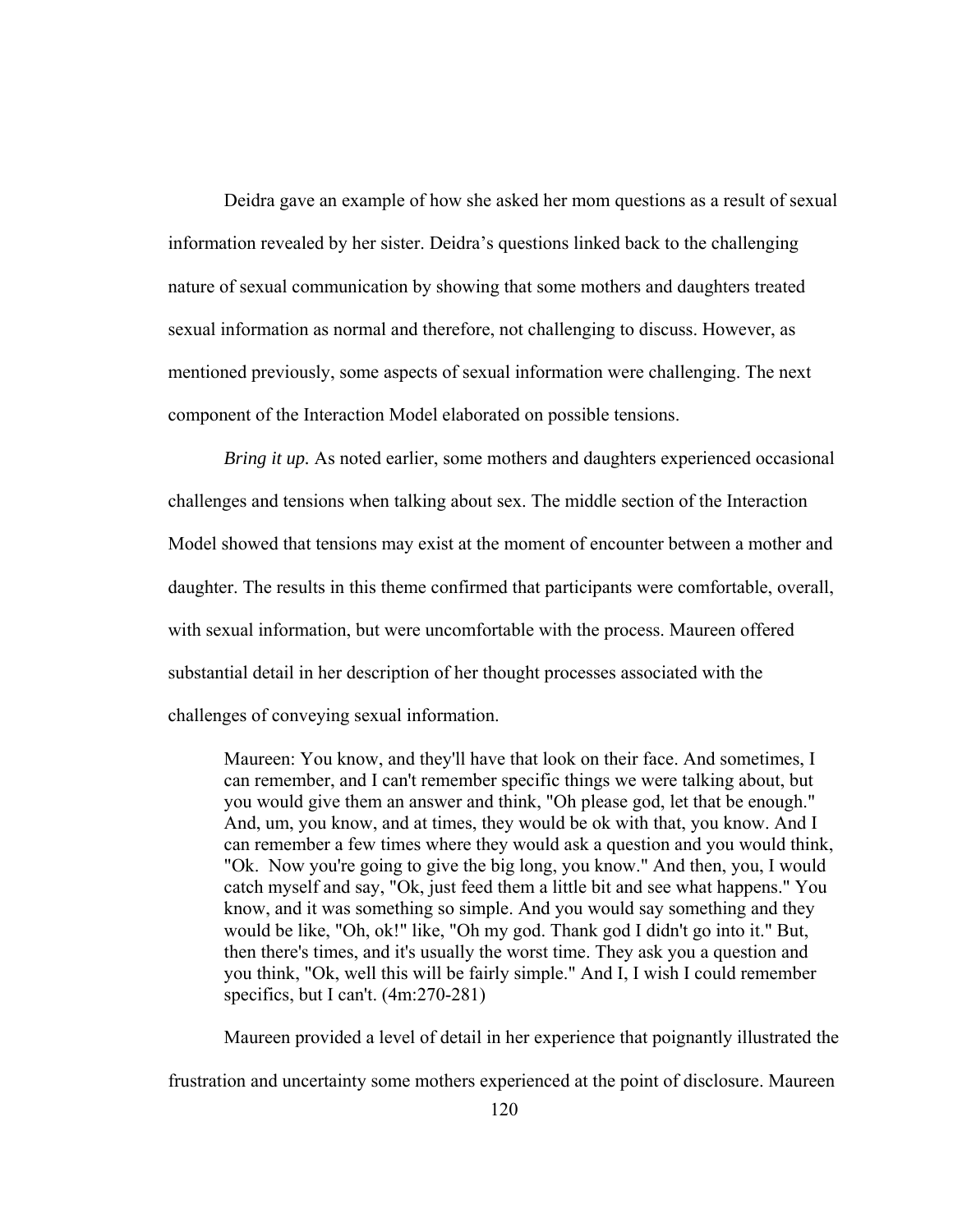Deidra gave an example of how she asked her mom questions as a result of sexual information revealed by her sister. Deidra's questions linked back to the challenging nature of sexual communication by showing that some mothers and daughters treated sexual information as normal and therefore, not challenging to discuss. However, as mentioned previously, some aspects of sexual information were challenging. The next component of the Interaction Model elaborated on possible tensions.

*Bring it up.* As noted earlier, some mothers and daughters experienced occasional challenges and tensions when talking about sex. The middle section of the Interaction Model showed that tensions may exist at the moment of encounter between a mother and daughter. The results in this theme confirmed that participants were comfortable, overall, with sexual information, but were uncomfortable with the process. Maureen offered substantial detail in her description of her thought processes associated with the challenges of conveying sexual information.

Maureen: You know, and they'll have that look on their face. And sometimes, I can remember, and I can't remember specific things we were talking about, but you would give them an answer and think, "Oh please god, let that be enough." And, um, you know, and at times, they would be ok with that, you know. And I can remember a few times where they would ask a question and you would think, "Ok. Now you're going to give the big long, you know." And then, you, I would catch myself and say, "Ok, just feed them a little bit and see what happens." You know, and it was something so simple. And you would say something and they would be like, "Oh, ok!" like, "Oh my god. Thank god I didn't go into it." But, then there's times, and it's usually the worst time. They ask you a question and you think, "Ok, well this will be fairly simple." And I, I wish I could remember specifics, but I can't. (4m:270-281)

Maureen provided a level of detail in her experience that poignantly illustrated the

frustration and uncertainty some mothers experienced at the point of disclosure. Maureen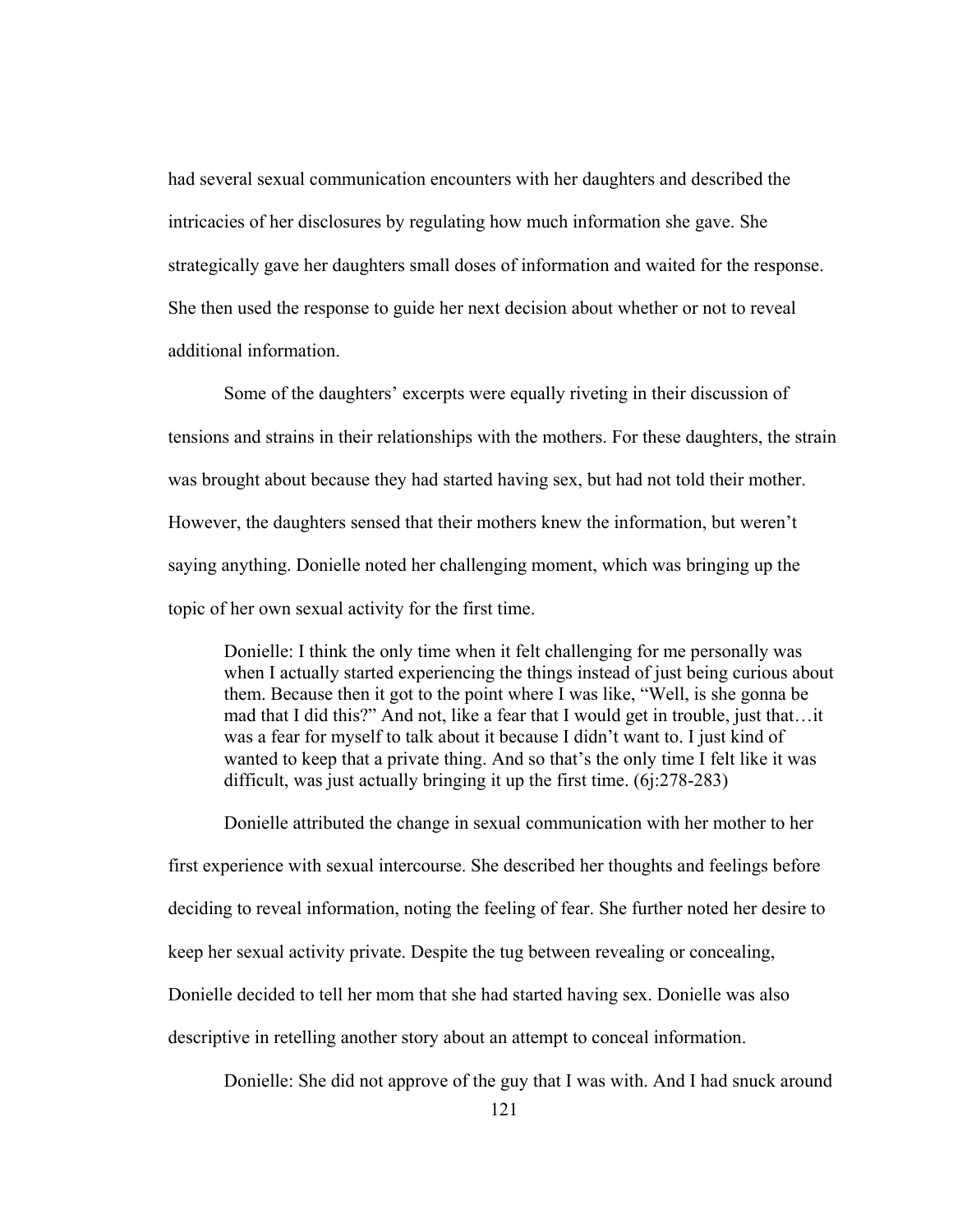had several sexual communication encounters with her daughters and described the intricacies of her disclosures by regulating how much information she gave. She strategically gave her daughters small doses of information and waited for the response. She then used the response to guide her next decision about whether or not to reveal additional information.

Some of the daughters' excerpts were equally riveting in their discussion of tensions and strains in their relationships with the mothers. For these daughters, the strain was brought about because they had started having sex, but had not told their mother. However, the daughters sensed that their mothers knew the information, but weren't saying anything. Donielle noted her challenging moment, which was bringing up the topic of her own sexual activity for the first time.

Donielle: I think the only time when it felt challenging for me personally was when I actually started experiencing the things instead of just being curious about them. Because then it got to the point where I was like, "Well, is she gonna be mad that I did this?" And not, like a fear that I would get in trouble, just that…it was a fear for myself to talk about it because I didn't want to. I just kind of wanted to keep that a private thing. And so that's the only time I felt like it was difficult, was just actually bringing it up the first time. (6j:278-283)

Donielle attributed the change in sexual communication with her mother to her first experience with sexual intercourse. She described her thoughts and feelings before deciding to reveal information, noting the feeling of fear. She further noted her desire to keep her sexual activity private. Despite the tug between revealing or concealing, Donielle decided to tell her mom that she had started having sex. Donielle was also descriptive in retelling another story about an attempt to conceal information.

Donielle: She did not approve of the guy that I was with. And I had snuck around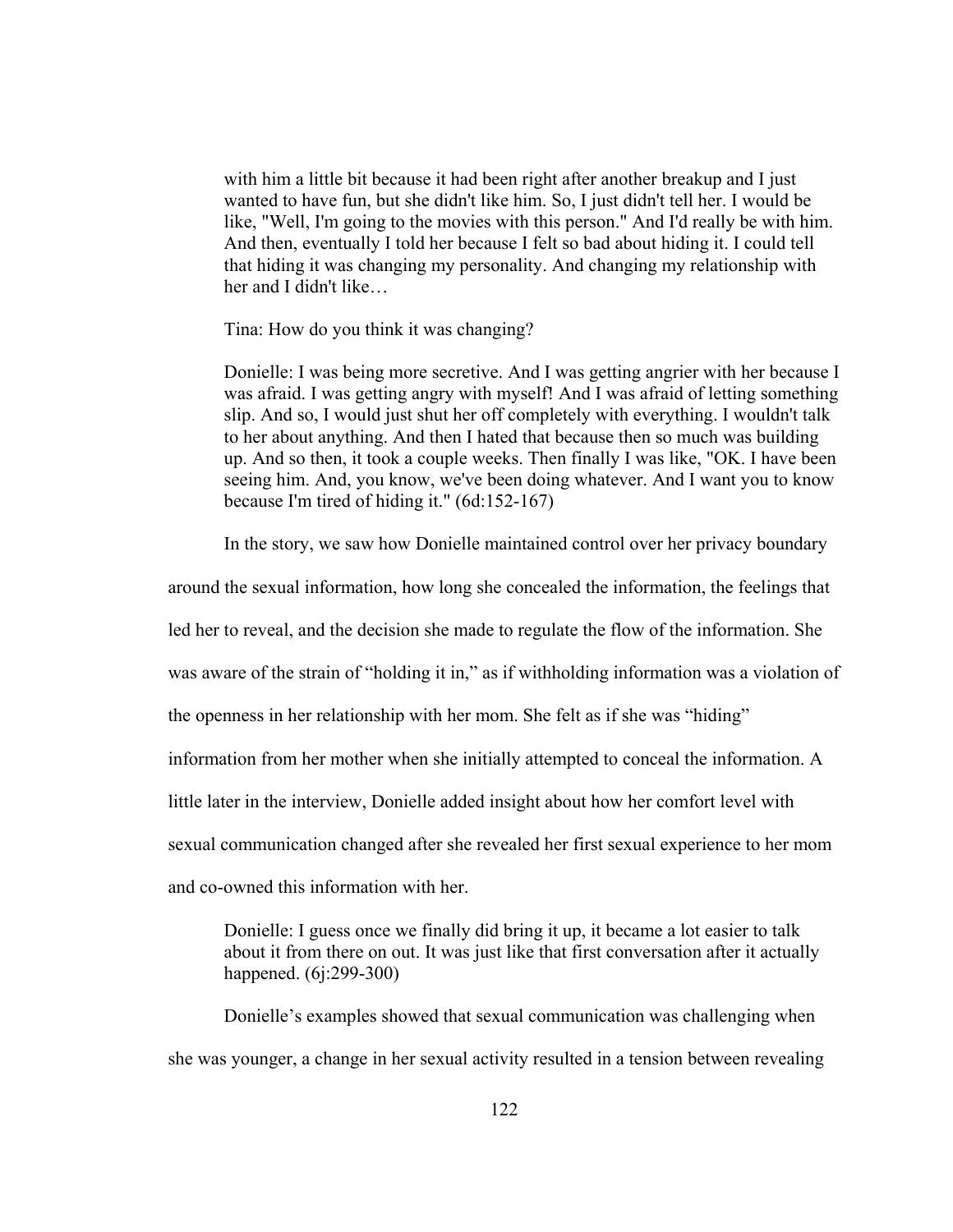with him a little bit because it had been right after another breakup and I just wanted to have fun, but she didn't like him. So, I just didn't tell her. I would be like, "Well, I'm going to the movies with this person." And I'd really be with him. And then, eventually I told her because I felt so bad about hiding it. I could tell that hiding it was changing my personality. And changing my relationship with her and I didn't like…

Tina: How do you think it was changing?

Donielle: I was being more secretive. And I was getting angrier with her because I was afraid. I was getting angry with myself! And I was afraid of letting something slip. And so, I would just shut her off completely with everything. I wouldn't talk to her about anything. And then I hated that because then so much was building up. And so then, it took a couple weeks. Then finally I was like, "OK. I have been seeing him. And, you know, we've been doing whatever. And I want you to know because I'm tired of hiding it." (6d:152-167)

In the story, we saw how Donielle maintained control over her privacy boundary

around the sexual information, how long she concealed the information, the feelings that

led her to reveal, and the decision she made to regulate the flow of the information. She

was aware of the strain of "holding it in," as if withholding information was a violation of

the openness in her relationship with her mom. She felt as if she was "hiding"

information from her mother when she initially attempted to conceal the information. A

little later in the interview, Donielle added insight about how her comfort level with

sexual communication changed after she revealed her first sexual experience to her mom

and co-owned this information with her.

Donielle: I guess once we finally did bring it up, it became a lot easier to talk about it from there on out. It was just like that first conversation after it actually happened. (6j:299-300)

Donielle's examples showed that sexual communication was challenging when she was younger, a change in her sexual activity resulted in a tension between revealing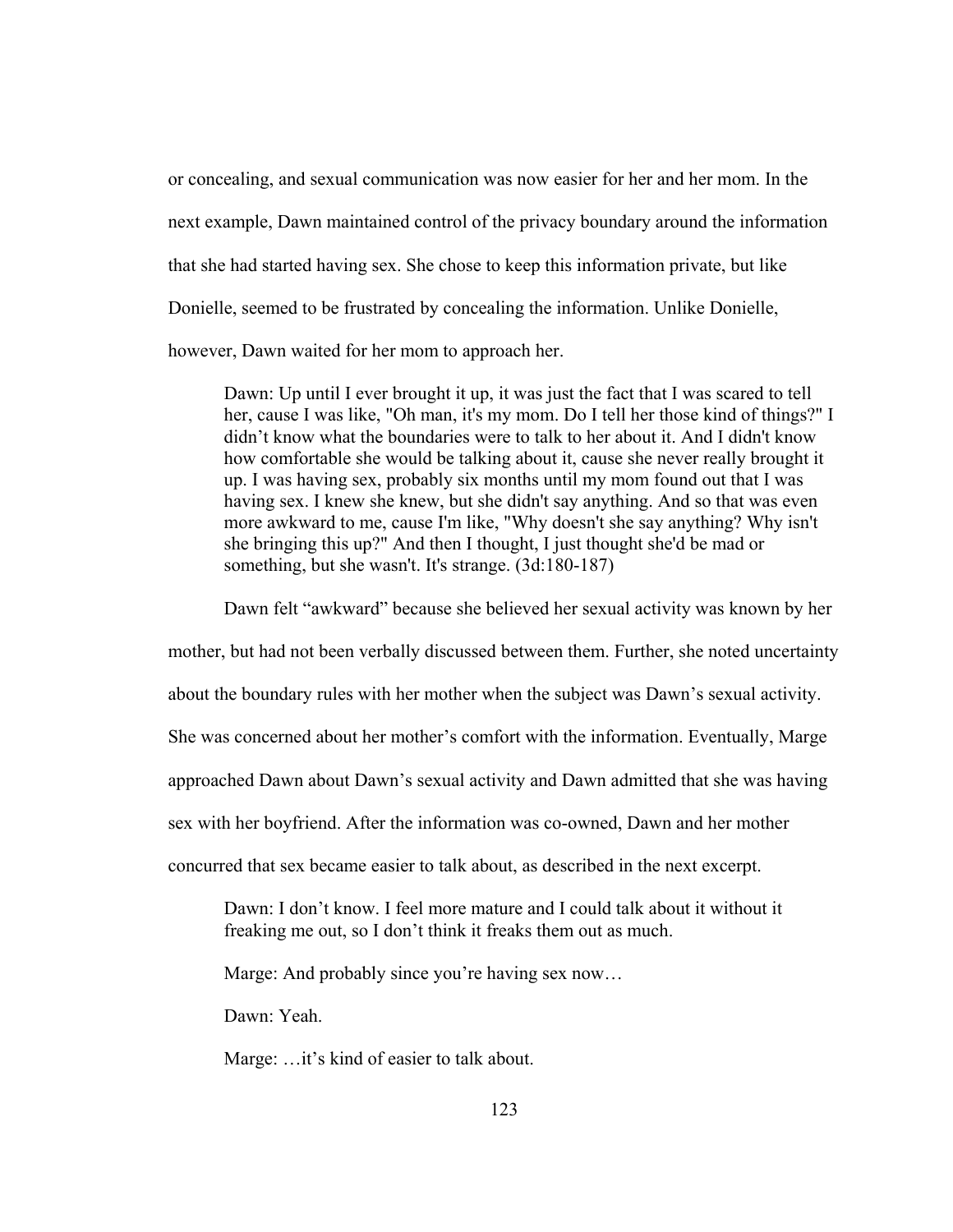or concealing, and sexual communication was now easier for her and her mom. In the next example, Dawn maintained control of the privacy boundary around the information that she had started having sex. She chose to keep this information private, but like Donielle, seemed to be frustrated by concealing the information. Unlike Donielle, however, Dawn waited for her mom to approach her.

Dawn: Up until I ever brought it up, it was just the fact that I was scared to tell her, cause I was like, "Oh man, it's my mom. Do I tell her those kind of things?" I didn't know what the boundaries were to talk to her about it. And I didn't know how comfortable she would be talking about it, cause she never really brought it up. I was having sex, probably six months until my mom found out that I was having sex. I knew she knew, but she didn't say anything. And so that was even more awkward to me, cause I'm like, "Why doesn't she say anything? Why isn't she bringing this up?" And then I thought, I just thought she'd be mad or something, but she wasn't. It's strange. (3d:180-187)

Dawn felt "awkward" because she believed her sexual activity was known by her

mother, but had not been verbally discussed between them. Further, she noted uncertainty

about the boundary rules with her mother when the subject was Dawn's sexual activity.

She was concerned about her mother's comfort with the information. Eventually, Marge

approached Dawn about Dawn's sexual activity and Dawn admitted that she was having

sex with her boyfriend. After the information was co-owned, Dawn and her mother

concurred that sex became easier to talk about, as described in the next excerpt.

Dawn: I don't know. I feel more mature and I could talk about it without it freaking me out, so I don't think it freaks them out as much.

Marge: And probably since you're having sex now…

Dawn: Yeah.

Marge: ... it's kind of easier to talk about.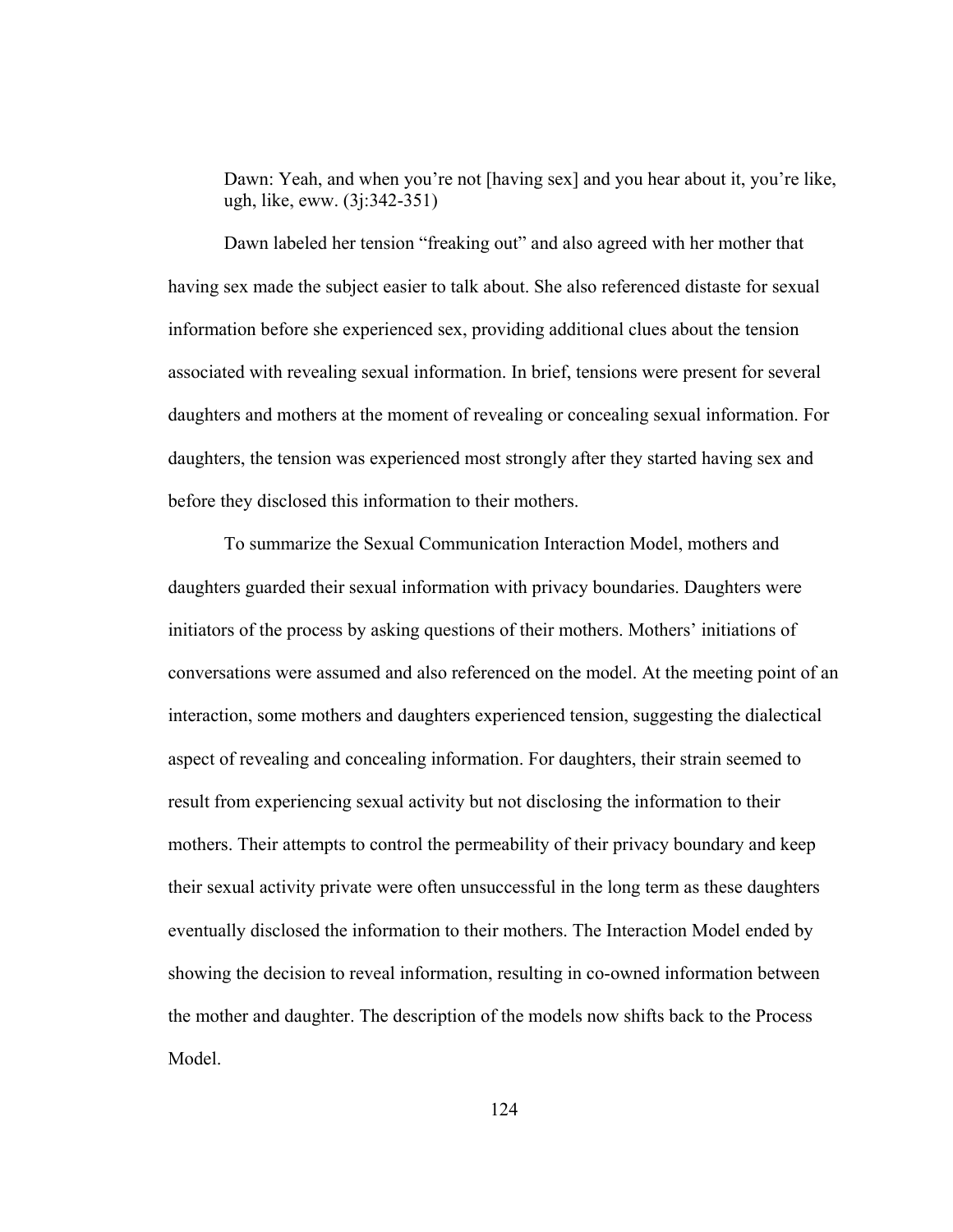Dawn: Yeah, and when you're not [having sex] and you hear about it, you're like, ugh, like, eww. (3j:342-351)

 Dawn labeled her tension "freaking out" and also agreed with her mother that having sex made the subject easier to talk about. She also referenced distaste for sexual information before she experienced sex, providing additional clues about the tension associated with revealing sexual information. In brief, tensions were present for several daughters and mothers at the moment of revealing or concealing sexual information. For daughters, the tension was experienced most strongly after they started having sex and before they disclosed this information to their mothers.

 To summarize the Sexual Communication Interaction Model, mothers and daughters guarded their sexual information with privacy boundaries. Daughters were initiators of the process by asking questions of their mothers. Mothers' initiations of conversations were assumed and also referenced on the model. At the meeting point of an interaction, some mothers and daughters experienced tension, suggesting the dialectical aspect of revealing and concealing information. For daughters, their strain seemed to result from experiencing sexual activity but not disclosing the information to their mothers. Their attempts to control the permeability of their privacy boundary and keep their sexual activity private were often unsuccessful in the long term as these daughters eventually disclosed the information to their mothers. The Interaction Model ended by showing the decision to reveal information, resulting in co-owned information between the mother and daughter. The description of the models now shifts back to the Process Model.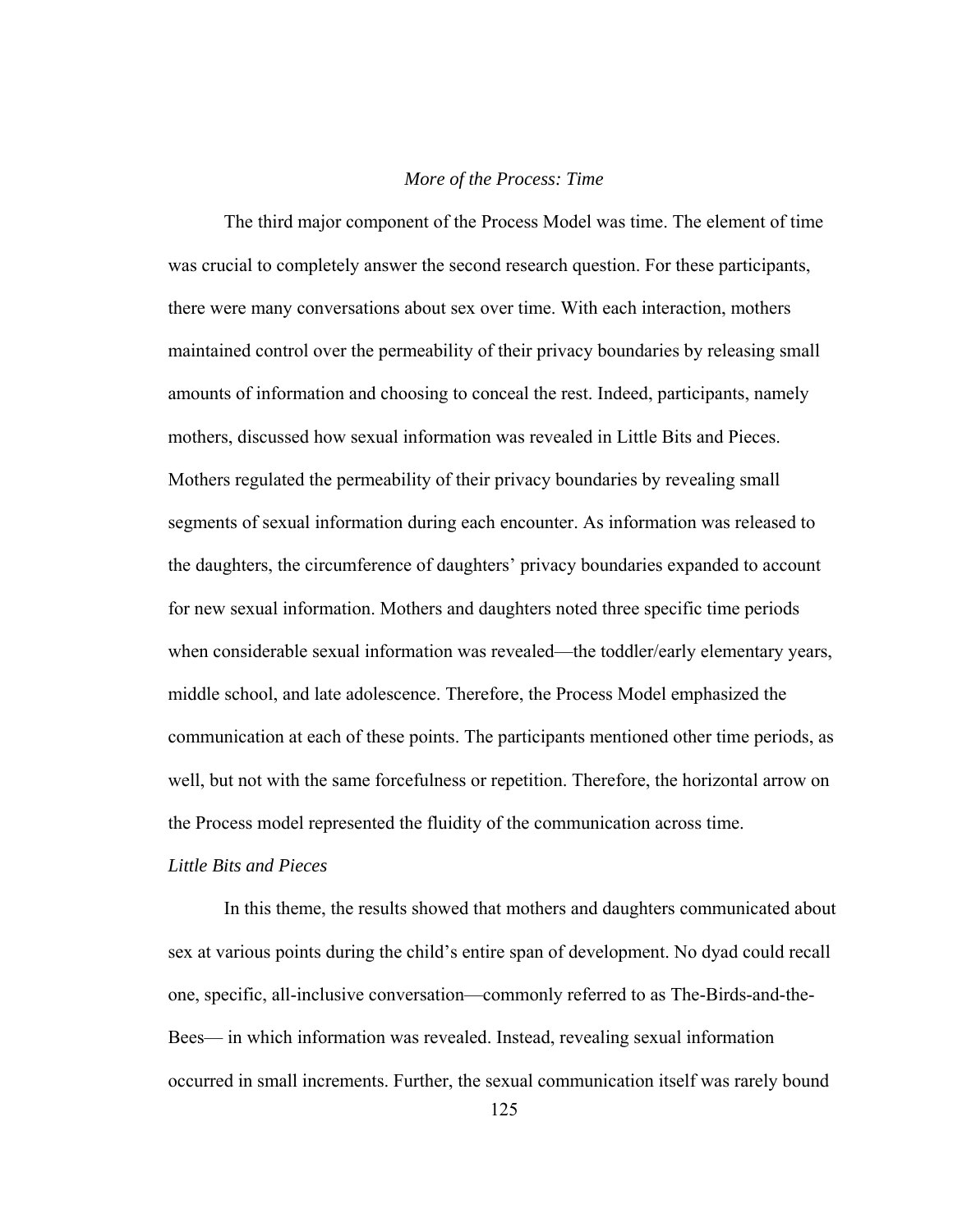## *More of the Process: Time*

The third major component of the Process Model was time. The element of time was crucial to completely answer the second research question. For these participants, there were many conversations about sex over time. With each interaction, mothers maintained control over the permeability of their privacy boundaries by releasing small amounts of information and choosing to conceal the rest. Indeed, participants, namely mothers, discussed how sexual information was revealed in Little Bits and Pieces. Mothers regulated the permeability of their privacy boundaries by revealing small segments of sexual information during each encounter. As information was released to the daughters, the circumference of daughters' privacy boundaries expanded to account for new sexual information. Mothers and daughters noted three specific time periods when considerable sexual information was revealed—the toddler/early elementary years, middle school, and late adolescence. Therefore, the Process Model emphasized the communication at each of these points. The participants mentioned other time periods, as well, but not with the same forcefulness or repetition. Therefore, the horizontal arrow on the Process model represented the fluidity of the communication across time.

# *Little Bits and Pieces*

In this theme, the results showed that mothers and daughters communicated about sex at various points during the child's entire span of development. No dyad could recall one, specific, all-inclusive conversation—commonly referred to as The-Birds-and-the-Bees— in which information was revealed. Instead, revealing sexual information occurred in small increments. Further, the sexual communication itself was rarely bound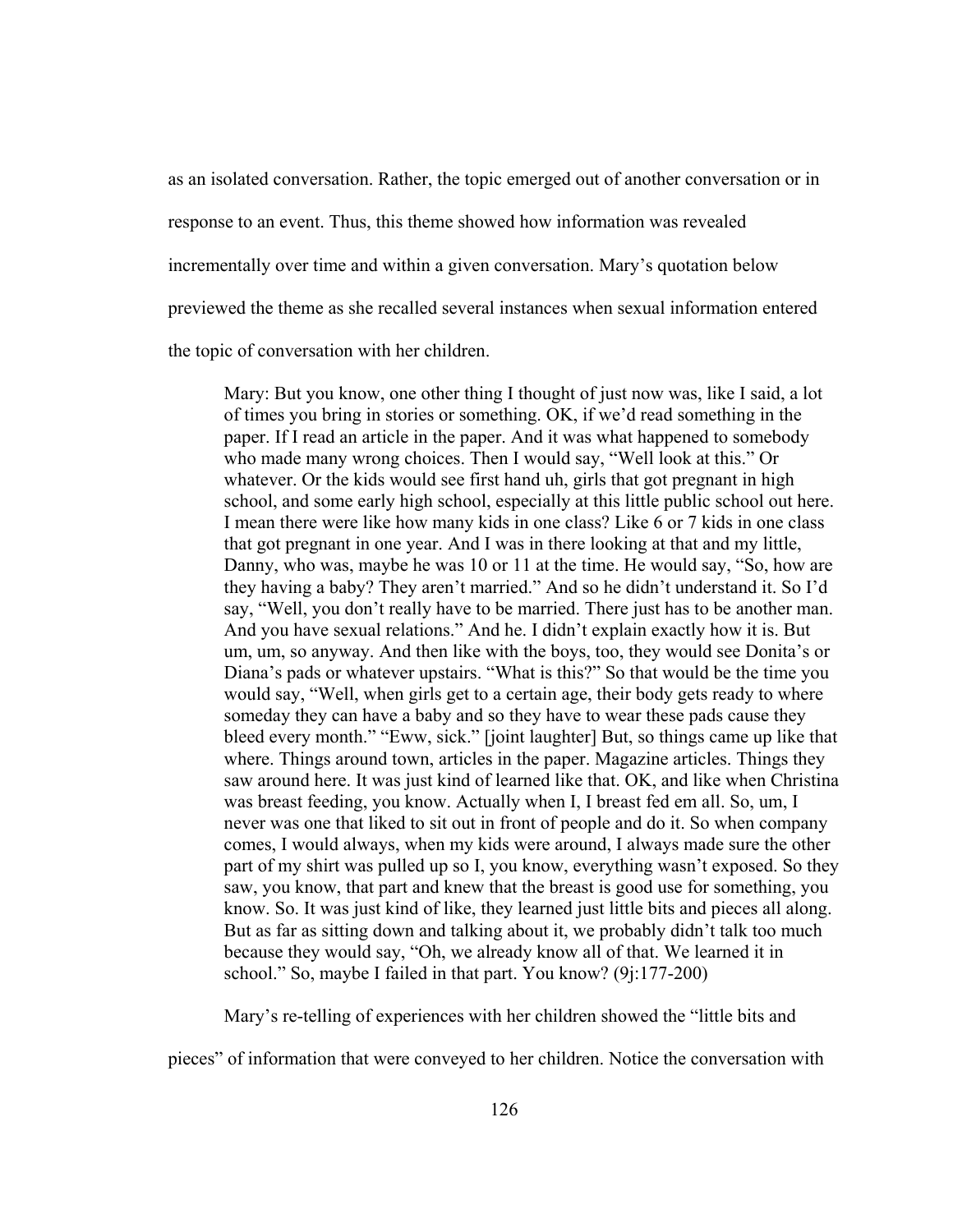as an isolated conversation. Rather, the topic emerged out of another conversation or in response to an event. Thus, this theme showed how information was revealed incrementally over time and within a given conversation. Mary's quotation below previewed the theme as she recalled several instances when sexual information entered

the topic of conversation with her children.

Mary: But you know, one other thing I thought of just now was, like I said, a lot of times you bring in stories or something. OK, if we'd read something in the paper. If I read an article in the paper. And it was what happened to somebody who made many wrong choices. Then I would say, "Well look at this." Or whatever. Or the kids would see first hand uh, girls that got pregnant in high school, and some early high school, especially at this little public school out here. I mean there were like how many kids in one class? Like 6 or 7 kids in one class that got pregnant in one year. And I was in there looking at that and my little, Danny, who was, maybe he was 10 or 11 at the time. He would say, "So, how are they having a baby? They aren't married." And so he didn't understand it. So I'd say, "Well, you don't really have to be married. There just has to be another man. And you have sexual relations." And he. I didn't explain exactly how it is. But um, um, so anyway. And then like with the boys, too, they would see Donita's or Diana's pads or whatever upstairs. "What is this?" So that would be the time you would say, "Well, when girls get to a certain age, their body gets ready to where someday they can have a baby and so they have to wear these pads cause they bleed every month." "Eww, sick." [joint laughter] But, so things came up like that where. Things around town, articles in the paper. Magazine articles. Things they saw around here. It was just kind of learned like that. OK, and like when Christina was breast feeding, you know. Actually when I, I breast fed em all. So, um, I never was one that liked to sit out in front of people and do it. So when company comes, I would always, when my kids were around, I always made sure the other part of my shirt was pulled up so I, you know, everything wasn't exposed. So they saw, you know, that part and knew that the breast is good use for something, you know. So. It was just kind of like, they learned just little bits and pieces all along. But as far as sitting down and talking about it, we probably didn't talk too much because they would say, "Oh, we already know all of that. We learned it in school." So, maybe I failed in that part. You know? (9j:177-200)

Mary's re-telling of experiences with her children showed the "little bits and

pieces" of information that were conveyed to her children. Notice the conversation with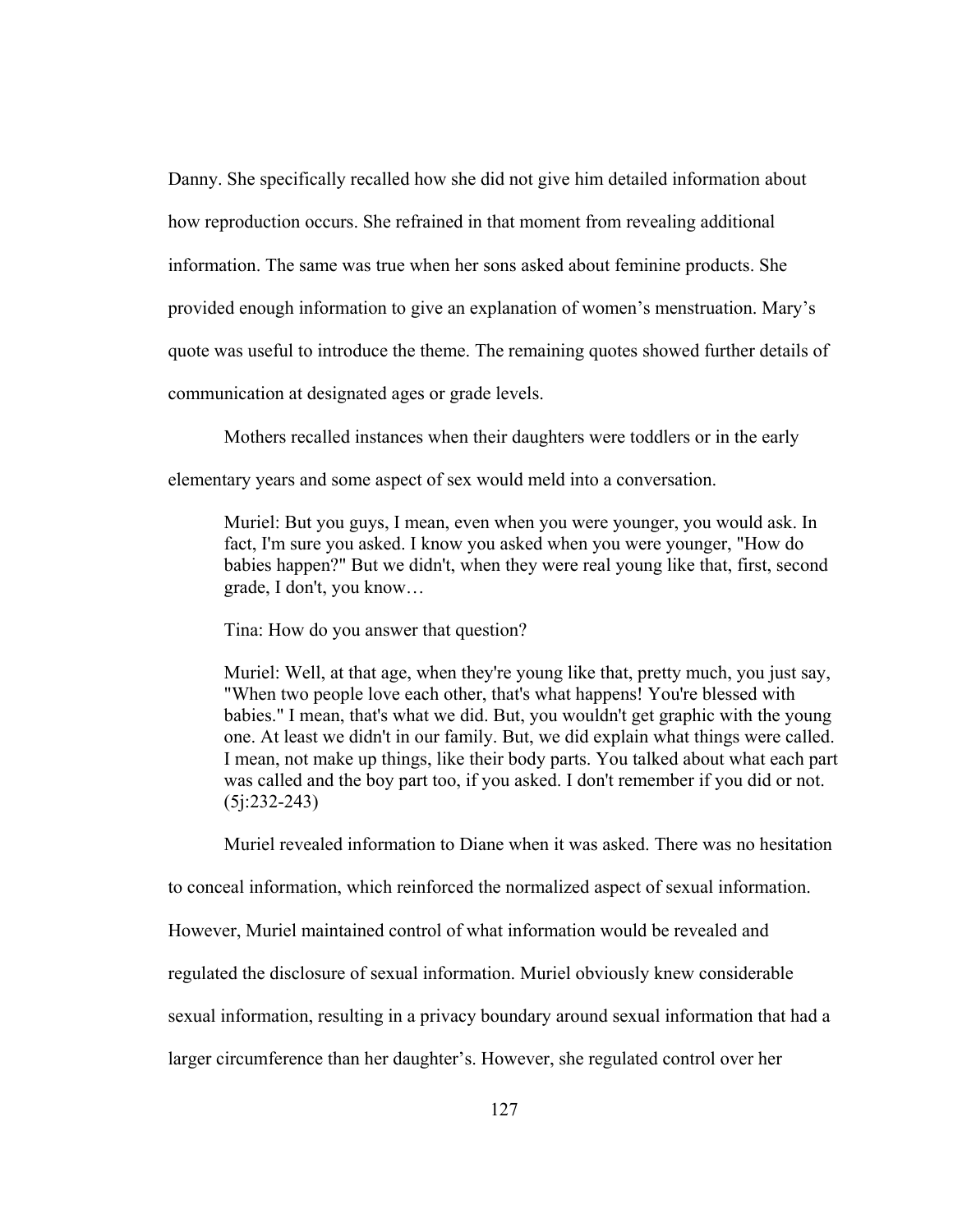Danny. She specifically recalled how she did not give him detailed information about how reproduction occurs. She refrained in that moment from revealing additional information. The same was true when her sons asked about feminine products. She provided enough information to give an explanation of women's menstruation. Mary's quote was useful to introduce the theme. The remaining quotes showed further details of communication at designated ages or grade levels.

Mothers recalled instances when their daughters were toddlers or in the early

elementary years and some aspect of sex would meld into a conversation.

Muriel: But you guys, I mean, even when you were younger, you would ask. In fact, I'm sure you asked. I know you asked when you were younger, "How do babies happen?" But we didn't, when they were real young like that, first, second grade, I don't, you know…

Tina: How do you answer that question?

Muriel: Well, at that age, when they're young like that, pretty much, you just say, "When two people love each other, that's what happens! You're blessed with babies." I mean, that's what we did. But, you wouldn't get graphic with the young one. At least we didn't in our family. But, we did explain what things were called. I mean, not make up things, like their body parts. You talked about what each part was called and the boy part too, if you asked. I don't remember if you did or not. (5j:232-243)

Muriel revealed information to Diane when it was asked. There was no hesitation

to conceal information, which reinforced the normalized aspect of sexual information.

However, Muriel maintained control of what information would be revealed and

regulated the disclosure of sexual information. Muriel obviously knew considerable

sexual information, resulting in a privacy boundary around sexual information that had a

larger circumference than her daughter's. However, she regulated control over her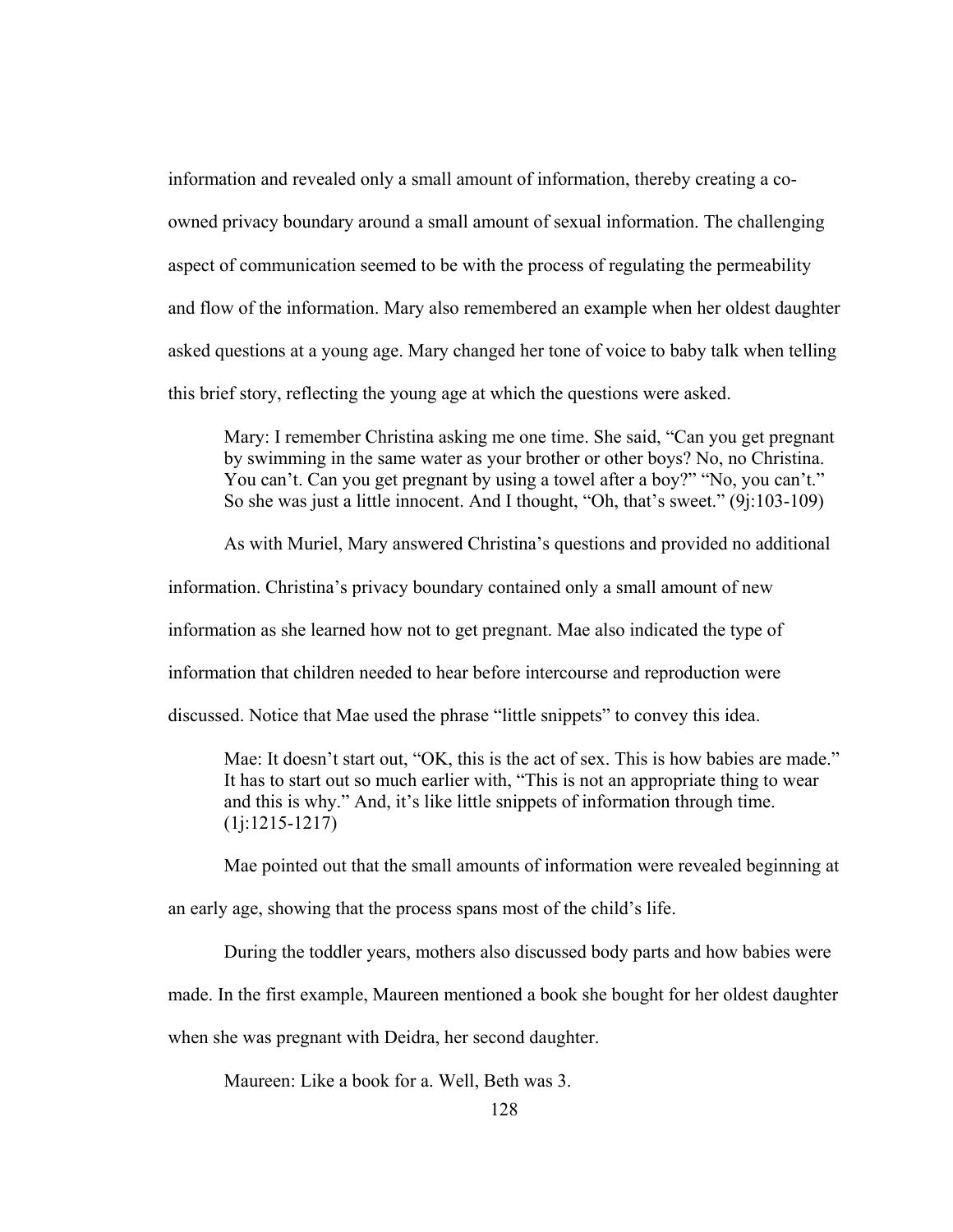information and revealed only a small amount of information, thereby creating a coowned privacy boundary around a small amount of sexual information. The challenging aspect of communication seemed to be with the process of regulating the permeability and flow of the information. Mary also remembered an example when her oldest daughter asked questions at a young age. Mary changed her tone of voice to baby talk when telling this brief story, reflecting the young age at which the questions were asked.

Mary: I remember Christina asking me one time. She said, "Can you get pregnant by swimming in the same water as your brother or other boys? No, no Christina. You can't. Can you get pregnant by using a towel after a boy?" "No, you can't." So she was just a little innocent. And I thought, "Oh, that's sweet." (9j:103-109)

As with Muriel, Mary answered Christina's questions and provided no additional

information. Christina's privacy boundary contained only a small amount of new

information as she learned how not to get pregnant. Mae also indicated the type of

information that children needed to hear before intercourse and reproduction were

discussed. Notice that Mae used the phrase "little snippets" to convey this idea.

Mae: It doesn't start out, "OK, this is the act of sex. This is how babies are made." It has to start out so much earlier with, "This is not an appropriate thing to wear and this is why." And, it's like little snippets of information through time. (1j:1215-1217)

Mae pointed out that the small amounts of information were revealed beginning at

an early age, showing that the process spans most of the child's life.

During the toddler years, mothers also discussed body parts and how babies were

made. In the first example, Maureen mentioned a book she bought for her oldest daughter

when she was pregnant with Deidra, her second daughter.

Maureen: Like a book for a. Well, Beth was 3.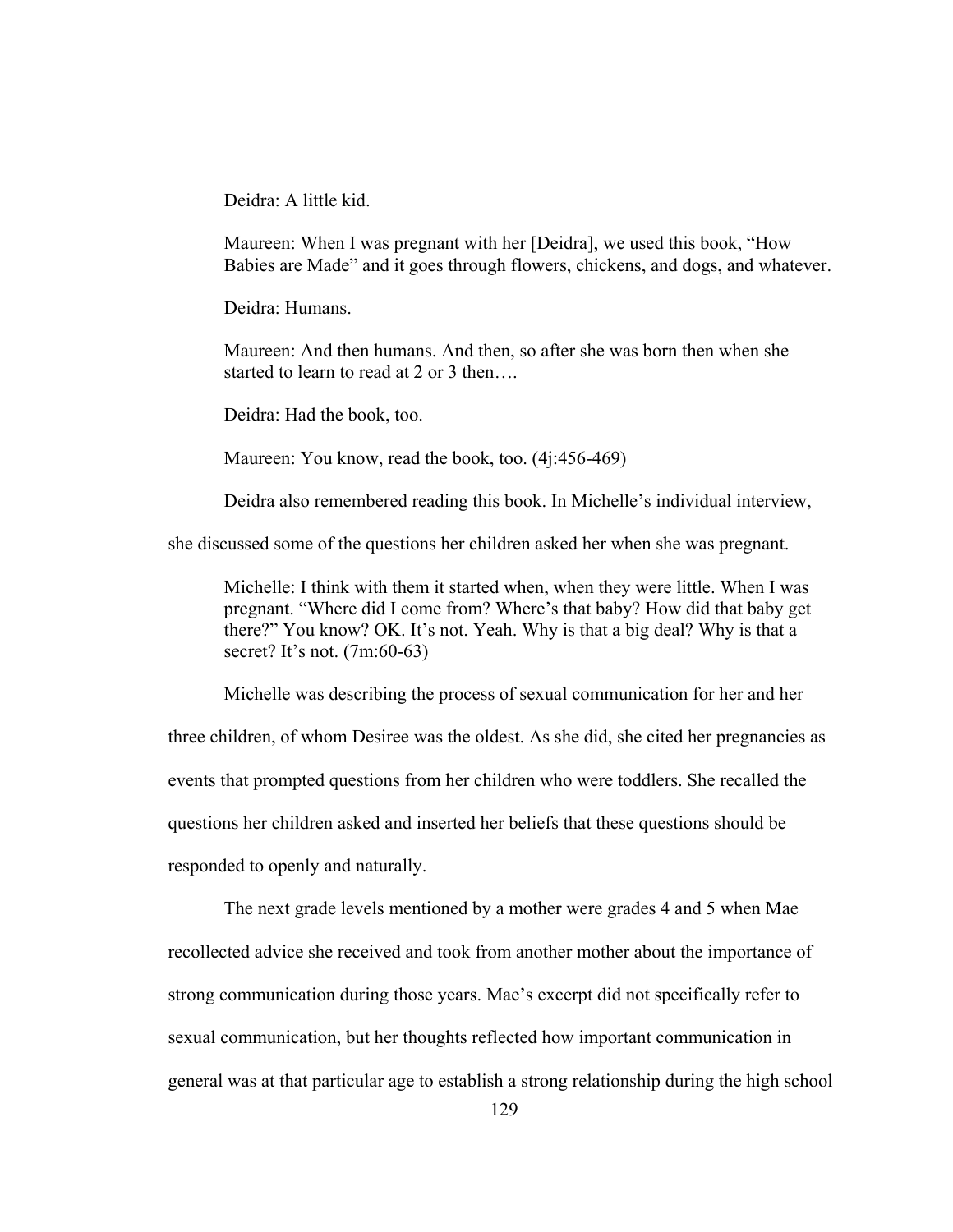Deidra: A little kid.

Maureen: When I was pregnant with her [Deidra], we used this book, "How Babies are Made" and it goes through flowers, chickens, and dogs, and whatever.

Deidra: Humans.

Maureen: And then humans. And then, so after she was born then when she started to learn to read at 2 or 3 then...

Deidra: Had the book, too.

Maureen: You know, read the book, too. (4j:456-469)

Deidra also remembered reading this book. In Michelle's individual interview,

she discussed some of the questions her children asked her when she was pregnant.

Michelle: I think with them it started when, when they were little. When I was pregnant. "Where did I come from? Where's that baby? How did that baby get there?" You know? OK. It's not. Yeah. Why is that a big deal? Why is that a secret? It's not. (7m:60-63)

Michelle was describing the process of sexual communication for her and her

three children, of whom Desiree was the oldest. As she did, she cited her pregnancies as events that prompted questions from her children who were toddlers. She recalled the questions her children asked and inserted her beliefs that these questions should be responded to openly and naturally.

 The next grade levels mentioned by a mother were grades 4 and 5 when Mae recollected advice she received and took from another mother about the importance of strong communication during those years. Mae's excerpt did not specifically refer to sexual communication, but her thoughts reflected how important communication in general was at that particular age to establish a strong relationship during the high school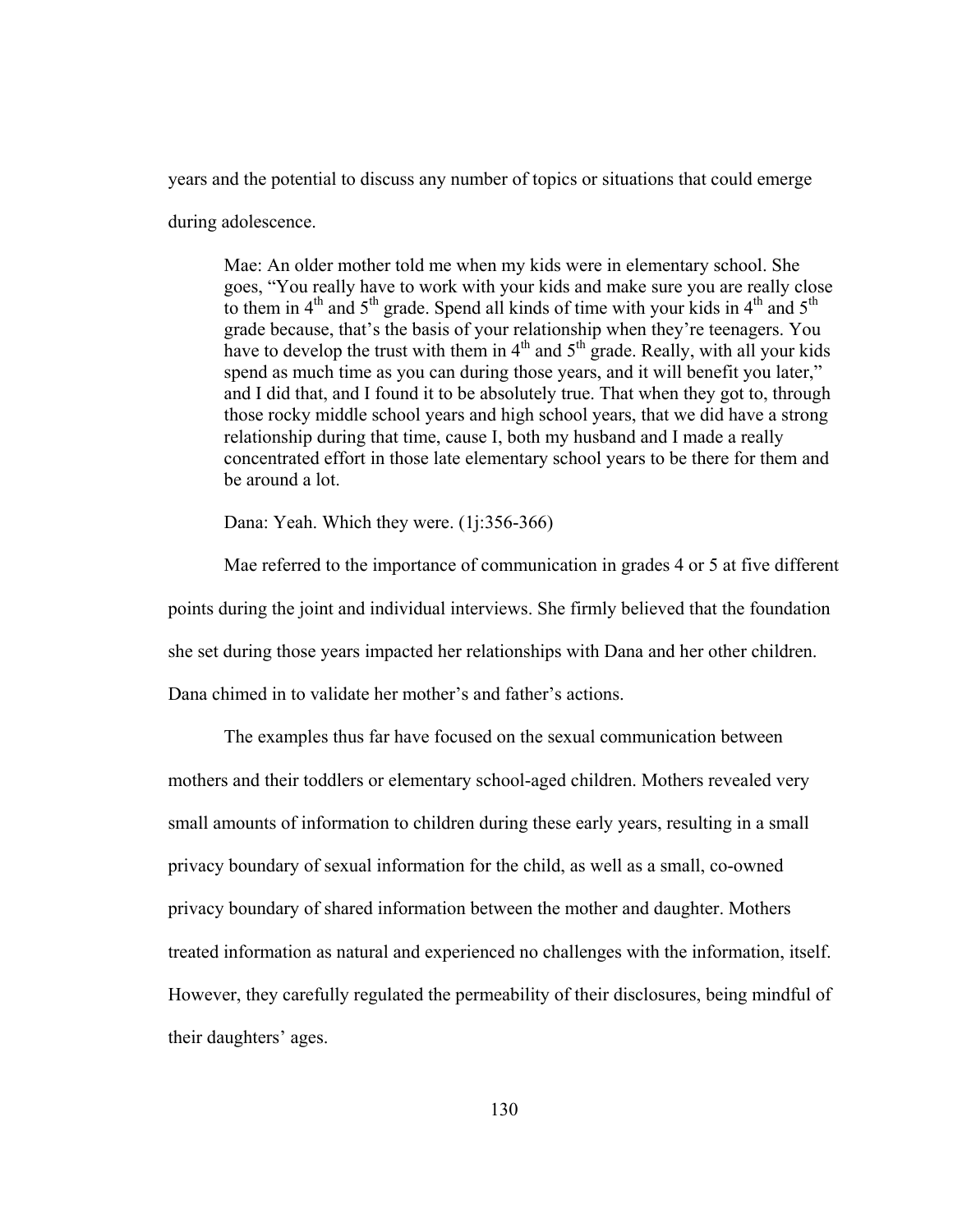years and the potential to discuss any number of topics or situations that could emerge

during adolescence.

Mae: An older mother told me when my kids were in elementary school. She goes, "You really have to work with your kids and make sure you are really close to them in  $4<sup>th</sup>$  and  $5<sup>th</sup>$  grade. Spend all kinds of time with your kids in  $4<sup>th</sup>$  and  $5<sup>th</sup>$ grade because, that's the basis of your relationship when they're teenagers. You have to develop the trust with them in  $4<sup>th</sup>$  and  $5<sup>th</sup>$  grade. Really, with all your kids spend as much time as you can during those years, and it will benefit you later," and I did that, and I found it to be absolutely true. That when they got to, through those rocky middle school years and high school years, that we did have a strong relationship during that time, cause I, both my husband and I made a really concentrated effort in those late elementary school years to be there for them and be around a lot.

Dana: Yeah. Which they were. (1*j*:356-366)

 Mae referred to the importance of communication in grades 4 or 5 at five different points during the joint and individual interviews. She firmly believed that the foundation she set during those years impacted her relationships with Dana and her other children. Dana chimed in to validate her mother's and father's actions.

 The examples thus far have focused on the sexual communication between mothers and their toddlers or elementary school-aged children. Mothers revealed very small amounts of information to children during these early years, resulting in a small privacy boundary of sexual information for the child, as well as a small, co-owned privacy boundary of shared information between the mother and daughter. Mothers treated information as natural and experienced no challenges with the information, itself. However, they carefully regulated the permeability of their disclosures, being mindful of their daughters' ages.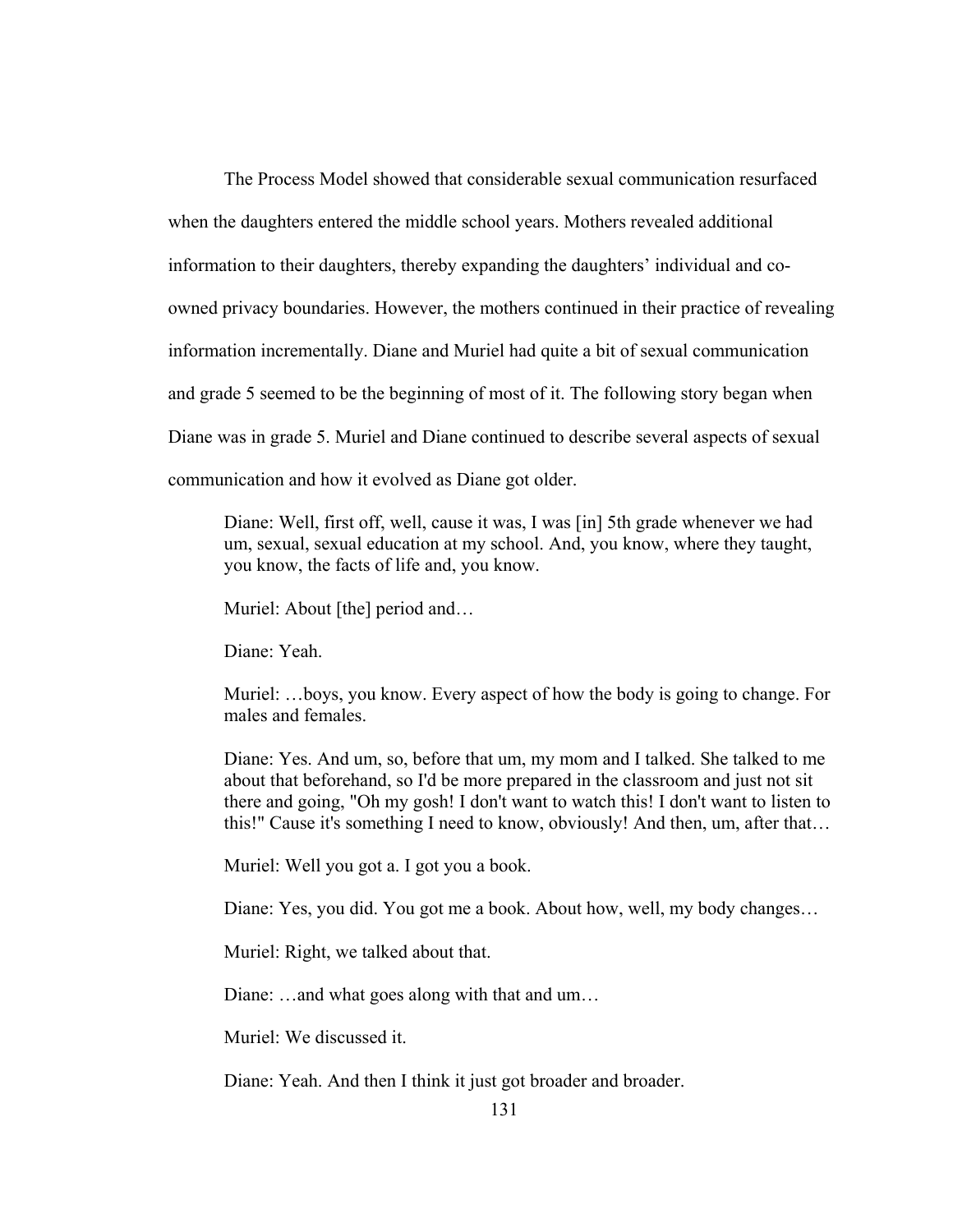The Process Model showed that considerable sexual communication resurfaced when the daughters entered the middle school years. Mothers revealed additional information to their daughters, thereby expanding the daughters' individual and coowned privacy boundaries. However, the mothers continued in their practice of revealing information incrementally. Diane and Muriel had quite a bit of sexual communication and grade 5 seemed to be the beginning of most of it. The following story began when Diane was in grade 5. Muriel and Diane continued to describe several aspects of sexual communication and how it evolved as Diane got older.

Diane: Well, first off, well, cause it was, I was [in] 5th grade whenever we had um, sexual, sexual education at my school. And, you know, where they taught, you know, the facts of life and, you know.

Muriel: About [the] period and...

Diane: Yeah.

Muriel: …boys, you know. Every aspect of how the body is going to change. For males and females.

Diane: Yes. And um, so, before that um, my mom and I talked. She talked to me about that beforehand, so I'd be more prepared in the classroom and just not sit there and going, "Oh my gosh! I don't want to watch this! I don't want to listen to this!" Cause it's something I need to know, obviously! And then, um, after that…

Muriel: Well you got a. I got you a book.

Diane: Yes, you did. You got me a book. About how, well, my body changes…

Muriel: Right, we talked about that.

Diane: …and what goes along with that and um…

Muriel: We discussed it.

Diane: Yeah. And then I think it just got broader and broader.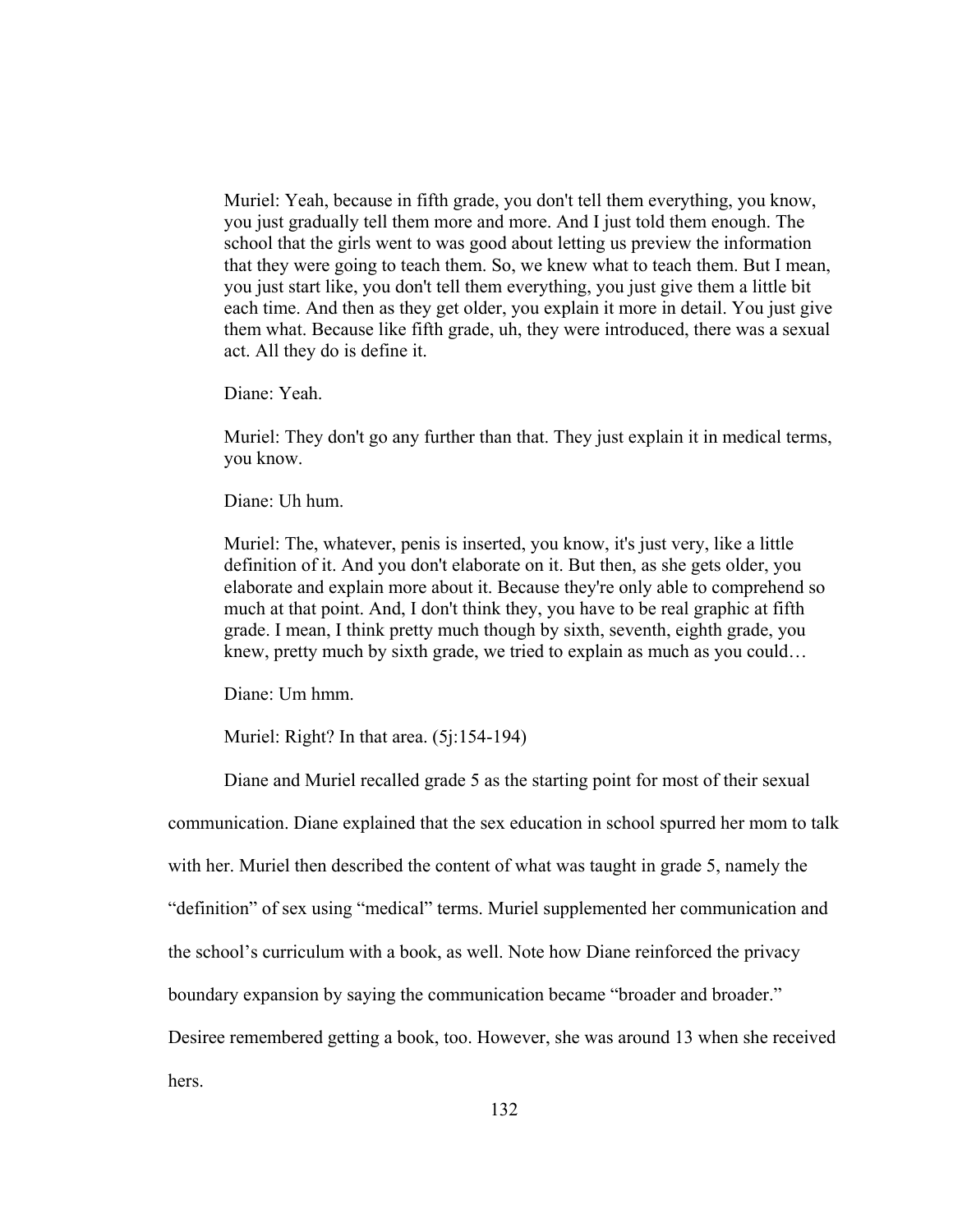Muriel: Yeah, because in fifth grade, you don't tell them everything, you know, you just gradually tell them more and more. And I just told them enough. The school that the girls went to was good about letting us preview the information that they were going to teach them. So, we knew what to teach them. But I mean, you just start like, you don't tell them everything, you just give them a little bit each time. And then as they get older, you explain it more in detail. You just give them what. Because like fifth grade, uh, they were introduced, there was a sexual act. All they do is define it.

Diane: Yeah.

Muriel: They don't go any further than that. They just explain it in medical terms, you know.

Diane: Uh hum.

Muriel: The, whatever, penis is inserted, you know, it's just very, like a little definition of it. And you don't elaborate on it. But then, as she gets older, you elaborate and explain more about it. Because they're only able to comprehend so much at that point. And, I don't think they, you have to be real graphic at fifth grade. I mean, I think pretty much though by sixth, seventh, eighth grade, you knew, pretty much by sixth grade, we tried to explain as much as you could…

Diane: Um hmm.

Muriel: Right? In that area. (5*j*:154-194)

Diane and Muriel recalled grade 5 as the starting point for most of their sexual

communication. Diane explained that the sex education in school spurred her mom to talk

with her. Muriel then described the content of what was taught in grade 5, namely the

"definition" of sex using "medical" terms. Muriel supplemented her communication and

the school's curriculum with a book, as well. Note how Diane reinforced the privacy

boundary expansion by saying the communication became "broader and broader."

Desiree remembered getting a book, too. However, she was around 13 when she received

hers.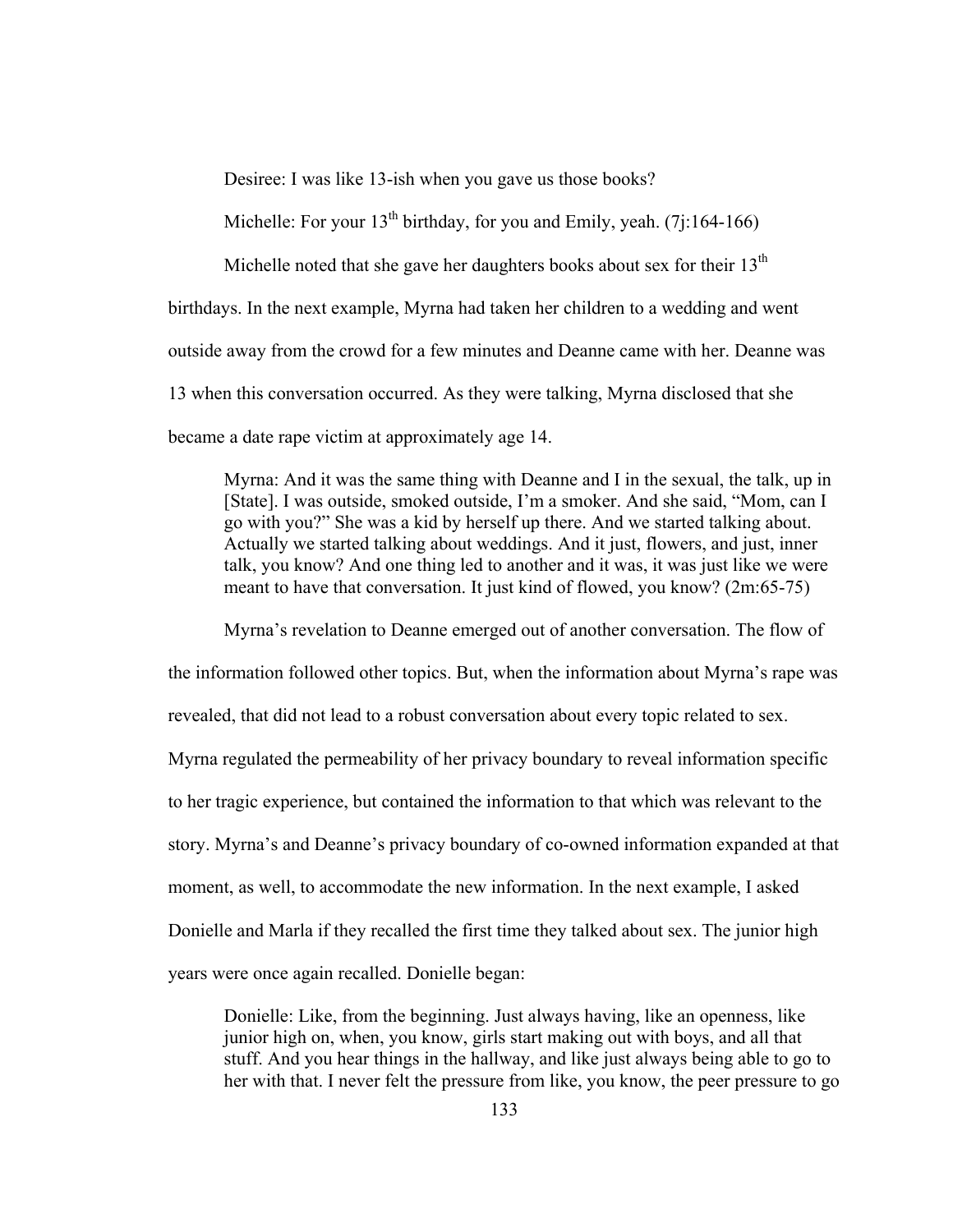Desiree: I was like 13-ish when you gave us those books?

Michelle: For your  $13^{th}$  birthday, for you and Emily, yeah. (7j:164-166)

Michelle noted that she gave her daughters books about sex for their  $13<sup>th</sup>$ 

birthdays. In the next example, Myrna had taken her children to a wedding and went

outside away from the crowd for a few minutes and Deanne came with her. Deanne was

13 when this conversation occurred. As they were talking, Myrna disclosed that she

became a date rape victim at approximately age 14.

Myrna: And it was the same thing with Deanne and I in the sexual, the talk, up in [State]. I was outside, smoked outside, I'm a smoker. And she said, "Mom, can I go with you?" She was a kid by herself up there. And we started talking about. Actually we started talking about weddings. And it just, flowers, and just, inner talk, you know? And one thing led to another and it was, it was just like we were meant to have that conversation. It just kind of flowed, you know? (2m:65-75)

Myrna's revelation to Deanne emerged out of another conversation. The flow of the information followed other topics. But, when the information about Myrna's rape was revealed, that did not lead to a robust conversation about every topic related to sex. Myrna regulated the permeability of her privacy boundary to reveal information specific to her tragic experience, but contained the information to that which was relevant to the story. Myrna's and Deanne's privacy boundary of co-owned information expanded at that moment, as well, to accommodate the new information. In the next example, I asked Donielle and Marla if they recalled the first time they talked about sex. The junior high years were once again recalled. Donielle began:

Donielle: Like, from the beginning. Just always having, like an openness, like junior high on, when, you know, girls start making out with boys, and all that stuff. And you hear things in the hallway, and like just always being able to go to her with that. I never felt the pressure from like, you know, the peer pressure to go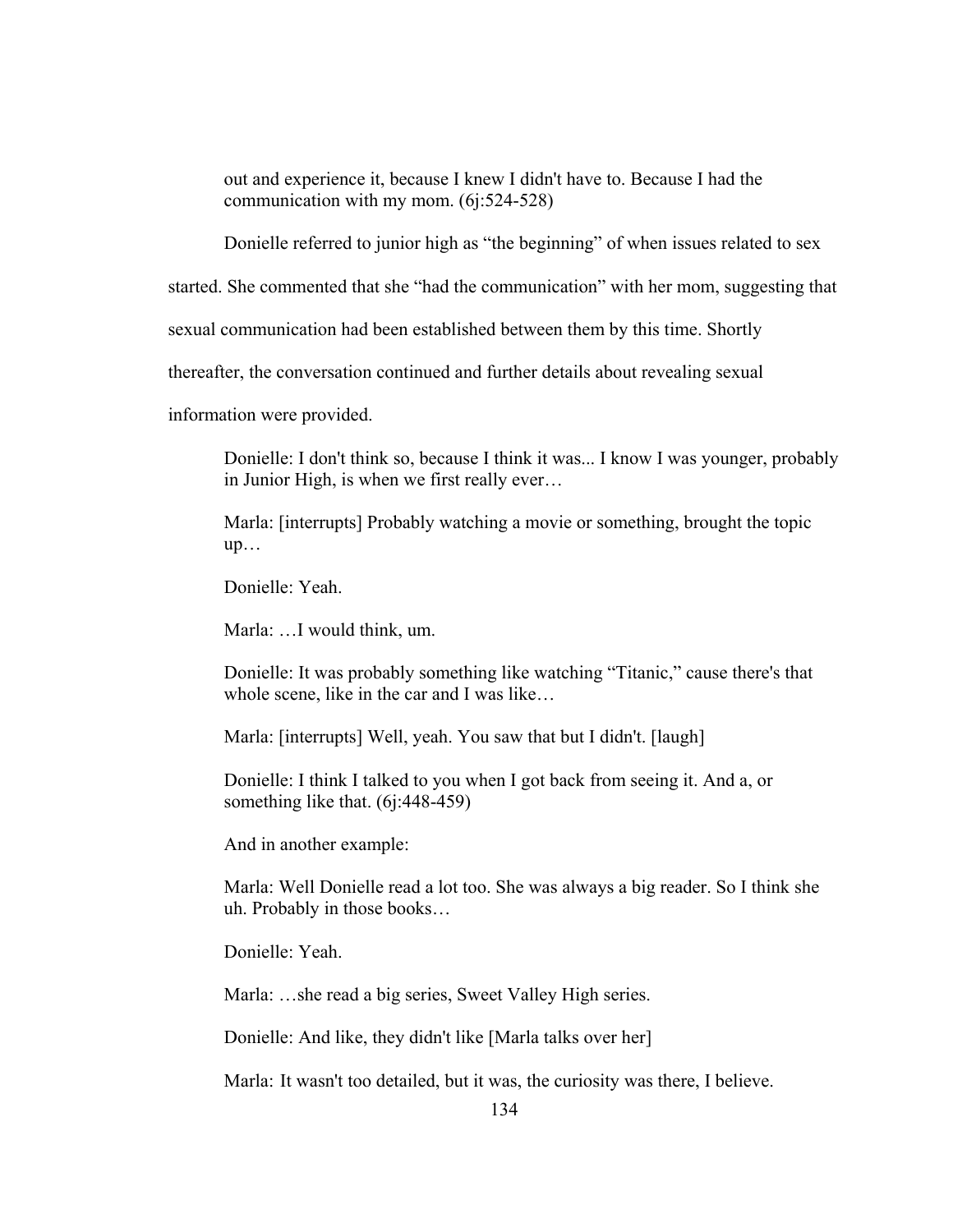out and experience it, because I knew I didn't have to. Because I had the communication with my mom. (6j:524-528)

Donielle referred to junior high as "the beginning" of when issues related to sex

started. She commented that she "had the communication" with her mom, suggesting that

sexual communication had been established between them by this time. Shortly

thereafter, the conversation continued and further details about revealing sexual

information were provided.

Donielle: I don't think so, because I think it was... I know I was younger, probably in Junior High, is when we first really ever…

Marla: [interrupts] Probably watching a movie or something, brought the topic up…

Donielle: Yeah.

Marla: …I would think, um.

Donielle: It was probably something like watching "Titanic," cause there's that whole scene, like in the car and I was like…

Marla: [interrupts] Well, yeah. You saw that but I didn't. [laugh]

Donielle: I think I talked to you when I got back from seeing it. And a, or something like that. (6j:448-459)

And in another example:

Marla: Well Donielle read a lot too. She was always a big reader. So I think she uh. Probably in those books…

Donielle: Yeah.

Marla: …she read a big series, Sweet Valley High series.

Donielle: And like, they didn't like [Marla talks over her]

Marla: It wasn't too detailed, but it was, the curiosity was there, I believe.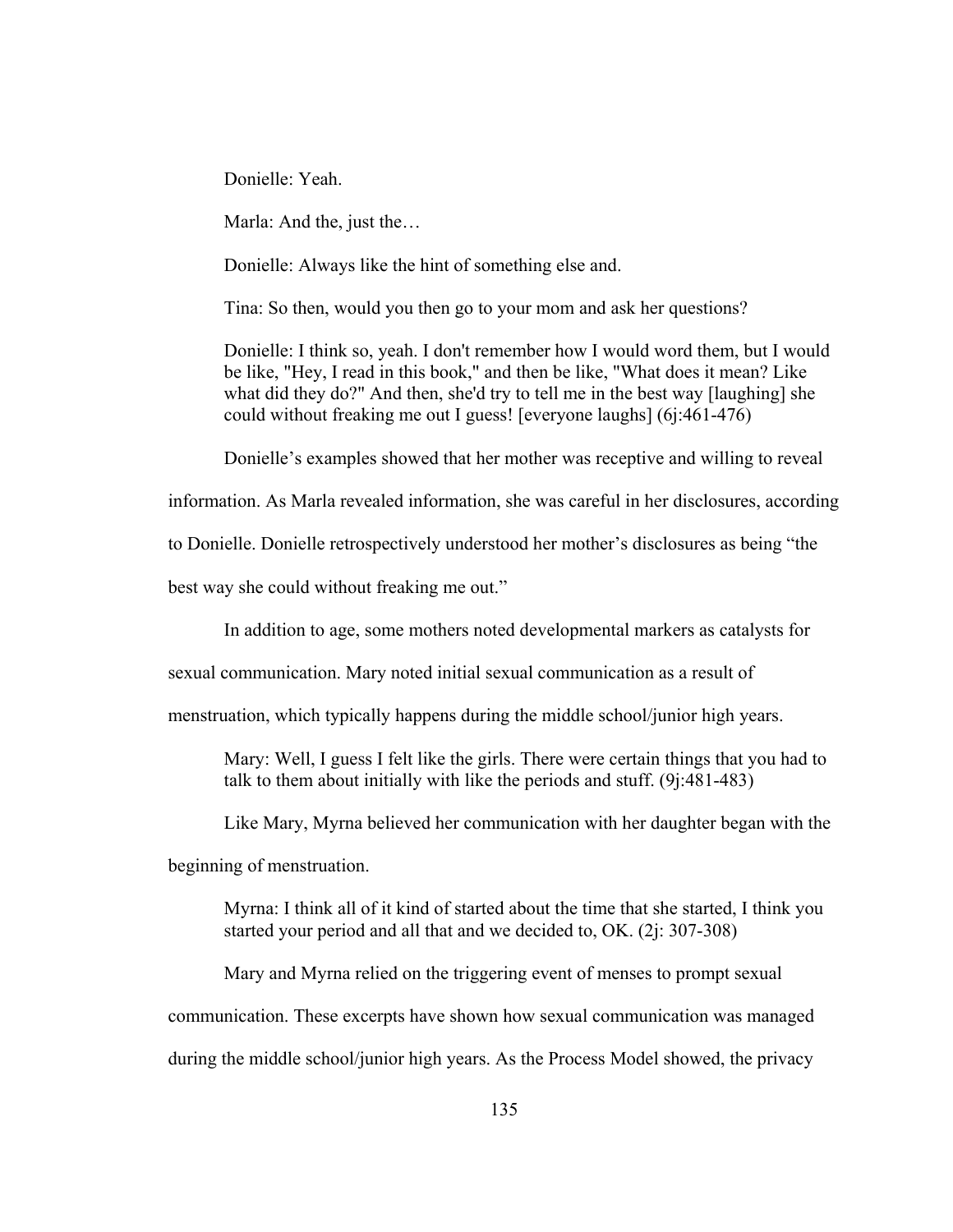Donielle: Yeah.

Marla: And the, just the…

Donielle: Always like the hint of something else and.

Tina: So then, would you then go to your mom and ask her questions?

Donielle: I think so, yeah. I don't remember how I would word them, but I would be like, "Hey, I read in this book," and then be like, "What does it mean? Like what did they do?" And then, she'd try to tell me in the best way [laughing] she could without freaking me out I guess! [everyone laughs] (6j:461-476)

Donielle's examples showed that her mother was receptive and willing to reveal

information. As Marla revealed information, she was careful in her disclosures, according

to Donielle. Donielle retrospectively understood her mother's disclosures as being "the

best way she could without freaking me out."

In addition to age, some mothers noted developmental markers as catalysts for

sexual communication. Mary noted initial sexual communication as a result of

menstruation, which typically happens during the middle school/junior high years.

Mary: Well, I guess I felt like the girls. There were certain things that you had to talk to them about initially with like the periods and stuff. (9j:481-483)

Like Mary, Myrna believed her communication with her daughter began with the

beginning of menstruation.

Myrna: I think all of it kind of started about the time that she started, I think you started your period and all that and we decided to, OK. (2j: 307-308)

Mary and Myrna relied on the triggering event of menses to prompt sexual communication. These excerpts have shown how sexual communication was managed during the middle school/junior high years. As the Process Model showed, the privacy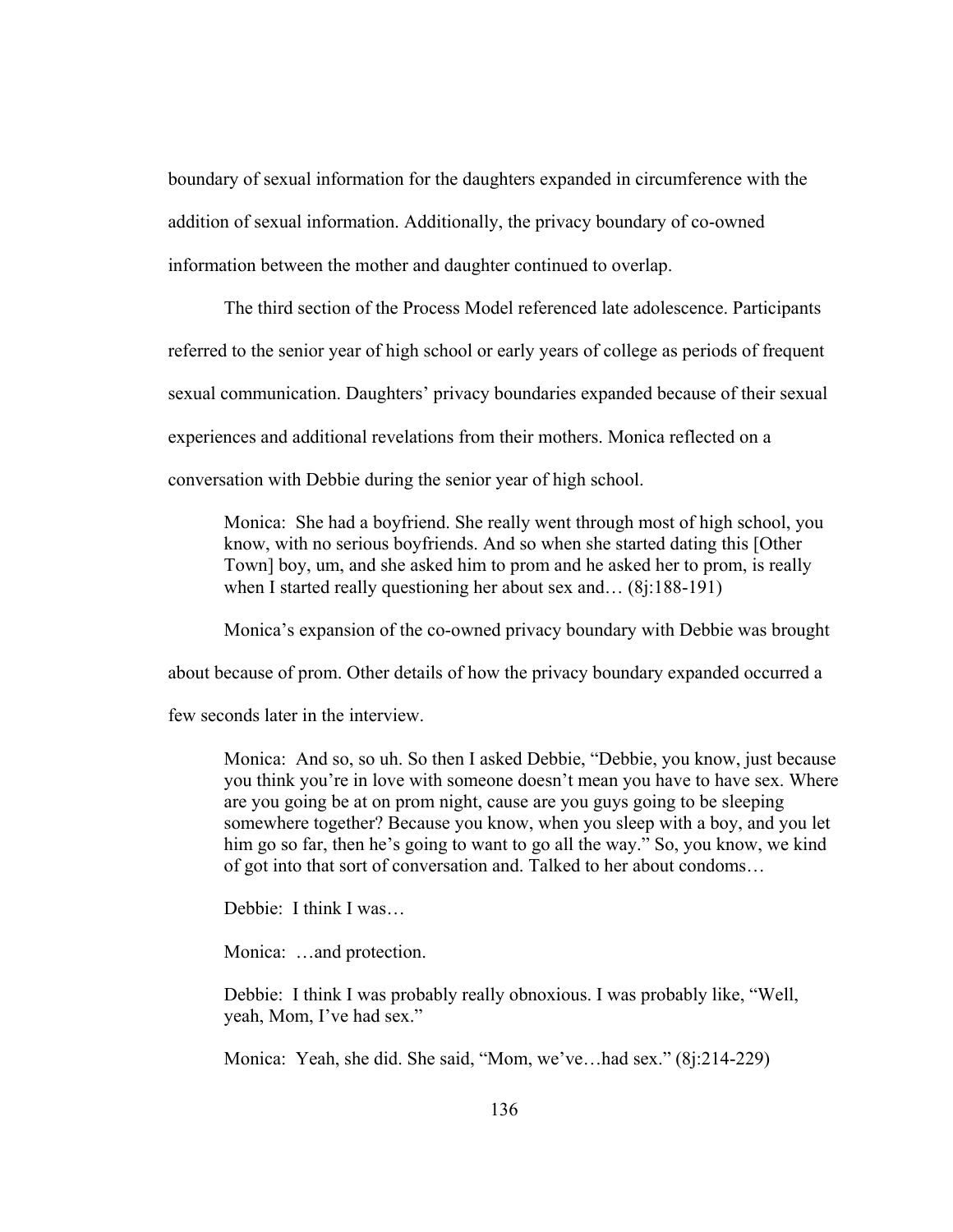boundary of sexual information for the daughters expanded in circumference with the addition of sexual information. Additionally, the privacy boundary of co-owned information between the mother and daughter continued to overlap.

The third section of the Process Model referenced late adolescence. Participants referred to the senior year of high school or early years of college as periods of frequent sexual communication. Daughters' privacy boundaries expanded because of their sexual experiences and additional revelations from their mothers. Monica reflected on a conversation with Debbie during the senior year of high school.

Monica: She had a boyfriend. She really went through most of high school, you know, with no serious boyfriends. And so when she started dating this [Other Town] boy, um, and she asked him to prom and he asked her to prom, is really when I started really questioning her about sex and... (8i:188-191)

Monica's expansion of the co-owned privacy boundary with Debbie was brought

about because of prom. Other details of how the privacy boundary expanded occurred a

few seconds later in the interview.

Monica: And so, so uh. So then I asked Debbie, "Debbie, you know, just because you think you're in love with someone doesn't mean you have to have sex. Where are you going be at on prom night, cause are you guys going to be sleeping somewhere together? Because you know, when you sleep with a boy, and you let him go so far, then he's going to want to go all the way." So, you know, we kind of got into that sort of conversation and. Talked to her about condoms…

Debbie: I think I was…

Monica: …and protection.

Debbie: I think I was probably really obnoxious. I was probably like, "Well, yeah, Mom, I've had sex."

Monica: Yeah, she did. She said, "Mom, we've…had sex." (8j:214-229)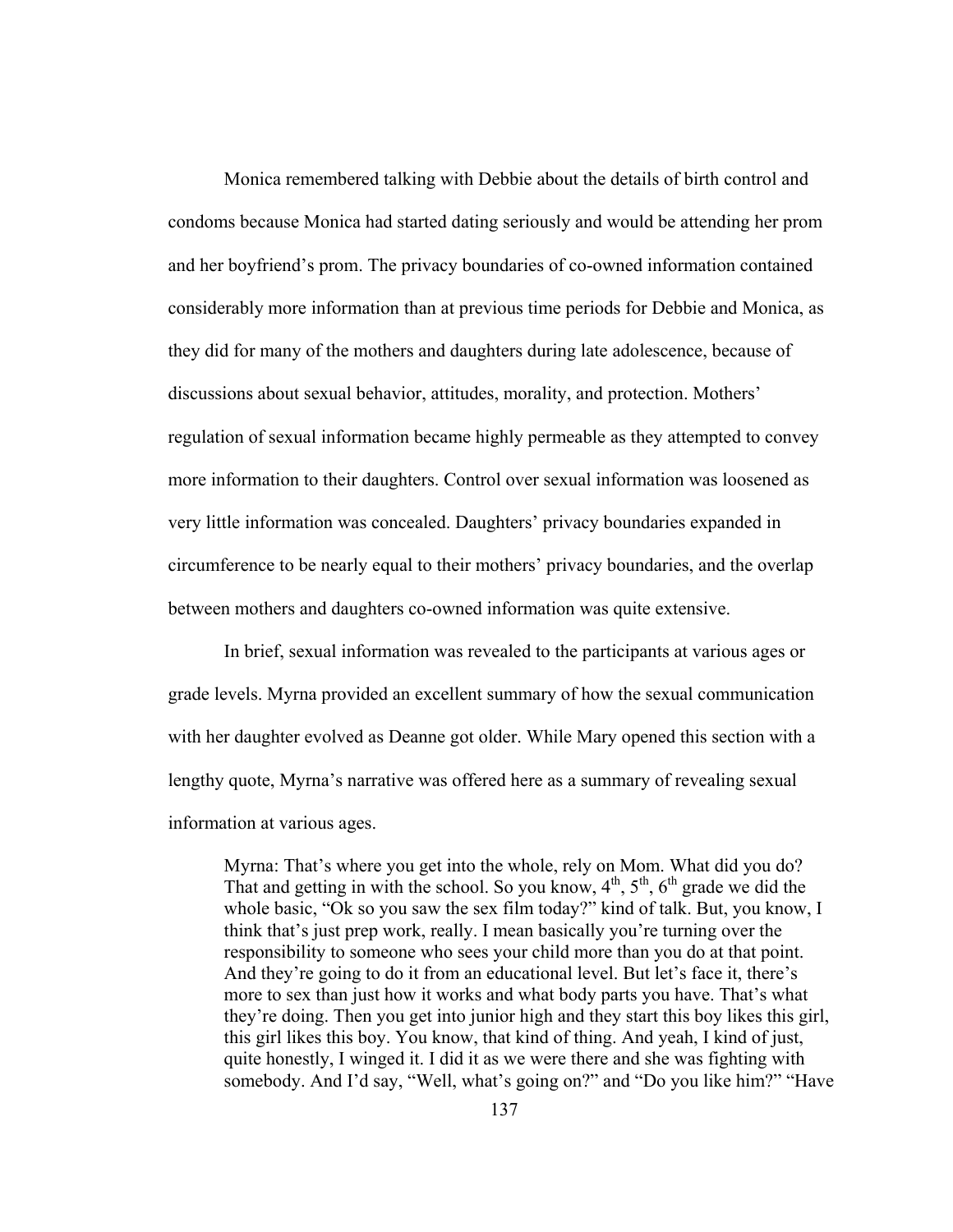Monica remembered talking with Debbie about the details of birth control and condoms because Monica had started dating seriously and would be attending her prom and her boyfriend's prom. The privacy boundaries of co-owned information contained considerably more information than at previous time periods for Debbie and Monica, as they did for many of the mothers and daughters during late adolescence, because of discussions about sexual behavior, attitudes, morality, and protection. Mothers' regulation of sexual information became highly permeable as they attempted to convey more information to their daughters. Control over sexual information was loosened as very little information was concealed. Daughters' privacy boundaries expanded in circumference to be nearly equal to their mothers' privacy boundaries, and the overlap between mothers and daughters co-owned information was quite extensive.

In brief, sexual information was revealed to the participants at various ages or grade levels. Myrna provided an excellent summary of how the sexual communication with her daughter evolved as Deanne got older. While Mary opened this section with a lengthy quote, Myrna's narrative was offered here as a summary of revealing sexual information at various ages.

Myrna: That's where you get into the whole, rely on Mom. What did you do? That and getting in with the school. So you know,  $4<sup>th</sup>$ ,  $5<sup>th</sup>$ ,  $6<sup>th</sup>$  grade we did the whole basic, "Ok so you saw the sex film today?" kind of talk. But, you know, I think that's just prep work, really. I mean basically you're turning over the responsibility to someone who sees your child more than you do at that point. And they're going to do it from an educational level. But let's face it, there's more to sex than just how it works and what body parts you have. That's what they're doing. Then you get into junior high and they start this boy likes this girl, this girl likes this boy. You know, that kind of thing. And yeah, I kind of just, quite honestly, I winged it. I did it as we were there and she was fighting with somebody. And I'd say, "Well, what's going on?" and "Do you like him?" "Have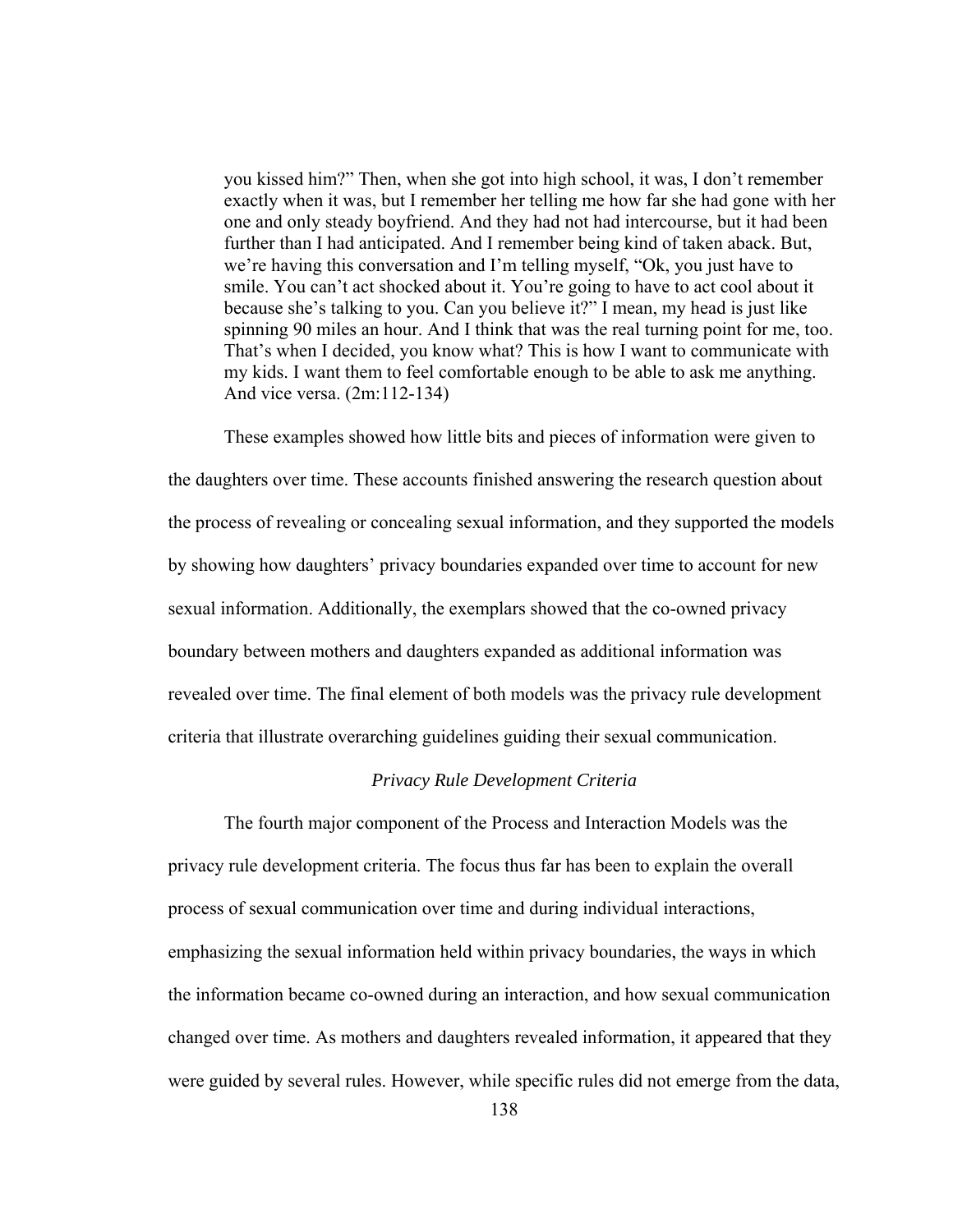you kissed him?" Then, when she got into high school, it was, I don't remember exactly when it was, but I remember her telling me how far she had gone with her one and only steady boyfriend. And they had not had intercourse, but it had been further than I had anticipated. And I remember being kind of taken aback. But, we're having this conversation and I'm telling myself, "Ok, you just have to smile. You can't act shocked about it. You're going to have to act cool about it because she's talking to you. Can you believe it?" I mean, my head is just like spinning 90 miles an hour. And I think that was the real turning point for me, too. That's when I decided, you know what? This is how I want to communicate with my kids. I want them to feel comfortable enough to be able to ask me anything. And vice versa. (2m:112-134)

These examples showed how little bits and pieces of information were given to the daughters over time. These accounts finished answering the research question about the process of revealing or concealing sexual information, and they supported the models by showing how daughters' privacy boundaries expanded over time to account for new sexual information. Additionally, the exemplars showed that the co-owned privacy boundary between mothers and daughters expanded as additional information was revealed over time. The final element of both models was the privacy rule development criteria that illustrate overarching guidelines guiding their sexual communication.

# *Privacy Rule Development Criteria*

The fourth major component of the Process and Interaction Models was the privacy rule development criteria. The focus thus far has been to explain the overall process of sexual communication over time and during individual interactions, emphasizing the sexual information held within privacy boundaries, the ways in which the information became co-owned during an interaction, and how sexual communication changed over time. As mothers and daughters revealed information, it appeared that they were guided by several rules. However, while specific rules did not emerge from the data,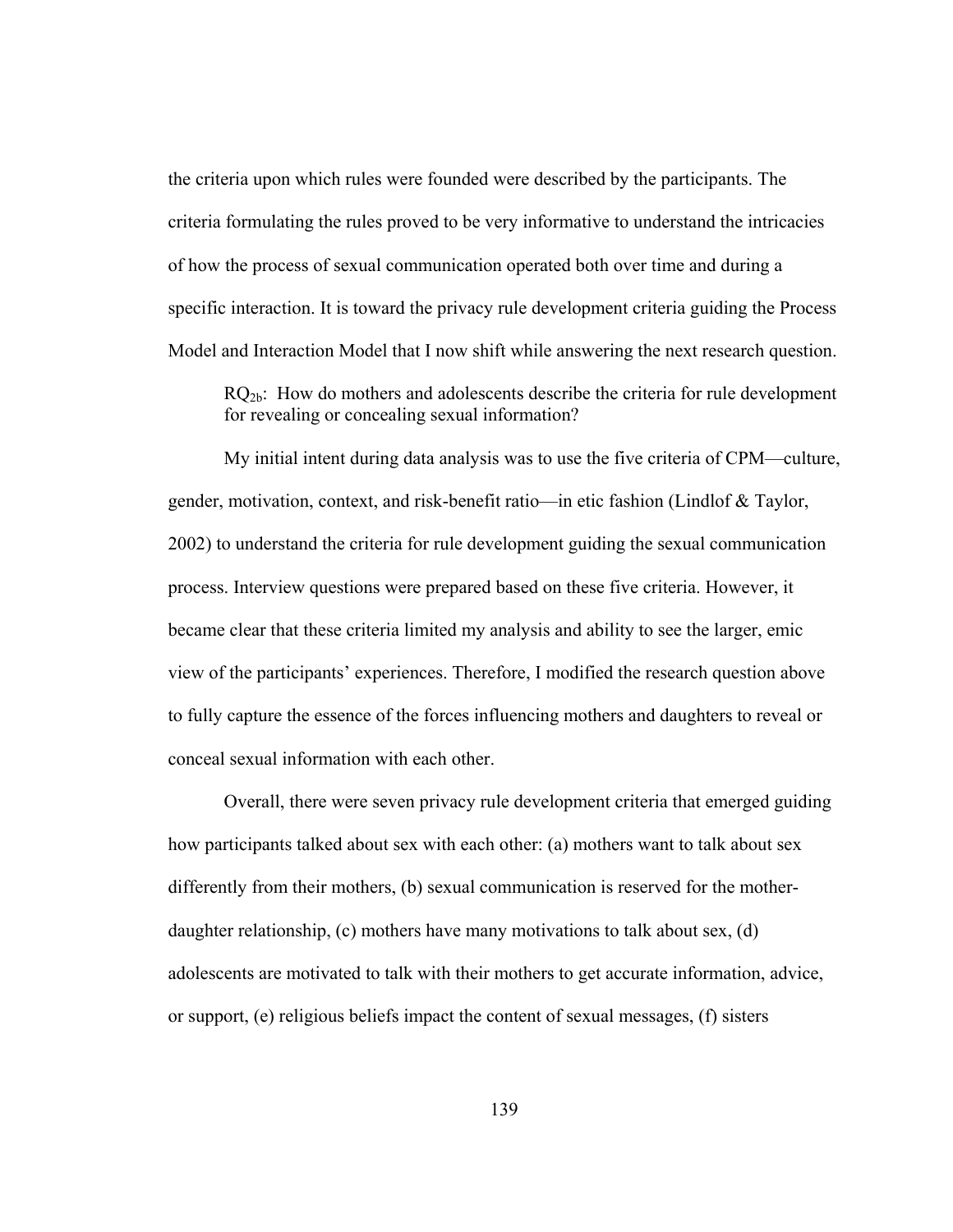the criteria upon which rules were founded were described by the participants. The criteria formulating the rules proved to be very informative to understand the intricacies of how the process of sexual communication operated both over time and during a specific interaction. It is toward the privacy rule development criteria guiding the Process Model and Interaction Model that I now shift while answering the next research question.

RQ<sub>2b</sub>: How do mothers and adolescents describe the criteria for rule development for revealing or concealing sexual information?

My initial intent during data analysis was to use the five criteria of CPM—culture, gender, motivation, context, and risk-benefit ratio—in etic fashion (Lindlof & Taylor, 2002) to understand the criteria for rule development guiding the sexual communication process. Interview questions were prepared based on these five criteria. However, it became clear that these criteria limited my analysis and ability to see the larger, emic view of the participants' experiences. Therefore, I modified the research question above to fully capture the essence of the forces influencing mothers and daughters to reveal or conceal sexual information with each other.

Overall, there were seven privacy rule development criteria that emerged guiding how participants talked about sex with each other: (a) mothers want to talk about sex differently from their mothers, (b) sexual communication is reserved for the motherdaughter relationship, (c) mothers have many motivations to talk about sex, (d) adolescents are motivated to talk with their mothers to get accurate information, advice, or support, (e) religious beliefs impact the content of sexual messages, (f) sisters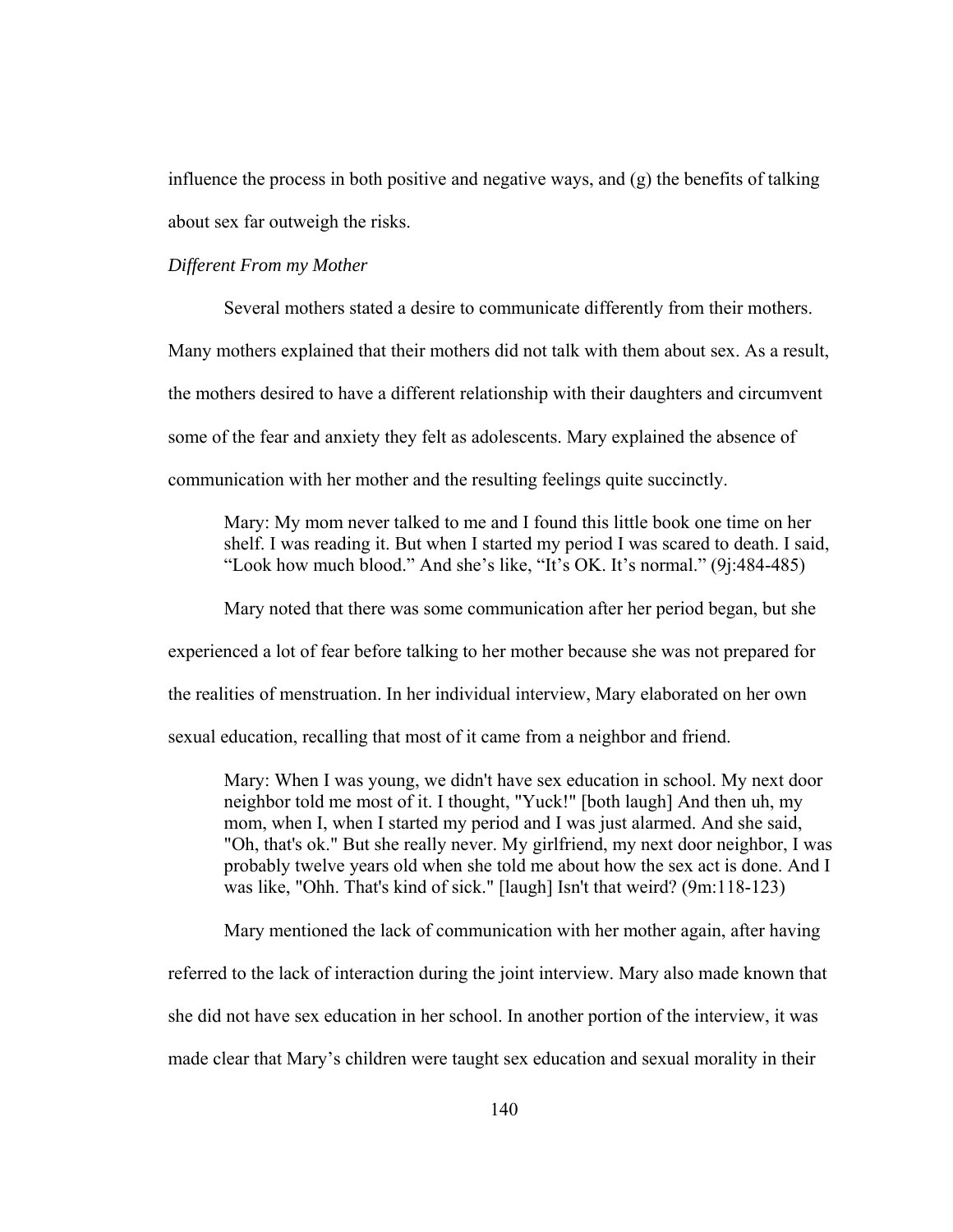influence the process in both positive and negative ways, and (g) the benefits of talking about sex far outweigh the risks.

# *Different From my Mother*

Several mothers stated a desire to communicate differently from their mothers. Many mothers explained that their mothers did not talk with them about sex. As a result, the mothers desired to have a different relationship with their daughters and circumvent some of the fear and anxiety they felt as adolescents. Mary explained the absence of communication with her mother and the resulting feelings quite succinctly.

Mary: My mom never talked to me and I found this little book one time on her shelf. I was reading it. But when I started my period I was scared to death. I said, "Look how much blood." And she's like, "It's OK. It's normal." (9j:484-485)

Mary noted that there was some communication after her period began, but she experienced a lot of fear before talking to her mother because she was not prepared for the realities of menstruation. In her individual interview, Mary elaborated on her own

sexual education, recalling that most of it came from a neighbor and friend.

Mary: When I was young, we didn't have sex education in school. My next door neighbor told me most of it. I thought, "Yuck!" [both laugh] And then uh, my mom, when I, when I started my period and I was just alarmed. And she said, "Oh, that's ok." But she really never. My girlfriend, my next door neighbor, I was probably twelve years old when she told me about how the sex act is done. And I was like, "Ohh. That's kind of sick." [laugh] Isn't that weird? (9m:118-123)

Mary mentioned the lack of communication with her mother again, after having

referred to the lack of interaction during the joint interview. Mary also made known that

she did not have sex education in her school. In another portion of the interview, it was

made clear that Mary's children were taught sex education and sexual morality in their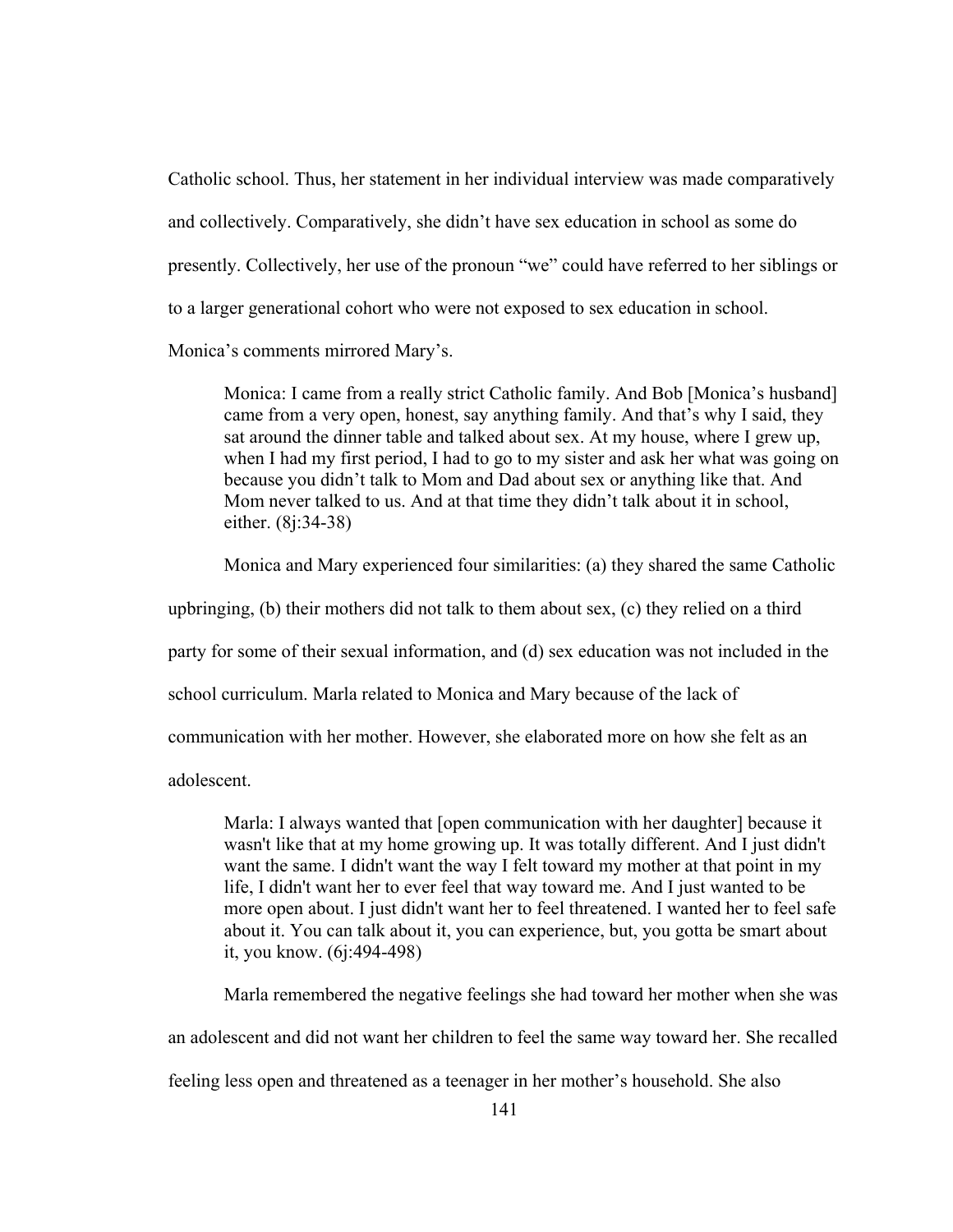Catholic school. Thus, her statement in her individual interview was made comparatively and collectively. Comparatively, she didn't have sex education in school as some do presently. Collectively, her use of the pronoun "we" could have referred to her siblings or to a larger generational cohort who were not exposed to sex education in school. Monica's comments mirrored Mary's.

Monica: I came from a really strict Catholic family. And Bob [Monica's husband] came from a very open, honest, say anything family. And that's why I said, they sat around the dinner table and talked about sex. At my house, where I grew up, when I had my first period, I had to go to my sister and ask her what was going on because you didn't talk to Mom and Dad about sex or anything like that. And Mom never talked to us. And at that time they didn't talk about it in school, either. (8j:34-38)

Monica and Mary experienced four similarities: (a) they shared the same Catholic

upbringing, (b) their mothers did not talk to them about sex, (c) they relied on a third

party for some of their sexual information, and (d) sex education was not included in the

school curriculum. Marla related to Monica and Mary because of the lack of

communication with her mother. However, she elaborated more on how she felt as an

adolescent.

Marla: I always wanted that [open communication with her daughter] because it wasn't like that at my home growing up. It was totally different. And I just didn't want the same. I didn't want the way I felt toward my mother at that point in my life, I didn't want her to ever feel that way toward me. And I just wanted to be more open about. I just didn't want her to feel threatened. I wanted her to feel safe about it. You can talk about it, you can experience, but, you gotta be smart about it, you know. (6j:494-498)

Marla remembered the negative feelings she had toward her mother when she was

an adolescent and did not want her children to feel the same way toward her. She recalled

feeling less open and threatened as a teenager in her mother's household. She also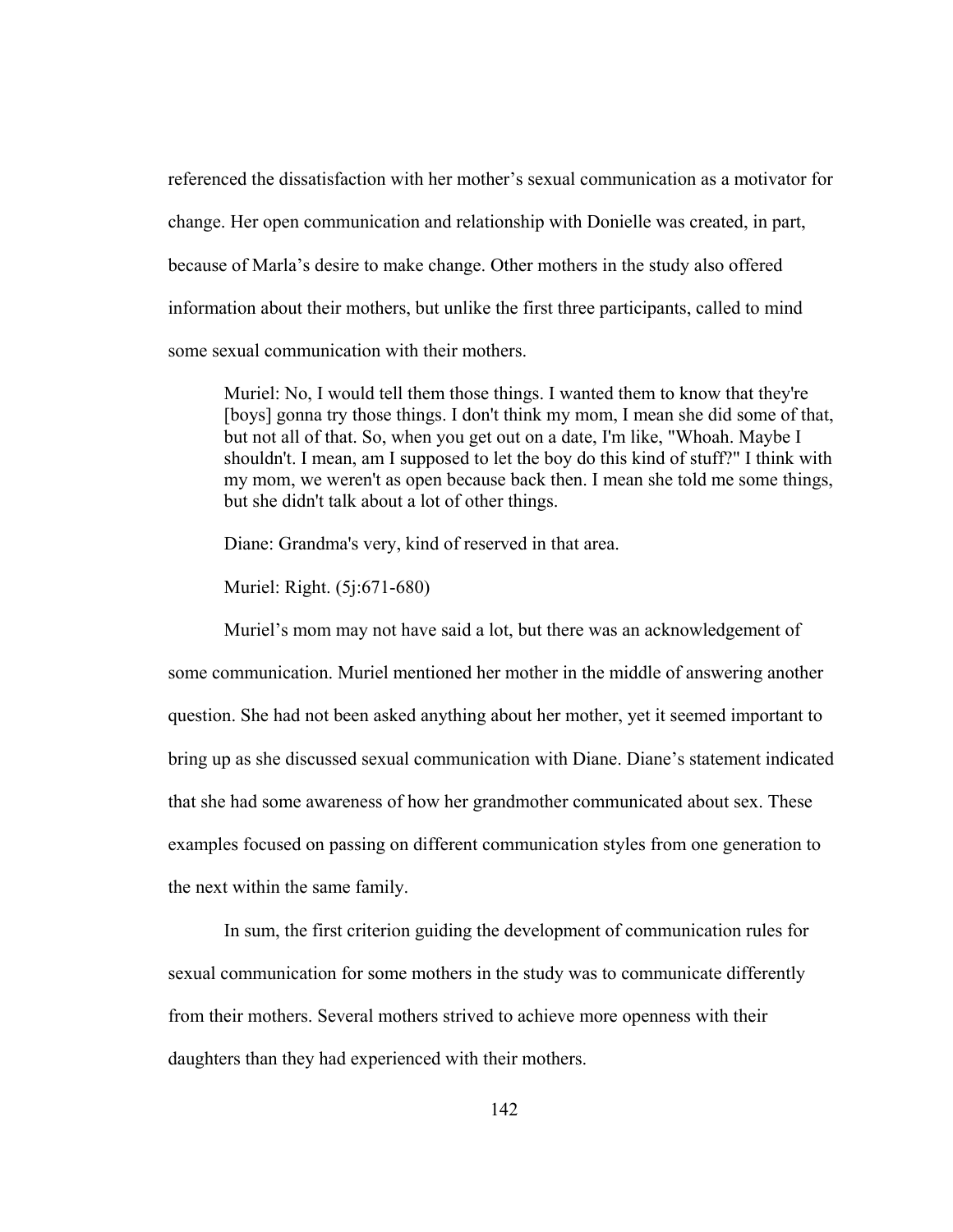referenced the dissatisfaction with her mother's sexual communication as a motivator for change. Her open communication and relationship with Donielle was created, in part, because of Marla's desire to make change. Other mothers in the study also offered information about their mothers, but unlike the first three participants, called to mind some sexual communication with their mothers.

Muriel: No, I would tell them those things. I wanted them to know that they're [boys] gonna try those things. I don't think my mom, I mean she did some of that, but not all of that. So, when you get out on a date, I'm like, "Whoah. Maybe I shouldn't. I mean, am I supposed to let the boy do this kind of stuff?" I think with my mom, we weren't as open because back then. I mean she told me some things, but she didn't talk about a lot of other things.

Diane: Grandma's very, kind of reserved in that area.

Muriel: Right. (5j:671-680)

 Muriel's mom may not have said a lot, but there was an acknowledgement of some communication. Muriel mentioned her mother in the middle of answering another question. She had not been asked anything about her mother, yet it seemed important to bring up as she discussed sexual communication with Diane. Diane's statement indicated that she had some awareness of how her grandmother communicated about sex. These examples focused on passing on different communication styles from one generation to the next within the same family.

 In sum, the first criterion guiding the development of communication rules for sexual communication for some mothers in the study was to communicate differently from their mothers. Several mothers strived to achieve more openness with their daughters than they had experienced with their mothers.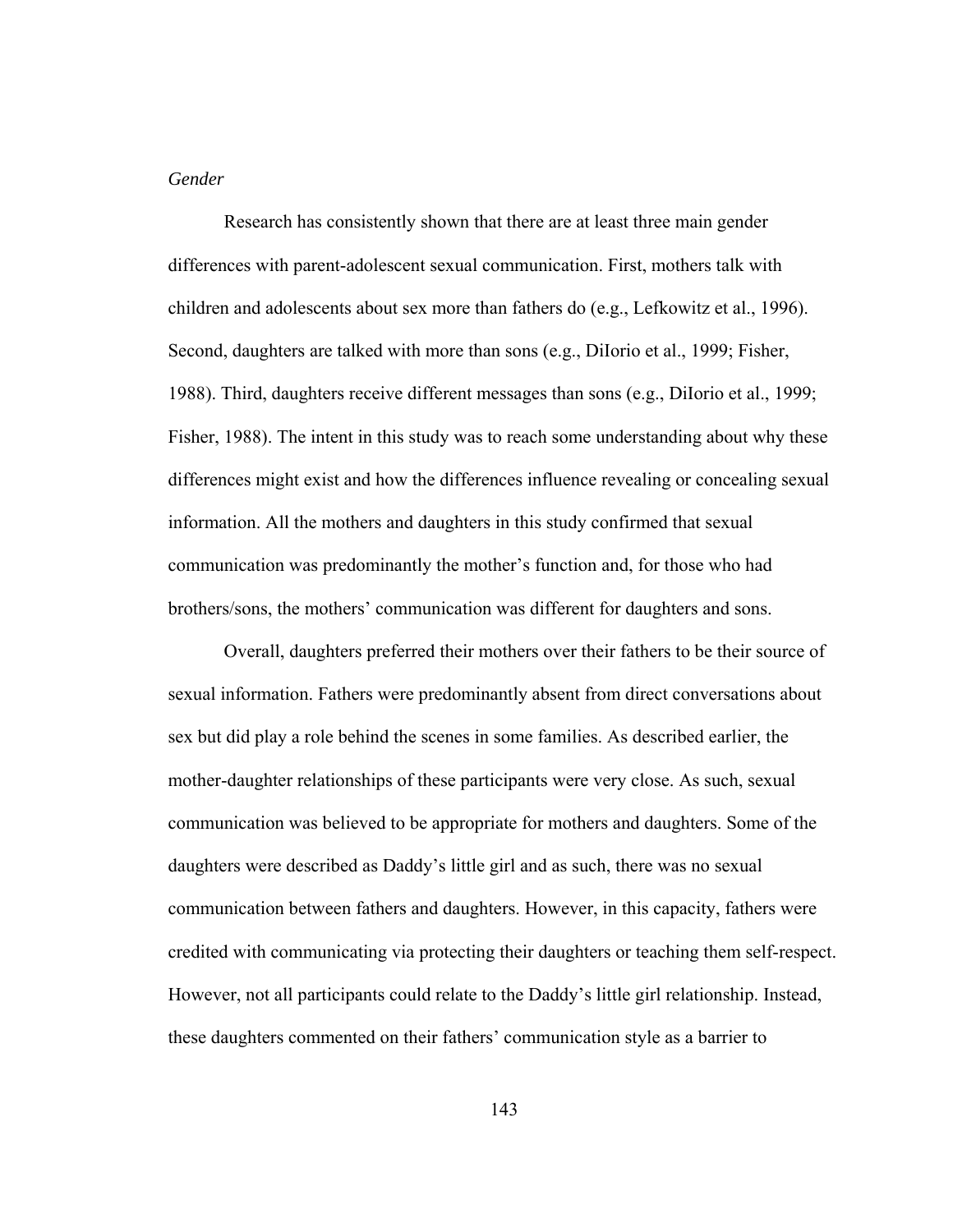#### *Gender*

 Research has consistently shown that there are at least three main gender differences with parent-adolescent sexual communication. First, mothers talk with children and adolescents about sex more than fathers do (e.g., Lefkowitz et al., 1996). Second, daughters are talked with more than sons (e.g., DiIorio et al., 1999; Fisher, 1988). Third, daughters receive different messages than sons (e.g., DiIorio et al., 1999; Fisher, 1988). The intent in this study was to reach some understanding about why these differences might exist and how the differences influence revealing or concealing sexual information. All the mothers and daughters in this study confirmed that sexual communication was predominantly the mother's function and, for those who had brothers/sons, the mothers' communication was different for daughters and sons.

Overall, daughters preferred their mothers over their fathers to be their source of sexual information. Fathers were predominantly absent from direct conversations about sex but did play a role behind the scenes in some families. As described earlier, the mother-daughter relationships of these participants were very close. As such, sexual communication was believed to be appropriate for mothers and daughters. Some of the daughters were described as Daddy's little girl and as such, there was no sexual communication between fathers and daughters. However, in this capacity, fathers were credited with communicating via protecting their daughters or teaching them self-respect. However, not all participants could relate to the Daddy's little girl relationship. Instead, these daughters commented on their fathers' communication style as a barrier to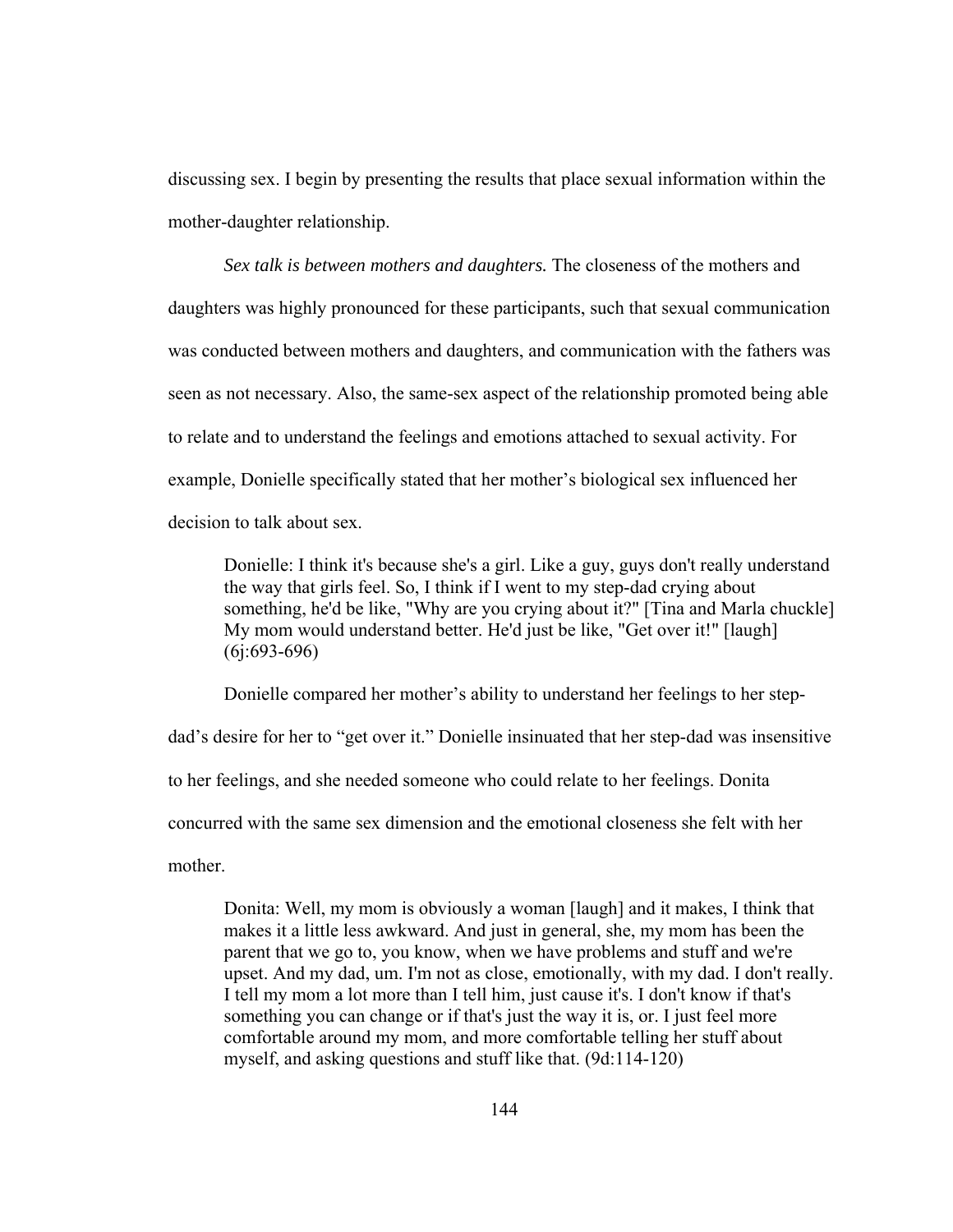discussing sex. I begin by presenting the results that place sexual information within the mother-daughter relationship.

*Sex talk is between mothers and daughters.* The closeness of the mothers and daughters was highly pronounced for these participants, such that sexual communication was conducted between mothers and daughters, and communication with the fathers was seen as not necessary. Also, the same-sex aspect of the relationship promoted being able to relate and to understand the feelings and emotions attached to sexual activity. For example, Donielle specifically stated that her mother's biological sex influenced her decision to talk about sex.

Donielle: I think it's because she's a girl. Like a guy, guys don't really understand the way that girls feel. So, I think if I went to my step-dad crying about something, he'd be like, "Why are you crying about it?" [Tina and Marla chuckle] My mom would understand better. He'd just be like, "Get over it!" [laugh] (6j:693-696)

Donielle compared her mother's ability to understand her feelings to her step-

dad's desire for her to "get over it." Donielle insinuated that her step-dad was insensitive

to her feelings, and she needed someone who could relate to her feelings. Donita

concurred with the same sex dimension and the emotional closeness she felt with her

mother.

Donita: Well, my mom is obviously a woman [laugh] and it makes, I think that makes it a little less awkward. And just in general, she, my mom has been the parent that we go to, you know, when we have problems and stuff and we're upset. And my dad, um. I'm not as close, emotionally, with my dad. I don't really. I tell my mom a lot more than I tell him, just cause it's. I don't know if that's something you can change or if that's just the way it is, or. I just feel more comfortable around my mom, and more comfortable telling her stuff about myself, and asking questions and stuff like that. (9d:114-120)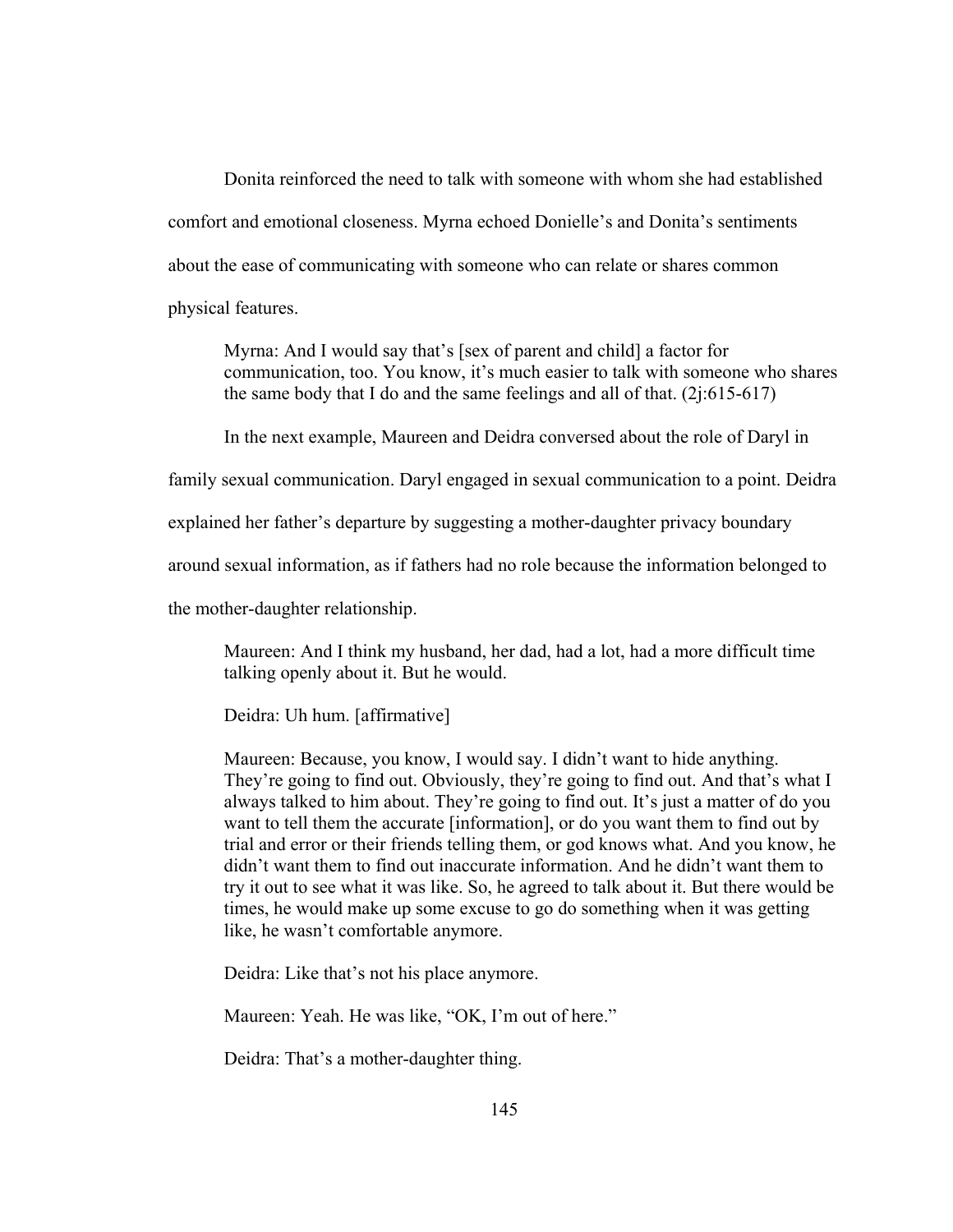Donita reinforced the need to talk with someone with whom she had established comfort and emotional closeness. Myrna echoed Donielle's and Donita's sentiments about the ease of communicating with someone who can relate or shares common physical features.

Myrna: And I would say that's [sex of parent and child] a factor for communication, too. You know, it's much easier to talk with someone who shares the same body that I do and the same feelings and all of that.  $(2j:615-617)$ 

In the next example, Maureen and Deidra conversed about the role of Daryl in

family sexual communication. Daryl engaged in sexual communication to a point. Deidra

explained her father's departure by suggesting a mother-daughter privacy boundary

around sexual information, as if fathers had no role because the information belonged to

the mother-daughter relationship.

Maureen: And I think my husband, her dad, had a lot, had a more difficult time talking openly about it. But he would.

Deidra: Uh hum. [affirmative]

Maureen: Because, you know, I would say. I didn't want to hide anything. They're going to find out. Obviously, they're going to find out. And that's what I always talked to him about. They're going to find out. It's just a matter of do you want to tell them the accurate [information], or do you want them to find out by trial and error or their friends telling them, or god knows what. And you know, he didn't want them to find out inaccurate information. And he didn't want them to try it out to see what it was like. So, he agreed to talk about it. But there would be times, he would make up some excuse to go do something when it was getting like, he wasn't comfortable anymore.

Deidra: Like that's not his place anymore.

Maureen: Yeah. He was like, "OK, I'm out of here."

Deidra: That's a mother-daughter thing.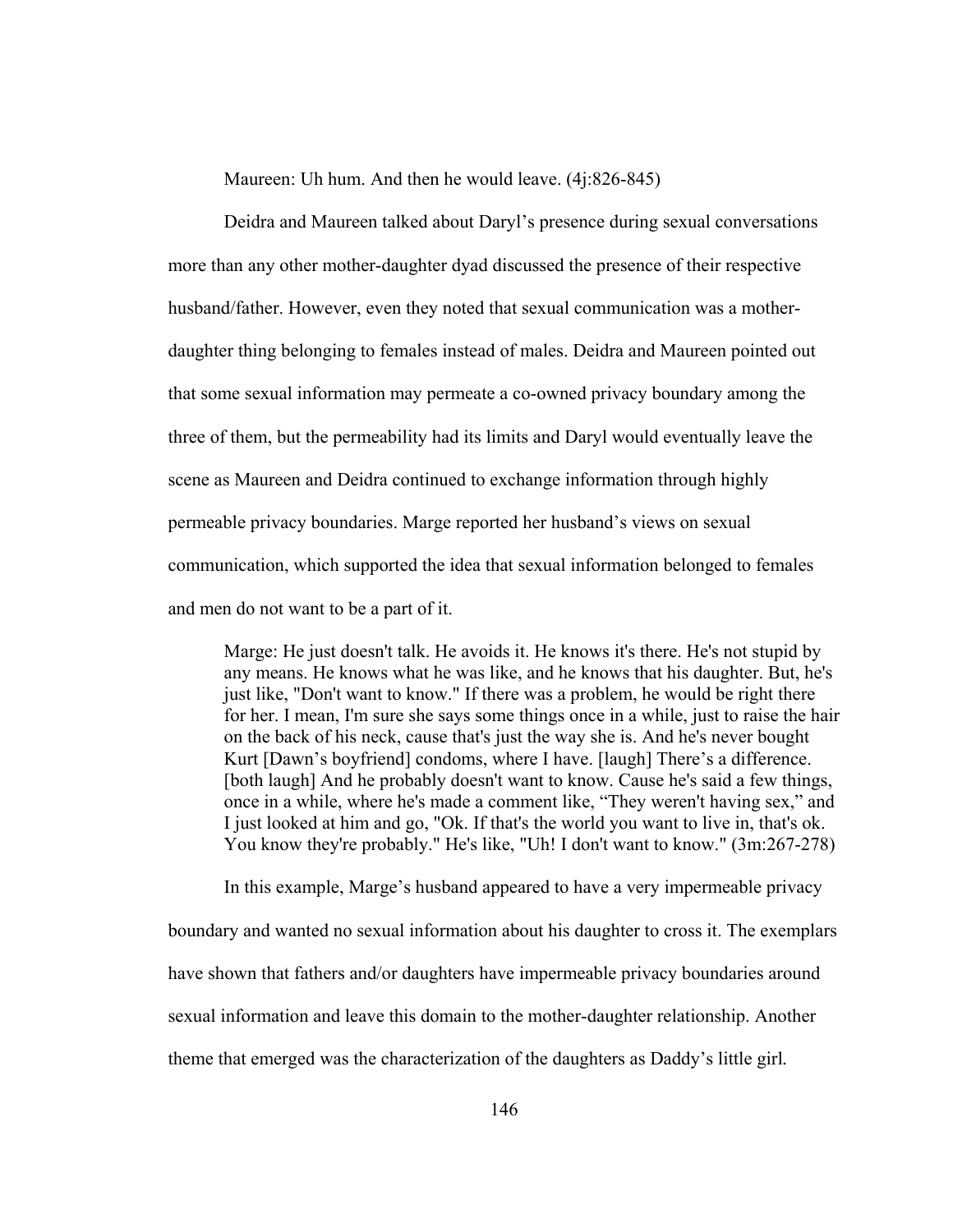Maureen: Uh hum. And then he would leave. (4j:826-845)

Deidra and Maureen talked about Daryl's presence during sexual conversations more than any other mother-daughter dyad discussed the presence of their respective husband/father. However, even they noted that sexual communication was a motherdaughter thing belonging to females instead of males. Deidra and Maureen pointed out that some sexual information may permeate a co-owned privacy boundary among the three of them, but the permeability had its limits and Daryl would eventually leave the scene as Maureen and Deidra continued to exchange information through highly permeable privacy boundaries. Marge reported her husband's views on sexual communication, which supported the idea that sexual information belonged to females and men do not want to be a part of it.

Marge: He just doesn't talk. He avoids it. He knows it's there. He's not stupid by any means. He knows what he was like, and he knows that his daughter. But, he's just like, "Don't want to know." If there was a problem, he would be right there for her. I mean, I'm sure she says some things once in a while, just to raise the hair on the back of his neck, cause that's just the way she is. And he's never bought Kurt [Dawn's boyfriend] condoms, where I have. [laugh] There's a difference. [both laugh] And he probably doesn't want to know. Cause he's said a few things, once in a while, where he's made a comment like, "They weren't having sex," and I just looked at him and go, "Ok. If that's the world you want to live in, that's ok. You know they're probably." He's like, "Uh! I don't want to know." (3m:267-278)

In this example, Marge's husband appeared to have a very impermeable privacy boundary and wanted no sexual information about his daughter to cross it. The exemplars have shown that fathers and/or daughters have impermeable privacy boundaries around sexual information and leave this domain to the mother-daughter relationship. Another theme that emerged was the characterization of the daughters as Daddy's little girl*.*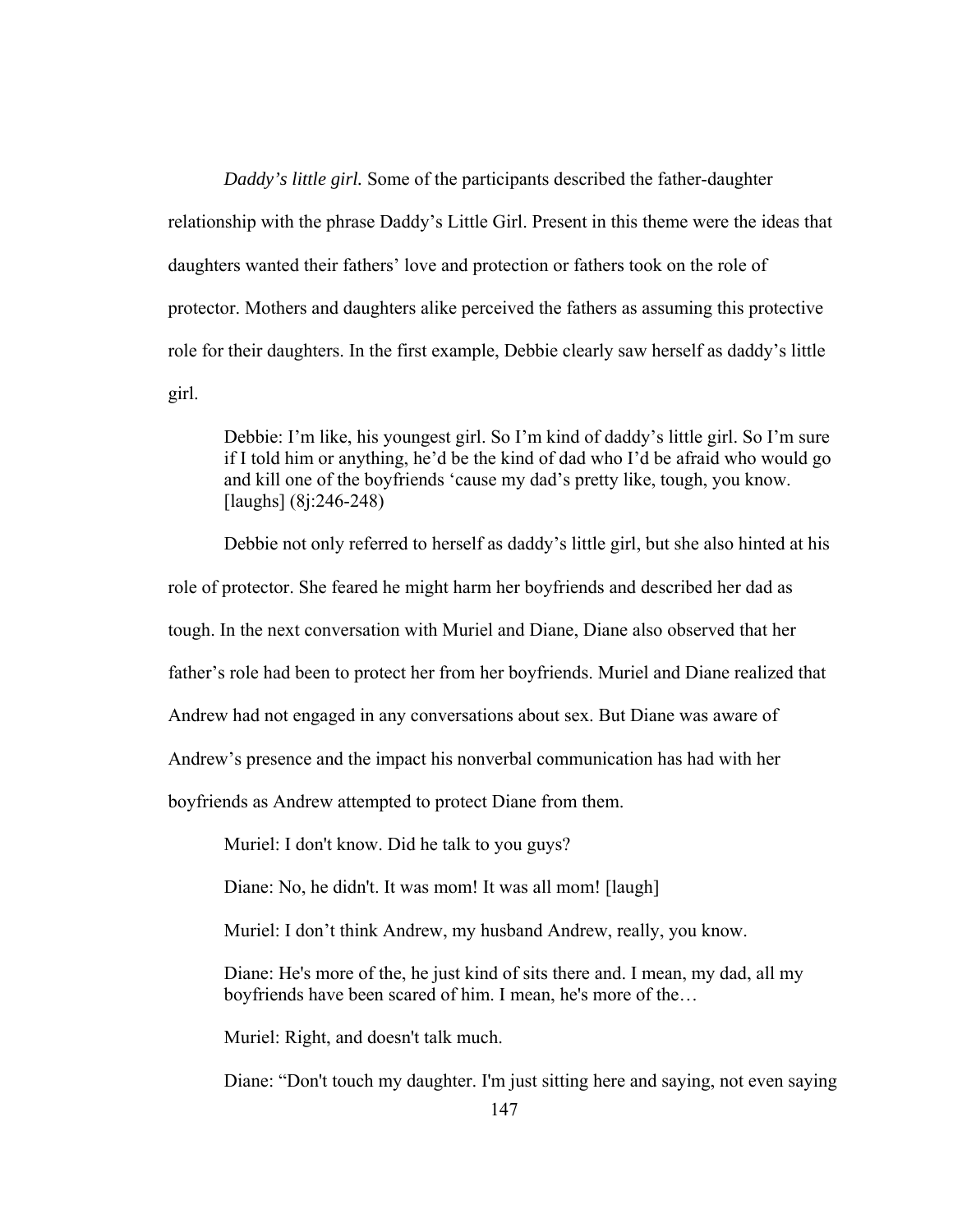*Daddy's little girl.* Some of the participants described the father-daughter relationship with the phrase Daddy's Little Girl. Present in this theme were the ideas that daughters wanted their fathers' love and protection or fathers took on the role of protector. Mothers and daughters alike perceived the fathers as assuming this protective role for their daughters. In the first example, Debbie clearly saw herself as daddy's little girl.

Debbie: I'm like, his youngest girl. So I'm kind of daddy's little girl. So I'm sure if I told him or anything, he'd be the kind of dad who I'd be afraid who would go and kill one of the boyfriends 'cause my dad's pretty like, tough, you know. [laughs] (8j:246-248)

 Debbie not only referred to herself as daddy's little girl, but she also hinted at his role of protector. She feared he might harm her boyfriends and described her dad as tough. In the next conversation with Muriel and Diane, Diane also observed that her father's role had been to protect her from her boyfriends. Muriel and Diane realized that Andrew had not engaged in any conversations about sex. But Diane was aware of Andrew's presence and the impact his nonverbal communication has had with her boyfriends as Andrew attempted to protect Diane from them.

Muriel: I don't know. Did he talk to you guys?

Diane: No, he didn't. It was mom! It was all mom! [laugh]

Muriel: I don't think Andrew, my husband Andrew, really, you know.

Diane: He's more of the, he just kind of sits there and. I mean, my dad, all my boyfriends have been scared of him. I mean, he's more of the…

Muriel: Right, and doesn't talk much.

Diane: "Don't touch my daughter. I'm just sitting here and saying, not even saying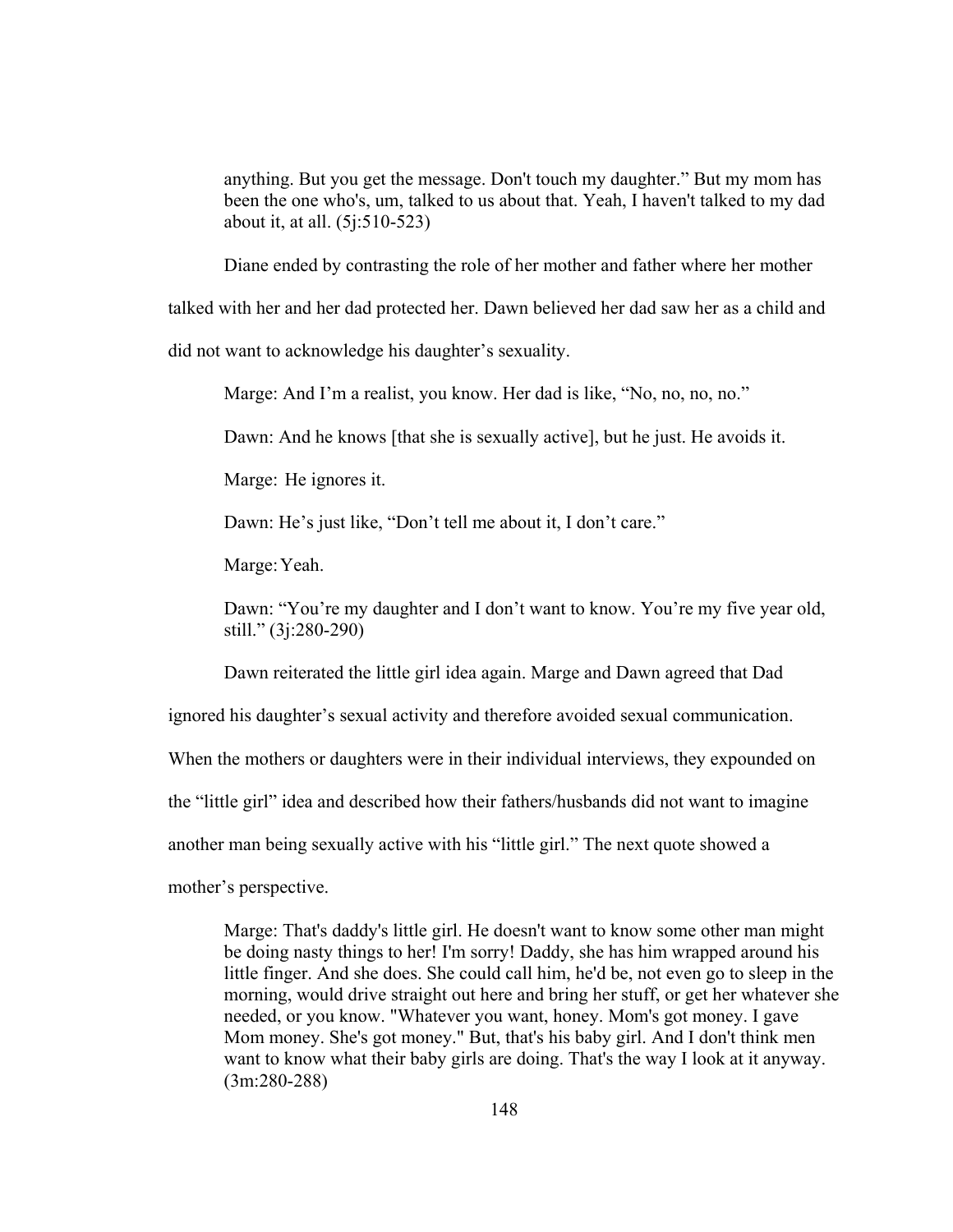anything. But you get the message. Don't touch my daughter." But my mom has been the one who's, um, talked to us about that. Yeah, I haven't talked to my dad about it, at all. (5j:510-523)

Diane ended by contrasting the role of her mother and father where her mother

talked with her and her dad protected her. Dawn believed her dad saw her as a child and

did not want to acknowledge his daughter's sexuality.

Marge: And I'm a realist, you know. Her dad is like, "No, no, no, no."

Dawn: And he knows [that she is sexually active], but he just. He avoids it.

Marge: He ignores it.

Dawn: He's just like, "Don't tell me about it, I don't care."

Marge: Yeah.

Dawn: "You're my daughter and I don't want to know. You're my five year old, still." (3j:280-290)

Dawn reiterated the little girl idea again. Marge and Dawn agreed that Dad

ignored his daughter's sexual activity and therefore avoided sexual communication.

When the mothers or daughters were in their individual interviews, they expounded on

the "little girl" idea and described how their fathers/husbands did not want to imagine

another man being sexually active with his "little girl." The next quote showed a

mother's perspective.

Marge: That's daddy's little girl. He doesn't want to know some other man might be doing nasty things to her! I'm sorry! Daddy, she has him wrapped around his little finger. And she does. She could call him, he'd be, not even go to sleep in the morning, would drive straight out here and bring her stuff, or get her whatever she needed, or you know. "Whatever you want, honey. Mom's got money. I gave Mom money. She's got money." But, that's his baby girl. And I don't think men want to know what their baby girls are doing. That's the way I look at it anyway. (3m:280-288)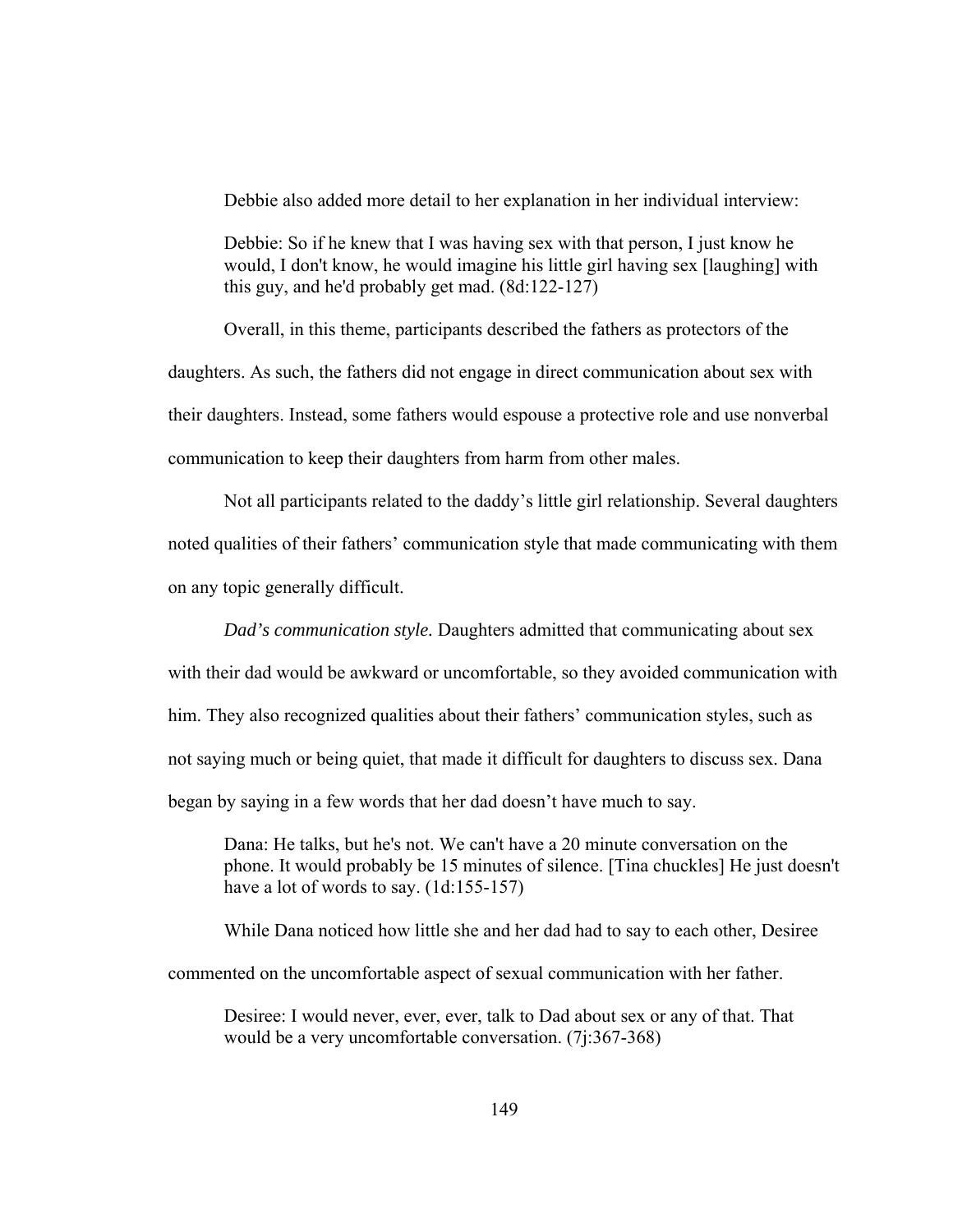Debbie also added more detail to her explanation in her individual interview:

Debbie: So if he knew that I was having sex with that person, I just know he would, I don't know, he would imagine his little girl having sex [laughing] with this guy, and he'd probably get mad. (8d:122-127)

Overall, in this theme, participants described the fathers as protectors of the daughters. As such, the fathers did not engage in direct communication about sex with their daughters. Instead, some fathers would espouse a protective role and use nonverbal communication to keep their daughters from harm from other males.

 Not all participants related to the daddy's little girl relationship. Several daughters noted qualities of their fathers' communication style that made communicating with them on any topic generally difficult.

*Dad's communication style.* Daughters admitted that communicating about sex with their dad would be awkward or uncomfortable, so they avoided communication with him. They also recognized qualities about their fathers' communication styles, such as not saying much or being quiet, that made it difficult for daughters to discuss sex. Dana began by saying in a few words that her dad doesn't have much to say.

Dana: He talks, but he's not. We can't have a 20 minute conversation on the phone. It would probably be 15 minutes of silence. [Tina chuckles] He just doesn't have a lot of words to say.  $(1d:155-157)$ 

While Dana noticed how little she and her dad had to say to each other, Desiree

commented on the uncomfortable aspect of sexual communication with her father.

Desiree: I would never, ever, ever, talk to Dad about sex or any of that. That would be a very uncomfortable conversation. (7j:367-368)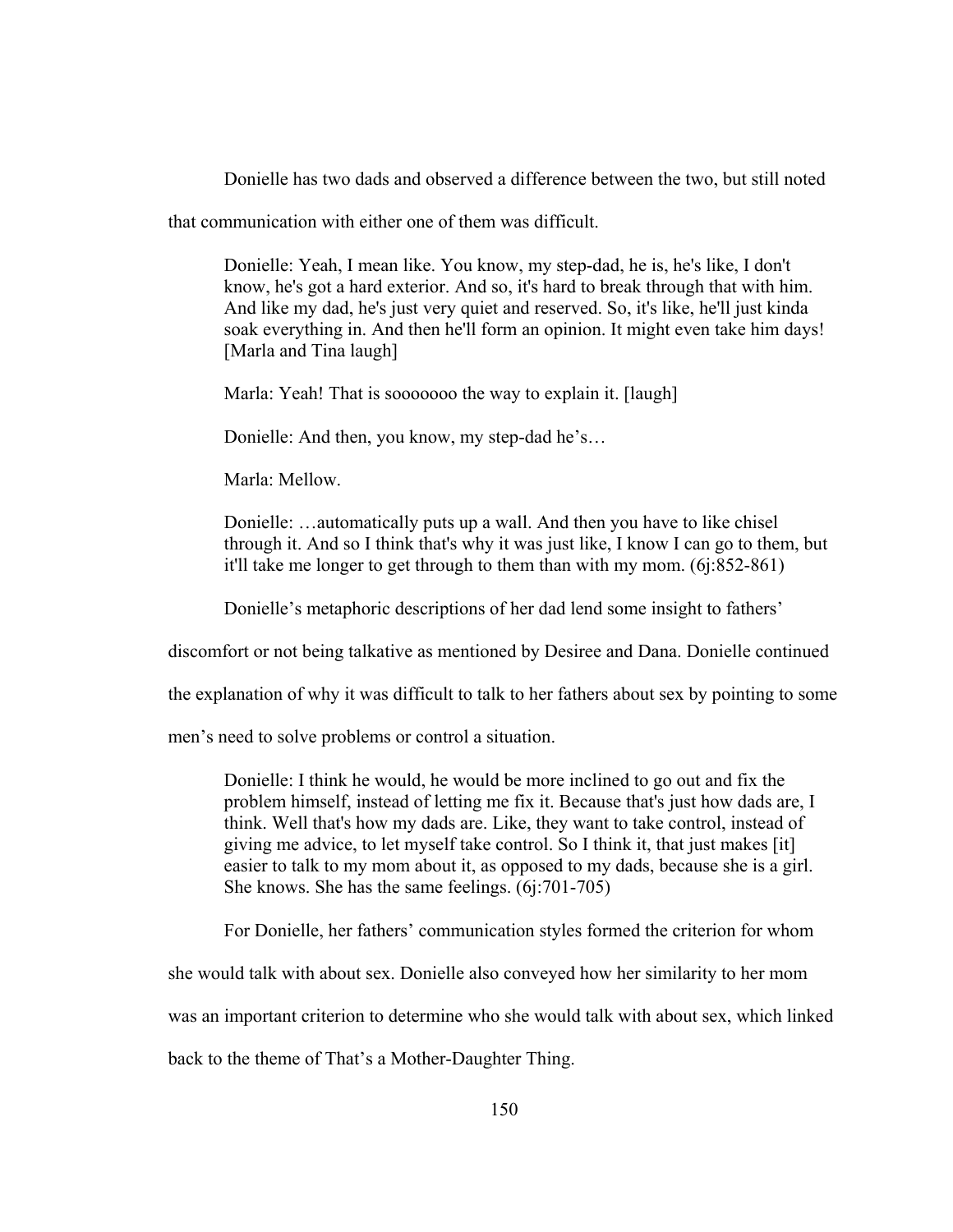Donielle has two dads and observed a difference between the two, but still noted

that communication with either one of them was difficult.

Donielle: Yeah, I mean like. You know, my step-dad, he is, he's like, I don't know, he's got a hard exterior. And so, it's hard to break through that with him. And like my dad, he's just very quiet and reserved. So, it's like, he'll just kinda soak everything in. And then he'll form an opinion. It might even take him days! [Marla and Tina laugh]

Marla: Yeah! That is sooooooo the way to explain it. [laugh]

Donielle: And then, you know, my step-dad he's…

Marla: Mellow.

Donielle: …automatically puts up a wall. And then you have to like chisel through it. And so I think that's why it was just like, I know I can go to them, but it'll take me longer to get through to them than with my mom. (6j:852-861)

Donielle's metaphoric descriptions of her dad lend some insight to fathers'

discomfort or not being talkative as mentioned by Desiree and Dana. Donielle continued

the explanation of why it was difficult to talk to her fathers about sex by pointing to some

men's need to solve problems or control a situation.

Donielle: I think he would, he would be more inclined to go out and fix the problem himself, instead of letting me fix it. Because that's just how dads are, I think. Well that's how my dads are. Like, they want to take control, instead of giving me advice, to let myself take control. So I think it, that just makes [it] easier to talk to my mom about it, as opposed to my dads, because she is a girl. She knows. She has the same feelings. (6j:701-705)

For Donielle, her fathers' communication styles formed the criterion for whom

she would talk with about sex. Donielle also conveyed how her similarity to her mom

was an important criterion to determine who she would talk with about sex, which linked

back to the theme of That's a Mother-Daughter Thing.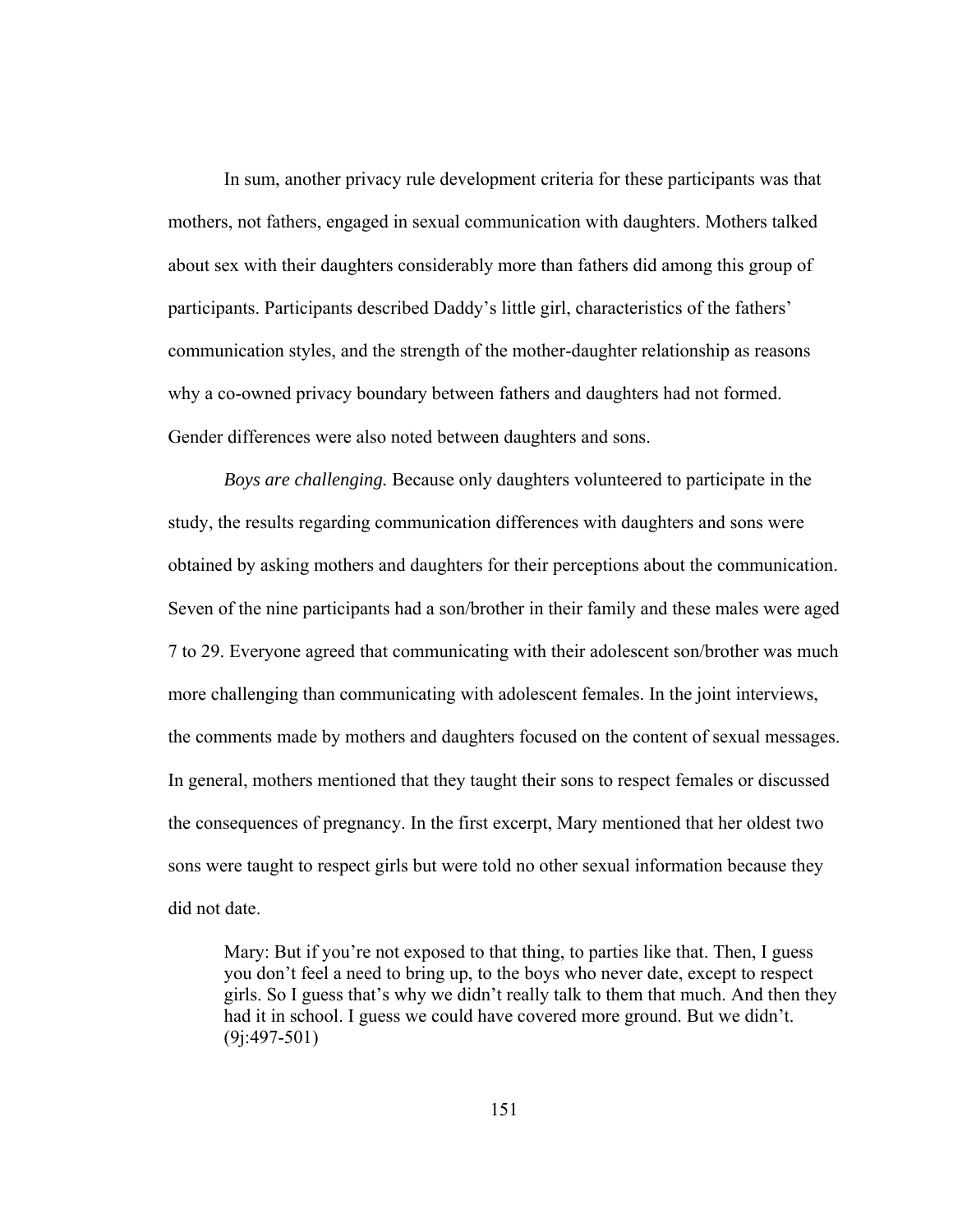In sum, another privacy rule development criteria for these participants was that mothers, not fathers, engaged in sexual communication with daughters. Mothers talked about sex with their daughters considerably more than fathers did among this group of participants. Participants described Daddy's little girl, characteristics of the fathers' communication styles, and the strength of the mother-daughter relationship as reasons why a co-owned privacy boundary between fathers and daughters had not formed. Gender differences were also noted between daughters and sons.

*Boys are challenging.* Because only daughters volunteered to participate in the study, the results regarding communication differences with daughters and sons were obtained by asking mothers and daughters for their perceptions about the communication. Seven of the nine participants had a son/brother in their family and these males were aged 7 to 29. Everyone agreed that communicating with their adolescent son/brother was much more challenging than communicating with adolescent females. In the joint interviews, the comments made by mothers and daughters focused on the content of sexual messages. In general, mothers mentioned that they taught their sons to respect females or discussed the consequences of pregnancy. In the first excerpt, Mary mentioned that her oldest two sons were taught to respect girls but were told no other sexual information because they did not date.

Mary: But if you're not exposed to that thing, to parties like that. Then, I guess you don't feel a need to bring up, to the boys who never date, except to respect girls. So I guess that's why we didn't really talk to them that much. And then they had it in school. I guess we could have covered more ground. But we didn't. (9j:497-501)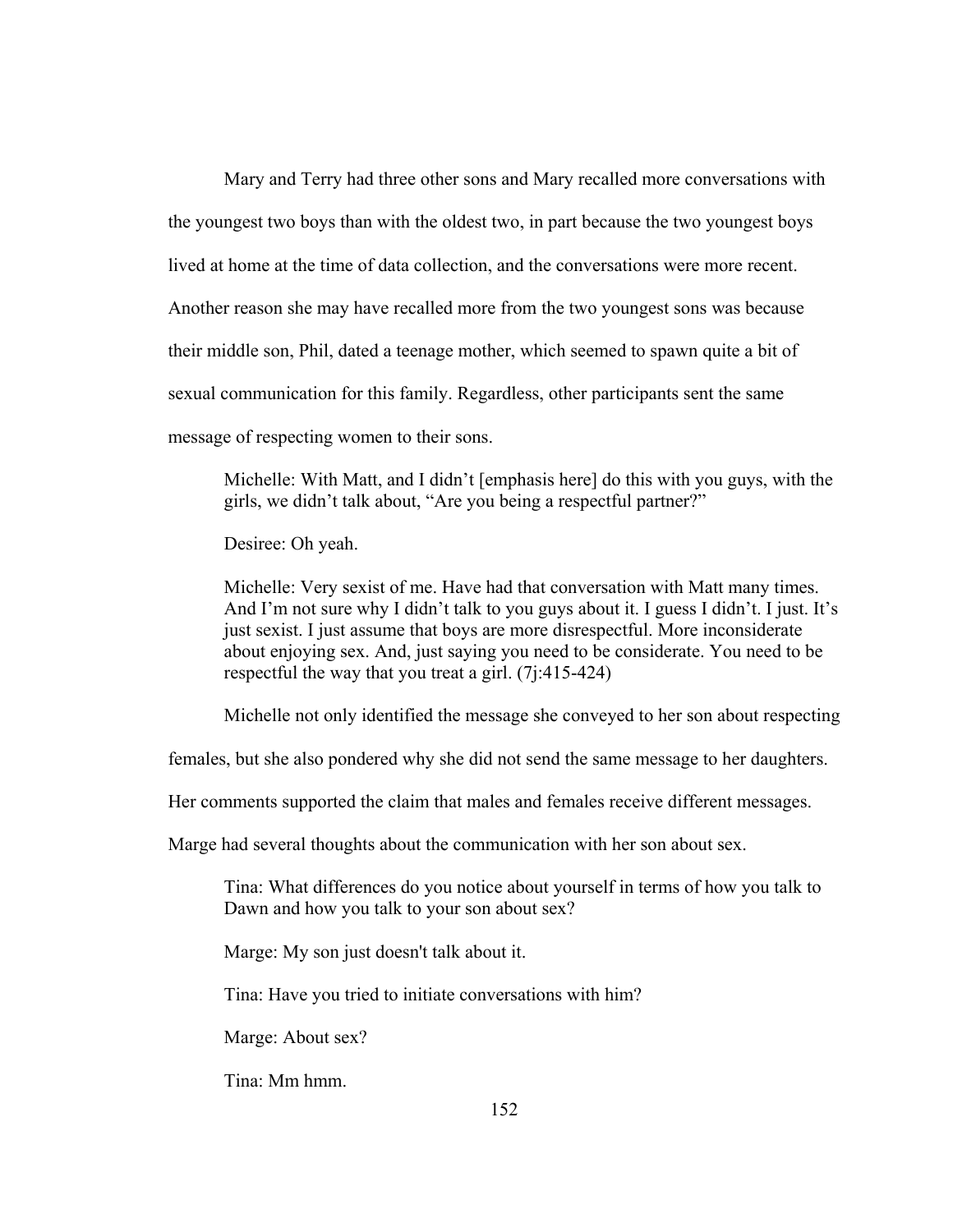Mary and Terry had three other sons and Mary recalled more conversations with the youngest two boys than with the oldest two, in part because the two youngest boys lived at home at the time of data collection, and the conversations were more recent. Another reason she may have recalled more from the two youngest sons was because their middle son, Phil, dated a teenage mother, which seemed to spawn quite a bit of sexual communication for this family. Regardless, other participants sent the same message of respecting women to their sons.

Michelle: With Matt, and I didn't [emphasis here] do this with you guys, with the girls, we didn't talk about, "Are you being a respectful partner?"

Desiree: Oh yeah.

Michelle: Very sexist of me. Have had that conversation with Matt many times. And I'm not sure why I didn't talk to you guys about it. I guess I didn't. I just. It's just sexist. I just assume that boys are more disrespectful. More inconsiderate about enjoying sex. And, just saying you need to be considerate. You need to be respectful the way that you treat a girl. (7j:415-424)

Michelle not only identified the message she conveyed to her son about respecting

females, but she also pondered why she did not send the same message to her daughters.

Her comments supported the claim that males and females receive different messages.

Marge had several thoughts about the communication with her son about sex.

Tina: What differences do you notice about yourself in terms of how you talk to Dawn and how you talk to your son about sex?

Marge: My son just doesn't talk about it.

Tina: Have you tried to initiate conversations with him?

Marge: About sex?

Tina: Mm hmm.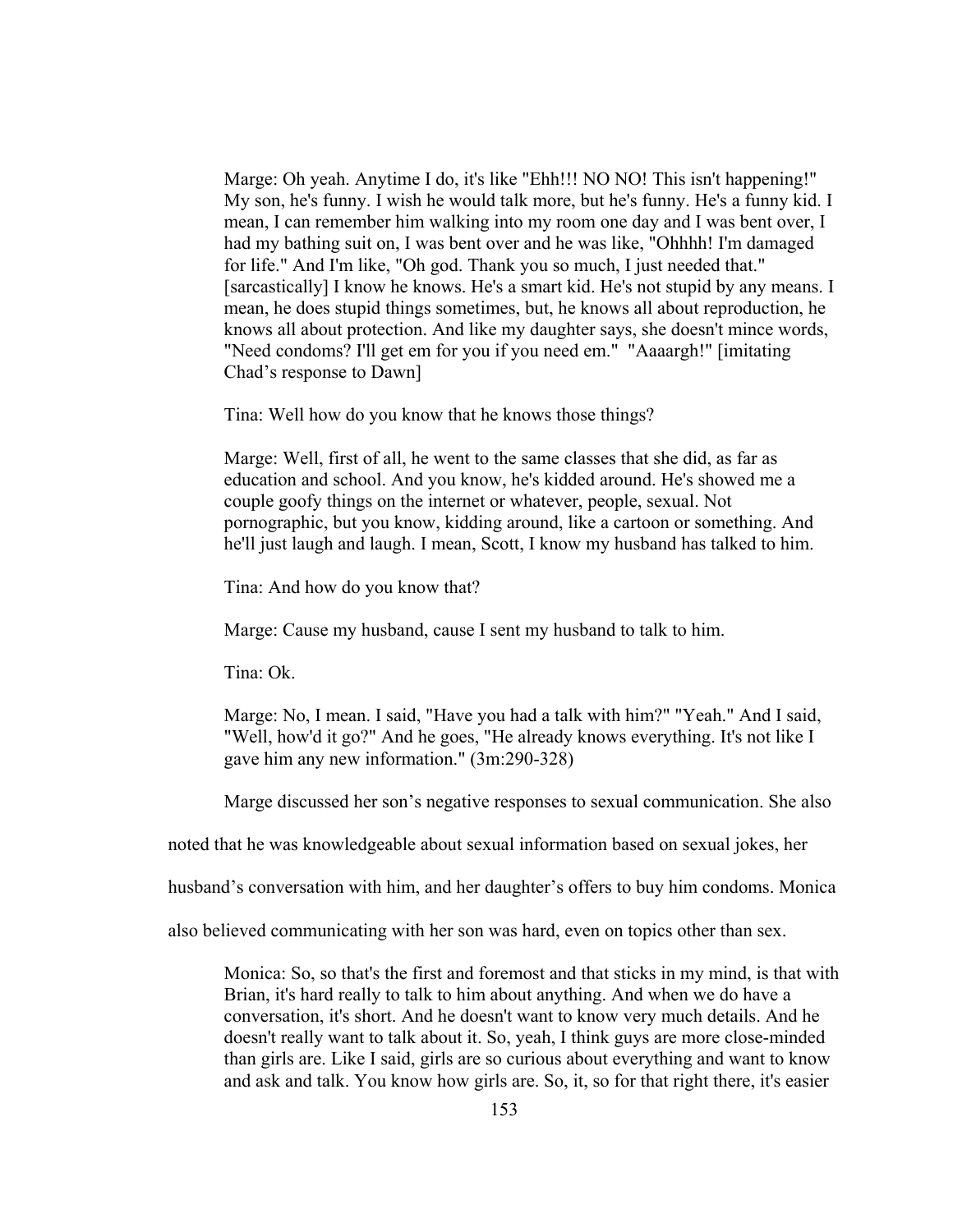Marge: Oh yeah. Anytime I do, it's like "Ehh!!! NO NO! This isn't happening!" My son, he's funny. I wish he would talk more, but he's funny. He's a funny kid. I mean, I can remember him walking into my room one day and I was bent over, I had my bathing suit on, I was bent over and he was like, "Ohhhh! I'm damaged for life." And I'm like, "Oh god. Thank you so much, I just needed that." [sarcastically] I know he knows. He's a smart kid. He's not stupid by any means. I mean, he does stupid things sometimes, but, he knows all about reproduction, he knows all about protection. And like my daughter says, she doesn't mince words, "Need condoms? I'll get em for you if you need em." "Aaaargh!" [imitating Chad's response to Dawn]

Tina: Well how do you know that he knows those things?

Marge: Well, first of all, he went to the same classes that she did, as far as education and school. And you know, he's kidded around. He's showed me a couple goofy things on the internet or whatever, people, sexual. Not pornographic, but you know, kidding around, like a cartoon or something. And he'll just laugh and laugh. I mean, Scott, I know my husband has talked to him.

Tina: And how do you know that?

Marge: Cause my husband, cause I sent my husband to talk to him.

Tina: Ok.

Marge: No, I mean. I said, "Have you had a talk with him?" "Yeah." And I said, "Well, how'd it go?" And he goes, "He already knows everything. It's not like I gave him any new information." (3m:290-328)

Marge discussed her son's negative responses to sexual communication. She also

noted that he was knowledgeable about sexual information based on sexual jokes, her

husband's conversation with him, and her daughter's offers to buy him condoms. Monica

also believed communicating with her son was hard, even on topics other than sex.

Monica: So, so that's the first and foremost and that sticks in my mind, is that with Brian, it's hard really to talk to him about anything. And when we do have a conversation, it's short. And he doesn't want to know very much details. And he doesn't really want to talk about it. So, yeah, I think guys are more close-minded than girls are. Like I said, girls are so curious about everything and want to know and ask and talk. You know how girls are. So, it, so for that right there, it's easier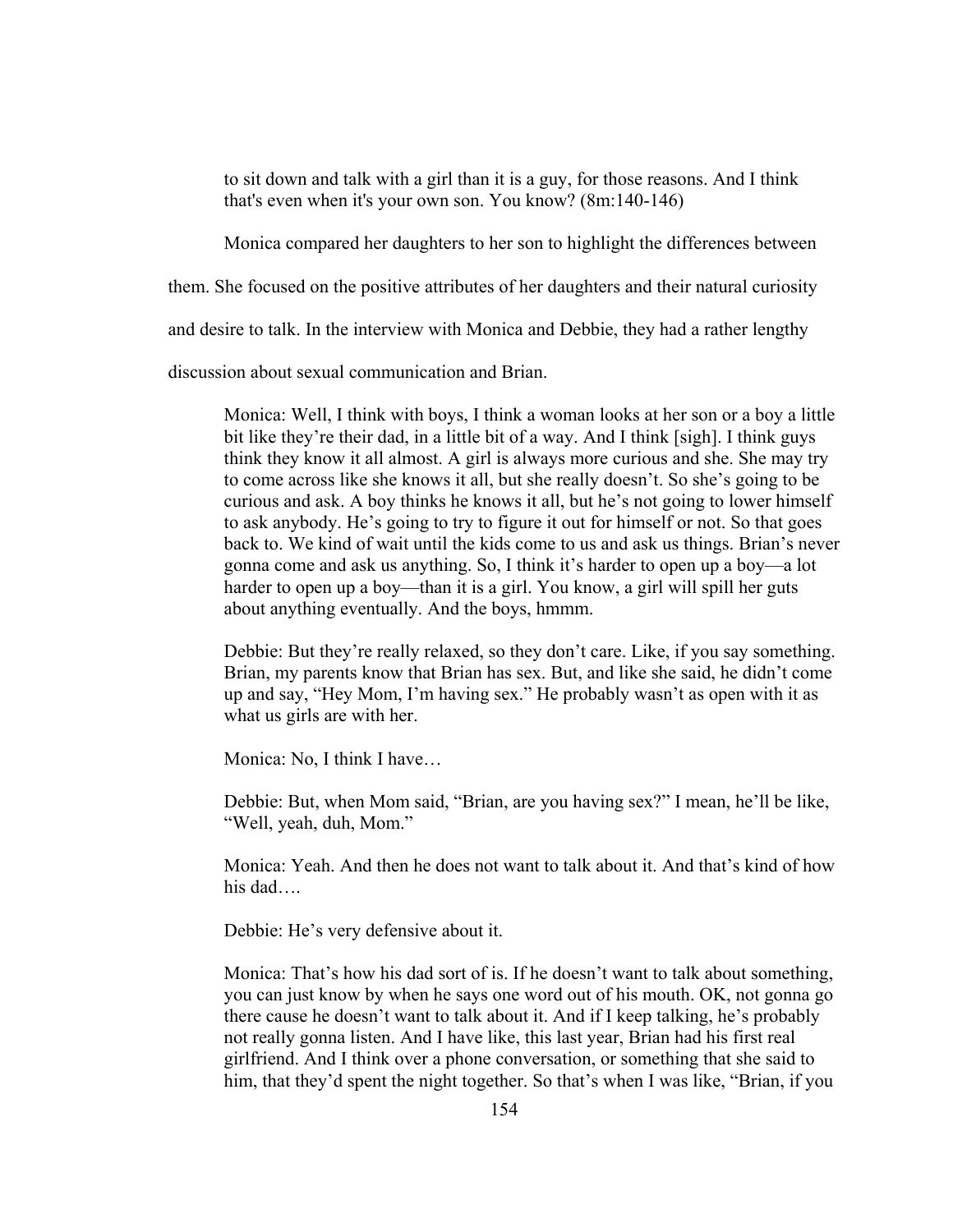to sit down and talk with a girl than it is a guy, for those reasons. And I think that's even when it's your own son. You know? (8m:140-146)

Monica compared her daughters to her son to highlight the differences between

them. She focused on the positive attributes of her daughters and their natural curiosity

and desire to talk. In the interview with Monica and Debbie, they had a rather lengthy

discussion about sexual communication and Brian.

Monica: Well, I think with boys, I think a woman looks at her son or a boy a little bit like they're their dad, in a little bit of a way. And I think [sigh]. I think guys think they know it all almost. A girl is always more curious and she. She may try to come across like she knows it all, but she really doesn't. So she's going to be curious and ask. A boy thinks he knows it all, but he's not going to lower himself to ask anybody. He's going to try to figure it out for himself or not. So that goes back to. We kind of wait until the kids come to us and ask us things. Brian's never gonna come and ask us anything. So, I think it's harder to open up a boy—a lot harder to open up a boy—than it is a girl. You know, a girl will spill her guts about anything eventually. And the boys, hmmm.

Debbie: But they're really relaxed, so they don't care. Like, if you say something. Brian, my parents know that Brian has sex. But, and like she said, he didn't come up and say, "Hey Mom, I'm having sex." He probably wasn't as open with it as what us girls are with her.

Monica: No, I think I have…

Debbie: But, when Mom said, "Brian, are you having sex?" I mean, he'll be like, "Well, yeah, duh, Mom."

Monica: Yeah. And then he does not want to talk about it. And that's kind of how his dad….

Debbie: He's very defensive about it.

Monica: That's how his dad sort of is. If he doesn't want to talk about something, you can just know by when he says one word out of his mouth. OK, not gonna go there cause he doesn't want to talk about it. And if I keep talking, he's probably not really gonna listen. And I have like, this last year, Brian had his first real girlfriend. And I think over a phone conversation, or something that she said to him, that they'd spent the night together. So that's when I was like, "Brian, if you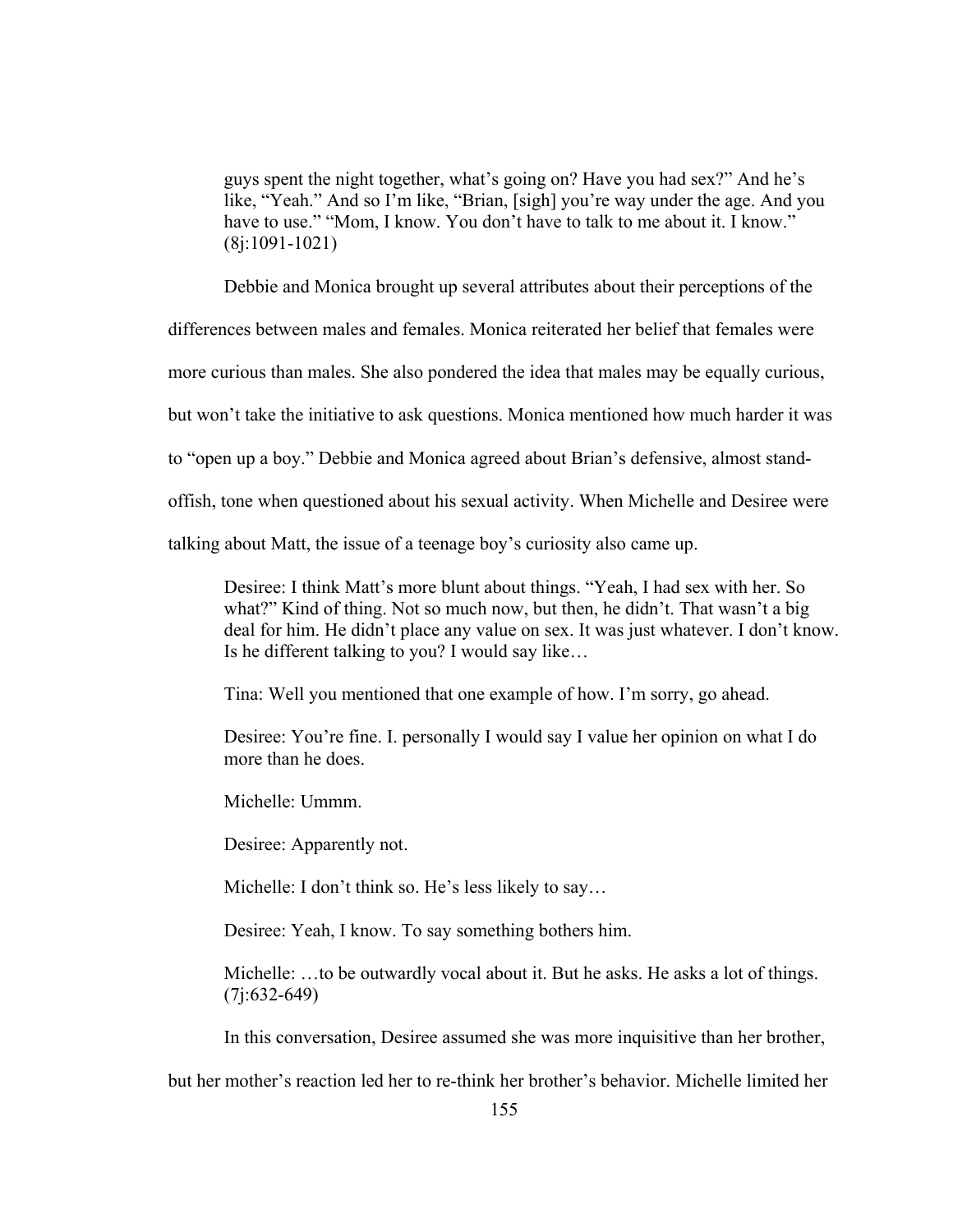guys spent the night together, what's going on? Have you had sex?" And he's like, "Yeah." And so I'm like, "Brian, [sigh] you're way under the age. And you have to use." "Mom, I know. You don't have to talk to me about it. I know." (8j:1091-1021)

Debbie and Monica brought up several attributes about their perceptions of the

differences between males and females. Monica reiterated her belief that females were

more curious than males. She also pondered the idea that males may be equally curious,

but won't take the initiative to ask questions. Monica mentioned how much harder it was

to "open up a boy." Debbie and Monica agreed about Brian's defensive, almost stand-

offish, tone when questioned about his sexual activity. When Michelle and Desiree were

talking about Matt, the issue of a teenage boy's curiosity also came up.

Desiree: I think Matt's more blunt about things. "Yeah, I had sex with her. So what?" Kind of thing. Not so much now, but then, he didn't. That wasn't a big deal for him. He didn't place any value on sex. It was just whatever. I don't know. Is he different talking to you? I would say like…

Tina: Well you mentioned that one example of how. I'm sorry, go ahead.

Desiree: You're fine. I. personally I would say I value her opinion on what I do more than he does.

Michelle: Ummm.

Desiree: Apparently not.

Michelle: I don't think so. He's less likely to say...

Desiree: Yeah, I know. To say something bothers him.

Michelle: …to be outwardly vocal about it. But he asks. He asks a lot of things. (7j:632-649)

In this conversation, Desiree assumed she was more inquisitive than her brother,

but her mother's reaction led her to re-think her brother's behavior. Michelle limited her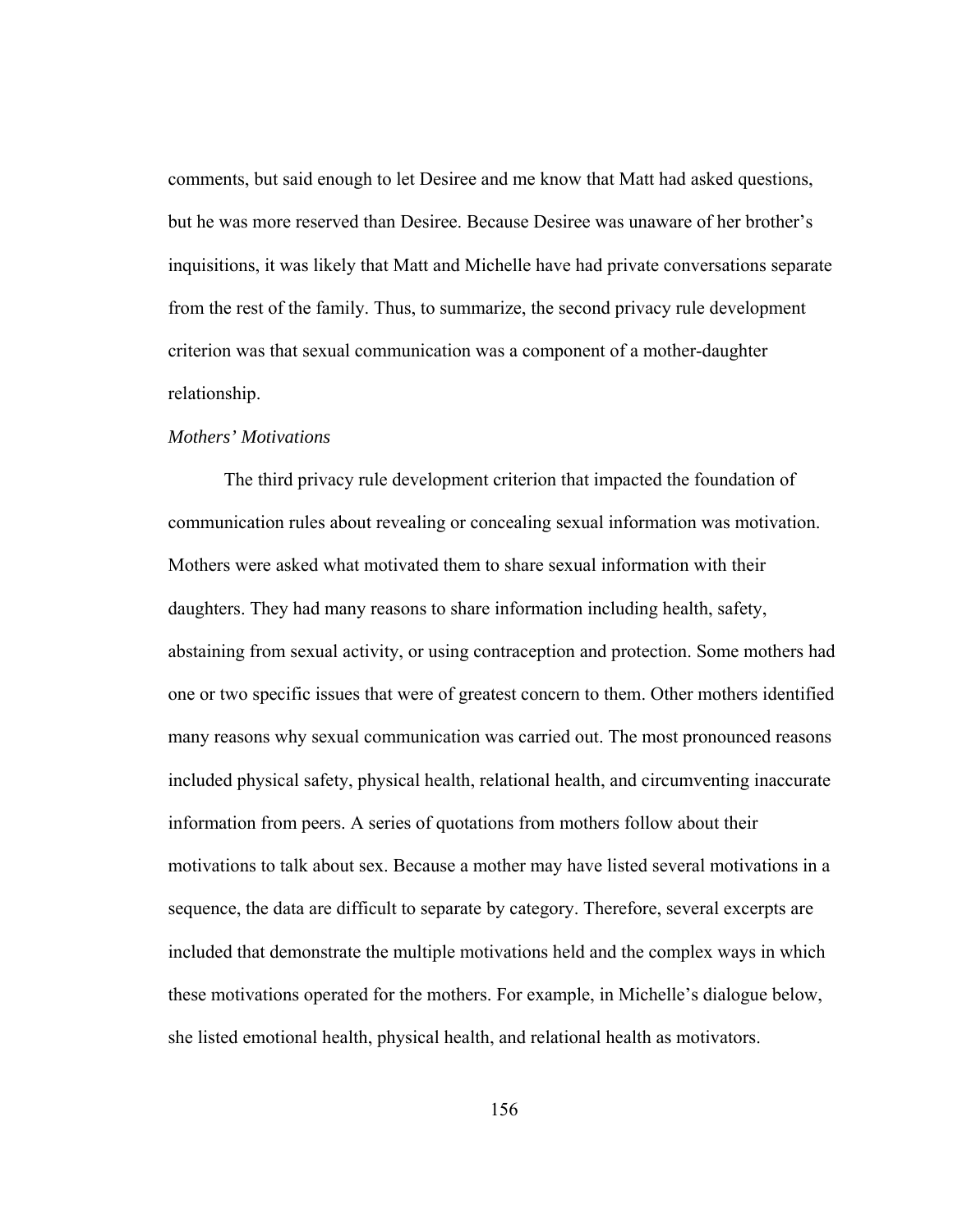comments, but said enough to let Desiree and me know that Matt had asked questions, but he was more reserved than Desiree. Because Desiree was unaware of her brother's inquisitions, it was likely that Matt and Michelle have had private conversations separate from the rest of the family. Thus, to summarize, the second privacy rule development criterion was that sexual communication was a component of a mother-daughter relationship.

# *Mothers' Motivations*

 The third privacy rule development criterion that impacted the foundation of communication rules about revealing or concealing sexual information was motivation. Mothers were asked what motivated them to share sexual information with their daughters. They had many reasons to share information including health, safety, abstaining from sexual activity, or using contraception and protection. Some mothers had one or two specific issues that were of greatest concern to them. Other mothers identified many reasons why sexual communication was carried out. The most pronounced reasons included physical safety, physical health, relational health, and circumventing inaccurate information from peers. A series of quotations from mothers follow about their motivations to talk about sex. Because a mother may have listed several motivations in a sequence, the data are difficult to separate by category. Therefore, several excerpts are included that demonstrate the multiple motivations held and the complex ways in which these motivations operated for the mothers. For example, in Michelle's dialogue below, she listed emotional health, physical health, and relational health as motivators.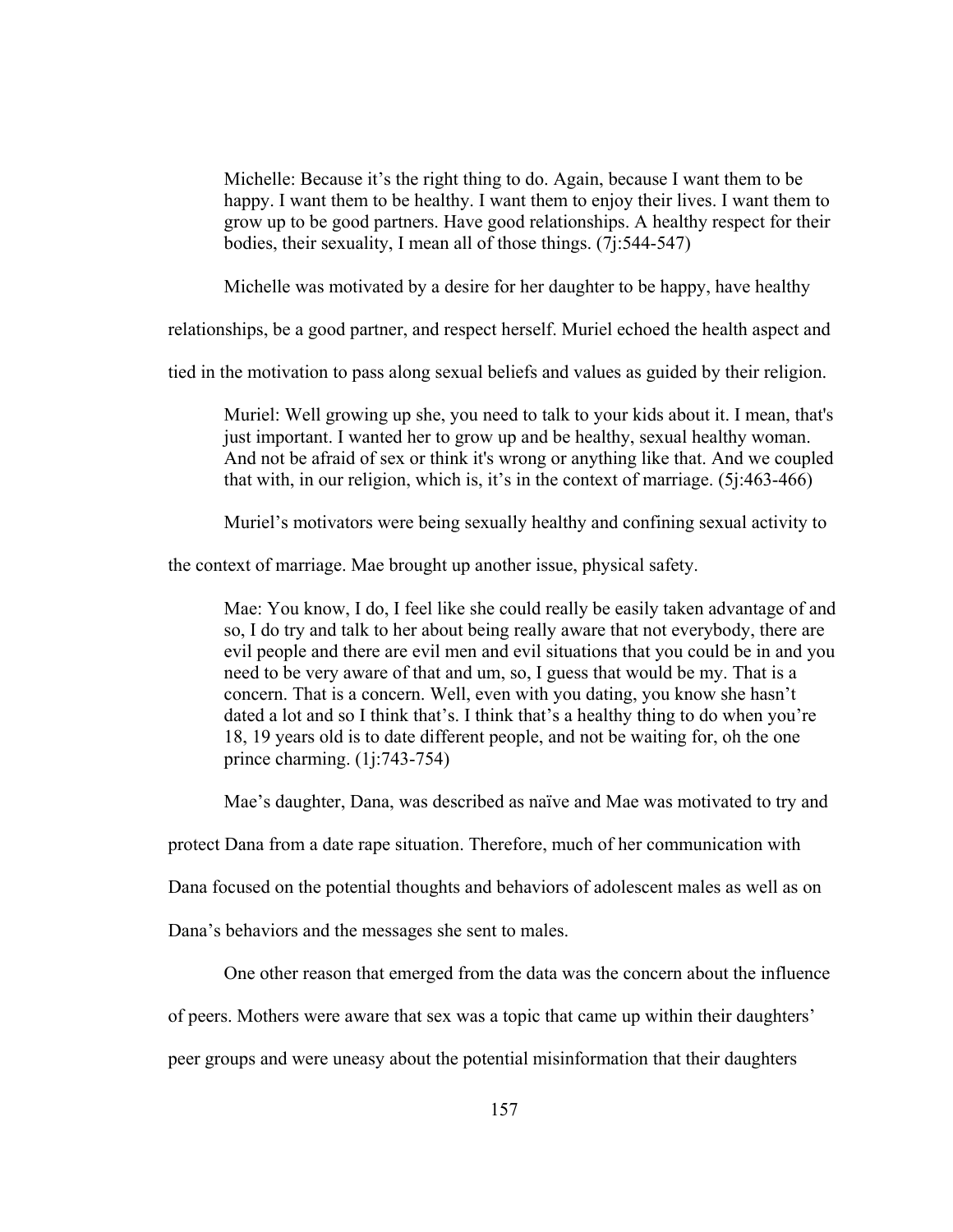Michelle: Because it's the right thing to do. Again, because I want them to be happy. I want them to be healthy. I want them to enjoy their lives. I want them to grow up to be good partners. Have good relationships. A healthy respect for their bodies, their sexuality, I mean all of those things. (7j:544-547)

Michelle was motivated by a desire for her daughter to be happy, have healthy

relationships, be a good partner, and respect herself. Muriel echoed the health aspect and

tied in the motivation to pass along sexual beliefs and values as guided by their religion.

Muriel: Well growing up she, you need to talk to your kids about it. I mean, that's just important. I wanted her to grow up and be healthy, sexual healthy woman. And not be afraid of sex or think it's wrong or anything like that. And we coupled that with, in our religion, which is, it's in the context of marriage. (5j:463-466)

Muriel's motivators were being sexually healthy and confining sexual activity to

the context of marriage. Mae brought up another issue, physical safety.

Mae: You know, I do, I feel like she could really be easily taken advantage of and so, I do try and talk to her about being really aware that not everybody, there are evil people and there are evil men and evil situations that you could be in and you need to be very aware of that and um, so, I guess that would be my. That is a concern. That is a concern. Well, even with you dating, you know she hasn't dated a lot and so I think that's. I think that's a healthy thing to do when you're 18, 19 years old is to date different people, and not be waiting for, oh the one prince charming. (1j:743-754)

Mae's daughter, Dana, was described as naïve and Mae was motivated to try and

protect Dana from a date rape situation. Therefore, much of her communication with

Dana focused on the potential thoughts and behaviors of adolescent males as well as on

Dana's behaviors and the messages she sent to males.

One other reason that emerged from the data was the concern about the influence

of peers. Mothers were aware that sex was a topic that came up within their daughters'

peer groups and were uneasy about the potential misinformation that their daughters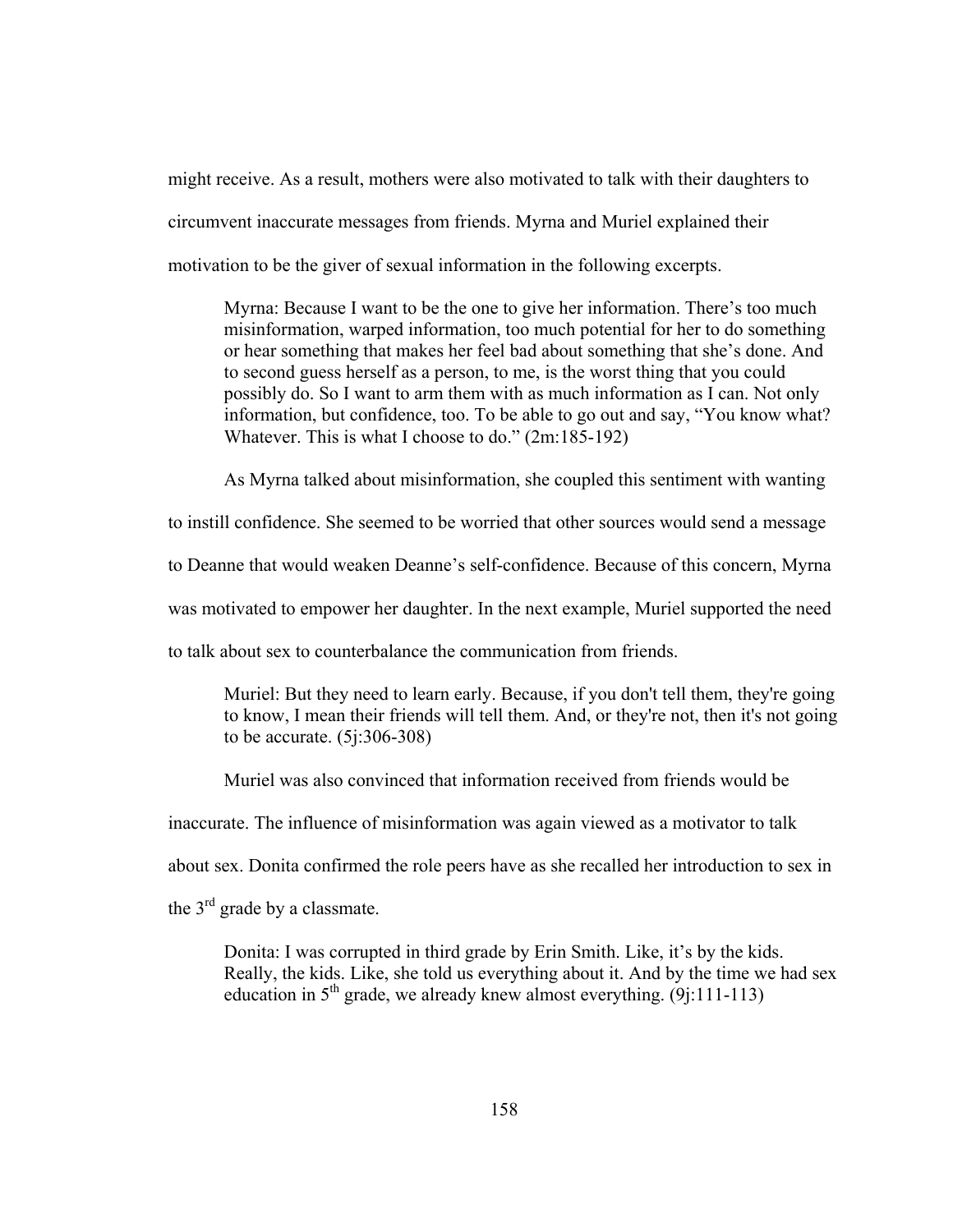might receive. As a result, mothers were also motivated to talk with their daughters to circumvent inaccurate messages from friends. Myrna and Muriel explained their motivation to be the giver of sexual information in the following excerpts.

Myrna: Because I want to be the one to give her information. There's too much misinformation, warped information, too much potential for her to do something or hear something that makes her feel bad about something that she's done. And to second guess herself as a person, to me, is the worst thing that you could possibly do. So I want to arm them with as much information as I can. Not only information, but confidence, too. To be able to go out and say, "You know what? Whatever. This is what I choose to do." (2m:185-192)

As Myrna talked about misinformation, she coupled this sentiment with wanting

to instill confidence. She seemed to be worried that other sources would send a message

to Deanne that would weaken Deanne's self-confidence. Because of this concern, Myrna

was motivated to empower her daughter. In the next example, Muriel supported the need

to talk about sex to counterbalance the communication from friends.

Muriel: But they need to learn early. Because, if you don't tell them, they're going to know, I mean their friends will tell them. And, or they're not, then it's not going to be accurate. (5j:306-308)

Muriel was also convinced that information received from friends would be

inaccurate. The influence of misinformation was again viewed as a motivator to talk

about sex. Donita confirmed the role peers have as she recalled her introduction to sex in

the  $3<sup>rd</sup>$  grade by a classmate.

Donita: I was corrupted in third grade by Erin Smith. Like, it's by the kids. Really, the kids. Like, she told us everything about it. And by the time we had sex education in  $5<sup>th</sup>$  grade, we already knew almost everything. (9j:111-113)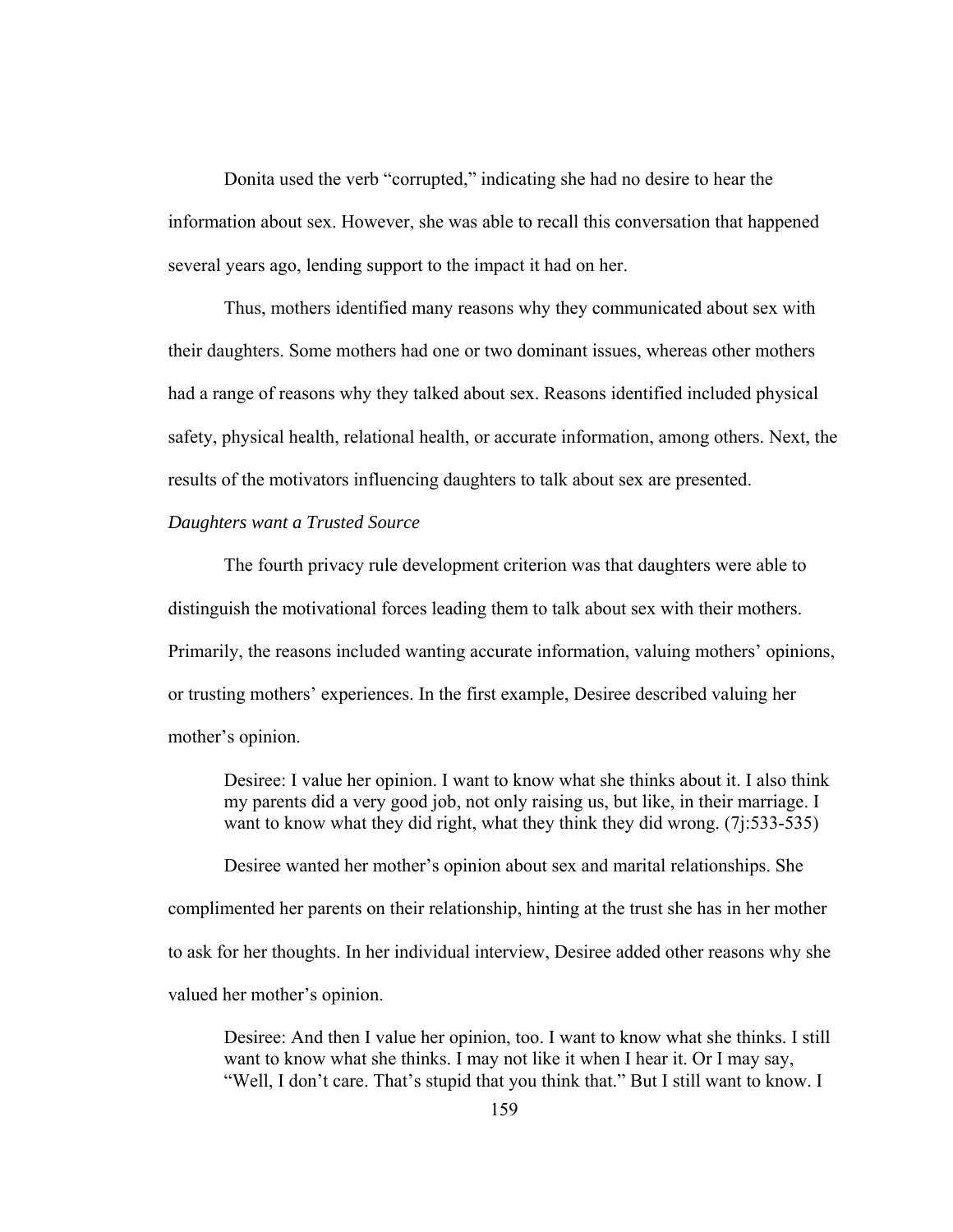Donita used the verb "corrupted," indicating she had no desire to hear the information about sex. However, she was able to recall this conversation that happened several years ago, lending support to the impact it had on her.

Thus, mothers identified many reasons why they communicated about sex with their daughters. Some mothers had one or two dominant issues, whereas other mothers had a range of reasons why they talked about sex. Reasons identified included physical safety, physical health, relational health, or accurate information, among others. Next, the results of the motivators influencing daughters to talk about sex are presented.

### *Daughters want a Trusted Source*

The fourth privacy rule development criterion was that daughters were able to distinguish the motivational forces leading them to talk about sex with their mothers. Primarily, the reasons included wanting accurate information, valuing mothers' opinions, or trusting mothers' experiences. In the first example, Desiree described valuing her mother's opinion.

Desiree: I value her opinion. I want to know what she thinks about it. I also think my parents did a very good job, not only raising us, but like, in their marriage. I want to know what they did right, what they think they did wrong. (7.1:533-535)

Desiree wanted her mother's opinion about sex and marital relationships. She complimented her parents on their relationship, hinting at the trust she has in her mother to ask for her thoughts. In her individual interview, Desiree added other reasons why she valued her mother's opinion.

Desiree: And then I value her opinion, too. I want to know what she thinks. I still want to know what she thinks. I may not like it when I hear it. Or I may say, "Well, I don't care. That's stupid that you think that." But I still want to know. I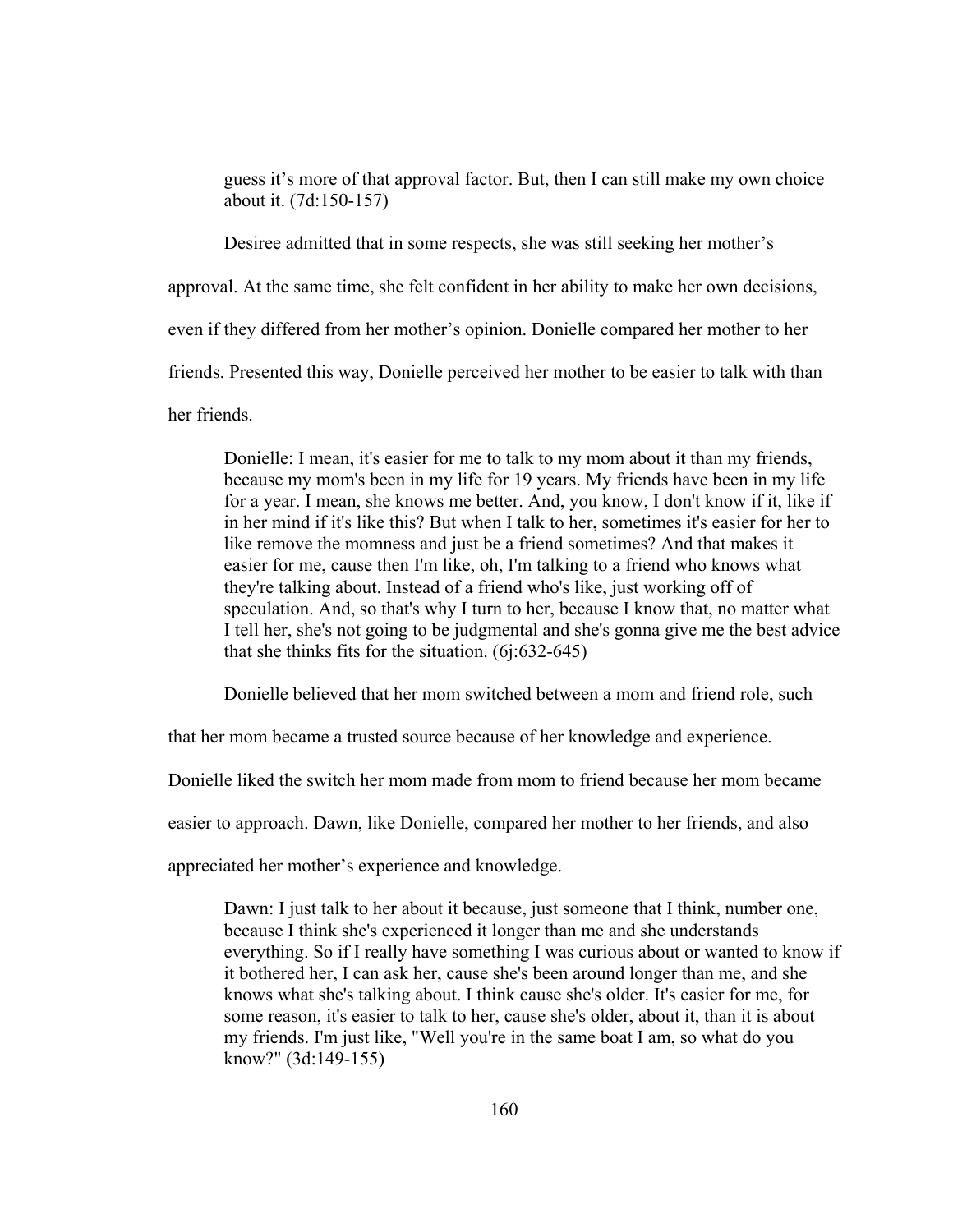guess it's more of that approval factor. But, then I can still make my own choice about it. (7d:150-157)

Desiree admitted that in some respects, she was still seeking her mother's

approval. At the same time, she felt confident in her ability to make her own decisions,

even if they differed from her mother's opinion. Donielle compared her mother to her

friends. Presented this way, Donielle perceived her mother to be easier to talk with than

her friends.

Donielle: I mean, it's easier for me to talk to my mom about it than my friends, because my mom's been in my life for 19 years. My friends have been in my life for a year. I mean, she knows me better. And, you know, I don't know if it, like if in her mind if it's like this? But when I talk to her, sometimes it's easier for her to like remove the momness and just be a friend sometimes? And that makes it easier for me, cause then I'm like, oh, I'm talking to a friend who knows what they're talking about. Instead of a friend who's like, just working off of speculation. And, so that's why I turn to her, because I know that, no matter what I tell her, she's not going to be judgmental and she's gonna give me the best advice that she thinks fits for the situation. (6j:632-645)

Donielle believed that her mom switched between a mom and friend role, such

that her mom became a trusted source because of her knowledge and experience.

Donielle liked the switch her mom made from mom to friend because her mom became

easier to approach. Dawn, like Donielle, compared her mother to her friends, and also

appreciated her mother's experience and knowledge.

Dawn: I just talk to her about it because, just someone that I think, number one, because I think she's experienced it longer than me and she understands everything. So if I really have something I was curious about or wanted to know if it bothered her, I can ask her, cause she's been around longer than me, and she knows what she's talking about. I think cause she's older. It's easier for me, for some reason, it's easier to talk to her, cause she's older, about it, than it is about my friends. I'm just like, "Well you're in the same boat I am, so what do you know?" (3d:149-155)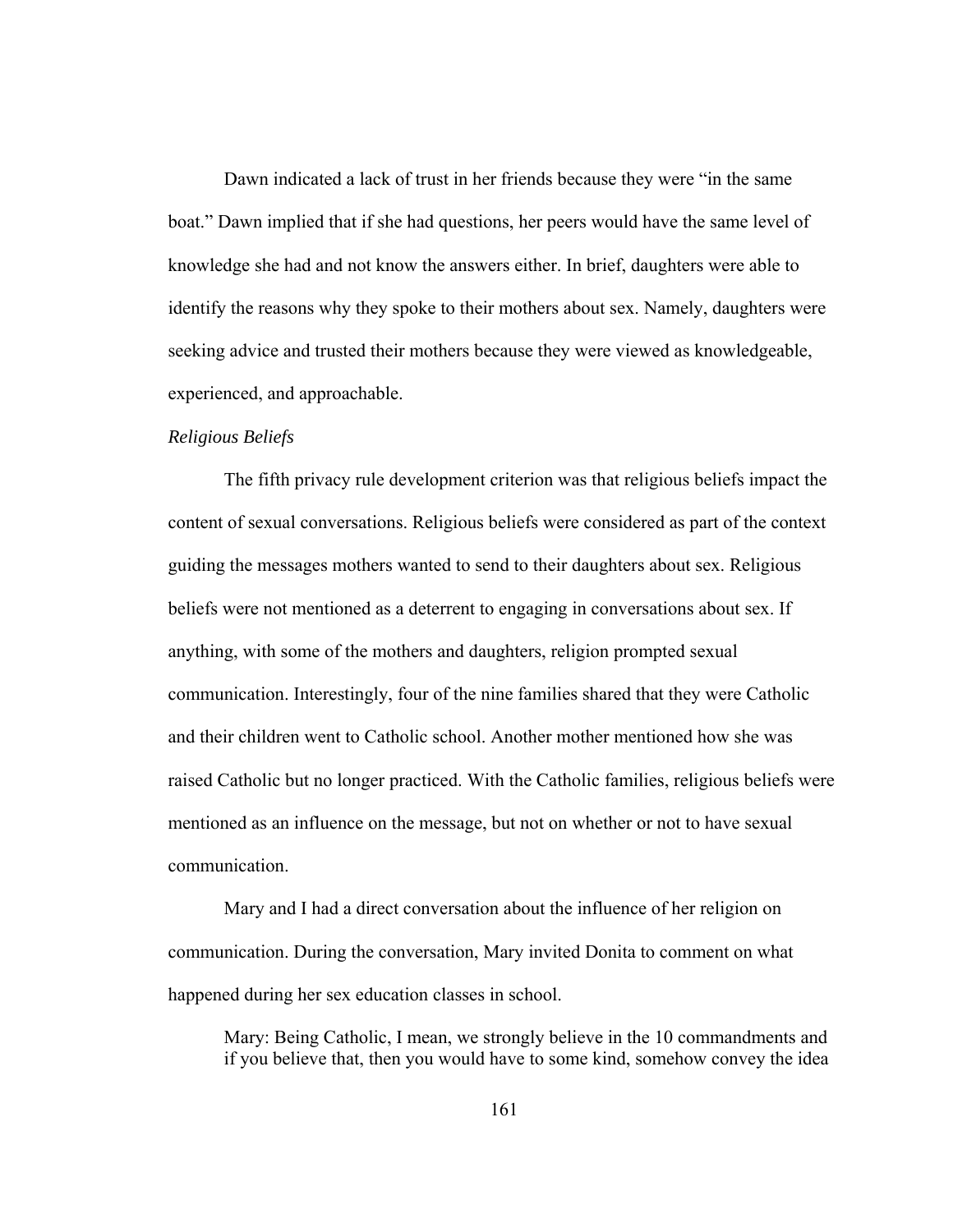Dawn indicated a lack of trust in her friends because they were "in the same boat." Dawn implied that if she had questions, her peers would have the same level of knowledge she had and not know the answers either. In brief, daughters were able to identify the reasons why they spoke to their mothers about sex. Namely, daughters were seeking advice and trusted their mothers because they were viewed as knowledgeable, experienced, and approachable.

### *Religious Beliefs*

The fifth privacy rule development criterion was that religious beliefs impact the content of sexual conversations. Religious beliefs were considered as part of the context guiding the messages mothers wanted to send to their daughters about sex. Religious beliefs were not mentioned as a deterrent to engaging in conversations about sex. If anything, with some of the mothers and daughters, religion prompted sexual communication. Interestingly, four of the nine families shared that they were Catholic and their children went to Catholic school. Another mother mentioned how she was raised Catholic but no longer practiced. With the Catholic families, religious beliefs were mentioned as an influence on the message, but not on whether or not to have sexual communication.

Mary and I had a direct conversation about the influence of her religion on communication. During the conversation, Mary invited Donita to comment on what happened during her sex education classes in school.

Mary: Being Catholic, I mean, we strongly believe in the 10 commandments and if you believe that, then you would have to some kind, somehow convey the idea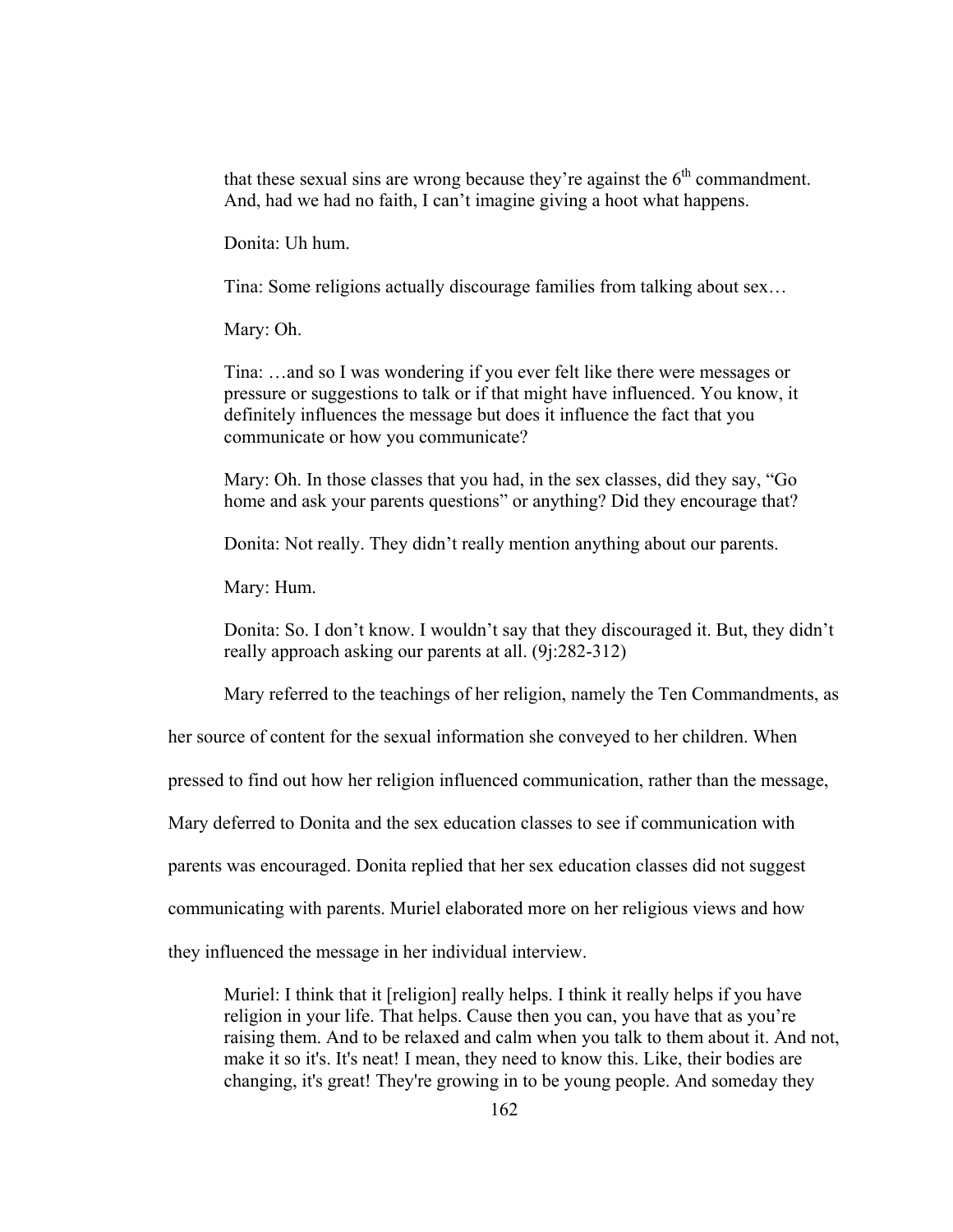that these sexual sins are wrong because they're against the  $6<sup>th</sup>$  commandment. And, had we had no faith, I can't imagine giving a hoot what happens.

Donita: Uh hum.

Tina: Some religions actually discourage families from talking about sex…

Mary: Oh.

Tina: …and so I was wondering if you ever felt like there were messages or pressure or suggestions to talk or if that might have influenced. You know, it definitely influences the message but does it influence the fact that you communicate or how you communicate?

Mary: Oh. In those classes that you had, in the sex classes, did they say, "Go home and ask your parents questions" or anything? Did they encourage that?

Donita: Not really. They didn't really mention anything about our parents.

Mary: Hum.

Donita: So. I don't know. I wouldn't say that they discouraged it. But, they didn't really approach asking our parents at all. (9j:282-312)

Mary referred to the teachings of her religion, namely the Ten Commandments, as

her source of content for the sexual information she conveyed to her children. When

pressed to find out how her religion influenced communication, rather than the message,

Mary deferred to Donita and the sex education classes to see if communication with

parents was encouraged. Donita replied that her sex education classes did not suggest

communicating with parents. Muriel elaborated more on her religious views and how

they influenced the message in her individual interview.

Muriel: I think that it [religion] really helps. I think it really helps if you have religion in your life. That helps. Cause then you can, you have that as you're raising them. And to be relaxed and calm when you talk to them about it. And not, make it so it's. It's neat! I mean, they need to know this. Like, their bodies are changing, it's great! They're growing in to be young people. And someday they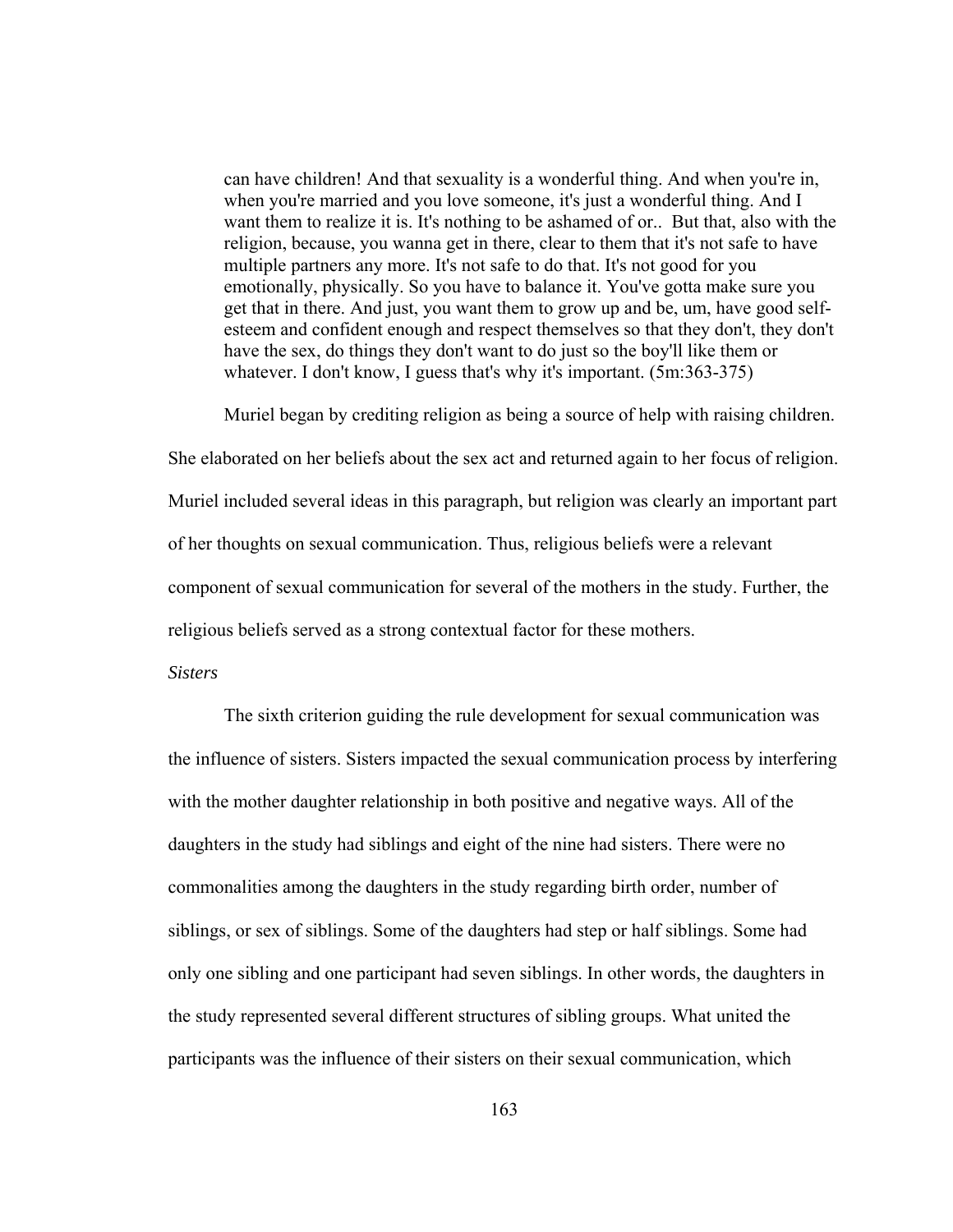can have children! And that sexuality is a wonderful thing. And when you're in, when you're married and you love someone, it's just a wonderful thing. And I want them to realize it is. It's nothing to be ashamed of or.. But that, also with the religion, because, you wanna get in there, clear to them that it's not safe to have multiple partners any more. It's not safe to do that. It's not good for you emotionally, physically. So you have to balance it. You've gotta make sure you get that in there. And just, you want them to grow up and be, um, have good selfesteem and confident enough and respect themselves so that they don't, they don't have the sex, do things they don't want to do just so the boy'll like them or whatever. I don't know, I guess that's why it's important. (5m:363-375)

Muriel began by crediting religion as being a source of help with raising children.

She elaborated on her beliefs about the sex act and returned again to her focus of religion. Muriel included several ideas in this paragraph, but religion was clearly an important part of her thoughts on sexual communication. Thus, religious beliefs were a relevant component of sexual communication for several of the mothers in the study. Further, the religious beliefs served as a strong contextual factor for these mothers.

#### *Sisters*

The sixth criterion guiding the rule development for sexual communication was the influence of sisters. Sisters impacted the sexual communication process by interfering with the mother daughter relationship in both positive and negative ways. All of the daughters in the study had siblings and eight of the nine had sisters. There were no commonalities among the daughters in the study regarding birth order, number of siblings, or sex of siblings. Some of the daughters had step or half siblings. Some had only one sibling and one participant had seven siblings. In other words, the daughters in the study represented several different structures of sibling groups. What united the participants was the influence of their sisters on their sexual communication, which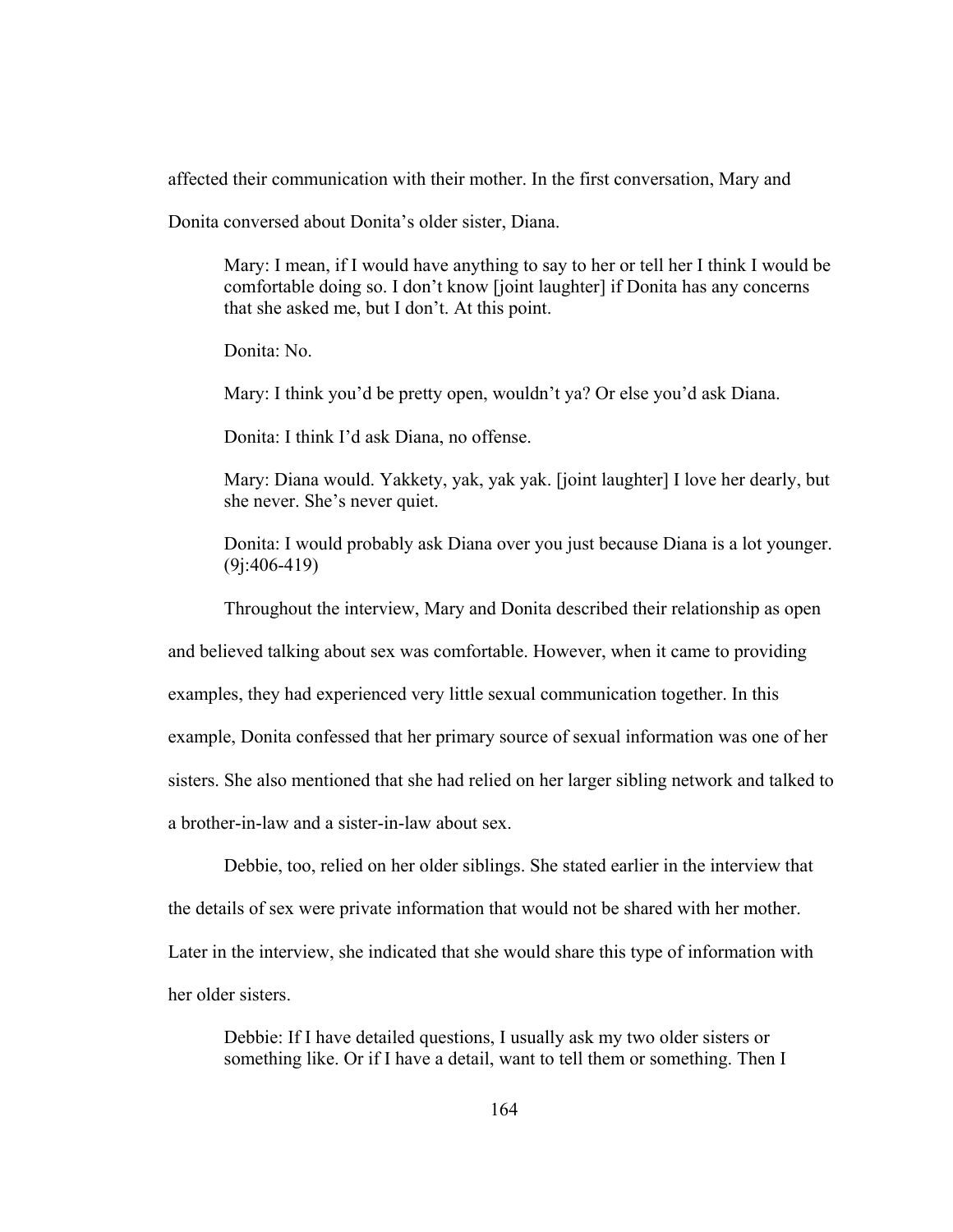affected their communication with their mother. In the first conversation, Mary and

Donita conversed about Donita's older sister, Diana.

Mary: I mean, if I would have anything to say to her or tell her I think I would be comfortable doing so. I don't know [joint laughter] if Donita has any concerns that she asked me, but I don't. At this point.

Donita: No.

Mary: I think you'd be pretty open, wouldn't ya? Or else you'd ask Diana.

Donita: I think I'd ask Diana, no offense.

Mary: Diana would. Yakkety, yak, yak yak. [joint laughter] I love her dearly, but she never. She's never quiet.

Donita: I would probably ask Diana over you just because Diana is a lot younger. (9j:406-419)

Throughout the interview, Mary and Donita described their relationship as open

and believed talking about sex was comfortable. However, when it came to providing

examples, they had experienced very little sexual communication together. In this

example, Donita confessed that her primary source of sexual information was one of her

sisters. She also mentioned that she had relied on her larger sibling network and talked to

a brother-in-law and a sister-in-law about sex.

Debbie, too, relied on her older siblings. She stated earlier in the interview that the details of sex were private information that would not be shared with her mother. Later in the interview, she indicated that she would share this type of information with her older sisters.

Debbie: If I have detailed questions, I usually ask my two older sisters or something like. Or if I have a detail, want to tell them or something. Then I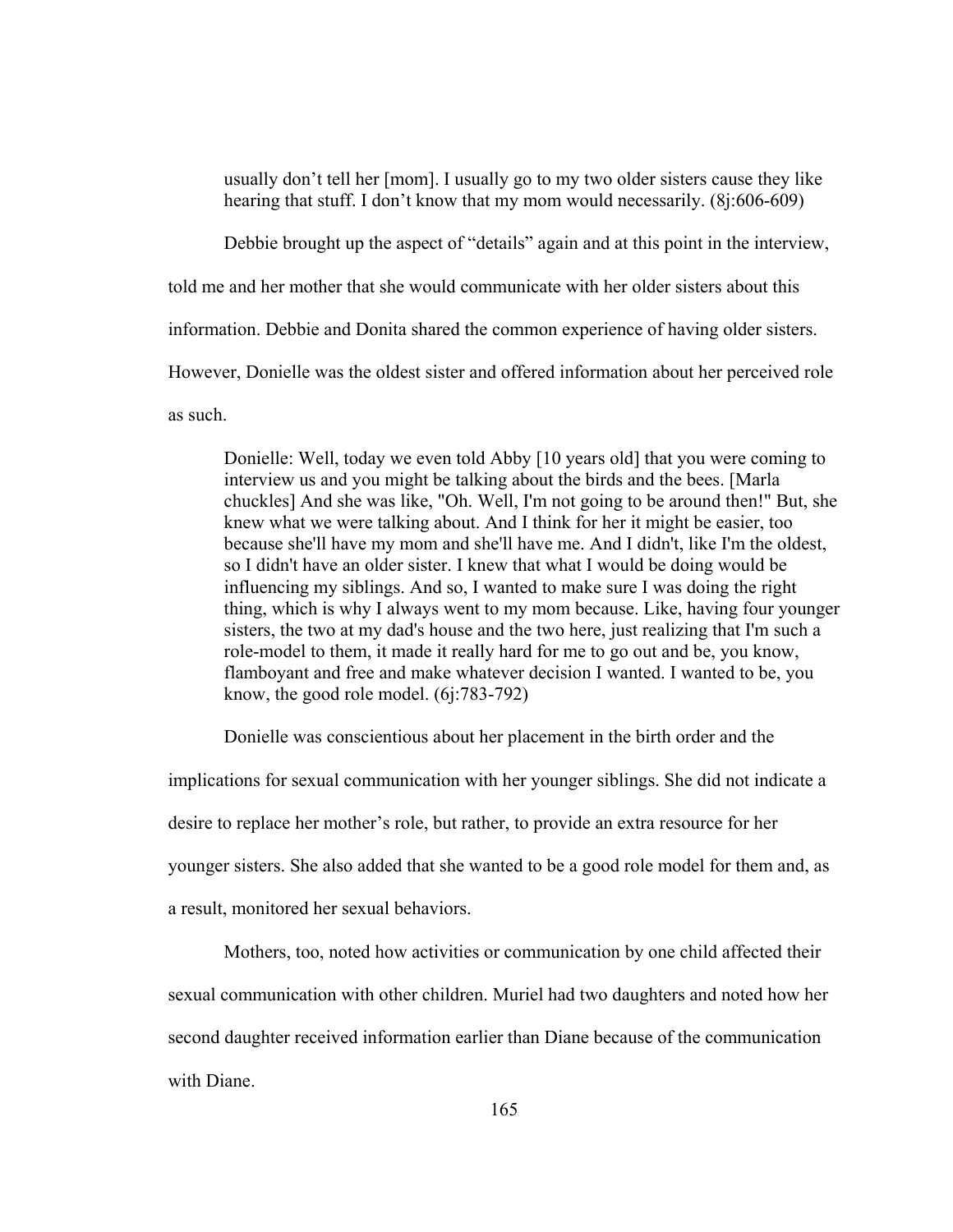usually don't tell her [mom]. I usually go to my two older sisters cause they like hearing that stuff. I don't know that my mom would necessarily. (8j:606-609)

Debbie brought up the aspect of "details" again and at this point in the interview,

told me and her mother that she would communicate with her older sisters about this

information. Debbie and Donita shared the common experience of having older sisters.

However, Donielle was the oldest sister and offered information about her perceived role

as such.

Donielle: Well, today we even told Abby [10 years old] that you were coming to interview us and you might be talking about the birds and the bees. [Marla chuckles] And she was like, "Oh. Well, I'm not going to be around then!" But, she knew what we were talking about. And I think for her it might be easier, too because she'll have my mom and she'll have me. And I didn't, like I'm the oldest, so I didn't have an older sister. I knew that what I would be doing would be influencing my siblings. And so, I wanted to make sure I was doing the right thing, which is why I always went to my mom because. Like, having four younger sisters, the two at my dad's house and the two here, just realizing that I'm such a role-model to them, it made it really hard for me to go out and be, you know, flamboyant and free and make whatever decision I wanted. I wanted to be, you know, the good role model. (6j:783-792)

Donielle was conscientious about her placement in the birth order and the

implications for sexual communication with her younger siblings. She did not indicate a desire to replace her mother's role, but rather, to provide an extra resource for her younger sisters. She also added that she wanted to be a good role model for them and, as a result, monitored her sexual behaviors.

Mothers, too, noted how activities or communication by one child affected their sexual communication with other children. Muriel had two daughters and noted how her second daughter received information earlier than Diane because of the communication with Diane.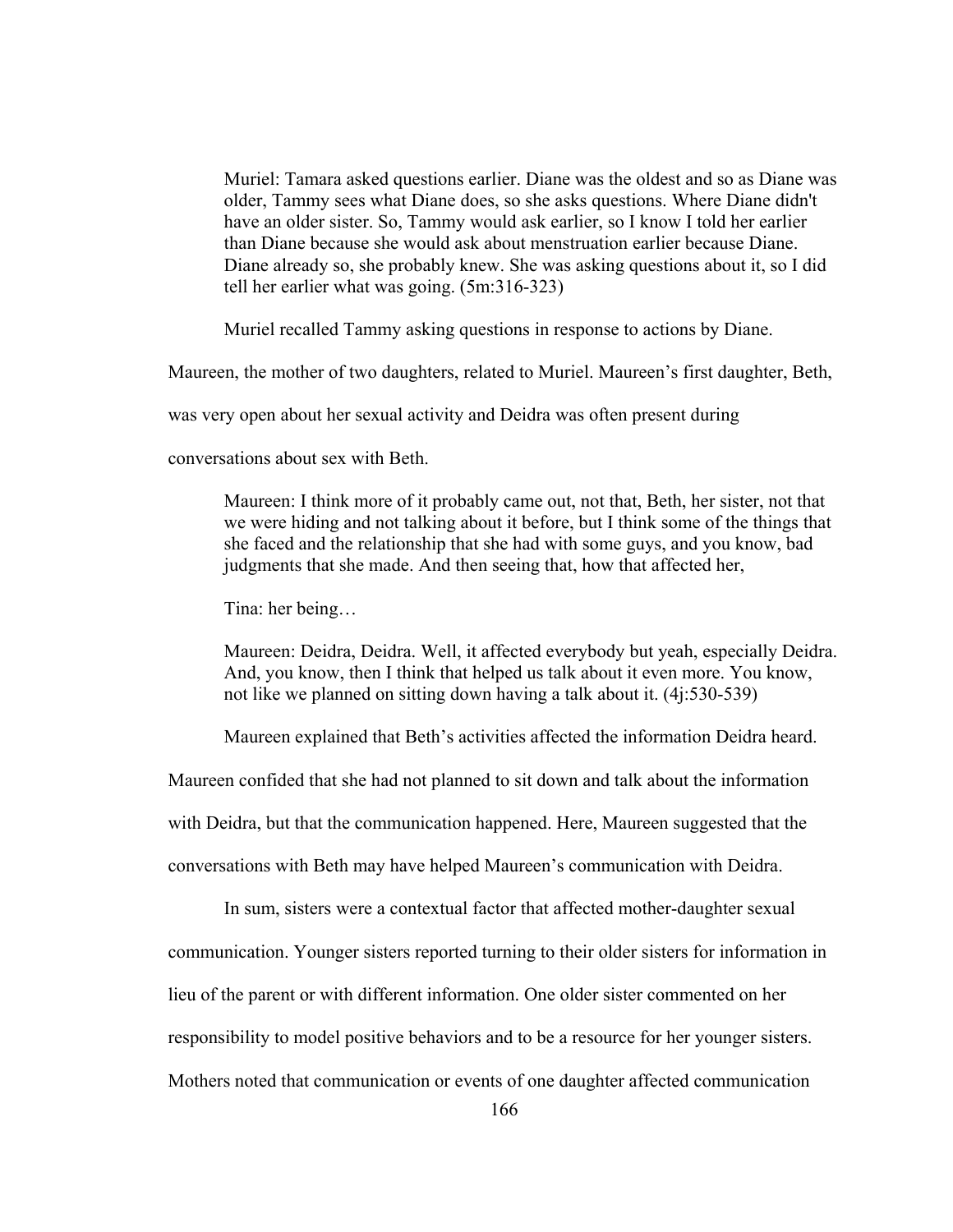Muriel: Tamara asked questions earlier. Diane was the oldest and so as Diane was older, Tammy sees what Diane does, so she asks questions. Where Diane didn't have an older sister. So, Tammy would ask earlier, so I know I told her earlier than Diane because she would ask about menstruation earlier because Diane. Diane already so, she probably knew. She was asking questions about it, so I did tell her earlier what was going. (5m:316-323)

Muriel recalled Tammy asking questions in response to actions by Diane.

Maureen, the mother of two daughters, related to Muriel. Maureen's first daughter, Beth,

was very open about her sexual activity and Deidra was often present during

conversations about sex with Beth.

Maureen: I think more of it probably came out, not that, Beth, her sister, not that we were hiding and not talking about it before, but I think some of the things that she faced and the relationship that she had with some guys, and you know, bad judgments that she made. And then seeing that, how that affected her,

Tina: her being…

Maureen: Deidra, Deidra. Well, it affected everybody but yeah, especially Deidra. And, you know, then I think that helped us talk about it even more. You know, not like we planned on sitting down having a talk about it. (4j:530-539)

Maureen explained that Beth's activities affected the information Deidra heard.

Maureen confided that she had not planned to sit down and talk about the information

with Deidra, but that the communication happened. Here, Maureen suggested that the

conversations with Beth may have helped Maureen's communication with Deidra.

In sum, sisters were a contextual factor that affected mother-daughter sexual

communication. Younger sisters reported turning to their older sisters for information in

lieu of the parent or with different information. One older sister commented on her

responsibility to model positive behaviors and to be a resource for her younger sisters.

Mothers noted that communication or events of one daughter affected communication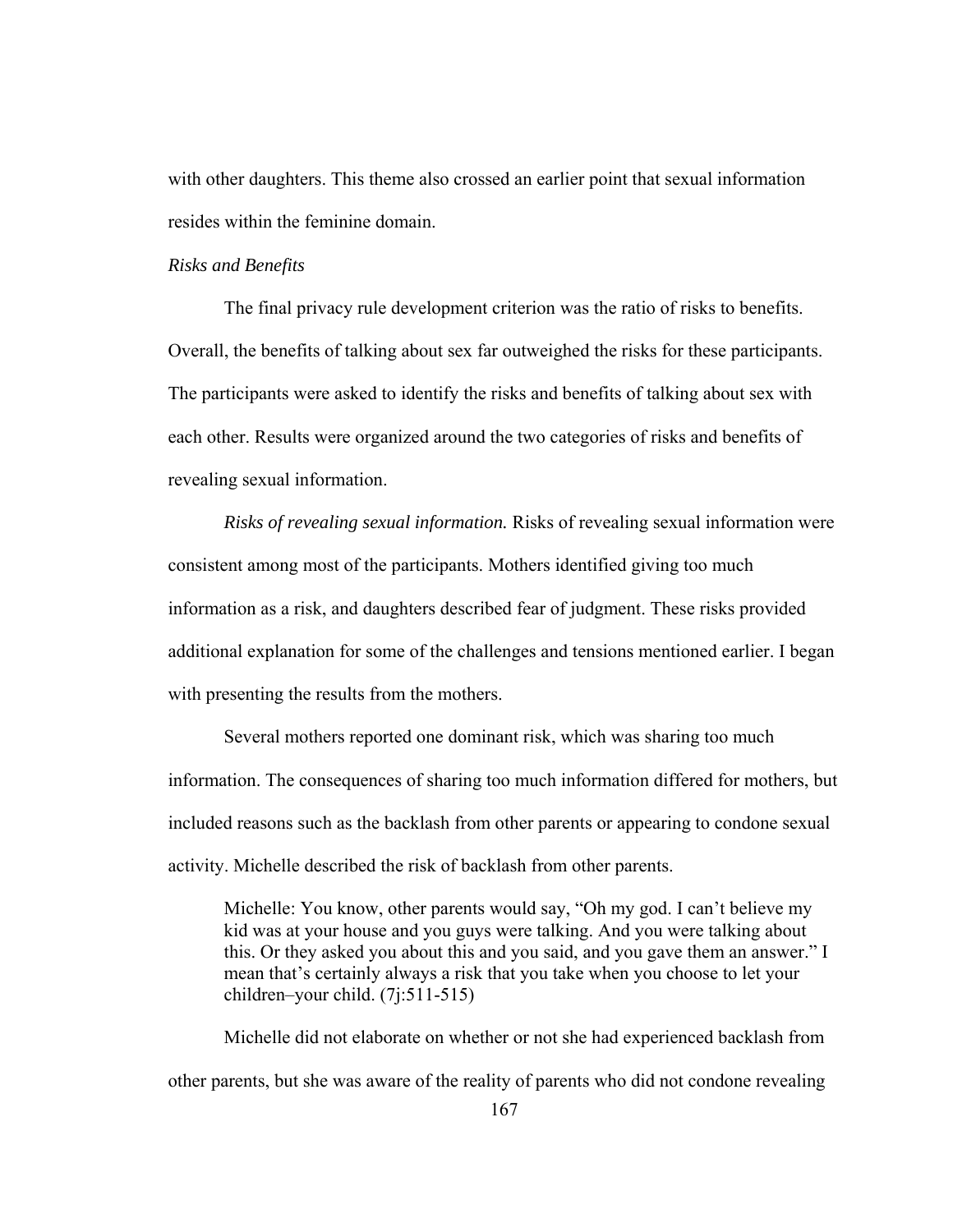with other daughters. This theme also crossed an earlier point that sexual information resides within the feminine domain.

### *Risks and Benefits*

 The final privacy rule development criterion was the ratio of risks to benefits. Overall, the benefits of talking about sex far outweighed the risks for these participants. The participants were asked to identify the risks and benefits of talking about sex with each other. Results were organized around the two categories of risks and benefits of revealing sexual information.

*Risks of revealing sexual information.* Risks of revealing sexual information were consistent among most of the participants. Mothers identified giving too much information as a risk, and daughters described fear of judgment. These risks provided additional explanation for some of the challenges and tensions mentioned earlier. I began with presenting the results from the mothers.

Several mothers reported one dominant risk, which was sharing too much information. The consequences of sharing too much information differed for mothers, but included reasons such as the backlash from other parents or appearing to condone sexual activity. Michelle described the risk of backlash from other parents.

Michelle: You know, other parents would say, "Oh my god. I can't believe my kid was at your house and you guys were talking. And you were talking about this. Or they asked you about this and you said, and you gave them an answer." I mean that's certainly always a risk that you take when you choose to let your children–your child. (7j:511-515)

Michelle did not elaborate on whether or not she had experienced backlash from other parents, but she was aware of the reality of parents who did not condone revealing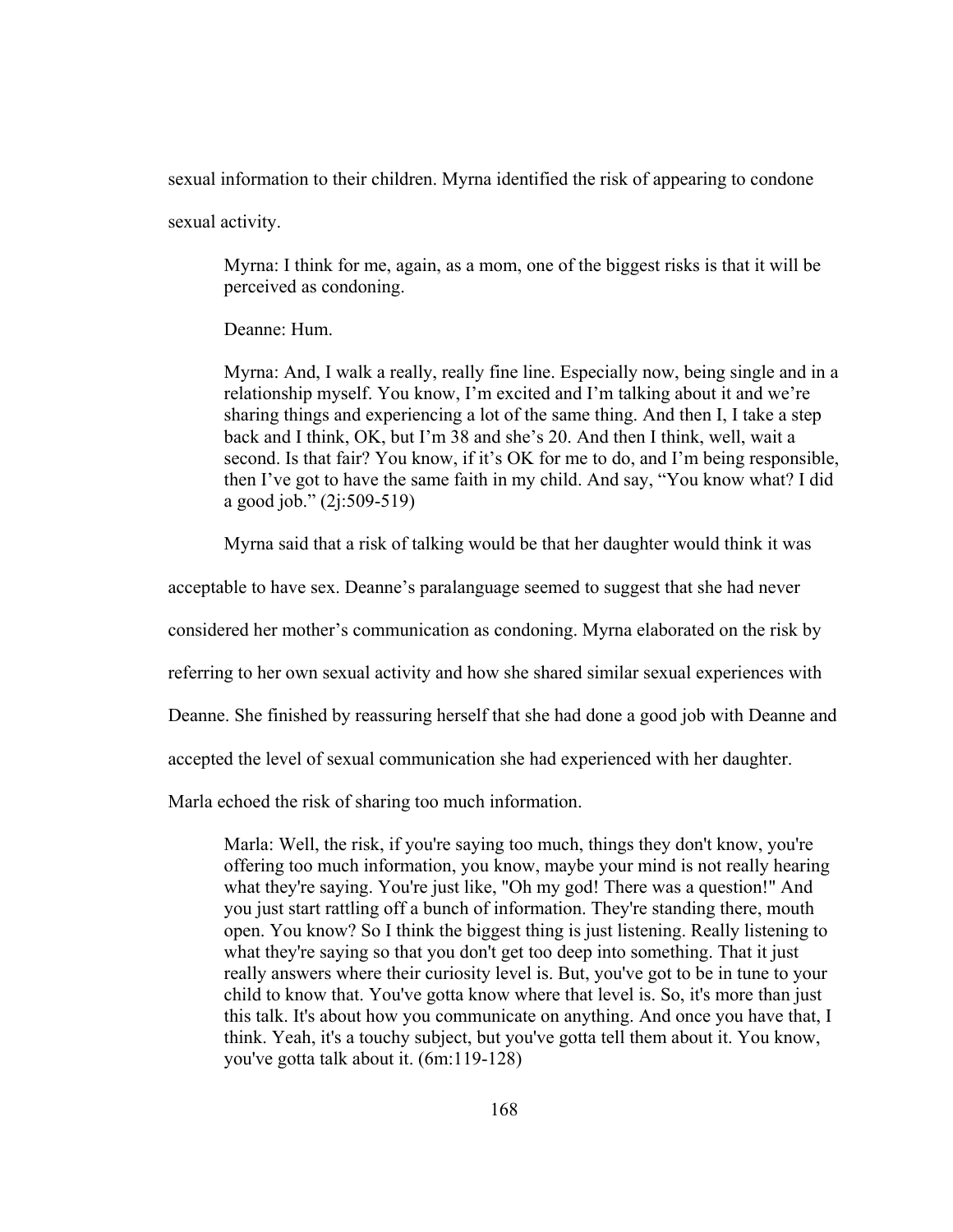sexual information to their children. Myrna identified the risk of appearing to condone

sexual activity.

Myrna: I think for me, again, as a mom, one of the biggest risks is that it will be perceived as condoning.

Deanne: Hum.

Myrna: And, I walk a really, really fine line. Especially now, being single and in a relationship myself. You know, I'm excited and I'm talking about it and we're sharing things and experiencing a lot of the same thing. And then I, I take a step back and I think, OK, but I'm 38 and she's 20. And then I think, well, wait a second. Is that fair? You know, if it's OK for me to do, and I'm being responsible, then I've got to have the same faith in my child. And say, "You know what? I did a good job." (2j:509-519)

Myrna said that a risk of talking would be that her daughter would think it was

acceptable to have sex. Deanne's paralanguage seemed to suggest that she had never

considered her mother's communication as condoning. Myrna elaborated on the risk by

referring to her own sexual activity and how she shared similar sexual experiences with

Deanne. She finished by reassuring herself that she had done a good job with Deanne and

accepted the level of sexual communication she had experienced with her daughter.

Marla echoed the risk of sharing too much information.

Marla: Well, the risk, if you're saying too much, things they don't know, you're offering too much information, you know, maybe your mind is not really hearing what they're saying. You're just like, "Oh my god! There was a question!" And you just start rattling off a bunch of information. They're standing there, mouth open. You know? So I think the biggest thing is just listening. Really listening to what they're saying so that you don't get too deep into something. That it just really answers where their curiosity level is. But, you've got to be in tune to your child to know that. You've gotta know where that level is. So, it's more than just this talk. It's about how you communicate on anything. And once you have that, I think. Yeah, it's a touchy subject, but you've gotta tell them about it. You know, you've gotta talk about it. (6m:119-128)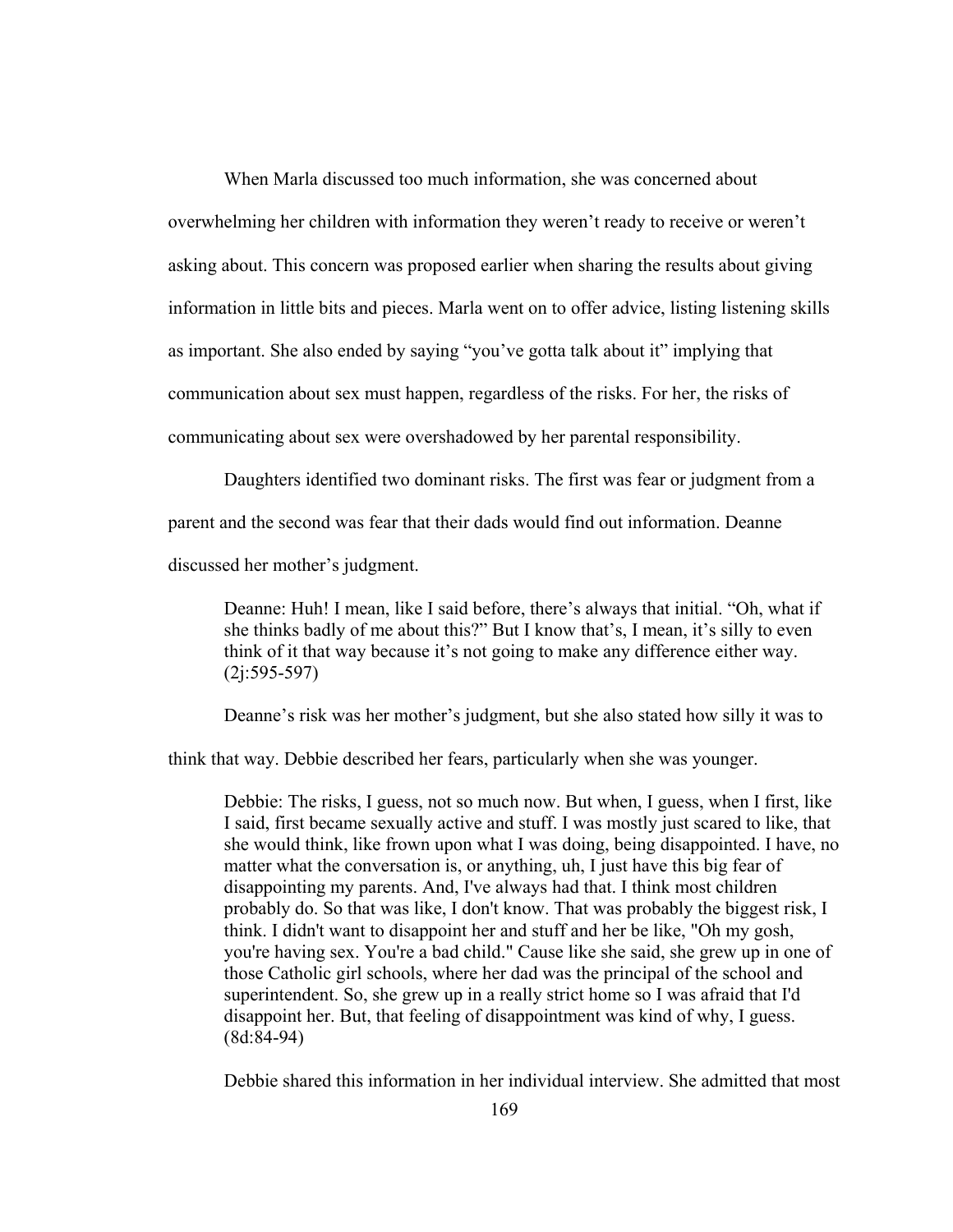When Marla discussed too much information, she was concerned about overwhelming her children with information they weren't ready to receive or weren't asking about. This concern was proposed earlier when sharing the results about giving information in little bits and pieces. Marla went on to offer advice, listing listening skills as important. She also ended by saying "you've gotta talk about it" implying that communication about sex must happen, regardless of the risks. For her, the risks of communicating about sex were overshadowed by her parental responsibility.

Daughters identified two dominant risks. The first was fear or judgment from a parent and the second was fear that their dads would find out information. Deanne discussed her mother's judgment.

Deanne: Huh! I mean, like I said before, there's always that initial. "Oh, what if

she thinks badly of me about this?" But I know that's, I mean, it's silly to even think of it that way because it's not going to make any difference either way. (2j:595-597)

Deanne's risk was her mother's judgment, but she also stated how silly it was to

think that way. Debbie described her fears, particularly when she was younger.

Debbie: The risks, I guess, not so much now. But when, I guess, when I first, like I said, first became sexually active and stuff. I was mostly just scared to like, that she would think, like frown upon what I was doing, being disappointed. I have, no matter what the conversation is, or anything, uh, I just have this big fear of disappointing my parents. And, I've always had that. I think most children probably do. So that was like, I don't know. That was probably the biggest risk, I think. I didn't want to disappoint her and stuff and her be like, "Oh my gosh, you're having sex. You're a bad child." Cause like she said, she grew up in one of those Catholic girl schools, where her dad was the principal of the school and superintendent. So, she grew up in a really strict home so I was afraid that I'd disappoint her. But, that feeling of disappointment was kind of why, I guess. (8d:84-94)

Debbie shared this information in her individual interview. She admitted that most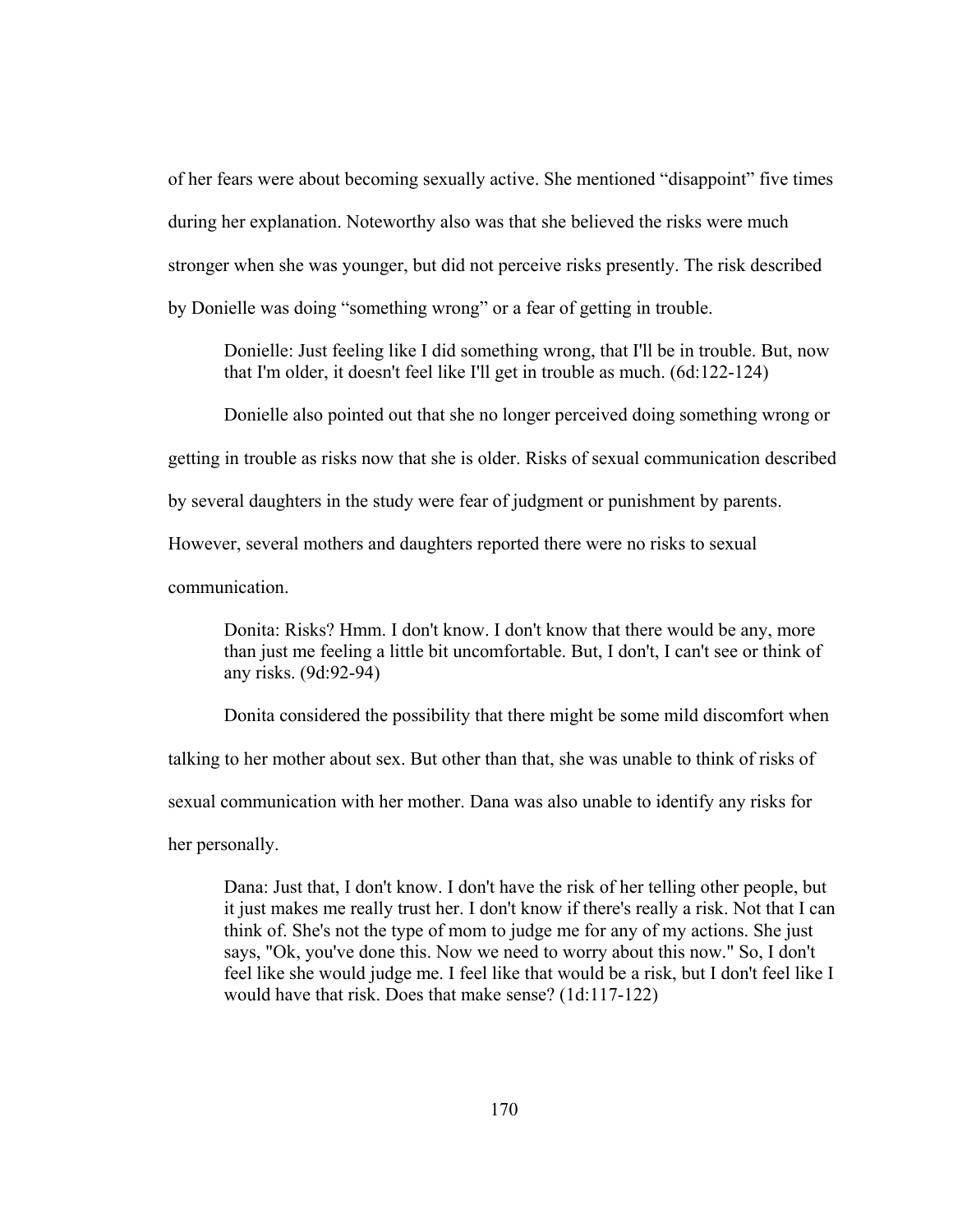of her fears were about becoming sexually active. She mentioned "disappoint" five times during her explanation. Noteworthy also was that she believed the risks were much stronger when she was younger, but did not perceive risks presently. The risk described by Donielle was doing "something wrong" or a fear of getting in trouble.

Donielle: Just feeling like I did something wrong, that I'll be in trouble. But, now that I'm older, it doesn't feel like I'll get in trouble as much. (6d:122-124)

Donielle also pointed out that she no longer perceived doing something wrong or

getting in trouble as risks now that she is older. Risks of sexual communication described

by several daughters in the study were fear of judgment or punishment by parents.

However, several mothers and daughters reported there were no risks to sexual

communication.

Donita: Risks? Hmm. I don't know. I don't know that there would be any, more than just me feeling a little bit uncomfortable. But, I don't, I can't see or think of any risks. (9d:92-94)

Donita considered the possibility that there might be some mild discomfort when

talking to her mother about sex. But other than that, she was unable to think of risks of

sexual communication with her mother. Dana was also unable to identify any risks for

her personally.

Dana: Just that, I don't know. I don't have the risk of her telling other people, but it just makes me really trust her. I don't know if there's really a risk. Not that I can think of. She's not the type of mom to judge me for any of my actions. She just says, "Ok, you've done this. Now we need to worry about this now." So, I don't feel like she would judge me. I feel like that would be a risk, but I don't feel like I would have that risk. Does that make sense? (1d:117-122)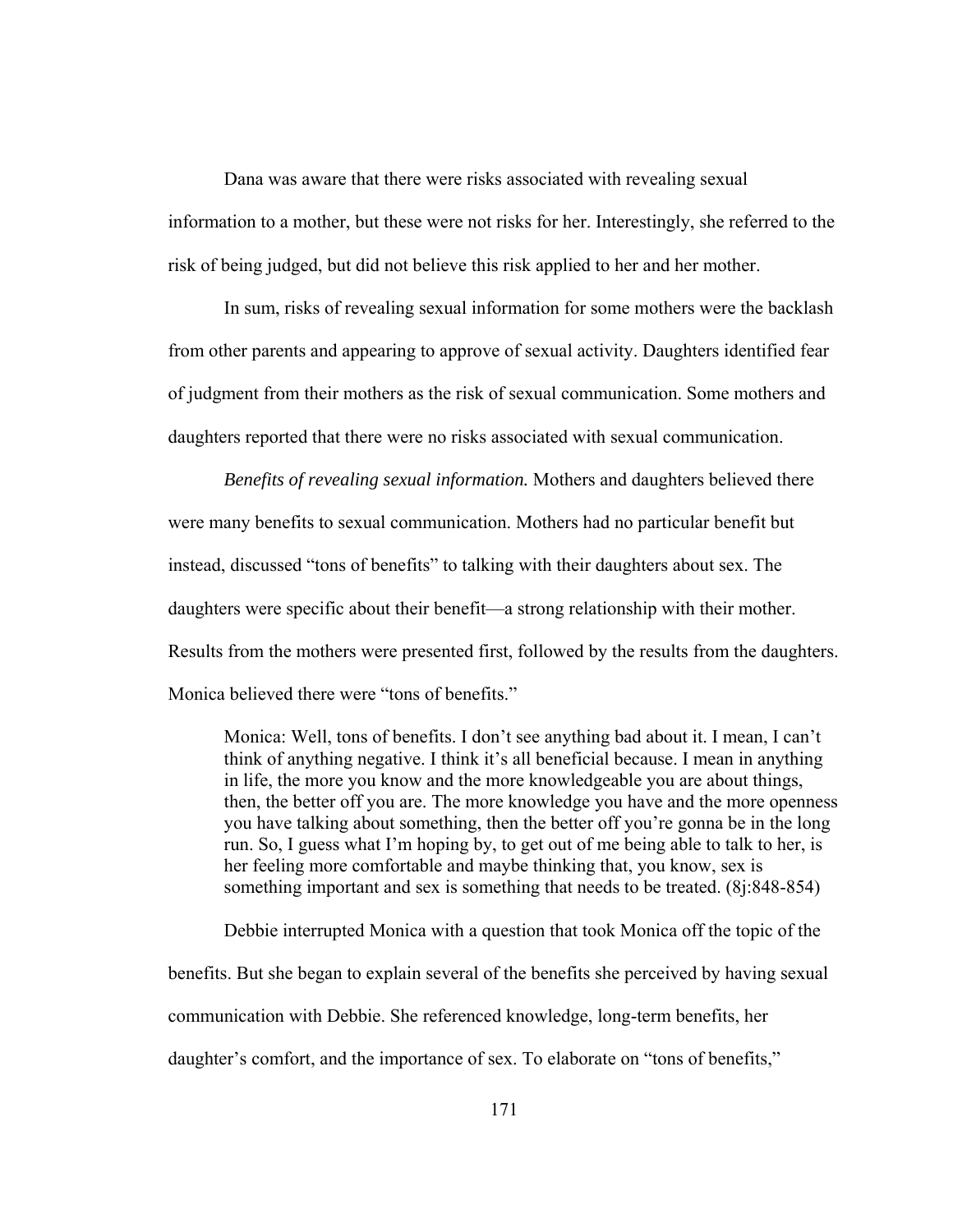Dana was aware that there were risks associated with revealing sexual information to a mother, but these were not risks for her. Interestingly, she referred to the risk of being judged, but did not believe this risk applied to her and her mother.

In sum, risks of revealing sexual information for some mothers were the backlash from other parents and appearing to approve of sexual activity. Daughters identified fear of judgment from their mothers as the risk of sexual communication. Some mothers and daughters reported that there were no risks associated with sexual communication.

*Benefits of revealing sexual information.* Mothers and daughters believed there were many benefits to sexual communication. Mothers had no particular benefit but instead, discussed "tons of benefits" to talking with their daughters about sex. The daughters were specific about their benefit—a strong relationship with their mother. Results from the mothers were presented first, followed by the results from the daughters. Monica believed there were "tons of benefits."

Monica: Well, tons of benefits. I don't see anything bad about it. I mean, I can't think of anything negative. I think it's all beneficial because. I mean in anything in life, the more you know and the more knowledgeable you are about things, then, the better off you are. The more knowledge you have and the more openness you have talking about something, then the better off you're gonna be in the long run. So, I guess what I'm hoping by, to get out of me being able to talk to her, is her feeling more comfortable and maybe thinking that, you know, sex is something important and sex is something that needs to be treated. (8j:848-854)

 Debbie interrupted Monica with a question that took Monica off the topic of the benefits. But she began to explain several of the benefits she perceived by having sexual communication with Debbie. She referenced knowledge, long-term benefits, her daughter's comfort, and the importance of sex. To elaborate on "tons of benefits,"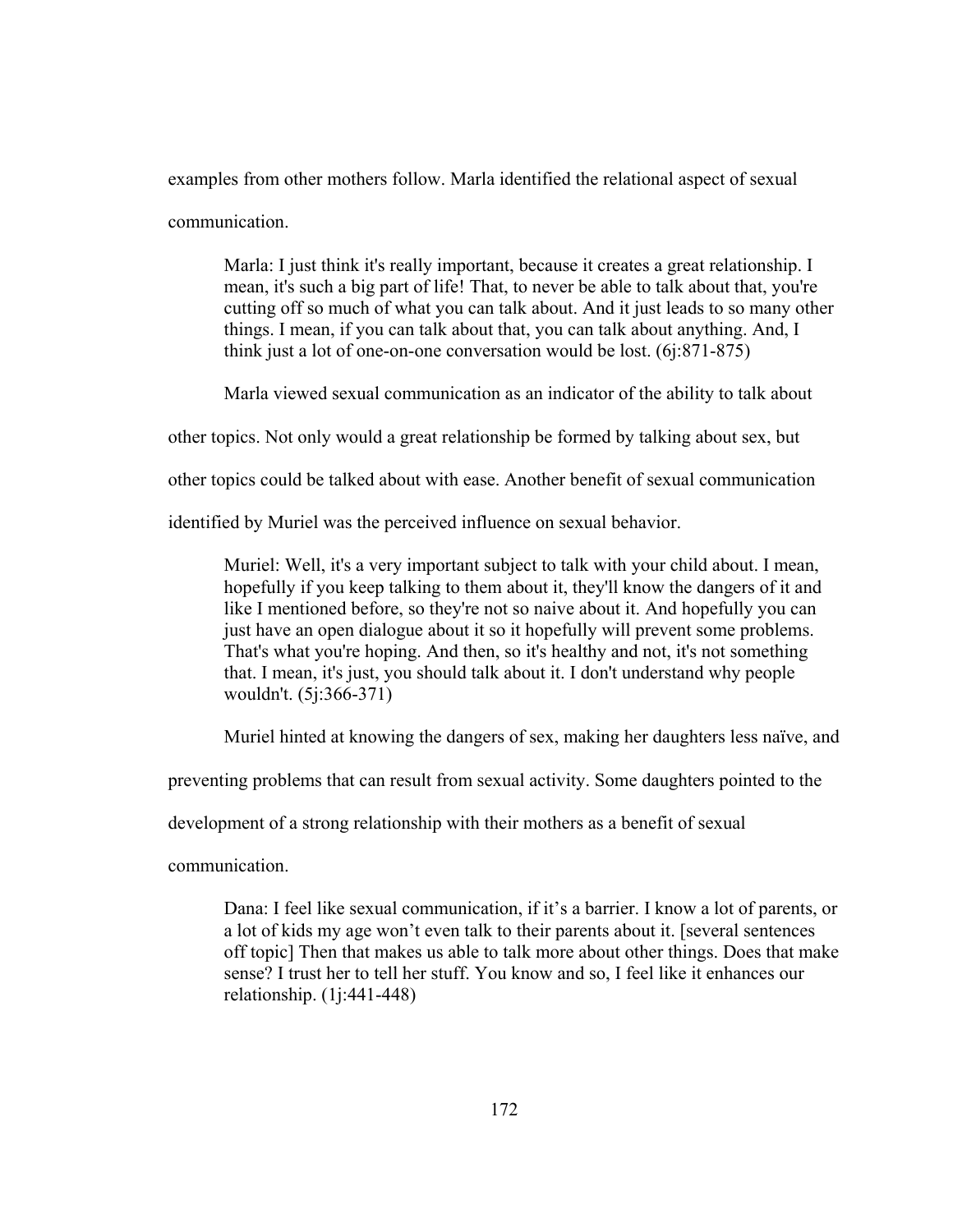examples from other mothers follow. Marla identified the relational aspect of sexual

communication.

Marla: I just think it's really important, because it creates a great relationship. I mean, it's such a big part of life! That, to never be able to talk about that, you're cutting off so much of what you can talk about. And it just leads to so many other things. I mean, if you can talk about that, you can talk about anything. And, I think just a lot of one-on-one conversation would be lost. (6j:871-875)

Marla viewed sexual communication as an indicator of the ability to talk about

other topics. Not only would a great relationship be formed by talking about sex, but

other topics could be talked about with ease. Another benefit of sexual communication

identified by Muriel was the perceived influence on sexual behavior.

Muriel: Well, it's a very important subject to talk with your child about. I mean, hopefully if you keep talking to them about it, they'll know the dangers of it and like I mentioned before, so they're not so naive about it. And hopefully you can just have an open dialogue about it so it hopefully will prevent some problems. That's what you're hoping. And then, so it's healthy and not, it's not something that. I mean, it's just, you should talk about it. I don't understand why people wouldn't. (5j:366-371)

Muriel hinted at knowing the dangers of sex, making her daughters less naïve, and

preventing problems that can result from sexual activity. Some daughters pointed to the

development of a strong relationship with their mothers as a benefit of sexual

communication.

Dana: I feel like sexual communication, if it's a barrier. I know a lot of parents, or a lot of kids my age won't even talk to their parents about it. [several sentences off topic] Then that makes us able to talk more about other things. Does that make sense? I trust her to tell her stuff. You know and so, I feel like it enhances our relationship. (1j:441-448)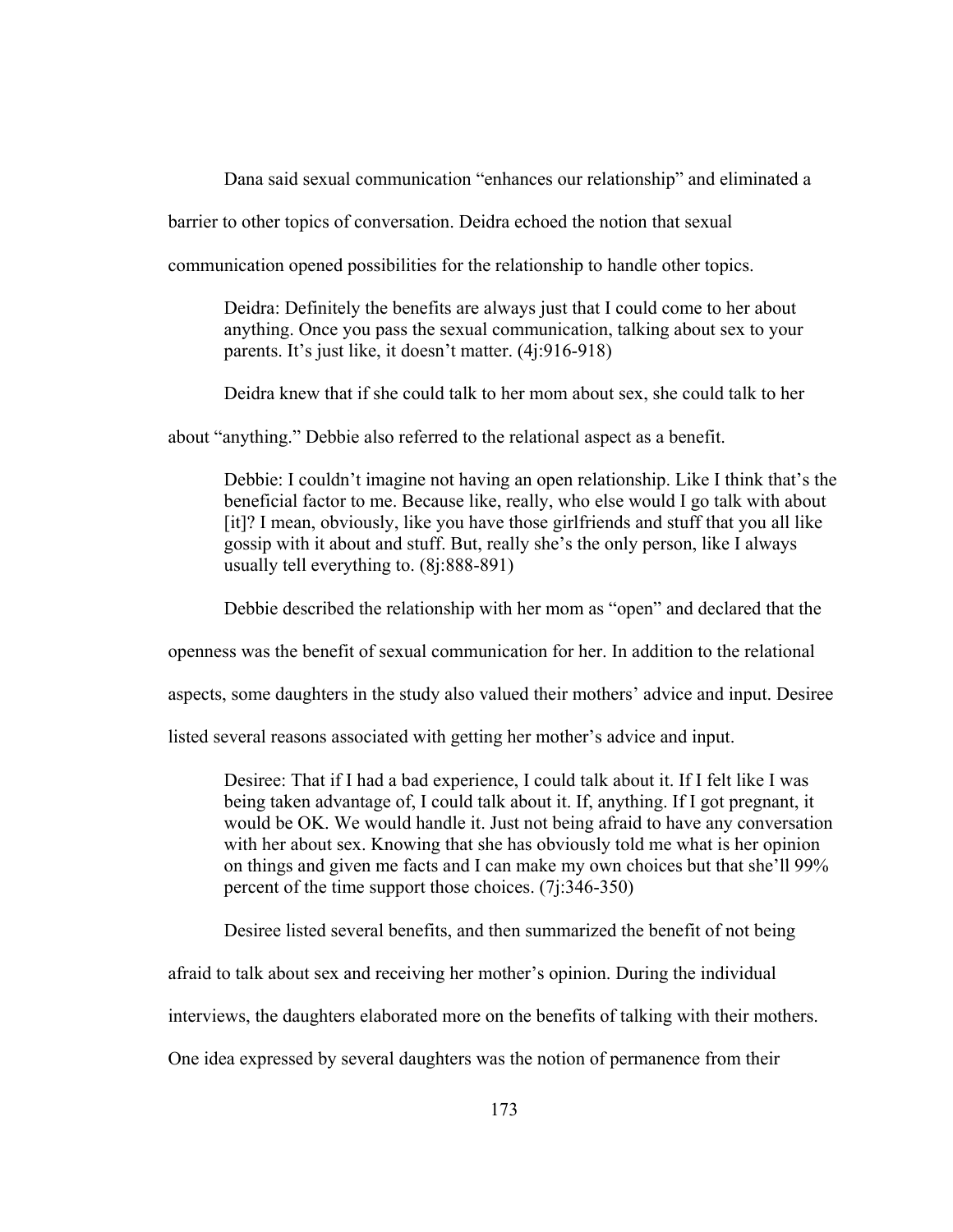Dana said sexual communication "enhances our relationship" and eliminated a

barrier to other topics of conversation. Deidra echoed the notion that sexual

communication opened possibilities for the relationship to handle other topics.

Deidra: Definitely the benefits are always just that I could come to her about anything. Once you pass the sexual communication, talking about sex to your parents. It's just like, it doesn't matter. (4j:916-918)

Deidra knew that if she could talk to her mom about sex, she could talk to her

about "anything." Debbie also referred to the relational aspect as a benefit.

Debbie: I couldn't imagine not having an open relationship. Like I think that's the beneficial factor to me. Because like, really, who else would I go talk with about [it]? I mean, obviously, like you have those girlfriends and stuff that you all like gossip with it about and stuff. But, really she's the only person, like I always usually tell everything to. (8j:888-891)

Debbie described the relationship with her mom as "open" and declared that the

openness was the benefit of sexual communication for her. In addition to the relational

aspects, some daughters in the study also valued their mothers' advice and input. Desiree

listed several reasons associated with getting her mother's advice and input.

Desiree: That if I had a bad experience, I could talk about it. If I felt like I was being taken advantage of, I could talk about it. If, anything. If I got pregnant, it would be OK. We would handle it. Just not being afraid to have any conversation with her about sex. Knowing that she has obviously told me what is her opinion on things and given me facts and I can make my own choices but that she'll 99% percent of the time support those choices. (7j:346-350)

Desiree listed several benefits, and then summarized the benefit of not being

afraid to talk about sex and receiving her mother's opinion. During the individual

interviews, the daughters elaborated more on the benefits of talking with their mothers.

One idea expressed by several daughters was the notion of permanence from their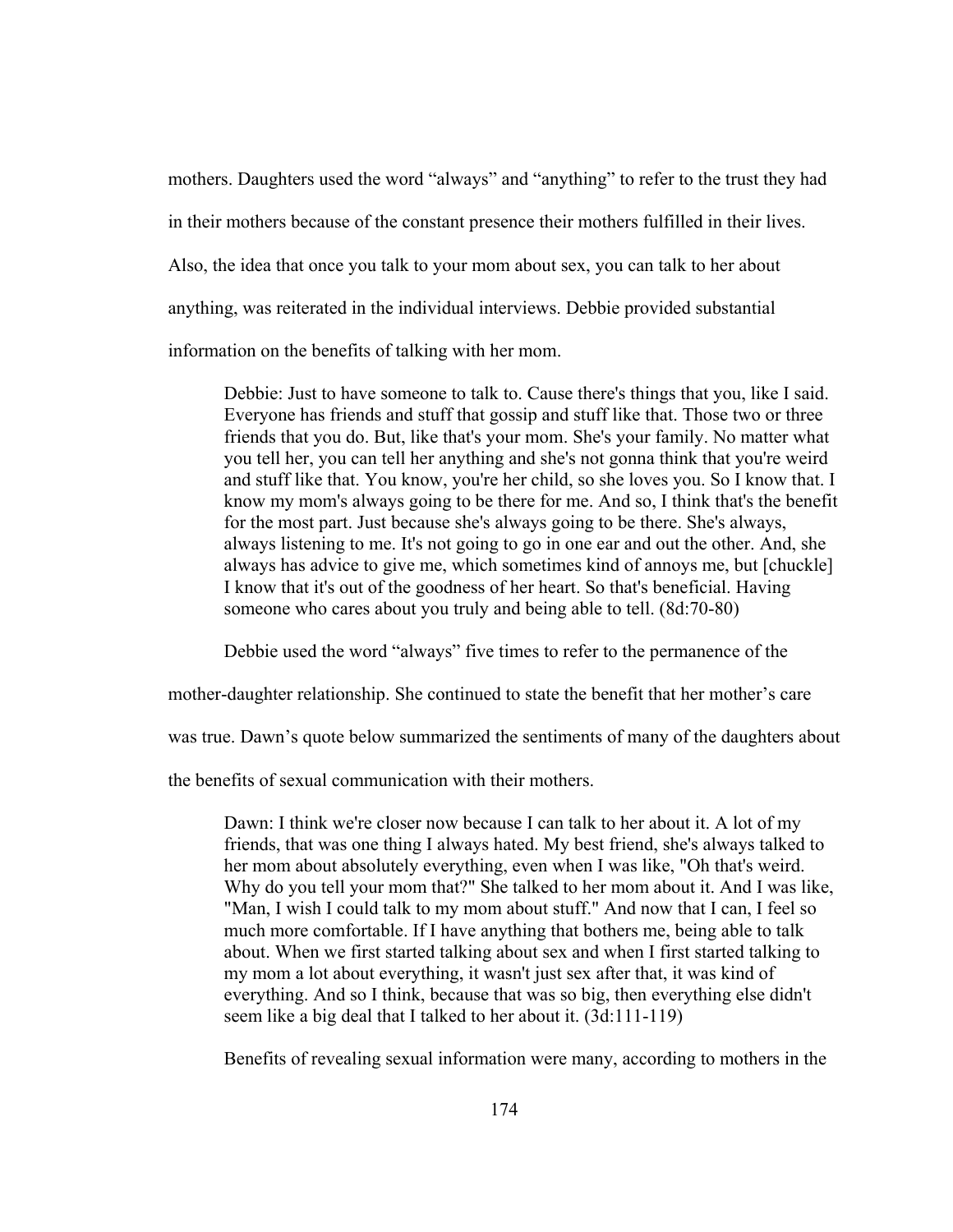mothers. Daughters used the word "always" and "anything" to refer to the trust they had in their mothers because of the constant presence their mothers fulfilled in their lives. Also, the idea that once you talk to your mom about sex, you can talk to her about anything, was reiterated in the individual interviews. Debbie provided substantial information on the benefits of talking with her mom.

Debbie: Just to have someone to talk to. Cause there's things that you, like I said. Everyone has friends and stuff that gossip and stuff like that. Those two or three friends that you do. But, like that's your mom. She's your family. No matter what you tell her, you can tell her anything and she's not gonna think that you're weird and stuff like that. You know, you're her child, so she loves you. So I know that. I know my mom's always going to be there for me. And so, I think that's the benefit for the most part. Just because she's always going to be there. She's always, always listening to me. It's not going to go in one ear and out the other. And, she always has advice to give me, which sometimes kind of annoys me, but [chuckle] I know that it's out of the goodness of her heart. So that's beneficial. Having someone who cares about you truly and being able to tell. (8d:70-80)

Debbie used the word "always" five times to refer to the permanence of the

mother-daughter relationship. She continued to state the benefit that her mother's care

was true. Dawn's quote below summarized the sentiments of many of the daughters about

the benefits of sexual communication with their mothers.

Dawn: I think we're closer now because I can talk to her about it. A lot of my friends, that was one thing I always hated. My best friend, she's always talked to her mom about absolutely everything, even when I was like, "Oh that's weird. Why do you tell your mom that?" She talked to her mom about it. And I was like, "Man, I wish I could talk to my mom about stuff." And now that I can, I feel so much more comfortable. If I have anything that bothers me, being able to talk about. When we first started talking about sex and when I first started talking to my mom a lot about everything, it wasn't just sex after that, it was kind of everything. And so I think, because that was so big, then everything else didn't seem like a big deal that I talked to her about it. (3d:111-119)

Benefits of revealing sexual information were many, according to mothers in the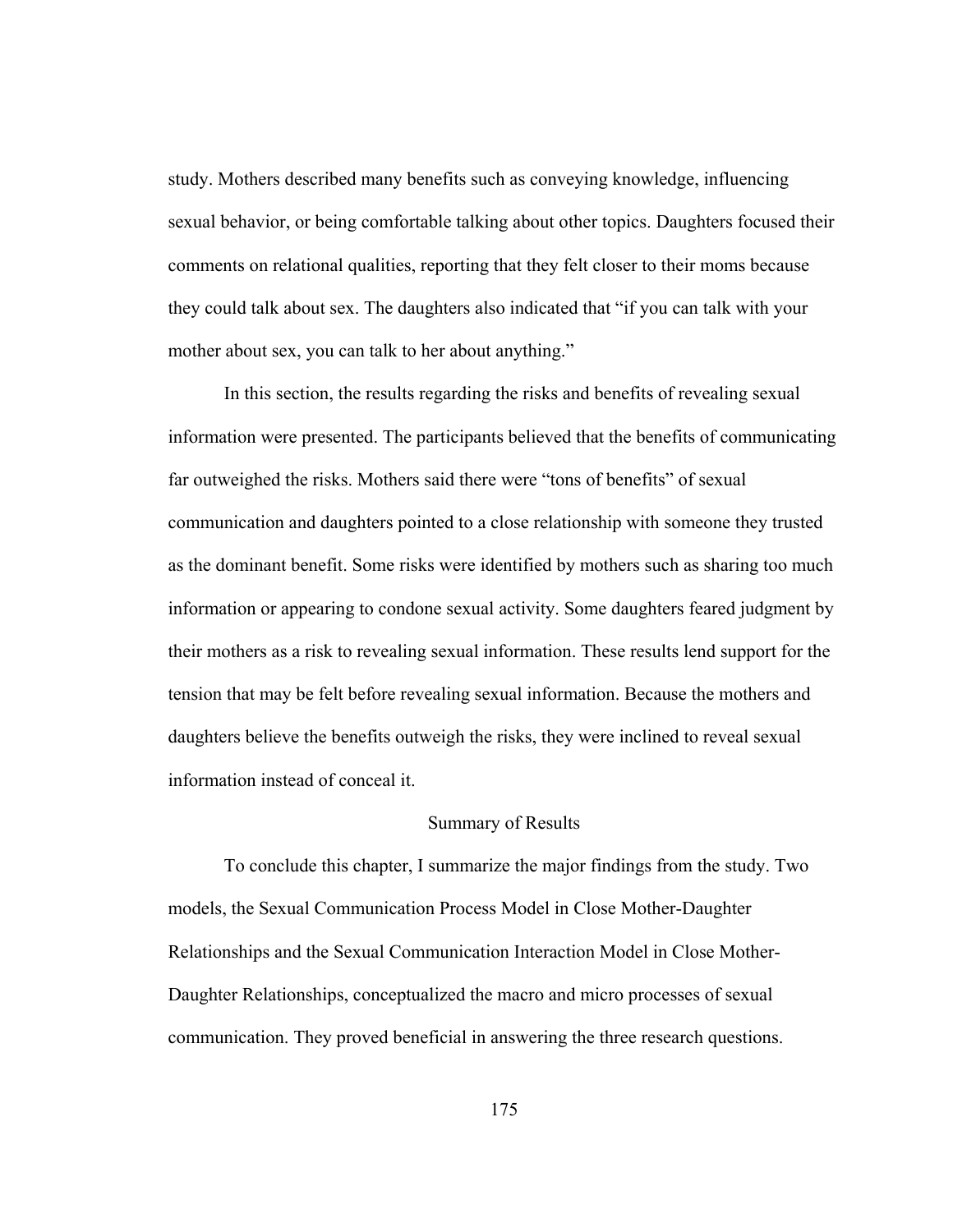study. Mothers described many benefits such as conveying knowledge, influencing sexual behavior, or being comfortable talking about other topics. Daughters focused their comments on relational qualities, reporting that they felt closer to their moms because they could talk about sex. The daughters also indicated that "if you can talk with your mother about sex, you can talk to her about anything."

In this section, the results regarding the risks and benefits of revealing sexual information were presented. The participants believed that the benefits of communicating far outweighed the risks. Mothers said there were "tons of benefits" of sexual communication and daughters pointed to a close relationship with someone they trusted as the dominant benefit. Some risks were identified by mothers such as sharing too much information or appearing to condone sexual activity. Some daughters feared judgment by their mothers as a risk to revealing sexual information. These results lend support for the tension that may be felt before revealing sexual information. Because the mothers and daughters believe the benefits outweigh the risks, they were inclined to reveal sexual information instead of conceal it.

### Summary of Results

To conclude this chapter, I summarize the major findings from the study. Two models, the Sexual Communication Process Model in Close Mother-Daughter Relationships and the Sexual Communication Interaction Model in Close Mother-Daughter Relationships, conceptualized the macro and micro processes of sexual communication. They proved beneficial in answering the three research questions.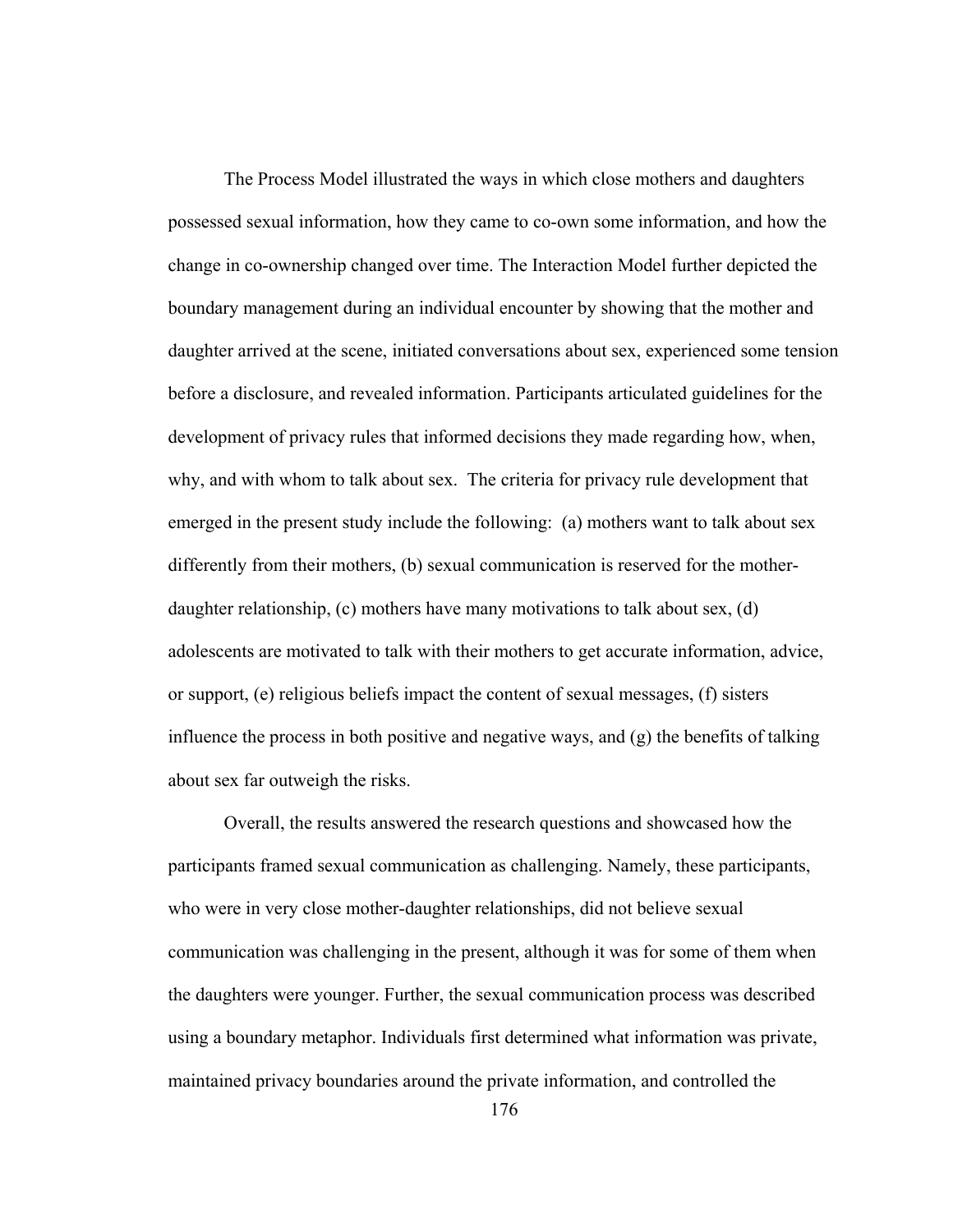The Process Model illustrated the ways in which close mothers and daughters possessed sexual information, how they came to co-own some information, and how the change in co-ownership changed over time. The Interaction Model further depicted the boundary management during an individual encounter by showing that the mother and daughter arrived at the scene, initiated conversations about sex, experienced some tension before a disclosure, and revealed information. Participants articulated guidelines for the development of privacy rules that informed decisions they made regarding how, when, why, and with whom to talk about sex. The criteria for privacy rule development that emerged in the present study include the following: (a) mothers want to talk about sex differently from their mothers, (b) sexual communication is reserved for the motherdaughter relationship, (c) mothers have many motivations to talk about sex, (d) adolescents are motivated to talk with their mothers to get accurate information, advice, or support, (e) religious beliefs impact the content of sexual messages, (f) sisters influence the process in both positive and negative ways, and (g) the benefits of talking about sex far outweigh the risks.

Overall, the results answered the research questions and showcased how the participants framed sexual communication as challenging. Namely, these participants, who were in very close mother-daughter relationships, did not believe sexual communication was challenging in the present, although it was for some of them when the daughters were younger. Further, the sexual communication process was described using a boundary metaphor. Individuals first determined what information was private, maintained privacy boundaries around the private information, and controlled the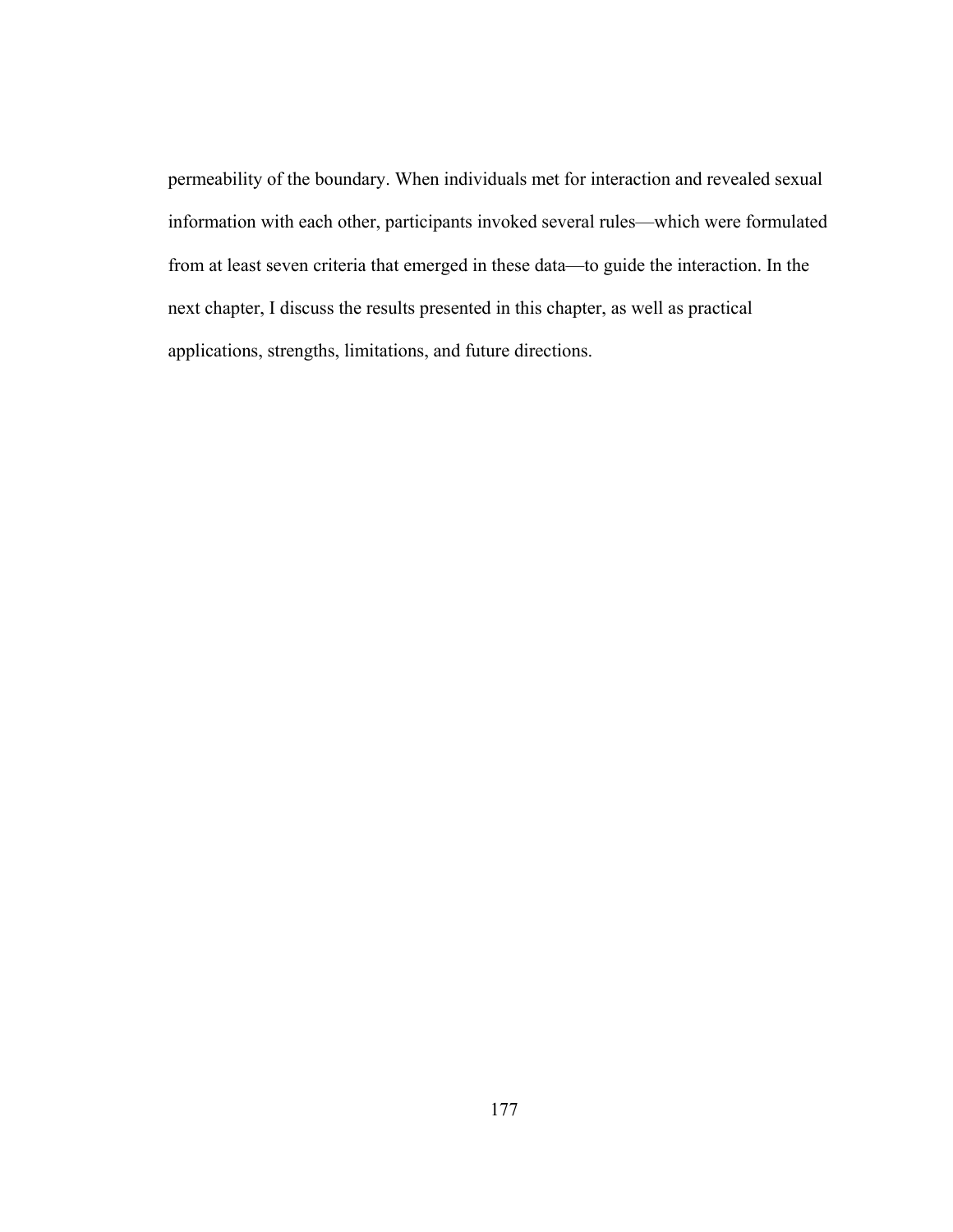permeability of the boundary. When individuals met for interaction and revealed sexual information with each other, participants invoked several rules—which were formulated from at least seven criteria that emerged in these data—to guide the interaction. In the next chapter, I discuss the results presented in this chapter, as well as practical applications, strengths, limitations, and future directions.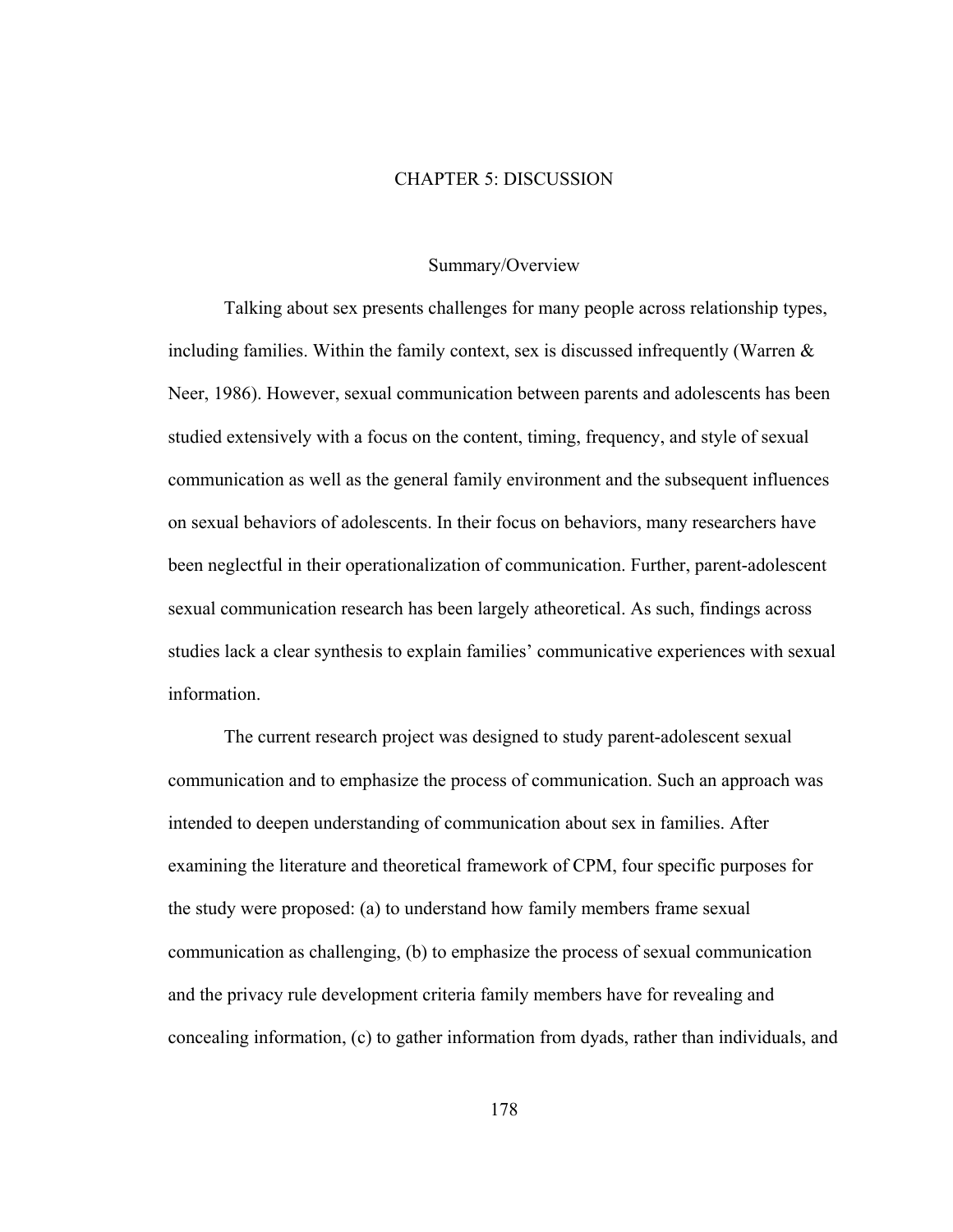### CHAPTER 5: DISCUSSION

### Summary/Overview

 Talking about sex presents challenges for many people across relationship types, including families. Within the family context, sex is discussed infrequently (Warren  $\&$ Neer, 1986). However, sexual communication between parents and adolescents has been studied extensively with a focus on the content, timing, frequency, and style of sexual communication as well as the general family environment and the subsequent influences on sexual behaviors of adolescents. In their focus on behaviors, many researchers have been neglectful in their operationalization of communication. Further, parent-adolescent sexual communication research has been largely atheoretical. As such, findings across studies lack a clear synthesis to explain families' communicative experiences with sexual information.

 The current research project was designed to study parent-adolescent sexual communication and to emphasize the process of communication. Such an approach was intended to deepen understanding of communication about sex in families. After examining the literature and theoretical framework of CPM, four specific purposes for the study were proposed: (a) to understand how family members frame sexual communication as challenging, (b) to emphasize the process of sexual communication and the privacy rule development criteria family members have for revealing and concealing information, (c) to gather information from dyads, rather than individuals, and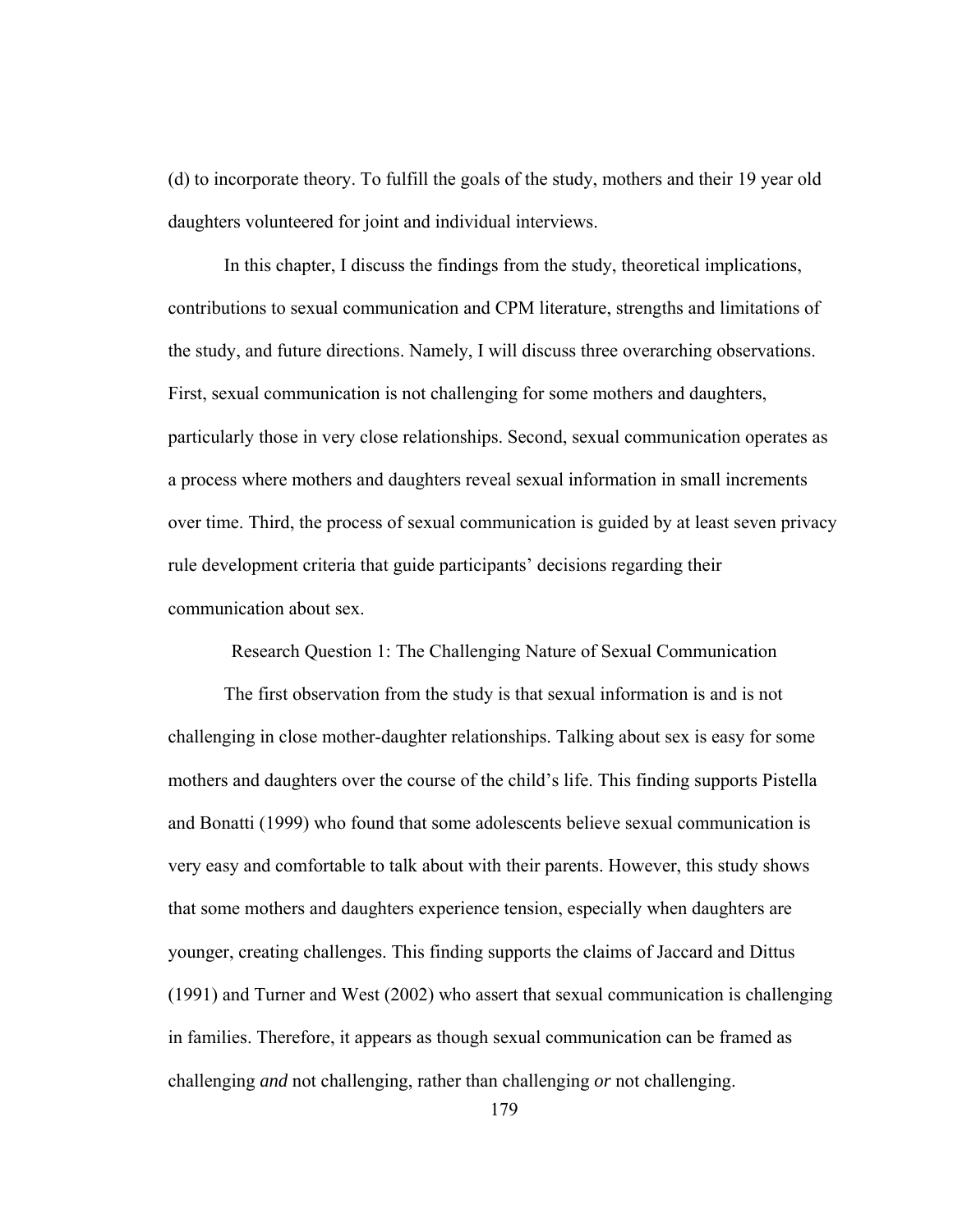(d) to incorporate theory. To fulfill the goals of the study, mothers and their 19 year old daughters volunteered for joint and individual interviews.

In this chapter, I discuss the findings from the study, theoretical implications, contributions to sexual communication and CPM literature, strengths and limitations of the study, and future directions. Namely, I will discuss three overarching observations. First, sexual communication is not challenging for some mothers and daughters, particularly those in very close relationships. Second, sexual communication operates as a process where mothers and daughters reveal sexual information in small increments over time. Third, the process of sexual communication is guided by at least seven privacy rule development criteria that guide participants' decisions regarding their communication about sex.

Research Question 1: The Challenging Nature of Sexual Communication

The first observation from the study is that sexual information is and is not challenging in close mother-daughter relationships. Talking about sex is easy for some mothers and daughters over the course of the child's life. This finding supports Pistella and Bonatti (1999) who found that some adolescents believe sexual communication is very easy and comfortable to talk about with their parents. However, this study shows that some mothers and daughters experience tension, especially when daughters are younger, creating challenges. This finding supports the claims of Jaccard and Dittus (1991) and Turner and West (2002) who assert that sexual communication is challenging in families. Therefore, it appears as though sexual communication can be framed as challenging *and* not challenging, rather than challenging *or* not challenging.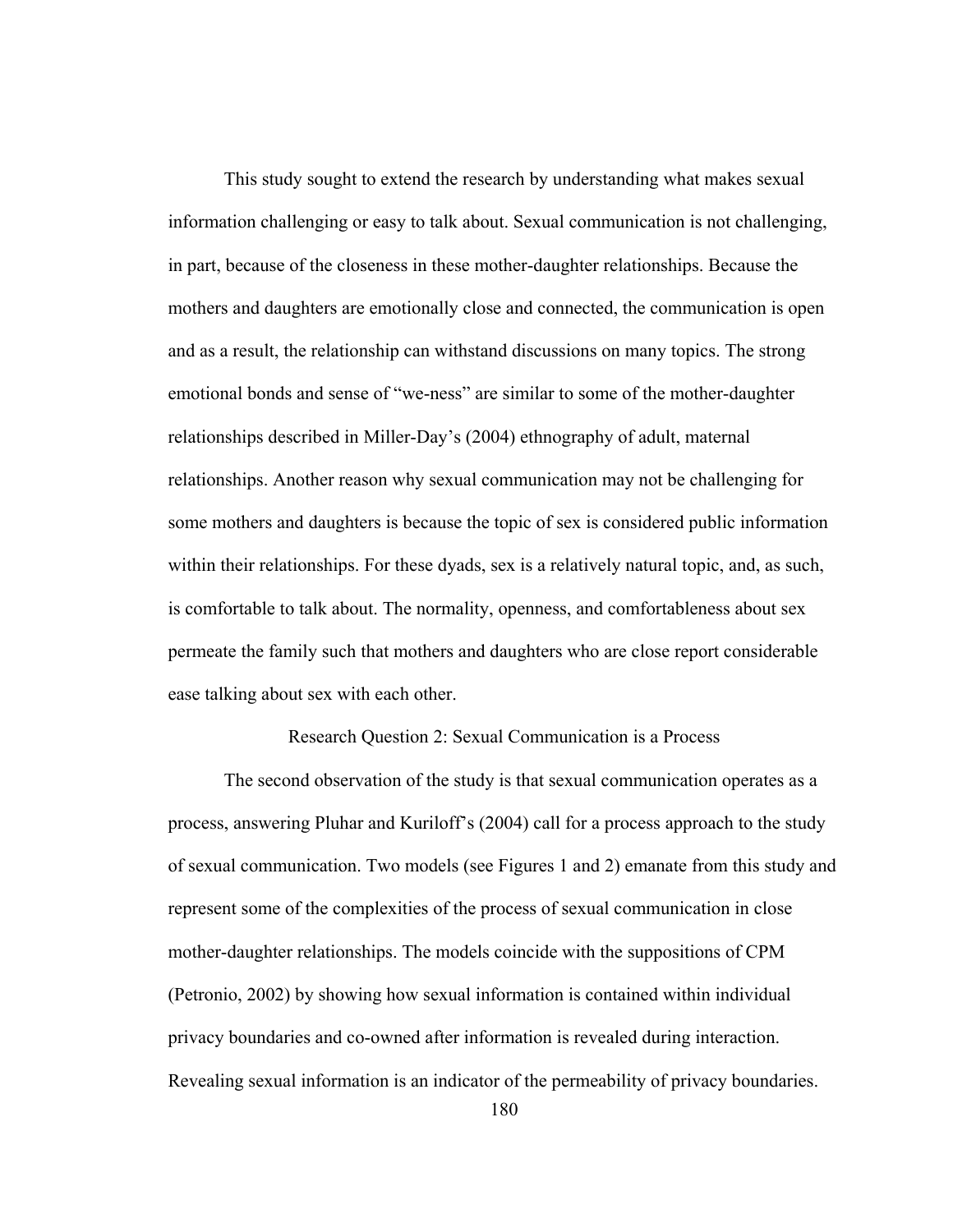This study sought to extend the research by understanding what makes sexual information challenging or easy to talk about. Sexual communication is not challenging, in part, because of the closeness in these mother-daughter relationships. Because the mothers and daughters are emotionally close and connected, the communication is open and as a result, the relationship can withstand discussions on many topics. The strong emotional bonds and sense of "we-ness" are similar to some of the mother-daughter relationships described in Miller-Day's (2004) ethnography of adult, maternal relationships. Another reason why sexual communication may not be challenging for some mothers and daughters is because the topic of sex is considered public information within their relationships. For these dyads, sex is a relatively natural topic, and, as such, is comfortable to talk about. The normality, openness, and comfortableness about sex permeate the family such that mothers and daughters who are close report considerable ease talking about sex with each other.

Research Question 2: Sexual Communication is a Process

The second observation of the study is that sexual communication operates as a process, answering Pluhar and Kuriloff's (2004) call for a process approach to the study of sexual communication. Two models (see Figures 1 and 2) emanate from this study and represent some of the complexities of the process of sexual communication in close mother-daughter relationships. The models coincide with the suppositions of CPM (Petronio, 2002) by showing how sexual information is contained within individual privacy boundaries and co-owned after information is revealed during interaction. Revealing sexual information is an indicator of the permeability of privacy boundaries.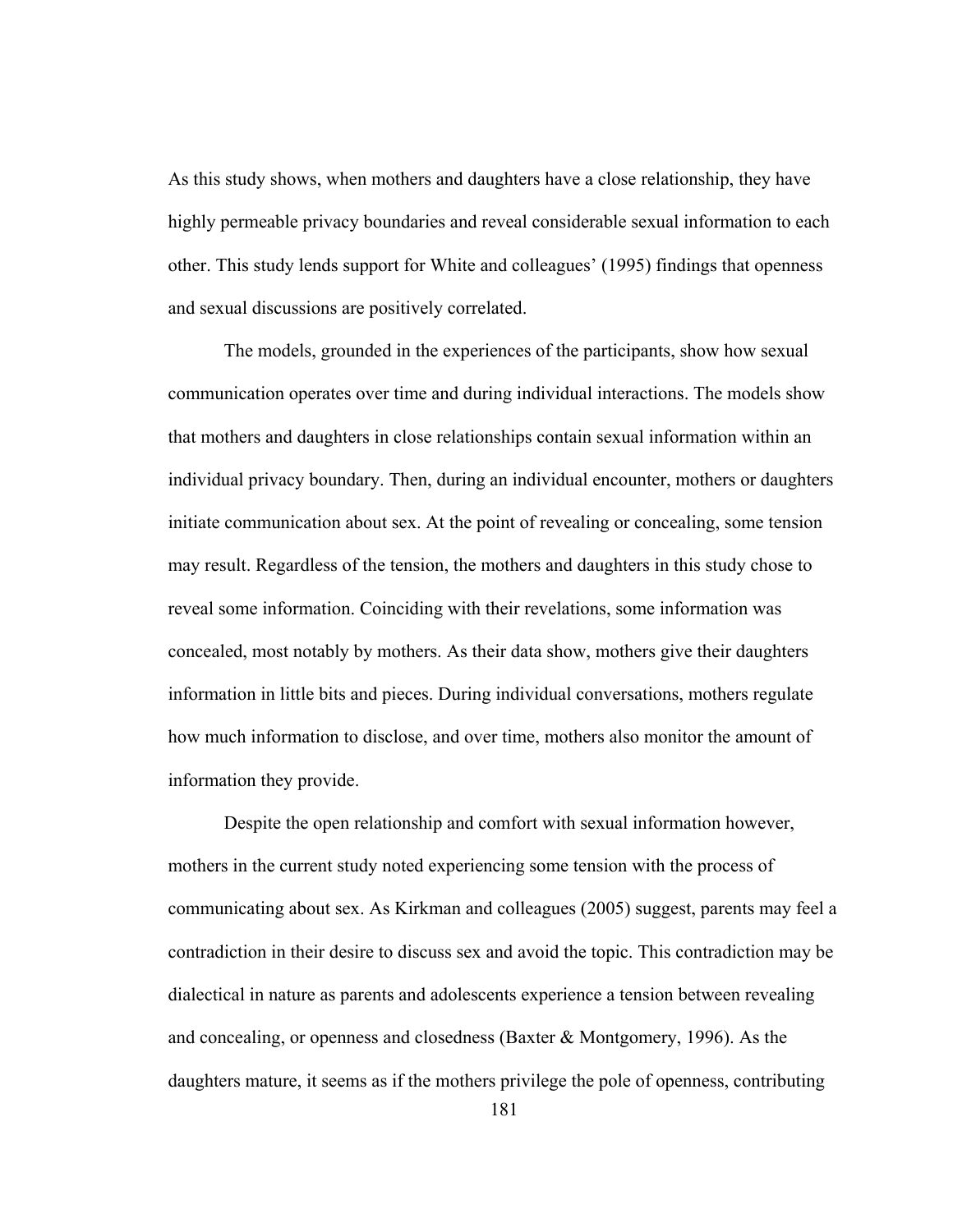As this study shows, when mothers and daughters have a close relationship, they have highly permeable privacy boundaries and reveal considerable sexual information to each other. This study lends support for White and colleagues' (1995) findings that openness and sexual discussions are positively correlated.

The models, grounded in the experiences of the participants, show how sexual communication operates over time and during individual interactions. The models show that mothers and daughters in close relationships contain sexual information within an individual privacy boundary. Then, during an individual encounter, mothers or daughters initiate communication about sex. At the point of revealing or concealing, some tension may result. Regardless of the tension, the mothers and daughters in this study chose to reveal some information. Coinciding with their revelations, some information was concealed, most notably by mothers. As their data show, mothers give their daughters information in little bits and pieces. During individual conversations, mothers regulate how much information to disclose, and over time, mothers also monitor the amount of information they provide.

Despite the open relationship and comfort with sexual information however, mothers in the current study noted experiencing some tension with the process of communicating about sex. As Kirkman and colleagues (2005) suggest, parents may feel a contradiction in their desire to discuss sex and avoid the topic. This contradiction may be dialectical in nature as parents and adolescents experience a tension between revealing and concealing, or openness and closedness (Baxter & Montgomery, 1996). As the daughters mature, it seems as if the mothers privilege the pole of openness, contributing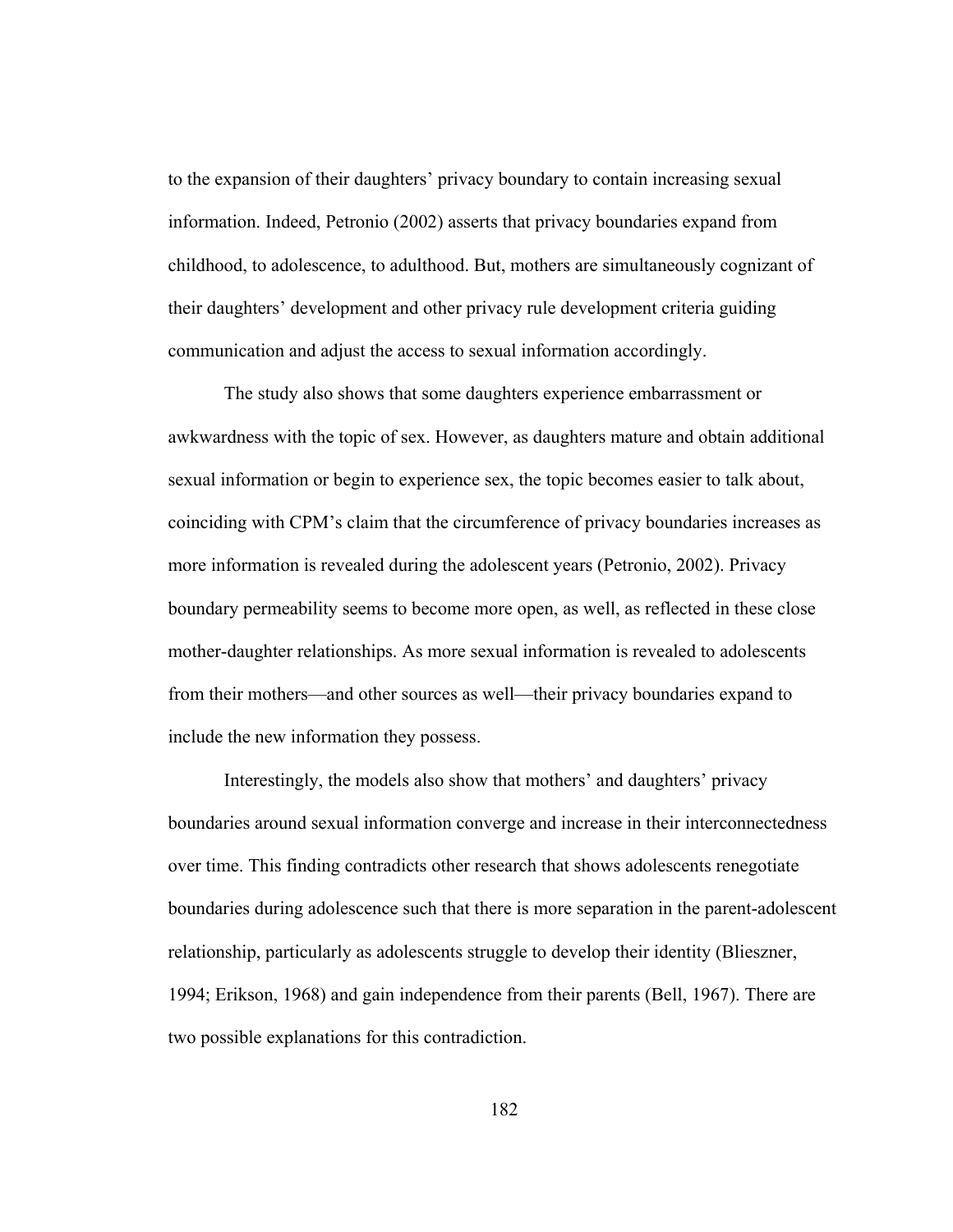to the expansion of their daughters' privacy boundary to contain increasing sexual information. Indeed, Petronio (2002) asserts that privacy boundaries expand from childhood, to adolescence, to adulthood. But, mothers are simultaneously cognizant of their daughters' development and other privacy rule development criteria guiding communication and adjust the access to sexual information accordingly.

The study also shows that some daughters experience embarrassment or awkwardness with the topic of sex. However, as daughters mature and obtain additional sexual information or begin to experience sex, the topic becomes easier to talk about, coinciding with CPM's claim that the circumference of privacy boundaries increases as more information is revealed during the adolescent years (Petronio, 2002). Privacy boundary permeability seems to become more open, as well, as reflected in these close mother-daughter relationships. As more sexual information is revealed to adolescents from their mothers—and other sources as well—their privacy boundaries expand to include the new information they possess.

Interestingly, the models also show that mothers' and daughters' privacy boundaries around sexual information converge and increase in their interconnectedness over time. This finding contradicts other research that shows adolescents renegotiate boundaries during adolescence such that there is more separation in the parent-adolescent relationship, particularly as adolescents struggle to develop their identity (Blieszner, 1994; Erikson, 1968) and gain independence from their parents (Bell, 1967). There are two possible explanations for this contradiction.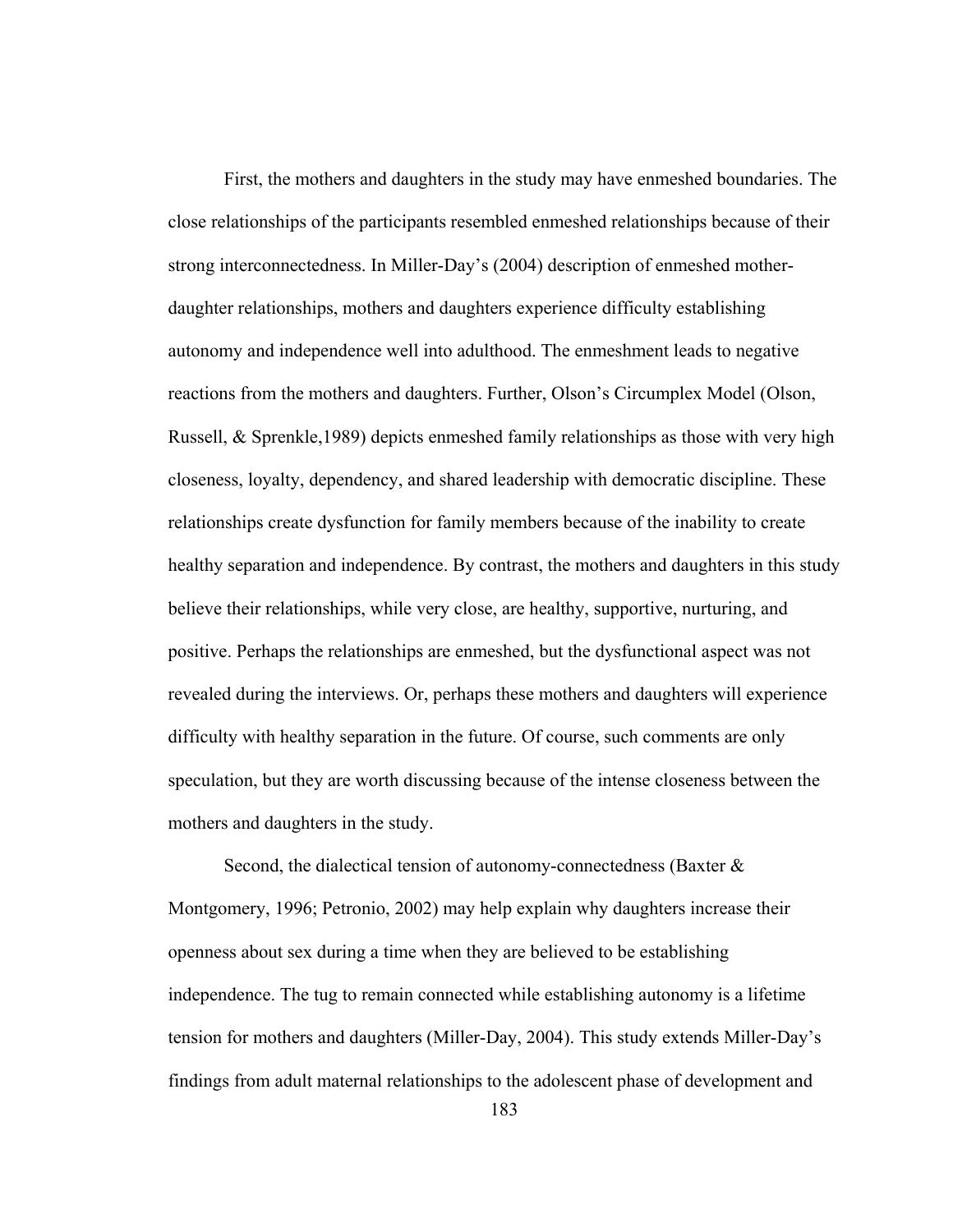First, the mothers and daughters in the study may have enmeshed boundaries. The close relationships of the participants resembled enmeshed relationships because of their strong interconnectedness. In Miller-Day's (2004) description of enmeshed motherdaughter relationships, mothers and daughters experience difficulty establishing autonomy and independence well into adulthood. The enmeshment leads to negative reactions from the mothers and daughters. Further, Olson's Circumplex Model (Olson, Russell, & Sprenkle,1989) depicts enmeshed family relationships as those with very high closeness, loyalty, dependency, and shared leadership with democratic discipline. These relationships create dysfunction for family members because of the inability to create healthy separation and independence. By contrast, the mothers and daughters in this study believe their relationships, while very close, are healthy, supportive, nurturing, and positive. Perhaps the relationships are enmeshed, but the dysfunctional aspect was not revealed during the interviews. Or, perhaps these mothers and daughters will experience difficulty with healthy separation in the future. Of course, such comments are only speculation, but they are worth discussing because of the intense closeness between the mothers and daughters in the study.

Second, the dialectical tension of autonomy-connectedness (Baxter & Montgomery, 1996; Petronio, 2002) may help explain why daughters increase their openness about sex during a time when they are believed to be establishing independence. The tug to remain connected while establishing autonomy is a lifetime tension for mothers and daughters (Miller-Day, 2004). This study extends Miller-Day's findings from adult maternal relationships to the adolescent phase of development and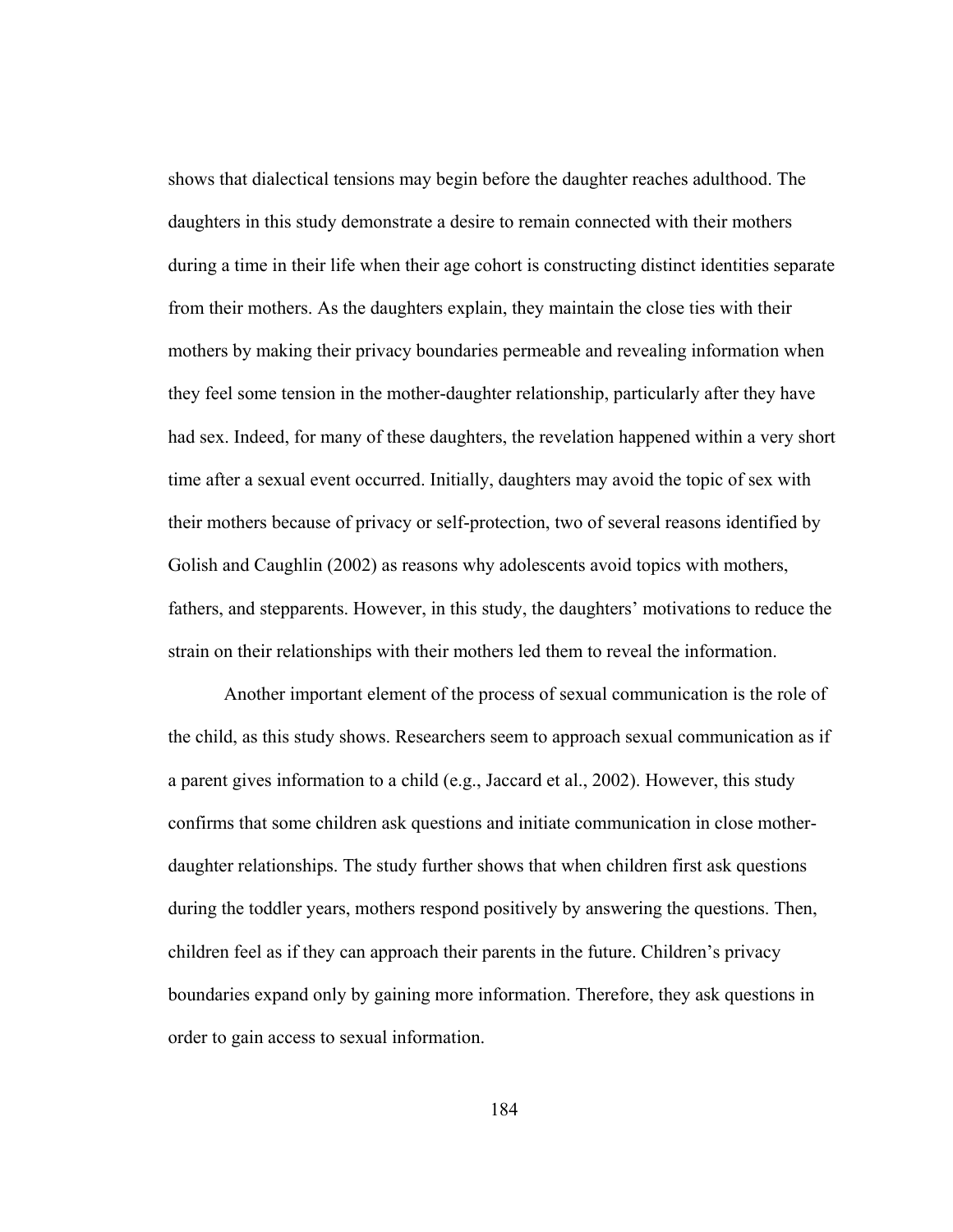shows that dialectical tensions may begin before the daughter reaches adulthood. The daughters in this study demonstrate a desire to remain connected with their mothers during a time in their life when their age cohort is constructing distinct identities separate from their mothers. As the daughters explain, they maintain the close ties with their mothers by making their privacy boundaries permeable and revealing information when they feel some tension in the mother-daughter relationship, particularly after they have had sex. Indeed, for many of these daughters, the revelation happened within a very short time after a sexual event occurred. Initially, daughters may avoid the topic of sex with their mothers because of privacy or self-protection, two of several reasons identified by Golish and Caughlin (2002) as reasons why adolescents avoid topics with mothers, fathers, and stepparents. However, in this study, the daughters' motivations to reduce the strain on their relationships with their mothers led them to reveal the information.

Another important element of the process of sexual communication is the role of the child, as this study shows. Researchers seem to approach sexual communication as if a parent gives information to a child (e.g., Jaccard et al., 2002). However, this study confirms that some children ask questions and initiate communication in close motherdaughter relationships. The study further shows that when children first ask questions during the toddler years, mothers respond positively by answering the questions. Then, children feel as if they can approach their parents in the future. Children's privacy boundaries expand only by gaining more information. Therefore, they ask questions in order to gain access to sexual information.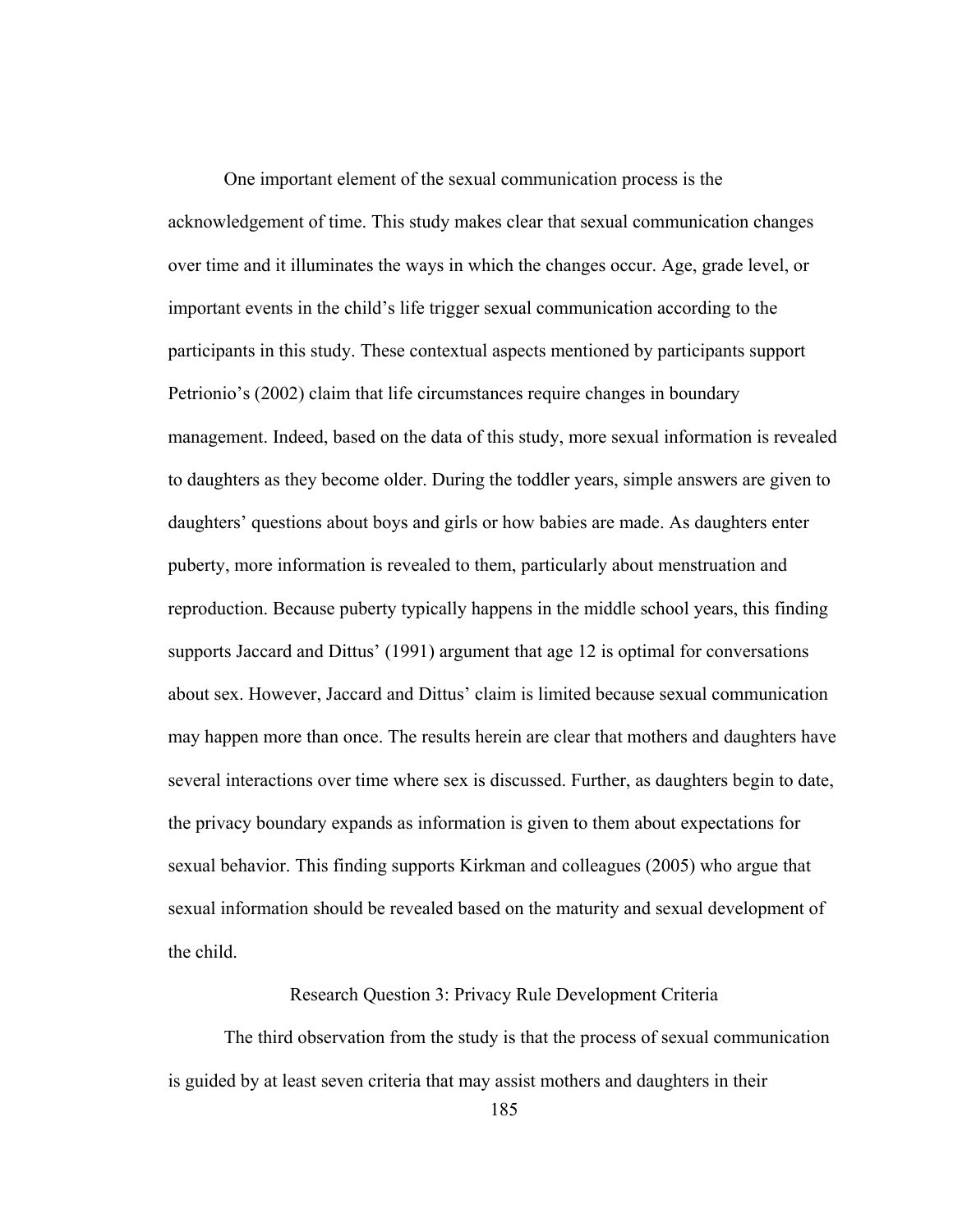One important element of the sexual communication process is the acknowledgement of time. This study makes clear that sexual communication changes over time and it illuminates the ways in which the changes occur. Age, grade level, or important events in the child's life trigger sexual communication according to the participants in this study. These contextual aspects mentioned by participants support Petrionio's (2002) claim that life circumstances require changes in boundary management. Indeed, based on the data of this study, more sexual information is revealed to daughters as they become older. During the toddler years, simple answers are given to daughters' questions about boys and girls or how babies are made. As daughters enter puberty, more information is revealed to them, particularly about menstruation and reproduction. Because puberty typically happens in the middle school years, this finding supports Jaccard and Dittus' (1991) argument that age 12 is optimal for conversations about sex. However, Jaccard and Dittus' claim is limited because sexual communication may happen more than once. The results herein are clear that mothers and daughters have several interactions over time where sex is discussed. Further, as daughters begin to date, the privacy boundary expands as information is given to them about expectations for sexual behavior. This finding supports Kirkman and colleagues (2005) who argue that sexual information should be revealed based on the maturity and sexual development of the child.

# Research Question 3: Privacy Rule Development Criteria

 The third observation from the study is that the process of sexual communication is guided by at least seven criteria that may assist mothers and daughters in their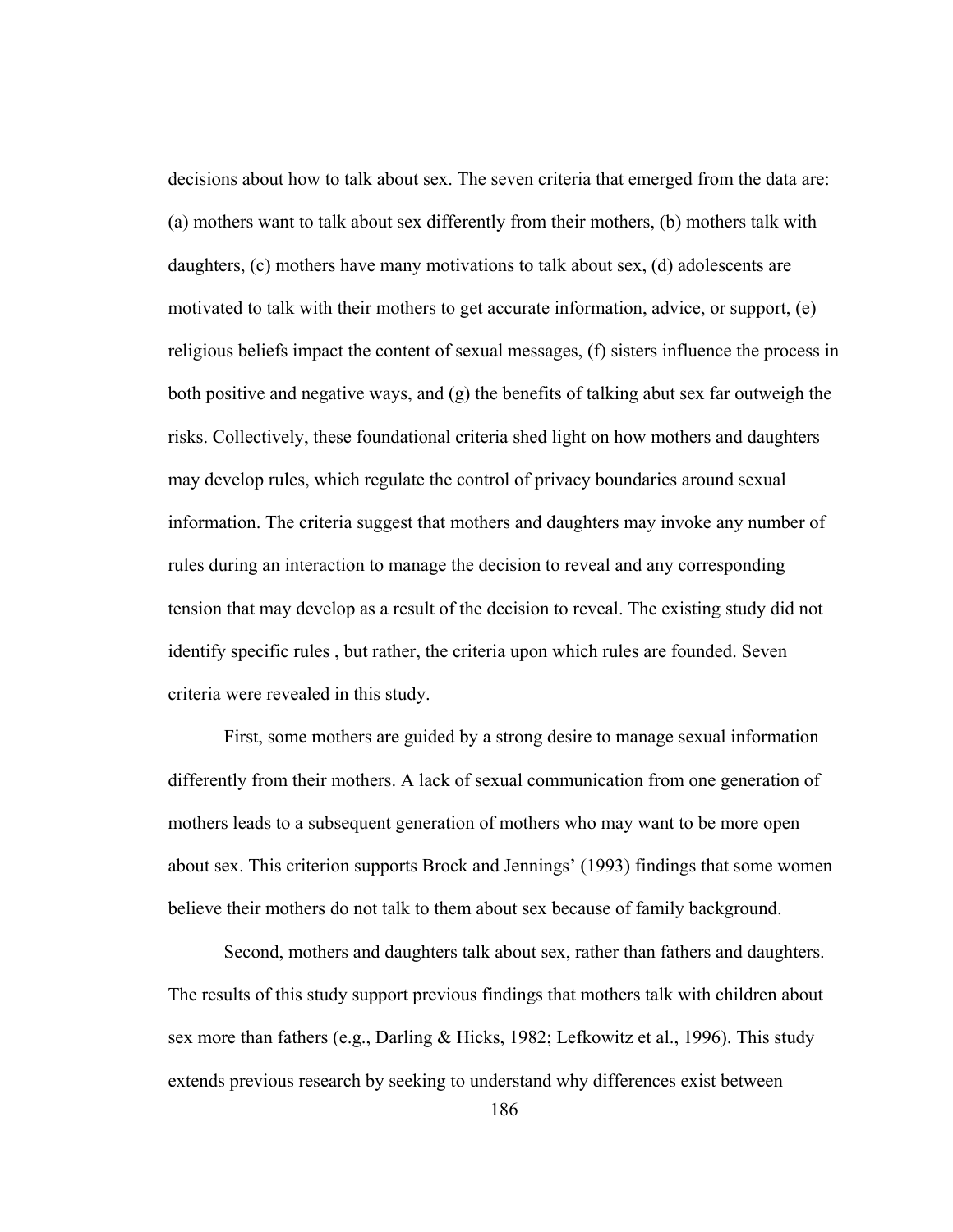decisions about how to talk about sex. The seven criteria that emerged from the data are: (a) mothers want to talk about sex differently from their mothers, (b) mothers talk with daughters, (c) mothers have many motivations to talk about sex, (d) adolescents are motivated to talk with their mothers to get accurate information, advice, or support, (e) religious beliefs impact the content of sexual messages, (f) sisters influence the process in both positive and negative ways, and (g) the benefits of talking abut sex far outweigh the risks. Collectively, these foundational criteria shed light on how mothers and daughters may develop rules, which regulate the control of privacy boundaries around sexual information. The criteria suggest that mothers and daughters may invoke any number of rules during an interaction to manage the decision to reveal and any corresponding tension that may develop as a result of the decision to reveal. The existing study did not identify specific rules , but rather, the criteria upon which rules are founded. Seven criteria were revealed in this study.

First, some mothers are guided by a strong desire to manage sexual information differently from their mothers. A lack of sexual communication from one generation of mothers leads to a subsequent generation of mothers who may want to be more open about sex. This criterion supports Brock and Jennings' (1993) findings that some women believe their mothers do not talk to them about sex because of family background.

Second, mothers and daughters talk about sex, rather than fathers and daughters. The results of this study support previous findings that mothers talk with children about sex more than fathers (e.g., Darling & Hicks, 1982; Lefkowitz et al., 1996). This study extends previous research by seeking to understand why differences exist between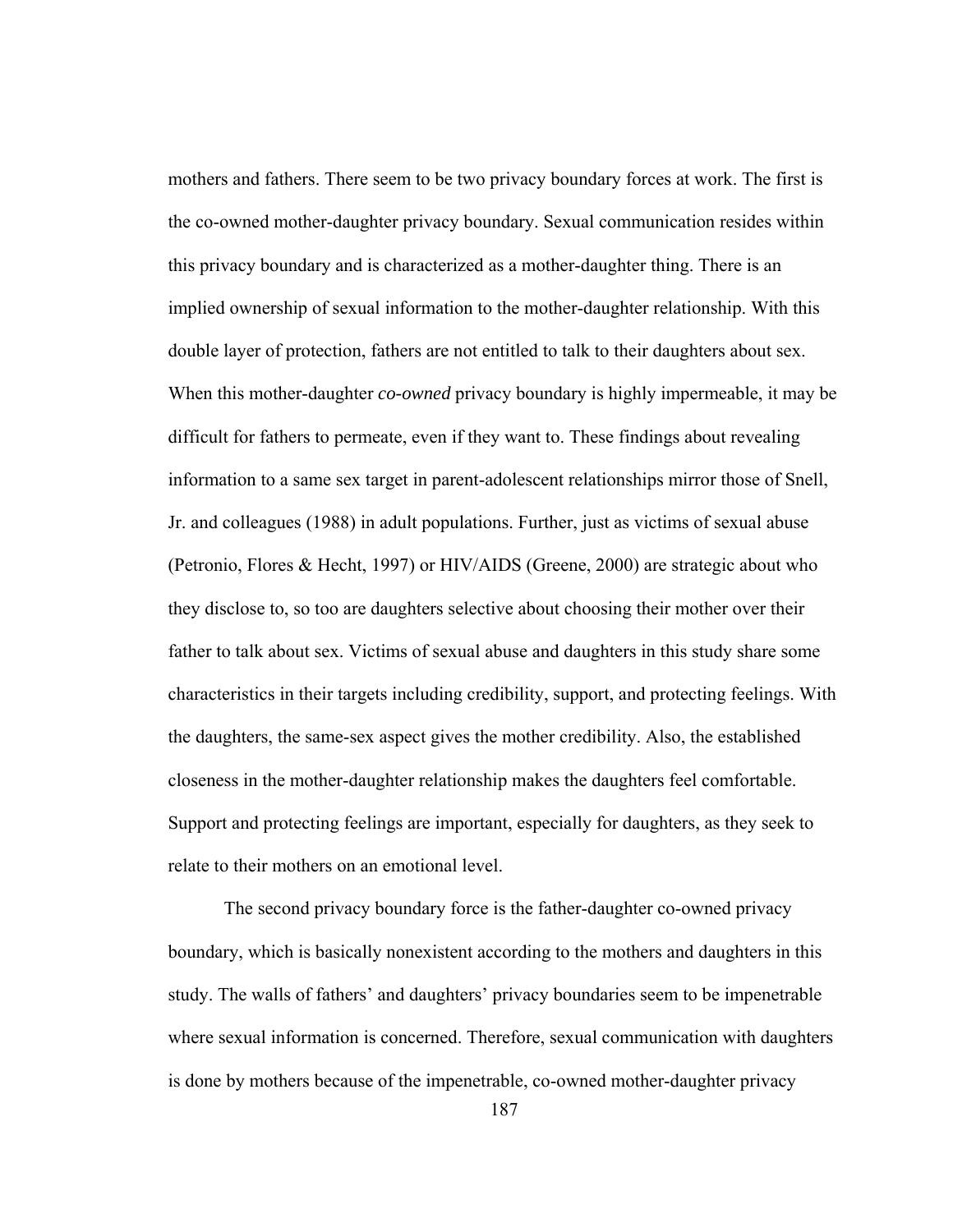mothers and fathers. There seem to be two privacy boundary forces at work. The first is the co-owned mother-daughter privacy boundary. Sexual communication resides within this privacy boundary and is characterized as a mother-daughter thing. There is an implied ownership of sexual information to the mother-daughter relationship. With this double layer of protection, fathers are not entitled to talk to their daughters about sex. When this mother-daughter *co-owned* privacy boundary is highly impermeable, it may be difficult for fathers to permeate, even if they want to. These findings about revealing information to a same sex target in parent-adolescent relationships mirror those of Snell, Jr. and colleagues (1988) in adult populations. Further, just as victims of sexual abuse (Petronio, Flores & Hecht, 1997) or HIV/AIDS (Greene, 2000) are strategic about who they disclose to, so too are daughters selective about choosing their mother over their father to talk about sex. Victims of sexual abuse and daughters in this study share some characteristics in their targets including credibility, support, and protecting feelings. With the daughters, the same-sex aspect gives the mother credibility. Also, the established closeness in the mother-daughter relationship makes the daughters feel comfortable. Support and protecting feelings are important, especially for daughters, as they seek to relate to their mothers on an emotional level.

The second privacy boundary force is the father-daughter co-owned privacy boundary, which is basically nonexistent according to the mothers and daughters in this study. The walls of fathers' and daughters' privacy boundaries seem to be impenetrable where sexual information is concerned. Therefore, sexual communication with daughters is done by mothers because of the impenetrable, co-owned mother-daughter privacy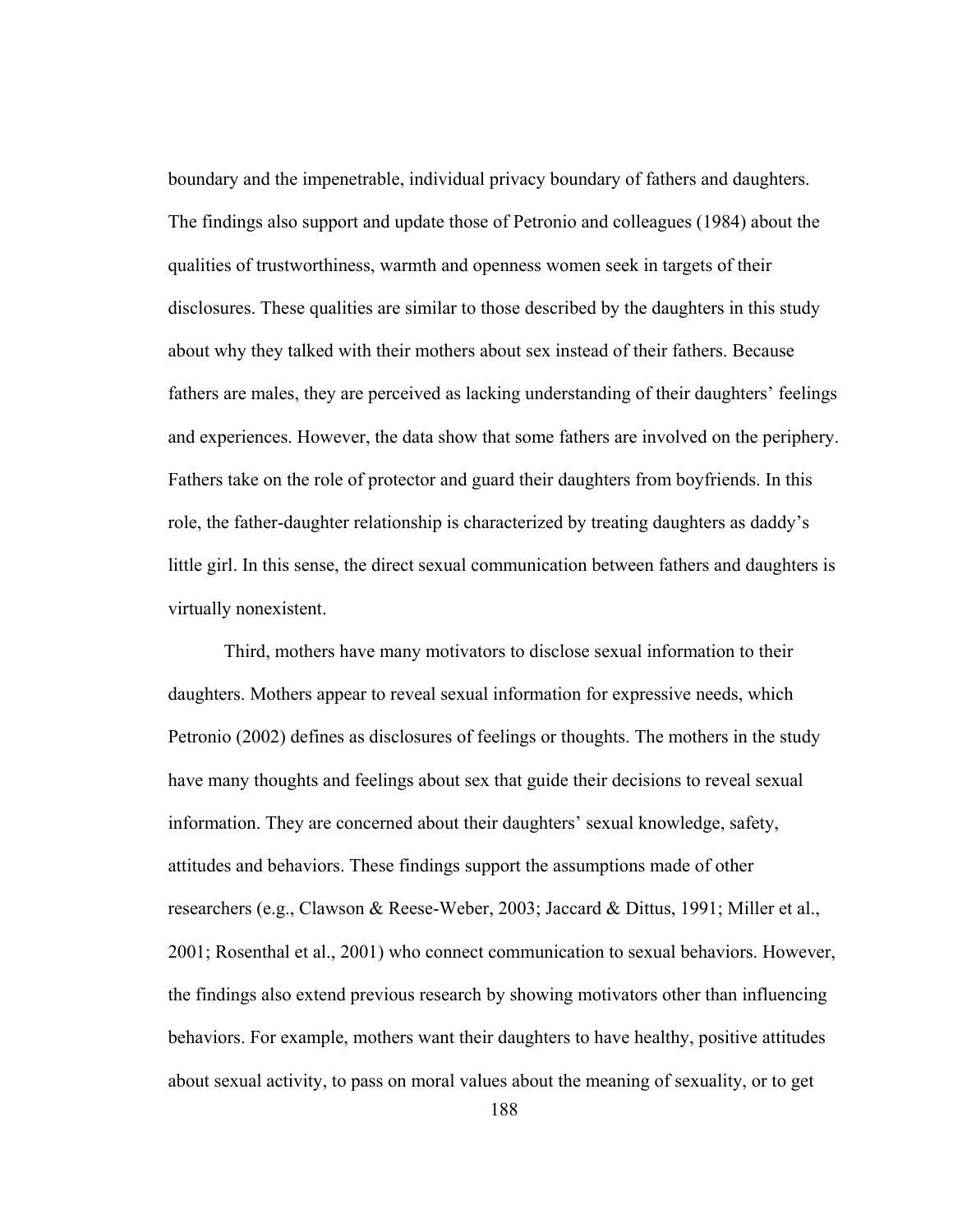boundary and the impenetrable, individual privacy boundary of fathers and daughters. The findings also support and update those of Petronio and colleagues (1984) about the qualities of trustworthiness, warmth and openness women seek in targets of their disclosures. These qualities are similar to those described by the daughters in this study about why they talked with their mothers about sex instead of their fathers. Because fathers are males, they are perceived as lacking understanding of their daughters' feelings and experiences. However, the data show that some fathers are involved on the periphery. Fathers take on the role of protector and guard their daughters from boyfriends. In this role, the father-daughter relationship is characterized by treating daughters as daddy's little girl. In this sense, the direct sexual communication between fathers and daughters is virtually nonexistent.

Third, mothers have many motivators to disclose sexual information to their daughters. Mothers appear to reveal sexual information for expressive needs, which Petronio (2002) defines as disclosures of feelings or thoughts. The mothers in the study have many thoughts and feelings about sex that guide their decisions to reveal sexual information. They are concerned about their daughters' sexual knowledge, safety, attitudes and behaviors. These findings support the assumptions made of other researchers (e.g., Clawson & Reese-Weber, 2003; Jaccard & Dittus, 1991; Miller et al., 2001; Rosenthal et al., 2001) who connect communication to sexual behaviors. However, the findings also extend previous research by showing motivators other than influencing behaviors. For example, mothers want their daughters to have healthy, positive attitudes about sexual activity, to pass on moral values about the meaning of sexuality, or to get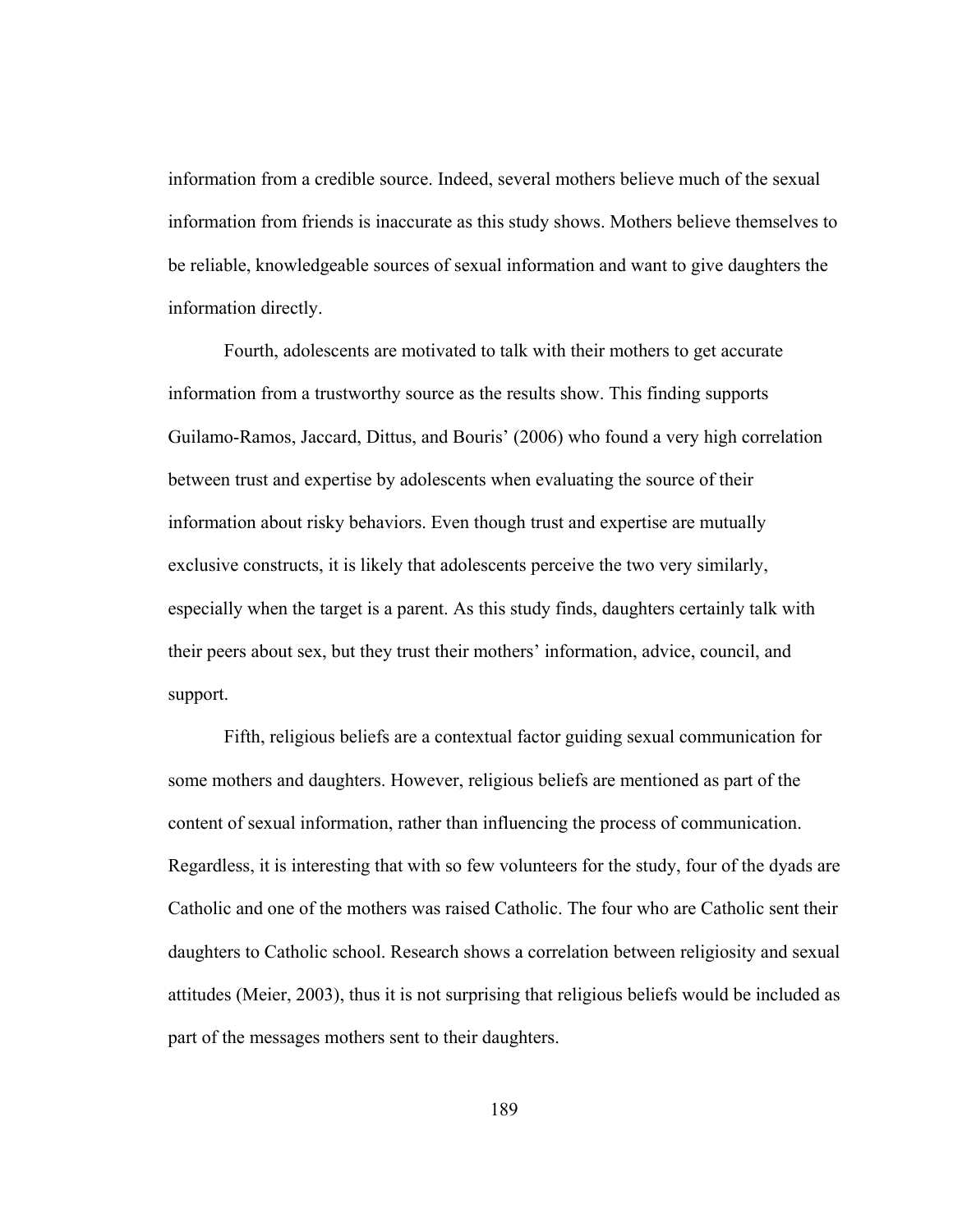information from a credible source. Indeed, several mothers believe much of the sexual information from friends is inaccurate as this study shows. Mothers believe themselves to be reliable, knowledgeable sources of sexual information and want to give daughters the information directly.

Fourth, adolescents are motivated to talk with their mothers to get accurate information from a trustworthy source as the results show. This finding supports Guilamo-Ramos, Jaccard, Dittus, and Bouris' (2006) who found a very high correlation between trust and expertise by adolescents when evaluating the source of their information about risky behaviors. Even though trust and expertise are mutually exclusive constructs, it is likely that adolescents perceive the two very similarly, especially when the target is a parent. As this study finds, daughters certainly talk with their peers about sex, but they trust their mothers' information, advice, council, and support.

Fifth, religious beliefs are a contextual factor guiding sexual communication for some mothers and daughters. However, religious beliefs are mentioned as part of the content of sexual information, rather than influencing the process of communication. Regardless, it is interesting that with so few volunteers for the study, four of the dyads are Catholic and one of the mothers was raised Catholic. The four who are Catholic sent their daughters to Catholic school. Research shows a correlation between religiosity and sexual attitudes (Meier, 2003), thus it is not surprising that religious beliefs would be included as part of the messages mothers sent to their daughters.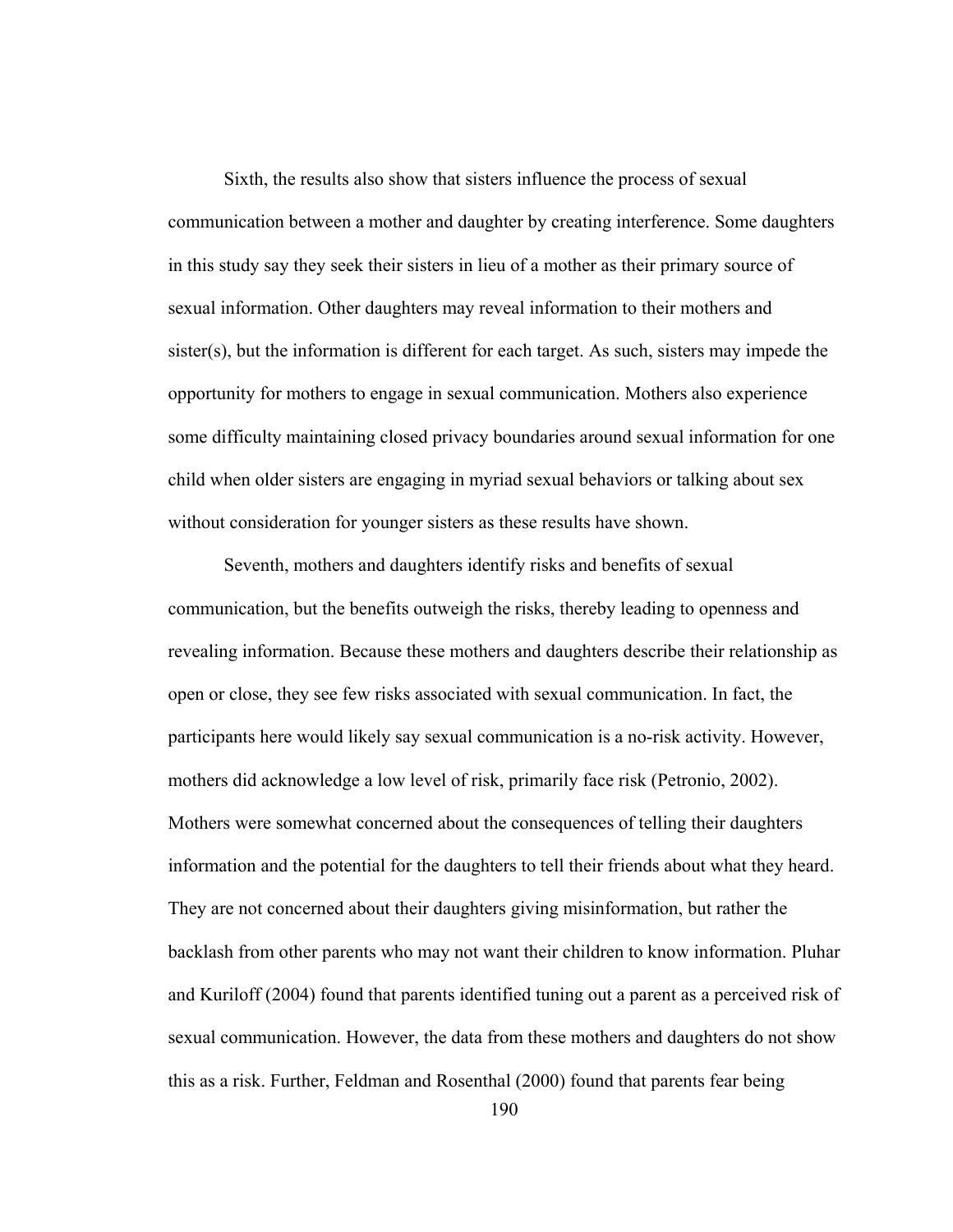Sixth, the results also show that sisters influence the process of sexual communication between a mother and daughter by creating interference. Some daughters in this study say they seek their sisters in lieu of a mother as their primary source of sexual information. Other daughters may reveal information to their mothers and sister(s), but the information is different for each target. As such, sisters may impede the opportunity for mothers to engage in sexual communication. Mothers also experience some difficulty maintaining closed privacy boundaries around sexual information for one child when older sisters are engaging in myriad sexual behaviors or talking about sex without consideration for younger sisters as these results have shown.

Seventh, mothers and daughters identify risks and benefits of sexual communication, but the benefits outweigh the risks, thereby leading to openness and revealing information. Because these mothers and daughters describe their relationship as open or close, they see few risks associated with sexual communication. In fact, the participants here would likely say sexual communication is a no-risk activity. However, mothers did acknowledge a low level of risk, primarily face risk (Petronio, 2002). Mothers were somewhat concerned about the consequences of telling their daughters information and the potential for the daughters to tell their friends about what they heard. They are not concerned about their daughters giving misinformation, but rather the backlash from other parents who may not want their children to know information. Pluhar and Kuriloff (2004) found that parents identified tuning out a parent as a perceived risk of sexual communication. However, the data from these mothers and daughters do not show this as a risk. Further, Feldman and Rosenthal (2000) found that parents fear being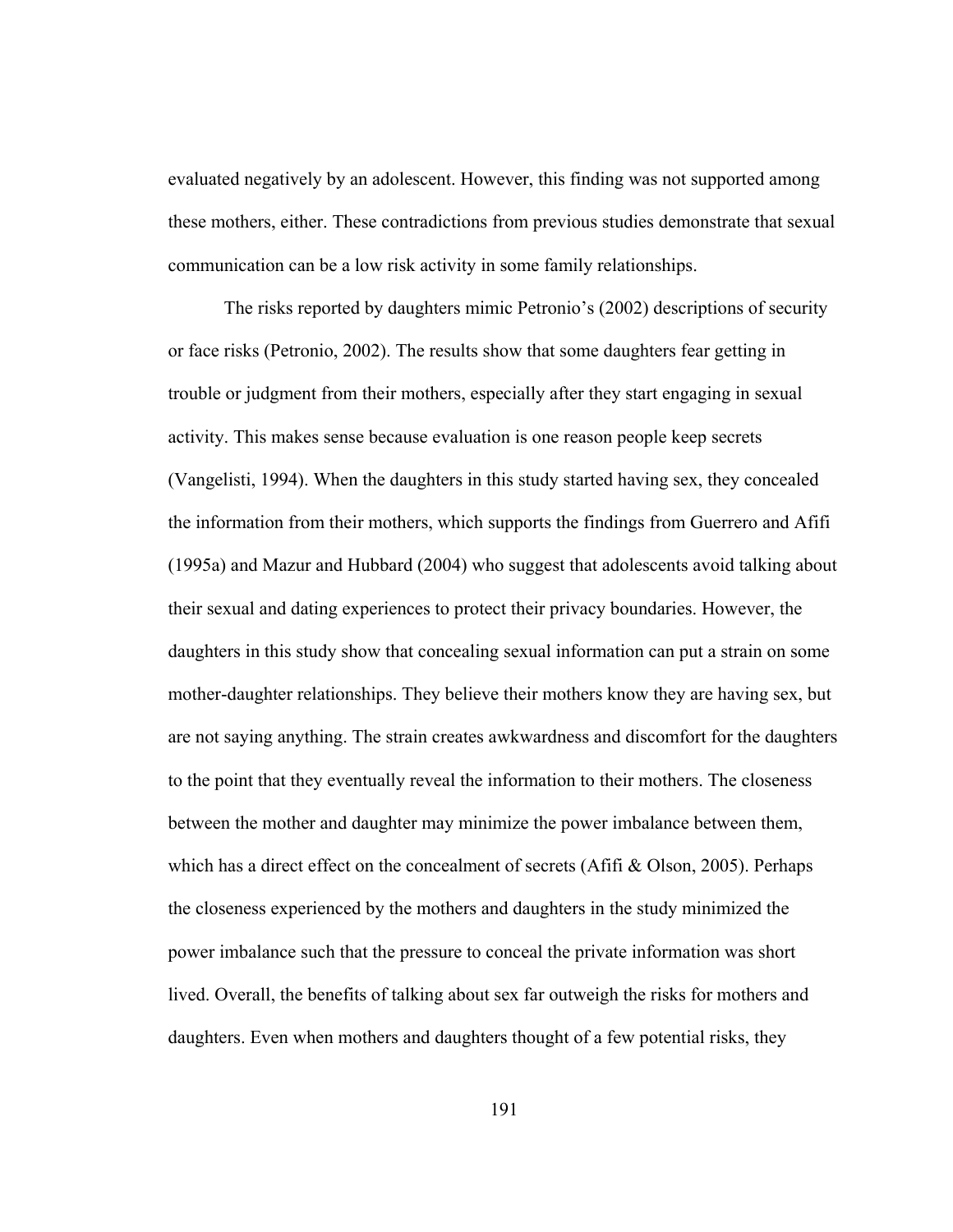evaluated negatively by an adolescent. However, this finding was not supported among these mothers, either. These contradictions from previous studies demonstrate that sexual communication can be a low risk activity in some family relationships.

 The risks reported by daughters mimic Petronio's (2002) descriptions of security or face risks (Petronio, 2002). The results show that some daughters fear getting in trouble or judgment from their mothers, especially after they start engaging in sexual activity. This makes sense because evaluation is one reason people keep secrets (Vangelisti, 1994). When the daughters in this study started having sex, they concealed the information from their mothers, which supports the findings from Guerrero and Afifi (1995a) and Mazur and Hubbard (2004) who suggest that adolescents avoid talking about their sexual and dating experiences to protect their privacy boundaries. However, the daughters in this study show that concealing sexual information can put a strain on some mother-daughter relationships. They believe their mothers know they are having sex, but are not saying anything. The strain creates awkwardness and discomfort for the daughters to the point that they eventually reveal the information to their mothers. The closeness between the mother and daughter may minimize the power imbalance between them, which has a direct effect on the concealment of secrets (Afifi  $\&$  Olson, 2005). Perhaps the closeness experienced by the mothers and daughters in the study minimized the power imbalance such that the pressure to conceal the private information was short lived. Overall, the benefits of talking about sex far outweigh the risks for mothers and daughters. Even when mothers and daughters thought of a few potential risks, they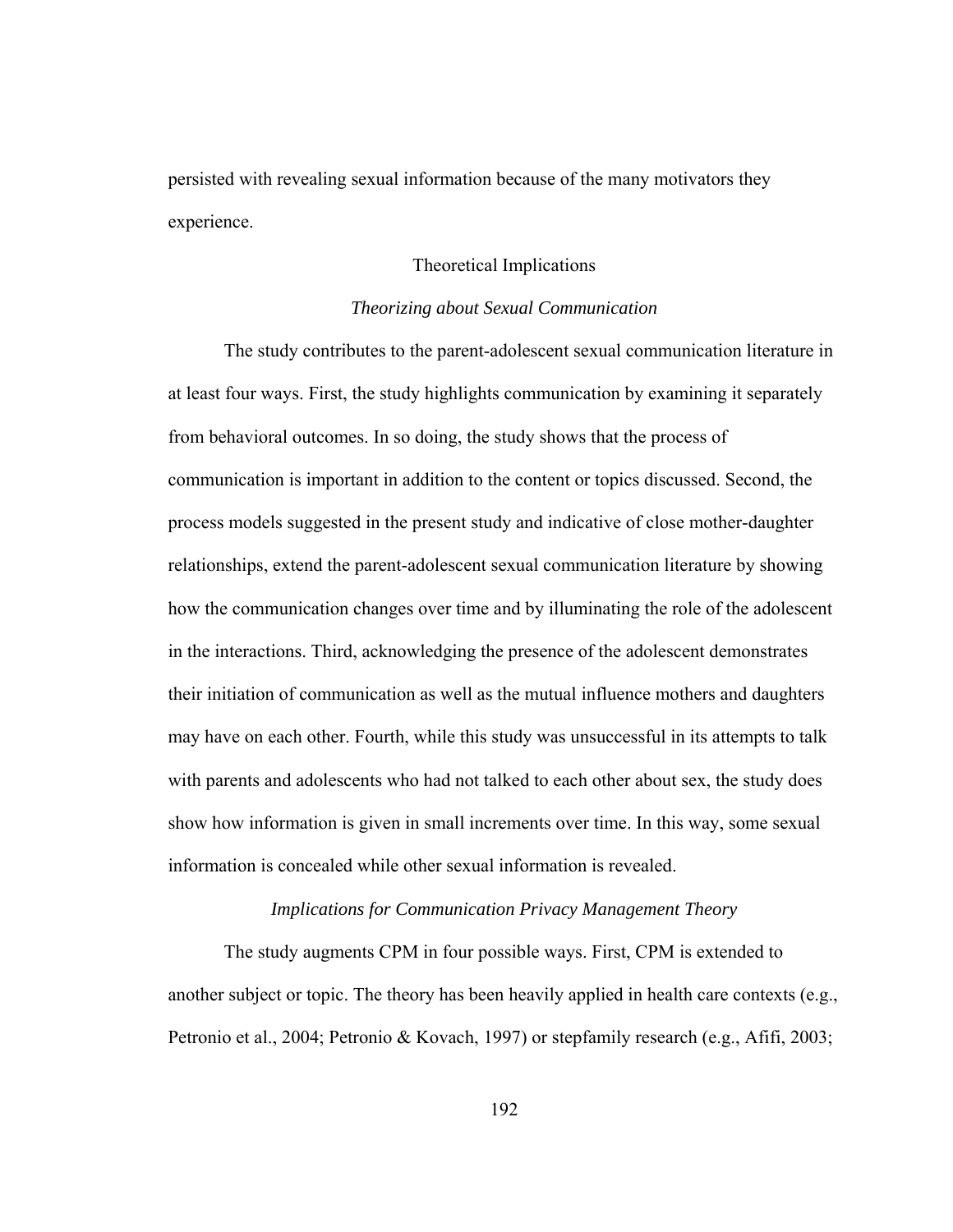persisted with revealing sexual information because of the many motivators they experience.

# Theoretical Implications

# *Theorizing about Sexual Communication*

 The study contributes to the parent-adolescent sexual communication literature in at least four ways. First, the study highlights communication by examining it separately from behavioral outcomes. In so doing, the study shows that the process of communication is important in addition to the content or topics discussed. Second, the process models suggested in the present study and indicative of close mother-daughter relationships, extend the parent-adolescent sexual communication literature by showing how the communication changes over time and by illuminating the role of the adolescent in the interactions. Third, acknowledging the presence of the adolescent demonstrates their initiation of communication as well as the mutual influence mothers and daughters may have on each other. Fourth, while this study was unsuccessful in its attempts to talk with parents and adolescents who had not talked to each other about sex, the study does show how information is given in small increments over time. In this way, some sexual information is concealed while other sexual information is revealed.

### *Implications for Communication Privacy Management Theory*

The study augments CPM in four possible ways. First, CPM is extended to another subject or topic. The theory has been heavily applied in health care contexts (e.g., Petronio et al., 2004; Petronio & Kovach, 1997) or stepfamily research (e.g., Afifi, 2003;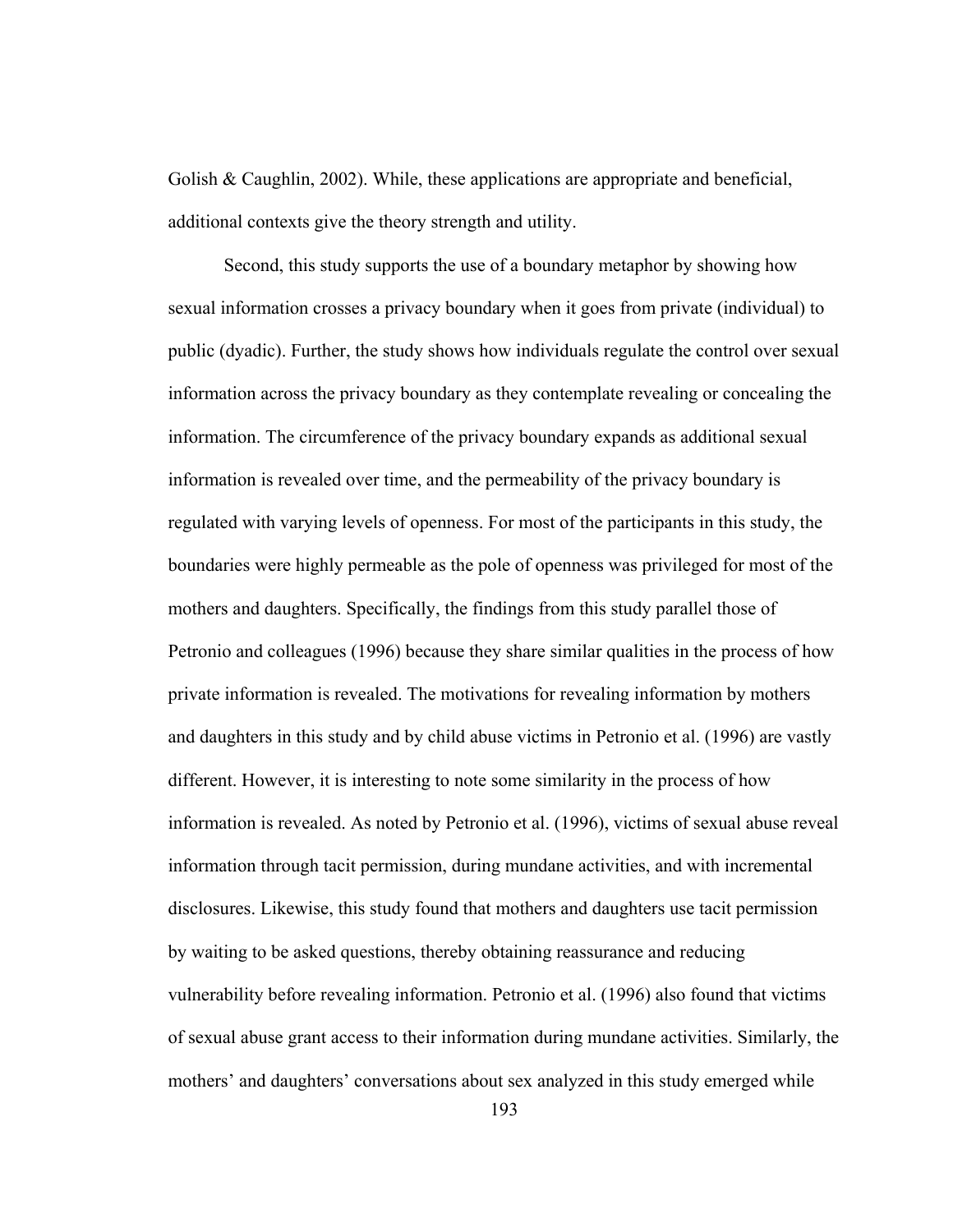Golish & Caughlin, 2002). While, these applications are appropriate and beneficial, additional contexts give the theory strength and utility.

Second, this study supports the use of a boundary metaphor by showing how sexual information crosses a privacy boundary when it goes from private (individual) to public (dyadic). Further, the study shows how individuals regulate the control over sexual information across the privacy boundary as they contemplate revealing or concealing the information. The circumference of the privacy boundary expands as additional sexual information is revealed over time, and the permeability of the privacy boundary is regulated with varying levels of openness. For most of the participants in this study, the boundaries were highly permeable as the pole of openness was privileged for most of the mothers and daughters. Specifically, the findings from this study parallel those of Petronio and colleagues (1996) because they share similar qualities in the process of how private information is revealed. The motivations for revealing information by mothers and daughters in this study and by child abuse victims in Petronio et al. (1996) are vastly different. However, it is interesting to note some similarity in the process of how information is revealed. As noted by Petronio et al. (1996), victims of sexual abuse reveal information through tacit permission, during mundane activities, and with incremental disclosures. Likewise, this study found that mothers and daughters use tacit permission by waiting to be asked questions, thereby obtaining reassurance and reducing vulnerability before revealing information. Petronio et al. (1996) also found that victims of sexual abuse grant access to their information during mundane activities. Similarly, the mothers' and daughters' conversations about sex analyzed in this study emerged while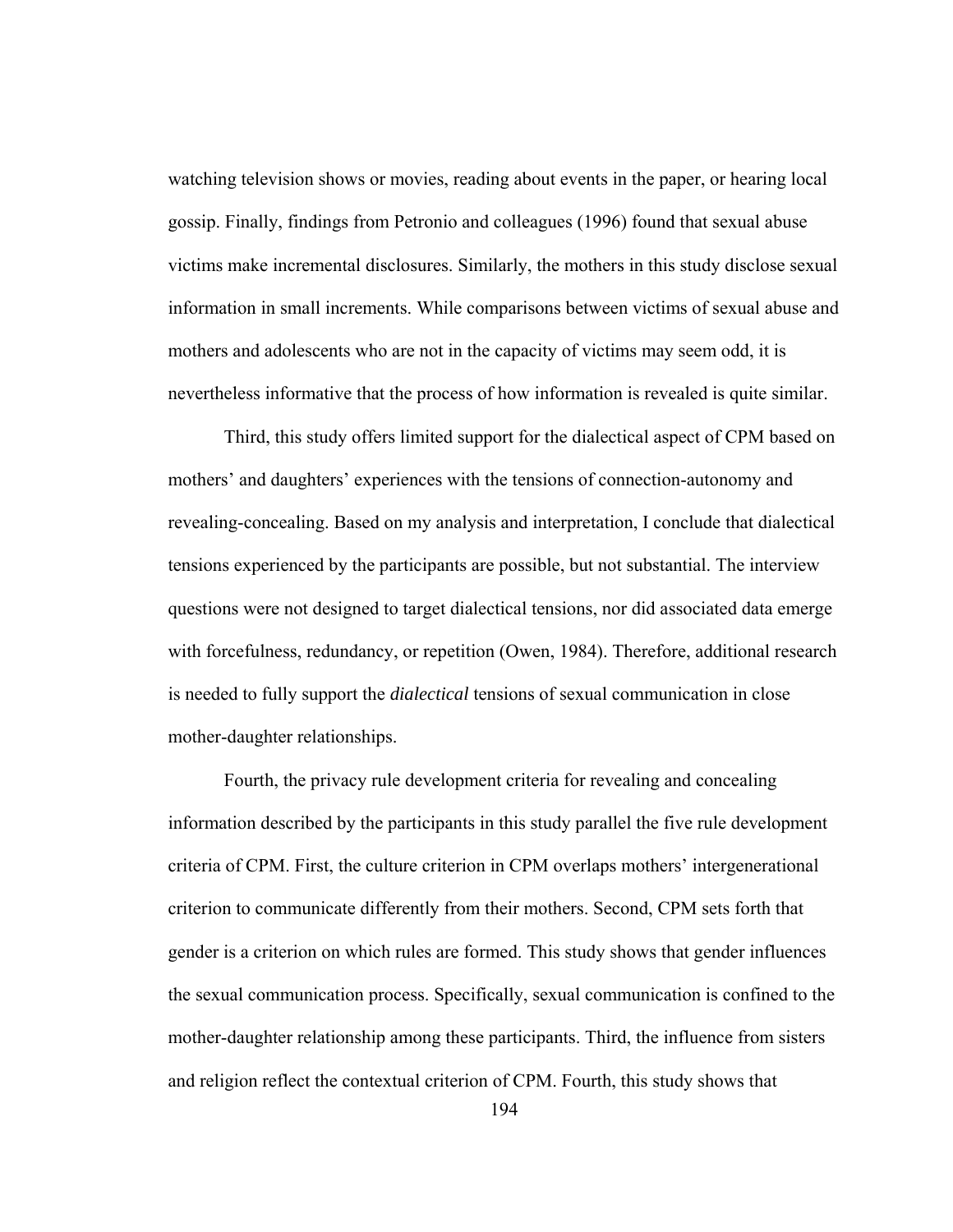watching television shows or movies, reading about events in the paper, or hearing local gossip. Finally, findings from Petronio and colleagues (1996) found that sexual abuse victims make incremental disclosures. Similarly, the mothers in this study disclose sexual information in small increments. While comparisons between victims of sexual abuse and mothers and adolescents who are not in the capacity of victims may seem odd, it is nevertheless informative that the process of how information is revealed is quite similar.

 Third, this study offers limited support for the dialectical aspect of CPM based on mothers' and daughters' experiences with the tensions of connection-autonomy and revealing-concealing. Based on my analysis and interpretation, I conclude that dialectical tensions experienced by the participants are possible, but not substantial. The interview questions were not designed to target dialectical tensions, nor did associated data emerge with forcefulness, redundancy, or repetition (Owen, 1984). Therefore, additional research is needed to fully support the *dialectical* tensions of sexual communication in close mother-daughter relationships.

 Fourth, the privacy rule development criteria for revealing and concealing information described by the participants in this study parallel the five rule development criteria of CPM. First, the culture criterion in CPM overlaps mothers' intergenerational criterion to communicate differently from their mothers. Second, CPM sets forth that gender is a criterion on which rules are formed. This study shows that gender influences the sexual communication process. Specifically, sexual communication is confined to the mother-daughter relationship among these participants. Third, the influence from sisters and religion reflect the contextual criterion of CPM. Fourth, this study shows that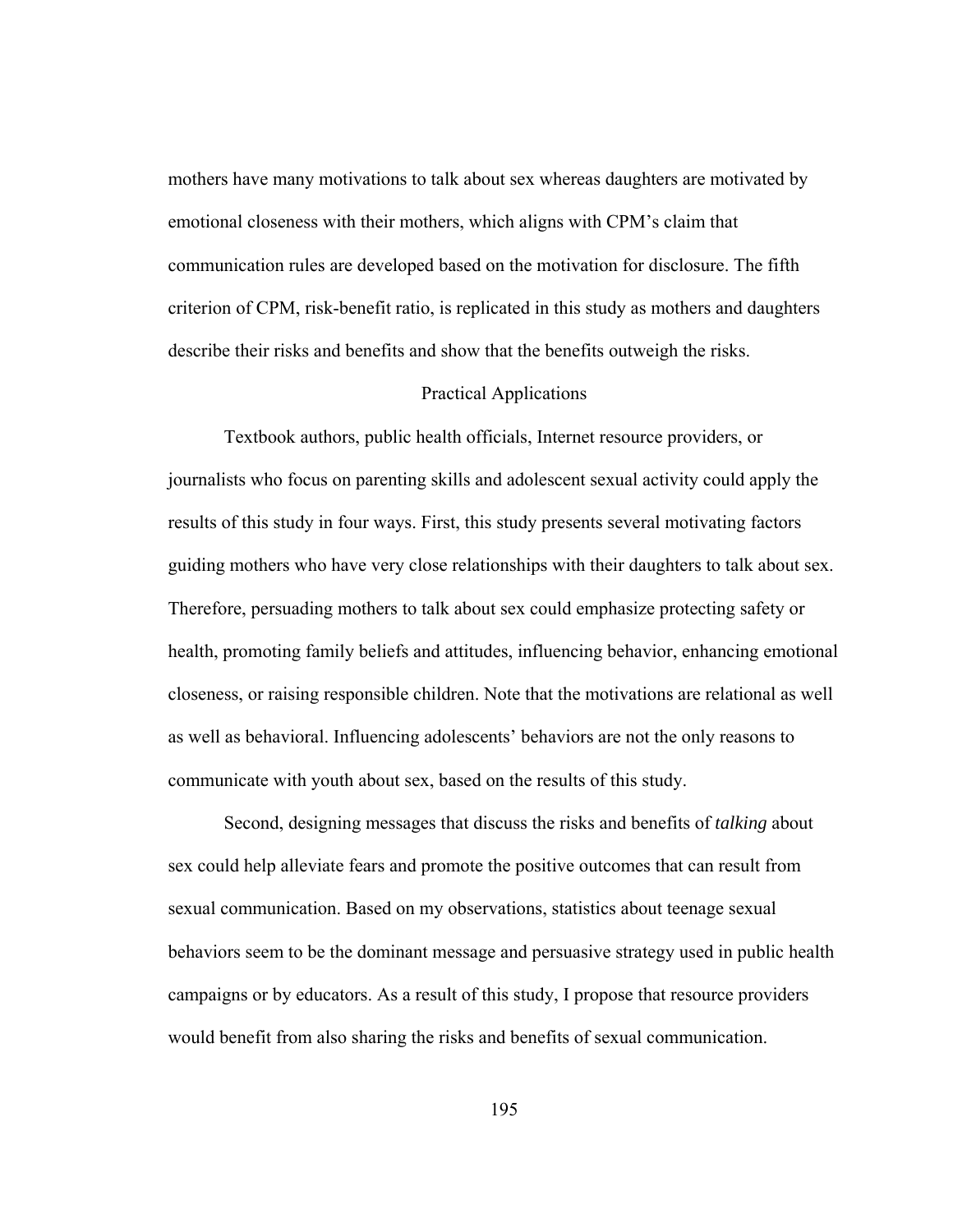mothers have many motivations to talk about sex whereas daughters are motivated by emotional closeness with their mothers, which aligns with CPM's claim that communication rules are developed based on the motivation for disclosure. The fifth criterion of CPM, risk-benefit ratio, is replicated in this study as mothers and daughters describe their risks and benefits and show that the benefits outweigh the risks.

### Practical Applications

Textbook authors, public health officials, Internet resource providers, or journalists who focus on parenting skills and adolescent sexual activity could apply the results of this study in four ways. First, this study presents several motivating factors guiding mothers who have very close relationships with their daughters to talk about sex. Therefore, persuading mothers to talk about sex could emphasize protecting safety or health, promoting family beliefs and attitudes, influencing behavior, enhancing emotional closeness, or raising responsible children. Note that the motivations are relational as well as well as behavioral. Influencing adolescents' behaviors are not the only reasons to communicate with youth about sex, based on the results of this study.

Second, designing messages that discuss the risks and benefits of *talking* about sex could help alleviate fears and promote the positive outcomes that can result from sexual communication. Based on my observations, statistics about teenage sexual behaviors seem to be the dominant message and persuasive strategy used in public health campaigns or by educators. As a result of this study, I propose that resource providers would benefit from also sharing the risks and benefits of sexual communication.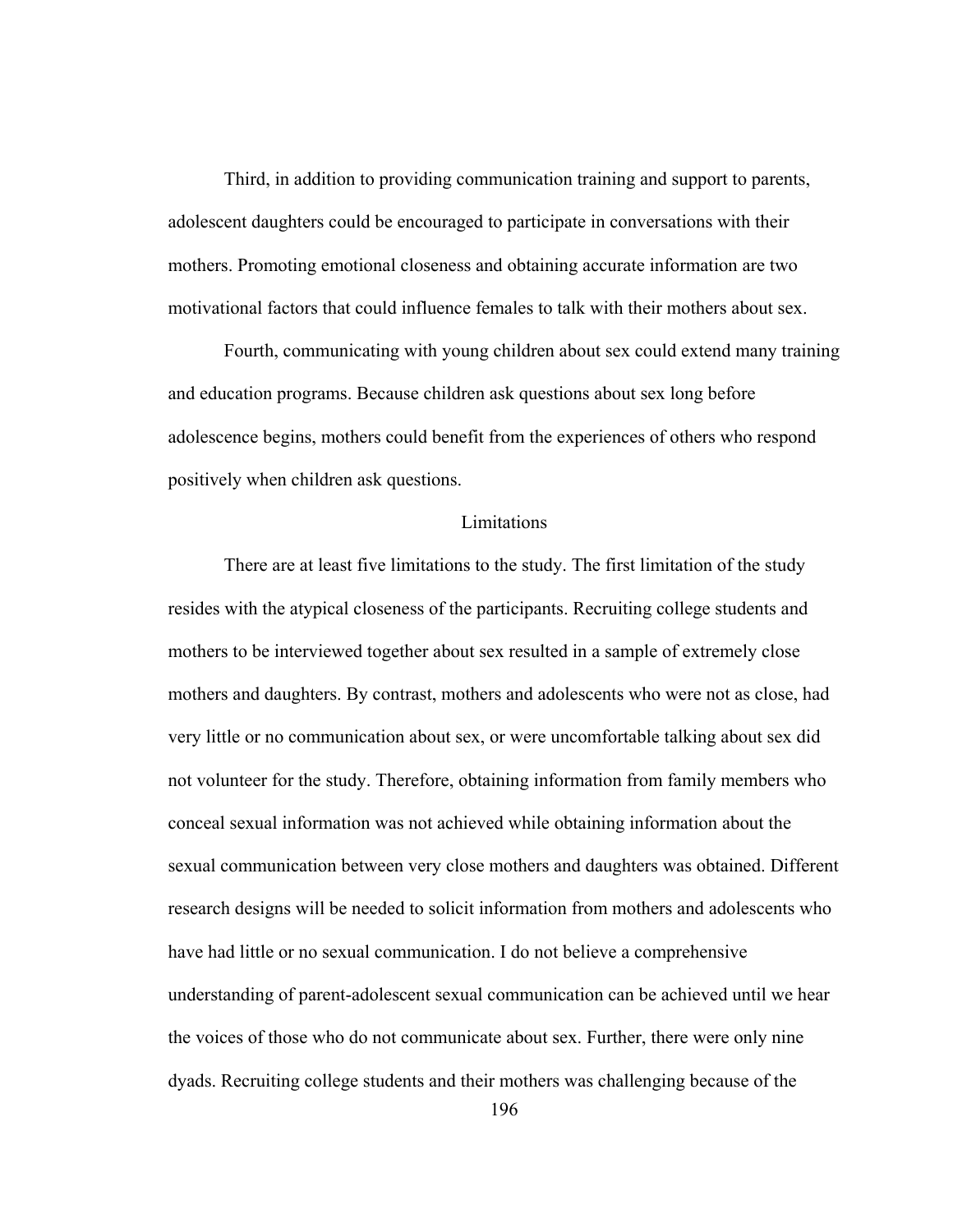Third, in addition to providing communication training and support to parents, adolescent daughters could be encouraged to participate in conversations with their mothers. Promoting emotional closeness and obtaining accurate information are two motivational factors that could influence females to talk with their mothers about sex.

 Fourth, communicating with young children about sex could extend many training and education programs. Because children ask questions about sex long before adolescence begins, mothers could benefit from the experiences of others who respond positively when children ask questions.

### **Limitations**

 There are at least five limitations to the study. The first limitation of the study resides with the atypical closeness of the participants. Recruiting college students and mothers to be interviewed together about sex resulted in a sample of extremely close mothers and daughters. By contrast, mothers and adolescents who were not as close, had very little or no communication about sex, or were uncomfortable talking about sex did not volunteer for the study. Therefore, obtaining information from family members who conceal sexual information was not achieved while obtaining information about the sexual communication between very close mothers and daughters was obtained. Different research designs will be needed to solicit information from mothers and adolescents who have had little or no sexual communication. I do not believe a comprehensive understanding of parent-adolescent sexual communication can be achieved until we hear the voices of those who do not communicate about sex. Further, there were only nine dyads. Recruiting college students and their mothers was challenging because of the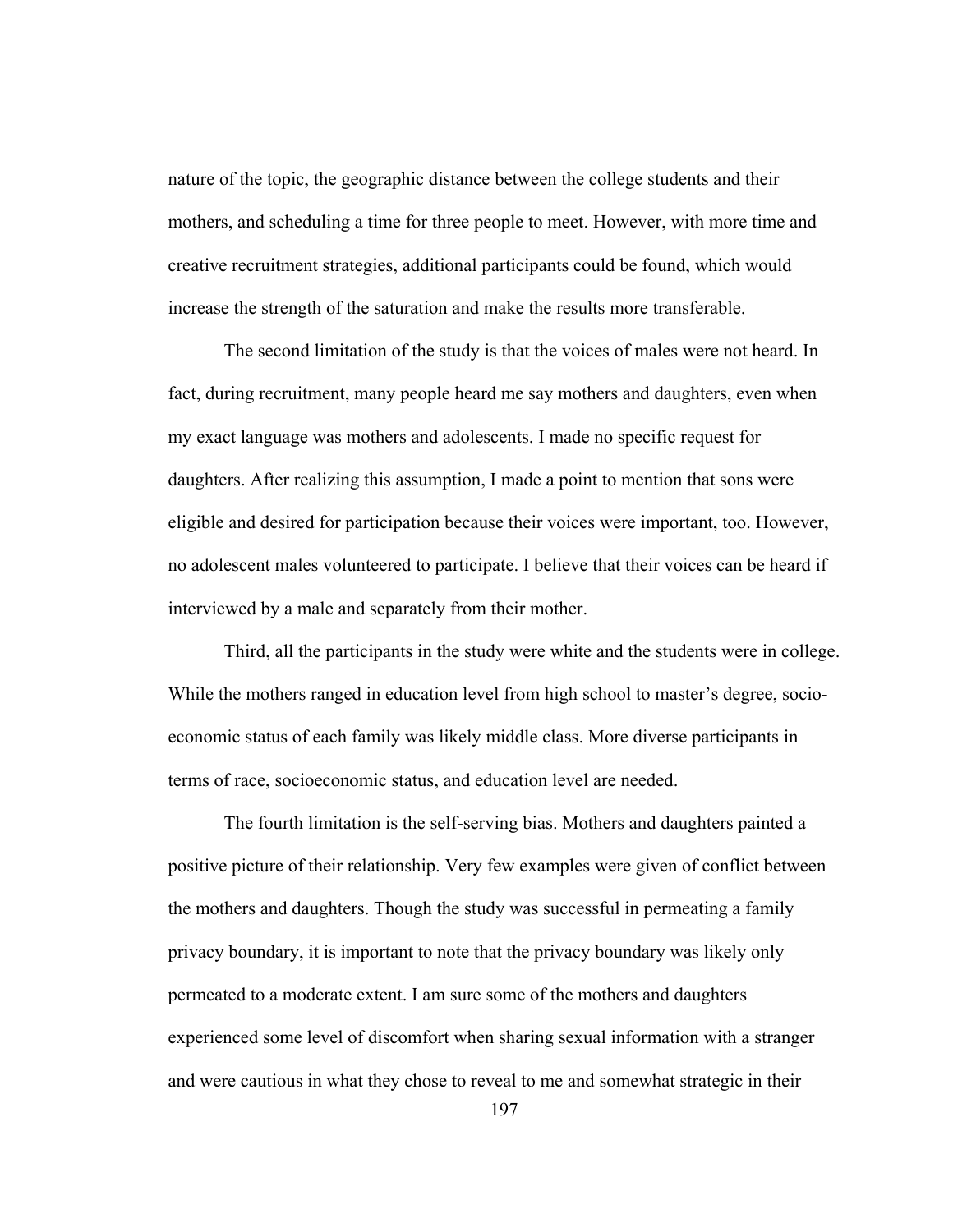nature of the topic, the geographic distance between the college students and their mothers, and scheduling a time for three people to meet. However, with more time and creative recruitment strategies, additional participants could be found, which would increase the strength of the saturation and make the results more transferable.

 The second limitation of the study is that the voices of males were not heard. In fact, during recruitment, many people heard me say mothers and daughters, even when my exact language was mothers and adolescents. I made no specific request for daughters. After realizing this assumption, I made a point to mention that sons were eligible and desired for participation because their voices were important, too. However, no adolescent males volunteered to participate. I believe that their voices can be heard if interviewed by a male and separately from their mother.

 Third, all the participants in the study were white and the students were in college. While the mothers ranged in education level from high school to master's degree, socioeconomic status of each family was likely middle class. More diverse participants in terms of race, socioeconomic status, and education level are needed.

 The fourth limitation is the self-serving bias. Mothers and daughters painted a positive picture of their relationship. Very few examples were given of conflict between the mothers and daughters. Though the study was successful in permeating a family privacy boundary, it is important to note that the privacy boundary was likely only permeated to a moderate extent. I am sure some of the mothers and daughters experienced some level of discomfort when sharing sexual information with a stranger and were cautious in what they chose to reveal to me and somewhat strategic in their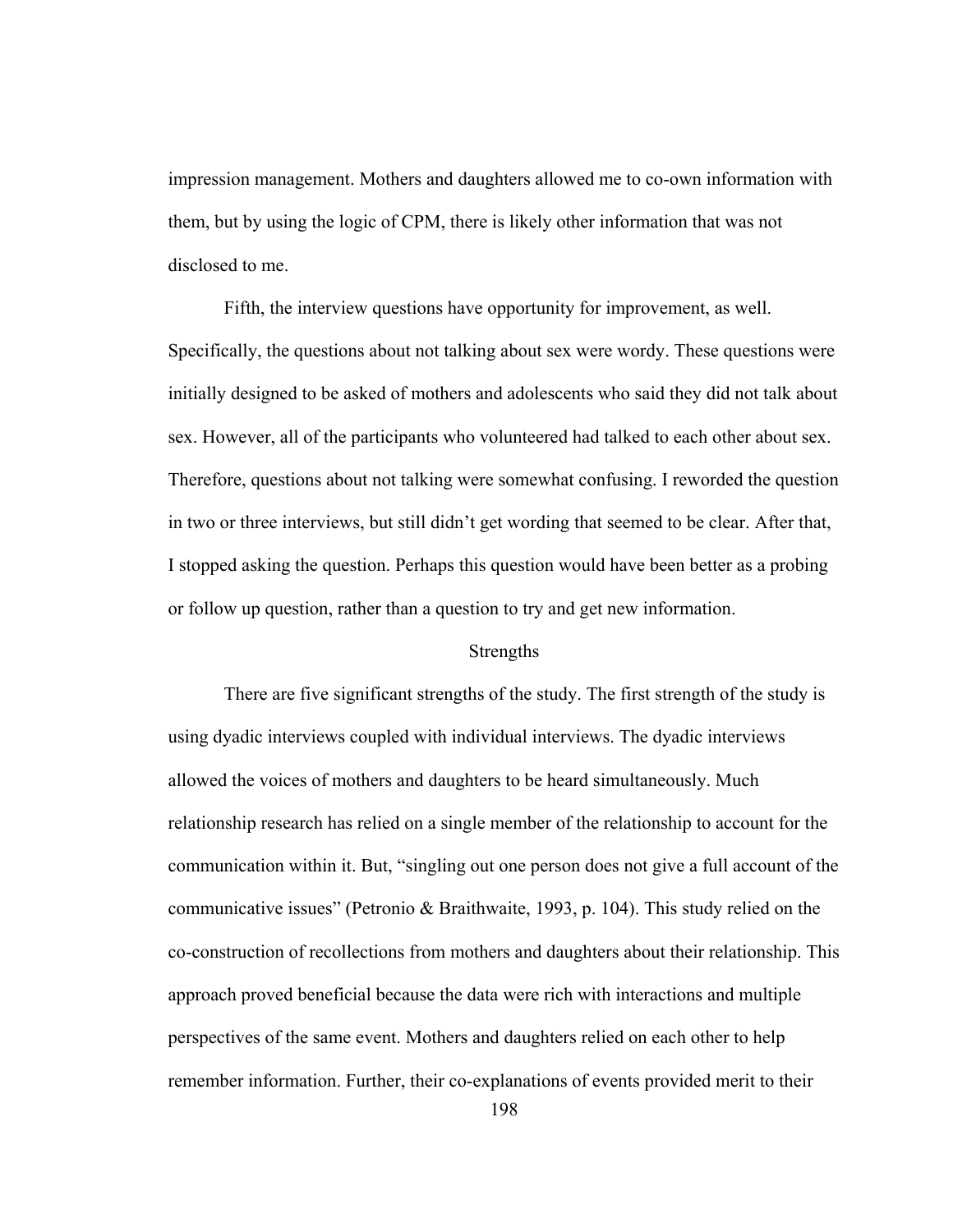impression management. Mothers and daughters allowed me to co-own information with them, but by using the logic of CPM, there is likely other information that was not disclosed to me.

 Fifth, the interview questions have opportunity for improvement, as well. Specifically, the questions about not talking about sex were wordy. These questions were initially designed to be asked of mothers and adolescents who said they did not talk about sex. However, all of the participants who volunteered had talked to each other about sex. Therefore, questions about not talking were somewhat confusing. I reworded the question in two or three interviews, but still didn't get wording that seemed to be clear. After that, I stopped asking the question. Perhaps this question would have been better as a probing or follow up question, rather than a question to try and get new information.

### Strengths

 There are five significant strengths of the study. The first strength of the study is using dyadic interviews coupled with individual interviews. The dyadic interviews allowed the voices of mothers and daughters to be heard simultaneously. Much relationship research has relied on a single member of the relationship to account for the communication within it. But, "singling out one person does not give a full account of the communicative issues" (Petronio & Braithwaite, 1993, p. 104). This study relied on the co-construction of recollections from mothers and daughters about their relationship. This approach proved beneficial because the data were rich with interactions and multiple perspectives of the same event. Mothers and daughters relied on each other to help remember information. Further, their co-explanations of events provided merit to their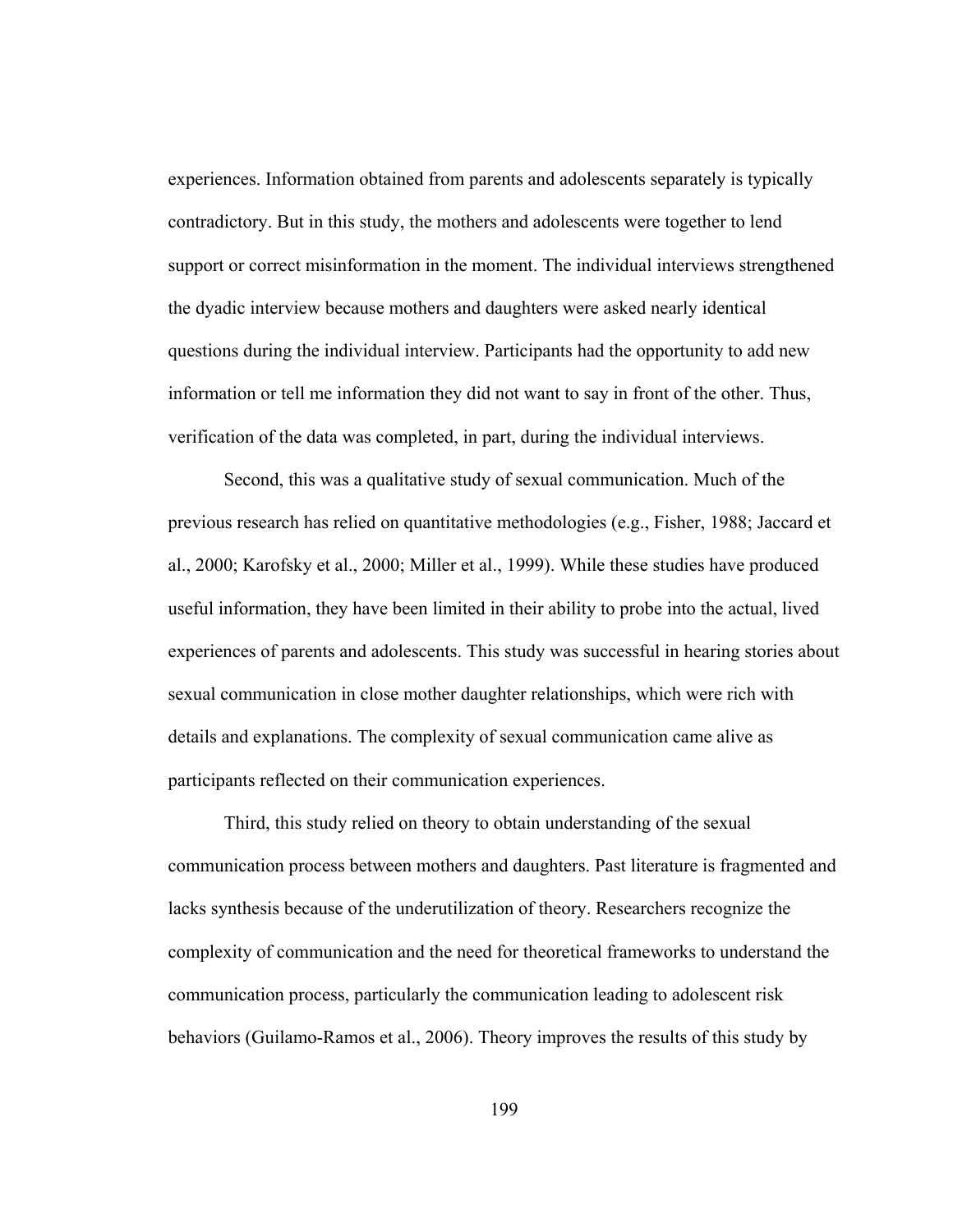experiences. Information obtained from parents and adolescents separately is typically contradictory. But in this study, the mothers and adolescents were together to lend support or correct misinformation in the moment. The individual interviews strengthened the dyadic interview because mothers and daughters were asked nearly identical questions during the individual interview. Participants had the opportunity to add new information or tell me information they did not want to say in front of the other. Thus, verification of the data was completed, in part, during the individual interviews.

 Second, this was a qualitative study of sexual communication. Much of the previous research has relied on quantitative methodologies (e.g., Fisher, 1988; Jaccard et al., 2000; Karofsky et al., 2000; Miller et al., 1999). While these studies have produced useful information, they have been limited in their ability to probe into the actual, lived experiences of parents and adolescents. This study was successful in hearing stories about sexual communication in close mother daughter relationships, which were rich with details and explanations. The complexity of sexual communication came alive as participants reflected on their communication experiences.

 Third, this study relied on theory to obtain understanding of the sexual communication process between mothers and daughters. Past literature is fragmented and lacks synthesis because of the underutilization of theory. Researchers recognize the complexity of communication and the need for theoretical frameworks to understand the communication process, particularly the communication leading to adolescent risk behaviors (Guilamo-Ramos et al., 2006). Theory improves the results of this study by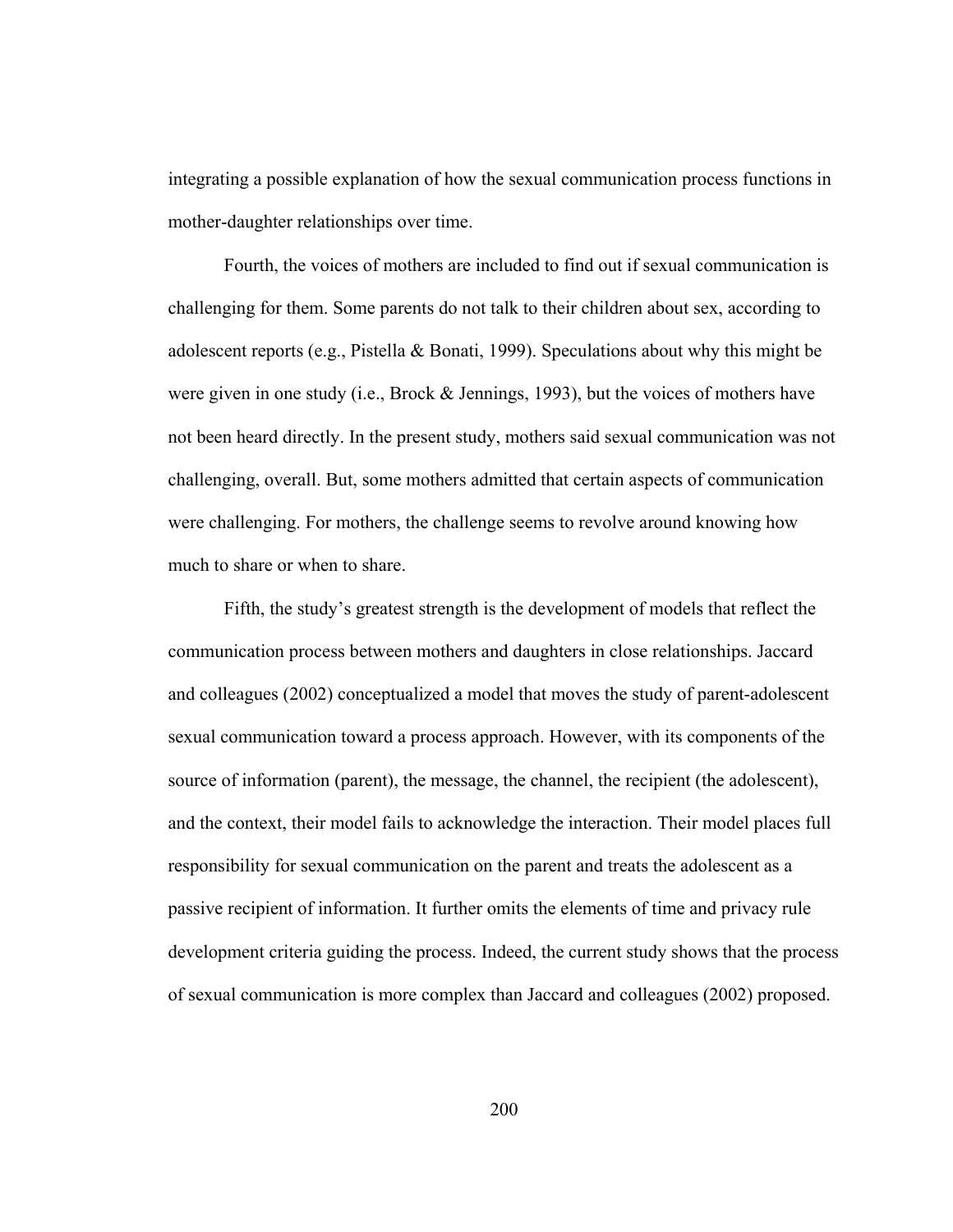integrating a possible explanation of how the sexual communication process functions in mother-daughter relationships over time.

Fourth, the voices of mothers are included to find out if sexual communication is challenging for them. Some parents do not talk to their children about sex, according to adolescent reports (e.g., Pistella & Bonati, 1999). Speculations about why this might be were given in one study (i.e., Brock & Jennings, 1993), but the voices of mothers have not been heard directly. In the present study, mothers said sexual communication was not challenging, overall. But, some mothers admitted that certain aspects of communication were challenging. For mothers, the challenge seems to revolve around knowing how much to share or when to share.

Fifth, the study's greatest strength is the development of models that reflect the communication process between mothers and daughters in close relationships. Jaccard and colleagues (2002) conceptualized a model that moves the study of parent-adolescent sexual communication toward a process approach. However, with its components of the source of information (parent), the message, the channel, the recipient (the adolescent), and the context, their model fails to acknowledge the interaction. Their model places full responsibility for sexual communication on the parent and treats the adolescent as a passive recipient of information. It further omits the elements of time and privacy rule development criteria guiding the process. Indeed, the current study shows that the process of sexual communication is more complex than Jaccard and colleagues (2002) proposed.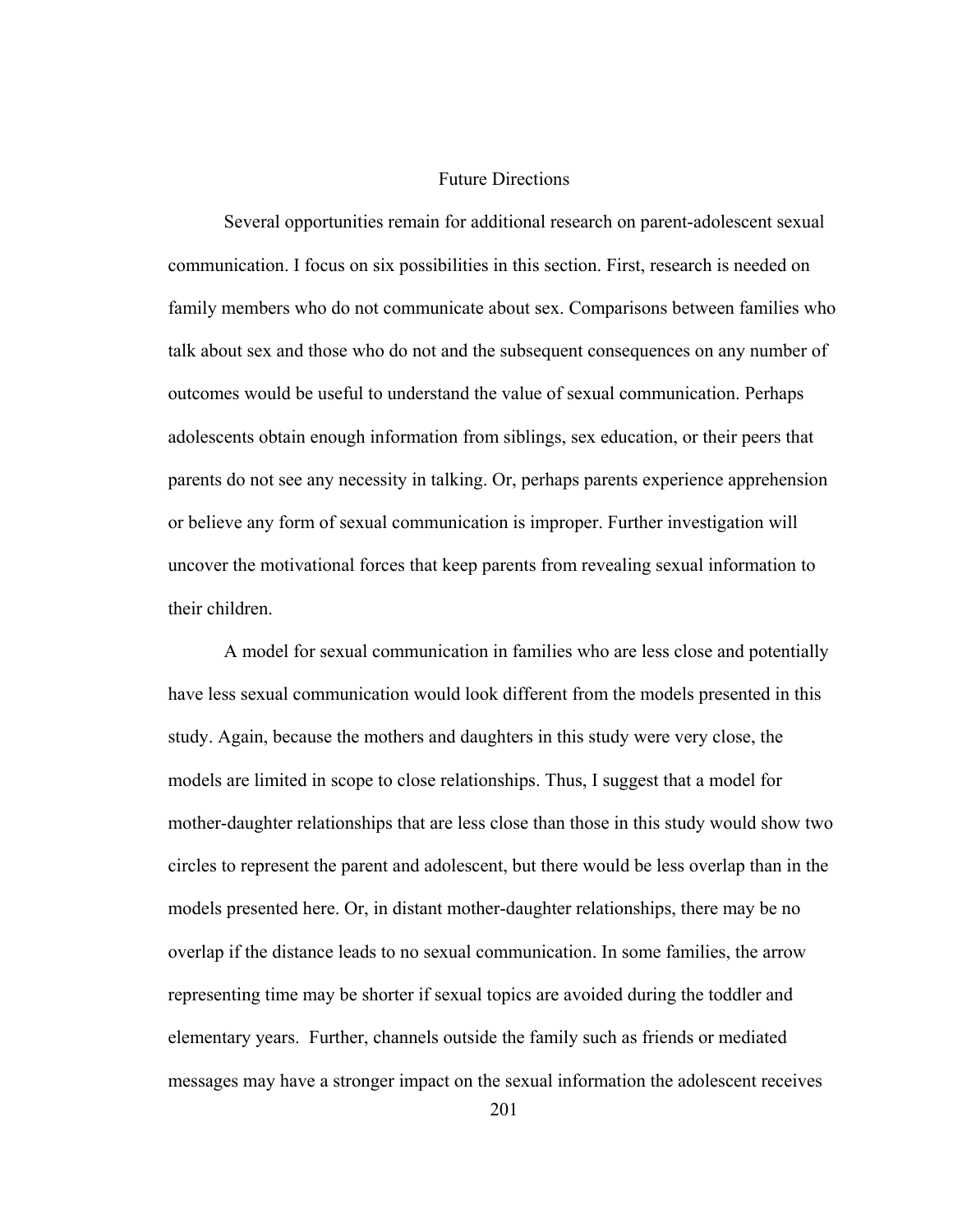## Future Directions

 Several opportunities remain for additional research on parent-adolescent sexual communication. I focus on six possibilities in this section. First, research is needed on family members who do not communicate about sex. Comparisons between families who talk about sex and those who do not and the subsequent consequences on any number of outcomes would be useful to understand the value of sexual communication. Perhaps adolescents obtain enough information from siblings, sex education, or their peers that parents do not see any necessity in talking. Or, perhaps parents experience apprehension or believe any form of sexual communication is improper. Further investigation will uncover the motivational forces that keep parents from revealing sexual information to their children.

A model for sexual communication in families who are less close and potentially have less sexual communication would look different from the models presented in this study. Again, because the mothers and daughters in this study were very close, the models are limited in scope to close relationships. Thus, I suggest that a model for mother-daughter relationships that are less close than those in this study would show two circles to represent the parent and adolescent, but there would be less overlap than in the models presented here. Or, in distant mother-daughter relationships, there may be no overlap if the distance leads to no sexual communication. In some families, the arrow representing time may be shorter if sexual topics are avoided during the toddler and elementary years. Further, channels outside the family such as friends or mediated messages may have a stronger impact on the sexual information the adolescent receives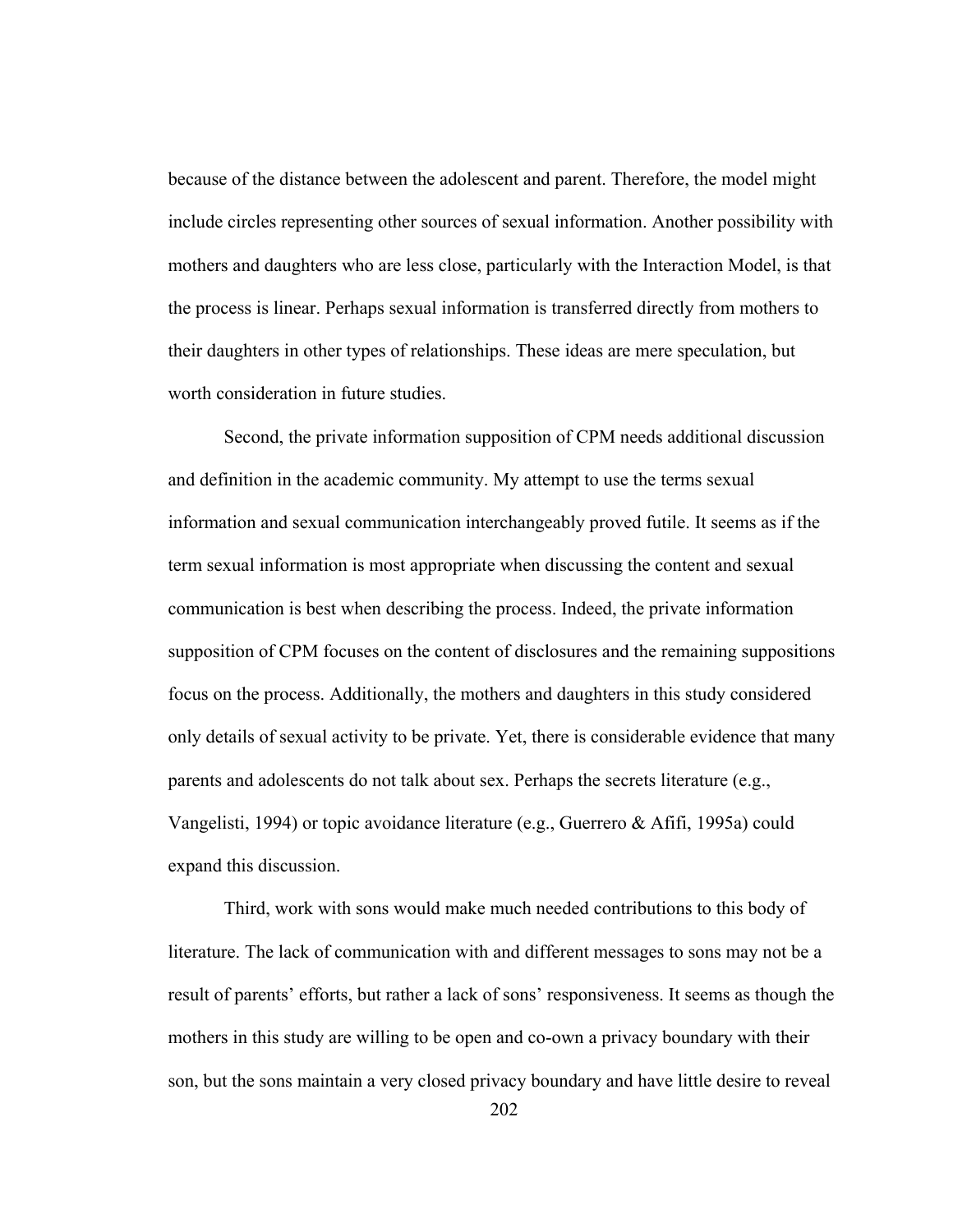because of the distance between the adolescent and parent. Therefore, the model might include circles representing other sources of sexual information. Another possibility with mothers and daughters who are less close, particularly with the Interaction Model, is that the process is linear. Perhaps sexual information is transferred directly from mothers to their daughters in other types of relationships. These ideas are mere speculation, but worth consideration in future studies.

 Second, the private information supposition of CPM needs additional discussion and definition in the academic community. My attempt to use the terms sexual information and sexual communication interchangeably proved futile. It seems as if the term sexual information is most appropriate when discussing the content and sexual communication is best when describing the process. Indeed, the private information supposition of CPM focuses on the content of disclosures and the remaining suppositions focus on the process. Additionally, the mothers and daughters in this study considered only details of sexual activity to be private. Yet, there is considerable evidence that many parents and adolescents do not talk about sex. Perhaps the secrets literature (e.g., Vangelisti, 1994) or topic avoidance literature (e.g., Guerrero & Afifi, 1995a) could expand this discussion.

 Third, work with sons would make much needed contributions to this body of literature. The lack of communication with and different messages to sons may not be a result of parents' efforts, but rather a lack of sons' responsiveness. It seems as though the mothers in this study are willing to be open and co-own a privacy boundary with their son, but the sons maintain a very closed privacy boundary and have little desire to reveal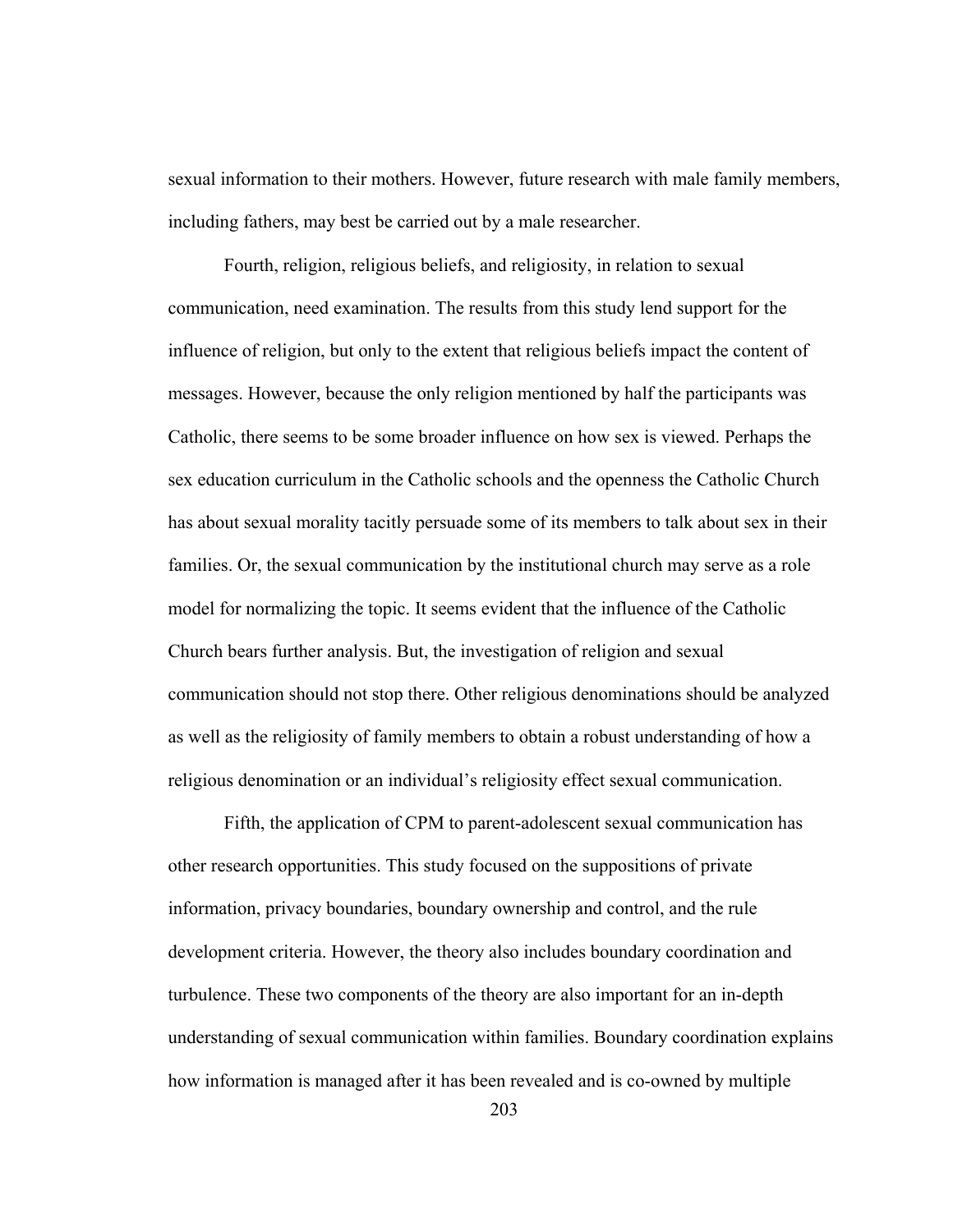sexual information to their mothers. However, future research with male family members, including fathers, may best be carried out by a male researcher.

Fourth, religion, religious beliefs, and religiosity, in relation to sexual communication, need examination. The results from this study lend support for the influence of religion, but only to the extent that religious beliefs impact the content of messages. However, because the only religion mentioned by half the participants was Catholic, there seems to be some broader influence on how sex is viewed. Perhaps the sex education curriculum in the Catholic schools and the openness the Catholic Church has about sexual morality tacitly persuade some of its members to talk about sex in their families. Or, the sexual communication by the institutional church may serve as a role model for normalizing the topic. It seems evident that the influence of the Catholic Church bears further analysis. But, the investigation of religion and sexual communication should not stop there. Other religious denominations should be analyzed as well as the religiosity of family members to obtain a robust understanding of how a religious denomination or an individual's religiosity effect sexual communication.

 Fifth, the application of CPM to parent-adolescent sexual communication has other research opportunities. This study focused on the suppositions of private information, privacy boundaries, boundary ownership and control, and the rule development criteria. However, the theory also includes boundary coordination and turbulence. These two components of the theory are also important for an in-depth understanding of sexual communication within families. Boundary coordination explains how information is managed after it has been revealed and is co-owned by multiple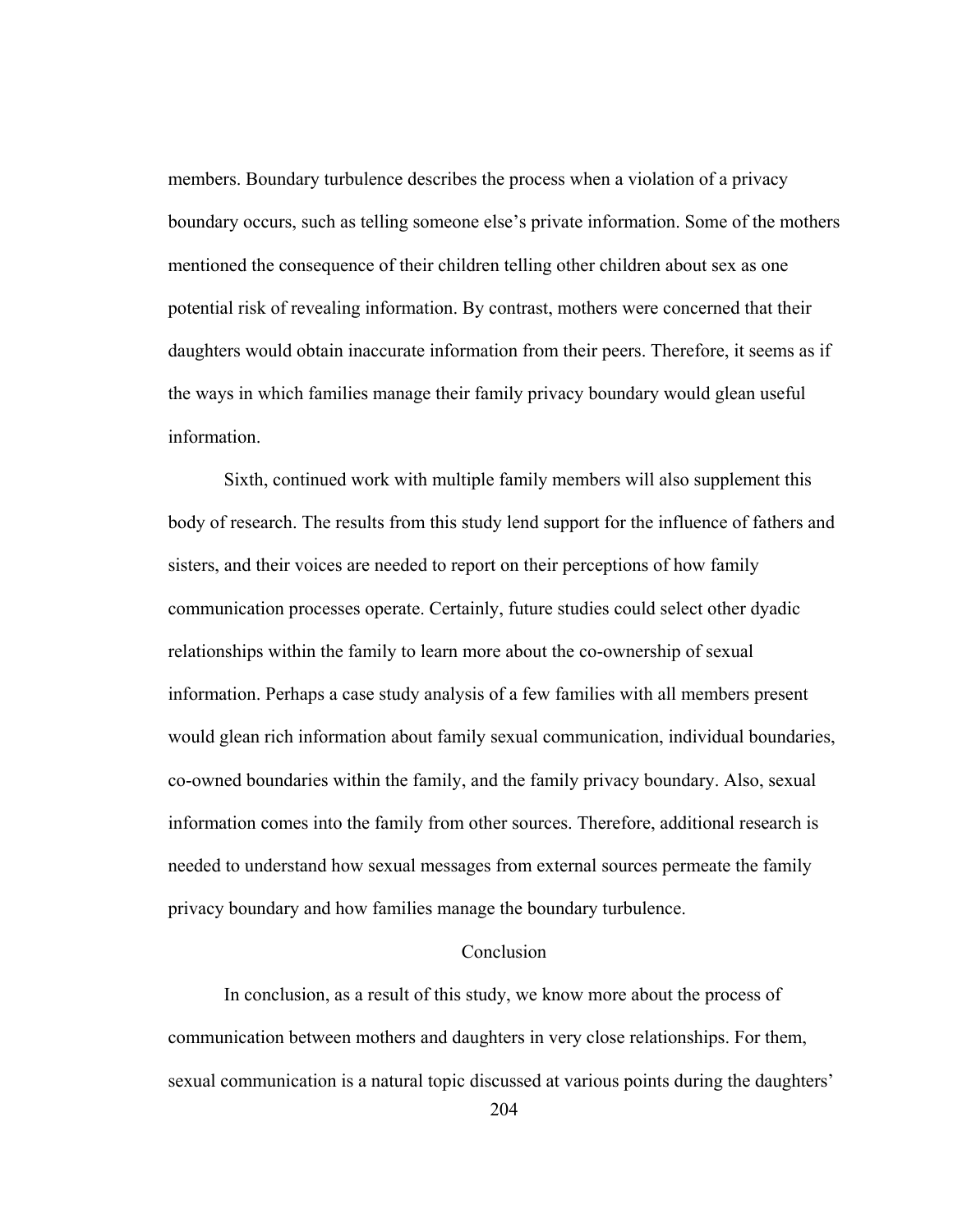members. Boundary turbulence describes the process when a violation of a privacy boundary occurs, such as telling someone else's private information. Some of the mothers mentioned the consequence of their children telling other children about sex as one potential risk of revealing information. By contrast, mothers were concerned that their daughters would obtain inaccurate information from their peers. Therefore, it seems as if the ways in which families manage their family privacy boundary would glean useful information.

Sixth, continued work with multiple family members will also supplement this body of research. The results from this study lend support for the influence of fathers and sisters, and their voices are needed to report on their perceptions of how family communication processes operate. Certainly, future studies could select other dyadic relationships within the family to learn more about the co-ownership of sexual information. Perhaps a case study analysis of a few families with all members present would glean rich information about family sexual communication, individual boundaries, co-owned boundaries within the family, and the family privacy boundary. Also, sexual information comes into the family from other sources. Therefore, additional research is needed to understand how sexual messages from external sources permeate the family privacy boundary and how families manage the boundary turbulence.

# Conclusion

 In conclusion, as a result of this study, we know more about the process of communication between mothers and daughters in very close relationships. For them, sexual communication is a natural topic discussed at various points during the daughters'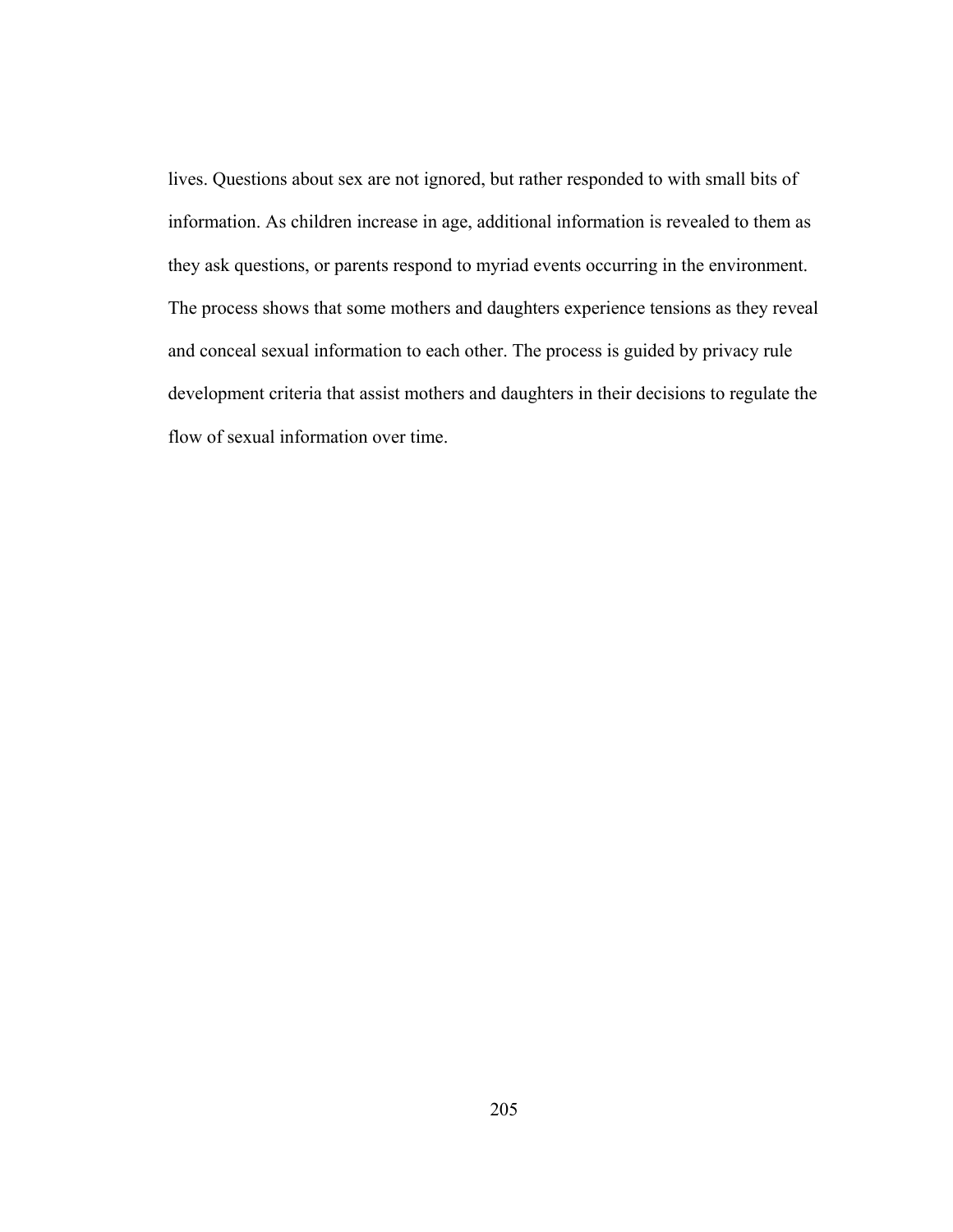lives. Questions about sex are not ignored, but rather responded to with small bits of information. As children increase in age, additional information is revealed to them as they ask questions, or parents respond to myriad events occurring in the environment. The process shows that some mothers and daughters experience tensions as they reveal and conceal sexual information to each other. The process is guided by privacy rule development criteria that assist mothers and daughters in their decisions to regulate the flow of sexual information over time.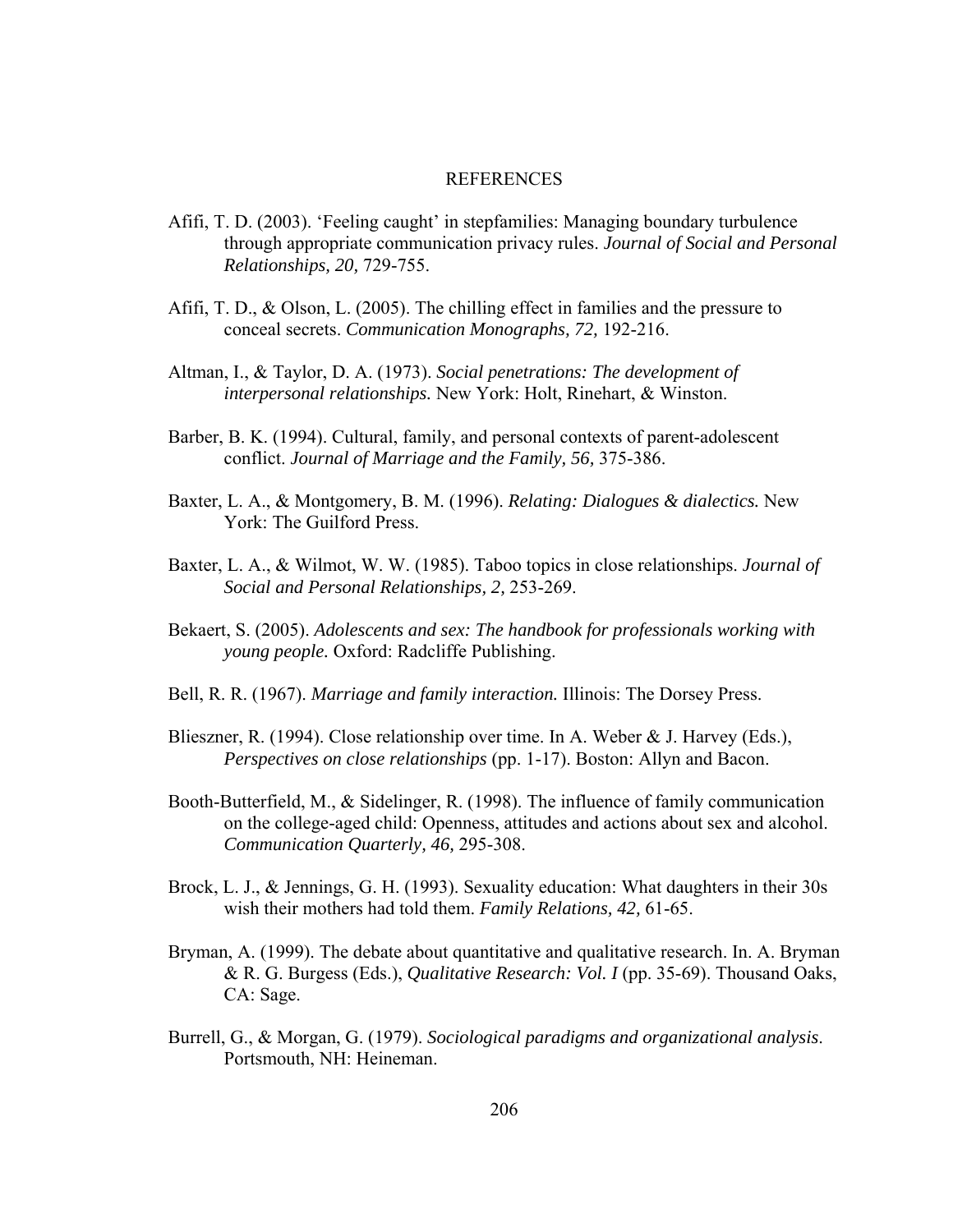#### REFERENCES

- Afifi, T. D. (2003). 'Feeling caught' in stepfamilies: Managing boundary turbulence through appropriate communication privacy rules. *Journal of Social and Personal Relationships, 20,* 729-755.
- Afifi, T. D., & Olson, L. (2005). The chilling effect in families and the pressure to conceal secrets. *Communication Monographs, 72,* 192-216.
- Altman, I., & Taylor, D. A. (1973). *Social penetrations: The development of interpersonal relationships.* New York: Holt, Rinehart, & Winston.
- Barber, B. K. (1994). Cultural, family, and personal contexts of parent-adolescent conflict. *Journal of Marriage and the Family, 56,* 375-386.
- Baxter, L. A., & Montgomery, B. M. (1996). *Relating: Dialogues & dialectics.* New York: The Guilford Press.
- Baxter, L. A., & Wilmot, W. W. (1985). Taboo topics in close relationships. *Journal of Social and Personal Relationships, 2,* 253-269.
- Bekaert, S. (2005). *Adolescents and sex: The handbook for professionals working with young people.* Oxford: Radcliffe Publishing.
- Bell, R. R. (1967). *Marriage and family interaction.* Illinois: The Dorsey Press.
- Blieszner, R. (1994). Close relationship over time. In A. Weber & J. Harvey (Eds.), *Perspectives on close relationships* (pp. 1-17). Boston: Allyn and Bacon.
- Booth-Butterfield, M., & Sidelinger, R. (1998). The influence of family communication on the college-aged child: Openness, attitudes and actions about sex and alcohol. *Communication Quarterly, 46,* 295-308.
- Brock, L. J., & Jennings, G. H. (1993). Sexuality education: What daughters in their 30s wish their mothers had told them. *Family Relations, 42,* 61-65.
- Bryman, A. (1999). The debate about quantitative and qualitative research. In. A. Bryman & R. G. Burgess (Eds.), *Qualitative Research: Vol. I* (pp. 35-69). Thousand Oaks, CA: Sage.
- Burrell, G., & Morgan, G. (1979). *Sociological paradigms and organizational analysis*. Portsmouth, NH: Heineman.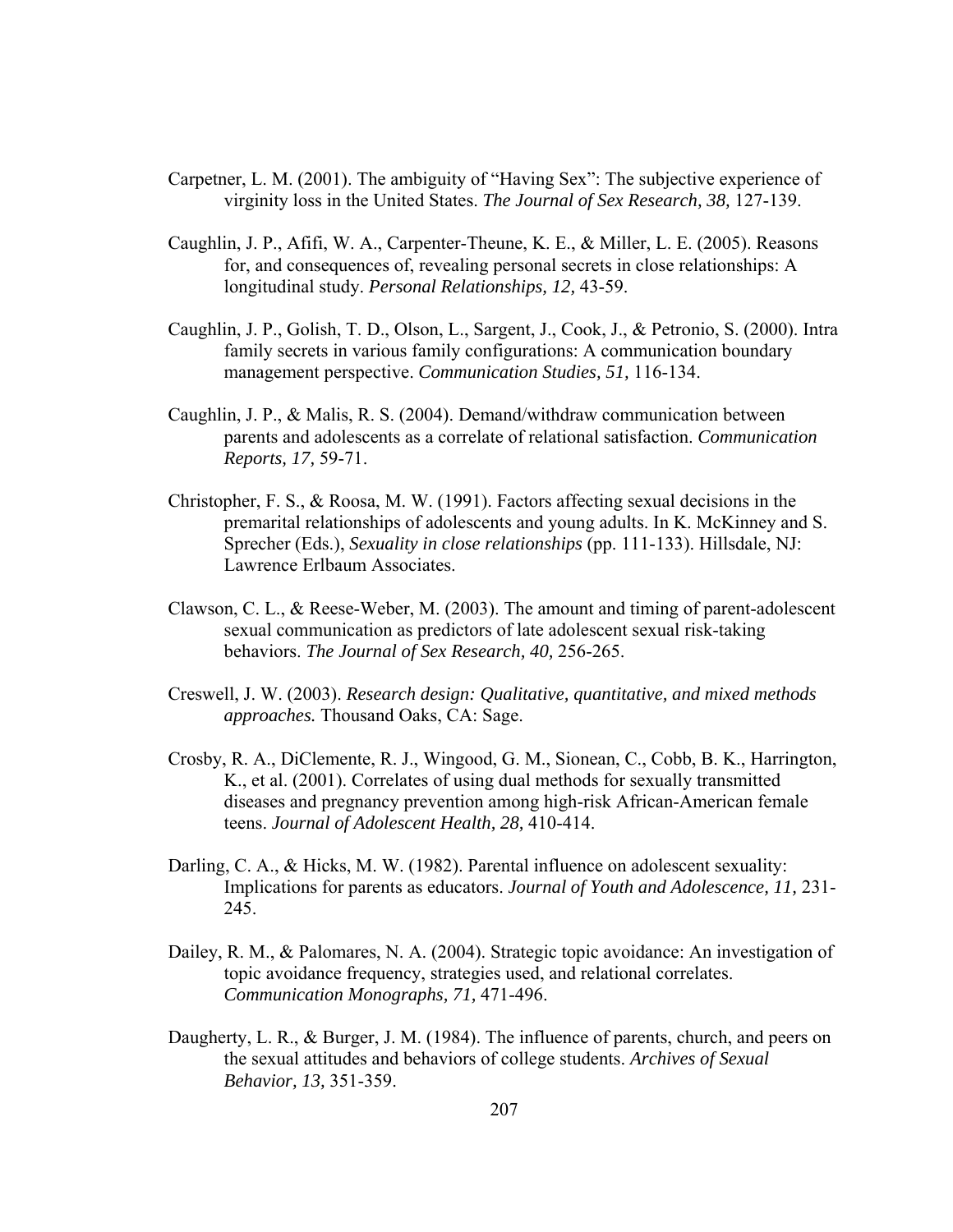- Carpetner, L. M. (2001). The ambiguity of "Having Sex": The subjective experience of virginity loss in the United States. *The Journal of Sex Research, 38,* 127-139.
- Caughlin, J. P., Afifi, W. A., Carpenter-Theune, K. E., & Miller, L. E. (2005). Reasons for, and consequences of, revealing personal secrets in close relationships: A longitudinal study. *Personal Relationships, 12,* 43-59.
- Caughlin, J. P., Golish, T. D., Olson, L., Sargent, J., Cook, J., & Petronio, S. (2000). Intra family secrets in various family configurations: A communication boundary management perspective. *Communication Studies, 51,* 116-134.
- Caughlin, J. P., & Malis, R. S. (2004). Demand/withdraw communication between parents and adolescents as a correlate of relational satisfaction. *Communication Reports, 17,* 59-71.
- Christopher, F. S., & Roosa, M. W. (1991). Factors affecting sexual decisions in the premarital relationships of adolescents and young adults. In K. McKinney and S. Sprecher (Eds.), *Sexuality in close relationships* (pp. 111-133). Hillsdale, NJ: Lawrence Erlbaum Associates.
- Clawson, C. L., & Reese-Weber, M. (2003). The amount and timing of parent-adolescent sexual communication as predictors of late adolescent sexual risk-taking behaviors. *The Journal of Sex Research, 40,* 256-265.
- Creswell, J. W. (2003). *Research design: Qualitative, quantitative, and mixed methods approaches.* Thousand Oaks, CA: Sage.
- Crosby, R. A., DiClemente, R. J., Wingood, G. M., Sionean, C., Cobb, B. K., Harrington, K., et al. (2001). Correlates of using dual methods for sexually transmitted diseases and pregnancy prevention among high-risk African-American female teens. *Journal of Adolescent Health, 28,* 410-414.
- Darling, C. A., & Hicks, M. W. (1982). Parental influence on adolescent sexuality: Implications for parents as educators. *Journal of Youth and Adolescence, 11,* 231- 245.
- Dailey, R. M., & Palomares, N. A. (2004). Strategic topic avoidance: An investigation of topic avoidance frequency, strategies used, and relational correlates. *Communication Monographs, 71,* 471-496.
- Daugherty, L. R., & Burger, J. M. (1984). The influence of parents, church, and peers on the sexual attitudes and behaviors of college students. *Archives of Sexual Behavior, 13,* 351-359.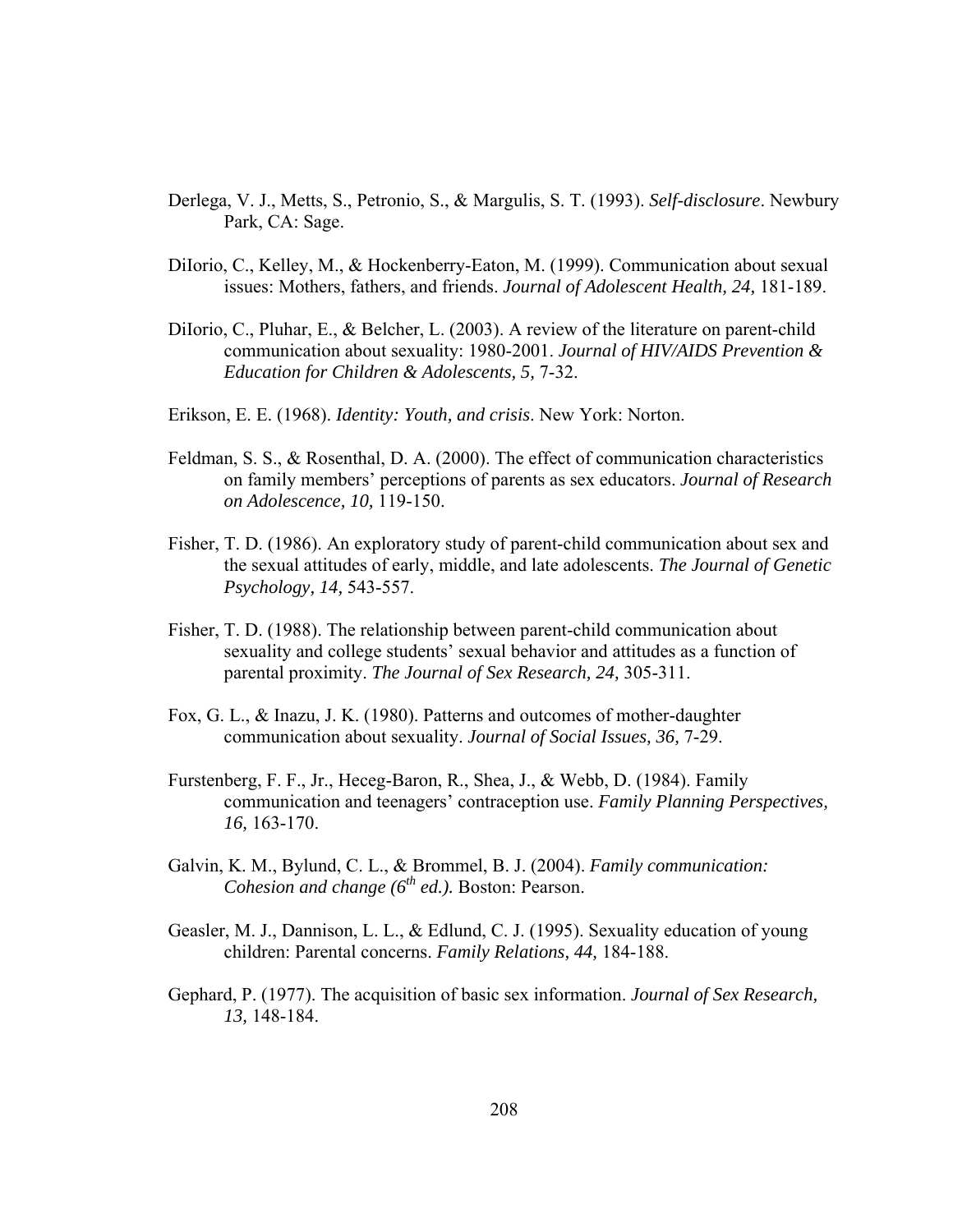- Derlega, V. J., Metts, S., Petronio, S., & Margulis, S. T. (1993). *Self-disclosure*. Newbury Park, CA: Sage.
- DiIorio, C., Kelley, M., & Hockenberry-Eaton, M. (1999). Communication about sexual issues: Mothers, fathers, and friends. *Journal of Adolescent Health, 24,* 181-189.
- DiIorio, C., Pluhar, E., & Belcher, L. (2003). A review of the literature on parent-child communication about sexuality: 1980-2001. *Journal of HIV/AIDS Prevention & Education for Children & Adolescents, 5,* 7-32.
- Erikson, E. E. (1968). *Identity: Youth, and crisis*. New York: Norton.
- Feldman, S. S., & Rosenthal, D. A. (2000). The effect of communication characteristics on family members' perceptions of parents as sex educators. *Journal of Research on Adolescence, 10,* 119-150.
- Fisher, T. D. (1986). An exploratory study of parent-child communication about sex and the sexual attitudes of early, middle, and late adolescents. *The Journal of Genetic Psychology, 14,* 543-557.
- Fisher, T. D. (1988). The relationship between parent-child communication about sexuality and college students' sexual behavior and attitudes as a function of parental proximity. *The Journal of Sex Research, 24,* 305-311.
- Fox, G. L., & Inazu, J. K. (1980). Patterns and outcomes of mother-daughter communication about sexuality. *Journal of Social Issues, 36,* 7-29.
- Furstenberg, F. F., Jr., Heceg-Baron, R., Shea, J., & Webb, D. (1984). Family communication and teenagers' contraception use. *Family Planning Perspectives, 16,* 163-170.
- Galvin, K. M., Bylund, C. L., & Brommel, B. J. (2004). *Family communication: Cohesion and change (6th ed.).* Boston: Pearson.
- Geasler, M. J., Dannison, L. L., & Edlund, C. J. (1995). Sexuality education of young children: Parental concerns. *Family Relations, 44,* 184-188.
- Gephard, P. (1977). The acquisition of basic sex information. *Journal of Sex Research, 13,* 148-184.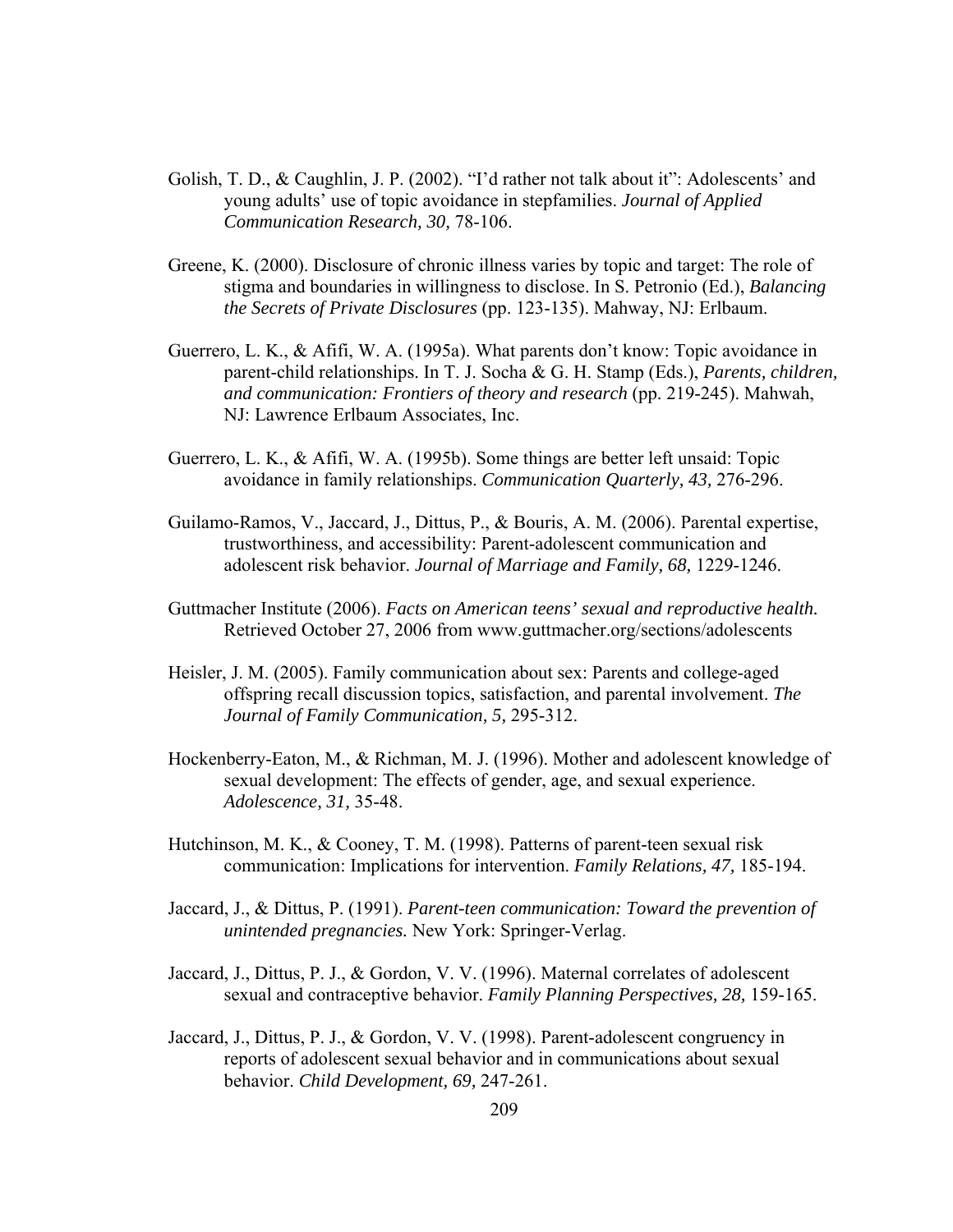- Golish, T. D., & Caughlin, J. P. (2002). "I'd rather not talk about it": Adolescents' and young adults' use of topic avoidance in stepfamilies. *Journal of Applied Communication Research, 30,* 78-106.
- Greene, K. (2000). Disclosure of chronic illness varies by topic and target: The role of stigma and boundaries in willingness to disclose. In S. Petronio (Ed.), *Balancing the Secrets of Private Disclosures* (pp. 123-135). Mahway, NJ: Erlbaum.
- Guerrero, L. K., & Afifi, W. A. (1995a). What parents don't know: Topic avoidance in parent-child relationships. In T. J. Socha & G. H. Stamp (Eds.), *Parents, children, and communication: Frontiers of theory and research* (pp. 219-245). Mahwah, NJ: Lawrence Erlbaum Associates, Inc.
- Guerrero, L. K., & Afifi, W. A. (1995b). Some things are better left unsaid: Topic avoidance in family relationships. *Communication Quarterly, 43,* 276-296.
- Guilamo-Ramos, V., Jaccard, J., Dittus, P., & Bouris, A. M. (2006). Parental expertise, trustworthiness, and accessibility: Parent-adolescent communication and adolescent risk behavior. *Journal of Marriage and Family, 68,* 1229-1246.
- Guttmacher Institute (2006). *Facts on American teens' sexual and reproductive health.* Retrieved October 27, 2006 from www.guttmacher.org/sections/adolescents
- Heisler, J. M. (2005). Family communication about sex: Parents and college-aged offspring recall discussion topics, satisfaction, and parental involvement. *The Journal of Family Communication, 5,* 295-312.
- Hockenberry-Eaton, M., & Richman, M. J. (1996). Mother and adolescent knowledge of sexual development: The effects of gender, age, and sexual experience. *Adolescence, 31,* 35-48.
- Hutchinson, M. K., & Cooney, T. M. (1998). Patterns of parent-teen sexual risk communication: Implications for intervention. *Family Relations, 47,* 185-194.
- Jaccard, J., & Dittus, P. (1991). *Parent-teen communication: Toward the prevention of unintended pregnancies.* New York: Springer-Verlag.
- Jaccard, J., Dittus, P. J., & Gordon, V. V. (1996). Maternal correlates of adolescent sexual and contraceptive behavior. *Family Planning Perspectives, 28,* 159-165.
- Jaccard, J., Dittus, P. J., & Gordon, V. V. (1998). Parent-adolescent congruency in reports of adolescent sexual behavior and in communications about sexual behavior. *Child Development, 69,* 247-261.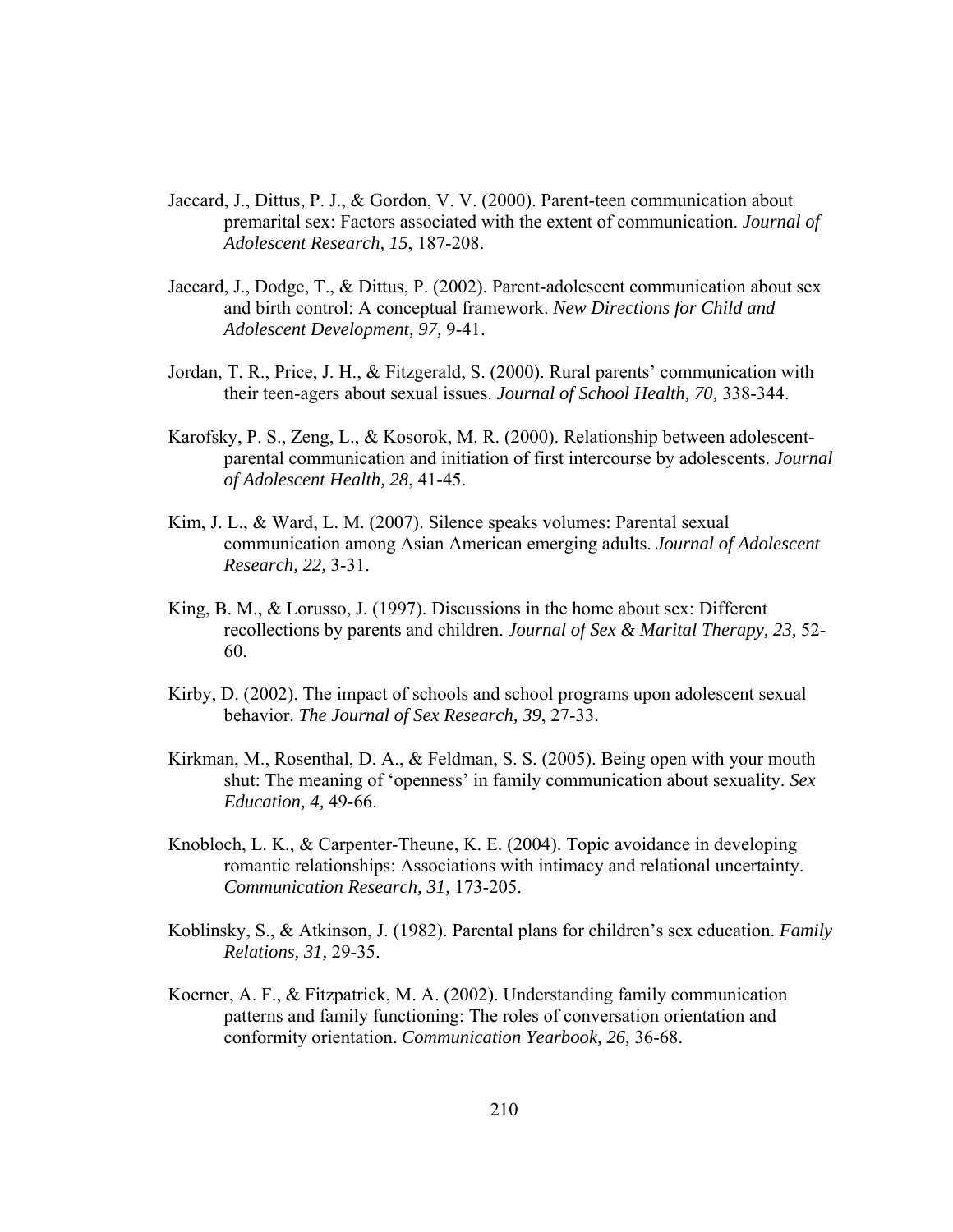- Jaccard, J., Dittus, P. J., & Gordon, V. V. (2000). Parent-teen communication about premarital sex: Factors associated with the extent of communication. *Journal of Adolescent Research, 15*, 187-208.
- Jaccard, J., Dodge, T., & Dittus, P. (2002). Parent-adolescent communication about sex and birth control: A conceptual framework. *New Directions for Child and Adolescent Development, 97,* 9-41.
- Jordan, T. R., Price, J. H., & Fitzgerald, S. (2000). Rural parents' communication with their teen-agers about sexual issues. *Journal of School Health, 70,* 338-344.
- Karofsky, P. S., Zeng, L., & Kosorok, M. R. (2000). Relationship between adolescentparental communication and initiation of first intercourse by adolescents. *Journal of Adolescent Health, 28*, 41-45.
- Kim, J. L., & Ward, L. M. (2007). Silence speaks volumes: Parental sexual communication among Asian American emerging adults. *Journal of Adolescent Research, 22,* 3-31.
- King, B. M., & Lorusso, J. (1997). Discussions in the home about sex: Different recollections by parents and children. *Journal of Sex & Marital Therapy, 23,* 52- 60.
- Kirby, D. (2002). The impact of schools and school programs upon adolescent sexual behavior. *The Journal of Sex Research, 39*, 27-33.
- Kirkman, M., Rosenthal, D. A., & Feldman, S. S. (2005). Being open with your mouth shut: The meaning of 'openness' in family communication about sexuality. *Sex Education, 4,* 49-66.
- Knobloch, L. K., & Carpenter-Theune, K. E. (2004). Topic avoidance in developing romantic relationships: Associations with intimacy and relational uncertainty. *Communication Research, 31,* 173-205.
- Koblinsky, S., & Atkinson, J. (1982). Parental plans for children's sex education. *Family Relations, 31,* 29-35.
- Koerner, A. F., & Fitzpatrick, M. A. (2002). Understanding family communication patterns and family functioning: The roles of conversation orientation and conformity orientation. *Communication Yearbook, 26,* 36-68.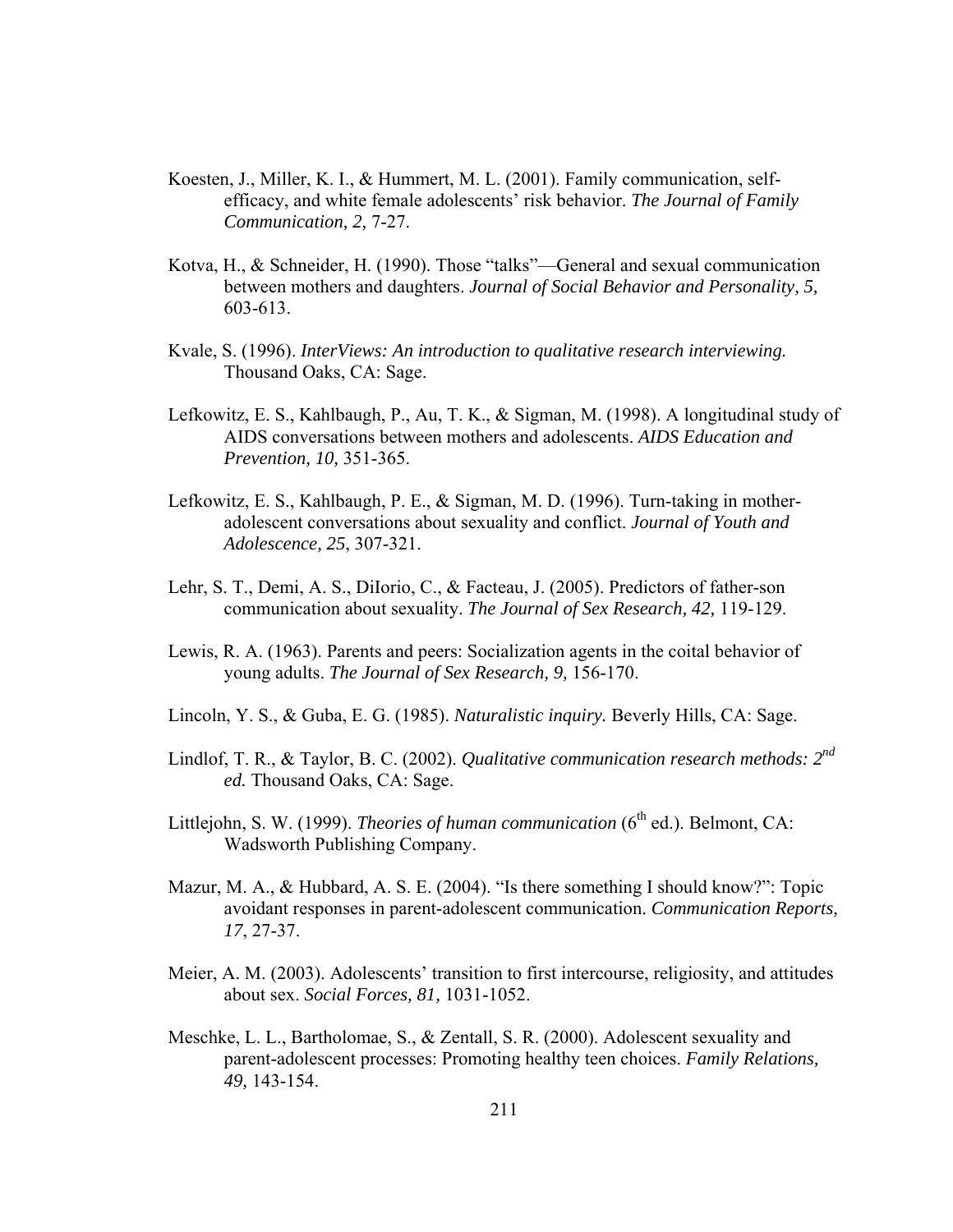- Koesten, J., Miller, K. I., & Hummert, M. L. (2001). Family communication, selfefficacy, and white female adolescents' risk behavior. *The Journal of Family Communication, 2,* 7-27.
- Kotva, H., & Schneider, H. (1990). Those "talks"—General and sexual communication between mothers and daughters. *Journal of Social Behavior and Personality, 5,* 603-613.
- Kvale, S. (1996). *InterViews: An introduction to qualitative research interviewing.*  Thousand Oaks, CA: Sage.
- Lefkowitz, E. S., Kahlbaugh, P., Au, T. K., & Sigman, M. (1998). A longitudinal study of AIDS conversations between mothers and adolescents. *AIDS Education and Prevention, 10,* 351-365.
- Lefkowitz, E. S., Kahlbaugh, P. E., & Sigman, M. D. (1996). Turn-taking in motheradolescent conversations about sexuality and conflict. *Journal of Youth and Adolescence, 25*, 307-321.
- Lehr, S. T., Demi, A. S., DiIorio, C., & Facteau, J. (2005). Predictors of father-son communication about sexuality. *The Journal of Sex Research, 42,* 119-129.
- Lewis, R. A. (1963). Parents and peers: Socialization agents in the coital behavior of young adults. *The Journal of Sex Research, 9,* 156-170.
- Lincoln, Y. S., & Guba, E. G. (1985). *Naturalistic inquiry.* Beverly Hills, CA: Sage.
- Lindlof, T. R., & Taylor, B. C. (2002). *Qualitative communication research methods: 2nd ed.* Thousand Oaks, CA: Sage.
- Littlejohn, S. W. (1999). *Theories of human communication* (6<sup>th</sup> ed.). Belmont, CA: Wadsworth Publishing Company.
- Mazur, M. A., & Hubbard, A. S. E. (2004). "Is there something I should know?": Topic avoidant responses in parent-adolescent communication. *Communication Reports, 17*, 27-37.
- Meier, A. M. (2003). Adolescents' transition to first intercourse, religiosity, and attitudes about sex. *Social Forces, 81,* 1031-1052.
- Meschke, L. L., Bartholomae, S., & Zentall, S. R. (2000). Adolescent sexuality and parent-adolescent processes: Promoting healthy teen choices. *Family Relations, 49,* 143-154.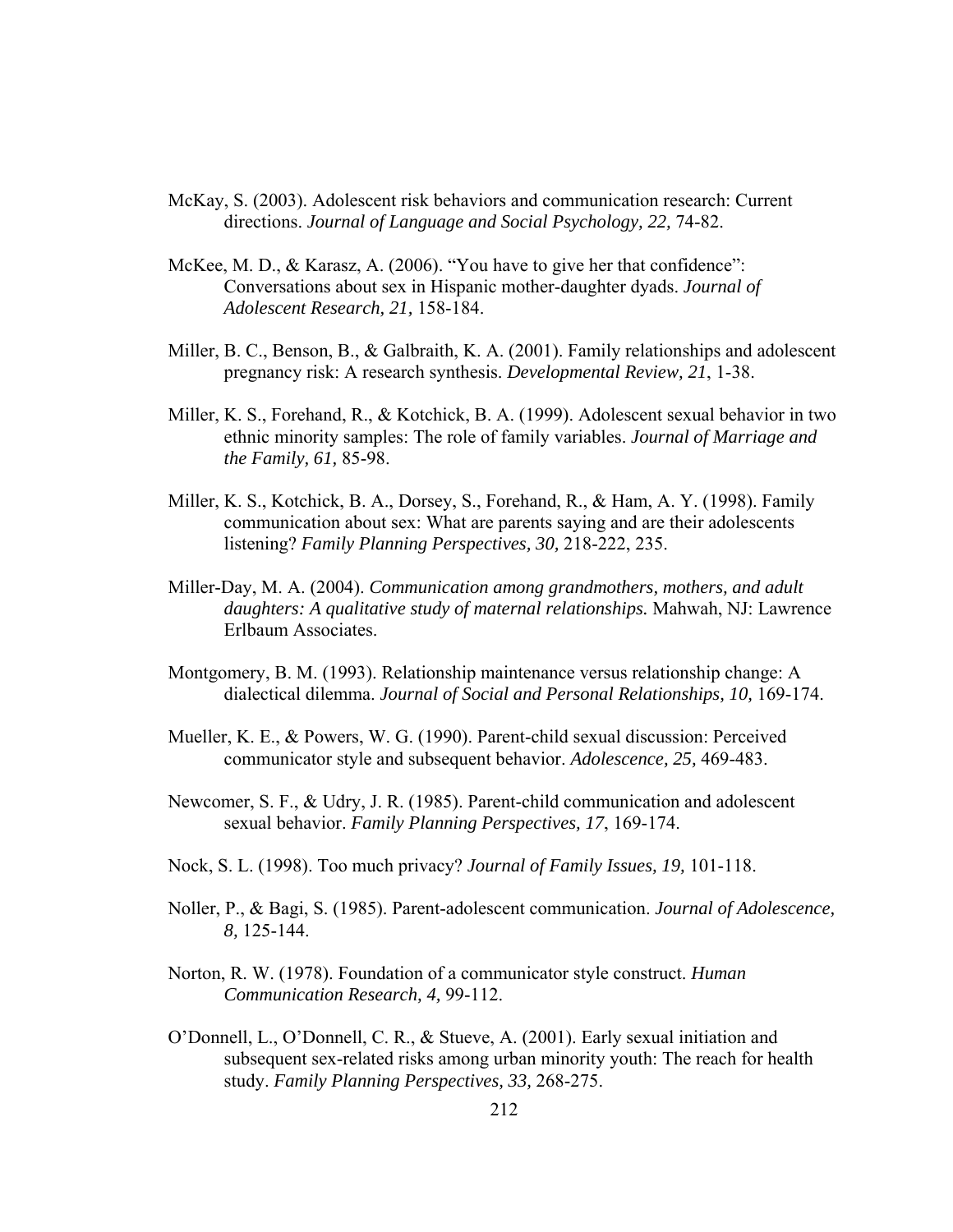- McKay, S. (2003). Adolescent risk behaviors and communication research: Current directions. *Journal of Language and Social Psychology, 22,* 74-82.
- McKee, M. D., & Karasz, A. (2006). "You have to give her that confidence": Conversations about sex in Hispanic mother-daughter dyads. *Journal of Adolescent Research, 21,* 158-184.
- Miller, B. C., Benson, B., & Galbraith, K. A. (2001). Family relationships and adolescent pregnancy risk: A research synthesis. *Developmental Review, 21*, 1-38.
- Miller, K. S., Forehand, R., & Kotchick, B. A. (1999). Adolescent sexual behavior in two ethnic minority samples: The role of family variables. *Journal of Marriage and the Family, 61,* 85-98.
- Miller, K. S., Kotchick, B. A., Dorsey, S., Forehand, R., & Ham, A. Y. (1998). Family communication about sex: What are parents saying and are their adolescents listening? *Family Planning Perspectives, 30,* 218-222, 235.
- Miller-Day, M. A. (2004). *Communication among grandmothers, mothers, and adult daughters: A qualitative study of maternal relationships.* Mahwah, NJ: Lawrence Erlbaum Associates.
- Montgomery, B. M. (1993). Relationship maintenance versus relationship change: A dialectical dilemma. *Journal of Social and Personal Relationships, 10,* 169-174.
- Mueller, K. E., & Powers, W. G. (1990). Parent-child sexual discussion: Perceived communicator style and subsequent behavior. *Adolescence, 25,* 469-483.
- Newcomer, S. F., & Udry, J. R. (1985). Parent-child communication and adolescent sexual behavior. *Family Planning Perspectives, 17*, 169-174.
- Nock, S. L. (1998). Too much privacy? *Journal of Family Issues, 19,* 101-118.
- Noller, P., & Bagi, S. (1985). Parent-adolescent communication. *Journal of Adolescence, 8,* 125-144.
- Norton, R. W. (1978). Foundation of a communicator style construct. *Human Communication Research, 4,* 99-112.
- O'Donnell, L., O'Donnell, C. R., & Stueve, A. (2001). Early sexual initiation and subsequent sex-related risks among urban minority youth: The reach for health study. *Family Planning Perspectives, 33,* 268-275.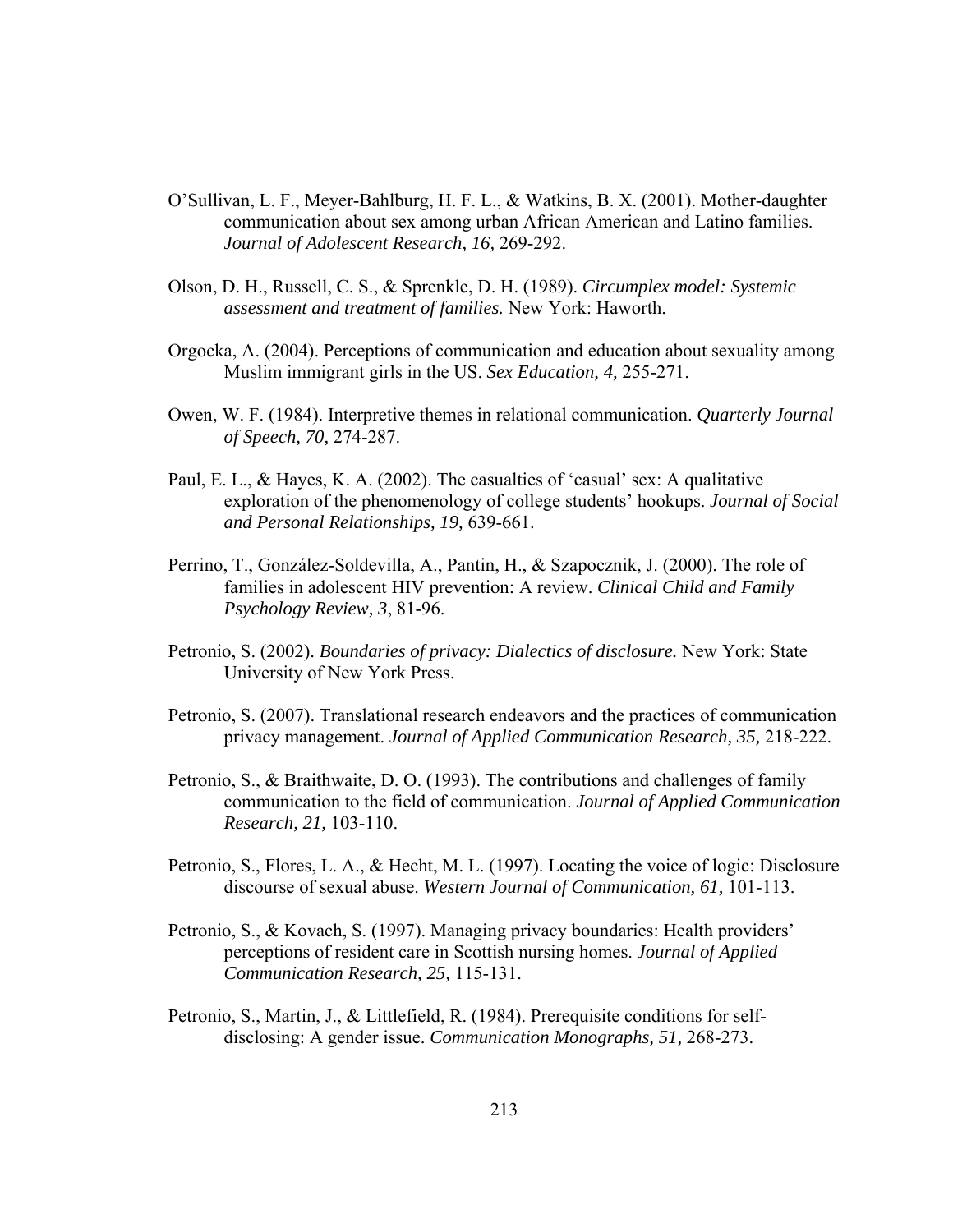- O'Sullivan, L. F., Meyer-Bahlburg, H. F. L., & Watkins, B. X. (2001). Mother-daughter communication about sex among urban African American and Latino families. *Journal of Adolescent Research, 16,* 269-292.
- Olson, D. H., Russell, C. S., & Sprenkle, D. H. (1989). *Circumplex model: Systemic assessment and treatment of families.* New York: Haworth.
- Orgocka, A. (2004). Perceptions of communication and education about sexuality among Muslim immigrant girls in the US. *Sex Education, 4,* 255-271.
- Owen, W. F. (1984). Interpretive themes in relational communication. *Quarterly Journal of Speech, 70,* 274-287.
- Paul, E. L., & Hayes, K. A. (2002). The casualties of 'casual' sex: A qualitative exploration of the phenomenology of college students' hookups. *Journal of Social and Personal Relationships, 19,* 639-661.
- Perrino, T., González-Soldevilla, A., Pantin, H., & Szapocznik, J. (2000). The role of families in adolescent HIV prevention: A review. *Clinical Child and Family Psychology Review, 3*, 81-96.
- Petronio, S. (2002). *Boundaries of privacy: Dialectics of disclosure.* New York: State University of New York Press.
- Petronio, S. (2007). Translational research endeavors and the practices of communication privacy management. *Journal of Applied Communication Research, 35,* 218-222.
- Petronio, S., & Braithwaite, D. O. (1993). The contributions and challenges of family communication to the field of communication. *Journal of Applied Communication Research, 21,* 103-110.
- Petronio, S., Flores, L. A., & Hecht, M. L. (1997). Locating the voice of logic: Disclosure discourse of sexual abuse. *Western Journal of Communication, 61,* 101-113.
- Petronio, S., & Kovach, S. (1997). Managing privacy boundaries: Health providers' perceptions of resident care in Scottish nursing homes. *Journal of Applied Communication Research, 25,* 115-131.
- Petronio, S., Martin, J., & Littlefield, R. (1984). Prerequisite conditions for selfdisclosing: A gender issue. *Communication Monographs, 51,* 268-273.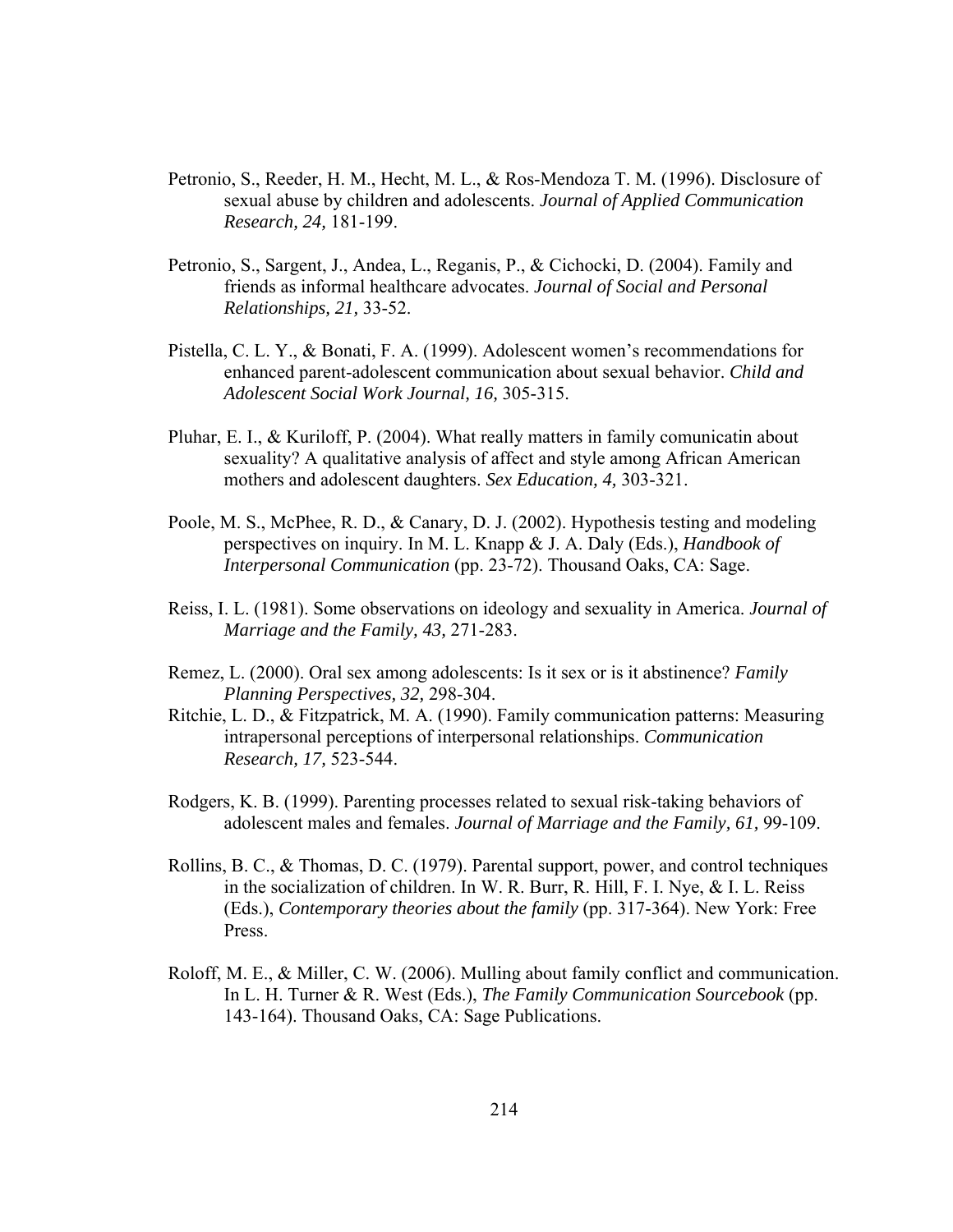- Petronio, S., Reeder, H. M., Hecht, M. L., & Ros-Mendoza T. M. (1996). Disclosure of sexual abuse by children and adolescents. *Journal of Applied Communication Research, 24,* 181-199.
- Petronio, S., Sargent, J., Andea, L., Reganis, P., & Cichocki, D. (2004). Family and friends as informal healthcare advocates. *Journal of Social and Personal Relationships, 21,* 33-52.
- Pistella, C. L. Y., & Bonati, F. A. (1999). Adolescent women's recommendations for enhanced parent-adolescent communication about sexual behavior. *Child and Adolescent Social Work Journal, 16,* 305-315.
- Pluhar, E. I., & Kuriloff, P. (2004). What really matters in family comunicatin about sexuality? A qualitative analysis of affect and style among African American mothers and adolescent daughters. *Sex Education, 4,* 303-321.
- Poole, M. S., McPhee, R. D., & Canary, D. J. (2002). Hypothesis testing and modeling perspectives on inquiry. In M. L. Knapp & J. A. Daly (Eds.), *Handbook of Interpersonal Communication* (pp. 23-72). Thousand Oaks, CA: Sage.
- Reiss, I. L. (1981). Some observations on ideology and sexuality in America. *Journal of Marriage and the Family, 43,* 271-283.
- Remez, L. (2000). Oral sex among adolescents: Is it sex or is it abstinence? *Family Planning Perspectives, 32,* 298-304.
- Ritchie, L. D., & Fitzpatrick, M. A. (1990). Family communication patterns: Measuring intrapersonal perceptions of interpersonal relationships. *Communication Research, 17,* 523-544.
- Rodgers, K. B. (1999). Parenting processes related to sexual risk-taking behaviors of adolescent males and females. *Journal of Marriage and the Family, 61,* 99-109.
- Rollins, B. C., & Thomas, D. C. (1979). Parental support, power, and control techniques in the socialization of children. In W. R. Burr, R. Hill, F. I. Nye, & I. L. Reiss (Eds.), *Contemporary theories about the family* (pp. 317-364). New York: Free Press.
- Roloff, M. E., & Miller, C. W. (2006). Mulling about family conflict and communication. In L. H. Turner & R. West (Eds.), *The Family Communication Sourcebook* (pp. 143-164). Thousand Oaks, CA: Sage Publications.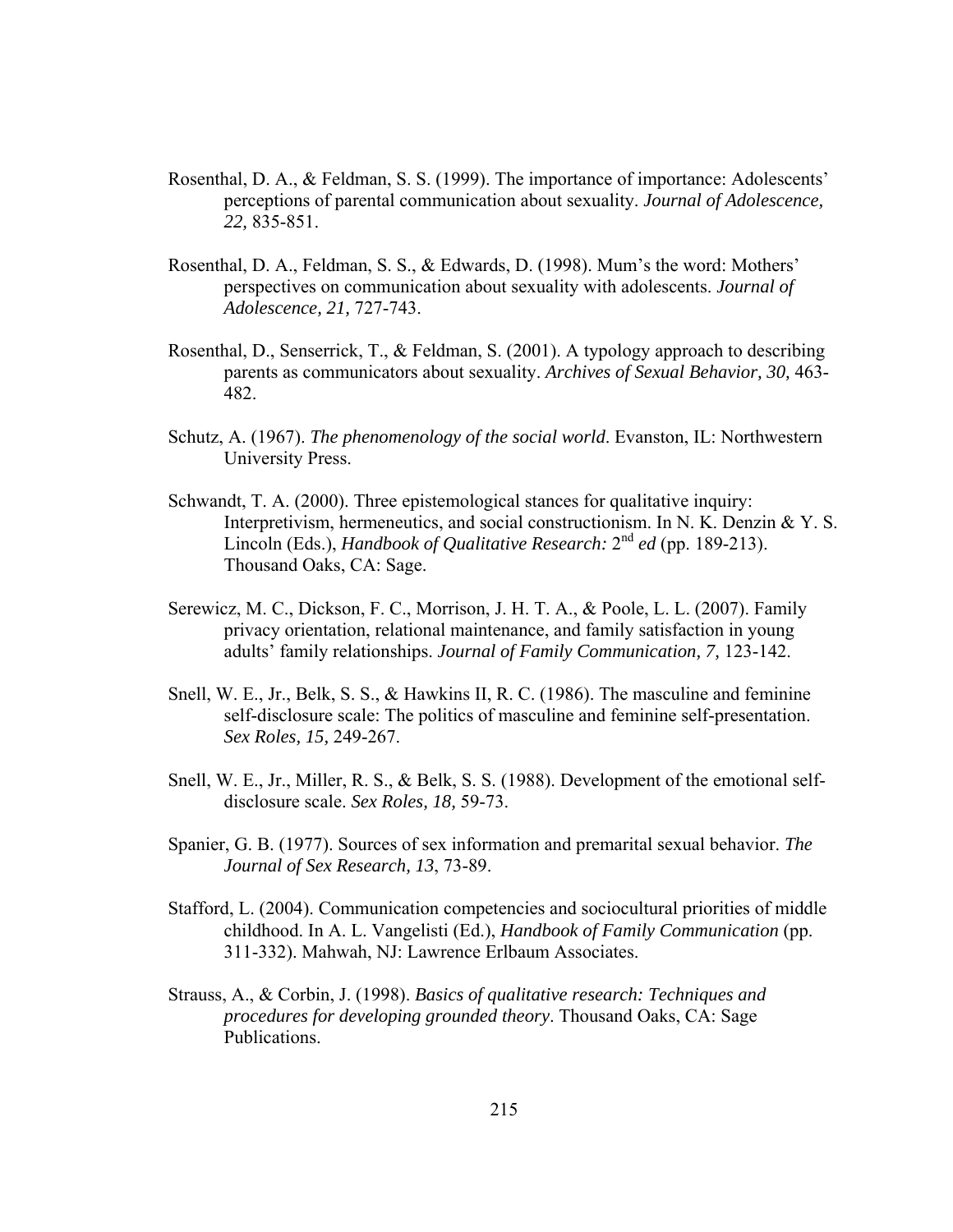- Rosenthal, D. A., & Feldman, S. S. (1999). The importance of importance: Adolescents' perceptions of parental communication about sexuality. *Journal of Adolescence, 22,* 835-851.
- Rosenthal, D. A., Feldman, S. S., & Edwards, D. (1998). Mum's the word: Mothers' perspectives on communication about sexuality with adolescents. *Journal of Adolescence, 21,* 727-743.
- Rosenthal, D., Senserrick, T., & Feldman, S. (2001). A typology approach to describing parents as communicators about sexuality. *Archives of Sexual Behavior, 30,* 463- 482.
- Schutz, A. (1967). *The phenomenology of the social world*. Evanston, IL: Northwestern University Press.
- Schwandt, T. A. (2000). Three epistemological stances for qualitative inquiry: Interpretivism, hermeneutics, and social constructionism. In N. K. Denzin & Y. S. Lincoln (Eds.), *Handbook of Qualitative Research:* 2nd *ed* (pp. 189-213). Thousand Oaks, CA: Sage.
- Serewicz, M. C., Dickson, F. C., Morrison, J. H. T. A., & Poole, L. L. (2007). Family privacy orientation, relational maintenance, and family satisfaction in young adults' family relationships. *Journal of Family Communication, 7,* 123-142.
- Snell, W. E., Jr., Belk, S. S., & Hawkins II, R. C. (1986). The masculine and feminine self-disclosure scale: The politics of masculine and feminine self-presentation. *Sex Roles, 15,* 249-267.
- Snell, W. E., Jr., Miller, R. S., & Belk, S. S. (1988). Development of the emotional selfdisclosure scale. *Sex Roles, 18,* 59-73.
- Spanier, G. B. (1977). Sources of sex information and premarital sexual behavior. *The Journal of Sex Research, 13*, 73-89.
- Stafford, L. (2004). Communication competencies and sociocultural priorities of middle childhood. In A. L. Vangelisti (Ed.), *Handbook of Family Communication* (pp. 311-332). Mahwah, NJ: Lawrence Erlbaum Associates.
- Strauss, A., & Corbin, J. (1998). *Basics of qualitative research: Techniques and procedures for developing grounded theory*. Thousand Oaks, CA: Sage Publications.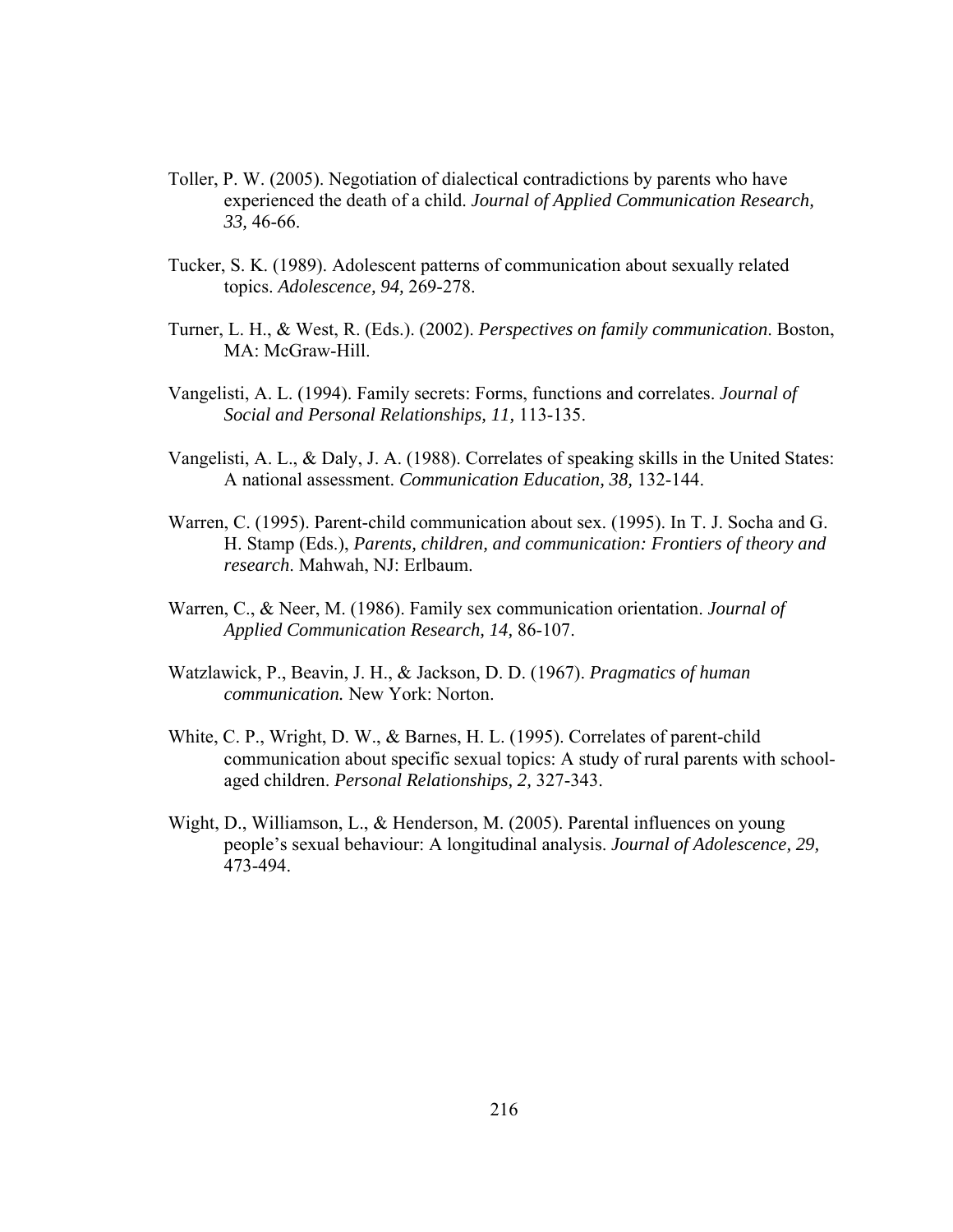- Toller, P. W. (2005). Negotiation of dialectical contradictions by parents who have experienced the death of a child. *Journal of Applied Communication Research, 33,* 46-66.
- Tucker, S. K. (1989). Adolescent patterns of communication about sexually related topics. *Adolescence, 94,* 269-278.
- Turner, L. H., & West, R. (Eds.). (2002). *Perspectives on family communication*. Boston, MA: McGraw-Hill.
- Vangelisti, A. L. (1994). Family secrets: Forms, functions and correlates. *Journal of Social and Personal Relationships, 11,* 113-135.
- Vangelisti, A. L., & Daly, J. A. (1988). Correlates of speaking skills in the United States: A national assessment. *Communication Education, 38,* 132-144.
- Warren, C. (1995). Parent-child communication about sex. (1995). In T. J. Socha and G. H. Stamp (Eds.), *Parents, children, and communication: Frontiers of theory and research*. Mahwah, NJ: Erlbaum.
- Warren, C., & Neer, M. (1986). Family sex communication orientation. *Journal of Applied Communication Research, 14,* 86-107.
- Watzlawick, P., Beavin, J. H., & Jackson, D. D. (1967). *Pragmatics of human communication.* New York: Norton.
- White, C. P., Wright, D. W., & Barnes, H. L. (1995). Correlates of parent-child communication about specific sexual topics: A study of rural parents with schoolaged children. *Personal Relationships, 2,* 327-343.
- Wight, D., Williamson, L., & Henderson, M. (2005). Parental influences on young people's sexual behaviour: A longitudinal analysis. *Journal of Adolescence, 29,* 473-494.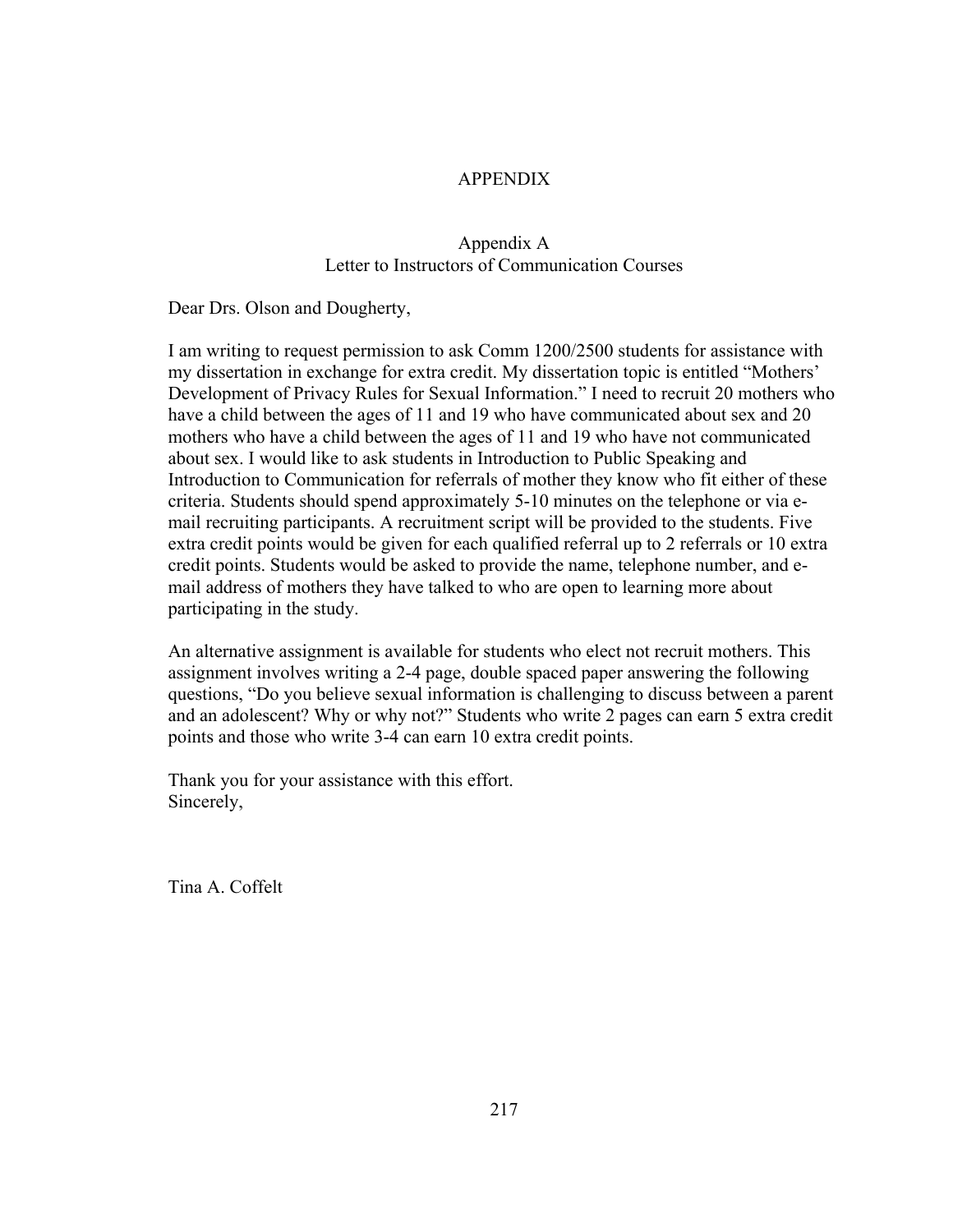## APPENDIX

### Appendix A Letter to Instructors of Communication Courses

Dear Drs. Olson and Dougherty,

I am writing to request permission to ask Comm 1200/2500 students for assistance with my dissertation in exchange for extra credit. My dissertation topic is entitled "Mothers' Development of Privacy Rules for Sexual Information." I need to recruit 20 mothers who have a child between the ages of 11 and 19 who have communicated about sex and 20 mothers who have a child between the ages of 11 and 19 who have not communicated about sex. I would like to ask students in Introduction to Public Speaking and Introduction to Communication for referrals of mother they know who fit either of these criteria. Students should spend approximately 5-10 minutes on the telephone or via email recruiting participants. A recruitment script will be provided to the students. Five extra credit points would be given for each qualified referral up to 2 referrals or 10 extra credit points. Students would be asked to provide the name, telephone number, and email address of mothers they have talked to who are open to learning more about participating in the study.

An alternative assignment is available for students who elect not recruit mothers. This assignment involves writing a 2-4 page, double spaced paper answering the following questions, "Do you believe sexual information is challenging to discuss between a parent and an adolescent? Why or why not?" Students who write 2 pages can earn 5 extra credit points and those who write 3-4 can earn 10 extra credit points.

Thank you for your assistance with this effort. Sincerely,

Tina A. Coffelt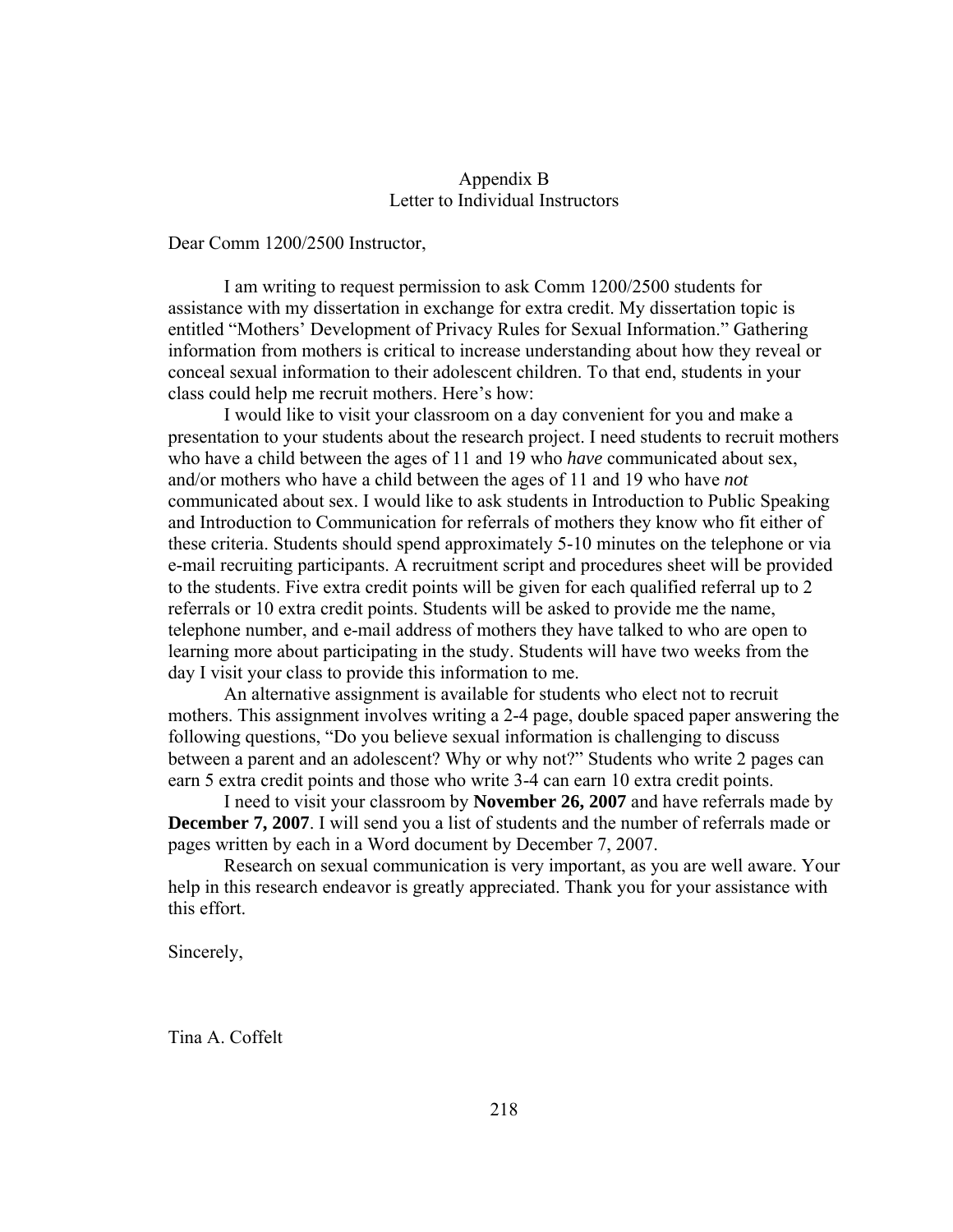### Appendix B Letter to Individual Instructors

Dear Comm 1200/2500 Instructor,

I am writing to request permission to ask Comm 1200/2500 students for assistance with my dissertation in exchange for extra credit. My dissertation topic is entitled "Mothers' Development of Privacy Rules for Sexual Information." Gathering information from mothers is critical to increase understanding about how they reveal or conceal sexual information to their adolescent children. To that end, students in your class could help me recruit mothers. Here's how:

 I would like to visit your classroom on a day convenient for you and make a presentation to your students about the research project. I need students to recruit mothers who have a child between the ages of 11 and 19 who *have* communicated about sex, and/or mothers who have a child between the ages of 11 and 19 who have *not*  communicated about sex. I would like to ask students in Introduction to Public Speaking and Introduction to Communication for referrals of mothers they know who fit either of these criteria. Students should spend approximately 5-10 minutes on the telephone or via e-mail recruiting participants. A recruitment script and procedures sheet will be provided to the students. Five extra credit points will be given for each qualified referral up to 2 referrals or 10 extra credit points. Students will be asked to provide me the name, telephone number, and e-mail address of mothers they have talked to who are open to learning more about participating in the study. Students will have two weeks from the day I visit your class to provide this information to me.

An alternative assignment is available for students who elect not to recruit mothers. This assignment involves writing a 2-4 page, double spaced paper answering the following questions, "Do you believe sexual information is challenging to discuss between a parent and an adolescent? Why or why not?" Students who write 2 pages can earn 5 extra credit points and those who write 3-4 can earn 10 extra credit points.

I need to visit your classroom by **November 26, 2007** and have referrals made by **December 7, 2007**. I will send you a list of students and the number of referrals made or pages written by each in a Word document by December 7, 2007.

 Research on sexual communication is very important, as you are well aware. Your help in this research endeavor is greatly appreciated. Thank you for your assistance with this effort.

Sincerely,

Tina A. Coffelt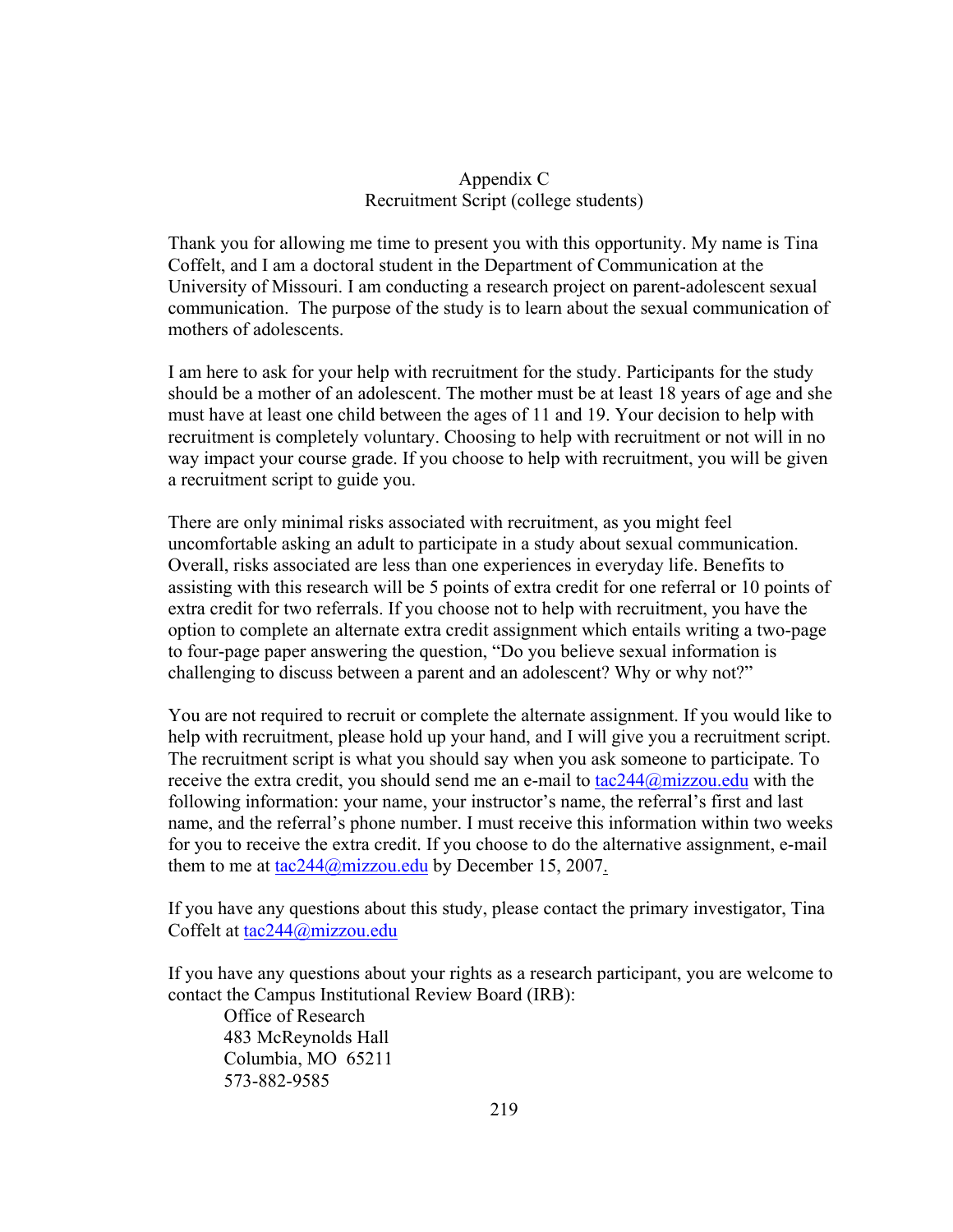## Appendix C Recruitment Script (college students)

Thank you for allowing me time to present you with this opportunity. My name is Tina Coffelt, and I am a doctoral student in the Department of Communication at the University of Missouri. I am conducting a research project on parent-adolescent sexual communication. The purpose of the study is to learn about the sexual communication of mothers of adolescents.

I am here to ask for your help with recruitment for the study. Participants for the study should be a mother of an adolescent. The mother must be at least 18 years of age and she must have at least one child between the ages of 11 and 19. Your decision to help with recruitment is completely voluntary. Choosing to help with recruitment or not will in no way impact your course grade. If you choose to help with recruitment, you will be given a recruitment script to guide you.

There are only minimal risks associated with recruitment, as you might feel uncomfortable asking an adult to participate in a study about sexual communication. Overall, risks associated are less than one experiences in everyday life. Benefits to assisting with this research will be 5 points of extra credit for one referral or 10 points of extra credit for two referrals. If you choose not to help with recruitment, you have the option to complete an alternate extra credit assignment which entails writing a two-page to four-page paper answering the question, "Do you believe sexual information is challenging to discuss between a parent and an adolescent? Why or why not?"

You are not required to recruit or complete the alternate assignment. If you would like to help with recruitment, please hold up your hand, and I will give you a recruitment script. The recruitment script is what you should say when you ask someone to participate. To receive the extra credit, you should send me an e-mail to [tac244@mizzou.edu](mailto:tac244@mizzou.edu) with the following information: your name, your instructor's name, the referral's first and last name, and the referral's phone number. I must receive this information within two weeks for you to receive the extra credit. If you choose to do the alternative assignment, e-mail them to me at  $\frac{\tan 244}{\omega}$  mizzou.edu by December 15, 2007.

If you have any questions about this study, please contact the primary investigator, Tina Coffelt at [tac244@mizzou.edu](mailto:tac244@mizzou.edu)

If you have any questions about your rights as a research participant, you are welcome to contact the Campus Institutional Review Board (IRB):

Office of Research 483 McReynolds Hall Columbia, MO 65211 573-882-9585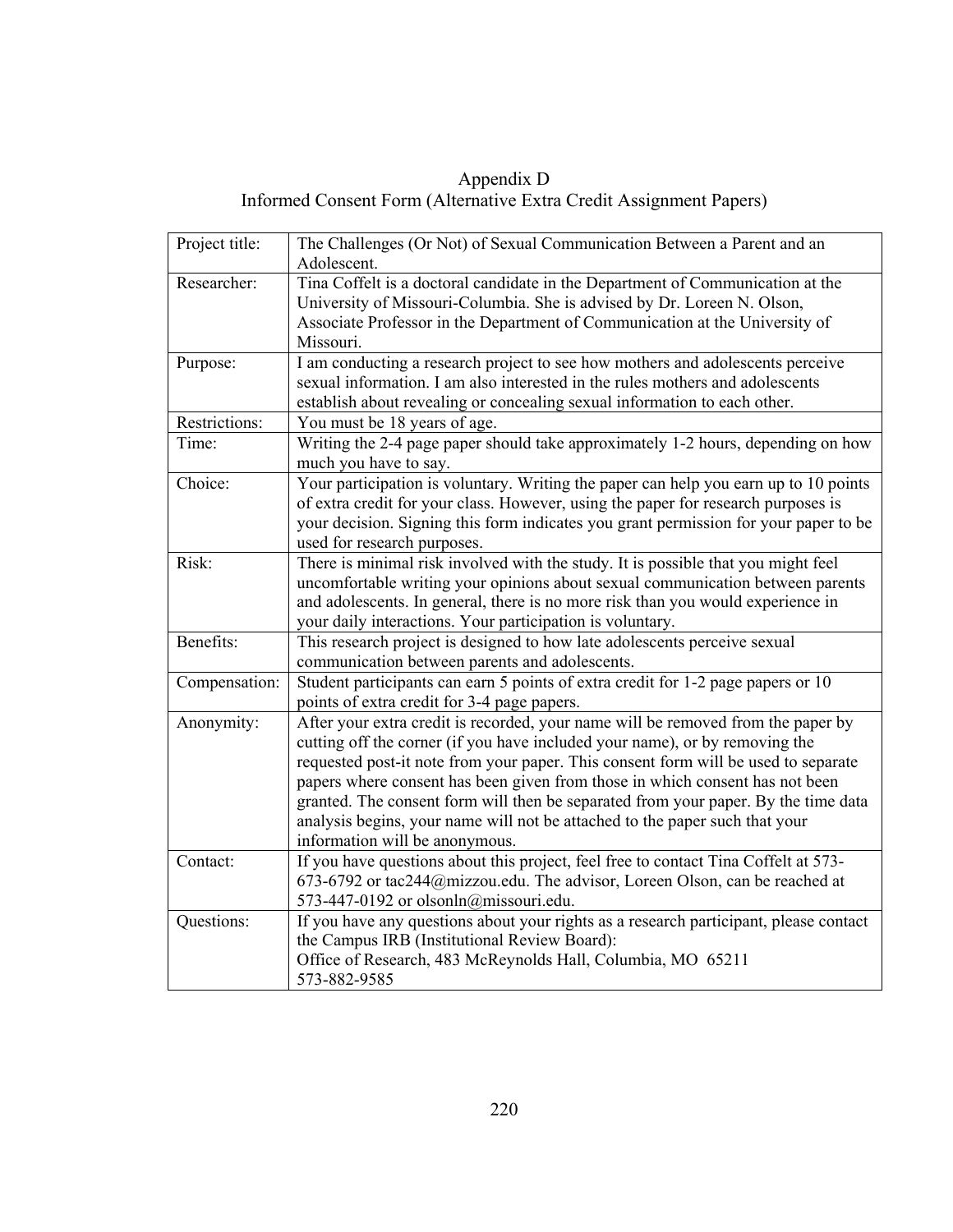Appendix D Informed Consent Form (Alternative Extra Credit Assignment Papers)

| Project title: | The Challenges (Or Not) of Sexual Communication Between a Parent and an<br>Adolescent.                                                                                                                                                                                                                                                                                                                                                                                                                                                       |
|----------------|----------------------------------------------------------------------------------------------------------------------------------------------------------------------------------------------------------------------------------------------------------------------------------------------------------------------------------------------------------------------------------------------------------------------------------------------------------------------------------------------------------------------------------------------|
| Researcher:    | Tina Coffelt is a doctoral candidate in the Department of Communication at the<br>University of Missouri-Columbia. She is advised by Dr. Loreen N. Olson,<br>Associate Professor in the Department of Communication at the University of<br>Missouri.                                                                                                                                                                                                                                                                                        |
| Purpose:       | I am conducting a research project to see how mothers and adolescents perceive<br>sexual information. I am also interested in the rules mothers and adolescents<br>establish about revealing or concealing sexual information to each other.                                                                                                                                                                                                                                                                                                 |
| Restrictions:  | You must be 18 years of age.                                                                                                                                                                                                                                                                                                                                                                                                                                                                                                                 |
| Time:          | Writing the 2-4 page paper should take approximately 1-2 hours, depending on how<br>much you have to say.                                                                                                                                                                                                                                                                                                                                                                                                                                    |
| Choice:        | Your participation is voluntary. Writing the paper can help you earn up to 10 points<br>of extra credit for your class. However, using the paper for research purposes is<br>your decision. Signing this form indicates you grant permission for your paper to be<br>used for research purposes.                                                                                                                                                                                                                                             |
| Risk:          | There is minimal risk involved with the study. It is possible that you might feel<br>uncomfortable writing your opinions about sexual communication between parents<br>and adolescents. In general, there is no more risk than you would experience in<br>your daily interactions. Your participation is voluntary.                                                                                                                                                                                                                          |
| Benefits:      | This research project is designed to how late adolescents perceive sexual<br>communication between parents and adolescents.                                                                                                                                                                                                                                                                                                                                                                                                                  |
| Compensation:  | Student participants can earn 5 points of extra credit for 1-2 page papers or 10<br>points of extra credit for 3-4 page papers.                                                                                                                                                                                                                                                                                                                                                                                                              |
| Anonymity:     | After your extra credit is recorded, your name will be removed from the paper by<br>cutting off the corner (if you have included your name), or by removing the<br>requested post-it note from your paper. This consent form will be used to separate<br>papers where consent has been given from those in which consent has not been<br>granted. The consent form will then be separated from your paper. By the time data<br>analysis begins, your name will not be attached to the paper such that your<br>information will be anonymous. |
| Contact:       | If you have questions about this project, feel free to contact Tina Coffelt at 573-<br>673-6792 or tac244@mizzou.edu. The advisor, Loreen Olson, can be reached at<br>573-447-0192 or olsonln@missouri.edu.                                                                                                                                                                                                                                                                                                                                  |
| Questions:     | If you have any questions about your rights as a research participant, please contact<br>the Campus IRB (Institutional Review Board):<br>Office of Research, 483 McReynolds Hall, Columbia, MO 65211<br>573-882-9585                                                                                                                                                                                                                                                                                                                         |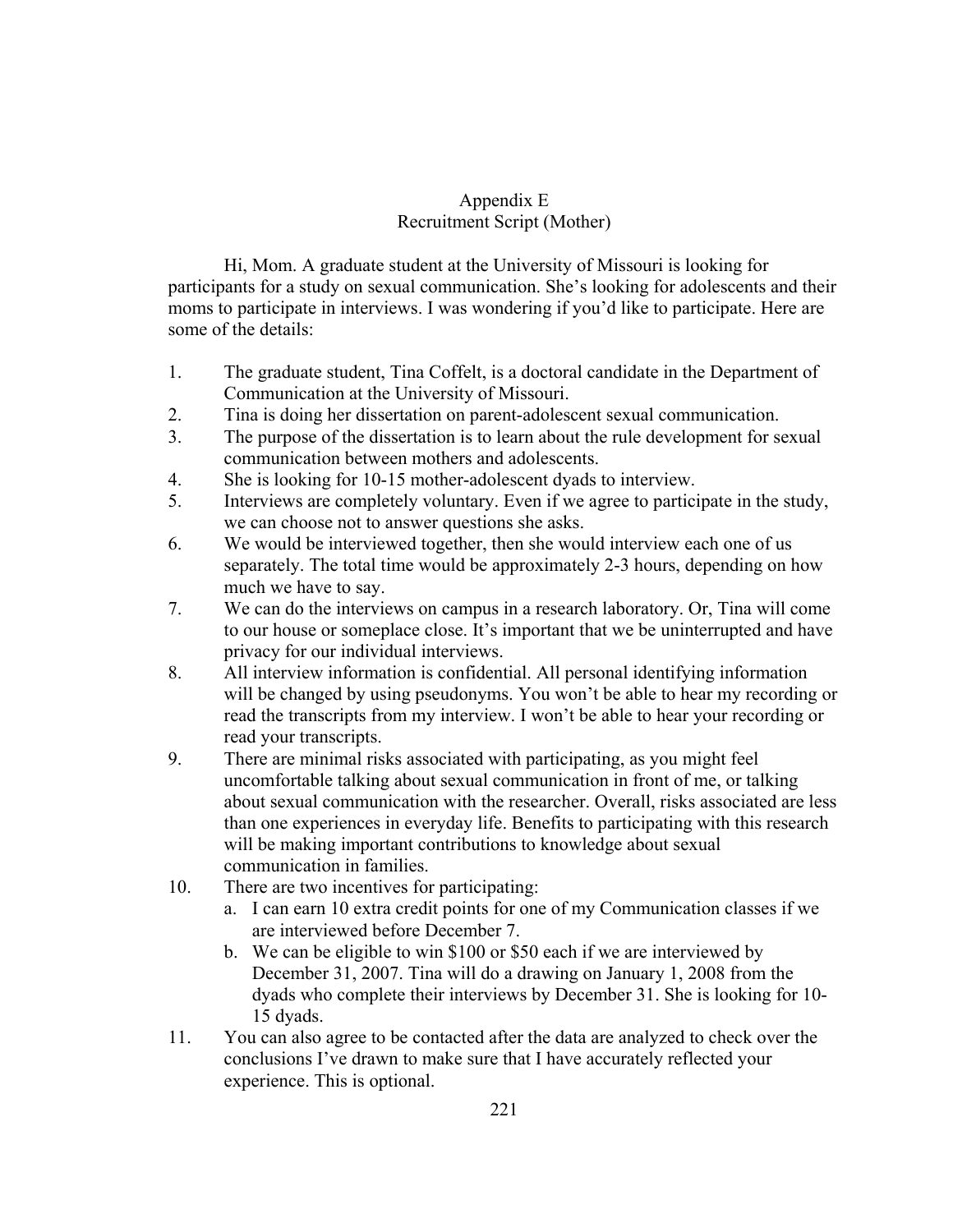# Appendix E Recruitment Script (Mother)

 Hi, Mom. A graduate student at the University of Missouri is looking for participants for a study on sexual communication. She's looking for adolescents and their moms to participate in interviews. I was wondering if you'd like to participate. Here are some of the details:

- 1. The graduate student, Tina Coffelt, is a doctoral candidate in the Department of Communication at the University of Missouri.
- 2. Tina is doing her dissertation on parent-adolescent sexual communication.
- 3. The purpose of the dissertation is to learn about the rule development for sexual communication between mothers and adolescents.
- 4. She is looking for 10-15 mother-adolescent dyads to interview.
- 5. Interviews are completely voluntary. Even if we agree to participate in the study, we can choose not to answer questions she asks.
- 6. We would be interviewed together, then she would interview each one of us separately. The total time would be approximately 2-3 hours, depending on how much we have to say.
- 7. We can do the interviews on campus in a research laboratory. Or, Tina will come to our house or someplace close. It's important that we be uninterrupted and have privacy for our individual interviews.
- 8. All interview information is confidential. All personal identifying information will be changed by using pseudonyms. You won't be able to hear my recording or read the transcripts from my interview. I won't be able to hear your recording or read your transcripts.
- 9. There are minimal risks associated with participating, as you might feel uncomfortable talking about sexual communication in front of me, or talking about sexual communication with the researcher. Overall, risks associated are less than one experiences in everyday life. Benefits to participating with this research will be making important contributions to knowledge about sexual communication in families.
- 10. There are two incentives for participating:
	- a. I can earn 10 extra credit points for one of my Communication classes if we are interviewed before December 7.
	- b. We can be eligible to win \$100 or \$50 each if we are interviewed by December 31, 2007. Tina will do a drawing on January 1, 2008 from the dyads who complete their interviews by December 31. She is looking for 10- 15 dyads.
- 11. You can also agree to be contacted after the data are analyzed to check over the conclusions I've drawn to make sure that I have accurately reflected your experience. This is optional.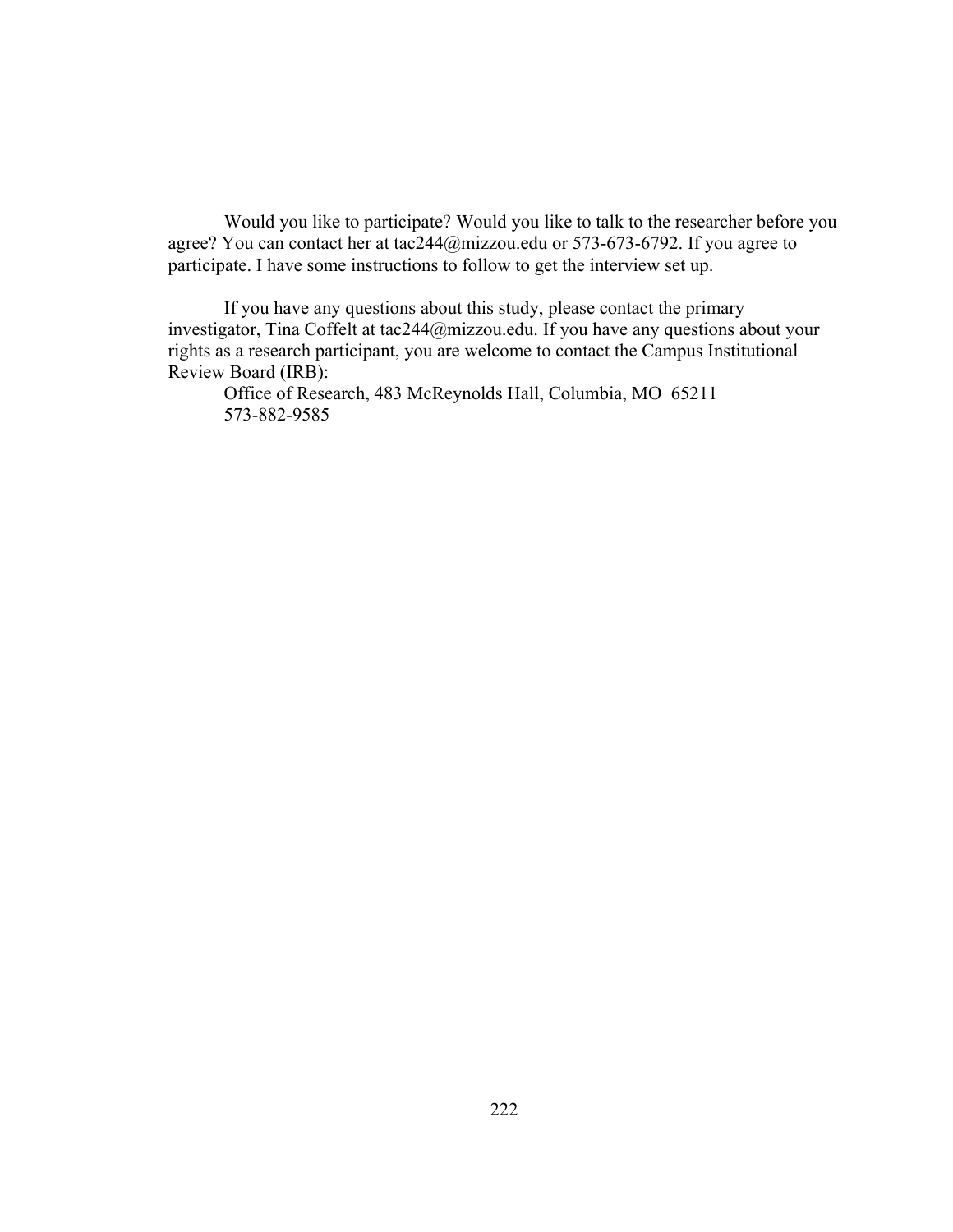Would you like to participate? Would you like to talk to the researcher before you agree? You can contact her at tac244@mizzou.edu or 573-673-6792. If you agree to participate. I have some instructions to follow to get the interview set up.

If you have any questions about this study, please contact the primary investigator, Tina Coffelt at tac244@mizzou.edu. If you have any questions about your rights as a research participant, you are welcome to contact the Campus Institutional Review Board (IRB):

Office of Research, 483 McReynolds Hall, Columbia, MO 65211 573-882-9585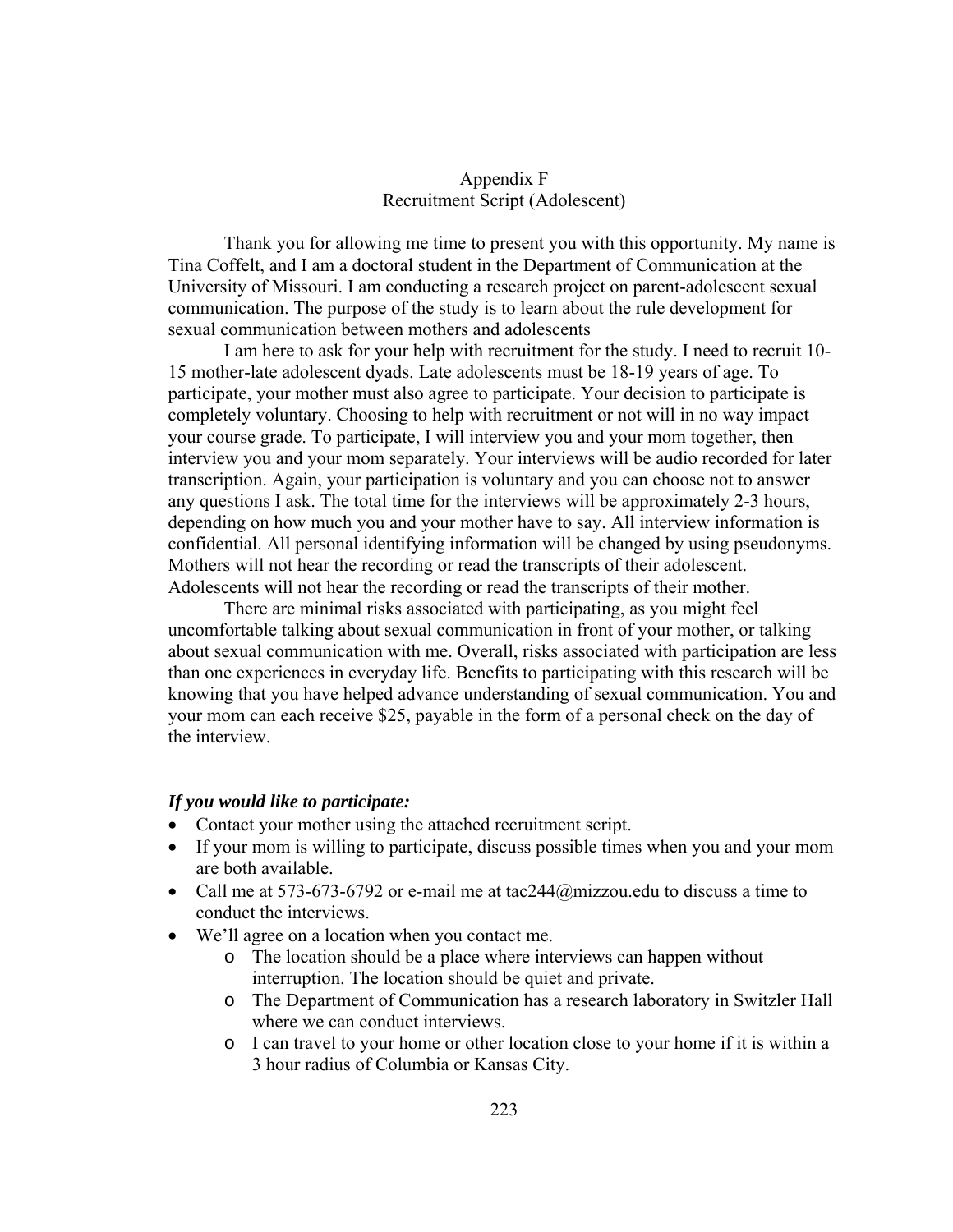## Appendix F Recruitment Script (Adolescent)

Thank you for allowing me time to present you with this opportunity. My name is Tina Coffelt, and I am a doctoral student in the Department of Communication at the University of Missouri. I am conducting a research project on parent-adolescent sexual communication. The purpose of the study is to learn about the rule development for sexual communication between mothers and adolescents

I am here to ask for your help with recruitment for the study. I need to recruit 10- 15 mother-late adolescent dyads. Late adolescents must be 18-19 years of age. To participate, your mother must also agree to participate. Your decision to participate is completely voluntary. Choosing to help with recruitment or not will in no way impact your course grade. To participate, I will interview you and your mom together, then interview you and your mom separately. Your interviews will be audio recorded for later transcription. Again, your participation is voluntary and you can choose not to answer any questions I ask. The total time for the interviews will be approximately 2-3 hours, depending on how much you and your mother have to say. All interview information is confidential. All personal identifying information will be changed by using pseudonyms. Mothers will not hear the recording or read the transcripts of their adolescent. Adolescents will not hear the recording or read the transcripts of their mother.

There are minimal risks associated with participating, as you might feel uncomfortable talking about sexual communication in front of your mother, or talking about sexual communication with me. Overall, risks associated with participation are less than one experiences in everyday life. Benefits to participating with this research will be knowing that you have helped advance understanding of sexual communication. You and your mom can each receive \$25, payable in the form of a personal check on the day of the interview.

#### *If you would like to participate:*

- Contact your mother using the attached recruitment script.
- If your mom is willing to participate, discuss possible times when you and your mom are both available.
- Call me at 573-673-6792 or e-mail me at tac  $244\omega$  mizzou.edu to discuss a time to conduct the interviews.
- We'll agree on a location when you contact me.
	- o The location should be a place where interviews can happen without interruption. The location should be quiet and private.
	- o The Department of Communication has a research laboratory in Switzler Hall where we can conduct interviews.
	- o I can travel to your home or other location close to your home if it is within a 3 hour radius of Columbia or Kansas City.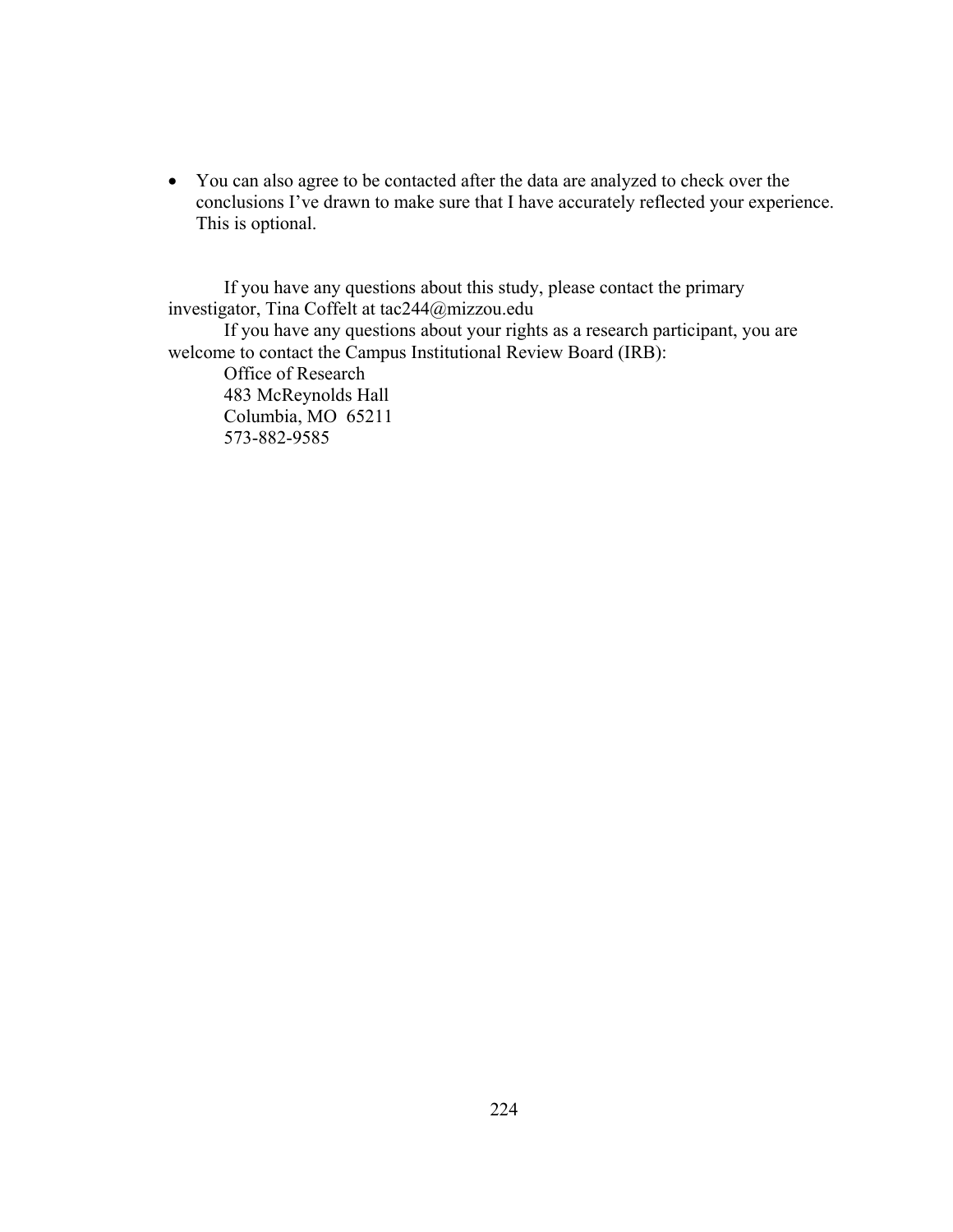• You can also agree to be contacted after the data are analyzed to check over the conclusions I've drawn to make sure that I have accurately reflected your experience. This is optional.

If you have any questions about this study, please contact the primary investigator, Tina Coffelt at tac244@mizzou.edu If you have any questions about your rights as a research participant, you are welcome to contact the Campus Institutional Review Board (IRB): Office of Research 483 McReynolds Hall Columbia, MO 65211 573-882-9585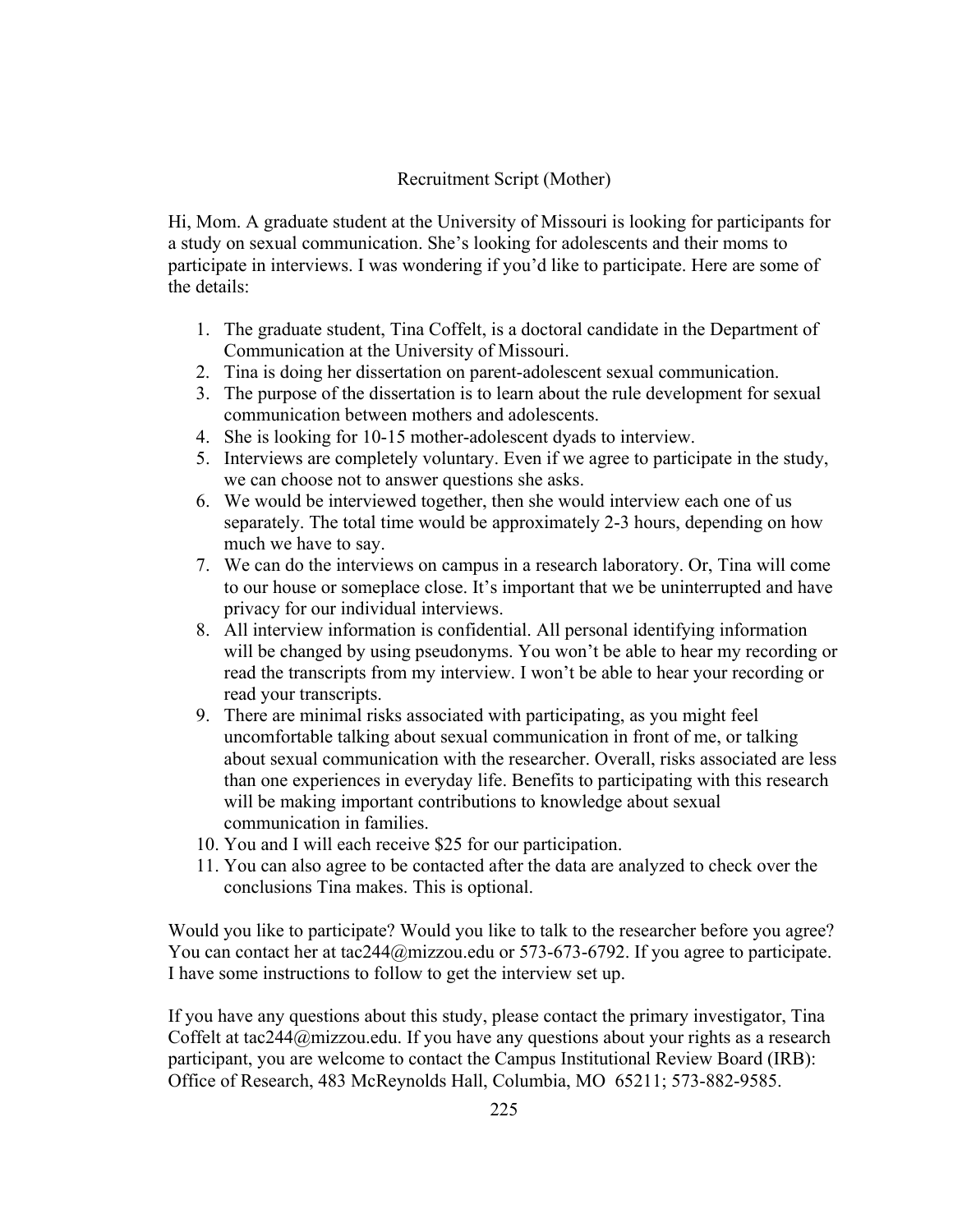## Recruitment Script (Mother)

Hi, Mom. A graduate student at the University of Missouri is looking for participants for a study on sexual communication. She's looking for adolescents and their moms to participate in interviews. I was wondering if you'd like to participate. Here are some of the details:

- 1. The graduate student, Tina Coffelt, is a doctoral candidate in the Department of Communication at the University of Missouri.
- 2. Tina is doing her dissertation on parent-adolescent sexual communication.
- 3. The purpose of the dissertation is to learn about the rule development for sexual communication between mothers and adolescents.
- 4. She is looking for 10-15 mother-adolescent dyads to interview.
- 5. Interviews are completely voluntary. Even if we agree to participate in the study, we can choose not to answer questions she asks.
- 6. We would be interviewed together, then she would interview each one of us separately. The total time would be approximately 2-3 hours, depending on how much we have to say.
- 7. We can do the interviews on campus in a research laboratory. Or, Tina will come to our house or someplace close. It's important that we be uninterrupted and have privacy for our individual interviews.
- 8. All interview information is confidential. All personal identifying information will be changed by using pseudonyms. You won't be able to hear my recording or read the transcripts from my interview. I won't be able to hear your recording or read your transcripts.
- 9. There are minimal risks associated with participating, as you might feel uncomfortable talking about sexual communication in front of me, or talking about sexual communication with the researcher. Overall, risks associated are less than one experiences in everyday life. Benefits to participating with this research will be making important contributions to knowledge about sexual communication in families.
- 10. You and I will each receive \$25 for our participation.
- 11. You can also agree to be contacted after the data are analyzed to check over the conclusions Tina makes. This is optional.

Would you like to participate? Would you like to talk to the researcher before you agree? You can contact her at tac244@mizzou.edu or 573-673-6792. If you agree to participate. I have some instructions to follow to get the interview set up.

If you have any questions about this study, please contact the primary investigator, Tina Coffelt at tac244@mizzou.edu. If you have any questions about your rights as a research participant, you are welcome to contact the Campus Institutional Review Board (IRB): Office of Research, 483 McReynolds Hall, Columbia, MO 65211; 573-882-9585.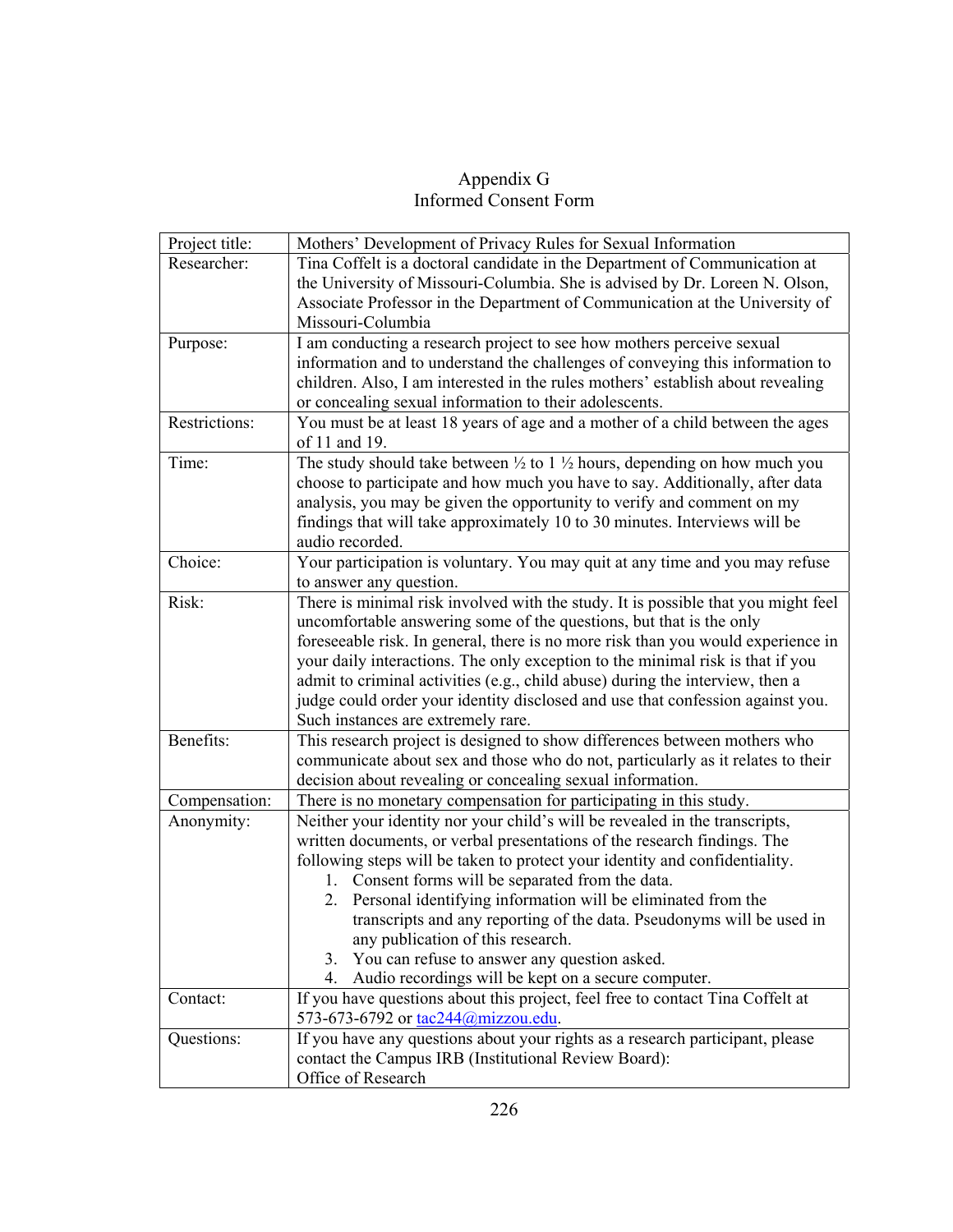## Appendix G Informed Consent Form

| Project title: | Mothers' Development of Privacy Rules for Sexual Information                                                         |
|----------------|----------------------------------------------------------------------------------------------------------------------|
| Researcher:    | Tina Coffelt is a doctoral candidate in the Department of Communication at                                           |
|                | the University of Missouri-Columbia. She is advised by Dr. Loreen N. Olson,                                          |
|                | Associate Professor in the Department of Communication at the University of                                          |
|                | Missouri-Columbia                                                                                                    |
| Purpose:       | I am conducting a research project to see how mothers perceive sexual                                                |
|                | information and to understand the challenges of conveying this information to                                        |
|                | children. Also, I am interested in the rules mothers' establish about revealing                                      |
|                | or concealing sexual information to their adolescents.                                                               |
| Restrictions:  | You must be at least 18 years of age and a mother of a child between the ages                                        |
|                | of 11 and 19.                                                                                                        |
| Time:          | The study should take between $\frac{1}{2}$ to 1 $\frac{1}{2}$ hours, depending on how much you                      |
|                | choose to participate and how much you have to say. Additionally, after data                                         |
|                | analysis, you may be given the opportunity to verify and comment on my                                               |
|                | findings that will take approximately 10 to 30 minutes. Interviews will be                                           |
|                | audio recorded.                                                                                                      |
| Choice:        | Your participation is voluntary. You may quit at any time and you may refuse                                         |
|                | to answer any question.                                                                                              |
| Risk:          | There is minimal risk involved with the study. It is possible that you might feel                                    |
|                | uncomfortable answering some of the questions, but that is the only                                                  |
|                | foreseeable risk. In general, there is no more risk than you would experience in                                     |
|                | your daily interactions. The only exception to the minimal risk is that if you                                       |
|                | admit to criminal activities (e.g., child abuse) during the interview, then a                                        |
|                | judge could order your identity disclosed and use that confession against you.                                       |
|                | Such instances are extremely rare.                                                                                   |
| Benefits:      | This research project is designed to show differences between mothers who                                            |
|                | communicate about sex and those who do not, particularly as it relates to their                                      |
|                | decision about revealing or concealing sexual information.                                                           |
| Compensation:  | There is no monetary compensation for participating in this study.                                                   |
| Anonymity:     | Neither your identity nor your child's will be revealed in the transcripts,                                          |
|                | written documents, or verbal presentations of the research findings. The                                             |
|                | following steps will be taken to protect your identity and confidentiality.                                          |
|                | 1. Consent forms will be separated from the data.                                                                    |
|                | Personal identifying information will be eliminated from the<br>2.                                                   |
|                | transcripts and any reporting of the data. Pseudonyms will be used in                                                |
|                | any publication of this research.<br>You can refuse to answer any question asked.                                    |
|                | 3.<br>Audio recordings will be kept on a secure computer.<br>4.                                                      |
|                |                                                                                                                      |
| Contact:       | If you have questions about this project, feel free to contact Tina Coffelt at<br>573-673-6792 or tac244@mizzou.edu. |
|                | If you have any questions about your rights as a research participant, please                                        |
| Questions:     | contact the Campus IRB (Institutional Review Board):                                                                 |
|                | Office of Research                                                                                                   |
|                |                                                                                                                      |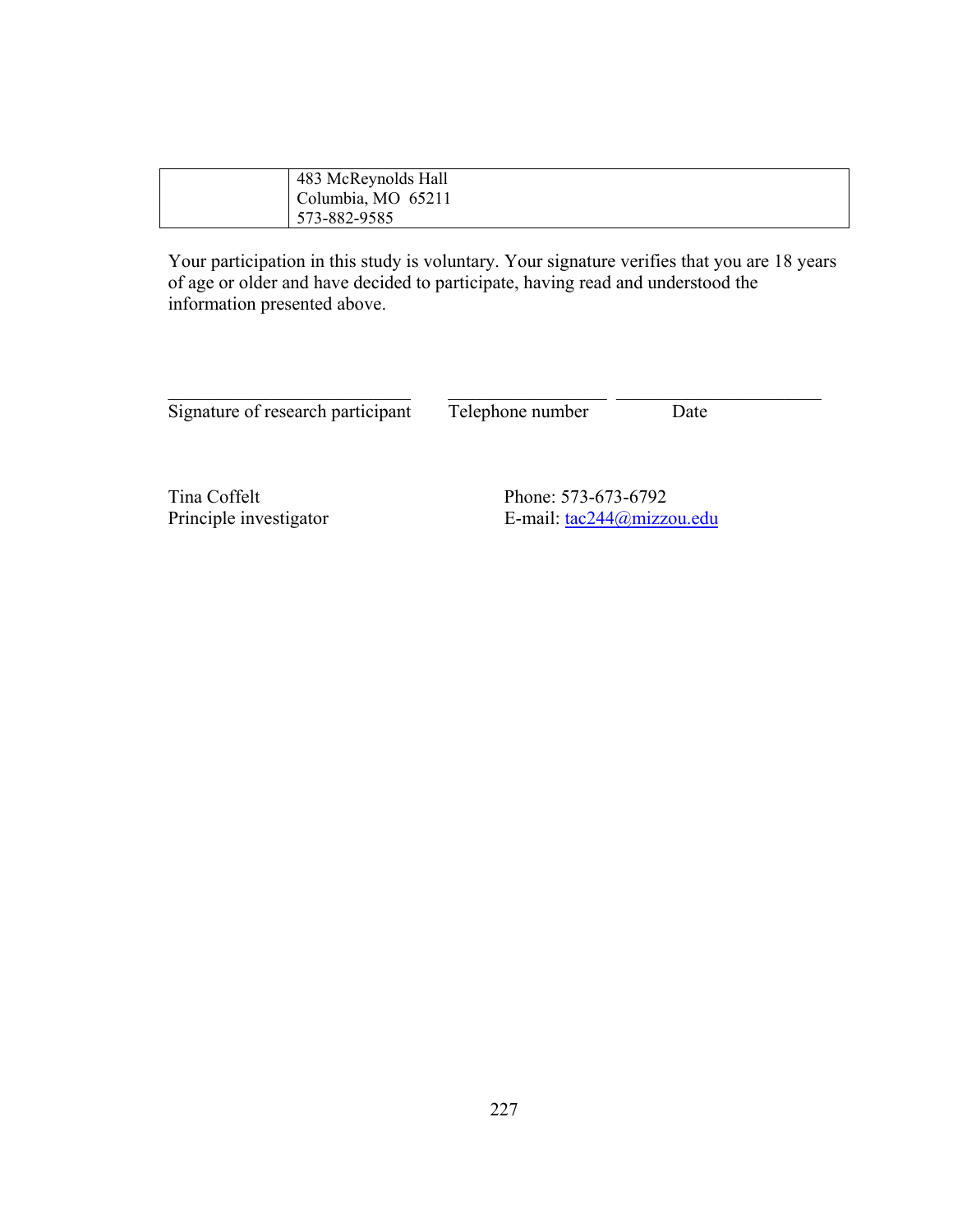| 483 McReynolds Hall |
|---------------------|
| Columbia, MO 65211  |
| 573-882-9585        |

Your participation in this study is voluntary. Your signature verifies that you are 18 years of age or older and have decided to participate, having read and understood the information presented above.

Signature of research participant Telephone number Date

 $\_$  , and the contribution of  $\overline{\mathcal{L}}$  , and  $\overline{\mathcal{L}}$  , and  $\overline{\mathcal{L}}$  , and  $\overline{\mathcal{L}}$  , and  $\overline{\mathcal{L}}$ 

Tina Coffelt<br>
Phone: 573-673-6792<br>
Phone: 573-673-6792<br>
E-mail:  $\frac{\text{tac244@mizza}}{\text{tac244@mizza}}$ E-mail: [tac244@mizzou.edu](mailto:tac244@mizzou.edu)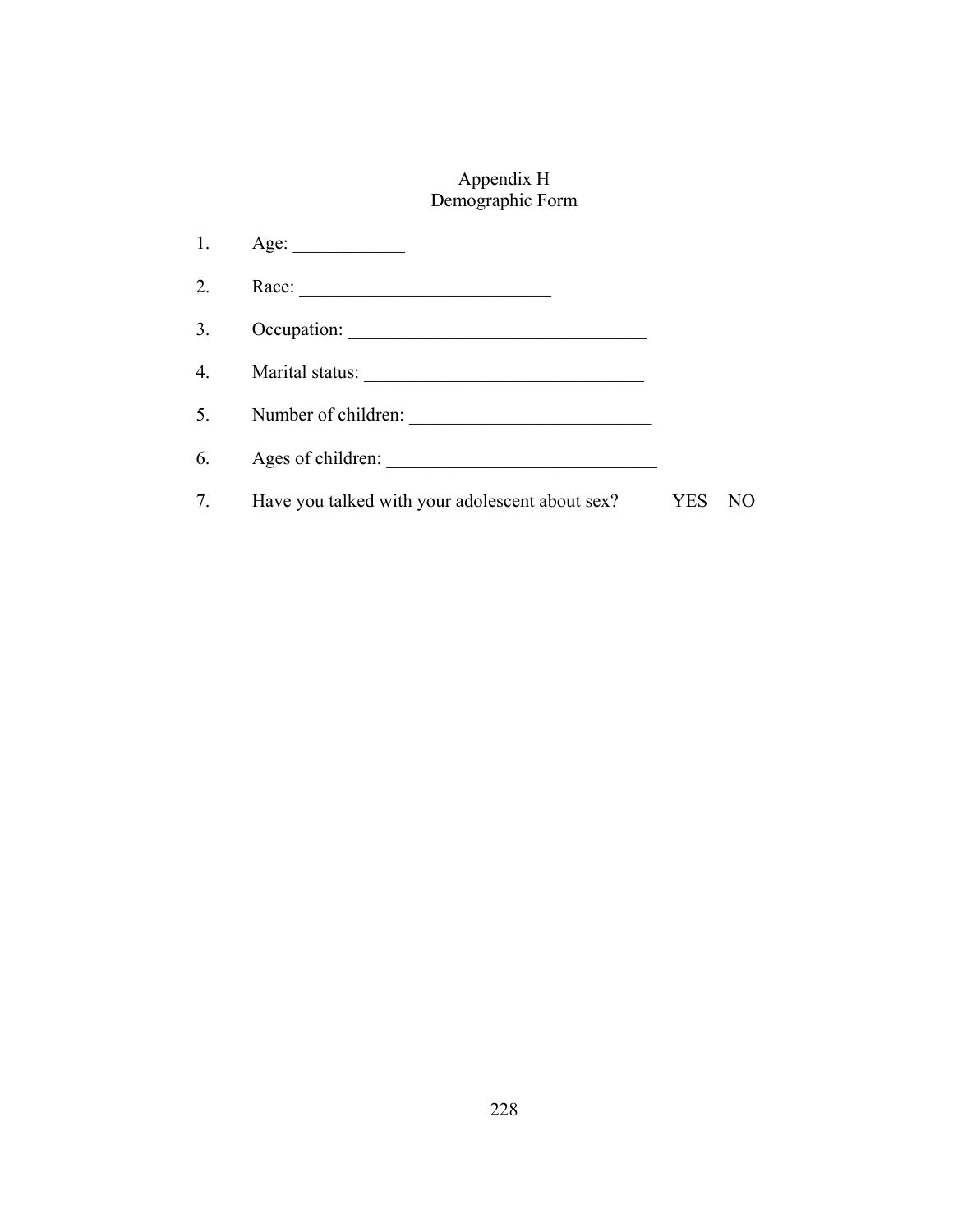# Appendix H Demographic Form

| 1. | Age:                                            |            |     |
|----|-------------------------------------------------|------------|-----|
| 2. |                                                 |            |     |
| 3. |                                                 |            |     |
|    | 4. Marital status:                              |            |     |
| 5. | Number of children:                             |            |     |
| 6. | Ages of children:                               |            |     |
| 7. | Have you talked with your adolescent about sex? | <b>YES</b> | N() |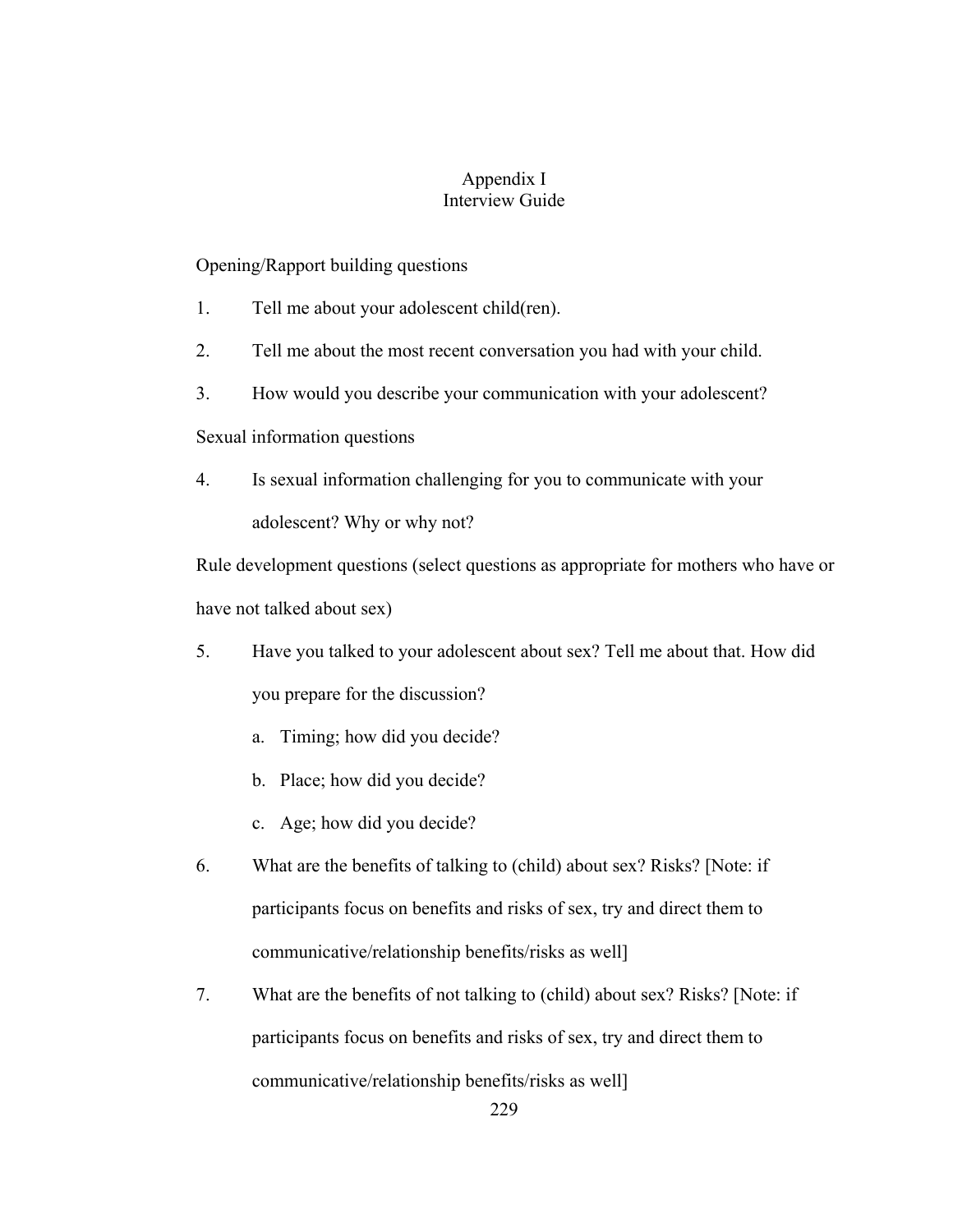## Appendix I Interview Guide

### Opening/Rapport building questions

- 1. Tell me about your adolescent child(ren).
- 2. Tell me about the most recent conversation you had with your child.
- 3. How would you describe your communication with your adolescent?

Sexual information questions

4. Is sexual information challenging for you to communicate with your adolescent? Why or why not?

Rule development questions (select questions as appropriate for mothers who have or have not talked about sex)

- 5. Have you talked to your adolescent about sex? Tell me about that. How did you prepare for the discussion?
	- a. Timing; how did you decide?
	- b. Place; how did you decide?
	- c. Age; how did you decide?
- 6. What are the benefits of talking to (child) about sex? Risks? [Note: if participants focus on benefits and risks of sex, try and direct them to communicative/relationship benefits/risks as well]
- 7. What are the benefits of not talking to (child) about sex? Risks? [Note: if participants focus on benefits and risks of sex, try and direct them to communicative/relationship benefits/risks as well]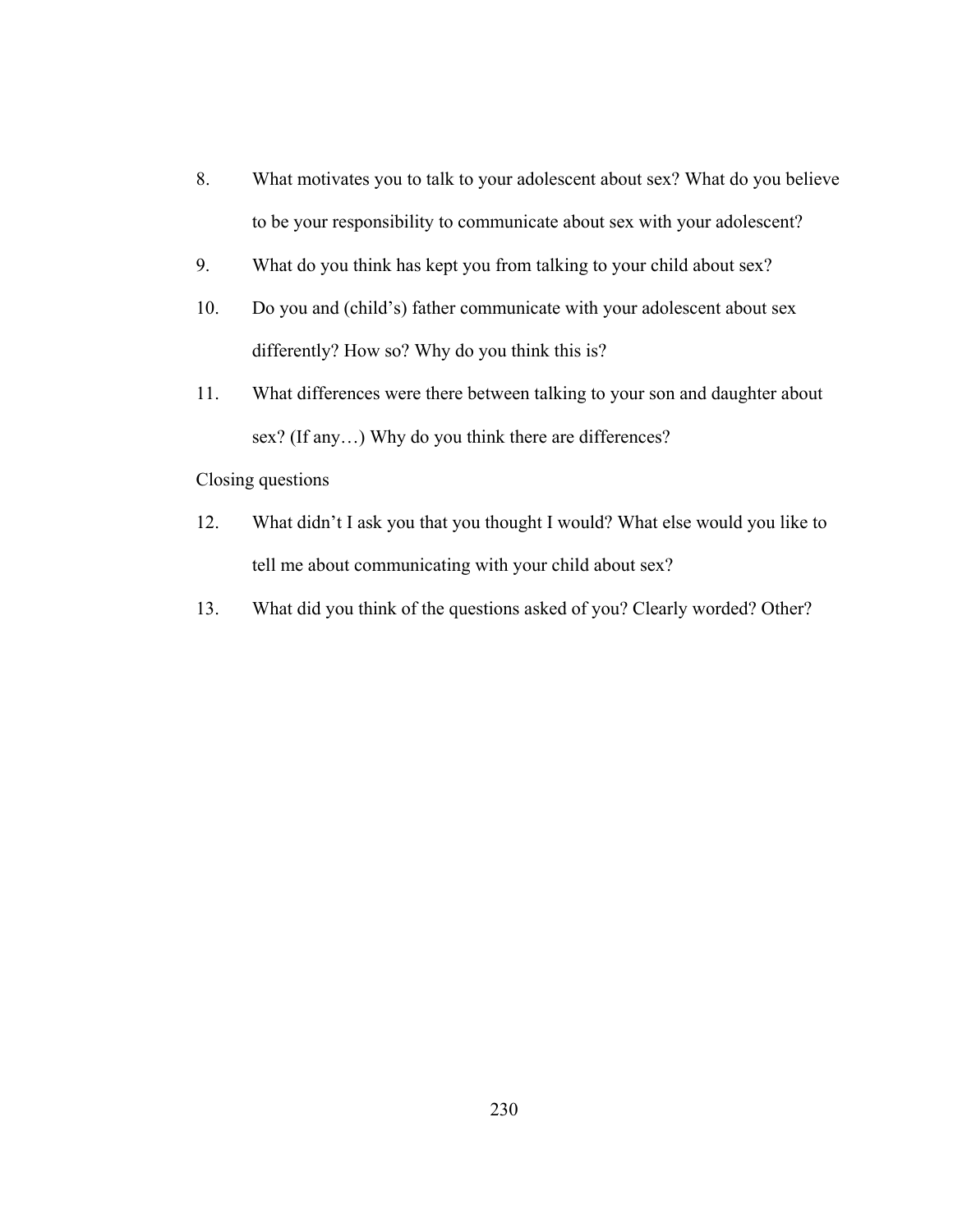- 8. What motivates you to talk to your adolescent about sex? What do you believe to be your responsibility to communicate about sex with your adolescent?
- 9. What do you think has kept you from talking to your child about sex?
- 10. Do you and (child's) father communicate with your adolescent about sex differently? How so? Why do you think this is?
- 11. What differences were there between talking to your son and daughter about sex? (If any…) Why do you think there are differences?

Closing questions

- 12. What didn't I ask you that you thought I would? What else would you like to tell me about communicating with your child about sex?
- 13. What did you think of the questions asked of you? Clearly worded? Other?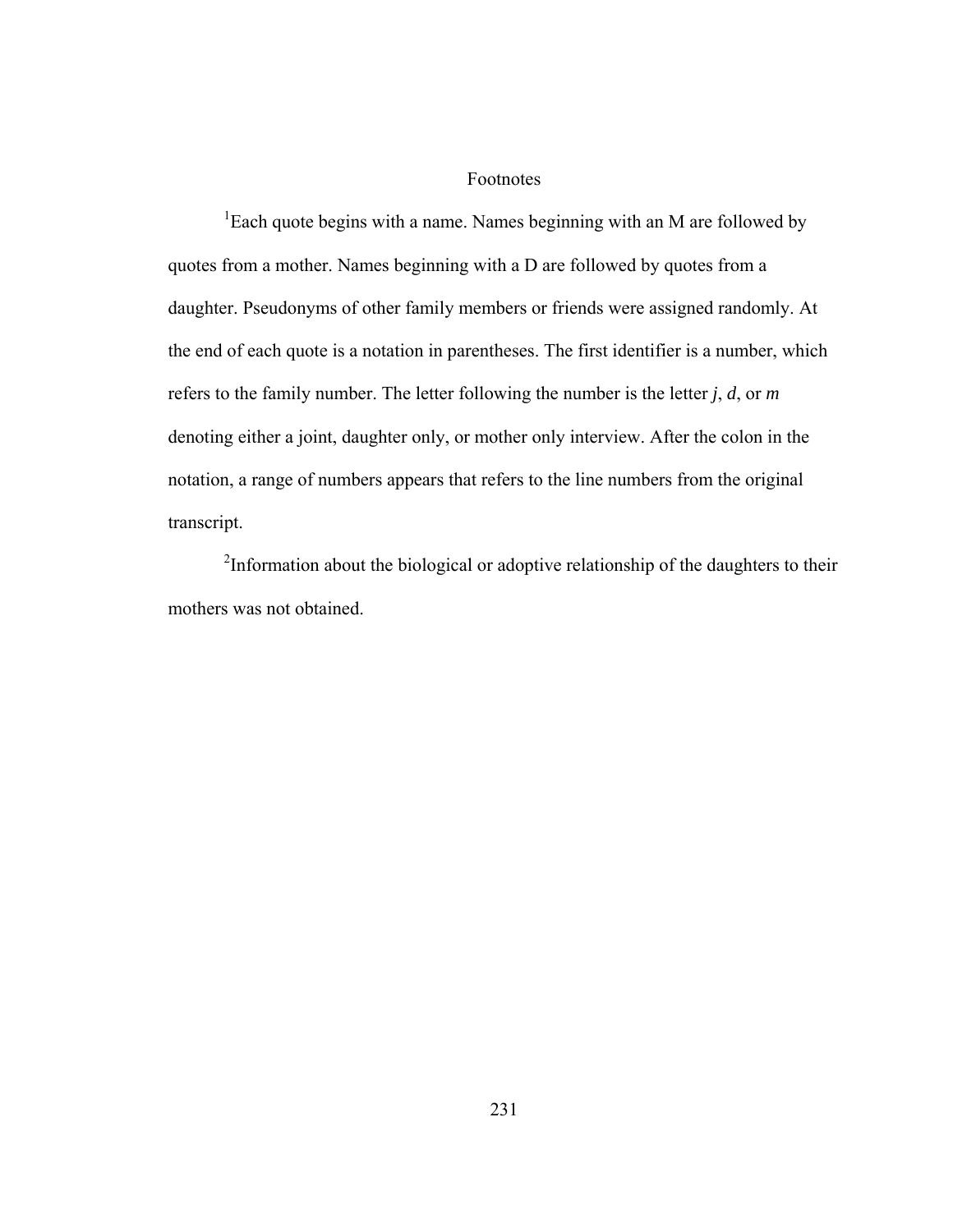#### Footnotes

<sup>1</sup>Each quote begins with a name. Names beginning with an M are followed by quotes from a mother. Names beginning with a D are followed by quotes from a daughter. Pseudonyms of other family members or friends were assigned randomly. At the end of each quote is a notation in parentheses. The first identifier is a number, which refers to the family number. The letter following the number is the letter *j*, *d*, or *m* denoting either a joint, daughter only, or mother only interview. After the colon in the notation, a range of numbers appears that refers to the line numbers from the original transcript.

 $2$ Information about the biological or adoptive relationship of the daughters to their mothers was not obtained.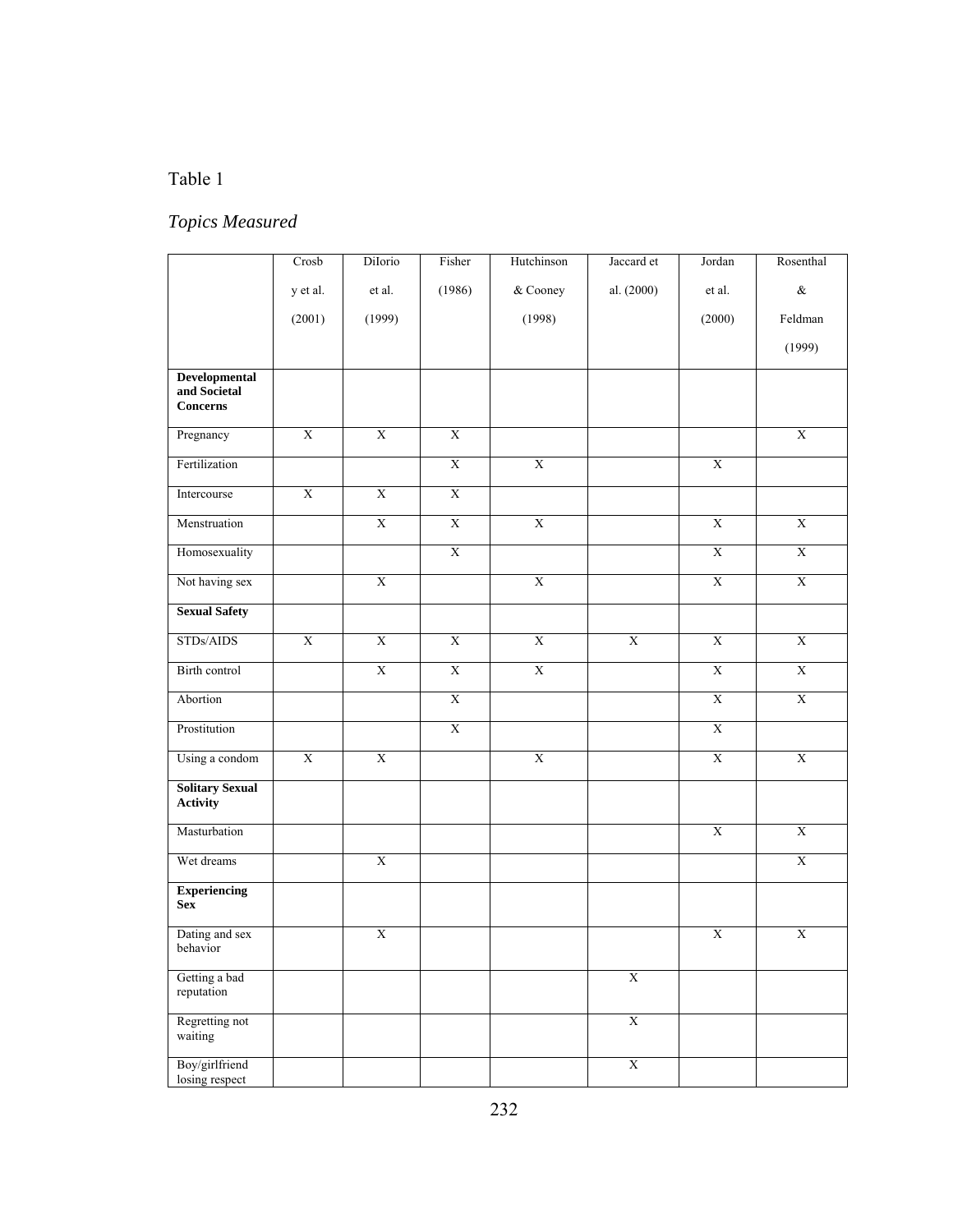# Table 1

# *Topics Measured*

|                                                         | Crosb                   | DiIorio                 | Fisher                  | Hutchinson            | Jaccard et              | Jordan         | Rosenthal               |
|---------------------------------------------------------|-------------------------|-------------------------|-------------------------|-----------------------|-------------------------|----------------|-------------------------|
|                                                         | y et al.                | et al.                  | (1986)                  | & Cooney              | al. (2000)              | et al.         | $\&$                    |
|                                                         | (2001)                  | (1999)                  |                         | (1998)                |                         | (2000)         | Feldman                 |
|                                                         |                         |                         |                         |                       |                         |                | (1999)                  |
| <b>Developmental</b><br>and Societal<br><b>Concerns</b> |                         |                         |                         |                       |                         |                |                         |
| Pregnancy                                               | $\overline{X}$          | $\overline{X}$          | $\overline{X}$          |                       |                         |                | $\overline{X}$          |
| Fertilization                                           |                         |                         | $\overline{X}$          | $\overline{X}$        |                         | $\overline{X}$ |                         |
| Intercourse                                             | $\mathbf X$             | $\mathbf X$             | $\overline{\textbf{X}}$ |                       |                         |                |                         |
| Menstruation                                            |                         | $\overline{X}$          | $\overline{X}$          | $\overline{X}$        |                         | $\mathbf X$    | $\overline{X}$          |
| Homosexuality                                           |                         |                         | $\mathbf X$             |                       |                         | $\mathbf X$    | $\overline{\textbf{X}}$ |
| Not having sex                                          |                         | $\bold{X}$              |                         | $\overline{X}$        |                         | $\overline{X}$ | $\overline{X}$          |
| <b>Sexual Safety</b>                                    |                         |                         |                         |                       |                         |                |                         |
| STDs/AIDS                                               | $\overline{\textbf{X}}$ | $\mathbf X$             | $\overline{\text{X}}$   | $\overline{\text{X}}$ | $\overline{\textbf{X}}$ | $\overline{X}$ | $\mathbf X$             |
| Birth control                                           |                         | $\overline{X}$          | $\overline{X}$          | $\overline{X}$        |                         | $\overline{X}$ | $\overline{X}$          |
| Abortion                                                |                         |                         | $\overline{\textbf{X}}$ |                       |                         | $\mathbf X$    | $\mathbf X$             |
| Prostitution                                            |                         |                         | $\overline{\text{X}}$   |                       |                         | $\overline{X}$ |                         |
| Using a condom                                          | $\overline{X}$          | $\overline{X}$          |                         | $\overline{X}$        |                         | $\overline{X}$ | $\overline{X}$          |
| <b>Solitary Sexual</b><br>Activity                      |                         |                         |                         |                       |                         |                |                         |
| Masturbation                                            |                         |                         |                         |                       |                         | $\mathbf X$    | $\mathbf X$             |
| Wet dreams                                              |                         | $\overline{\textbf{X}}$ |                         |                       |                         |                | $\mathbf X$             |
| <b>Experiencing</b><br><b>Sex</b>                       |                         |                         |                         |                       |                         |                |                         |
| Dating and sex<br>behavior                              |                         | $\overline{\textbf{X}}$ |                         |                       |                         | $\mathbf X$    | $\overline{\textbf{X}}$ |
| Getting a bad<br>reputation                             |                         |                         |                         |                       | $\overline{X}$          |                |                         |
| Regretting not<br>waiting                               |                         |                         |                         |                       | $\overline{\textbf{X}}$ |                |                         |
| Boy/girlfriend<br>losing respect                        |                         |                         |                         |                       | $\overline{\text{X}}$   |                |                         |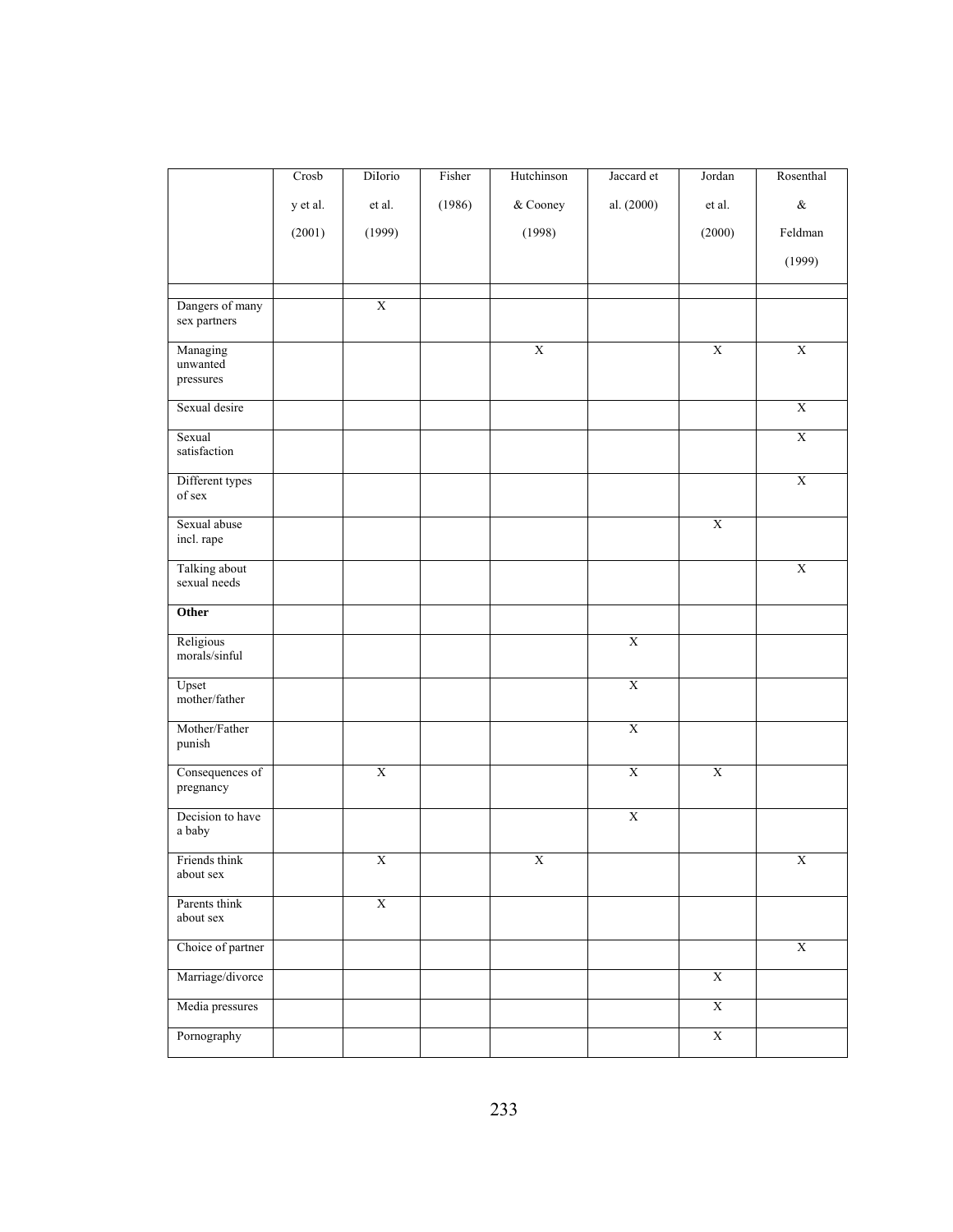|                                   | Crosb    | DiIorio                 | Fisher | Hutchinson              | Jaccard et            | Jordan         | Rosenthal               |
|-----------------------------------|----------|-------------------------|--------|-------------------------|-----------------------|----------------|-------------------------|
|                                   | y et al. | et al.                  | (1986) | & Cooney                | al. (2000)            | et al.         | $\&$                    |
|                                   | (2001)   | (1999)                  |        | (1998)                  |                       | (2000)         | Feldman                 |
|                                   |          |                         |        |                         |                       |                | (1999)                  |
|                                   |          |                         |        |                         |                       |                |                         |
| Dangers of many<br>sex partners   |          | $\overline{X}$          |        |                         |                       |                |                         |
| Managing<br>unwanted<br>pressures |          |                         |        | $\overline{X}$          |                       | $\mathbf X$    | $\overline{\textbf{X}}$ |
| Sexual desire                     |          |                         |        |                         |                       |                | $\overline{\textbf{X}}$ |
| Sexual<br>satisfaction            |          |                         |        |                         |                       |                | $\overline{\textbf{X}}$ |
| Different types<br>of sex         |          |                         |        |                         |                       |                | $\overline{X}$          |
| Sexual abuse<br>incl. rape        |          |                         |        |                         |                       | $\mathbf X$    |                         |
| Talking about<br>sexual needs     |          |                         |        |                         |                       |                | $\overline{\textbf{X}}$ |
| Other                             |          |                         |        |                         |                       |                |                         |
| Religious<br>morals/sinful        |          |                         |        |                         | $\overline{X}$        |                |                         |
| Upset<br>mother/father            |          |                         |        |                         | $\overline{X}$        |                |                         |
| Mother/Father<br>punish           |          |                         |        |                         | $\mathbf X$           |                |                         |
| Consequences of<br>pregnancy      |          | $\overline{X}$          |        |                         | $\overline{X}$        | $\overline{X}$ |                         |
| Decision to have<br>$\rm{a}$ baby |          |                         |        |                         | $\overline{\text{X}}$ |                |                         |
| Friends think<br>about sex        |          | $\overline{X}$          |        | $\overline{\textbf{X}}$ |                       |                | $\overline{\textbf{X}}$ |
| Parents think<br>about sex        |          | $\overline{\textbf{X}}$ |        |                         |                       |                |                         |
| Choice of partner                 |          |                         |        |                         |                       |                | $\overline{\text{X}}$   |
| Marriage/divorce                  |          |                         |        |                         |                       | $\overline{X}$ |                         |
| Media pressures                   |          |                         |        |                         |                       | $\overline{X}$ |                         |
| Pornography                       |          |                         |        |                         |                       | $\bold{X}$     |                         |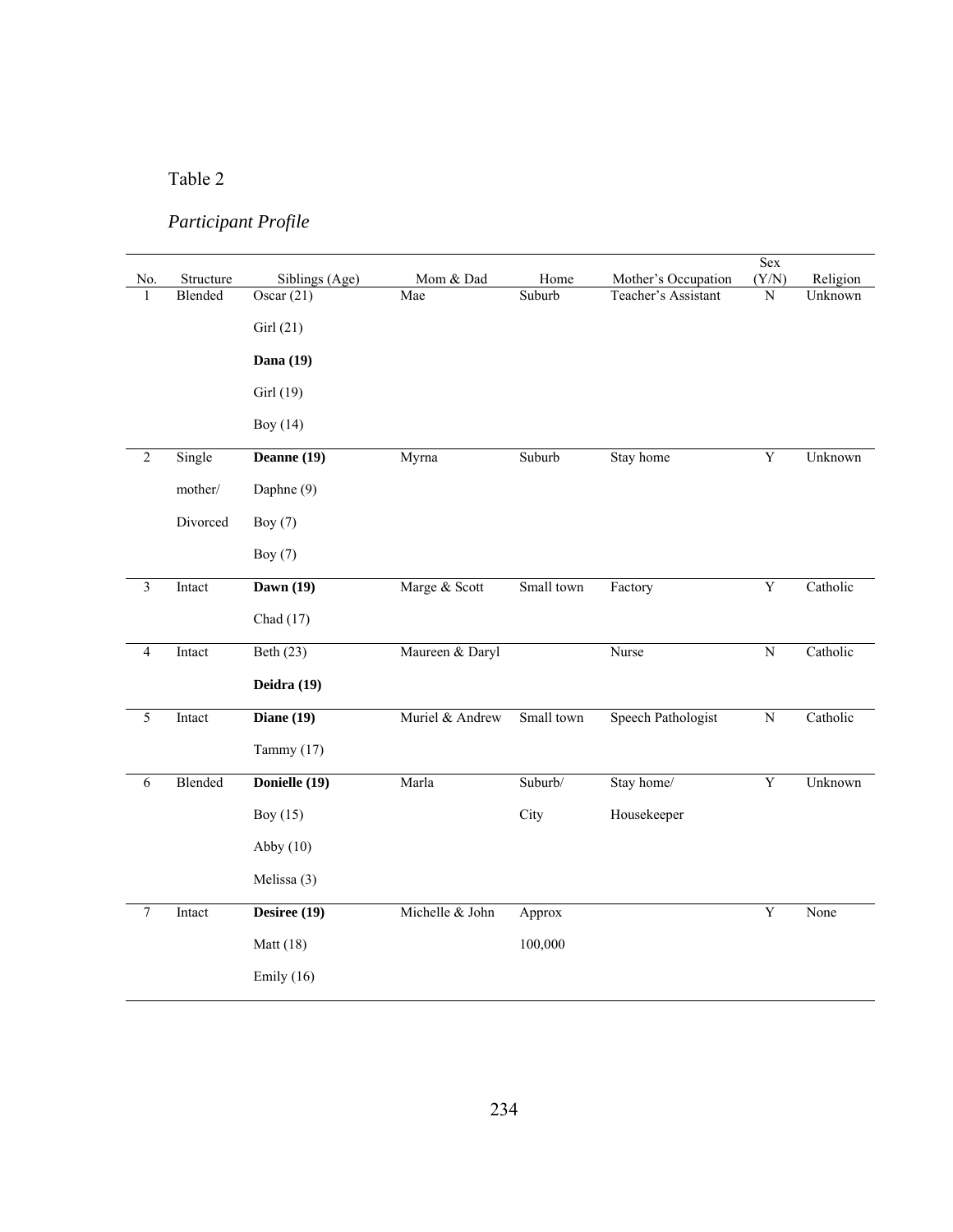# Table 2

# *Participant Profile*

|                |           |                |                 |            |                     | Sex                     |          |
|----------------|-----------|----------------|-----------------|------------|---------------------|-------------------------|----------|
| No.            | Structure | Siblings (Age) | Mom & Dad       | Home       | Mother's Occupation | (Y/N)                   | Religion |
| $\mathbf{1}$   | Blended   | Oscar $(21)$   | Mae             | Suburb     | Teacher's Assistant | ${\bf N}$               | Unknown  |
|                |           | Girl(21)       |                 |            |                     |                         |          |
|                |           |                |                 |            |                     |                         |          |
|                |           | Dana (19)      |                 |            |                     |                         |          |
|                |           | Girl (19)      |                 |            |                     |                         |          |
|                |           | Boy (14)       |                 |            |                     |                         |          |
| $\overline{2}$ | Single    | Deanne $(19)$  | Myrna           | Suburb     | Stay home           | Y                       | Unknown  |
|                | mother/   | Daphne (9)     |                 |            |                     |                         |          |
|                | Divorced  | Boy $(7)$      |                 |            |                     |                         |          |
|                |           |                |                 |            |                     |                         |          |
|                |           | Boy $(7)$      |                 |            |                     |                         |          |
| $\overline{3}$ | Intact    | Dawn $(19)$    | Marge & Scott   | Small town | Factory             | $\overline{\mathbf{Y}}$ | Catholic |
|                |           | Chad $(17)$    |                 |            |                     |                         |          |
| $\overline{4}$ | Intact    | Beth $(23)$    | Maureen & Daryl |            | Nurse               | $\overline{N}$          | Catholic |
|                |           | Deidra (19)    |                 |            |                     |                         |          |
| 5              | Intact    | Diane $(19)$   | Muriel & Andrew | Small town | Speech Pathologist  | ${\bf N}$               | Catholic |
|                |           | Tammy (17)     |                 |            |                     |                         |          |
| $\sqrt{6}$     | Blended   | Donielle (19)  | Marla           | Suburb/    | Stay home/          | Y                       | Unknown  |
|                |           | Boy $(15)$     |                 | City       | Housekeeper         |                         |          |
|                |           | Abby $(10)$    |                 |            |                     |                         |          |
|                |           | Melissa (3)    |                 |            |                     |                         |          |
|                |           |                |                 |            |                     |                         |          |
| $\overline{7}$ | Intact    | Desiree (19)   | Michelle & John | Approx     |                     | $\mathbf Y$             | None     |
|                |           | Matt (18)      |                 | 100,000    |                     |                         |          |
|                |           | Emily $(16)$   |                 |            |                     |                         |          |
|                |           |                |                 |            |                     |                         |          |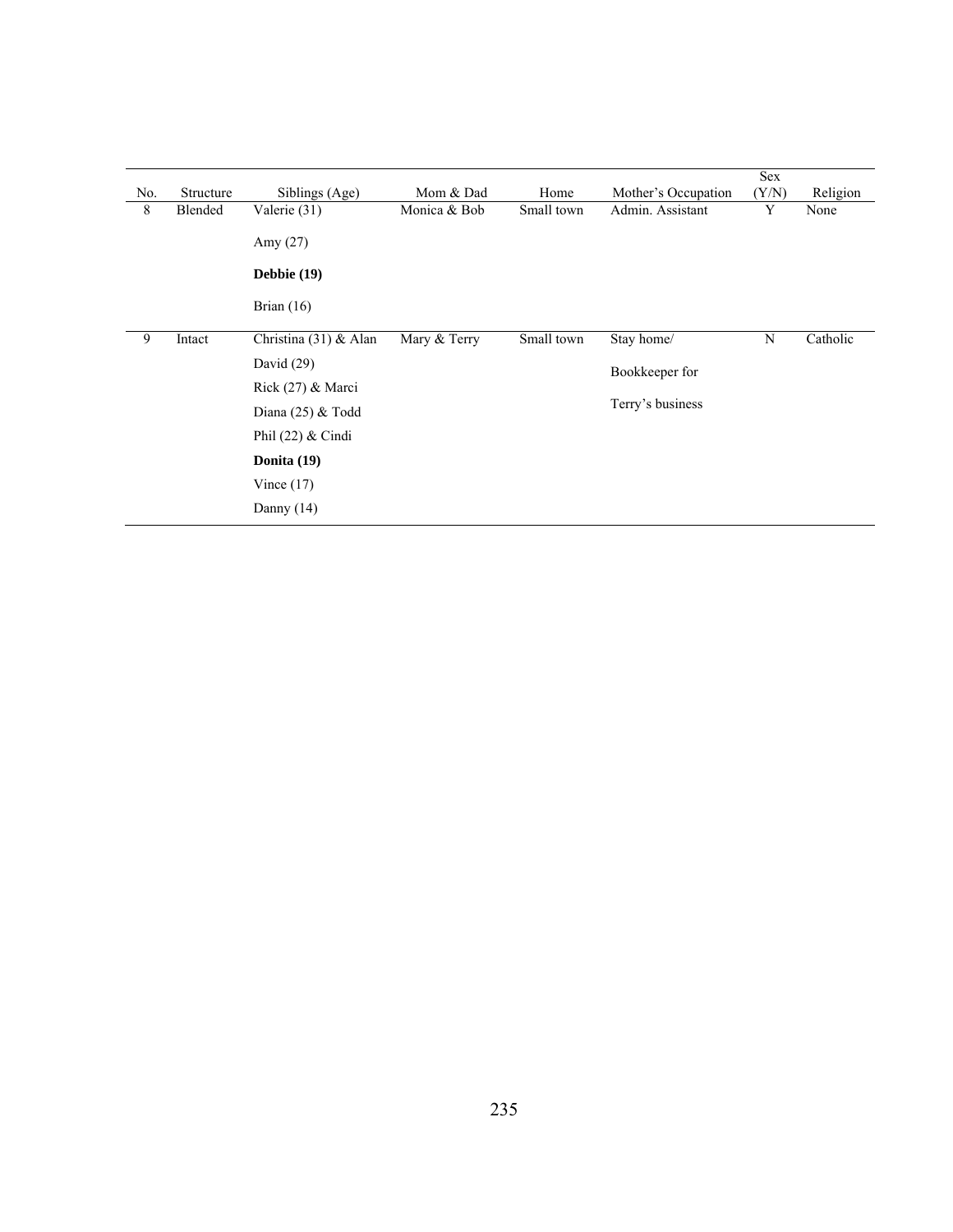|     |           |                       |              |            |                     | Sex   |          |
|-----|-----------|-----------------------|--------------|------------|---------------------|-------|----------|
| No. | Structure | Siblings (Age)        | Mom & Dad    | Home       | Mother's Occupation | (Y/N) | Religion |
| 8   | Blended   | Valerie (31)          | Monica & Bob | Small town | Admin. Assistant    | Y     | None     |
|     |           | Amy $(27)$            |              |            |                     |       |          |
|     |           | Debbie (19)           |              |            |                     |       |          |
|     |           | Brian $(16)$          |              |            |                     |       |          |
| 9   | Intact    | Christina (31) & Alan | Mary & Terry | Small town | Stay home/          | N     | Catholic |
|     |           | David $(29)$          |              |            | Bookkeeper for      |       |          |
|     |           | Rick (27) & Marci     |              |            |                     |       |          |
|     |           | Diana $(25)$ & Todd   |              |            | Terry's business    |       |          |
|     |           | Phil $(22)$ & Cindi   |              |            |                     |       |          |
|     |           | Donita (19)           |              |            |                     |       |          |
|     |           | Vince $(17)$          |              |            |                     |       |          |
|     |           | Danny $(14)$          |              |            |                     |       |          |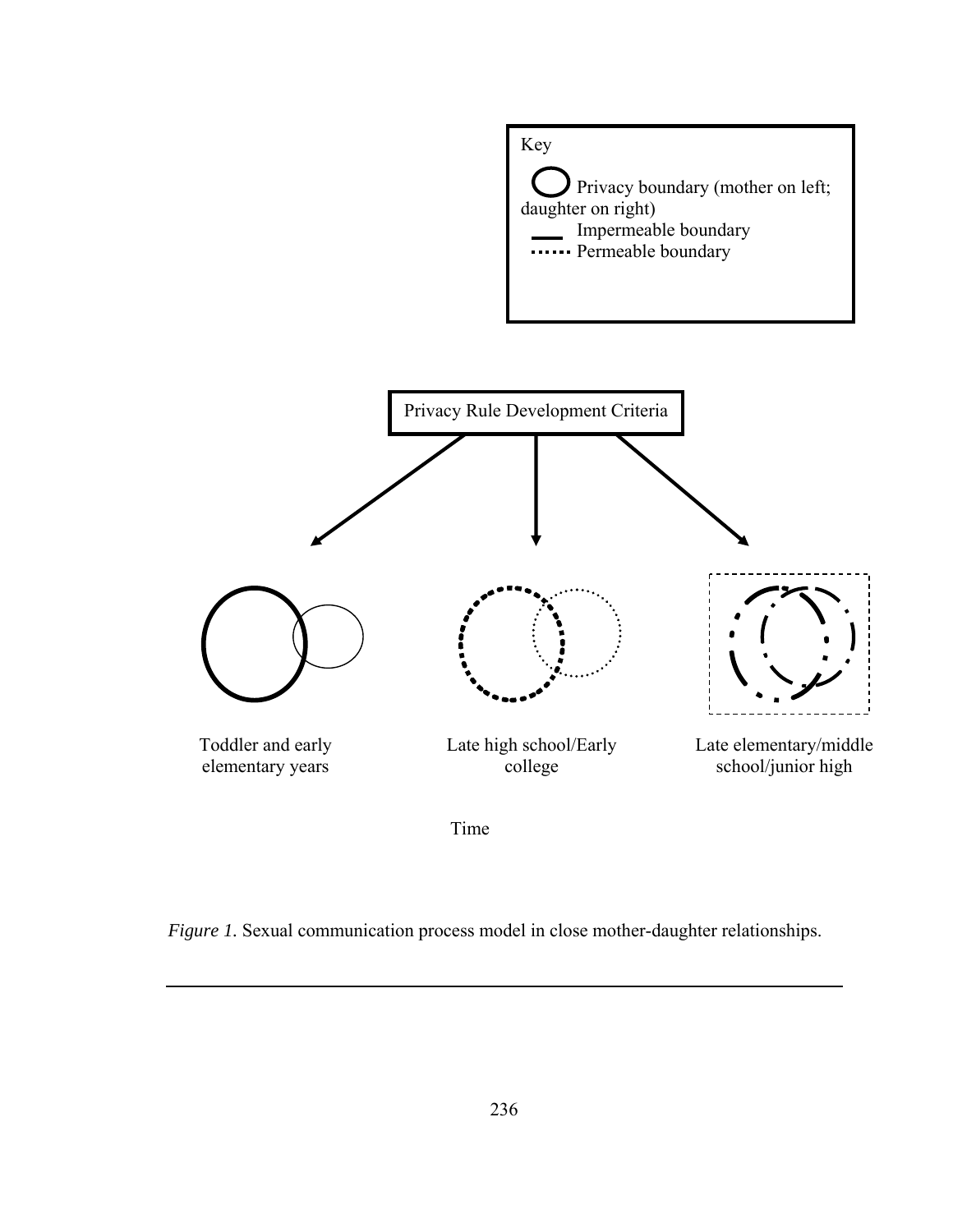





*Figure 1.* Sexual communication process model in close mother-daughter relationships.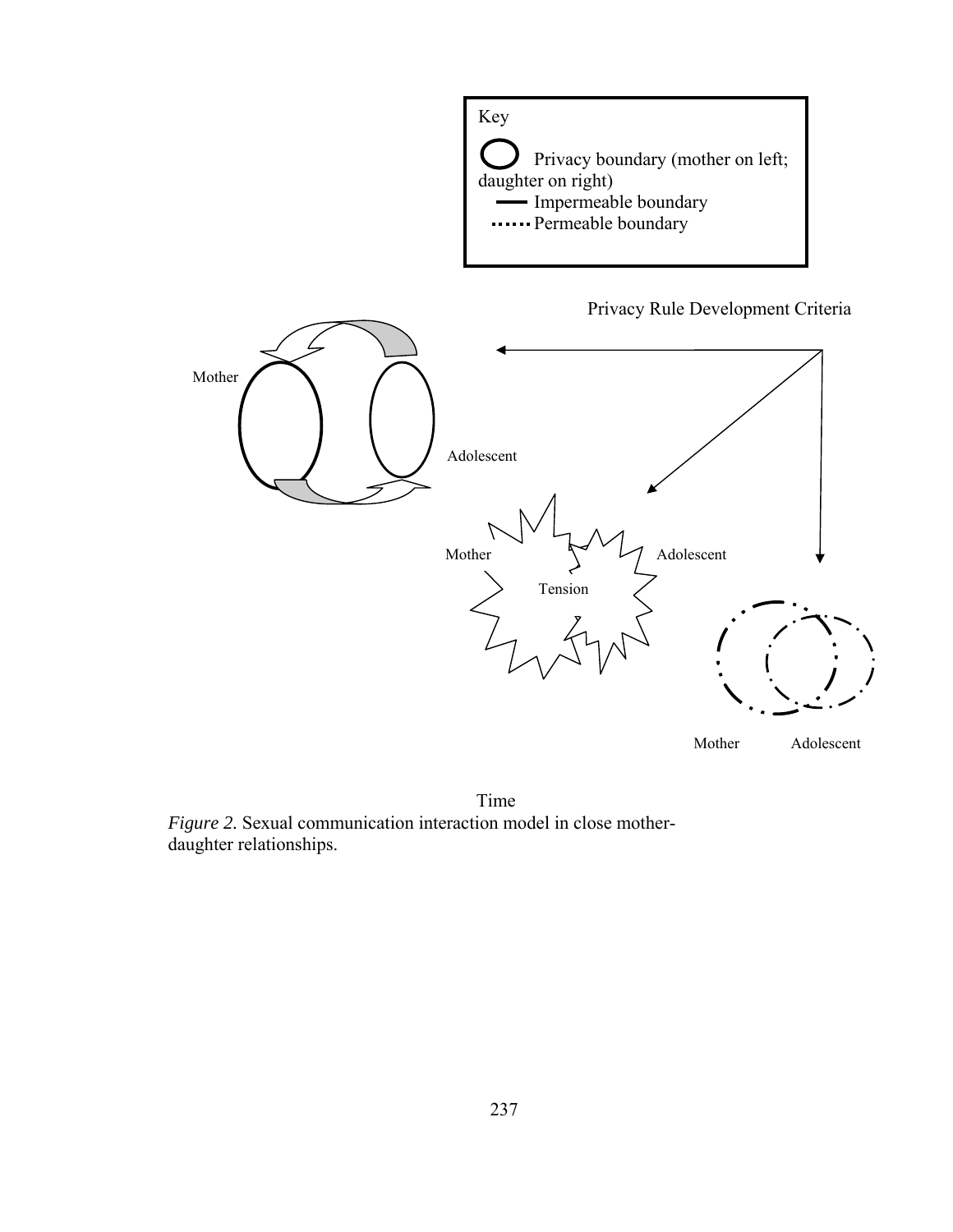



*Figure 2.* Sexual communication interaction model in close motherdaughter relationships. Time